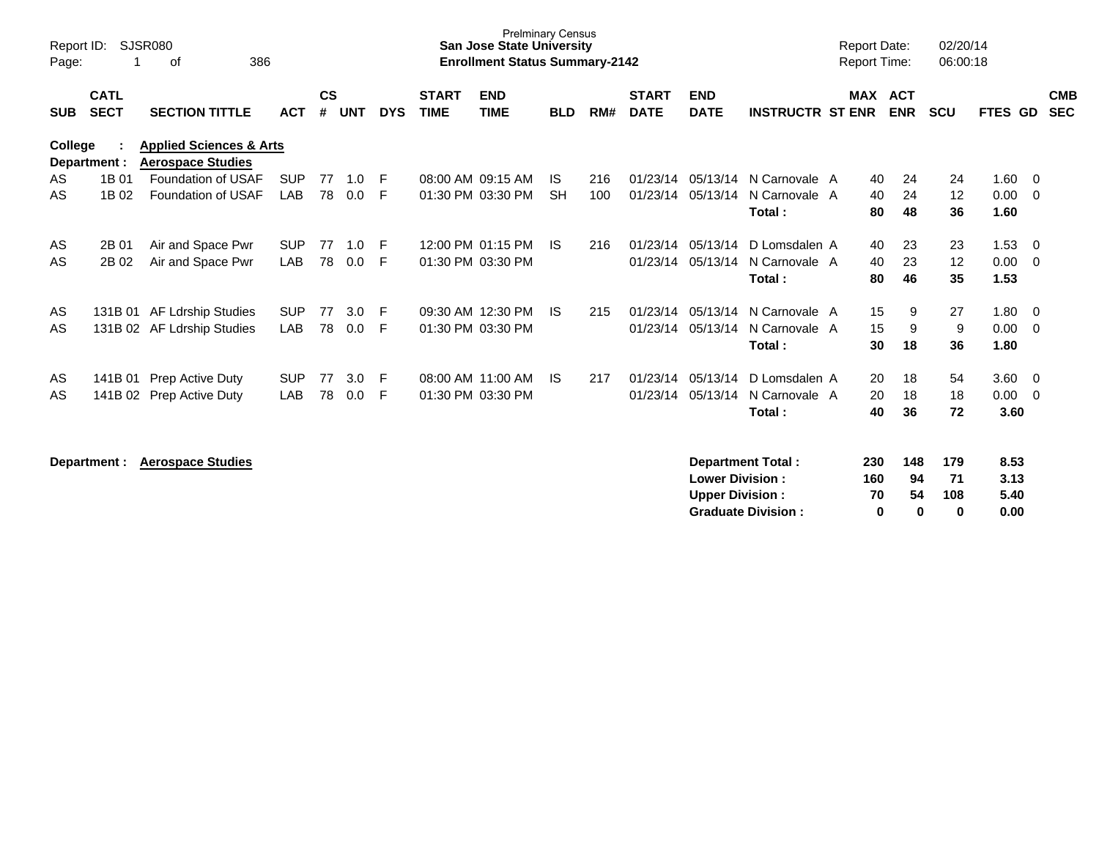| Report ID:<br>Page: |                            | SJSR080<br>386<br>of                                           |            |                    |            |            |                             | <b>Prelminary Census</b><br><b>San Jose State University</b><br><b>Enrollment Status Summary-2142</b> |            |     |                             |                           |                         | <b>Report Date:</b><br><b>Report Time:</b> |                              | 02/20/14<br>06:00:18 |         |                          |
|---------------------|----------------------------|----------------------------------------------------------------|------------|--------------------|------------|------------|-----------------------------|-------------------------------------------------------------------------------------------------------|------------|-----|-----------------------------|---------------------------|-------------------------|--------------------------------------------|------------------------------|----------------------|---------|--------------------------|
| <b>SUB</b>          | <b>CATL</b><br><b>SECT</b> | <b>SECTION TITTLE</b>                                          | <b>ACT</b> | $\mathsf{cs}$<br># | <b>UNT</b> | <b>DYS</b> | <b>START</b><br><b>TIME</b> | <b>END</b><br><b>TIME</b>                                                                             | <b>BLD</b> | RM# | <b>START</b><br><b>DATE</b> | <b>END</b><br><b>DATE</b> | <b>INSTRUCTR ST ENR</b> |                                            | <b>MAX ACT</b><br><b>ENR</b> | <b>SCU</b>           | FTES GD | <b>CMB</b><br><b>SEC</b> |
| <b>College</b>      | Department :               | <b>Applied Sciences &amp; Arts</b><br><b>Aerospace Studies</b> |            |                    |            |            |                             |                                                                                                       |            |     |                             |                           |                         |                                            |                              |                      |         |                          |
| AS                  | 1B 01                      | <b>Foundation of USAF</b>                                      | <b>SUP</b> | 77                 | 1.0        | F          |                             | 08:00 AM 09:15 AM                                                                                     | IS.        | 216 | 01/23/14                    | 05/13/14                  | N Carnovale A           |                                            | 40<br>24                     | 24                   | 1.60    | 0                        |
| AS                  | 1B 02                      | Foundation of USAF                                             | LAB        | 78                 | 0.0        | F          |                             | 01:30 PM 03:30 PM                                                                                     | <b>SH</b>  | 100 | 01/23/14                    | 05/13/14                  | N Carnovale A           |                                            | 40<br>24                     | 12                   | 0.00    | 0                        |
|                     |                            |                                                                |            |                    |            |            |                             |                                                                                                       |            |     |                             |                           | Total:                  |                                            | 48<br>80                     | 36                   | 1.60    |                          |
| AS                  | 2B 01                      | Air and Space Pwr                                              | <b>SUP</b> | 77                 | 1.0        | F          |                             | 12:00 PM 01:15 PM                                                                                     | IS.        | 216 | 01/23/14                    | 05/13/14                  | D Lomsdalen A           |                                            | 23<br>40                     | 23                   | 1.53    | 0                        |
| AS                  | 2B 02                      | Air and Space Pwr                                              | <b>LAB</b> | 78                 | 0.0        | F          |                             | 01:30 PM 03:30 PM                                                                                     |            |     | 01/23/14                    | 05/13/14                  | N Carnovale A           |                                            | 23<br>40                     | 12                   | 0.00    | $\mathbf 0$              |
|                     |                            |                                                                |            |                    |            |            |                             |                                                                                                       |            |     |                             |                           | Total:                  |                                            | 46<br>80                     | 35                   | 1.53    |                          |
| AS                  | 131B 01                    | AF Ldrship Studies                                             | <b>SUP</b> | 77                 | 3.0        | -F         |                             | 09:30 AM 12:30 PM                                                                                     | IS.        | 215 | 01/23/14                    | 05/13/14                  | N Carnovale A           |                                            | 9<br>15                      | 27                   | 1.80    | 0                        |
| AS                  |                            | 131B 02 AF Ldrship Studies                                     | <b>LAB</b> | 78                 | 0.0        | F          |                             | 01:30 PM 03:30 PM                                                                                     |            |     |                             | 01/23/14 05/13/14         | N Carnovale A           |                                            | 15<br>9                      | 9                    | 0.00    | 0                        |
|                     |                            |                                                                |            |                    |            |            |                             |                                                                                                       |            |     |                             |                           | Total:                  |                                            | 18<br>30                     | 36                   | 1.80    |                          |
| AS                  | 141B 01                    | Prep Active Duty                                               | <b>SUP</b> | 77                 | 3.0        | -F         |                             | 08:00 AM 11:00 AM                                                                                     | IS.        | 217 | 01/23/14                    | 05/13/14                  | D Lomsdalen A           |                                            | 20<br>18                     | 54                   | 3.60    | - 0                      |
| AS                  | 141B 02                    | Prep Active Duty                                               | LAB        | 78                 | 0.0        | F          |                             | 01:30 PM 03:30 PM                                                                                     |            |     | 01/23/14                    | 05/13/14                  | N Carnovale A           |                                            | 18<br>20                     | 18                   | 0.00    | $\mathbf 0$              |
|                     |                            |                                                                |            |                    |            |            |                             |                                                                                                       |            |     |                             |                           | Total:                  |                                            | 36<br>40                     | 72                   | 3.60    |                          |
|                     | Department :               | <b>Aerospace Studies</b>                                       |            |                    |            |            |                             |                                                                                                       |            |     |                             |                           | Department Total:       | 230                                        | 148                          | 179                  | 8.53    |                          |
|                     |                            |                                                                |            |                    |            |            |                             |                                                                                                       |            |     |                             | <b>Lower Division:</b>    |                         | 160                                        | 94                           | 71                   | 3.13    |                          |

**Upper Division : 70 54 108 5.40<br>
Graduate Division : 0 0 0 0.00 Graduate Division : 0 0 0 0.00**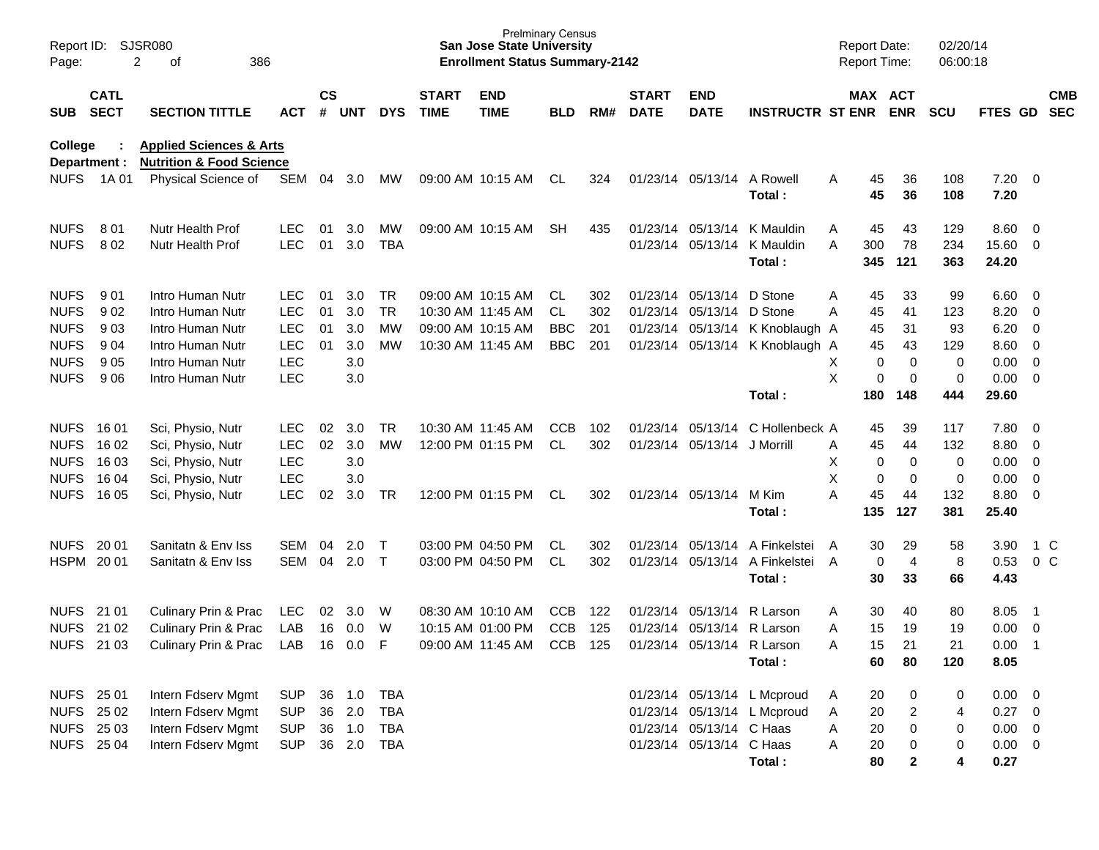| Page:                                                    | Report ID: SJSR080<br>2<br>386<br>οf<br><b>CATL</b>                                      |                                                                                      |                                                      |                |                                      |                                                      |                             | <b>San Jose State University</b><br><b>Enrollment Status Summary-2142</b> | <b>Prelminary Census</b>               |                   |                             |                                                      |                                                                      | <b>Report Date:</b><br><b>Report Time:</b> |                            |                                                                     | 02/20/14<br>06:00:18           |                                                               |                                                                               |                          |
|----------------------------------------------------------|------------------------------------------------------------------------------------------|--------------------------------------------------------------------------------------|------------------------------------------------------|----------------|--------------------------------------|------------------------------------------------------|-----------------------------|---------------------------------------------------------------------------|----------------------------------------|-------------------|-----------------------------|------------------------------------------------------|----------------------------------------------------------------------|--------------------------------------------|----------------------------|---------------------------------------------------------------------|--------------------------------|---------------------------------------------------------------|-------------------------------------------------------------------------------|--------------------------|
| <b>SUB</b>                                               | <b>SECT</b><br><b>SECTION TITTLE</b><br><b>ACT</b><br><b>Applied Sciences &amp; Arts</b> |                                                                                      |                                                      |                | $\mathsf{cs}$<br><b>UNT</b>          | <b>DYS</b>                                           | <b>START</b><br><b>TIME</b> | <b>END</b><br><b>TIME</b>                                                 | <b>BLD</b>                             | RM#               | <b>START</b><br><b>DATE</b> | <b>END</b><br><b>DATE</b>                            | <b>INSTRUCTR ST ENR</b>                                              |                                            | MAX ACT                    | <b>ENR</b>                                                          | <b>SCU</b>                     | <b>FTES GD</b>                                                |                                                                               | <b>CMB</b><br><b>SEC</b> |
| <b>College</b>                                           | Department :                                                                             | <b>Nutrition &amp; Food Science</b>                                                  |                                                      |                |                                      |                                                      |                             |                                                                           |                                        |                   |                             |                                                      |                                                                      |                                            |                            |                                                                     |                                |                                                               |                                                                               |                          |
| <b>NUFS</b>                                              | 1A 01                                                                                    | Physical Science of                                                                  | SEM                                                  | 04             | 3.0                                  | MW                                                   |                             | 09:00 AM 10:15 AM                                                         | CL                                     | 324               |                             | 01/23/14 05/13/14                                    | A Rowell<br>Total:                                                   | A                                          | 45<br>45                   | 36<br>36                                                            | 108<br>108                     | $7.20 \t 0$<br>7.20                                           |                                                                               |                          |
| <b>NUFS</b><br><b>NUFS</b>                               | 801<br>802                                                                               | <b>Nutr Health Prof</b><br><b>Nutr Health Prof</b>                                   | <b>LEC</b><br><b>LEC</b>                             | 01<br>01       | 3.0<br>3.0                           | MW<br><b>TBA</b>                                     |                             | 09:00 AM 10:15 AM                                                         | SH                                     | 435               |                             | 01/23/14 05/13/14<br>01/23/14 05/13/14               | K Mauldin<br>K Mauldin<br>Total:                                     | A<br>A                                     | 45<br>300<br>345           | 43<br>78<br>121                                                     | 129<br>234<br>363              | 8.60<br>15.60<br>24.20                                        | $\overline{0}$<br>$\overline{0}$                                              |                          |
| <b>NUFS</b><br><b>NUFS</b>                               | 901<br>902                                                                               | Intro Human Nutr<br>Intro Human Nutr                                                 | LEC.<br><b>LEC</b>                                   | 01<br>01       | 3.0<br>3.0                           | TR<br><b>TR</b>                                      |                             | 09:00 AM 10:15 AM<br>10:30 AM 11:45 AM                                    | CL.<br>CL.                             | 302<br>302        |                             | 01/23/14 05/13/14<br>01/23/14 05/13/14               | D Stone<br>D Stone                                                   | A<br>A                                     | 45<br>45                   | 33<br>41                                                            | 99<br>123                      | 6.60<br>8.20                                                  | $\overline{\phantom{0}}$<br>$\overline{0}$                                    |                          |
| <b>NUFS</b><br><b>NUFS</b><br><b>NUFS</b>                | 903<br>904<br>905                                                                        | Intro Human Nutr<br>Intro Human Nutr<br>Intro Human Nutr                             | <b>LEC</b><br><b>LEC</b><br><b>LEC</b>               | 01<br>01       | 3.0<br>3.0<br>3.0                    | <b>MW</b><br>MW                                      |                             | 09:00 AM 10:15 AM<br>10:30 AM 11:45 AM                                    | <b>BBC</b><br><b>BBC</b>               | 201<br>201        | 01/23/14                    | 01/23/14 05/13/14<br>05/13/14                        | K Knoblaugh A<br>K Knoblaugh A                                       | X                                          | 45<br>45<br>0              | 31<br>43<br>$\mathbf 0$                                             | 93<br>129<br>$\mathbf 0$       | 6.20<br>8.60<br>0.00                                          | 0<br>$\overline{0}$<br>$\overline{0}$                                         |                          |
| <b>NUFS</b>                                              | 906                                                                                      | Intro Human Nutr                                                                     | <b>LEC</b>                                           |                | 3.0                                  |                                                      |                             |                                                                           |                                        |                   |                             |                                                      | Total:                                                               | X                                          | 0<br>180                   | 0<br>148                                                            | $\mathbf 0$<br>444             | 0.00<br>29.60                                                 | $\overline{0}$                                                                |                          |
| <b>NUFS</b><br><b>NUFS</b><br><b>NUFS</b><br><b>NUFS</b> | 16 01<br>16 02<br>16 03<br>16 04                                                         | Sci, Physio, Nutr<br>Sci, Physio, Nutr<br>Sci, Physio, Nutr<br>Sci, Physio, Nutr     | <b>LEC</b><br><b>LEC</b><br><b>LEC</b><br><b>LEC</b> | 02<br>02       | 3.0<br>3.0<br>3.0<br>3.0             | <b>TR</b><br><b>MW</b>                               |                             | 10:30 AM 11:45 AM<br>12:00 PM 01:15 PM                                    | <b>CCB</b><br>CL.                      | 102<br>302        | 01/23/14                    | 05/13/14<br>01/23/14 05/13/14                        | C Hollenbeck A<br>J Morrill                                          | A<br>X<br>X                                | 45<br>45<br>0<br>0         | 39<br>44<br>0<br>0                                                  | 117<br>132<br>0<br>$\mathbf 0$ | 7.80<br>8.80<br>0.00<br>0.00                                  | $\overline{\mathbf{0}}$<br>$\overline{0}$<br>$\overline{0}$<br>$\overline{0}$ |                          |
| <b>NUFS</b>                                              | 16 05                                                                                    | Sci, Physio, Nutr                                                                    | <b>LEC</b>                                           | 02             | 3.0                                  | TR                                                   |                             | 12:00 PM 01:15 PM                                                         | CL                                     | 302               |                             | 01/23/14 05/13/14                                    | M Kim<br>Total:                                                      | A                                          | 45<br>135                  | 44<br>127                                                           | 132<br>381                     | 8.80<br>25.40                                                 | $\overline{\mathbf{0}}$                                                       |                          |
| <b>NUFS</b>                                              | 20 01<br>HSPM 2001                                                                       | Sanitatn & Env Iss<br>Sanitatn & Env Iss                                             | SEM<br><b>SEM</b>                                    | 04<br>04       | 2.0<br>2.0                           | $\top$<br>$\top$                                     |                             | 03:00 PM 04:50 PM<br>03:00 PM 04:50 PM                                    | CL<br><b>CL</b>                        | 302<br>302        | 01/23/14                    | 05/13/14                                             | A Finkelstei<br>01/23/14 05/13/14 A Finkelstei<br>Total:             | A<br>A                                     | 30<br>0<br>30              | 29<br>$\overline{4}$<br>33                                          | 58<br>8<br>66                  | 3.90<br>0.53<br>4.43                                          | 1 C<br>0 <sup>C</sup>                                                         |                          |
| <b>NUFS</b><br><b>NUFS</b>                               | 21 01<br>21 02<br><b>NUFS 21 03</b>                                                      | Culinary Prin & Prac<br>Culinary Prin & Prac<br><b>Culinary Prin &amp; Prac</b>      | <b>LEC</b><br>LAB<br>LAB                             | 02<br>16<br>16 | 3.0<br>0.0<br>0.0                    | W<br>W<br>F                                          |                             | 08:30 AM 10:10 AM<br>10:15 AM 01:00 PM<br>09:00 AM 11:45 AM               | <b>CCB</b><br><b>CCB</b><br><b>CCB</b> | 122<br>125<br>125 | 01/23/14<br>01/23/14        | 05/13/14<br>05/13/14<br>01/23/14 05/13/14 R Larson   | R Larson<br>R Larson<br>Total:                                       | A<br>A<br>A                                | 30<br>15<br>15<br>60       | 40<br>19<br>21<br>80                                                | 80<br>19<br>21<br>120          | 8.05<br>0.00<br>0.00<br>8.05                                  | - 1<br>$\overline{0}$<br>$\overline{1}$                                       |                          |
|                                                          | NUFS 25 01<br>NUFS 25 02<br>NUFS 25 03<br>NUFS 25 04                                     | Intern Fdserv Mgmt<br>Intern Fdserv Mgmt<br>Intern Fdserv Mgmt<br>Intern Fdserv Mgmt | <b>SUP</b><br><b>SUP</b><br><b>SUP</b><br><b>SUP</b> |                | 36 1.0<br>36 2.0<br>36 1.0<br>36 2.0 | <b>TBA</b><br><b>TBA</b><br><b>TBA</b><br><b>TBA</b> |                             |                                                                           |                                        |                   |                             | 01/23/14 05/13/14 C Haas<br>01/23/14 05/13/14 C Haas | 01/23/14 05/13/14 L Mcproud<br>01/23/14 05/13/14 L Mcproud<br>Total: | A<br>Α<br>Α<br>Α                           | 20<br>20<br>20<br>20<br>80 | $\pmb{0}$<br>$\overline{\mathbf{c}}$<br>$\pmb{0}$<br>$\pmb{0}$<br>2 | 0<br>4<br>0<br>0<br>4          | $0.00 \t 0$<br>$0.27$ 0<br>$0.00 \t 0$<br>$0.00 \t 0$<br>0.27 |                                                                               |                          |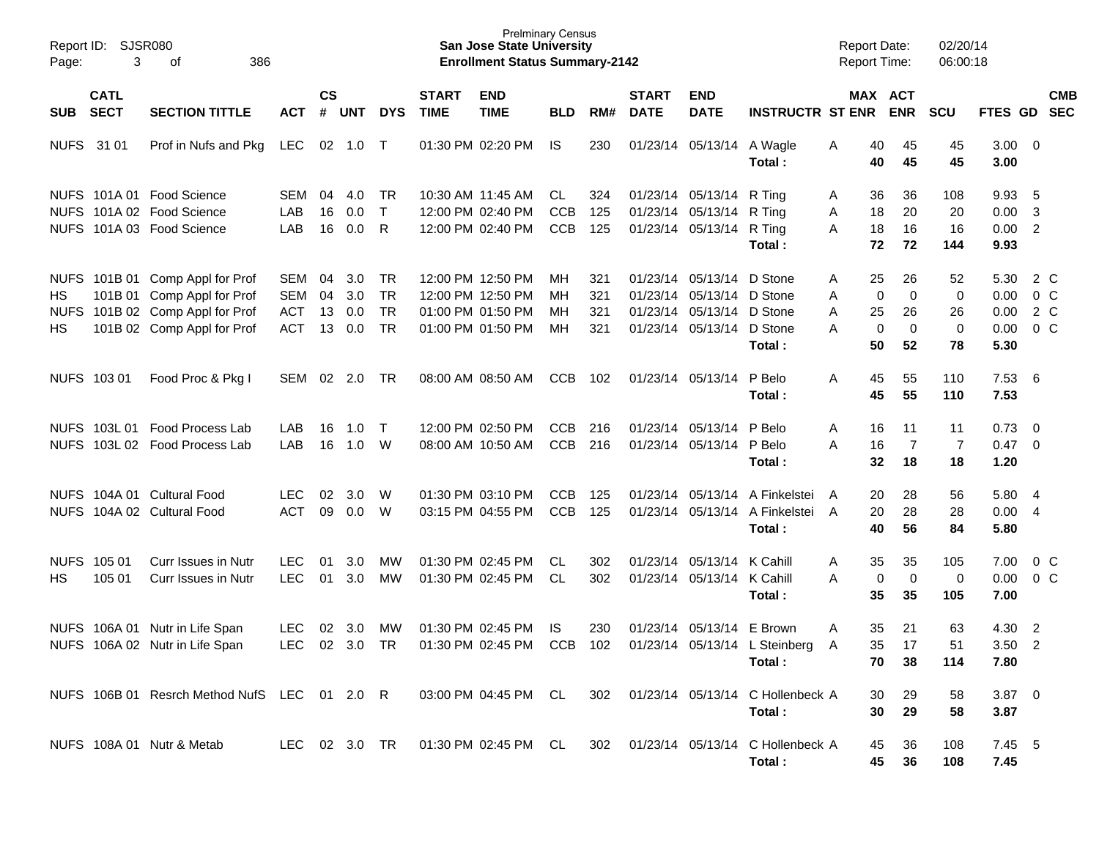| Page:                    | Report ID: SJSR080<br>3<br>386<br>οf |                                                                                             |                                 |                    |                   |                              |                             | <b>Prelminary Census</b><br><b>San Jose State University</b><br><b>Enrollment Status Summary-2142</b> |                          |                   |                             |                                                             |                                                                            | <b>Report Date:</b><br>Report Time: |                            | 02/20/14<br>06:00:18       |                                |                                  |            |
|--------------------------|--------------------------------------|---------------------------------------------------------------------------------------------|---------------------------------|--------------------|-------------------|------------------------------|-----------------------------|-------------------------------------------------------------------------------------------------------|--------------------------|-------------------|-----------------------------|-------------------------------------------------------------|----------------------------------------------------------------------------|-------------------------------------|----------------------------|----------------------------|--------------------------------|----------------------------------|------------|
| SUB                      | <b>CATL</b><br><b>SECT</b>           | <b>SECTION TITTLE</b>                                                                       | <b>ACT</b>                      | $\mathsf{cs}$<br># | UNT               | <b>DYS</b>                   | <b>START</b><br><b>TIME</b> | <b>END</b><br><b>TIME</b>                                                                             | <b>BLD</b>               | RM#               | <b>START</b><br><b>DATE</b> | <b>END</b><br><b>DATE</b>                                   | <b>INSTRUCTR ST ENR</b>                                                    |                                     | MAX ACT<br><b>ENR</b>      | SCU                        | FTES GD SEC                    |                                  | <b>CMB</b> |
| <b>NUFS</b>              | 31 01                                | Prof in Nufs and Pkg                                                                        | <b>LEC</b>                      |                    | 02 1.0            | $\top$                       |                             | 01:30 PM 02:20 PM                                                                                     | IS.                      | 230               |                             | 01/23/14 05/13/14                                           | A Wagle<br>Total:                                                          | 40<br>A<br>40                       | 45<br>45                   | 45<br>45                   | $3.00 \ 0$<br>3.00             |                                  |            |
|                          |                                      | NUFS 101A 01 Food Science<br>NUFS 101A 02 Food Science                                      | SEM<br>LAB                      | 04<br>16           | 4.0<br>0.0        | <b>TR</b><br>$\mathsf{T}$    |                             | 10:30 AM 11:45 AM<br>12:00 PM 02:40 PM                                                                | CL<br><b>CCB</b>         | 324<br>125        |                             | 01/23/14 05/13/14<br>01/23/14 05/13/14                      | R Ting<br>R Ting                                                           | 36<br>A<br>18<br>Α                  | 36<br>20                   | 108<br>20                  | 9.93<br>0.00                   | $-5$<br>3                        |            |
|                          |                                      | NUFS 101A 03 Food Science                                                                   | LAB                             | 16                 | 0.0               | R                            |                             | 12:00 PM 02:40 PM                                                                                     | <b>CCB</b>               | 125               |                             | 01/23/14 05/13/14                                           | R Tina<br>Total:                                                           | 18<br>A<br>72                       | 16<br>72                   | 16<br>144                  | 0.00 2<br>9.93                 |                                  |            |
| <b>HS</b><br><b>NUFS</b> |                                      | NUFS 101B 01 Comp Appl for Prof<br>101B 01 Comp Appl for Prof<br>101B 02 Comp Appl for Prof | SEM<br><b>SEM</b><br><b>ACT</b> | 04<br>04<br>13     | 3.0<br>3.0<br>0.0 | TR<br><b>TR</b><br><b>TR</b> |                             | 12:00 PM 12:50 PM<br>12:00 PM 12:50 PM<br>01:00 PM 01:50 PM                                           | MН<br>MН<br>MН           | 321<br>321<br>321 |                             | 01/23/14 05/13/14<br>01/23/14 05/13/14<br>01/23/14 05/13/14 | D Stone<br>D Stone<br>D Stone                                              | 25<br>A<br>0<br>A<br>25<br>A        | 26<br>0<br>26              | 52<br>0<br>26              | 5.30<br>0.00<br>0.00           | 2 C<br>0 <sup>o</sup><br>2 C     |            |
| HS                       |                                      | 101B 02 Comp Appl for Prof                                                                  | <b>ACT</b>                      | 13                 | 0.0               | <b>TR</b>                    |                             | 01:00 PM 01:50 PM                                                                                     | MH                       | 321               |                             | 01/23/14 05/13/14                                           | D Stone<br>Total:                                                          | $\mathbf 0$<br>А<br>50              | $\mathbf 0$<br>52          | 0<br>78                    | 0.00<br>5.30                   | $0\,C$                           |            |
|                          | NUFS 103 01                          | Food Proc & Pkg I                                                                           | SEM                             | 02                 | 2.0               | <b>TR</b>                    |                             | 08:00 AM 08:50 AM                                                                                     | <b>CCB</b>               | 102               |                             | 01/23/14 05/13/14                                           | P Belo<br>Total:                                                           | 45<br>Α<br>45                       | 55<br>55                   | 110<br>110                 | $7.53\quad 6$<br>7.53          |                                  |            |
|                          |                                      | NUFS 103L 01 Food Process Lab<br>NUFS 103L 02 Food Process Lab                              | LAB<br>LAB                      | 16<br>16           | 1.0<br>1.0        | $\top$<br>W                  |                             | 12:00 PM 02:50 PM<br>08:00 AM 10:50 AM                                                                | <b>CCB</b><br><b>CCB</b> | 216<br>216        |                             | 01/23/14 05/13/14<br>01/23/14 05/13/14                      | P Belo<br>P Belo<br>Total:                                                 | Α<br>16<br>A<br>16<br>32            | 11<br>$\overline{7}$<br>18 | 11<br>$\overline{7}$<br>18 | 0.73<br>$0.47 \quad 0$<br>1.20 | $\overline{\phantom{0}}$         |            |
|                          |                                      | NUFS 104A 01 Cultural Food<br>NUFS 104A 02 Cultural Food                                    | <b>LEC</b><br><b>ACT</b>        | 02<br>09           | 3.0<br>0.0        | W<br>W                       |                             | 01:30 PM 03:10 PM<br>03:15 PM 04:55 PM                                                                | <b>CCB</b><br><b>CCB</b> | 125<br>125        |                             |                                                             | 01/23/14 05/13/14 A Finkelstei<br>01/23/14 05/13/14 A Finkelstei<br>Total: | 20<br>A<br>20<br>A<br>40            | 28<br>28<br>56             | 56<br>28<br>84             | 5.80<br>0.004<br>5.80          | -4                               |            |
| HS                       | NUFS 105 01<br>105 01                | Curr Issues in Nutr<br>Curr Issues in Nutr                                                  | <b>LEC</b><br><b>LEC</b>        | 01<br>01           | 3.0<br>3.0        | MW<br><b>MW</b>              |                             | 01:30 PM 02:45 PM<br>01:30 PM 02:45 PM                                                                | CL.<br>CL.               | 302<br>302        |                             | 01/23/14 05/13/14<br>01/23/14 05/13/14                      | K Cahill<br>K Cahill<br>Total:                                             | Α<br>35<br>$\mathbf 0$<br>A<br>35   | 35<br>$\mathbf 0$<br>35    | 105<br>0<br>105            | 7.00<br>0.00<br>7.00           | 0 <sup>o</sup><br>0 <sup>o</sup> |            |
|                          | NUFS 106A 01                         | Nutr in Life Span<br>NUFS 106A 02 Nutr in Life Span                                         | LEC.<br><b>LEC</b>              | 02<br>02           | 3.0<br>3.0        | MW<br><b>TR</b>              |                             | 01:30 PM 02:45 PM<br>01:30 PM 02:45 PM                                                                | IS<br><b>CCB</b>         | 230<br>102        |                             | 01/23/14 05/13/14                                           | E Brown<br>01/23/14 05/13/14 L Steinberg<br>Total:                         | A<br>35<br>35<br>A<br>70            | 21<br>17<br>38             | 63<br>51<br>114            | 4.30<br>3.50<br>7.80           | $\overline{2}$<br>$\overline{2}$ |            |
|                          |                                      | NUFS 106B 01 Resrch Method NufS LEC 01 2.0 R                                                |                                 |                    |                   |                              |                             | 03:00 PM 04:45 PM CL                                                                                  |                          | 302               |                             |                                                             | 01/23/14 05/13/14 C Hollenbeck A<br>Total:                                 | 30<br>30                            | 29<br>29                   | 58<br>58                   | $3.87$ 0<br>3.87               |                                  |            |
|                          |                                      | NUFS 108A 01 Nutr & Metab                                                                   | LEC 02 3.0 TR                   |                    |                   |                              |                             | 01:30 PM 02:45 PM CL                                                                                  |                          | 302               |                             | 01/23/14 05/13/14                                           | C Hollenbeck A<br>Total:                                                   | 45<br>45                            | 36<br>36                   | 108<br>108                 | $7.45$ 5<br>7.45               |                                  |            |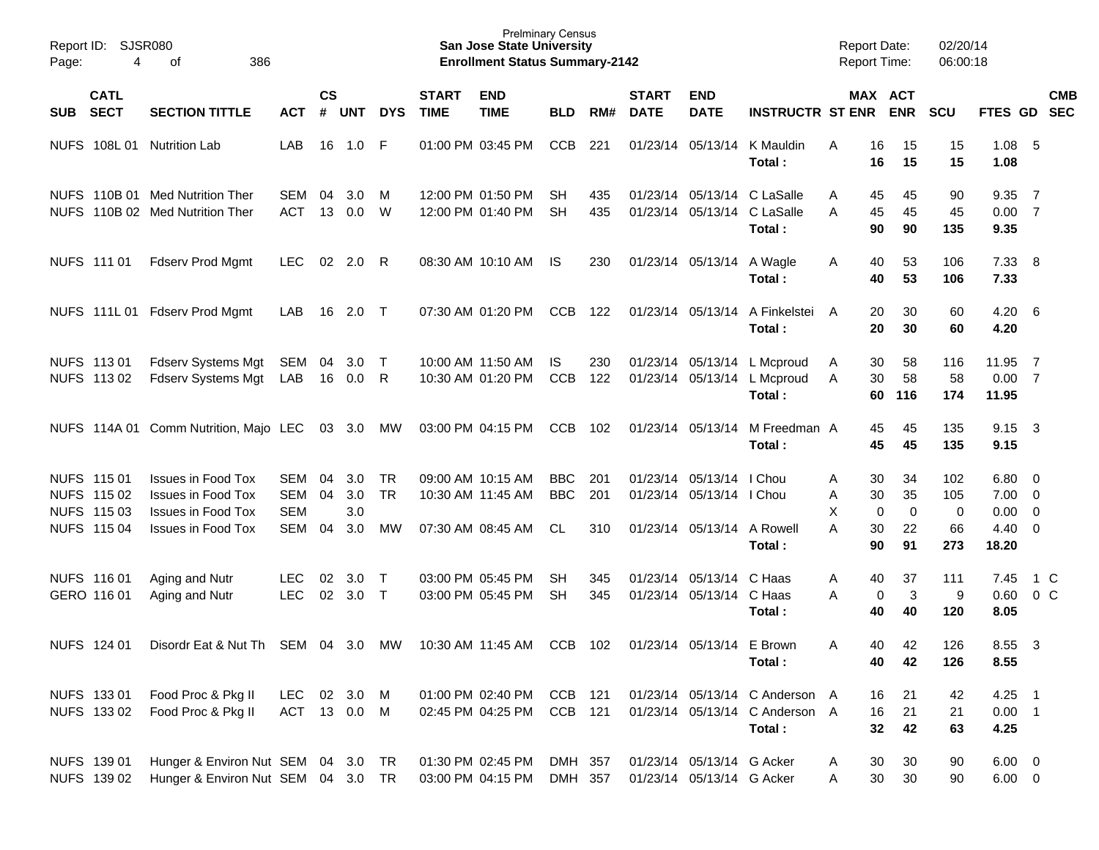| Page: | Report ID: SJSR080<br>386<br>4<br>οf                     |                                                                                                                  |                                               |                    |                          |                              |                             | <b>Prelminary Census</b><br><b>San Jose State University</b><br><b>Enrollment Status Summary-2142</b> |                                 |                   |                             |                                                                    |                                                                            | <b>Report Date:</b><br><b>Report Time:</b> |                                          | 02/20/14<br>06:00:18         |                                       |                                                                      |            |
|-------|----------------------------------------------------------|------------------------------------------------------------------------------------------------------------------|-----------------------------------------------|--------------------|--------------------------|------------------------------|-----------------------------|-------------------------------------------------------------------------------------------------------|---------------------------------|-------------------|-----------------------------|--------------------------------------------------------------------|----------------------------------------------------------------------------|--------------------------------------------|------------------------------------------|------------------------------|---------------------------------------|----------------------------------------------------------------------|------------|
| SUB   | <b>CATL</b><br><b>SECT</b>                               | <b>SECTION TITTLE</b>                                                                                            | <b>ACT</b>                                    | $\mathsf{cs}$<br># | <b>UNT</b>               | <b>DYS</b>                   | <b>START</b><br><b>TIME</b> | <b>END</b><br><b>TIME</b>                                                                             | <b>BLD</b>                      | RM#               | <b>START</b><br><b>DATE</b> | <b>END</b><br><b>DATE</b>                                          | <b>INSTRUCTR ST ENR</b>                                                    |                                            | MAX ACT<br><b>ENR</b>                    | <b>SCU</b>                   | FTES GD SEC                           |                                                                      | <b>CMB</b> |
|       | NUFS 108L 01                                             | <b>Nutrition Lab</b>                                                                                             | LAB                                           | 16                 | 1.0                      | -F                           |                             | 01:00 PM 03:45 PM                                                                                     | <b>CCB</b>                      | 221               |                             | 01/23/14 05/13/14                                                  | K Mauldin<br>Total:                                                        | 16<br>A<br>16                              | 15<br>15                                 | 15<br>15                     | 1.08<br>1.08                          | - 5                                                                  |            |
|       |                                                          | NUFS 110B 01 Med Nutrition Ther<br>NUFS 110B 02 Med Nutrition Ther                                               | SEM<br><b>ACT</b>                             | 04<br>13           | 3.0<br>0.0               | M<br>W                       |                             | 12:00 PM 01:50 PM<br>12:00 PM 01:40 PM                                                                | <b>SH</b><br><b>SH</b>          | 435<br>435        |                             | 01/23/14 05/13/14                                                  | C LaSalle<br>01/23/14 05/13/14 C LaSalle<br>Total:                         | 45<br>A<br>45<br>A<br>90                   | 45<br>45<br>90                           | 90<br>45<br>135              | 9.35<br>0.007<br>9.35                 | $\overline{7}$                                                       |            |
|       | NUFS 111 01                                              | <b>Fdserv Prod Mgmt</b>                                                                                          | LEC.                                          | 02                 | 2.0                      | R                            |                             | 08:30 AM 10:10 AM                                                                                     | IS.                             | 230               |                             | 01/23/14 05/13/14 A Wagle                                          | Total:                                                                     | 40<br>A<br>40                              | 53<br>53                                 | 106<br>106                   | 7.33<br>7.33                          | - 8                                                                  |            |
|       |                                                          | NUFS 111L 01 Fdserv Prod Mgmt                                                                                    | LAB                                           | 16                 | 2.0                      | $\top$                       |                             | 07:30 AM 01:20 PM                                                                                     | <b>CCB</b>                      | 122               |                             | 01/23/14 05/13/14                                                  | A Finkelstei<br>Total:                                                     | 20<br>A<br>20                              | 30<br>30                                 | 60<br>60                     | 4.20<br>4.20                          | $6\overline{6}$                                                      |            |
|       | NUFS 11301<br>NUFS 113 02                                | <b>Fdserv Systems Mgt</b><br><b>Fdserv Systems Mgt</b>                                                           | SEM<br>LAB                                    | 04<br>16           | 3.0<br>$0.0\,$           | $\top$<br>R                  |                             | 10:00 AM 11:50 AM<br>10:30 AM 01:20 PM                                                                | IS<br><b>CCB</b>                | 230<br>122        |                             | 01/23/14 05/13/14                                                  | L Mcproud<br>01/23/14 05/13/14 L Mcproud<br>Total:                         | 30<br>A<br>30<br>A                         | 58<br>58<br>60<br>116                    | 116<br>58<br>174             | 11.95<br>0.007<br>11.95               | $\overline{7}$                                                       |            |
|       |                                                          | NUFS 114A 01 Comm Nutrition, Majo LEC                                                                            |                                               | 03                 | 3.0                      | MW                           |                             | 03:00 PM 04:15 PM                                                                                     | <b>CCB</b>                      | 102               |                             | 01/23/14 05/13/14                                                  | M Freedman A<br>Total:                                                     | 45<br>45                                   | 45<br>45                                 | 135<br>135                   | 9.15<br>9.15                          | $\overline{\mathbf{3}}$                                              |            |
|       | NUFS 115 01<br>NUFS 115 02<br>NUFS 115 03<br>NUFS 115 04 | <b>Issues in Food Tox</b><br><b>Issues in Food Tox</b><br><b>Issues in Food Tox</b><br><b>Issues in Food Tox</b> | SEM<br><b>SEM</b><br><b>SEM</b><br><b>SEM</b> | 04<br>04<br>04     | 3.0<br>3.0<br>3.0<br>3.0 | <b>TR</b><br><b>TR</b><br>MW |                             | 09:00 AM 10:15 AM<br>10:30 AM 11:45 AM<br>07:30 AM 08:45 AM                                           | <b>BBC</b><br><b>BBC</b><br>CL. | 201<br>201<br>310 |                             | 01/23/14 05/13/14<br>01/23/14 05/13/14 I Chou<br>01/23/14 05/13/14 | I Chou<br>A Rowell<br>Total:                                               | 30<br>A<br>30<br>Α<br>X<br>30<br>Α<br>90   | 34<br>35<br>0<br>$\mathbf 0$<br>22<br>91 | 102<br>105<br>0<br>66<br>273 | 6.80<br>7.00<br>0.00<br>4.40<br>18.20 | $\overline{0}$<br>$\overline{0}$<br>$\overline{0}$<br>$\overline{0}$ |            |
|       | NUFS 116 01<br>GERO 116 01                               | Aging and Nutr<br>Aging and Nutr                                                                                 | <b>LEC</b><br><b>LEC</b>                      | 02<br>02           | 3.0<br>3.0               | $\top$<br>$\top$             |                             | 03:00 PM 05:45 PM<br>03:00 PM 05:45 PM                                                                | <b>SH</b><br><b>SH</b>          | 345<br>345        |                             | 01/23/14 05/13/14<br>01/23/14 05/13/14 C Haas                      | C Haas<br>Total:                                                           | 40<br>A<br>A<br>40                         | 37<br>3<br>0<br>40                       | 111<br>9<br>120              | 7.45<br>0.60<br>8.05                  | $1\,C$<br>0 <sup>o</sup>                                             |            |
|       | NUFS 124 01                                              | Disordr Eat & Nut Th                                                                                             | SEM 04 3.0                                    |                    |                          | MW                           |                             | 10:30 AM 11:45 AM                                                                                     | <b>CCB</b>                      | 102               |                             | 01/23/14 05/13/14 E Brown                                          | Total:                                                                     | A                                          | 42<br>40<br>40<br>42                     | 126<br>126                   | 8.55<br>8.55                          | $\overline{\mathbf{3}}$                                              |            |
|       | NUFS 133 01<br>NUFS 133 02                               | Food Proc & Pkg II<br>Food Proc & Pkg II                                                                         | LEC<br>ACT 13 0.0 M                           |                    | 02 3.0                   | M                            |                             | 01:00 PM 02:40 PM<br>02:45 PM 04:25 PM                                                                | CCB 121<br>CCB 121              |                   |                             |                                                                    | 01/23/14 05/13/14 C Anderson A<br>01/23/14 05/13/14 C Anderson A<br>Total: | 16<br>16<br>32                             | 21<br>21<br>42                           | 42<br>21<br>63               | $4.25$ 1<br>$0.00$ 1<br>4.25          |                                                                      |            |
|       | NUFS 139 01<br>NUFS 139 02                               | Hunger & Environ Nut SEM 04 3.0 TR<br>Hunger & Environ Nut SEM 04 3.0 TR                                         |                                               |                    |                          |                              |                             | 01:30 PM 02:45 PM<br>03:00 PM 04:15 PM                                                                | DMH 357<br>DMH 357              |                   |                             | 01/23/14 05/13/14 G Acker<br>01/23/14 05/13/14 G Acker             |                                                                            | 30<br>A<br>30<br>A                         | 30<br>30                                 | 90<br>90                     | $6.00 \t 0$<br>$6.00 \t 0$            |                                                                      |            |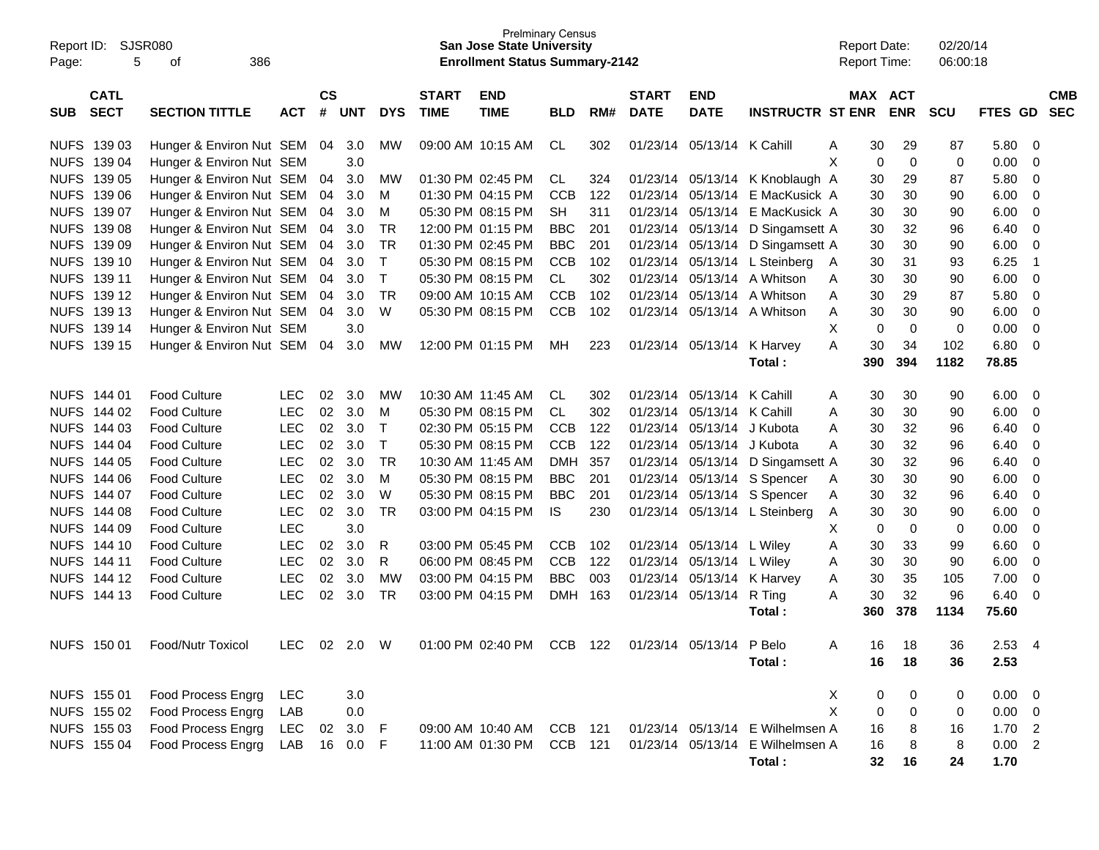| Report ID:<br>Page: | 5                          | SJSR080<br>386<br>οf     |            |                    |            |            |                             | <b>San Jose State University</b><br><b>Enrollment Status Summary-2142</b> | <b>Prelminary Census</b> |     |                             |                           |                                  | <b>Report Date:</b><br><b>Report Time:</b> |         |             | 02/20/14<br>06:00:18 |             |                                       |
|---------------------|----------------------------|--------------------------|------------|--------------------|------------|------------|-----------------------------|---------------------------------------------------------------------------|--------------------------|-----|-----------------------------|---------------------------|----------------------------------|--------------------------------------------|---------|-------------|----------------------|-------------|---------------------------------------|
| <b>SUB</b>          | <b>CATL</b><br><b>SECT</b> | <b>SECTION TITTLE</b>    | <b>ACT</b> | $\mathsf{cs}$<br># | <b>UNT</b> | <b>DYS</b> | <b>START</b><br><b>TIME</b> | <b>END</b><br><b>TIME</b>                                                 | <b>BLD</b>               | RM# | <b>START</b><br><b>DATE</b> | <b>END</b><br><b>DATE</b> | <b>INSTRUCTR ST ENR</b>          |                                            | MAX ACT | <b>ENR</b>  | <b>SCU</b>           | <b>FTES</b> | <b>CMB</b><br><b>SEC</b><br><b>GD</b> |
| <b>NUFS</b>         | 139 03                     | Hunger & Environ Nut SEM |            | 04                 | 3.0        | MW         |                             | 09:00 AM 10:15 AM                                                         | CL                       | 302 | 01/23/14                    | 05/13/14 K Cahill         |                                  | A                                          | 30      | 29          | 87                   | 5.80        | 0                                     |
| <b>NUFS</b>         | 139 04                     | Hunger & Environ Nut SEM |            |                    | 3.0        |            |                             |                                                                           |                          |     |                             |                           |                                  | X                                          | 0       | $\mathbf 0$ | 0                    | 0.00        | 0                                     |
| <b>NUFS</b>         | 139 05                     | Hunger & Environ Nut SEM |            | 04                 | 3.0        | <b>MW</b>  |                             | 01:30 PM 02:45 PM                                                         | CL.                      | 324 | 01/23/14                    |                           | 05/13/14 K Knoblaugh A           |                                            | 30      | 29          | 87                   | 5.80        | 0                                     |
| <b>NUFS</b>         | 139 06                     | Hunger & Environ Nut SEM |            | 04                 | 3.0        | M          |                             | 01:30 PM 04:15 PM                                                         | <b>CCB</b>               | 122 | 01/23/14                    | 05/13/14                  | E MacKusick A                    |                                            | 30      | 30          | 90                   | 6.00        | 0                                     |
| <b>NUFS</b>         | 139 07                     | Hunger & Environ Nut SEM |            | 04                 | 3.0        | M          |                             | 05:30 PM 08:15 PM                                                         | <b>SH</b>                | 311 | 01/23/14                    | 05/13/14                  | E MacKusick A                    |                                            | 30      | 30          | 90                   | 6.00        | 0                                     |
| <b>NUFS</b>         | 139 08                     | Hunger & Environ Nut SEM |            | 04                 | 3.0        | <b>TR</b>  |                             | 12:00 PM 01:15 PM                                                         | <b>BBC</b>               | 201 | 01/23/14                    | 05/13/14                  | D Singamsett A                   |                                            | 30      | 32          | 96                   | 6.40        | 0                                     |
| <b>NUFS</b>         | 139 09                     | Hunger & Environ Nut SEM |            | 04                 | 3.0        | <b>TR</b>  |                             | 01:30 PM 02:45 PM                                                         | <b>BBC</b>               | 201 | 01/23/14                    | 05/13/14                  | D Singamsett A                   |                                            | 30      | 30          | 90                   | 6.00        | 0                                     |
| <b>NUFS</b>         | 139 10                     | Hunger & Environ Nut SEM |            | 04                 | 3.0        | т          |                             | 05:30 PM 08:15 PM                                                         | <b>CCB</b>               | 102 | 01/23/14                    |                           | 05/13/14 L Steinberg             | A                                          | 30      | 31          | 93                   | 6.25        | $\overline{1}$                        |
| <b>NUFS</b>         | 139 11                     | Hunger & Environ Nut SEM |            | 04                 | 3.0        | т          |                             | 05:30 PM 08:15 PM                                                         | <b>CL</b>                | 302 | 01/23/14                    | 05/13/14                  | A Whitson                        | A                                          | 30      | 30          | 90                   | 6.00        | 0                                     |
| <b>NUFS</b>         | 139 12                     | Hunger & Environ Nut SEM |            | 04                 | 3.0        | <b>TR</b>  |                             | 09:00 AM 10:15 AM                                                         | <b>CCB</b>               | 102 | 01/23/14                    | 05/13/14                  | A Whitson                        | A                                          | 30      | 29          | 87                   | 5.80        | 0                                     |
| <b>NUFS</b>         | 139 13                     | Hunger & Environ Nut SEM |            | 04                 | 3.0        | W          |                             | 05:30 PM 08:15 PM                                                         | <b>CCB</b>               | 102 | 01/23/14                    |                           | 05/13/14 A Whitson               | A                                          | 30      | 30          | 90                   | 6.00        | 0                                     |
| <b>NUFS</b>         | 139 14                     | Hunger & Environ Nut SEM |            |                    | 3.0        |            |                             |                                                                           |                          |     |                             |                           |                                  | X                                          | 0       | $\mathbf 0$ | 0                    | 0.00        | $\mathbf 0$                           |
| <b>NUFS</b>         | 139 15                     | Hunger & Environ Nut SEM |            | 04                 | 3.0        | MW         |                             | 12:00 PM 01:15 PM                                                         | MН                       | 223 | 01/23/14                    | 05/13/14                  | K Harvey                         | A                                          | 30      | 34          | 102                  | 6.80        | $\mathbf 0$                           |
|                     |                            |                          |            |                    |            |            |                             |                                                                           |                          |     |                             |                           | Total:                           |                                            | 390     | 394         | 1182                 | 78.85       |                                       |
|                     |                            |                          |            |                    |            |            |                             |                                                                           |                          |     |                             |                           |                                  |                                            |         |             |                      |             |                                       |
| <b>NUFS</b>         | 144 01                     | <b>Food Culture</b>      | <b>LEC</b> | 02                 | 3.0        | <b>MW</b>  |                             | 10:30 AM 11:45 AM                                                         | <b>CL</b>                | 302 | 01/23/14                    | 05/13/14                  | K Cahill                         | Α                                          | 30      | 30          | 90                   | 6.00        | 0                                     |
| <b>NUFS</b>         | 144 02                     | <b>Food Culture</b>      | <b>LEC</b> | 02                 | 3.0        | M          |                             | 05:30 PM 08:15 PM                                                         | <b>CL</b>                | 302 | 01/23/14                    | 05/13/14 K Cahill         |                                  | A                                          | 30      | 30          | 90                   | 6.00        | 0                                     |
| <b>NUFS</b>         | 144 03                     | <b>Food Culture</b>      | <b>LEC</b> | 02                 | 3.0        | т          |                             | 02:30 PM 05:15 PM                                                         | <b>CCB</b>               | 122 | 01/23/14                    | 05/13/14                  | J Kubota                         | A                                          | 30      | 32          | 96                   | 6.40        | 0                                     |
| <b>NUFS</b>         | 144 04                     | <b>Food Culture</b>      | <b>LEC</b> | 02                 | 3.0        | Τ          |                             | 05:30 PM 08:15 PM                                                         | <b>CCB</b>               | 122 | 01/23/14                    | 05/13/14                  | J Kubota                         | A                                          | 30      | 32          | 96                   | 6.40        | 0                                     |
| <b>NUFS</b>         | 144 05                     | <b>Food Culture</b>      | <b>LEC</b> | 02                 | 3.0        | <b>TR</b>  |                             | 10:30 AM 11:45 AM                                                         | <b>DMH</b>               | 357 | 01/23/14                    | 05/13/14                  | D Singamsett A                   |                                            | 30      | 32          | 96                   | 6.40        | 0                                     |
| <b>NUFS</b>         | 144 06                     | <b>Food Culture</b>      | <b>LEC</b> | 02                 | 3.0        | M          |                             | 05:30 PM 08:15 PM                                                         | <b>BBC</b>               | 201 | 01/23/14                    |                           | 05/13/14 S Spencer               | A                                          | 30      | 30          | 90                   | 6.00        | 0                                     |
| <b>NUFS</b>         | 144 07                     | <b>Food Culture</b>      | <b>LEC</b> | 02                 | 3.0        | W          |                             | 05:30 PM 08:15 PM                                                         | <b>BBC</b>               | 201 | 01/23/14                    |                           | 05/13/14 S Spencer               | A                                          | 30      | 32          | 96                   | 6.40        | 0                                     |
| <b>NUFS</b>         | 144 08                     | <b>Food Culture</b>      | <b>LEC</b> | 02                 | 3.0        | <b>TR</b>  |                             | 03:00 PM 04:15 PM                                                         | IS                       | 230 | 01/23/14                    |                           | 05/13/14 L Steinberg             | A                                          | 30      | 30          | 90                   | 6.00        | 0                                     |
| <b>NUFS</b>         | 144 09                     | <b>Food Culture</b>      | <b>LEC</b> |                    | 3.0        |            |                             |                                                                           |                          |     |                             |                           |                                  | X                                          | 0       | $\mathbf 0$ | 0                    | 0.00        | 0                                     |
| <b>NUFS</b>         | 144 10                     | <b>Food Culture</b>      | <b>LEC</b> | 02                 | 3.0        | R          |                             | 03:00 PM 05:45 PM                                                         | <b>CCB</b>               | 102 | 01/23/14                    | 05/13/14                  | L Wiley                          | Α                                          | 30      | 33          | 99                   | 6.60        | 0                                     |
| <b>NUFS</b>         | 144 11                     | <b>Food Culture</b>      | <b>LEC</b> | 02                 | 3.0        | R          |                             | 06:00 PM 08:45 PM                                                         | <b>CCB</b>               | 122 | 01/23/14                    | 05/13/14                  | L Wiley                          | Α                                          | 30      | 30          | 90                   | 6.00        | 0                                     |
| <b>NUFS</b>         | 144 12                     | <b>Food Culture</b>      | <b>LEC</b> | 02                 | 3.0        | <b>MW</b>  |                             | 03:00 PM 04:15 PM                                                         | <b>BBC</b>               | 003 | 01/23/14                    | 05/13/14                  | K Harvey                         | Α                                          | 30      | 35          | 105                  | 7.00        | 0                                     |
|                     | NUFS 144 13                | <b>Food Culture</b>      | <b>LEC</b> | 02                 | 3.0        | <b>TR</b>  |                             | 03:00 PM 04:15 PM                                                         | <b>DMH</b>               | 163 | 01/23/14                    | 05/13/14                  | R Ting                           | A                                          | 30      | 32<br>378   | 96                   | 6.40        | 0                                     |
|                     |                            |                          |            |                    |            |            |                             |                                                                           |                          |     |                             |                           | Total:                           |                                            | 360     |             | 1134                 | 75.60       |                                       |
|                     | NUFS 150 01                | Food/Nutr Toxicol        | LEC        |                    | 02 2.0     | W          |                             | 01:00 PM 02:40 PM                                                         | CCB                      | 122 | 01/23/14                    | 05/13/14                  | P Belo                           | A                                          | 16.     | 18          | 36                   | 2.53        | $\overline{4}$                        |
|                     |                            |                          |            |                    |            |            |                             |                                                                           |                          |     |                             |                           | Total:                           |                                            | 16      | 18          | 36                   | 2.53        |                                       |
|                     |                            |                          |            |                    |            |            |                             |                                                                           |                          |     |                             |                           |                                  |                                            |         |             |                      |             |                                       |
|                     | NUFS 155 01                | Food Process Engrg       | LEC        |                    | 3.0        |            |                             |                                                                           |                          |     |                             |                           |                                  | X                                          | 0       | 0           | 0                    | 0.00        | $\overline{\phantom{0}}$              |
|                     | NUFS 155 02                | Food Process Engrg       | LAB        |                    | 0.0        |            |                             |                                                                           |                          |     |                             |                           |                                  | X                                          | 0       | 0           | 0                    | 0.00        | $\overline{\phantom{0}}$              |
|                     | NUFS 155 03                | Food Process Engrg       | LEC        | 02                 | 3.0        | F          |                             | 09:00 AM 10:40 AM                                                         | CCB 121                  |     |                             |                           | 01/23/14 05/13/14 E Wilhelmsen A |                                            | 16      | 8           | 16                   | 1.702       |                                       |
|                     | NUFS 155 04                | Food Process Engrg       | LAB        |                    | 16 0.0     | E          |                             | 11:00 AM 01:30 PM                                                         | CCB 121                  |     |                             | 01/23/14 05/13/14         | E Wilhelmsen A                   |                                            | 16      | 8           | 8                    | 0.00 2      |                                       |
|                     |                            |                          |            |                    |            |            |                             |                                                                           |                          |     |                             |                           | Total:                           |                                            | 32      | 16          | 24                   | 1.70        |                                       |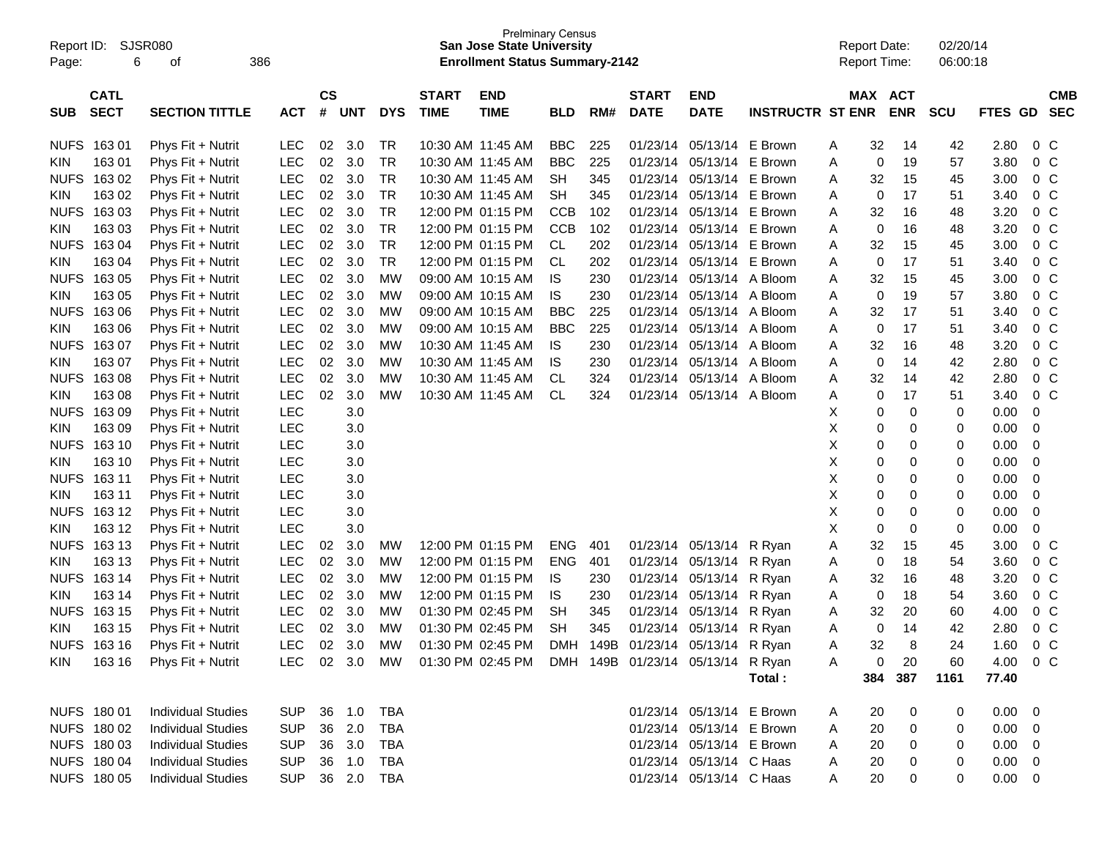| Page:       | Report ID: SJSR080<br>6 | 386<br>οf                 |            |               |            |            |                   | <b>Prelminary Census</b><br><b>San Jose State University</b><br><b>Enrollment Status Summary-2142</b> |            |      |              |                           |                         |   | <b>Report Date:</b> | <b>Report Time:</b> | 02/20/14<br>06:00:18 |                |                |            |
|-------------|-------------------------|---------------------------|------------|---------------|------------|------------|-------------------|-------------------------------------------------------------------------------------------------------|------------|------|--------------|---------------------------|-------------------------|---|---------------------|---------------------|----------------------|----------------|----------------|------------|
|             | <b>CATL</b>             |                           |            | $\mathsf{cs}$ |            |            | <b>START</b>      | <b>END</b>                                                                                            |            |      | <b>START</b> | <b>END</b>                |                         |   |                     | MAX ACT             |                      |                |                | <b>CMB</b> |
| <b>SUB</b>  | <b>SECT</b>             | <b>SECTION TITTLE</b>     | <b>ACT</b> | #             | <b>UNT</b> | <b>DYS</b> | <b>TIME</b>       | <b>TIME</b>                                                                                           | <b>BLD</b> | RM#  | <b>DATE</b>  | <b>DATE</b>               | <b>INSTRUCTR ST ENR</b> |   |                     | <b>ENR</b>          | <b>SCU</b>           | FTES GD        |                | <b>SEC</b> |
|             | NUFS 163 01             | Phys Fit + Nutrit         | <b>LEC</b> | 02            | 3.0        | TR         |                   | 10:30 AM 11:45 AM                                                                                     | <b>BBC</b> | 225  | 01/23/14     | 05/13/14                  | E Brown                 | A | 32                  | 14                  | 42                   | 2.80           | 0 <sup>C</sup> |            |
| <b>KIN</b>  | 16301                   | Phys Fit + Nutrit         | <b>LEC</b> | 02            | 3.0        | <b>TR</b>  |                   | 10:30 AM 11:45 AM                                                                                     | <b>BBC</b> | 225  | 01/23/14     | 05/13/14 E Brown          |                         | Α | 0                   | 19                  | 57                   | 3.80           | 0 <sup>o</sup> |            |
| <b>NUFS</b> | 16302                   | Phys Fit + Nutrit         | <b>LEC</b> | 02            | 3.0        | <b>TR</b>  |                   | 10:30 AM 11:45 AM                                                                                     | <b>SH</b>  | 345  | 01/23/14     | 05/13/14                  | E Brown                 | A | 32                  | 15                  | 45                   | 3.00           | 0 <sup>o</sup> |            |
| <b>KIN</b>  | 163 02                  | Phys Fit + Nutrit         | <b>LEC</b> | 02            | 3.0        | <b>TR</b>  |                   | 10:30 AM 11:45 AM                                                                                     | SН         | 345  | 01/23/14     | 05/13/14 E Brown          |                         | A | 0                   | 17                  | 51                   | 3.40           | 0 <sup>o</sup> |            |
| <b>NUFS</b> | 16303                   | Phys Fit + Nutrit         | <b>LEC</b> | 02            | 3.0        | <b>TR</b>  |                   | 12:00 PM 01:15 PM                                                                                     | <b>CCB</b> | 102  | 01/23/14     | 05/13/14 E Brown          |                         | Α | 32                  | 16                  | 48                   | 3.20           | 0 <sup>o</sup> |            |
| <b>KIN</b>  | 16303                   | Phys Fit + Nutrit         | <b>LEC</b> | 02            | 3.0        | <b>TR</b>  |                   | 12:00 PM 01:15 PM                                                                                     | <b>CCB</b> | 102  | 01/23/14     | 05/13/14 E Brown          |                         | Α | 0                   | 16                  | 48                   | 3.20           | 0 <sup>o</sup> |            |
| <b>NUFS</b> | 16304                   | Phys Fit + Nutrit         | <b>LEC</b> | 02            | 3.0        | <b>TR</b>  |                   | 12:00 PM 01:15 PM                                                                                     | CL         | 202  | 01/23/14     | 05/13/14 E Brown          |                         | Α | 32                  | 15                  | 45                   | 3.00           | 0 <sup>o</sup> |            |
| <b>KIN</b>  | 163 04                  | Phys Fit + Nutrit         | <b>LEC</b> | 02            | 3.0        | <b>TR</b>  |                   | 12:00 PM 01:15 PM                                                                                     | <b>CL</b>  | 202  | 01/23/14     | 05/13/14 E Brown          |                         | Α | 0                   | 17                  | 51                   | 3.40           | 0 <sup>o</sup> |            |
| <b>NUFS</b> | 16305                   | Phys Fit + Nutrit         | <b>LEC</b> | 02            | 3.0        | MW         |                   | 09:00 AM 10:15 AM                                                                                     | <b>IS</b>  | 230  | 01/23/14     | 05/13/14 A Bloom          |                         | Α | 32                  | 15                  | 45                   | 3.00           | 0 <sup>o</sup> |            |
| <b>KIN</b>  | 163 05                  | Phys Fit + Nutrit         | <b>LEC</b> | 02            | 3.0        | <b>MW</b>  |                   | 09:00 AM 10:15 AM                                                                                     | IS         | 230  | 01/23/14     | 05/13/14 A Bloom          |                         | Α | 0                   | 19                  | 57                   | 3.80           | 0 <sup>o</sup> |            |
| <b>NUFS</b> | 16306                   | Phys Fit + Nutrit         | <b>LEC</b> | 02            | 3.0        | MW         |                   | 09:00 AM 10:15 AM                                                                                     | <b>BBC</b> | 225  | 01/23/14     | 05/13/14 A Bloom          |                         | Α | 32                  | 17                  | 51                   | 3.40           | 0 <sup>o</sup> |            |
| <b>KIN</b>  | 163 06                  | Phys Fit + Nutrit         | <b>LEC</b> | 02            | 3.0        | <b>MW</b>  |                   | 09:00 AM 10:15 AM                                                                                     | <b>BBC</b> | 225  | 01/23/14     | 05/13/14 A Bloom          |                         | Α | 0                   | 17                  | 51                   | 3.40           | 0 <sup>o</sup> |            |
| <b>NUFS</b> | 16307                   | Phys Fit + Nutrit         | <b>LEC</b> | 02            | 3.0        | MW         |                   | 10:30 AM 11:45 AM                                                                                     | IS.        | 230  | 01/23/14     | 05/13/14 A Bloom          |                         | Α | 32                  | 16                  | 48                   | 3.20           | 0 <sup>o</sup> |            |
| <b>KIN</b>  | 163 07                  | Phys Fit + Nutrit         | <b>LEC</b> | 02            | 3.0        | MW         |                   | 10:30 AM 11:45 AM                                                                                     | <b>IS</b>  | 230  | 01/23/14     | 05/13/14 A Bloom          |                         | Α | 0                   | 14                  | 42                   | 2.80           | 0 <sup>o</sup> |            |
| <b>NUFS</b> | 16308                   | Phys Fit + Nutrit         | <b>LEC</b> | 02            | 3.0        | MW         |                   | 10:30 AM 11:45 AM                                                                                     | CL         | 324  | 01/23/14     | 05/13/14 A Bloom          |                         | Α | 32                  | 14                  | 42                   | 2.80           | 0 <sup>o</sup> |            |
| <b>KIN</b>  | 163 08                  | Phys Fit + Nutrit         | <b>LEC</b> | 02            | 3.0        | МW         |                   | 10:30 AM 11:45 AM                                                                                     | CL         | 324  | 01/23/14     | 05/13/14 A Bloom          |                         | Α | 0                   | 17                  | 51                   | 3.40           | 0 <sup>o</sup> |            |
| <b>NUFS</b> | 16309                   | Phys Fit + Nutrit         | <b>LEC</b> |               | 3.0        |            |                   |                                                                                                       |            |      |              |                           |                         | х | 0                   | 0                   | 0                    | 0.00           | 0              |            |
| <b>KIN</b>  | 163 09                  | Phys Fit + Nutrit         | <b>LEC</b> |               | 3.0        |            |                   |                                                                                                       |            |      |              |                           |                         | х | 0                   | 0                   | 0                    | 0.00           | 0              |            |
| <b>NUFS</b> | 163 10                  | Phys Fit + Nutrit         | <b>LEC</b> |               | 3.0        |            |                   |                                                                                                       |            |      |              |                           |                         | х | $\pmb{0}$           | 0                   | 0                    | 0.00           | 0              |            |
| <b>KIN</b>  | 163 10                  | Phys Fit + Nutrit         | <b>LEC</b> |               | 3.0        |            |                   |                                                                                                       |            |      |              |                           |                         | х | $\pmb{0}$           | 0                   | 0                    | 0.00           | 0              |            |
| <b>NUFS</b> | 163 11                  | Phys Fit + Nutrit         | <b>LEC</b> |               | 3.0        |            |                   |                                                                                                       |            |      |              |                           |                         | X | 0                   | 0                   | 0                    | 0.00           | 0              |            |
| <b>KIN</b>  | 163 11                  | Phys Fit + Nutrit         | <b>LEC</b> |               | 3.0        |            |                   |                                                                                                       |            |      |              |                           |                         | х | $\pmb{0}$           | 0                   | 0                    | 0.00           | 0              |            |
| <b>NUFS</b> | 163 12                  | Phys Fit + Nutrit         | <b>LEC</b> |               | 3.0        |            |                   |                                                                                                       |            |      |              |                           |                         | х | $\pmb{0}$           | 0                   | 0                    | 0.00           | 0              |            |
| <b>KIN</b>  | 163 12                  | Phys Fit + Nutrit         | <b>LEC</b> |               | 3.0        |            |                   |                                                                                                       |            |      |              |                           |                         | X | $\mathbf 0$         | 0                   | 0                    | 0.00           | 0              |            |
| <b>NUFS</b> | 163 13                  | Phys Fit + Nutrit         | <b>LEC</b> | 02            | 3.0        | MW         |                   | 12:00 PM 01:15 PM                                                                                     | <b>ENG</b> | 401  | 01/23/14     | 05/13/14                  | R Ryan                  | A | 32                  | 15                  | 45                   | 3.00           | 0 <sup>o</sup> |            |
| <b>KIN</b>  | 163 13                  | Phys Fit + Nutrit         | <b>LEC</b> | 02            | 3.0        | MW         |                   | 12:00 PM 01:15 PM                                                                                     | <b>ENG</b> | 401  | 01/23/14     | 05/13/14                  | R Ryan                  | Α | 0                   | 18                  | 54                   | 3.60           | 0 <sup>o</sup> |            |
| <b>NUFS</b> | 163 14                  | Phys Fit + Nutrit         | <b>LEC</b> | 02            | 3.0        | MW         |                   | 12:00 PM 01:15 PM                                                                                     | IS         | 230  | 01/23/14     | 05/13/14                  | R Ryan                  | A | 32                  | 16                  | 48                   | 3.20           | 0 <sup>o</sup> |            |
| <b>KIN</b>  | 163 14                  | Phys Fit + Nutrit         | <b>LEC</b> | 02            | 3.0        | MW         |                   | 12:00 PM 01:15 PM                                                                                     | IS         | 230  | 01/23/14     | 05/13/14                  | R Ryan                  | Α | 0                   | 18                  | 54                   | 3.60           | 0 <sup>o</sup> |            |
| <b>NUFS</b> | 163 15                  | Phys Fit + Nutrit         | <b>LEC</b> | 02            | 3.0        | MW         | 01:30 PM 02:45 PM |                                                                                                       | <b>SH</b>  | 345  | 01/23/14     | 05/13/14                  | R Ryan                  | A | 32                  | 20                  | 60                   | 4.00           | $0\quad C$     |            |
| <b>KIN</b>  | 163 15                  | Phys Fit + Nutrit         | <b>LEC</b> | 02            | 3.0        | MW         | 01:30 PM 02:45 PM |                                                                                                       | <b>SH</b>  | 345  | 01/23/14     | 05/13/14                  | R Ryan                  | Α | 0                   | 14                  | 42                   | 2.80           | 0 <sup>o</sup> |            |
|             | NUFS 16316              | Phys Fit + Nutrit         | LEC        | 02            | 3.0        | MW         |                   | 01:30 PM 02:45 PM                                                                                     | DMH        | 149B |              | 01/23/14 05/13/14 R Ryan  |                         | Α | 32                  | 8                   | 24                   | 1.60           | $0\,C$         |            |
|             | KIN 16316               | Phys Fit + Nutrit         |            |               |            |            |                   | LEC 02 3.0 MW 01:30 PM 02:45 PM DMH 149B 01/23/14 05/13/14 R. Ryan                                    |            |      |              |                           |                         | A | 0                   | 20                  | 60                   | 4.00 0 C       |                |            |
|             |                         |                           |            |               |            |            |                   |                                                                                                       |            |      |              |                           | Total:                  |   | 384                 | 387                 | 1161                 | 77.40          |                |            |
|             | NUFS 180 01             | <b>Individual Studies</b> | SUP 36 1.0 |               |            | TBA        |                   |                                                                                                       |            |      |              | 01/23/14 05/13/14 E Brown |                         | A | 20                  | 0                   | 0                    | $0.00 \quad 0$ |                |            |
|             | NUFS 180 02             | <b>Individual Studies</b> | <b>SUP</b> |               | 36 2.0     | TBA        |                   |                                                                                                       |            |      |              | 01/23/14 05/13/14 E Brown |                         | A | 20                  | 0                   | 0                    | $0.00 \t 0$    |                |            |
|             | NUFS 180 03             | <b>Individual Studies</b> | <b>SUP</b> |               | 36 3.0     | TBA        |                   |                                                                                                       |            |      |              | 01/23/14 05/13/14 E Brown |                         | A | 20                  | 0                   | 0                    | $0.00 \t 0$    |                |            |
|             | NUFS 180 04             | <b>Individual Studies</b> | <b>SUP</b> |               | 36 1.0     | TBA        |                   |                                                                                                       |            |      |              | 01/23/14 05/13/14 C Haas  |                         | A | 20                  | 0                   | 0                    | $0.00 \t 0$    |                |            |
|             | NUFS 180 05             | <b>Individual Studies</b> | SUP 36 2.0 |               |            | TBA        |                   |                                                                                                       |            |      |              | 01/23/14 05/13/14 C Haas  |                         | A | 20                  | 0                   | 0                    | $0.00 \t 0$    |                |            |
|             |                         |                           |            |               |            |            |                   |                                                                                                       |            |      |              |                           |                         |   |                     |                     |                      |                |                |            |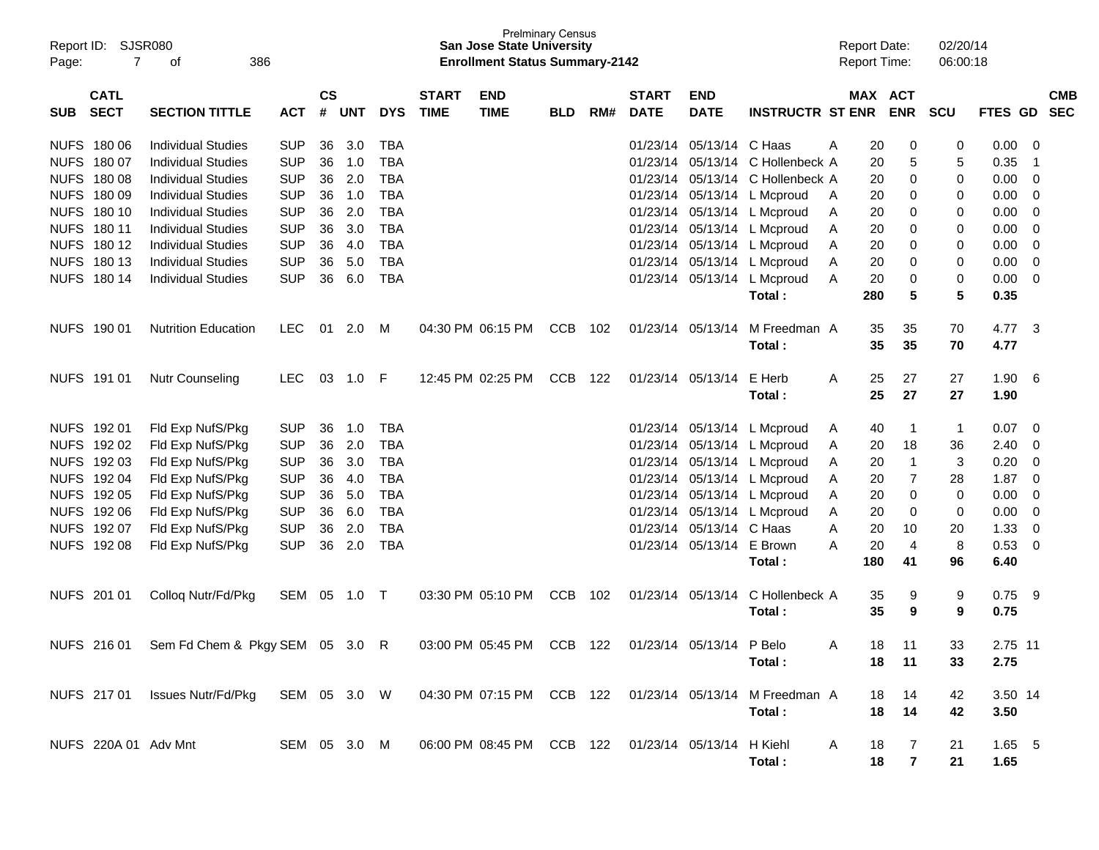| Report ID:<br>Page: | <b>SJSR080</b><br>7        | 386<br>οf                                                                                            |              |                    |            |            |                             | <b>San Jose State University</b><br><b>Enrollment Status Summary-2142</b> | <b>Prelminary Census</b> |     |                             |                           |                         |   | <b>Report Date:</b><br><b>Report Time:</b> |                     | 02/20/14<br>06:00:18 |                  |                          |                          |
|---------------------|----------------------------|------------------------------------------------------------------------------------------------------|--------------|--------------------|------------|------------|-----------------------------|---------------------------------------------------------------------------|--------------------------|-----|-----------------------------|---------------------------|-------------------------|---|--------------------------------------------|---------------------|----------------------|------------------|--------------------------|--------------------------|
| <b>SUB</b>          | <b>CATL</b><br><b>SECT</b> | <b>SECTION TITTLE</b>                                                                                | <b>ACT</b>   | $\mathsf{cs}$<br># | <b>UNT</b> | <b>DYS</b> | <b>START</b><br><b>TIME</b> | <b>END</b><br><b>TIME</b>                                                 | <b>BLD</b>               | RM# | <b>START</b><br><b>DATE</b> | <b>END</b><br><b>DATE</b> | <b>INSTRUCTR ST ENR</b> |   | MAX ACT                                    | <b>ENR</b>          | <b>SCU</b>           | FTES GD          |                          | <b>CMB</b><br><b>SEC</b> |
| <b>NUFS</b>         | 180 06                     | <b>Individual Studies</b>                                                                            | <b>SUP</b>   | 36                 | 3.0        | <b>TBA</b> |                             |                                                                           |                          |     | 01/23/14                    | 05/13/14                  | C Haas                  | A | 20                                         | 0                   | 0                    | 0.00             | - 0                      |                          |
| <b>NUFS</b>         | 180 07                     | <b>Individual Studies</b>                                                                            | <b>SUP</b>   | 36                 | 1.0        | <b>TBA</b> |                             |                                                                           |                          |     | 01/23/14                    | 05/13/14                  | C Hollenbeck A          |   | 20                                         | 5                   | 5                    | 0.35             | $\overline{\phantom{1}}$ |                          |
| <b>NUFS</b>         | 180 08                     | <b>Individual Studies</b>                                                                            | <b>SUP</b>   | 36                 | 2.0        | <b>TBA</b> |                             |                                                                           |                          |     | 01/23/14                    | 05/13/14                  | C Hollenbeck A          |   | 20                                         | 0                   | 0                    | 0.00             | 0                        |                          |
| <b>NUFS</b>         | 180 09                     | <b>Individual Studies</b>                                                                            | <b>SUP</b>   | 36                 | 1.0        | <b>TBA</b> |                             |                                                                           |                          |     | 01/23/14                    | 05/13/14                  | L Mcproud               | A | 20                                         | 0                   | 0                    | 0.00             | 0                        |                          |
| <b>NUFS</b>         | 180 10                     | <b>Individual Studies</b>                                                                            | <b>SUP</b>   | 36                 | 2.0        | <b>TBA</b> |                             |                                                                           |                          |     | 01/23/14                    | 05/13/14                  | L Mcproud               | A | 20                                         | 0                   | 0                    | 0.00             | 0                        |                          |
| <b>NUFS</b>         | 180 11                     | <b>Individual Studies</b>                                                                            | <b>SUP</b>   | 36                 | 3.0        | <b>TBA</b> |                             |                                                                           |                          |     | 01/23/14                    | 05/13/14                  | L Mcproud               | A | 20                                         | 0                   | 0                    | 0.00             | 0                        |                          |
| <b>NUFS</b>         | 180 12                     | <b>Individual Studies</b>                                                                            | <b>SUP</b>   | 36                 | 4.0        | <b>TBA</b> |                             |                                                                           |                          |     | 01/23/14                    | 05/13/14                  | L Mcproud               | A | 20                                         | 0                   | 0                    | 0.00             | 0                        |                          |
| <b>NUFS</b>         | 180 13                     | <b>Individual Studies</b>                                                                            | <b>SUP</b>   | 36                 | 5.0        | <b>TBA</b> |                             |                                                                           |                          |     | 01/23/14                    |                           | 05/13/14 L Mcproud      | A | 20                                         | 0                   | 0                    | 0.00             | 0                        |                          |
| <b>NUFS</b>         | 180 14                     | <b>Individual Studies</b>                                                                            | <b>SUP</b>   | 36                 | 6.0        | <b>TBA</b> |                             |                                                                           |                          |     | 01/23/14                    | 05/13/14                  | L Mcproud               | A | 20                                         | 0                   | 0                    | 0.00             | 0                        |                          |
|                     |                            |                                                                                                      |              |                    |            |            |                             |                                                                           |                          |     |                             |                           | Total:                  |   | 280                                        | 5                   | 5                    | 0.35             |                          |                          |
| NUFS 190 01         |                            | <b>Nutrition Education</b>                                                                           | <b>LEC</b>   | 01                 | 2.0        | M          |                             | 04:30 PM 06:15 PM                                                         | <b>CCB</b>               | 102 | 01/23/14                    | 05/13/14                  | M Freedman A            |   | 35                                         | 35                  | 70                   | 4.77             | - 3                      |                          |
|                     |                            |                                                                                                      |              |                    |            |            |                             |                                                                           |                          |     |                             |                           | Total:                  |   | 35                                         | 35                  | 70                   | 4.77             |                          |                          |
| NUFS 191 01         |                            | <b>Nutr Counseling</b>                                                                               | <b>LEC</b>   | 03                 | 1.0        | -F         |                             | 12:45 PM 02:25 PM                                                         | <b>CCB</b>               | 122 | 01/23/14                    | 05/13/14                  | E Herb                  | A | 25                                         | 27                  | 27                   | 1.90             | - 6                      |                          |
|                     |                            |                                                                                                      |              |                    |            |            |                             |                                                                           |                          |     |                             |                           | Total:                  |   | 25                                         | 27                  | 27                   | 1.90             |                          |                          |
| <b>NUFS</b>         | 192 01                     | Fld Exp NufS/Pkg                                                                                     | <b>SUP</b>   | 36                 | 1.0        | <b>TBA</b> |                             |                                                                           |                          |     | 01/23/14                    | 05/13/14                  | L Mcproud               | A | 40                                         | $\overline{1}$      | 1                    | 0.07             | 0                        |                          |
| <b>NUFS</b>         | 192 02                     | Fld Exp NufS/Pkg                                                                                     | <b>SUP</b>   | 36                 | 2.0        | <b>TBA</b> |                             |                                                                           |                          |     | 01/23/14                    | 05/13/14                  | L Mcproud               | A | 20                                         | 18                  | 36                   | 2.40             | 0                        |                          |
| <b>NUFS</b>         | 192 03                     | Fld Exp NufS/Pkg                                                                                     | <b>SUP</b>   | 36                 | 3.0        | <b>TBA</b> |                             |                                                                           |                          |     | 01/23/14                    | 05/13/14                  | L Mcproud               | A | 20                                         | $\mathbf{1}$        | 3                    | 0.20             | 0                        |                          |
| <b>NUFS</b>         | 192 04                     | Fld Exp NufS/Pkg                                                                                     | <b>SUP</b>   | 36                 | 4.0        | <b>TBA</b> |                             |                                                                           |                          |     | 01/23/14                    | 05/13/14                  | L Mcproud               | A | 20                                         | 7                   | 28                   | 1.87             | 0                        |                          |
| <b>NUFS</b>         | 192 05                     | Fld Exp NufS/Pkg                                                                                     | <b>SUP</b>   | 36                 | 5.0        | <b>TBA</b> |                             |                                                                           |                          |     | 01/23/14                    | 05/13/14                  | L Mcproud               | A | 20                                         | 0                   | 0                    | 0.00             | 0                        |                          |
| <b>NUFS</b>         | 192 06                     | Fld Exp NufS/Pkg                                                                                     | <b>SUP</b>   | 36                 | 6.0        | <b>TBA</b> |                             |                                                                           |                          |     | 01/23/14                    | 05/13/14                  | L Mcproud               | A | 20                                         | 0                   | 0                    | 0.00             | 0                        |                          |
| <b>NUFS</b>         | 192 07                     | Fld Exp NufS/Pkg                                                                                     | <b>SUP</b>   | 36                 | 2.0        | <b>TBA</b> |                             |                                                                           |                          |     | 01/23/14                    | 05/13/14                  | C Haas                  | A | 20                                         | 10                  | 20                   | 1.33             | 0                        |                          |
|                     | NUFS 192 08                | Fld Exp NufS/Pkg                                                                                     | <b>SUP</b>   | 36                 | 2.0        | <b>TBA</b> |                             |                                                                           |                          |     | 01/23/14                    | 05/13/14                  | E Brown                 | A | 20                                         | $\overline{4}$      | 8                    | 0.53             | 0                        |                          |
|                     |                            |                                                                                                      |              |                    |            |            |                             |                                                                           |                          |     |                             |                           | Total:                  |   | 180                                        | 41                  | 96                   | 6.40             |                          |                          |
|                     | NUFS 201 01                | Collog Nutr/Fd/Pkg                                                                                   | SEM          | 05                 | 1.0        | Т          |                             | 03:30 PM 05:10 PM                                                         | <b>CCB</b>               | 102 | 01/23/14                    | 05/13/14                  | C Hollenbeck A          |   | 35                                         | 9                   | 9                    | 0.75             | - 9                      |                          |
|                     |                            |                                                                                                      |              |                    |            |            |                             |                                                                           |                          |     |                             |                           | Total:                  |   | 35                                         | 9                   | 9                    | 0.75             |                          |                          |
|                     |                            | NUFS 216 01 Sem Fd Chem & Pkgy SEM 05 3.0 R                                                          |              |                    |            |            |                             | 03:00 PM 05:45 PM CCB 122                                                 |                          |     |                             | 01/23/14 05/13/14         | P Belo                  | A | 18.                                        | 11                  | 33                   | 2.75 11          |                          |                          |
|                     |                            |                                                                                                      |              |                    |            |            |                             |                                                                           |                          |     |                             |                           | Total :                 |   |                                            | 18 11               | 33                   | 2.75             |                          |                          |
|                     |                            | NUFS 217 01 Issues Nutr/Fd/Pkg SEM 05 3.0 W 04:30 PM 07:15 PM CCB 122 01/23/14 05/13/14 M Freedman A |              |                    |            |            |                             |                                                                           |                          |     |                             |                           |                         |   |                                            | 18 14               | 42                   | 3.50 14          |                          |                          |
|                     |                            |                                                                                                      |              |                    |            |            |                             |                                                                           |                          |     |                             |                           | Total:                  |   | 18                                         | 14                  | 42                   | 3.50             |                          |                          |
|                     | NUFS 220A 01 Adv Mnt       |                                                                                                      | SEM 05 3.0 M |                    |            |            |                             | 06:00 PM 08:45 PM CCB 122 01/23/14 05/13/14 H Kiehl                       |                          |     |                             |                           | Total:                  | A | 18<br>18                                   | 7<br>$\overline{7}$ | 21<br>21             | $1.65$ 5<br>1.65 |                          |                          |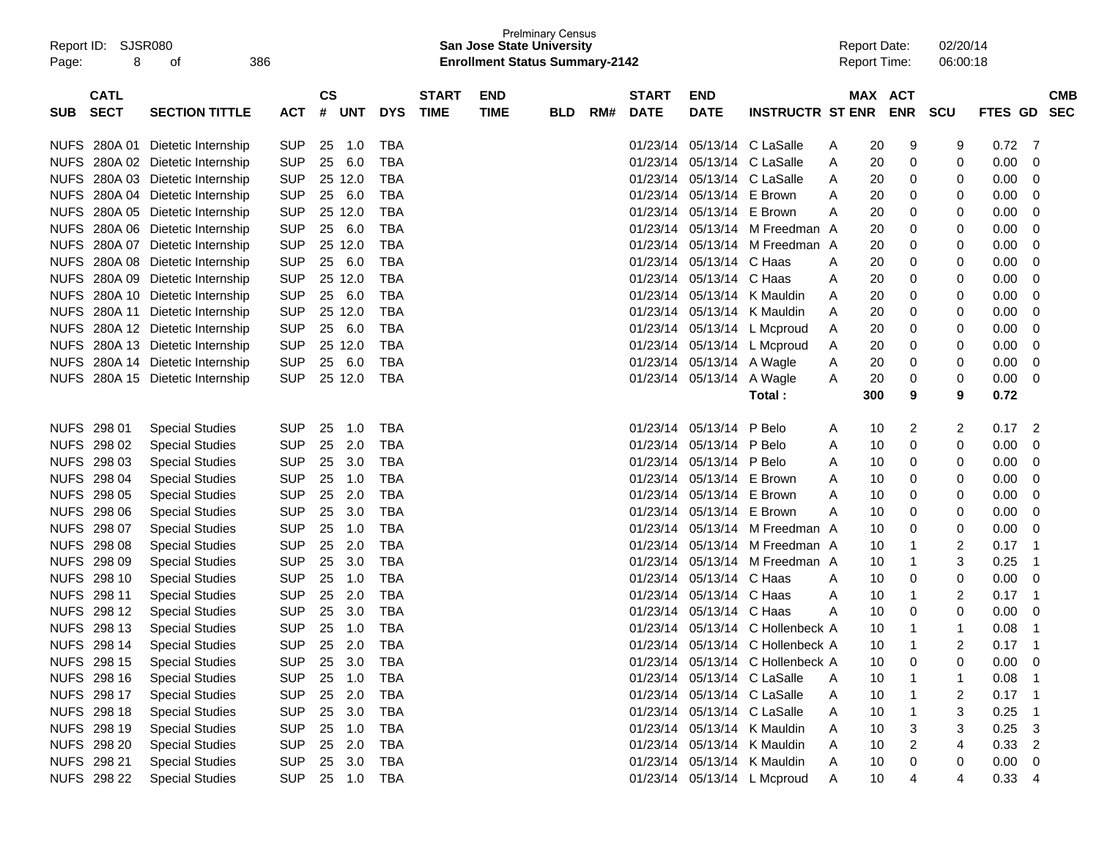| Report ID:<br>Page: | SJSR080<br>8               | 386<br>οf                   |            |                    |            |            |                             | <b>San Jose State University</b><br><b>Enrollment Status Summary-2142</b> | <b>Prelminary Census</b> |     |                             |                           |                                  |   | <b>Report Date:</b><br><b>Report Time:</b> |            | 02/20/14<br>06:00:18 |         |                          |
|---------------------|----------------------------|-----------------------------|------------|--------------------|------------|------------|-----------------------------|---------------------------------------------------------------------------|--------------------------|-----|-----------------------------|---------------------------|----------------------------------|---|--------------------------------------------|------------|----------------------|---------|--------------------------|
| <b>SUB</b>          | <b>CATL</b><br><b>SECT</b> | <b>SECTION TITTLE</b>       | <b>ACT</b> | $\mathsf{cs}$<br># | <b>UNT</b> | <b>DYS</b> | <b>START</b><br><b>TIME</b> | <b>END</b><br><b>TIME</b>                                                 | <b>BLD</b>               | RM# | <b>START</b><br><b>DATE</b> | <b>END</b><br><b>DATE</b> | <b>INSTRUCTR ST ENR</b>          |   | MAX ACT                                    | <b>ENR</b> | <b>SCU</b>           | FTES GD | <b>CMB</b><br><b>SEC</b> |
|                     |                            |                             |            |                    |            |            |                             |                                                                           |                          |     |                             |                           |                                  |   |                                            |            |                      |         |                          |
| <b>NUFS</b>         | 280A 01                    | Dietetic Internship         | <b>SUP</b> | 25                 | 1.0        | TBA        |                             |                                                                           |                          |     | 01/23/14                    |                           | 05/13/14 C LaSalle               | A | 20                                         | 9          | 9                    | 0.72    | 7                        |
| <b>NUFS</b>         |                            | 280A 02 Dietetic Internship | <b>SUP</b> | 25                 | 6.0        | <b>TBA</b> |                             |                                                                           |                          |     | 01/23/14                    |                           | 05/13/14 C LaSalle               | A | 20                                         | 0          | 0                    | 0.00    | 0                        |
| <b>NUFS</b>         |                            | 280A 03 Dietetic Internship | <b>SUP</b> |                    | 25 12.0    | <b>TBA</b> |                             |                                                                           |                          |     | 01/23/14                    |                           | 05/13/14 C LaSalle               | A | 20                                         | 0          | 0                    | 0.00    | 0                        |
| <b>NUFS</b>         |                            | 280A 04 Dietetic Internship | <b>SUP</b> | 25                 | 6.0        | <b>TBA</b> |                             |                                                                           |                          |     | 01/23/14                    | 05/13/14 E Brown          |                                  | A | 20                                         | 0          | 0                    | 0.00    | 0                        |
| <b>NUFS</b>         |                            | 280A 05 Dietetic Internship | <b>SUP</b> |                    | 25 12.0    | <b>TBA</b> |                             |                                                                           |                          |     | 01/23/14                    | 05/13/14 E Brown          |                                  | A | 20                                         | 0          | 0                    | 0.00    | 0                        |
| <b>NUFS</b>         |                            | 280A 06 Dietetic Internship | <b>SUP</b> | 25                 | 6.0        | TBA        |                             |                                                                           |                          |     | 01/23/14                    |                           | 05/13/14 M Freedman A            |   | 20                                         | 0          | 0                    | 0.00    | 0                        |
| <b>NUFS</b>         | 280A 07                    | Dietetic Internship         | <b>SUP</b> |                    | 25 12.0    | <b>TBA</b> |                             |                                                                           |                          |     | 01/23/14                    |                           | 05/13/14 M Freedman A            |   | 20                                         | 0          | 0                    | 0.00    | 0                        |
| <b>NUFS</b>         |                            | 280A 08 Dietetic Internship | <b>SUP</b> | 25                 | 6.0        | <b>TBA</b> |                             |                                                                           |                          |     | 01/23/14                    | 05/13/14 C Haas           |                                  | A | 20                                         | 0          | 0                    | 0.00    | 0                        |
| <b>NUFS</b>         |                            | 280A 09 Dietetic Internship | <b>SUP</b> |                    | 25 12.0    | <b>TBA</b> |                             |                                                                           |                          |     | 01/23/14                    | 05/13/14 C Haas           |                                  | Α | 20                                         | 0          | 0                    | 0.00    | 0                        |
| <b>NUFS</b>         |                            | 280A 10 Dietetic Internship | <b>SUP</b> | 25                 | 6.0        | <b>TBA</b> |                             |                                                                           |                          |     | 01/23/14                    |                           | 05/13/14 K Mauldin               | A | 20                                         | 0          | 0                    | 0.00    | 0                        |
| <b>NUFS</b>         | 280A 11                    | Dietetic Internship         | <b>SUP</b> |                    | 25 12.0    | <b>TBA</b> |                             |                                                                           |                          |     | 01/23/14                    |                           | 05/13/14 K Mauldin               | A | 20                                         | 0          | 0                    | 0.00    | 0                        |
| <b>NUFS</b>         |                            | 280A 12 Dietetic Internship | <b>SUP</b> | 25                 | 6.0        | <b>TBA</b> |                             |                                                                           |                          |     | 01/23/14                    |                           | 05/13/14 L Mcproud               | A | 20                                         | 0          | 0                    | 0.00    | 0                        |
| <b>NUFS</b>         |                            | 280A 13 Dietetic Internship | <b>SUP</b> |                    | 25 12.0    | <b>TBA</b> |                             |                                                                           |                          |     | 01/23/14                    |                           | 05/13/14 L Mcproud               | A | 20                                         | 0          | 0                    | 0.00    | 0                        |
| <b>NUFS</b>         |                            | 280A 14 Dietetic Internship | <b>SUP</b> | 25                 | 6.0        | <b>TBA</b> |                             |                                                                           |                          |     | 01/23/14                    | 05/13/14 A Wagle          |                                  | A | 20                                         | 0          | 0                    | 0.00    | 0                        |
| <b>NUFS</b>         |                            | 280A 15 Dietetic Internship | <b>SUP</b> |                    | 25 12.0    | TBA        |                             |                                                                           |                          |     | 01/23/14                    | 05/13/14 A Wagle          |                                  | A | 20                                         | 0          | 0                    | 0.00    | 0                        |
|                     |                            |                             |            |                    |            |            |                             |                                                                           |                          |     |                             |                           | Total:                           |   | 300                                        | 9          | 9                    | 0.72    |                          |
|                     | NUFS 298 01                | <b>Special Studies</b>      | <b>SUP</b> | 25                 | 1.0        | TBA        |                             |                                                                           |                          |     | 01/23/14                    | 05/13/14 P Belo           |                                  | A | 10                                         | 2          | 2                    | 0.17    | $\overline{c}$           |
|                     | NUFS 298 02                | <b>Special Studies</b>      | <b>SUP</b> | 25                 | 2.0        | <b>TBA</b> |                             |                                                                           |                          |     | 01/23/14                    | 05/13/14 P Belo           |                                  | A | 10                                         | 0          | 0                    | 0.00    | 0                        |
|                     | NUFS 298 03                | <b>Special Studies</b>      | <b>SUP</b> | 25                 | 3.0        | <b>TBA</b> |                             |                                                                           |                          |     | 01/23/14                    | 05/13/14 P Belo           |                                  | A | 10                                         | 0          | 0                    | 0.00    | 0                        |
|                     | NUFS 298 04                | <b>Special Studies</b>      | <b>SUP</b> | 25                 | 1.0        | <b>TBA</b> |                             |                                                                           |                          |     | 01/23/14                    | 05/13/14 E Brown          |                                  | A | 10                                         | 0          | 0                    | 0.00    | 0                        |
| <b>NUFS</b>         | 298 05                     | <b>Special Studies</b>      | <b>SUP</b> | 25                 | 2.0        | <b>TBA</b> |                             |                                                                           |                          |     | 01/23/14                    | 05/13/14 E Brown          |                                  | A | 10                                         | 0          | 0                    | 0.00    | 0                        |
| <b>NUFS</b>         | 298 06                     | <b>Special Studies</b>      | <b>SUP</b> | 25                 | 3.0        | <b>TBA</b> |                             |                                                                           |                          |     | 01/23/14                    | 05/13/14 E Brown          |                                  | A | 10                                         | 0          | 0                    | 0.00    | 0                        |
| <b>NUFS</b>         | 298 07                     | <b>Special Studies</b>      | <b>SUP</b> | 25                 | 1.0        | <b>TBA</b> |                             |                                                                           |                          |     | 01/23/14                    |                           | 05/13/14 M Freedman A            |   | 10                                         | 0          | 0                    | 0.00    | 0                        |
| <b>NUFS</b>         | 298 08                     | <b>Special Studies</b>      | <b>SUP</b> | 25                 | 2.0        | TBA        |                             |                                                                           |                          |     | 01/23/14                    |                           | 05/13/14 M Freedman A            |   | 10                                         |            | 2                    | 0.17    | 1                        |
| <b>NUFS</b>         | 298 09                     | <b>Special Studies</b>      | <b>SUP</b> | 25                 | 3.0        | <b>TBA</b> |                             |                                                                           |                          |     | 01/23/14                    |                           | 05/13/14 M Freedman A            |   | 10                                         | 1          | 3                    | 0.25    | 1                        |
| <b>NUFS</b>         | 298 10                     | <b>Special Studies</b>      | <b>SUP</b> | 25                 | 1.0        | <b>TBA</b> |                             |                                                                           |                          |     | 01/23/14                    | 05/13/14 C Haas           |                                  | A | 10                                         | 0          | 0                    | 0.00    | 0                        |
| <b>NUFS</b>         | 298 11                     | <b>Special Studies</b>      | <b>SUP</b> | 25                 | 2.0        | <b>TBA</b> |                             |                                                                           |                          |     | 01/23/14                    | 05/13/14 C Haas           |                                  | A | 10                                         | 1          | 2                    | 0.17    | -1                       |
| <b>NUFS</b>         | 298 12                     | <b>Special Studies</b>      | <b>SUP</b> | 25                 | 3.0        | <b>TBA</b> |                             |                                                                           |                          |     | 01/23/14                    | 05/13/14 C Haas           |                                  | A | 10                                         | 0          | 0                    | 0.00    | 0                        |
|                     | NUFS 298 13                | <b>Special Studies</b>      | <b>SUP</b> | 25                 | 1.0        | <b>TBA</b> |                             |                                                                           |                          |     | 01/23/14                    |                           | 05/13/14 C Hollenbeck A          |   | 10                                         |            | -1                   | 0.08    |                          |
|                     | NUFS 298 14                | <b>Special Studies</b>      | <b>SUP</b> |                    | 25 2.0     | <b>TBA</b> |                             |                                                                           |                          |     |                             |                           | 01/23/14 05/13/14 C Hollenbeck A |   | 10                                         |            |                      | 0.17    |                          |
|                     | NUFS 298 15                | <b>Special Studies</b>      | <b>SUP</b> | 25                 | 3.0        | TBA        |                             |                                                                           |                          |     |                             |                           | 01/23/14 05/13/14 C Hollenbeck A |   | 10                                         | 0          | 0                    | 0.00    | -0                       |
|                     | NUFS 298 16                | <b>Special Studies</b>      | <b>SUP</b> | 25                 | 1.0        | TBA        |                             |                                                                           |                          |     |                             |                           | 01/23/14 05/13/14 C LaSalle      | A | 10                                         |            |                      | 0.08    |                          |
|                     | NUFS 298 17                | <b>Special Studies</b>      | <b>SUP</b> |                    | 25 2.0     | TBA        |                             |                                                                           |                          |     |                             |                           | 01/23/14 05/13/14 C LaSalle      | A | 10                                         |            | 2                    | 0.17    |                          |
|                     | NUFS 298 18                | <b>Special Studies</b>      | <b>SUP</b> |                    | 25 3.0     | TBA        |                             |                                                                           |                          |     |                             |                           | 01/23/14 05/13/14 C LaSalle      | A | 10                                         |            | 3                    | 0.25    |                          |
|                     | NUFS 298 19                | <b>Special Studies</b>      | <b>SUP</b> |                    | 25 1.0     | TBA        |                             |                                                                           |                          |     |                             |                           | 01/23/14 05/13/14 K Mauldin      | A | 10                                         | 3          | 3                    | 0.25    | 3                        |
|                     | NUFS 298 20                | <b>Special Studies</b>      | <b>SUP</b> |                    | 25 2.0     | TBA        |                             |                                                                           |                          |     |                             |                           | 01/23/14 05/13/14 K Mauldin      | Α | 10                                         | 2          | 4                    | 0.33    | 2                        |
|                     | NUFS 298 21                | <b>Special Studies</b>      | <b>SUP</b> |                    | 25 3.0     | TBA        |                             |                                                                           |                          |     |                             |                           | 01/23/14 05/13/14 K Mauldin      | A | 10                                         | 0          | 0                    | 0.00    | 0                        |
|                     | NUFS 298 22                | <b>Special Studies</b>      | <b>SUP</b> |                    | 25 1.0     | TBA        |                             |                                                                           |                          |     |                             |                           | 01/23/14 05/13/14 L Mcproud      | A | 10                                         | 4          | 4                    | 0.33    | $\overline{4}$           |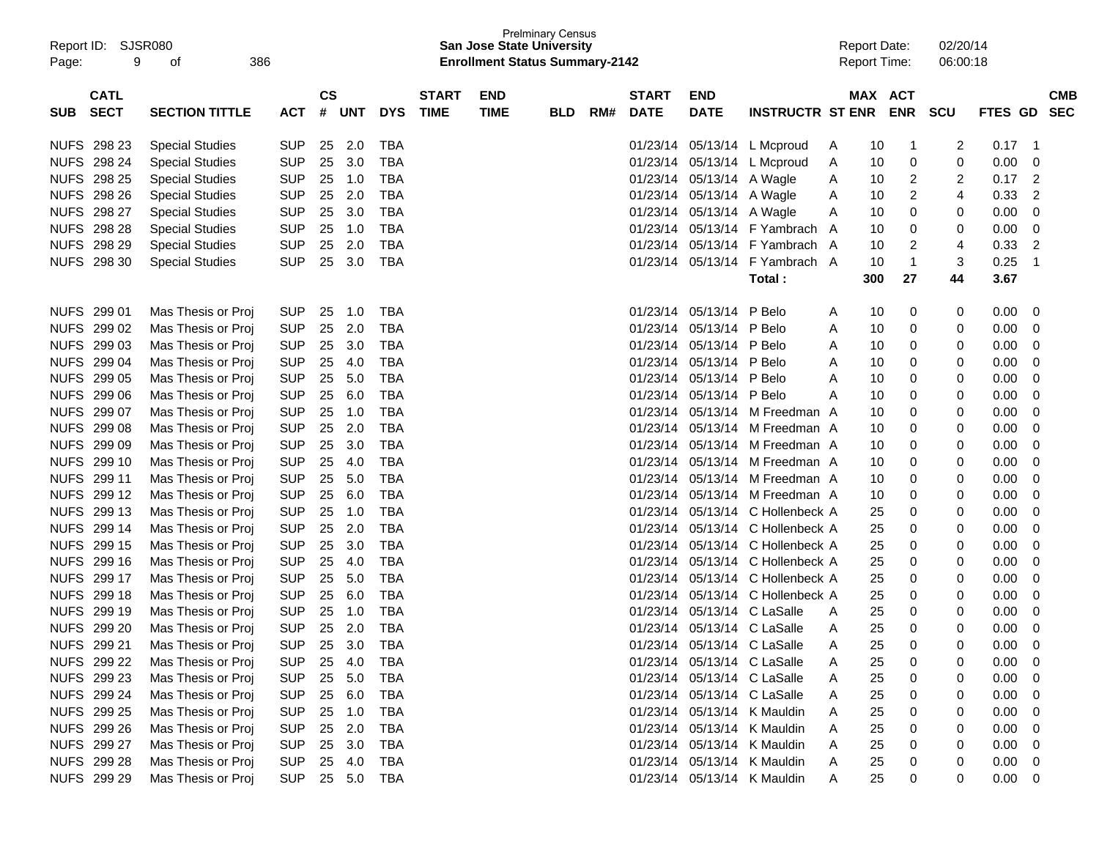| Page:       | Report ID: SJSR080<br>9    | 386<br>οf              |                |                |            |            |                             | <b>San Jose State University</b><br><b>Enrollment Status Summary-2142</b> | <b>Prelminary Census</b> |     |                             |                           |                             |   | <b>Report Date:</b><br><b>Report Time:</b> |              | 02/20/14<br>06:00:18 |                |                          |
|-------------|----------------------------|------------------------|----------------|----------------|------------|------------|-----------------------------|---------------------------------------------------------------------------|--------------------------|-----|-----------------------------|---------------------------|-----------------------------|---|--------------------------------------------|--------------|----------------------|----------------|--------------------------|
| <b>SUB</b>  | <b>CATL</b><br><b>SECT</b> | <b>SECTION TITTLE</b>  | <b>ACT</b>     | <b>CS</b><br># | <b>UNT</b> | <b>DYS</b> | <b>START</b><br><b>TIME</b> | <b>END</b><br><b>TIME</b>                                                 | <b>BLD</b>               | RM# | <b>START</b><br><b>DATE</b> | <b>END</b><br><b>DATE</b> | <b>INSTRUCTR ST ENR</b>     |   | MAX ACT                                    | <b>ENR</b>   | <b>SCU</b>           | <b>FTES GD</b> | <b>CMB</b><br><b>SEC</b> |
|             |                            |                        |                |                |            |            |                             |                                                                           |                          |     |                             |                           |                             |   |                                            |              |                      |                |                          |
|             | NUFS 298 23                | <b>Special Studies</b> | <b>SUP</b>     | 25             | 2.0        | TBA        |                             |                                                                           |                          |     | 01/23/14                    |                           | 05/13/14 L Mcproud          | A | 10                                         | $\mathbf{1}$ | 2                    | 0.17           | -1                       |
|             | NUFS 298 24                | <b>Special Studies</b> | <b>SUP</b>     | 25             | 3.0        | TBA        |                             |                                                                           |                          |     | 01/23/14                    |                           | 05/13/14 L Mcproud          | A | 10                                         | 0            | 0                    | 0.00           | 0                        |
|             | <b>NUFS 298 25</b>         | <b>Special Studies</b> | <b>SUP</b>     | 25             | 1.0        | <b>TBA</b> |                             |                                                                           |                          |     | 01/23/14                    | 05/13/14 A Wagle          |                             | A | 10                                         | 2            | 2                    | 0.17           | 2                        |
|             | NUFS 298 26                | <b>Special Studies</b> | <b>SUP</b>     | 25             | 2.0        | <b>TBA</b> |                             |                                                                           |                          |     | 01/23/14                    | 05/13/14 A Wagle          |                             | A | 10                                         | 2            | 4                    | 0.33           | 2                        |
|             | NUFS 298 27                | <b>Special Studies</b> | <b>SUP</b>     | 25             | 3.0        | <b>TBA</b> |                             |                                                                           |                          |     | 01/23/14                    | 05/13/14 A Wagle          |                             | Α | 10                                         | 0            | 0                    | 0.00           | 0                        |
|             | <b>NUFS 298 28</b>         | <b>Special Studies</b> | <b>SUP</b>     | 25             | 1.0        | <b>TBA</b> |                             |                                                                           |                          |     | 01/23/14                    |                           | 05/13/14 F Yambrach         | A | 10                                         | 0            | 0                    | 0.00           | 0                        |
|             | NUFS 298 29                | <b>Special Studies</b> | <b>SUP</b>     | 25             | 2.0        | <b>TBA</b> |                             |                                                                           |                          |     | 01/23/14                    |                           | 05/13/14 F Yambrach         | A | 10                                         | 2            | 4                    | 0.33           | $\overline{2}$           |
| <b>NUFS</b> | 298 30                     | <b>Special Studies</b> | <b>SUP</b>     | 25             | 3.0        | TBA        |                             |                                                                           |                          |     | 01/23/14                    |                           | 05/13/14 F Yambrach A       |   | 10                                         | $\mathbf{1}$ | 3                    | 0.25           | -1                       |
|             |                            |                        |                |                |            |            |                             |                                                                           |                          |     |                             |                           | Total:                      |   | 300                                        | 27           | 44                   | 3.67           |                          |
|             | NUFS 299 01                | Mas Thesis or Proj     | <b>SUP</b>     | 25             | 1.0        | TBA        |                             |                                                                           |                          |     | 01/23/14                    | 05/13/14 P Belo           |                             | A | 10                                         | 0            | 0                    | 0.00           | 0                        |
|             | NUFS 299 02                | Mas Thesis or Proj     | <b>SUP</b>     | 25             | 2.0        | <b>TBA</b> |                             |                                                                           |                          |     | 01/23/14                    | 05/13/14 P Belo           |                             | Α | 10                                         | 0            | 0                    | 0.00           | 0                        |
|             | NUFS 299 03                | Mas Thesis or Proj     | <b>SUP</b>     | 25             | 3.0        | <b>TBA</b> |                             |                                                                           |                          |     | 01/23/14                    | 05/13/14 P Belo           |                             | Α | 10                                         | 0            | 0                    | 0.00           | 0                        |
|             | NUFS 299 04                | Mas Thesis or Proj     | <b>SUP</b>     | 25             | 4.0        | <b>TBA</b> |                             |                                                                           |                          |     | 01/23/14                    | 05/13/14 P Belo           |                             | Α | 10                                         | 0            | 0                    | 0.00           | 0                        |
|             | NUFS 299 05                | Mas Thesis or Proj     | <b>SUP</b>     | 25             | 5.0        | <b>TBA</b> |                             |                                                                           |                          |     | 01/23/14                    | 05/13/14 P Belo           |                             | Α | 10                                         | 0            | 0                    | 0.00           | 0                        |
|             | NUFS 299 06                | Mas Thesis or Proj     | <b>SUP</b>     | 25             | 6.0        | <b>TBA</b> |                             |                                                                           |                          |     | 01/23/14                    | 05/13/14 P Belo           |                             | Α | 10                                         | 0            | 0                    | 0.00           | 0                        |
|             | NUFS 299 07                | Mas Thesis or Proj     | <b>SUP</b>     | 25             | 1.0        | <b>TBA</b> |                             |                                                                           |                          |     | 01/23/14                    |                           | 05/13/14 M Freedman A       |   | 10                                         | 0            | 0                    | 0.00           | 0                        |
|             | NUFS 299 08                | Mas Thesis or Proj     | <b>SUP</b>     | 25             | 2.0        | <b>TBA</b> |                             |                                                                           |                          |     | 01/23/14                    |                           | 05/13/14 M Freedman A       |   | 10                                         | 0            | 0                    | 0.00           | 0                        |
|             | NUFS 299 09                | Mas Thesis or Proj     | <b>SUP</b>     | 25             | 3.0        | <b>TBA</b> |                             |                                                                           |                          |     | 01/23/14                    |                           | 05/13/14 M Freedman A       |   | 10                                         | 0            | 0                    | 0.00           | 0                        |
|             | NUFS 299 10                | Mas Thesis or Proj     | <b>SUP</b>     | 25             | 4.0        | <b>TBA</b> |                             |                                                                           |                          |     | 01/23/14                    |                           | 05/13/14 M Freedman A       |   | 10                                         | 0            | 0                    | 0.00           | 0                        |
|             | NUFS 299 11                | Mas Thesis or Proj     | <b>SUP</b>     | 25             | 5.0        | <b>TBA</b> |                             |                                                                           |                          |     | 01/23/14                    |                           | 05/13/14 M Freedman A       |   | 10                                         | 0            | 0                    | 0.00           | 0                        |
|             | NUFS 299 12                | Mas Thesis or Proj     | <b>SUP</b>     | 25             | 6.0        | <b>TBA</b> |                             |                                                                           |                          |     | 01/23/14                    |                           | 05/13/14 M Freedman A       |   | 10                                         | 0            | 0                    | 0.00           | 0                        |
|             | NUFS 299 13                | Mas Thesis or Proj     | <b>SUP</b>     | 25             | 1.0        | <b>TBA</b> |                             |                                                                           |                          |     | 01/23/14                    |                           | 05/13/14 C Hollenbeck A     |   | 25                                         | 0            | 0                    | 0.00           | 0                        |
|             | NUFS 299 14                | Mas Thesis or Proj     | <b>SUP</b>     | 25             | 2.0        | <b>TBA</b> |                             |                                                                           |                          |     | 01/23/14                    |                           | 05/13/14 C Hollenbeck A     |   | 25                                         | 0            | 0                    | 0.00           | 0                        |
|             | NUFS 299 15                | Mas Thesis or Proj     | <b>SUP</b>     | 25             | 3.0        | <b>TBA</b> |                             |                                                                           |                          |     | 01/23/14                    |                           | 05/13/14 C Hollenbeck A     |   | 25                                         | 0            | 0                    | 0.00           | 0                        |
|             | NUFS 299 16                | Mas Thesis or Proj     | <b>SUP</b>     | 25             | 4.0        | <b>TBA</b> |                             |                                                                           |                          |     | 01/23/14                    |                           | 05/13/14 C Hollenbeck A     |   | 25                                         | 0            | 0                    | 0.00           | 0                        |
|             | NUFS 299 17                | Mas Thesis or Proj     | <b>SUP</b>     | 25             | 5.0        | <b>TBA</b> |                             |                                                                           |                          |     | 01/23/14                    |                           | 05/13/14 C Hollenbeck A     |   | 25                                         | 0            | 0                    | 0.00           | 0                        |
|             | NUFS 299 18                | Mas Thesis or Proj     | <b>SUP</b>     | 25             | 6.0        | <b>TBA</b> |                             |                                                                           |                          |     | 01/23/14                    |                           | 05/13/14 C Hollenbeck A     |   | 25                                         | 0            | 0                    | 0.00           | 0                        |
|             | NUFS 299 19                | Mas Thesis or Proj     | <b>SUP</b>     | 25             | 1.0        | <b>TBA</b> |                             |                                                                           |                          |     | 01/23/14                    |                           | 05/13/14 C LaSalle          | A | 25                                         | 0            | 0                    | 0.00           | 0                        |
|             | NUFS 299 20                | Mas Thesis or Proj     | <b>SUP</b>     | 25             | 2.0        | <b>TBA</b> |                             |                                                                           |                          |     | 01/23/14                    |                           | 05/13/14 C LaSalle          | A | 25                                         | 0            | 0                    | 0.00           | 0                        |
|             | NUFS 299 21                | Mas Thesis or Proj     | <b>SUP</b>     |                | 25 3.0     | <b>TBA</b> |                             |                                                                           |                          |     |                             |                           | 01/23/14 05/13/14 C LaSalle | Α | 25                                         | 0            | 0                    | 0.00           | $\Omega$                 |
|             | NUFS 299 22                | Mas Thesis or Proj     | <b>SUP</b>     |                | 25 4.0     | TBA        |                             |                                                                           |                          |     |                             |                           | 01/23/14 05/13/14 C LaSalle | A | 25                                         | 0            | 0                    | 0.00           | 0                        |
|             | NUFS 299 23                | Mas Thesis or Proj     | <b>SUP</b>     |                | 25 5.0     | TBA        |                             |                                                                           |                          |     |                             |                           | 01/23/14 05/13/14 C LaSalle | A | 25                                         | $\mathbf 0$  | 0                    | 0.00           | 0                        |
|             | NUFS 299 24                | Mas Thesis or Proj     | <b>SUP</b>     |                | 25 6.0     | TBA        |                             |                                                                           |                          |     |                             |                           | 01/23/14 05/13/14 C LaSalle | A | 25                                         | 0            | 0                    | 0.00           | 0                        |
|             | NUFS 299 25                | Mas Thesis or Proj     | <b>SUP</b>     |                | 25 1.0     | TBA        |                             |                                                                           |                          |     |                             |                           | 01/23/14 05/13/14 K Mauldin | A | 25                                         | 0            |                      | 0.00           | 0                        |
|             | NUFS 299 26                | Mas Thesis or Proj     | <b>SUP</b>     |                | 25 2.0     | TBA        |                             |                                                                           |                          |     |                             |                           | 01/23/14 05/13/14 K Mauldin | A | 25                                         | 0            |                      | 0.00           | 0                        |
|             | NUFS 299 27                | Mas Thesis or Proj     | <b>SUP</b>     |                | 25 3.0     | TBA        |                             |                                                                           |                          |     |                             |                           | 01/23/14 05/13/14 K Mauldin | A | 25                                         | 0            | 0                    | 0.00           | 0                        |
|             | NUFS 299 28                | Mas Thesis or Proj     | <b>SUP</b>     |                | 25 4.0     | TBA        |                             |                                                                           |                          |     |                             |                           | 01/23/14 05/13/14 K Mauldin | A | 25                                         | 0            | 0                    | 0.00           | 0                        |
|             | NUFS 299 29                | Mas Thesis or Proj     | SUP 25 5.0 TBA |                |            |            |                             |                                                                           |                          |     |                             |                           | 01/23/14 05/13/14 K Mauldin | A | 25                                         | 0            | 0                    | $0.00 \t 0$    |                          |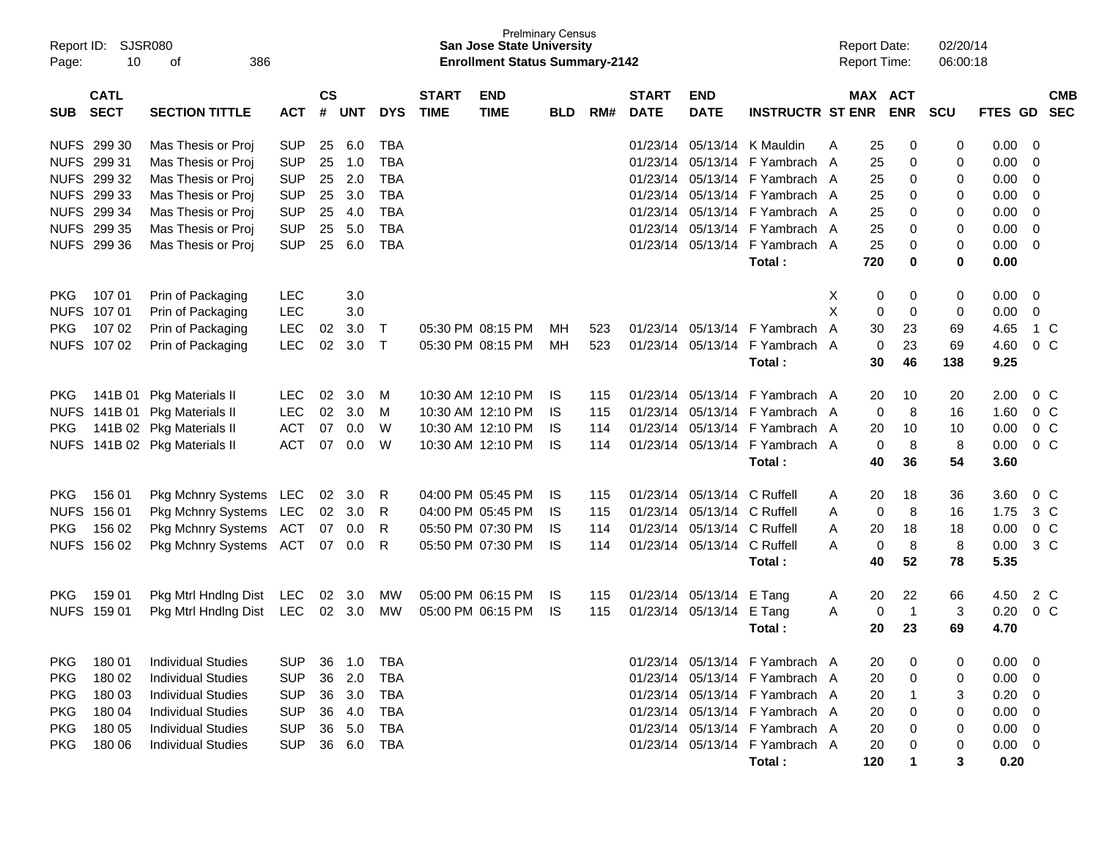| Report ID:<br>Page: | 10                         | <b>SJSR080</b><br>386<br>οf |                    |            |            |                             |                           | <b>Prelminary Census</b><br><b>San Jose State University</b><br><b>Enrollment Status Summary-2142</b> |     |                             |                           |                         |                                |         | <b>Report Date:</b><br><b>Report Time:</b> |                | 02/20/14<br>06:00:18 |             |                          |  |
|---------------------|----------------------------|-----------------------------|--------------------|------------|------------|-----------------------------|---------------------------|-------------------------------------------------------------------------------------------------------|-----|-----------------------------|---------------------------|-------------------------|--------------------------------|---------|--------------------------------------------|----------------|----------------------|-------------|--------------------------|--|
| <b>SUB</b>          | <b>CATL</b><br><b>SECT</b> | <b>ACT</b>                  | $\mathsf{cs}$<br># | <b>UNT</b> | <b>DYS</b> | <b>START</b><br><b>TIME</b> | <b>END</b><br><b>TIME</b> | <b>BLD</b>                                                                                            | RM# | <b>START</b><br><b>DATE</b> | <b>END</b><br><b>DATE</b> | <b>INSTRUCTR ST ENR</b> |                                | MAX ACT | <b>ENR</b>                                 | <b>SCU</b>     | FTES GD              |             | <b>CMB</b><br><b>SEC</b> |  |
|                     | NUFS 299 30                | Mas Thesis or Proj          | <b>SUP</b>         | 25         | 6.0        | TBA                         |                           |                                                                                                       |     |                             | 01/23/14                  | 05/13/14                | K Mauldin                      | A       | 25                                         | 0              | 0                    | 0.00        | - 0                      |  |
|                     | NUFS 299 31                | Mas Thesis or Proj          | <b>SUP</b>         | 25         | 1.0        | TBA                         |                           |                                                                                                       |     |                             | 01/23/14                  | 05/13/14                | F Yambrach A                   |         | 25                                         | 0              | 0                    | 0.00        | 0                        |  |
|                     | NUFS 299 32                | Mas Thesis or Proj          | <b>SUP</b>         | 25         | 2.0        | <b>TBA</b>                  |                           |                                                                                                       |     |                             | 01/23/14                  | 05/13/14                | F Yambrach A                   |         | 25                                         | 0              | 0                    | 0.00        | 0                        |  |
|                     | NUFS 299 33                | Mas Thesis or Proj          | <b>SUP</b>         | 25         | 3.0        | <b>TBA</b>                  |                           |                                                                                                       |     |                             | 01/23/14                  | 05/13/14                | F Yambrach A                   |         | 25                                         | 0              | 0                    | 0.00        | 0                        |  |
|                     | NUFS 299 34                | Mas Thesis or Proj          | <b>SUP</b>         | 25         | 4.0        | <b>TBA</b>                  |                           |                                                                                                       |     |                             | 01/23/14                  | 05/13/14                | F Yambrach A                   |         | 25                                         | 0              | 0                    | 0.00        | 0                        |  |
|                     | NUFS 299 35                | Mas Thesis or Proj          | <b>SUP</b>         | 25         | 5.0        | TBA                         |                           |                                                                                                       |     |                             | 01/23/14                  | 05/13/14                | F Yambrach A                   |         | 25                                         | 0              | 0                    | 0.00        | 0                        |  |
|                     | NUFS 299 36                | Mas Thesis or Proj          | <b>SUP</b>         | 25         | 6.0        | <b>TBA</b>                  |                           |                                                                                                       |     |                             | 01/23/14                  | 05/13/14                | F Yambrach A                   |         | 25                                         | 0              | 0                    | 0.00        | 0                        |  |
|                     |                            |                             |                    |            |            |                             |                           |                                                                                                       |     |                             |                           |                         | Total:                         |         | 720                                        | 0              | 0                    | 0.00        |                          |  |
| <b>PKG</b>          | 107 01                     | Prin of Packaging           | <b>LEC</b>         |            | 3.0        |                             |                           |                                                                                                       |     |                             |                           |                         |                                | X       | 0                                          | 0              | 0                    | 0.00        | 0                        |  |
| <b>NUFS</b>         | 107 01                     | Prin of Packaging           | <b>LEC</b>         |            | 3.0        |                             |                           |                                                                                                       |     |                             |                           |                         |                                | X       | 0                                          | 0              | 0                    | 0.00        | 0                        |  |
| <b>PKG</b>          | 107 02                     | Prin of Packaging           | <b>LEC</b>         | 02         | 3.0        | Τ                           |                           | 05:30 PM 08:15 PM                                                                                     | MН  | 523                         | 01/23/14                  | 05/13/14                | F Yambrach                     | A       | 30                                         | 23             | 69                   | 4.65        | 1 C                      |  |
|                     | NUFS 107 02                | Prin of Packaging           | <b>LEC</b>         | 02         | 3.0        | $\top$                      |                           | 05:30 PM 08:15 PM                                                                                     | MН  | 523                         | 01/23/14                  | 05/13/14                | F Yambrach A                   |         | 0                                          | 23             | 69                   | 4.60        | 0 <sup>o</sup>           |  |
|                     |                            |                             |                    |            |            |                             |                           |                                                                                                       |     |                             |                           |                         | Total:                         |         | 30                                         | 46             | 138                  | 9.25        |                          |  |
| <b>PKG</b>          | 141B 01                    | <b>Pkg Materials II</b>     | <b>LEC</b>         | 02         | 3.0        | M                           |                           | 10:30 AM 12:10 PM                                                                                     | IS  | 115                         | 01/23/14                  | 05/13/14                | F Yambrach A                   |         | 20                                         | 10             | 20                   | 2.00        | 0 <sup>o</sup>           |  |
| <b>NUFS</b>         | 141B 01                    | <b>Pkg Materials II</b>     | <b>LEC</b>         | 02         | 3.0        | м                           |                           | 10:30 AM 12:10 PM                                                                                     | IS  | 115                         | 01/23/14                  | 05/13/14                | F Yambrach A                   |         | 0                                          | 8              | 16                   | 1.60        | 0 <sup>o</sup>           |  |
| <b>PKG</b>          |                            | 141B 02 Pkg Materials II    | <b>ACT</b>         | 07         | 0.0        | W                           |                           | 10:30 AM 12:10 PM                                                                                     | IS  | 114                         | 01/23/14                  | 05/13/14                | F Yambrach A                   |         | 20                                         | 10             | 10                   | 0.00        | $0\,C$                   |  |
| <b>NUFS</b>         |                            | 141B 02 Pkg Materials II    | <b>ACT</b>         | 07         | 0.0        | W                           |                           | 10:30 AM 12:10 PM                                                                                     | IS  | 114                         |                           | 01/23/14 05/13/14       | F Yambrach A                   |         | 0                                          | 8              | 8                    | 0.00        | $0\,$ C                  |  |
|                     |                            |                             |                    |            |            |                             |                           |                                                                                                       |     |                             |                           |                         | Total:                         |         | 40                                         | 36             | 54                   | 3.60        |                          |  |
| <b>PKG</b>          | 156 01                     | Pkg Mchnry Systems          | LEC                | 02         | 3.0        | R                           |                           | 04:00 PM 05:45 PM                                                                                     | IS  | 115                         | 01/23/14                  | 05/13/14                | C Ruffell                      | Α       | 20                                         | 18             | 36                   | 3.60        | 0 <sup>o</sup>           |  |
| <b>NUFS</b>         | 15601                      | Pkg Mchnry Systems          | <b>LEC</b>         | 02         | 3.0        | R                           |                           | 04:00 PM 05:45 PM                                                                                     | IS  | 115                         | 01/23/14                  | 05/13/14                | C Ruffell                      | A       | 0                                          | 8              | 16                   | 1.75        | 3 C                      |  |
| <b>PKG</b>          | 156 02                     | Pkg Mchnry Systems          | <b>ACT</b>         | 07         | 0.0        | R                           |                           | 05:50 PM 07:30 PM                                                                                     | IS  | 114                         | 01/23/14                  | 05/13/14                | C Ruffell                      | A       | 20                                         | 18             | 18                   | 0.00        | 0 <sup>o</sup>           |  |
|                     | NUFS 156 02                | Pkg Mchnry Systems          | <b>ACT</b>         | 07         | 0.0        | R                           |                           | 05:50 PM 07:30 PM                                                                                     | IS  | 114                         |                           | 01/23/14 05/13/14       | C Ruffell                      | A       | 0                                          | 8              | 8                    | 0.00        | 3 C                      |  |
|                     |                            |                             |                    |            |            |                             |                           |                                                                                                       |     |                             |                           |                         | Total:                         |         | 40                                         | 52             | 78                   | 5.35        |                          |  |
| <b>PKG</b>          | 159 01                     | Pkg Mtrl Hndlng Dist        | LEC                | 02         | 3.0        | МW                          |                           | 05:00 PM 06:15 PM                                                                                     | IS  | 115                         |                           | 01/23/14 05/13/14       | E Tang                         | A       | 20                                         | 22             | 66                   | 4.50        | 2 C                      |  |
|                     | NUFS 159 01                | Pkg Mtrl Hndlng Dist        | LEC                | 02         | 3.0        | MW                          |                           | 05:00 PM 06:15 PM                                                                                     | IS  | 115                         | 01/23/14 05/13/14         |                         | E Tang                         | A       | 0                                          | $\overline{1}$ | 3                    | 0.20        | 0 <sup>o</sup>           |  |
|                     |                            |                             |                    |            |            |                             |                           |                                                                                                       |     |                             |                           |                         | Total:                         |         | 20                                         | 23             | 69                   | 4.70        |                          |  |
| <b>PKG</b>          | 180 01                     | <b>Individual Studies</b>   | <b>SUP</b>         | 36         | 1.0        | TBA                         |                           |                                                                                                       |     |                             |                           |                         | 01/23/14 05/13/14 F Yambrach A |         | 20                                         | 0              | 0                    | 0.00        | - 0                      |  |
| <b>PKG</b>          | 180 02                     | <b>Individual Studies</b>   | <b>SUP</b>         | 36         | 2.0        | TBA                         |                           |                                                                                                       |     |                             |                           | 01/23/14 05/13/14       | F Yambrach A                   |         | 20                                         | 0              | 0                    | 0.00        | 0                        |  |
| <b>PKG</b>          | 180 03                     | <b>Individual Studies</b>   | <b>SUP</b>         | 36         | 3.0        | TBA                         |                           |                                                                                                       |     |                             |                           |                         | 01/23/14 05/13/14 F Yambrach A |         | 20                                         |                | 3                    | 0.20        | - 0                      |  |
| <b>PKG</b>          | 180 04                     | <b>Individual Studies</b>   | <b>SUP</b>         | 36         | 4.0        | TBA                         |                           |                                                                                                       |     |                             |                           |                         | 01/23/14 05/13/14 F Yambrach A |         | 20                                         | 0              | 0                    | 0.00        | - 0                      |  |
| <b>PKG</b>          | 180 05                     | <b>Individual Studies</b>   | <b>SUP</b>         | 36         | 5.0        | TBA                         |                           |                                                                                                       |     |                             |                           |                         | 01/23/14 05/13/14 F Yambrach A |         | 20                                         | 0              | 0                    | 0.00        | - 0                      |  |
| <b>PKG</b>          | 180 06                     | <b>Individual Studies</b>   | <b>SUP</b>         | 36         | 6.0        | TBA                         |                           |                                                                                                       |     |                             |                           |                         | 01/23/14 05/13/14 F Yambrach A |         | 20                                         | 0              | 0                    | $0.00 \t 0$ |                          |  |
|                     |                            |                             |                    |            |            |                             |                           |                                                                                                       |     |                             |                           |                         | Total:                         |         | 120                                        | 1              | 3                    | 0.20        |                          |  |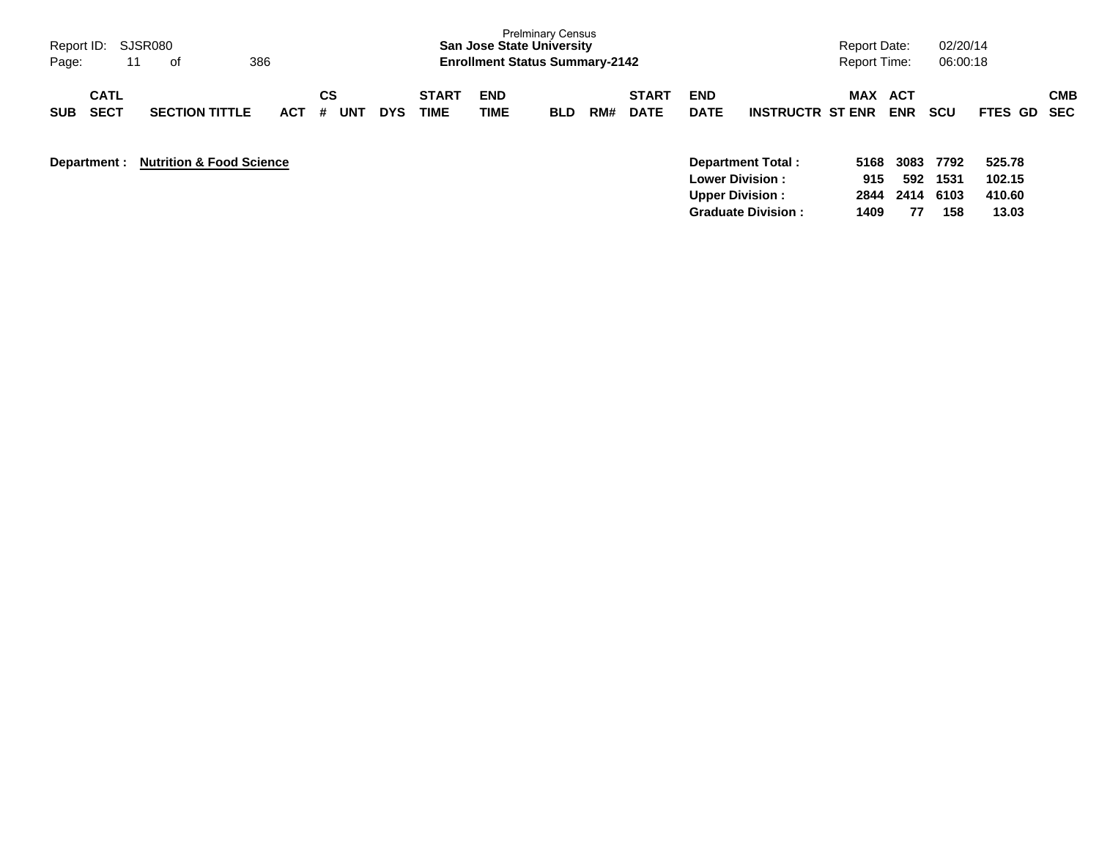| Report ID: SJSR080<br>Page:<br>11        | 386<br>0f                           |            |                |            |                             | <b>San Jose State University</b><br><b>Enrollment Status Summary-2142</b> | <b>Prelminary Census</b> |     |                             |                                                  |                         | <b>Report Date:</b><br><b>Report Time:</b> |                     | 02/20/14<br>06:00:18 |                            |            |
|------------------------------------------|-------------------------------------|------------|----------------|------------|-----------------------------|---------------------------------------------------------------------------|--------------------------|-----|-----------------------------|--------------------------------------------------|-------------------------|--------------------------------------------|---------------------|----------------------|----------------------------|------------|
| <b>CATL</b><br><b>SECT</b><br><b>SUB</b> | <b>SECTION TITTLE</b>               | <b>ACT</b> | СS<br>UNT<br># | <b>DYS</b> | <b>START</b><br><b>TIME</b> | <b>END</b><br>TIME                                                        | <b>BLD</b>               | RM# | <b>START</b><br><b>DATE</b> | <b>END</b><br><b>DATE</b>                        | <b>INSTRUCTR ST ENR</b> | MAX                                        | ACT<br><b>ENR</b>   | <b>SCU</b>           | FTES GD SEC                | <b>CMB</b> |
| Department :                             | <b>Nutrition &amp; Food Science</b> |            |                |            |                             |                                                                           |                          |     |                             | <b>Lower Division:</b><br><b>Upper Division:</b> | Department Total:       | 5168<br>915<br>2844                        | 3083<br>592<br>2414 | 7792<br>1531<br>6103 | 525.78<br>102.15<br>410.60 |            |

**Graduate Division : 1409 77 158 13.03**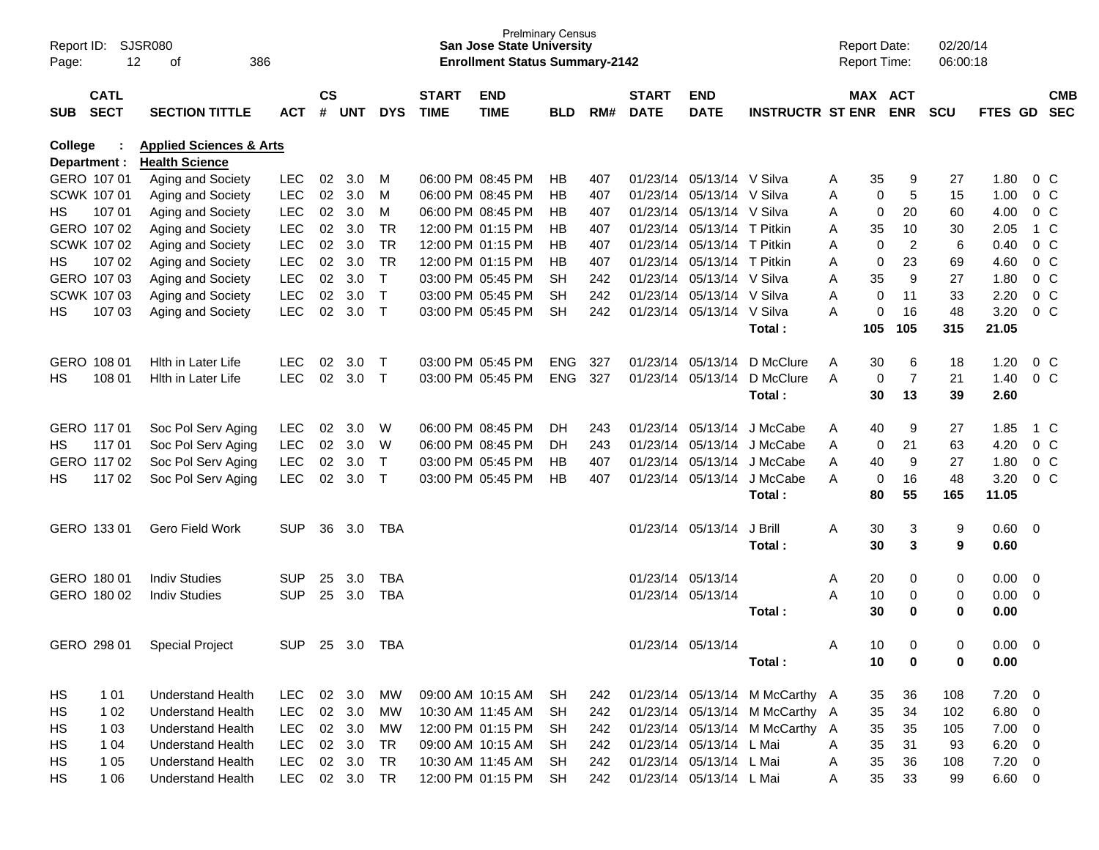| Page:          | SJSR080<br>Report ID:<br>12<br>386<br>of                                                                |                          |            |                    |            |              |                             | <b>San Jose State University</b><br><b>Enrollment Status Summary-2142</b> | <b>Prelminary Census</b> |     |                             |                            |                                |   | <b>Report Date:</b> | <b>Report Time:</b> | 02/20/14<br>06:00:18 |               |                         |                          |
|----------------|---------------------------------------------------------------------------------------------------------|--------------------------|------------|--------------------|------------|--------------|-----------------------------|---------------------------------------------------------------------------|--------------------------|-----|-----------------------------|----------------------------|--------------------------------|---|---------------------|---------------------|----------------------|---------------|-------------------------|--------------------------|
| <b>SUB</b>     | <b>CATL</b><br><b>SECT</b><br><b>SECTION TITTLE</b><br><b>ACT</b><br><b>Applied Sciences &amp; Arts</b> |                          |            | $\mathsf{cs}$<br># | <b>UNT</b> | <b>DYS</b>   | <b>START</b><br><b>TIME</b> | <b>END</b><br><b>TIME</b>                                                 | <b>BLD</b>               | RM# | <b>START</b><br><b>DATE</b> | <b>END</b><br><b>DATE</b>  | <b>INSTRUCTR ST ENR ENR</b>    |   |                     | MAX ACT             | <b>SCU</b>           | FTES GD       |                         | <b>CMB</b><br><b>SEC</b> |
| <b>College</b> | Department :                                                                                            | <b>Health Science</b>    |            |                    |            |              |                             |                                                                           |                          |     |                             |                            |                                |   |                     |                     |                      |               |                         |                          |
|                | GERO 107 01                                                                                             | Aging and Society        | <b>LEC</b> | 02                 | 3.0        | M            |                             | 06:00 PM 08:45 PM                                                         | HВ                       | 407 |                             | 01/23/14 05/13/14 V Silva  |                                | Α | 35                  | 9                   | 27                   | 1.80          |                         | $0\,$ C                  |
|                | SCWK 107 01                                                                                             | Aging and Society        | <b>LEC</b> | 02                 | 3.0        | M            |                             | 06:00 PM 08:45 PM                                                         | HB                       | 407 |                             | 01/23/14 05/13/14          | V Silva                        | Α | 0                   | 5                   | 15                   | 1.00          |                         | 0 <sup>o</sup>           |
| HS             | 107 01                                                                                                  | Aging and Society        | <b>LEC</b> | 02                 | 3.0        | м            |                             | 06:00 PM 08:45 PM                                                         | HВ                       | 407 |                             | 01/23/14 05/13/14 V Silva  |                                | Α | 0                   | 20                  | 60                   | 4.00          |                         | 0 <sup>o</sup>           |
|                | GERO 107 02                                                                                             | Aging and Society        | <b>LEC</b> | 02                 | 3.0        | <b>TR</b>    |                             | 12:00 PM 01:15 PM                                                         | HВ                       | 407 |                             | 01/23/14 05/13/14 T Pitkin |                                | Α | 35                  | 10                  | 30                   | 2.05          |                         | 1 C                      |
|                | SCWK 107 02                                                                                             | Aging and Society        | <b>LEC</b> | 02                 | 3.0        | <b>TR</b>    |                             | 12:00 PM 01:15 PM                                                         | HВ                       | 407 |                             | 01/23/14 05/13/14 T Pitkin |                                | Α | 0                   | $\overline{2}$      | 6                    | 0.40          |                         | 0 <sup>o</sup>           |
| HS             | 107 02                                                                                                  | Aging and Society        | <b>LEC</b> | 02                 | 3.0        | TR           |                             | 12:00 PM 01:15 PM                                                         | НB                       | 407 |                             | 01/23/14 05/13/14          | T Pitkin                       | Α | 0                   | 23                  | 69                   | 4.60          |                         | 0 <sup>o</sup>           |
|                | GERO 107 03                                                                                             | Aging and Society        | <b>LEC</b> | 02                 | 3.0        | $\mathsf{T}$ |                             | 03:00 PM 05:45 PM                                                         | <b>SH</b>                | 242 |                             | 01/23/14 05/13/14          | V Silva                        | Α | 35                  | 9                   | 27                   | 1.80          |                         | 0 <sup>o</sup>           |
|                | SCWK 107 03                                                                                             | Aging and Society        | <b>LEC</b> | 02                 | 3.0        | $\mathsf{T}$ |                             | 03:00 PM 05:45 PM                                                         | <b>SH</b>                | 242 |                             | 01/23/14 05/13/14          | V Silva                        | Α | 0                   | 11                  | 33                   | 2.20          |                         | 0 <sup>o</sup>           |
| НS             | 107 03                                                                                                  | Aging and Society        | <b>LEC</b> | 02                 | 3.0        | $\mathsf{T}$ |                             | 03:00 PM 05:45 PM                                                         | <b>SH</b>                | 242 |                             | 01/23/14 05/13/14 V Silva  |                                | Α | 0                   | 16                  | 48                   | 3.20          |                         | 0 <sup>o</sup>           |
|                |                                                                                                         |                          |            |                    |            |              |                             |                                                                           |                          |     |                             |                            | Total:                         |   | 105                 | 105                 | 315                  | 21.05         |                         |                          |
|                | GERO 108 01                                                                                             | Hith in Later Life       | <b>LEC</b> | 02                 | 3.0        | $\top$       |                             | 03:00 PM 05:45 PM                                                         | <b>ENG</b>               | 327 |                             | 01/23/14 05/13/14          | D McClure                      | A | 30                  | 6                   | 18                   | 1.20          |                         | $0\,$ C                  |
| НS             | 108 01                                                                                                  | Hith in Later Life       | <b>LEC</b> | 02                 | 3.0        | $\top$       |                             | 03:00 PM 05:45 PM                                                         | <b>ENG</b>               | 327 |                             | 01/23/14 05/13/14          | D McClure                      | Α | 0                   | $\overline{7}$      | 21                   | 1.40          |                         | 0 <sup>o</sup>           |
|                |                                                                                                         |                          |            |                    |            |              |                             |                                                                           |                          |     |                             |                            | Total:                         |   | 30                  | 13                  | 39                   | 2.60          |                         |                          |
|                | GERO 117 01                                                                                             | Soc Pol Serv Aging       | <b>LEC</b> | 02                 | 3.0        | W            |                             | 06:00 PM 08:45 PM                                                         | DH.                      | 243 |                             | 01/23/14 05/13/14          | J McCabe                       | A | 40                  | 9                   | 27                   | 1.85          |                         | 1 C                      |
| HS.            | 11701                                                                                                   | Soc Pol Serv Aging       | <b>LEC</b> | 02                 | 3.0        | W            |                             | 06:00 PM 08:45 PM                                                         | DH.                      | 243 |                             | 01/23/14 05/13/14          | J McCabe                       | Α | 0                   | 21                  | 63                   | 4.20          |                         | 0 <sup>o</sup>           |
|                | GERO 117 02                                                                                             | Soc Pol Serv Aging       | <b>LEC</b> | 02                 | 3.0        | $\mathsf{T}$ |                             | 03:00 PM 05:45 PM                                                         | HB                       | 407 |                             | 01/23/14 05/13/14          | J McCabe                       | Α | 40                  | 9                   | 27                   | 1.80          |                         | 0 <sup>o</sup>           |
| НS             | 11702                                                                                                   | Soc Pol Serv Aging       | <b>LEC</b> | 02                 | 3.0        | $\mathsf{T}$ |                             | 03:00 PM 05:45 PM                                                         | НB                       | 407 |                             | 01/23/14 05/13/14          | J McCabe                       | A | 0                   | 16                  | 48                   | 3.20          |                         | 0 <sup>o</sup>           |
|                |                                                                                                         |                          |            |                    |            |              |                             |                                                                           |                          |     |                             |                            | Total:                         |   | 80                  | 55                  | 165                  | 11.05         |                         |                          |
|                | GERO 133 01                                                                                             | Gero Field Work          | <b>SUP</b> | 36                 | 3.0        | TBA          |                             |                                                                           |                          |     |                             | 01/23/14 05/13/14          | J Brill                        | Α | 30                  | 3                   | 9                    | 0.60          | $\overline{0}$          |                          |
|                |                                                                                                         |                          |            |                    |            |              |                             |                                                                           |                          |     |                             |                            | Total:                         |   | 30                  | 3                   | 9                    | 0.60          |                         |                          |
|                | GERO 180 01                                                                                             | <b>Indiv Studies</b>     | <b>SUP</b> | 25                 | 3.0        | <b>TBA</b>   |                             |                                                                           |                          |     |                             | 01/23/14 05/13/14          |                                | Α | 20                  | 0                   | 0                    | 0.00          | $\overline{0}$          |                          |
|                | GERO 180 02                                                                                             | <b>Indiv Studies</b>     | <b>SUP</b> | 25                 | 3.0        | <b>TBA</b>   |                             |                                                                           |                          |     |                             | 01/23/14 05/13/14          |                                | Α | 10                  | 0                   | 0                    | 0.00          | $\overline{0}$          |                          |
|                |                                                                                                         |                          |            |                    |            |              |                             |                                                                           |                          |     |                             |                            | Total:                         |   | 30                  | 0                   | 0                    | 0.00          |                         |                          |
|                | GERO 298 01                                                                                             | <b>Special Project</b>   | <b>SUP</b> | 25                 | 3.0        | <b>TBA</b>   |                             |                                                                           |                          |     |                             | 01/23/14 05/13/14          |                                | A | 10                  | $\Omega$            | 0                    | 0.00          | $\overline{\mathbf{0}}$ |                          |
|                |                                                                                                         |                          |            |                    |            |              |                             |                                                                           |                          |     |                             |                            | Total:                         |   | 10                  | 0                   | 0                    | 0.00          |                         |                          |
|                |                                                                                                         |                          |            |                    |            |              |                             |                                                                           |                          |     |                             |                            |                                |   |                     |                     |                      |               |                         |                          |
| HS             | 101                                                                                                     | <b>Understand Health</b> | <b>LEC</b> |                    | 02 3.0     | <b>MW</b>    |                             | 09:00 AM 10:15 AM                                                         | SH                       | 242 |                             |                            | 01/23/14 05/13/14 M McCarthy A |   | 35                  | 36                  | 108                  | 7.20          | $\overline{0}$          |                          |
| HS             | 1 0 2                                                                                                   | <b>Understand Health</b> | LEC        |                    | 02 3.0     | МW           |                             | 10:30 AM 11:45 AM                                                         | <b>SH</b>                | 242 |                             |                            | 01/23/14 05/13/14 M McCarthy A |   | 35                  | 34                  | 102                  | $6.80$ 0      |                         |                          |
| HS             | 1 0 3                                                                                                   | <b>Understand Health</b> | LEC        |                    | 02 3.0     | МW           |                             | 12:00 PM 01:15 PM                                                         | <b>SH</b>                | 242 |                             |                            | 01/23/14 05/13/14 M McCarthy A |   | 35                  | 35                  | 105                  | $7.00 \t 0$   |                         |                          |
| HS             | 1 0 4                                                                                                   | <b>Understand Health</b> | <b>LEC</b> |                    | 02 3.0     | <b>TR</b>    |                             | 09:00 AM 10:15 AM                                                         | <b>SH</b>                | 242 |                             | 01/23/14 05/13/14          | L Mai                          | Α | 35                  | 31                  | 93                   | 6.20          | $\overline{0}$          |                          |
| HS             | 1 0 5                                                                                                   | <b>Understand Health</b> | <b>LEC</b> |                    | 02 3.0     | <b>TR</b>    |                             | 10:30 AM 11:45 AM                                                         | <b>SH</b>                | 242 |                             | 01/23/14 05/13/14 L Mai    |                                | A | $35\,$              | 36                  | 108                  | $7.20 \t 0$   |                         |                          |
| НS             | 1 0 6                                                                                                   | <b>Understand Health</b> | <b>LEC</b> |                    | 02 3.0     | <b>TR</b>    |                             | 12:00 PM 01:15 PM                                                         | <b>SH</b>                | 242 |                             | 01/23/14 05/13/14 L Mai    |                                | A | 35                  | 33                  | 99                   | $6.60\quad 0$ |                         |                          |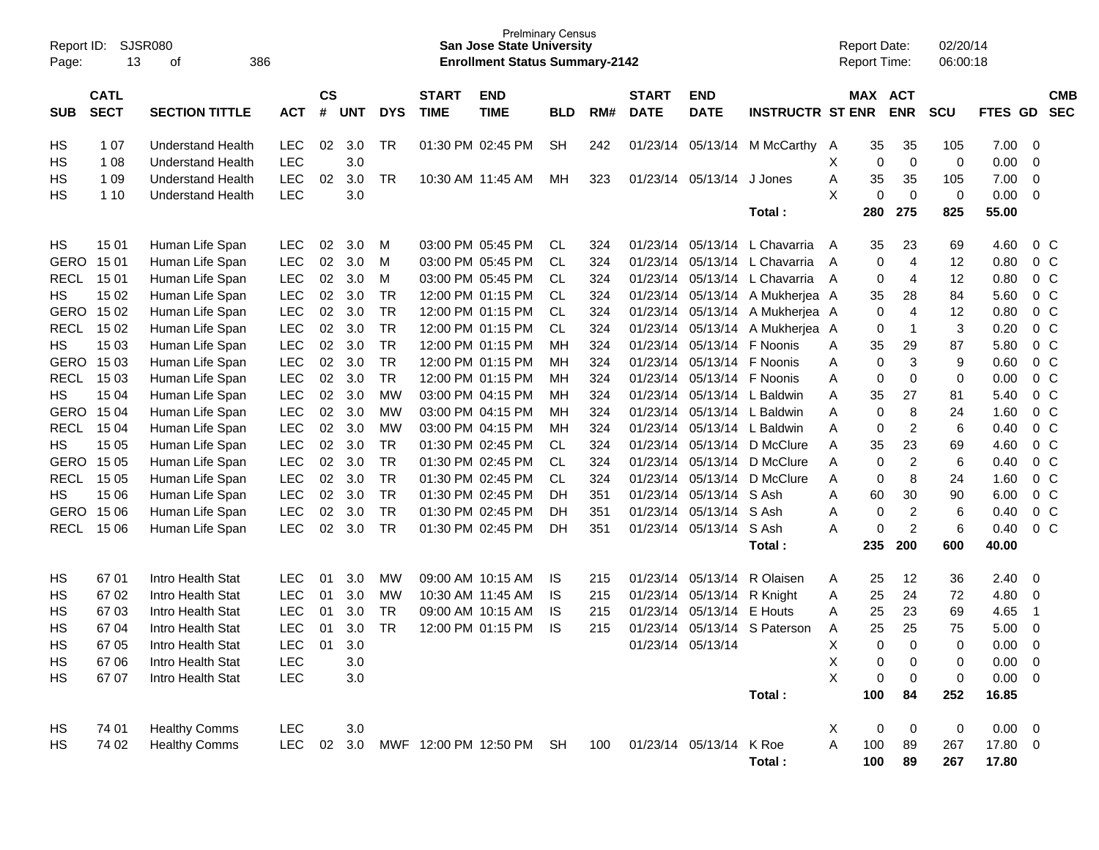| Page:       | <b>SJSR080</b><br>Report ID:<br>13<br>386<br>οf<br><b>CATL</b> |                          |            |                    |            |            |                             | <b>Prelminary Census</b><br><b>San Jose State University</b><br><b>Enrollment Status Summary-2142</b> |            |     |                             |                           |                         | <b>Report Date:</b><br>Report Time: |         |                | 02/20/14<br>06:00:18 |         |                          |
|-------------|----------------------------------------------------------------|--------------------------|------------|--------------------|------------|------------|-----------------------------|-------------------------------------------------------------------------------------------------------|------------|-----|-----------------------------|---------------------------|-------------------------|-------------------------------------|---------|----------------|----------------------|---------|--------------------------|
| <b>SUB</b>  | <b>SECT</b>                                                    | <b>SECTION TITTLE</b>    | <b>ACT</b> | $\mathsf{cs}$<br># | <b>UNT</b> | <b>DYS</b> | <b>START</b><br><b>TIME</b> | <b>END</b><br><b>TIME</b>                                                                             | <b>BLD</b> | RM# | <b>START</b><br><b>DATE</b> | <b>END</b><br><b>DATE</b> | <b>INSTRUCTR ST ENR</b> |                                     | MAX ACT | <b>ENR</b>     | <b>SCU</b>           | FTES GD | <b>CMB</b><br><b>SEC</b> |
| HS          | 1 0 7                                                          | <b>Understand Health</b> | LEC        | 02                 | 3.0        | <b>TR</b>  |                             | 01:30 PM 02:45 PM                                                                                     | <b>SH</b>  | 242 | 01/23/14                    | 05/13/14                  | M McCarthy              | A                                   | 35      | 35             | 105                  | 7.00    | 0                        |
| HS          | 1 0 8                                                          | <b>Understand Health</b> | LEC        |                    | 3.0        |            |                             |                                                                                                       |            |     |                             |                           |                         | Χ                                   | 0       | $\mathbf 0$    | 0                    | 0.00    | $\mathbf 0$              |
| HS          | 1 0 9                                                          | <b>Understand Health</b> | <b>LEC</b> | 02                 | 3.0        | <b>TR</b>  |                             | 10:30 AM 11:45 AM                                                                                     | MН         | 323 | 01/23/14                    | 05/13/14                  | J Jones                 | Α                                   | 35      | 35             | 105                  | 7.00    | 0                        |
| HS          | 1 10                                                           | <b>Understand Health</b> | LEC        |                    | 3.0        |            |                             |                                                                                                       |            |     |                             |                           |                         | X                                   | 0       | $\mathbf 0$    | 0                    | 0.00    | $\mathbf 0$              |
|             |                                                                |                          |            |                    |            |            |                             |                                                                                                       |            |     |                             |                           | Total:                  |                                     | 280     | 275            | 825                  | 55.00   |                          |
| HS          | 15 01                                                          | Human Life Span          | <b>LEC</b> | 02                 | 3.0        | M          |                             | 03:00 PM 05:45 PM                                                                                     | CL         | 324 | 01/23/14                    | 05/13/14                  | L Chavarria             | A                                   | 35      | 23             | 69                   | 4.60    | 0 <sup>C</sup>           |
| <b>GERO</b> | 15 01                                                          | Human Life Span          | LEC        | 02                 | 3.0        | M          |                             | 03:00 PM 05:45 PM                                                                                     | <b>CL</b>  | 324 | 01/23/14                    | 05/13/14                  | L Chavarria             | A                                   | 0       | $\overline{4}$ | 12                   | 0.80    | $0\,C$                   |
| <b>RECL</b> | 15 01                                                          | Human Life Span          | LEC        | 02                 | 3.0        | M          |                             | 03:00 PM 05:45 PM                                                                                     | <b>CL</b>  | 324 | 01/23/14                    | 05/13/14                  | L Chavarria             | A                                   | 0       | 4              | 12                   | 0.80    | $0\,C$                   |
| HS          | 15 02                                                          | Human Life Span          | LEC        | 02                 | 3.0        | <b>TR</b>  |                             | 12:00 PM 01:15 PM                                                                                     | <b>CL</b>  | 324 | 01/23/14                    | 05/13/14                  | A Mukherjea A           |                                     | 35      | 28             | 84                   | 5.60    | $0\,C$                   |
| <b>GERO</b> | 15 02                                                          | Human Life Span          | LEC        | 02                 | 3.0        | <b>TR</b>  |                             | 12:00 PM 01:15 PM                                                                                     | <b>CL</b>  | 324 | 01/23/14                    | 05/13/14                  | A Mukherjea A           |                                     | 0       | $\overline{4}$ | 12                   | 0.80    | $0\,C$                   |
| <b>RECL</b> | 15 02                                                          | Human Life Span          | LEC        | 02                 | 3.0        | <b>TR</b>  |                             | 12:00 PM 01:15 PM                                                                                     | CL.        | 324 | 01/23/14                    | 05/13/14                  | A Mukherjea A           |                                     | 0       | $\mathbf{1}$   | 3                    | 0.20    | 0 <sup>o</sup>           |
| HS          | 15 03                                                          | Human Life Span          | LEC        | 02                 | 3.0        | <b>TR</b>  |                             | 12:00 PM 01:15 PM                                                                                     | MН         | 324 | 01/23/14                    | 05/13/14                  | F Noonis                | Α                                   | 35      | 29             | 87                   | 5.80    | 0 <sup>o</sup>           |
| <b>GERO</b> | 15 03                                                          | Human Life Span          | LEC        | 02                 | 3.0        | <b>TR</b>  |                             | 12:00 PM 01:15 PM                                                                                     | МH         | 324 | 01/23/14                    | 05/13/14                  | F Noonis                | Α                                   | 0       | 3              | 9                    | 0.60    | $0\,C$                   |
| <b>RECL</b> | 15 03                                                          | Human Life Span          | LEC        | 02                 | 3.0        | <b>TR</b>  |                             | 12:00 PM 01:15 PM                                                                                     | МH         | 324 | 01/23/14                    | 05/13/14                  | F Noonis                | Α                                   | 0       | $\mathbf 0$    | 0                    | 0.00    | 0 <sup>o</sup>           |
| HS          | 15 04                                                          | Human Life Span          | LEC        | 02                 | 3.0        | <b>MW</b>  |                             | 03:00 PM 04:15 PM                                                                                     | МH         | 324 | 01/23/14                    | 05/13/14                  | L Baldwin               | Α                                   | 35      | 27             | 81                   | 5.40    | 0 <sup>o</sup>           |
| <b>GERO</b> | 15 04                                                          | Human Life Span          | LEC        | 02                 | 3.0        | <b>MW</b>  |                             | 03:00 PM 04:15 PM                                                                                     | МH         | 324 | 01/23/14                    | 05/13/14                  | L Baldwin               | A                                   | 0       | 8              | 24                   | 1.60    | 0 <sup>o</sup>           |
| <b>RECL</b> | 15 04                                                          | Human Life Span          | LEC        | 02                 | 3.0        | <b>MW</b>  |                             | 03:00 PM 04:15 PM                                                                                     | МH         | 324 | 01/23/14                    | 05/13/14                  | L Baldwin               | A                                   | 0       | $\overline{c}$ | 6                    | 0.40    | 0 <sup>o</sup>           |
| HS          | 15 05                                                          | Human Life Span          | LEC        | 02                 | 3.0        | <b>TR</b>  |                             | 01:30 PM 02:45 PM                                                                                     | <b>CL</b>  | 324 | 01/23/14                    | 05/13/14                  | D McClure               | Α                                   | 35      | 23             | 69                   | 4.60    | $0\,C$                   |
| <b>GERO</b> | 15 05                                                          | Human Life Span          | LEC        | 02                 | 3.0        | <b>TR</b>  |                             | 01:30 PM 02:45 PM                                                                                     | <b>CL</b>  | 324 | 01/23/14                    | 05/13/14                  | D McClure               | Α                                   | 0       | $\overline{2}$ | 6                    | 0.40    | 0 <sup>o</sup>           |
| <b>RECL</b> | 15 05                                                          | Human Life Span          | LEC        | 02                 | 3.0        | <b>TR</b>  |                             | 01:30 PM 02:45 PM                                                                                     | <b>CL</b>  | 324 | 01/23/14                    | 05/13/14                  | D McClure               | Α                                   | 0       | 8              | 24                   | 1.60    | 0 <sup>o</sup>           |
| HS          | 15 06                                                          | Human Life Span          | LEC        | 02                 | 3.0        | <b>TR</b>  |                             | 01:30 PM 02:45 PM                                                                                     | DH         | 351 | 01/23/14                    | 05/13/14                  | S Ash                   | Α                                   | 60      | 30             | 90                   | 6.00    | $0\quad C$               |
| <b>GERO</b> | 15 06                                                          | Human Life Span          | LEC        | 02                 | 3.0        | <b>TR</b>  |                             | 01:30 PM 02:45 PM                                                                                     | DH         | 351 | 01/23/14                    | 05/13/14                  | S Ash                   | Α                                   | 0       | $\overline{c}$ | 6                    | 0.40    | $0\quad C$               |
| <b>RECL</b> | 15 06                                                          | Human Life Span          | <b>LEC</b> | 02                 | 3.0        | <b>TR</b>  |                             | 01:30 PM 02:45 PM                                                                                     | DH         | 351 | 01/23/14                    | 05/13/14                  | S Ash                   | A                                   | 0       | $\overline{c}$ | 6                    | 0.40    | 0 <sup>o</sup>           |
|             |                                                                |                          |            |                    |            |            |                             |                                                                                                       |            |     |                             |                           | Total:                  |                                     | 235     | 200            | 600                  | 40.00   |                          |
| HS          | 67 01                                                          | Intro Health Stat        | <b>LEC</b> | 01                 | 3.0        | MW         |                             | 09:00 AM 10:15 AM                                                                                     | IS.        | 215 | 01/23/14                    | 05/13/14                  | R Olaisen               | Α                                   | 25      | 12             | 36                   | 2.40    | 0                        |
| HS          | 6702                                                           | Intro Health Stat        | LEC        | 01                 | 3.0        | <b>MW</b>  |                             | 10:30 AM 11:45 AM                                                                                     | <b>IS</b>  | 215 | 01/23/14                    | 05/13/14                  | R Knight                | Α                                   | 25      | 24             | 72                   | 4.80    | 0                        |
| HS          | 6703                                                           | Intro Health Stat        | LEC        | 01                 | 3.0        | <b>TR</b>  |                             | 09:00 AM 10:15 AM                                                                                     | IS         | 215 | 01/23/14                    | 05/13/14                  | E Houts                 | Α                                   | 25      | 23             | 69                   | 4.65    | $\overline{1}$           |
| HS          | 67 04                                                          | Intro Health Stat        | <b>LEC</b> | 01                 | 3.0        | <b>TR</b>  |                             | 12:00 PM 01:15 PM                                                                                     | <b>IS</b>  | 215 | 01/23/14                    | 05/13/14                  | S Paterson              | Α                                   | 25      | 25             | 75                   | 5.00    | 0                        |
| HS          | 67 05                                                          | Intro Health Stat        | LEC        | 01                 | 3.0        |            |                             |                                                                                                       |            |     | 01/23/14                    | 05/13/14                  |                         | X                                   | 0       | $\Omega$       | 0                    | 0.00    | 0                        |
| HS          | 67 06                                                          | Intro Health Stat        | LEC        |                    | $3.0\,$    |            |                             |                                                                                                       |            |     |                             |                           |                         | Χ                                   | 0       | 0              | 0                    | 0.00    | 0                        |
| HS          | 67 07                                                          | Intro Health Stat        | LEC        |                    | $3.0\,$    |            |                             |                                                                                                       |            |     |                             |                           |                         | $\boldsymbol{\mathsf{X}}$           | 0       | 0              | 0                    | 0.00    | - 0                      |
|             |                                                                |                          |            |                    |            |            |                             |                                                                                                       |            |     |                             |                           | Total:                  |                                     | 100     | 84             | 252                  | 16.85   |                          |
| HS          | 74 01                                                          | <b>Healthy Comms</b>     | LEC        |                    | $3.0\,$    |            |                             |                                                                                                       |            |     |                             |                           |                         | Χ                                   | 0       | 0              | 0                    | 0.00    | $\overline{\mathbf{0}}$  |
| HS          | 74 02                                                          | <b>Healthy Comms</b>     | <b>LEC</b> | 02                 | 3.0        |            |                             | MWF 12:00 PM 12:50 PM SH                                                                              |            | 100 | 01/23/14 05/13/14           |                           | K Roe                   | Α                                   | 100     | 89             | 267                  | 17.80 0 |                          |
|             |                                                                |                          |            |                    |            |            |                             |                                                                                                       |            |     |                             |                           | Total:                  |                                     | 100     | 89             | 267                  | 17.80   |                          |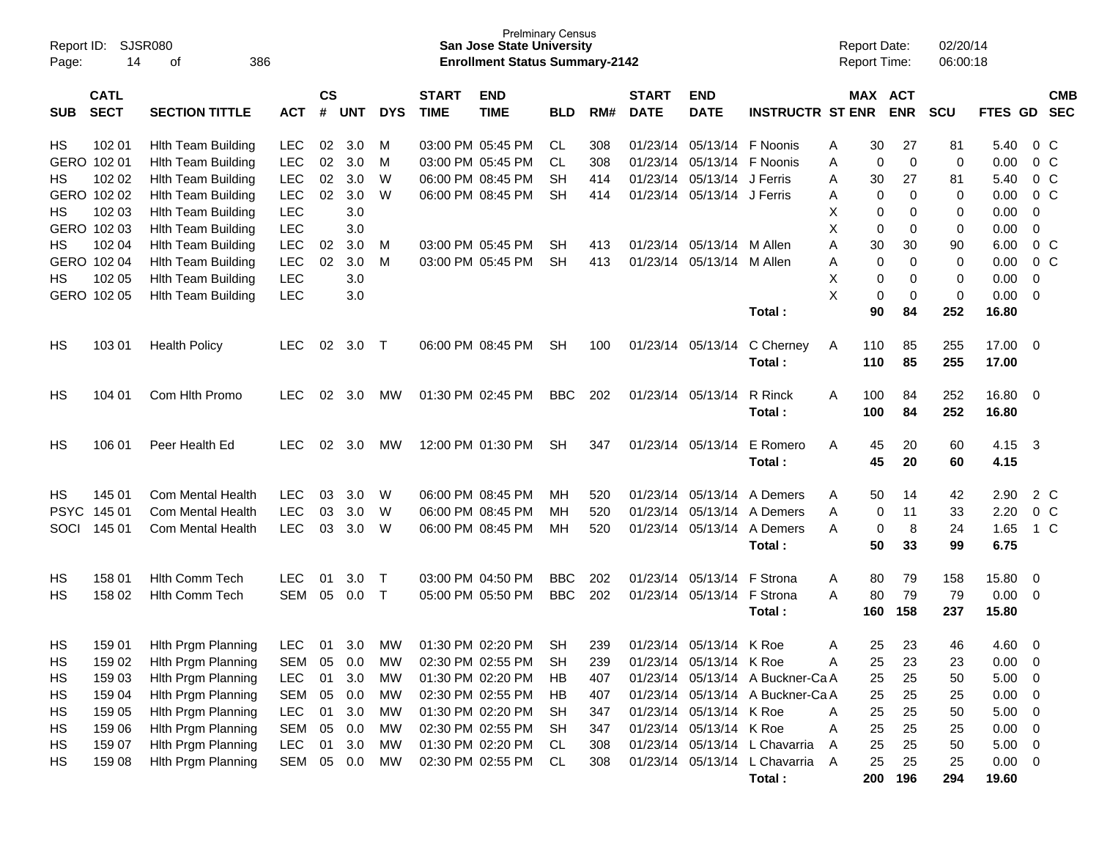| Page:       | <b>SJSR080</b><br>Report ID:<br>386<br>14<br>оf |                           |            |                    |            |             |                             | <b>Prelminary Census</b><br><b>San Jose State University</b><br><b>Enrollment Status Summary-2142</b> |            |     |                             |                           |                                  |   | <b>Report Date:</b><br><b>Report Time:</b> |             | 02/20/14<br>06:00:18 |                |                          |                          |
|-------------|-------------------------------------------------|---------------------------|------------|--------------------|------------|-------------|-----------------------------|-------------------------------------------------------------------------------------------------------|------------|-----|-----------------------------|---------------------------|----------------------------------|---|--------------------------------------------|-------------|----------------------|----------------|--------------------------|--------------------------|
| <b>SUB</b>  | <b>CATL</b><br><b>SECT</b>                      | <b>SECTION TITTLE</b>     | <b>ACT</b> | $\mathsf{cs}$<br># | <b>UNT</b> | <b>DYS</b>  | <b>START</b><br><b>TIME</b> | <b>END</b><br><b>TIME</b>                                                                             | <b>BLD</b> | RM# | <b>START</b><br><b>DATE</b> | <b>END</b><br><b>DATE</b> | <b>INSTRUCTR ST ENR</b>          |   | MAX ACT                                    | <b>ENR</b>  | <b>SCU</b>           | FTES GD        |                          | <b>CMB</b><br><b>SEC</b> |
| HS          | 102 01                                          | <b>Hith Team Building</b> | LEC        | 02                 | 3.0        | M           |                             | 03:00 PM 05:45 PM                                                                                     | <b>CL</b>  | 308 | 01/23/14                    | 05/13/14                  | F Noonis                         | A | 30                                         | 27          | 81                   | 5.40           | $0\,C$                   |                          |
| GERO        | 102 01                                          | <b>Hith Team Building</b> | <b>LEC</b> | 02                 | 3.0        | M           |                             | 03:00 PM 05:45 PM                                                                                     | CL         | 308 | 01/23/14                    | 05/13/14                  | F Noonis                         | A | 0                                          | $\mathbf 0$ | 0                    | 0.00           | 0 <sup>C</sup>           |                          |
| HS          | 102 02                                          | <b>Hith Team Building</b> | <b>LEC</b> | 02                 | 3.0        | W           |                             | 06:00 PM 08:45 PM                                                                                     | <b>SH</b>  | 414 | 01/23/14                    | 05/13/14                  | J Ferris                         | A | 30                                         | 27          | 81                   | 5.40           | 0 <sup>C</sup>           |                          |
| GERO        | 102 02                                          | <b>Hith Team Building</b> | <b>LEC</b> | 02                 | 3.0        | W           |                             | 06:00 PM 08:45 PM                                                                                     | <b>SH</b>  | 414 | 01/23/14                    | 05/13/14                  | J Ferris                         | A | 0                                          | 0           | 0                    | 0.00           | 0 <sup>C</sup>           |                          |
| <b>HS</b>   | 102 03                                          | <b>Hith Team Building</b> | <b>LEC</b> |                    | 3.0        |             |                             |                                                                                                       |            |     |                             |                           |                                  | X | 0                                          | 0           | 0                    | 0.00           | 0                        |                          |
| GERO        | 102 03                                          | <b>Hith Team Building</b> | <b>LEC</b> |                    | 3.0        |             |                             |                                                                                                       |            |     |                             |                           |                                  | X | 0                                          | 0           | 0                    | 0.00           | $\mathbf 0$              |                          |
| НS          | 102 04                                          | <b>Hith Team Building</b> | <b>LEC</b> | 02                 | 3.0        | M           |                             | 03:00 PM 05:45 PM                                                                                     | <b>SH</b>  | 413 | 01/23/14                    | 05/13/14                  | M Allen                          | A | 30                                         | 30          | 90                   | 6.00           | 0 <sup>C</sup>           |                          |
| GERO        | 102 04                                          | <b>Hith Team Building</b> | <b>LEC</b> | 02                 | 3.0        | M           |                             | 03:00 PM 05:45 PM                                                                                     | <b>SH</b>  | 413 | 01/23/14                    | 05/13/14                  | M Allen                          | A | 0                                          | 0           | 0                    | 0.00           | 0 <sup>C</sup>           |                          |
| НS          | 102 05                                          | <b>Hith Team Building</b> | <b>LEC</b> |                    | 3.0        |             |                             |                                                                                                       |            |     |                             |                           |                                  | X | 0                                          | 0           | 0                    | 0.00           | 0                        |                          |
| GERO        | 102 05                                          | <b>Hith Team Building</b> | <b>LEC</b> |                    | 3.0        |             |                             |                                                                                                       |            |     |                             |                           |                                  | X | 0                                          | 0           | 0                    | 0.00           | 0                        |                          |
|             |                                                 |                           |            |                    |            |             |                             |                                                                                                       |            |     |                             |                           | Total:                           |   | 90                                         | 84          | 252                  | 16.80          |                          |                          |
| HS          | 103 01                                          | <b>Health Policy</b>      | <b>LEC</b> | 02                 | 3.0        | $\mathsf T$ |                             | 06:00 PM 08:45 PM                                                                                     | <b>SH</b>  | 100 | 01/23/14                    | 05/13/14                  | C Cherney<br>Total:              | A | 110<br>110                                 | 85<br>85    | 255<br>255           | 17.00<br>17.00 | - 0                      |                          |
| HS          | 104 01                                          | Com Hlth Promo            | <b>LEC</b> | 02                 | 3.0        | MW          |                             | 01:30 PM 02:45 PM                                                                                     | <b>BBC</b> | 202 | 01/23/14 05/13/14           |                           | R Rinck<br>Total:                | A | 100<br>100                                 | 84<br>84    | 252<br>252           | 16.80<br>16.80 | $\overline{\mathbf{0}}$  |                          |
| HS          | 106 01                                          | Peer Health Ed            | <b>LEC</b> | 02                 | 3.0        | MW          |                             | 12:00 PM 01:30 PM                                                                                     | <b>SH</b>  | 347 | 01/23/14 05/13/14           |                           | E Romero<br>Total:               | A | 45<br>45                                   | 20<br>20    | 60<br>60             | 4.15<br>4.15   | $\mathbf{3}$             |                          |
| HS          | 145 01                                          | <b>Com Mental Health</b>  | <b>LEC</b> | 03                 | 3.0        | W           |                             | 06:00 PM 08:45 PM                                                                                     | MН         | 520 | 01/23/14                    | 05/13/14                  | A Demers                         | A | 50                                         | 14          | 42                   | 2.90           | 2 C                      |                          |
| <b>PSYC</b> | 145 01                                          | <b>Com Mental Health</b>  | <b>LEC</b> | 03                 | 3.0        | W           |                             | 06:00 PM 08:45 PM                                                                                     | MН         | 520 | 01/23/14                    | 05/13/14                  | A Demers                         | A | 0                                          | 11          | 33                   | 2.20           | 0 <sup>C</sup>           |                          |
| SOCI        | 145 01                                          | <b>Com Mental Health</b>  | <b>LEC</b> | 03                 | 3.0        | W           |                             | 06:00 PM 08:45 PM                                                                                     | MH         | 520 |                             | 01/23/14 05/13/14         | A Demers                         | A | 0                                          | 8           | 24                   | 1.65           | 1 C                      |                          |
|             |                                                 |                           |            |                    |            |             |                             |                                                                                                       |            |     |                             |                           | Total:                           |   | 50                                         | 33          | 99                   | 6.75           |                          |                          |
| HS          | 158 01                                          | <b>Hith Comm Tech</b>     | <b>LEC</b> | 01                 | 3.0        | Т           |                             | 03:00 PM 04:50 PM                                                                                     | <b>BBC</b> | 202 | 01/23/14                    | 05/13/14                  | F Strona                         | A | 80                                         | 79          | 158                  | 15.80          | 0                        |                          |
| HS          | 158 02                                          | <b>Hith Comm Tech</b>     | <b>SEM</b> | 05                 | 0.0        | $\mathsf T$ |                             | 05:00 PM 05:50 PM                                                                                     | <b>BBC</b> | 202 | 01/23/14 05/13/14           |                           | F Strona                         | A | 80                                         | 79          | 79                   | 0.00           | 0                        |                          |
|             |                                                 |                           |            |                    |            |             |                             |                                                                                                       |            |     |                             |                           | Total:                           |   | 160                                        | 158         | 237                  | 15.80          |                          |                          |
| HS          | 159 01                                          | Hith Prgm Planning        | LEC 01 3.0 |                    |            | MW          |                             | 01:30 PM 02:20 PM                                                                                     | <b>SH</b>  | 239 |                             | 01/23/14 05/13/14         | K Roe                            | A | 25                                         | 23          | 46                   | $4.60 \quad 0$ |                          |                          |
| HS          | 159 02                                          | Hith Prgm Planning        | <b>SEM</b> | 05                 | 0.0        | <b>MW</b>   |                             | 02:30 PM 02:55 PM                                                                                     | <b>SH</b>  | 239 |                             | 01/23/14 05/13/14 K Roe   |                                  | Α | 25                                         | 23          | 23                   | 0.00           | $\overline{0}$           |                          |
| HS          | 159 03                                          | Hith Prgm Planning        | <b>LEC</b> | 01                 | 3.0        | МW          |                             | 01:30 PM 02:20 PM                                                                                     | HB         | 407 |                             |                           | 01/23/14 05/13/14 A Buckner-Ca A |   | 25                                         | 25          | 50                   | 5.00           | $\overline{\mathbf{0}}$  |                          |
| HS          | 159 04                                          | Hith Prgm Planning        | <b>SEM</b> | 05                 | 0.0        | MW          |                             | 02:30 PM 02:55 PM                                                                                     | HB         | 407 |                             |                           | 01/23/14 05/13/14 A Buckner-Ca A |   | 25                                         | 25          | 25                   | 0.00           | $\overline{\mathbf{0}}$  |                          |
| HS          | 159 05                                          | Hith Prgm Planning        | <b>LEC</b> | 01                 | 3.0        | MW          |                             | 01:30 PM 02:20 PM                                                                                     | SH         | 347 |                             | 01/23/14 05/13/14 K Roe   |                                  | A | 25                                         | 25          | 50                   | 5.00           | $\overline{\mathbf{0}}$  |                          |
| HS          | 159 06                                          | Hith Prgm Planning        | <b>SEM</b> | 05                 | 0.0        | МW          |                             | 02:30 PM 02:55 PM                                                                                     | <b>SH</b>  | 347 |                             | 01/23/14 05/13/14 K Roe   |                                  | Α | 25                                         | 25          | 25                   | 0.00           | $\overline{\mathbf{0}}$  |                          |
| HS          | 159 07                                          | Hith Prgm Planning        | <b>LEC</b> | 01                 | 3.0        | MW          |                             | 01:30 PM 02:20 PM                                                                                     | CL         | 308 |                             |                           | 01/23/14 05/13/14 L Chavarria    | A | 25                                         | 25          | 50                   | 5.00           | $\overline{\mathbf{0}}$  |                          |
| HS.         | 159 08                                          | Hith Prgm Planning        | <b>SEM</b> | 05                 | 0.0        | MW          |                             | 02:30 PM 02:55 PM                                                                                     | CL         | 308 |                             |                           | 01/23/14 05/13/14 L Chavarria A  |   | 25                                         | 25          | 25                   | 0.00           | $\overline{\phantom{0}}$ |                          |
|             |                                                 |                           |            |                    |            |             |                             |                                                                                                       |            |     |                             |                           | Total:                           |   | 200                                        | 196         | 294                  | 19.60          |                          |                          |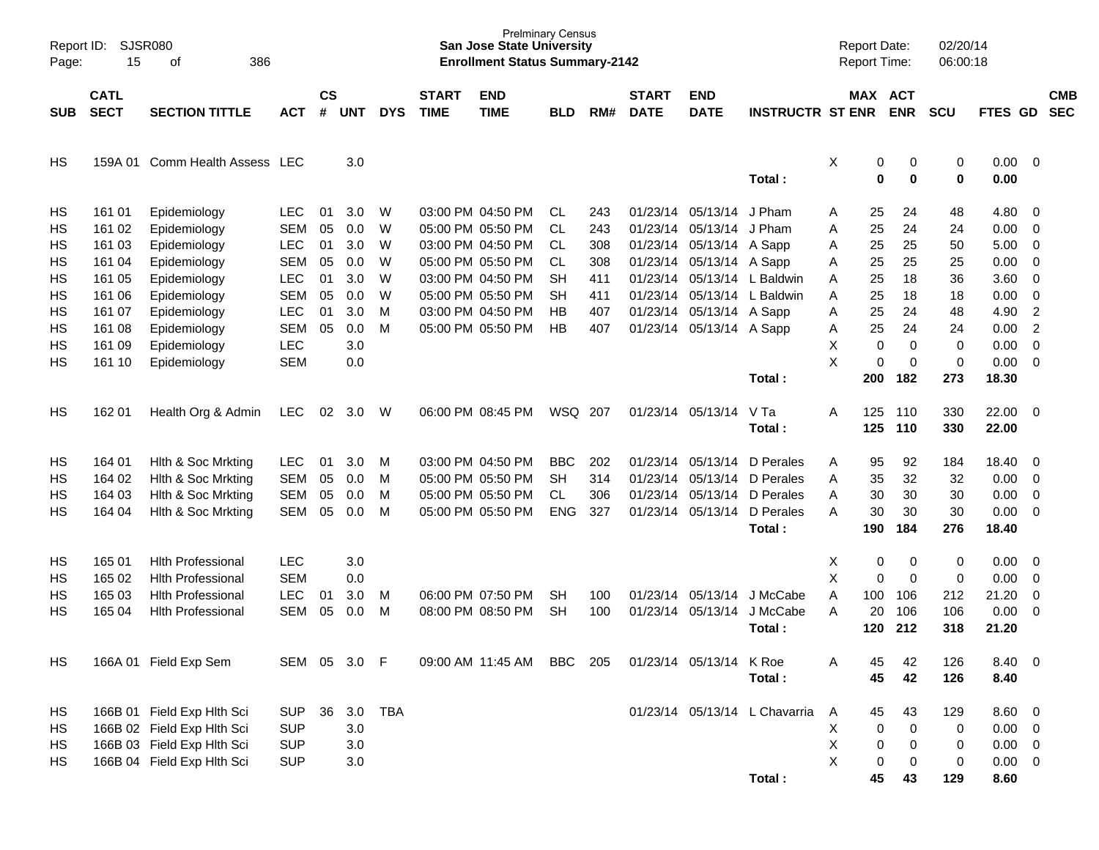| Report ID:<br>Page: | <b>SJSR080</b><br>15       | 386<br>of                      |            |                |              |            |                             | <b>Prelminary Census</b><br><b>San Jose State University</b><br><b>Enrollment Status Summary-2142</b> |            |     |                             |                           |                               | <b>Report Date:</b><br><b>Report Time:</b> |                  |                       | 02/20/14<br>06:00:18 |              |                          |                          |
|---------------------|----------------------------|--------------------------------|------------|----------------|--------------|------------|-----------------------------|-------------------------------------------------------------------------------------------------------|------------|-----|-----------------------------|---------------------------|-------------------------------|--------------------------------------------|------------------|-----------------------|----------------------|--------------|--------------------------|--------------------------|
| <b>SUB</b>          | <b>CATL</b><br><b>SECT</b> | <b>SECTION TITTLE</b>          | <b>ACT</b> | <b>CS</b><br># | <b>UNT</b>   | <b>DYS</b> | <b>START</b><br><b>TIME</b> | <b>END</b><br><b>TIME</b>                                                                             | <b>BLD</b> | RM# | <b>START</b><br><b>DATE</b> | <b>END</b><br><b>DATE</b> | <b>INSTRUCTR ST ENR</b>       |                                            |                  | MAX ACT<br><b>ENR</b> | <b>SCU</b>           | FTES GD      |                          | <b>CMB</b><br><b>SEC</b> |
| HS                  |                            | 159A 01 Comm Health Assess LEC |            |                | 3.0          |            |                             |                                                                                                       |            |     |                             |                           | Total:                        | X                                          | 0<br>$\mathbf 0$ | 0<br>0                | 0<br>$\bf{0}$        | 0.00<br>0.00 | $\overline{\mathbf{0}}$  |                          |
| HS                  | 161 01                     | Epidemiology                   | <b>LEC</b> | 01             | 3.0          | W          |                             | 03:00 PM 04:50 PM                                                                                     | CL.        | 243 |                             | 01/23/14 05/13/14         | J Pham                        | Α                                          | 25               | 24                    | 48                   | 4.80         | - 0                      |                          |
| HS                  | 161 02                     | Epidemiology                   | <b>SEM</b> | 05             | 0.0          | W          |                             | 05:00 PM 05:50 PM                                                                                     | <b>CL</b>  | 243 | 01/23/14                    | 05/13/14                  | J Pham                        | Α                                          | 25               | 24                    | 24                   | 0.00         | $\overline{0}$           |                          |
| HS                  | 161 03                     | Epidemiology                   | <b>LEC</b> | 01             | 3.0          | W          |                             | 03:00 PM 04:50 PM                                                                                     | <b>CL</b>  | 308 |                             | 01/23/14 05/13/14 A Sapp  |                               | Α                                          | 25               | 25                    | 50                   | 5.00         | $\overline{0}$           |                          |
| HS                  | 161 04                     | Epidemiology                   | <b>SEM</b> | 05             | 0.0          | W          |                             | 05:00 PM 05:50 PM                                                                                     | CL         | 308 |                             | 01/23/14 05/13/14 A Sapp  |                               | Α                                          | 25               | 25                    | 25                   | 0.00         | $\overline{0}$           |                          |
| HS                  | 161 05                     | Epidemiology                   | <b>LEC</b> | 01             | 3.0          | W          |                             | 03:00 PM 04:50 PM                                                                                     | <b>SH</b>  | 411 | 01/23/14                    |                           | 05/13/14 L Baldwin            | Α                                          | 25               | 18                    | 36                   | 3.60         | $\overline{0}$           |                          |
| HS                  | 161 06                     | Epidemiology                   | <b>SEM</b> | 05             | 0.0          | W          |                             | 05:00 PM 05:50 PM                                                                                     | <b>SH</b>  | 411 | 01/23/14                    |                           | 05/13/14 L Baldwin            | Α                                          | 25               | 18                    | 18                   | 0.00         | $\mathbf 0$              |                          |
| HS                  | 161 07                     | Epidemiology                   | <b>LEC</b> | 01             | 3.0          | M          |                             | 03:00 PM 04:50 PM                                                                                     | HВ         | 407 |                             | 01/23/14 05/13/14 A Sapp  |                               | Α                                          | 25               | 24                    | 48                   | 4.90         | $\overline{2}$           |                          |
| HS                  | 161 08                     | Epidemiology                   | <b>SEM</b> | 05             | 0.0          | M          |                             | 05:00 PM 05:50 PM                                                                                     | HВ         | 407 |                             | 01/23/14 05/13/14 A Sapp  |                               | Α                                          | 25               | 24                    | 24                   | 0.00         | $\overline{2}$           |                          |
| HS                  | 161 09                     | Epidemiology                   | <b>LEC</b> |                | 3.0          |            |                             |                                                                                                       |            |     |                             |                           |                               | X                                          | $\mathbf 0$      | $\mathbf 0$           | 0                    | 0.00         | $\mathbf 0$              |                          |
| HS                  | 161 10                     | Epidemiology                   | <b>SEM</b> |                | 0.0          |            |                             |                                                                                                       |            |     |                             |                           |                               | X                                          | 0                | $\mathbf 0$           | 0                    | 0.00         | $\overline{0}$           |                          |
|                     |                            |                                |            |                |              |            |                             |                                                                                                       |            |     |                             |                           | Total:                        |                                            | 200              | 182                   | 273                  | 18.30        |                          |                          |
| HS                  | 162 01                     | Health Org & Admin             | <b>LEC</b> | 02             | 3.0          | W          |                             | 06:00 PM 08:45 PM                                                                                     | WSQ 207    |     |                             | 01/23/14 05/13/14         | V Ta                          | A                                          | 125              | 110                   | 330                  | 22.00        | $\overline{\phantom{0}}$ |                          |
|                     |                            |                                |            |                |              |            |                             |                                                                                                       |            |     |                             |                           | Total:                        |                                            | 125              | 110                   | 330                  | 22.00        |                          |                          |
| HS                  | 164 01                     | Hith & Soc Mrkting             | <b>LEC</b> | 01             | 3.0          | м          |                             | 03:00 PM 04:50 PM                                                                                     | <b>BBC</b> | 202 | 01/23/14                    | 05/13/14                  | D Perales                     | Α                                          | 95               | 92                    | 184                  | 18.40        | - 0                      |                          |
| HS                  | 164 02                     | Hith & Soc Mrkting             | <b>SEM</b> | 05             | 0.0          | M          |                             | 05:00 PM 05:50 PM                                                                                     | <b>SH</b>  | 314 | 01/23/14                    | 05/13/14                  | D Perales                     | Α                                          | 35               | 32                    | 32                   | 0.00         | $\overline{0}$           |                          |
| HS                  | 164 03                     | Hith & Soc Mrkting             | <b>SEM</b> | 05             | 0.0          | M          |                             | 05:00 PM 05:50 PM                                                                                     | <b>CL</b>  | 306 | 01/23/14                    | 05/13/14                  | D Perales                     | Α                                          | 30               | 30                    | 30                   | 0.00         | $\overline{0}$           |                          |
| HS                  | 164 04                     | Hith & Soc Mrkting             | <b>SEM</b> | 05             | 0.0          | M          |                             | 05:00 PM 05:50 PM                                                                                     | <b>ENG</b> | 327 |                             | 01/23/14 05/13/14         | D Perales                     | A                                          | 30               | 30                    | 30                   | 0.00         | $\overline{0}$           |                          |
|                     |                            |                                |            |                |              |            |                             |                                                                                                       |            |     |                             |                           | Total:                        |                                            | 190              | 184                   | 276                  | 18.40        |                          |                          |
| HS                  | 165 01                     | <b>Hith Professional</b>       | <b>LEC</b> |                | 3.0          |            |                             |                                                                                                       |            |     |                             |                           |                               | Χ                                          | 0                | 0                     | 0                    | 0.00         | - 0                      |                          |
| HS                  | 165 02                     | <b>Hlth Professional</b>       | <b>SEM</b> |                | 0.0          |            |                             |                                                                                                       |            |     |                             |                           |                               | X                                          | 0                | $\mathbf 0$           | 0                    | 0.00         | $\overline{0}$           |                          |
| HS                  | 165 03                     | <b>Hlth Professional</b>       | <b>LEC</b> | 01             | 3.0          | M          |                             | 06:00 PM 07:50 PM                                                                                     | <b>SH</b>  | 100 |                             | 01/23/14 05/13/14         | J McCabe                      | A                                          | 100              | 106                   | 212                  | 21.20        | $\overline{0}$           |                          |
| HS                  | 165 04                     | <b>Hlth Professional</b>       | <b>SEM</b> | 05             | 0.0          | M          |                             | 08:00 PM 08:50 PM                                                                                     | <b>SH</b>  | 100 | 01/23/14                    | 05/13/14                  | J McCabe                      | A                                          | 20               | 106                   | 106                  | 0.00         | $\overline{\mathbf{0}}$  |                          |
|                     |                            |                                |            |                |              |            |                             |                                                                                                       |            |     |                             |                           | Total:                        |                                            | 120              | 212                   | 318                  | 21.20        |                          |                          |
| HS                  |                            | 166A 01 Field Exp Sem          |            |                | SEM 05 3.0 F |            |                             | 09:00 AM 11:45 AM                                                                                     | <b>BBC</b> | 205 |                             | 01/23/14 05/13/14 K Roe   |                               | Α                                          | 45               | 42                    | 126                  | 8.40 0       |                          |                          |
|                     |                            |                                |            |                |              |            |                             |                                                                                                       |            |     |                             |                           | Total:                        |                                            | 45               | 42                    | 126                  | 8.40         |                          |                          |
| HS                  |                            | 166B 01 Field Exp Hlth Sci     | <b>SUP</b> | 36             | 3.0          | <b>TBA</b> |                             |                                                                                                       |            |     |                             |                           | 01/23/14 05/13/14 L Chavarria | A                                          | 45               | 43                    | 129                  | 8.60 0       |                          |                          |
| HS                  |                            | 166B 02 Field Exp Hlth Sci     | <b>SUP</b> |                | 3.0          |            |                             |                                                                                                       |            |     |                             |                           |                               | Х                                          | 0                | $\mathbf 0$           | 0                    | $0.00 \t 0$  |                          |                          |
| HS                  |                            | 166B 03 Field Exp Hlth Sci     | <b>SUP</b> |                | 3.0          |            |                             |                                                                                                       |            |     |                             |                           |                               | X                                          | 0                | 0                     | 0                    | $0.00 \t 0$  |                          |                          |
| HS                  |                            | 166B 04 Field Exp Hlth Sci     | <b>SUP</b> |                | 3.0          |            |                             |                                                                                                       |            |     |                             |                           |                               | X                                          | 0                | 0                     | 0                    | $0.00 \t 0$  |                          |                          |
|                     |                            |                                |            |                |              |            |                             |                                                                                                       |            |     |                             |                           | Total:                        |                                            | 45               | 43                    | 129                  | 8.60         |                          |                          |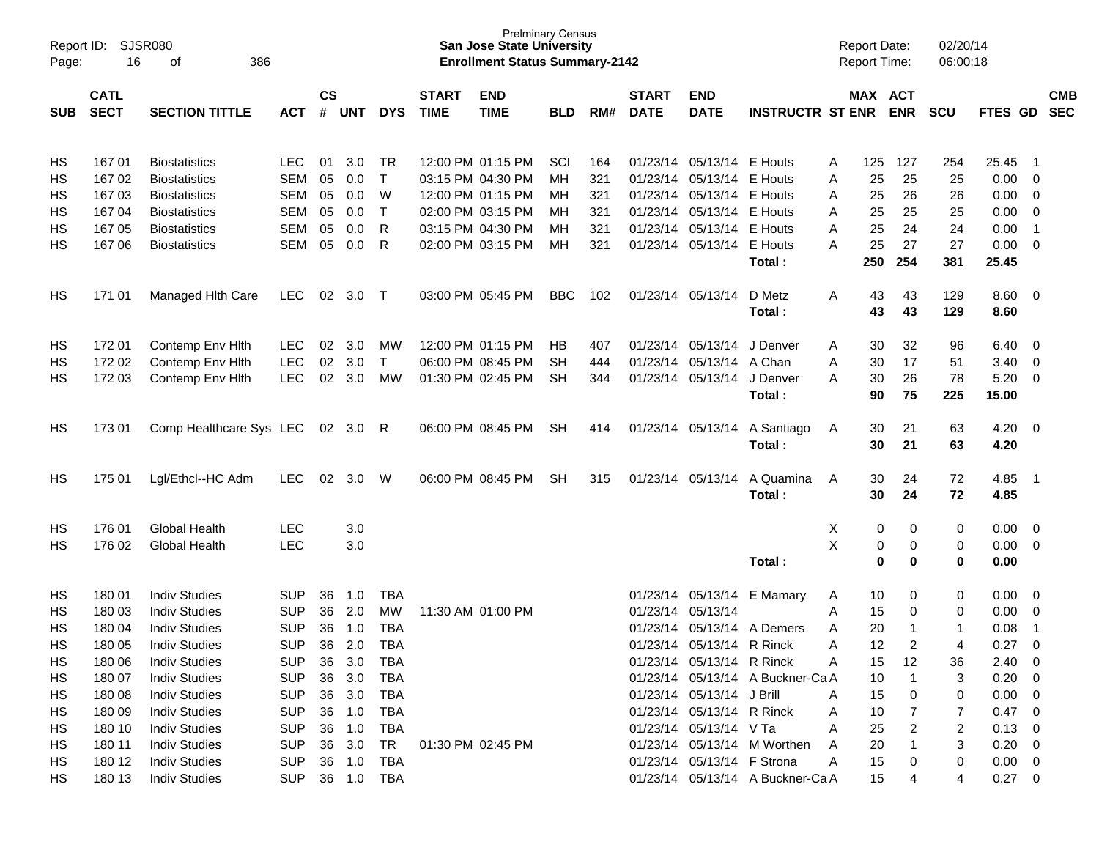| Page:      | <b>SJSR080</b><br>Report ID:<br>16<br>386<br>of |                         |            |           |            |              |              | <b>San Jose State University</b><br><b>Enrollment Status Summary-2142</b> | <b>Prelminary Census</b> |     |              |                            |                                  |   |     | <b>Report Date:</b><br>Report Time: | 02/20/14<br>06:00:18 |                |                |            |
|------------|-------------------------------------------------|-------------------------|------------|-----------|------------|--------------|--------------|---------------------------------------------------------------------------|--------------------------|-----|--------------|----------------------------|----------------------------------|---|-----|-------------------------------------|----------------------|----------------|----------------|------------|
|            | <b>CATL</b>                                     |                         |            | <b>CS</b> |            |              | <b>START</b> | <b>END</b>                                                                |                          |     | <b>START</b> | <b>END</b>                 |                                  |   |     | MAX ACT                             |                      |                |                | <b>CMB</b> |
| <b>SUB</b> | <b>SECT</b>                                     | <b>SECTION TITTLE</b>   | <b>ACT</b> | #         | <b>UNT</b> | <b>DYS</b>   | <b>TIME</b>  | <b>TIME</b>                                                               | <b>BLD</b>               | RM# | <b>DATE</b>  | <b>DATE</b>                | <b>INSTRUCTR ST ENR</b>          |   |     | <b>ENR</b>                          | <b>SCU</b>           | FTES GD        |                | <b>SEC</b> |
| HS         | 167 01                                          | <b>Biostatistics</b>    | <b>LEC</b> | 01        | 3.0        | TR           |              | 12:00 PM 01:15 PM                                                         | SCI                      | 164 |              | 01/23/14 05/13/14          | E Houts                          | A | 125 | 127                                 | 254                  | 25.45          | - 1            |            |
| HS         | 167 02                                          | <b>Biostatistics</b>    | <b>SEM</b> | 05        | $0.0\,$    | $\mathsf{T}$ |              | 03:15 PM 04:30 PM                                                         | MН                       | 321 |              | 01/23/14 05/13/14          | E Houts                          | A | 25  | 25                                  | 25                   | 0.00           | - 0            |            |
| HS         | 167 03                                          | <b>Biostatistics</b>    | <b>SEM</b> | 05        | 0.0        | W            |              | 12:00 PM 01:15 PM                                                         | MН                       | 321 |              | 01/23/14 05/13/14          | E Houts                          | A | 25  | 26                                  | 26                   | 0.00           | 0              |            |
| HS         | 167 04                                          | <b>Biostatistics</b>    | <b>SEM</b> | 05        | 0.0        | $\top$       |              | 02:00 PM 03:15 PM                                                         | мн                       | 321 |              | 01/23/14 05/13/14          | E Houts                          | A | 25  | 25                                  | 25                   | 0.00           | $\overline{0}$ |            |
| HS         | 167 05                                          | <b>Biostatistics</b>    | <b>SEM</b> | 05        | 0.0        | R            |              | 03:15 PM 04:30 PM                                                         | MН                       | 321 |              | 01/23/14 05/13/14          | E Houts                          | A | 25  | 24                                  | 24                   | 0.00           | $\overline{1}$ |            |
| HS         | 167 06                                          | <b>Biostatistics</b>    | <b>SEM</b> | 05        | 0.0        | R            |              | 02:00 PM 03:15 PM                                                         | МH                       | 321 |              | 01/23/14 05/13/14          | E Houts                          | A | 25  | 27                                  | 27                   | 0.00           | 0              |            |
|            |                                                 |                         |            |           |            |              |              |                                                                           |                          |     |              |                            | Total:                           |   | 250 | 254                                 | 381                  | 25.45          |                |            |
| HS         | 171 01                                          | Managed Hith Care       | <b>LEC</b> | 02        | 3.0        | $\top$       |              | 03:00 PM 05:45 PM                                                         | <b>BBC</b>               | 102 |              | 01/23/14 05/13/14          | D Metz                           | Α | 43  | 43                                  | 129                  | 8.60           | - 0            |            |
|            |                                                 |                         |            |           |            |              |              |                                                                           |                          |     |              |                            | Total:                           |   | 43  | 43                                  | 129                  | 8.60           |                |            |
|            |                                                 |                         |            |           |            |              |              |                                                                           |                          |     |              |                            |                                  |   |     |                                     |                      |                |                |            |
| HS         | 17201                                           | Contemp Env Hith        | <b>LEC</b> | 02        | 3.0        | МW           |              | 12:00 PM 01:15 PM                                                         | НB                       | 407 |              | 01/23/14 05/13/14          | J Denver                         | A | 30  | 32                                  | 96                   | 6.40           | - 0            |            |
| HS         | 172 02                                          | Contemp Env Hith        | <b>LEC</b> | 02        | 3.0        | $\mathsf{T}$ |              | 06:00 PM 08:45 PM                                                         | SH                       | 444 |              | 01/23/14 05/13/14          | A Chan                           | A | 30  | 17                                  | 51                   | 3.40           | $\overline{0}$ |            |
| HS         | 172 03                                          | Contemp Env Hith        | <b>LEC</b> | 02        | 3.0        | <b>MW</b>    |              | 01:30 PM 02:45 PM                                                         | <b>SH</b>                | 344 |              | 01/23/14 05/13/14          | J Denver                         | A | 30  | 26                                  | 78                   | 5.20           | $\overline{0}$ |            |
|            |                                                 |                         |            |           |            |              |              |                                                                           |                          |     |              |                            | Total:                           |   | 90  | 75                                  | 225                  | 15.00          |                |            |
|            |                                                 |                         |            |           |            |              |              |                                                                           |                          |     |              |                            |                                  |   |     |                                     |                      |                |                |            |
| HS         | 173 01                                          | Comp Healthcare Sys LEC |            | 02        | 3.0        | R            |              | 06:00 PM 08:45 PM                                                         | <b>SH</b>                | 414 |              | 01/23/14 05/13/14          | A Santiago                       | A | 30  | 21                                  | 63                   | 4.20           | - 0            |            |
|            |                                                 |                         |            |           |            |              |              |                                                                           |                          |     |              |                            | Total:                           |   | 30  | 21                                  | 63                   | 4.20           |                |            |
|            |                                                 |                         |            |           |            |              |              |                                                                           |                          |     |              |                            |                                  |   |     |                                     |                      |                |                |            |
| HS         | 175 01                                          | Lgl/Ethcl--HC Adm       | <b>LEC</b> | 02        | 3.0        | W            |              | 06:00 PM 08:45 PM                                                         | SH                       | 315 |              | 01/23/14 05/13/14          | A Quamina                        | A | 30  | 24                                  | 72                   | 4.85           | - 1            |            |
|            |                                                 |                         |            |           |            |              |              |                                                                           |                          |     |              |                            | Total:                           |   | 30  | 24                                  | 72                   | 4.85           |                |            |
| HS         | 176 01                                          | <b>Global Health</b>    | <b>LEC</b> |           | 3.0        |              |              |                                                                           |                          |     |              |                            |                                  | Х | 0   | 0                                   | 0                    | 0.00           | - 0            |            |
| НS         | 176 02                                          | Global Health           | <b>LEC</b> |           | 3.0        |              |              |                                                                           |                          |     |              |                            |                                  | X | 0   | 0                                   | 0                    | 0.00           | $\overline{0}$ |            |
|            |                                                 |                         |            |           |            |              |              |                                                                           |                          |     |              |                            | Total:                           |   | 0   | 0                                   | 0                    | 0.00           |                |            |
| HS         | 180 01                                          | <b>Indiv Studies</b>    | SUP        | 36        | 1.0        | <b>TBA</b>   |              |                                                                           |                          |     |              | 01/23/14 05/13/14          | E Mamary                         | A | 10  | 0                                   | 0                    | 0.00           | 0              |            |
| HS         | 180 03                                          | <b>Indiv Studies</b>    | <b>SUP</b> | 36        | 2.0        | <b>MW</b>    |              | 11:30 AM 01:00 PM                                                         |                          |     | 01/23/14     | 05/13/14                   |                                  | Α | 15  | 0                                   | 0                    | 0.00           | 0              |            |
| HS         | 180 04                                          | <b>Indiv Studies</b>    | <b>SUP</b> | 36        | 1.0        | <b>TBA</b>   |              |                                                                           |                          |     |              | 01/23/14 05/13/14          | A Demers                         | A | 20  | $\mathbf 1$                         | 1                    | 0.08           | $\overline{1}$ |            |
| <b>HS</b>  | 180 05                                          | <b>Indiv Studies</b>    | <b>SUP</b> | 36        | 2.0        | <b>TBA</b>   |              |                                                                           |                          |     |              | 01/23/14 05/13/14 R Rinck  |                                  | A | 12  | 2                                   | 4                    | 0.27           | $\overline{0}$ |            |
| HS         | 180 06                                          | <b>Indiv Studies</b>    | <b>SUP</b> | 36        | 3.0        | TBA          |              |                                                                           |                          |     |              | 01/23/14 05/13/14 R Rinck  |                                  | Α | 15  | 12                                  | 36                   | $2.40 \ 0$     |                |            |
| HS         | 180 07                                          | <b>Indiv Studies</b>    | <b>SUP</b> | 36        | 3.0        | <b>TBA</b>   |              |                                                                           |                          |     |              |                            | 01/23/14 05/13/14 A Buckner-Ca A |   | 10  | $\overline{1}$                      | 3                    | $0.20 \ 0$     |                |            |
| HS         | 180 08                                          | <b>Indiv Studies</b>    | <b>SUP</b> | 36        | 3.0        | <b>TBA</b>   |              |                                                                           |                          |     |              | 01/23/14 05/13/14 J Brill  |                                  | A | 15  | 0                                   | 0                    | $0.00 \quad 0$ |                |            |
| HS         | 180 09                                          | <b>Indiv Studies</b>    | <b>SUP</b> | 36        | 1.0        | <b>TBA</b>   |              |                                                                           |                          |     |              | 01/23/14 05/13/14 R Rinck  |                                  | Α | 10  |                                     | 7                    | $0.47 \quad 0$ |                |            |
| HS         | 180 10                                          | <b>Indiv Studies</b>    | <b>SUP</b> | 36        | 1.0        | <b>TBA</b>   |              |                                                                           |                          |     |              | 01/23/14 05/13/14 V Ta     |                                  | Α | 25  | 2                                   | $\overline{2}$       | $0.13 \ 0$     |                |            |
| HS         | 180 11                                          | <b>Indiv Studies</b>    | <b>SUP</b> | 36        | 3.0        | TR           |              | 01:30 PM 02:45 PM                                                         |                          |     |              |                            | 01/23/14 05/13/14 M Worthen      | A | 20  |                                     | 3                    | $0.20 \ 0$     |                |            |
| HS         | 180 12                                          | <b>Indiv Studies</b>    | <b>SUP</b> | 36        | 1.0        | TBA          |              |                                                                           |                          |     |              | 01/23/14 05/13/14 F Strona |                                  | A | 15  | 0                                   | 0                    | $0.00 \quad 0$ |                |            |
| <b>HS</b>  | 180 13                                          | <b>Indiv Studies</b>    | <b>SUP</b> |           |            | 36 1.0 TBA   |              |                                                                           |                          |     |              |                            | 01/23/14 05/13/14 A Buckner-Ca A |   | 15  | 4                                   | 4                    | $0.27 \quad 0$ |                |            |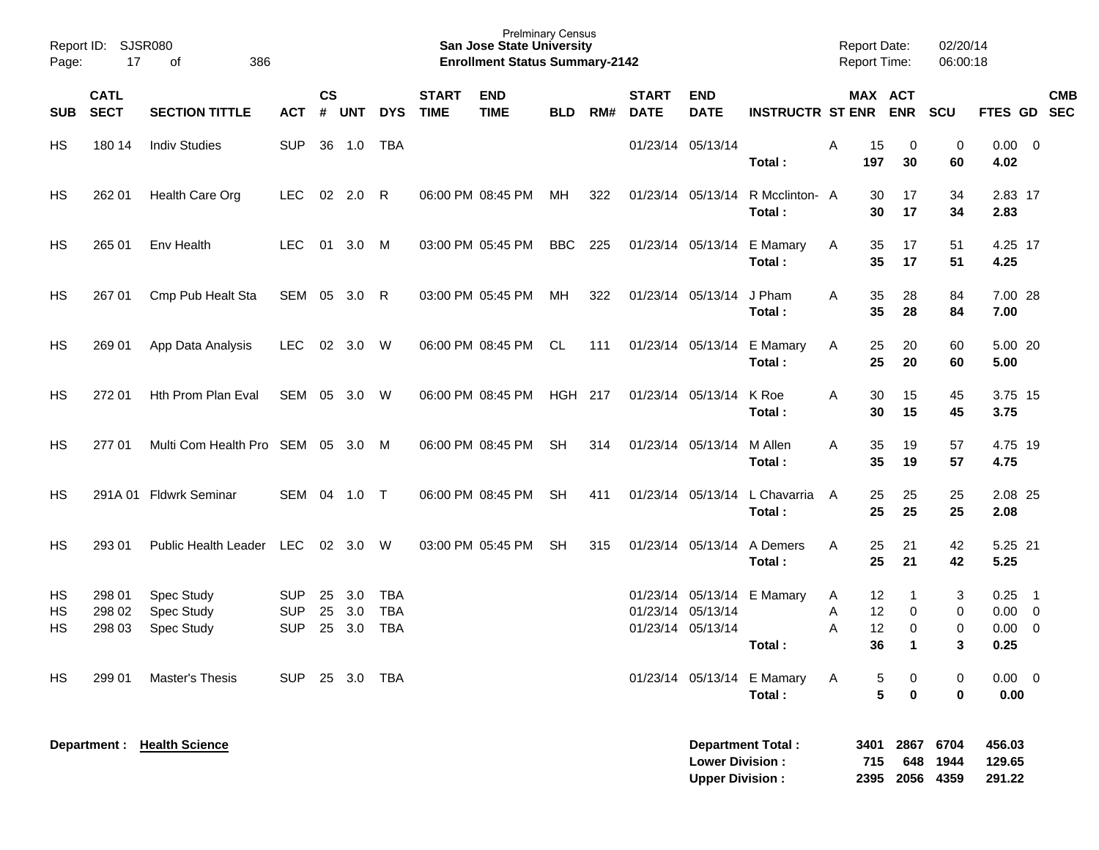| Report ID:<br>Page: | SJSR080<br>17              |                                               |                                        |                |                   |                                        | <b>Prelminary Census</b><br><b>San Jose State University</b><br><b>Enrollment Status Summary-2142</b> |                           |            |     |                             |                                                  |                                      | <b>Report Date:</b><br><b>Report Time:</b> |                      | 02/20/14<br>06:00:18                 |                  |                              |                                                                       |            |
|---------------------|----------------------------|-----------------------------------------------|----------------------------------------|----------------|-------------------|----------------------------------------|-------------------------------------------------------------------------------------------------------|---------------------------|------------|-----|-----------------------------|--------------------------------------------------|--------------------------------------|--------------------------------------------|----------------------|--------------------------------------|------------------|------------------------------|-----------------------------------------------------------------------|------------|
| <b>SUB</b>          | <b>CATL</b><br><b>SECT</b> | <b>SECTION TITTLE</b>                         | <b>ACT</b>                             | $\mathsf{cs}$  | # UNT             | <b>DYS</b>                             | <b>START</b><br><b>TIME</b>                                                                           | <b>END</b><br><b>TIME</b> | <b>BLD</b> | RM# | <b>START</b><br><b>DATE</b> | <b>END</b><br><b>DATE</b>                        | <b>INSTRUCTR ST ENR ENR</b>          |                                            |                      | MAX ACT                              | <b>SCU</b>       | FTES GD SEC                  |                                                                       | <b>CMB</b> |
| HS                  | 180 14                     | <b>Indiv Studies</b>                          | <b>SUP</b>                             |                | 36 1.0            | TBA                                    |                                                                                                       |                           |            |     |                             | 01/23/14 05/13/14                                | Total:                               | Α                                          | 15<br>197            | 0<br>30                              | 0<br>60          | 0.00<br>4.02                 | $\overline{\mathbf{0}}$                                               |            |
| HS                  | 262 01                     | Health Care Org                               | <b>LEC</b>                             |                | $02 \quad 2.0$    | - R                                    |                                                                                                       | 06:00 PM 08:45 PM         | МH         | 322 |                             | 01/23/14 05/13/14                                | R Mcclinton- A<br>Total:             |                                            | 30<br>30             | 17<br>17                             | 34<br>34         | 2.83 17<br>2.83              |                                                                       |            |
| HS                  | 265 01                     | Env Health                                    | <b>LEC</b>                             |                | 01 3.0 M          |                                        |                                                                                                       | 03:00 PM 05:45 PM         | BBC        | 225 |                             |                                                  | 01/23/14 05/13/14 E Mamary<br>Total: | A                                          | 35<br>35             | 17<br>17                             | 51<br>51         | 4.25 17<br>4.25              |                                                                       |            |
| HS                  | 267 01                     | Cmp Pub Healt Sta                             | SEM 05 3.0 R                           |                |                   |                                        |                                                                                                       | 03:00 PM 05:45 PM         | МH         | 322 |                             | 01/23/14 05/13/14                                | J Pham<br>Total:                     | A                                          | 35<br>35             | 28<br>28                             | 84<br>84         | 7.00 28<br>7.00              |                                                                       |            |
| HS                  | 269 01                     | App Data Analysis                             | <b>LEC</b>                             |                | 02 3.0            | - W                                    |                                                                                                       | 06:00 PM 08:45 PM         | CL         | 111 |                             | 01/23/14 05/13/14                                | E Mamary<br>Total:                   | A                                          | 25<br>25             | 20<br>20                             | 60<br>60         | 5.00 20<br>5.00              |                                                                       |            |
| HS                  | 272 01                     | Hth Prom Plan Eval                            | SEM 05 3.0 W                           |                |                   |                                        |                                                                                                       | 06:00 PM 08:45 PM         | HGH 217    |     |                             | 01/23/14 05/13/14                                | K Roe<br>Total:                      | Α                                          | 30<br>30             | 15<br>15                             | 45<br>45         | 3.75 15<br>3.75              |                                                                       |            |
| HS                  | 27701                      | Multi Com Health Pro SEM 05 3.0 M             |                                        |                |                   |                                        |                                                                                                       | 06:00 PM 08:45 PM         | SH         | 314 |                             | 01/23/14 05/13/14                                | M Allen<br>Total:                    | A                                          | 35<br>35             | 19<br>19                             | 57<br>57         | 4.75 19<br>4.75              |                                                                       |            |
| HS                  |                            | 291A 01 Fldwrk Seminar                        | SEM 04 1.0 T                           |                |                   |                                        |                                                                                                       | 06:00 PM 08:45 PM         | <b>SH</b>  | 411 |                             | 01/23/14 05/13/14                                | L Chavarria<br>Total:                | A                                          | 25<br>25             | 25<br>25                             | 25<br>25         | 2.08 25<br>2.08              |                                                                       |            |
| HS                  | 293 01                     | <b>Public Health Leader</b>                   | LEC                                    |                | 02 3.0 W          |                                        |                                                                                                       | 03:00 PM 05:45 PM         | <b>SH</b>  | 315 |                             | 01/23/14 05/13/14                                | A Demers<br>Total:                   | A                                          | 25<br>25             | 21<br>21                             | 42<br>42         | 5.25 21<br>5.25              |                                                                       |            |
| HS<br>НS<br>HS      | 298 01<br>298 02<br>298 03 | <b>Spec Study</b><br>Spec Study<br>Spec Study | <b>SUP</b><br><b>SUP</b><br><b>SUP</b> | 25<br>25<br>25 | 3.0<br>3.0<br>3.0 | <b>TBA</b><br><b>TBA</b><br><b>TBA</b> |                                                                                                       |                           |            |     |                             | 01/23/14 05/13/14<br>01/23/14 05/13/14           | 01/23/14 05/13/14 E Mamary<br>Total: | A<br>A<br>A                                | 12<br>12<br>12<br>36 | -1<br>0<br>0<br>$\blacktriangleleft$ | 3<br>0<br>0<br>3 | 0.25<br>0.00<br>0.00<br>0.25 | $\overline{\phantom{1}}$<br>$\overline{\mathbf{0}}$<br>$\overline{0}$ |            |
| HS                  | 299 01                     | Master's Thesis                               | <b>SUP</b>                             |                | 25 3.0            | TBA                                    |                                                                                                       |                           |            |     |                             |                                                  | 01/23/14 05/13/14 E Mamary<br>Total: | A                                          | 5<br>5               | 0<br>$\bf{0}$                        | 0<br>$\bf{0}$    | 0.00<br>0.00                 | $\overline{\mathbf{0}}$                                               |            |
|                     | Department :               | <b>Health Science</b>                         |                                        |                |                   |                                        |                                                                                                       |                           |            |     |                             | <b>Lower Division:</b><br><b>Upper Division:</b> | <b>Department Total:</b>             |                                            | 3401<br>715          | 2867<br>648<br>2395 2056 4359        | 6704<br>1944     | 456.03<br>129.65<br>291.22   |                                                                       |            |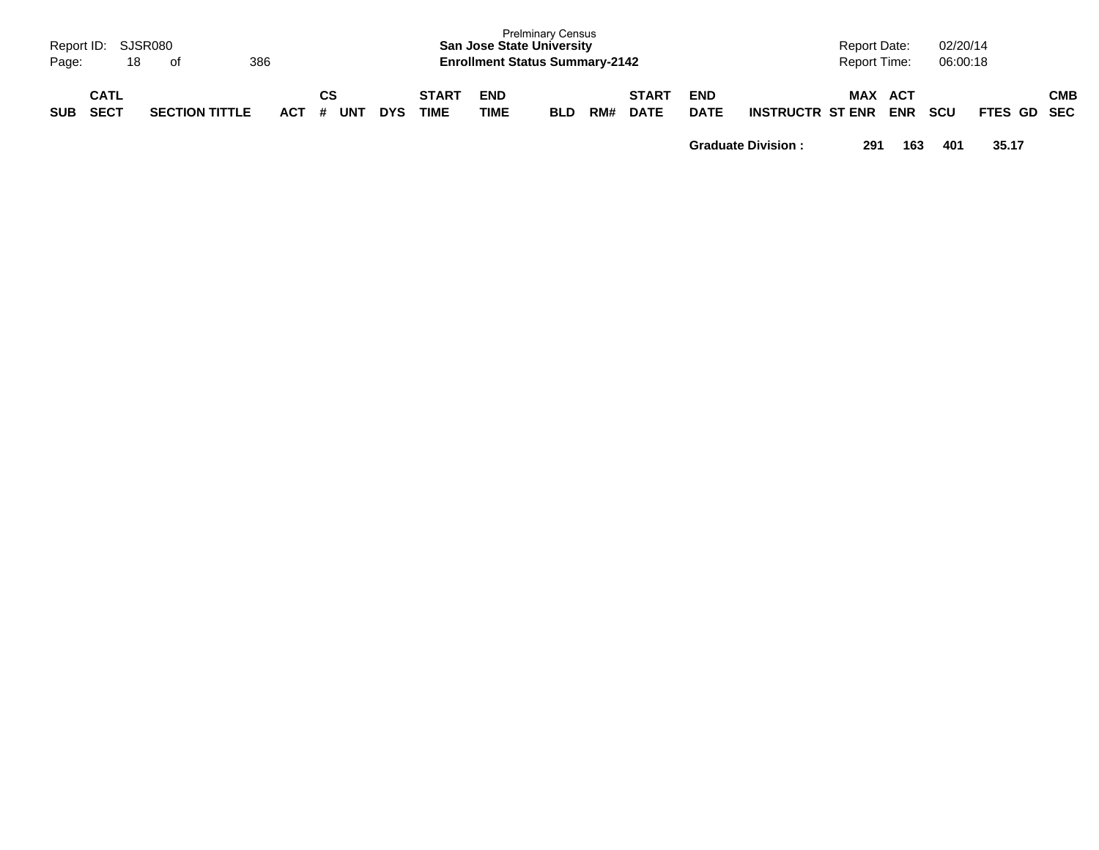| Page:      | Report ID: SJSR080<br>386<br>18<br>of |                       |         |           |            |                      | <b>San Jose State University</b><br><b>Enrollment Status Summary-2142</b> | <b>Prelminary Census</b> |     |                             |                           |                         | <b>Report Date:</b><br><b>Report Time:</b> |                   | 02/20/14<br>06:00:18 |             |     |
|------------|---------------------------------------|-----------------------|---------|-----------|------------|----------------------|---------------------------------------------------------------------------|--------------------------|-----|-----------------------------|---------------------------|-------------------------|--------------------------------------------|-------------------|----------------------|-------------|-----|
| <b>SUB</b> | <b>CATL</b><br><b>SECT</b>            | <b>SECTION TITTLE</b> | $ACT$ # | CS<br>UNT | <b>DYS</b> | <b>START</b><br>TIME | <b>END</b><br>TIME                                                        | <b>BLD</b>               | RM# | <b>START</b><br><b>DATE</b> | <b>END</b><br><b>DATE</b> | <b>INSTRUCTR ST ENR</b> | MAX                                        | ACT<br><b>ENR</b> | <b>SCU</b>           | FTES GD SEC | СМВ |

**Graduate Division : 291 163 401 35.17**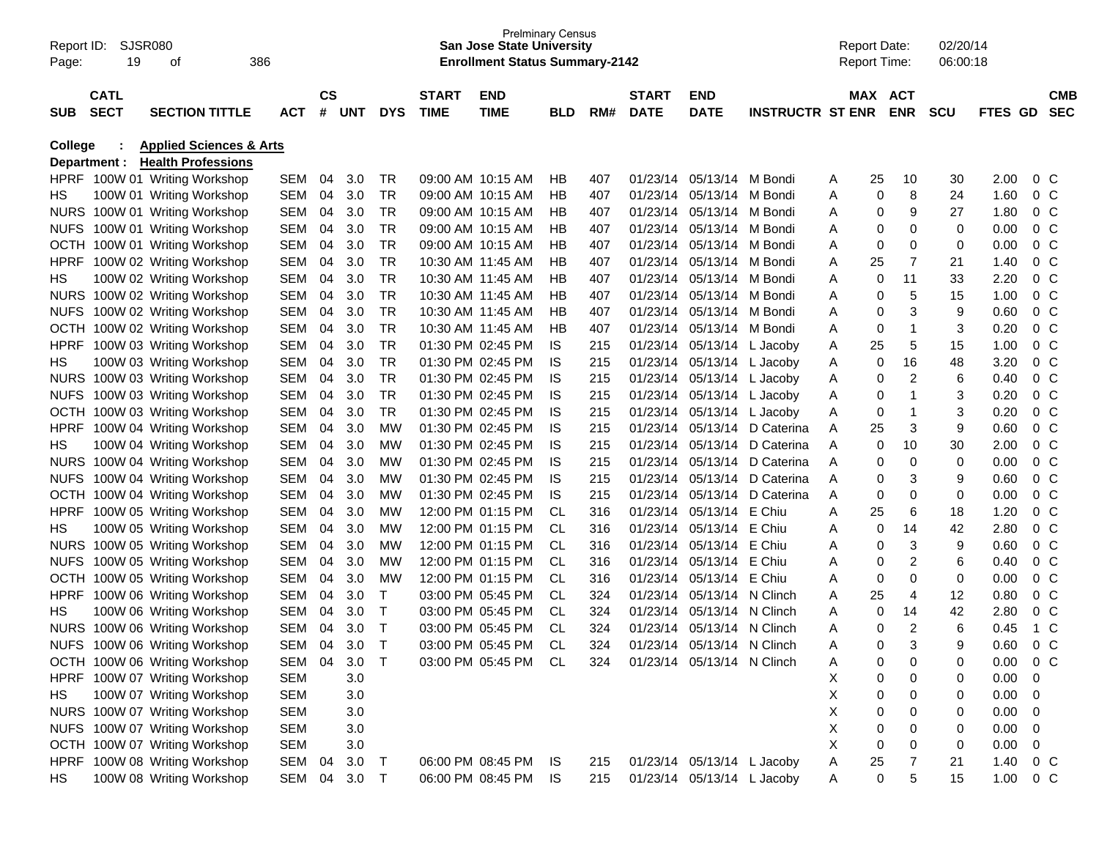| Report ID:<br>Page: | SJSR080<br>19              | οf                                 | 386        |               |       |              |                             | <b>Prelminary Census</b><br><b>San Jose State University</b><br><b>Enrollment Status Summary-2142</b> |            |     |                             |                            |                         |   | <b>Report Date:</b><br><b>Report Time:</b> |                         | 02/20/14<br>06:00:18 |         |                  |                          |
|---------------------|----------------------------|------------------------------------|------------|---------------|-------|--------------|-----------------------------|-------------------------------------------------------------------------------------------------------|------------|-----|-----------------------------|----------------------------|-------------------------|---|--------------------------------------------|-------------------------|----------------------|---------|------------------|--------------------------|
| <b>SUB</b>          | <b>CATL</b><br><b>SECT</b> | <b>SECTION TITTLE</b>              | <b>ACT</b> | $\mathsf{cs}$ | # UNT | <b>DYS</b>   | <b>START</b><br><b>TIME</b> | <b>END</b><br><b>TIME</b>                                                                             | <b>BLD</b> | RM# | <b>START</b><br><b>DATE</b> | <b>END</b><br><b>DATE</b>  | <b>INSTRUCTR ST ENR</b> |   | MAX ACT                                    | <b>ENR</b>              | <b>SCU</b>           | FTES GD |                  | <b>CMB</b><br><b>SEC</b> |
| <b>College</b>      |                            | <b>Applied Sciences &amp; Arts</b> |            |               |       |              |                             |                                                                                                       |            |     |                             |                            |                         |   |                                            |                         |                      |         |                  |                          |
|                     | Department :               | <b>Health Professions</b>          |            |               |       |              |                             |                                                                                                       |            |     |                             |                            |                         |   |                                            |                         |                      |         |                  |                          |
|                     |                            | HPRF 100W 01 Writing Workshop      | SEM        | 04            | 3.0   | TR           |                             | 09:00 AM 10:15 AM                                                                                     | HВ         | 407 | 01/23/14                    | 05/13/14 M Bondi           |                         | A | 25                                         | 10                      | 30                   | 2.00    | $0\,C$           |                          |
| HS                  |                            | 100W 01 Writing Workshop           | SEM        | 04            | 3.0   | TR           |                             | 09:00 AM 10:15 AM                                                                                     | <b>HB</b>  | 407 | 01/23/14                    | 05/13/14 M Bondi           |                         | A | 0                                          | 8                       | 24                   | 1.60    | 0 <sup>C</sup>   |                          |
|                     |                            | NURS 100W 01 Writing Workshop      | SEM        | 04            | 3.0   | <b>TR</b>    |                             | 09:00 AM 10:15 AM                                                                                     | НB         | 407 | 01/23/14                    | 05/13/14 M Bondi           |                         | Α | 0                                          | 9                       | 27                   | 1.80    | 0 <sup>C</sup>   |                          |
| <b>NUFS</b>         |                            | 100W 01 Writing Workshop           | SEM        | 04            | 3.0   | <b>TR</b>    |                             | 09:00 AM 10:15 AM                                                                                     | <b>HB</b>  | 407 | 01/23/14                    | 05/13/14 M Bondi           |                         | A | 0                                          | 0                       | 0                    | 0.00    | 0 <sup>C</sup>   |                          |
| <b>OCTH</b>         |                            | 100W 01 Writing Workshop           | SEM        | 04            | 3.0   | <b>TR</b>    |                             | 09:00 AM 10:15 AM                                                                                     | <b>HB</b>  | 407 | 01/23/14                    | 05/13/14 M Bondi           |                         | Α | 0                                          | 0                       | $\mathbf 0$          | 0.00    | 0 <sup>C</sup>   |                          |
| <b>HPRF</b>         |                            | 100W 02 Writing Workshop           | SEM        | 04            | 3.0   | <b>TR</b>    |                             | 10:30 AM 11:45 AM                                                                                     | <b>HB</b>  | 407 | 01/23/14                    | 05/13/14 M Bondi           |                         | Α | 25                                         | 7                       | 21                   | 1.40    | 0 <sup>C</sup>   |                          |
| HS                  |                            | 100W 02 Writing Workshop           | SEM        | 04            | 3.0   | <b>TR</b>    |                             | 10:30 AM 11:45 AM                                                                                     | HB         | 407 | 01/23/14                    | 05/13/14 M Bondi           |                         | Α | 0                                          | 11                      | 33                   | 2.20    | 0 <sup>C</sup>   |                          |
|                     |                            | NURS 100W 02 Writing Workshop      | SEM        | 04            | 3.0   | <b>TR</b>    |                             | 10:30 AM 11:45 AM                                                                                     | HB         | 407 | 01/23/14                    | 05/13/14 M Bondi           |                         | A | 0                                          | 5                       | 15                   | 1.00    | 0 <sup>C</sup>   |                          |
| <b>NUFS</b>         |                            | 100W 02 Writing Workshop           | SEM        | 04            | 3.0   | <b>TR</b>    |                             | 10:30 AM 11:45 AM                                                                                     | <b>HB</b>  | 407 | 01/23/14                    | 05/13/14 M Bondi           |                         | A | 0                                          | 3                       | 9                    | 0.60    | 0 <sup>C</sup>   |                          |
| OCTH                |                            | 100W 02 Writing Workshop           | SEM        | 04            | 3.0   | <b>TR</b>    |                             | 10:30 AM 11:45 AM                                                                                     | HB         | 407 | 01/23/14                    | 05/13/14 M Bondi           |                         | Α | 0                                          | -1                      | 3                    | 0.20    | 0 <sup>C</sup>   |                          |
| <b>HPRF</b>         |                            | 100W 03 Writing Workshop           | SEM        | 04            | 3.0   | <b>TR</b>    |                             | 01:30 PM 02:45 PM                                                                                     | IS         | 215 | 01/23/14                    |                            | 05/13/14 L Jacoby       | A | 25                                         | 5                       | 15                   | 1.00    | 0 <sup>C</sup>   |                          |
| HS                  |                            | 100W 03 Writing Workshop           | SEM        | 04            | 3.0   | <b>TR</b>    |                             | 01:30 PM 02:45 PM                                                                                     | IS         | 215 | 01/23/14                    |                            | 05/13/14 L Jacoby       | Α | 0                                          | 16                      | 48                   | 3.20    | 0 <sup>C</sup>   |                          |
|                     |                            | NURS 100W 03 Writing Workshop      | SEM        | 04            | 3.0   | <b>TR</b>    |                             | 01:30 PM 02:45 PM                                                                                     | IS         | 215 | 01/23/14                    |                            | 05/13/14 L Jacoby       | Α | 0                                          | $\overline{c}$          | 6                    | 0.40    | 0 <sup>C</sup>   |                          |
| <b>NUFS</b>         |                            | 100W 03 Writing Workshop           | SEM        | 04            | 3.0   | <b>TR</b>    |                             | 01:30 PM 02:45 PM                                                                                     | IS         | 215 | 01/23/14                    |                            | 05/13/14 L Jacoby       | Α | 0                                          | 1                       | 3                    | 0.20    | 0 <sup>C</sup>   |                          |
|                     |                            | OCTH 100W 03 Writing Workshop      | SEM        | 04            | 3.0   | <b>TR</b>    |                             | 01:30 PM 02:45 PM                                                                                     | IS         | 215 | 01/23/14                    |                            | 05/13/14 L Jacoby       | Α | 0                                          | $\overline{\mathbf{1}}$ | 3                    | 0.20    | 0 <sup>C</sup>   |                          |
| <b>HPRF</b>         |                            | 100W 04 Writing Workshop           | SEM        | 04            | 3.0   | MW           |                             | 01:30 PM 02:45 PM                                                                                     | IS         | 215 | 01/23/14                    | 05/13/14                   | D Caterina              | A | 25                                         | 3                       | 9                    | 0.60    | 0 <sup>C</sup>   |                          |
| HS                  |                            | 100W 04 Writing Workshop           | SEM        | 04            | 3.0   | MW           |                             | 01:30 PM 02:45 PM                                                                                     | IS         | 215 | 01/23/14                    |                            | 05/13/14 D Caterina     | A | 0                                          | 10                      | 30                   | 2.00    | 0 <sup>C</sup>   |                          |
|                     |                            | NURS 100W 04 Writing Workshop      | SEM        | 04            | 3.0   | <b>MW</b>    |                             | 01:30 PM 02:45 PM                                                                                     | IS         | 215 | 01/23/14                    | 05/13/14                   | D Caterina              | A | 0                                          | $\mathbf 0$             | 0                    | 0.00    | 0 <sup>C</sup>   |                          |
| <b>NUFS</b>         |                            | 100W 04 Writing Workshop           | SEM        | 04            | 3.0   | <b>MW</b>    |                             | 01:30 PM 02:45 PM                                                                                     | IS         | 215 | 01/23/14                    | 05/13/14                   | D Caterina              | A | 0                                          | 3                       | 9                    | 0.60    | 0 <sup>C</sup>   |                          |
| <b>OCTH</b>         |                            | 100W 04 Writing Workshop           | SEM        | 04            | 3.0   | <b>MW</b>    |                             | 01:30 PM 02:45 PM                                                                                     | IS         | 215 | 01/23/14                    |                            | 05/13/14 D Caterina     | A | 0                                          | 0                       | 0                    | 0.00    | 0 <sup>C</sup>   |                          |
| <b>HPRF</b>         |                            | 100W 05 Writing Workshop           | SEM        | 04            | 3.0   | <b>MW</b>    |                             | 12:00 PM 01:15 PM                                                                                     | <b>CL</b>  | 316 | 01/23/14                    | 05/13/14 E Chiu            |                         | A | 25                                         | 6                       | 18                   | 1.20    | 0 <sup>C</sup>   |                          |
| HS                  |                            | 100W 05 Writing Workshop           | SEM        | 04            | 3.0   | <b>MW</b>    |                             | 12:00 PM 01:15 PM                                                                                     | <b>CL</b>  | 316 | 01/23/14                    | 05/13/14 E Chiu            |                         | Α | 0                                          | 14                      | 42                   | 2.80    | 0 <sup>C</sup>   |                          |
|                     |                            | NURS 100W 05 Writing Workshop      | SEM        | 04            | 3.0   | <b>MW</b>    |                             | 12:00 PM 01:15 PM                                                                                     | <b>CL</b>  | 316 | 01/23/14                    | 05/13/14 E Chiu            |                         | A | 0                                          | 3                       | 9                    | 0.60    | 0 <sup>C</sup>   |                          |
| <b>NUFS</b>         |                            | 100W 05 Writing Workshop           | SEM        | 04            | 3.0   | <b>MW</b>    |                             | 12:00 PM 01:15 PM                                                                                     | <b>CL</b>  | 316 | 01/23/14                    | 05/13/14 E Chiu            |                         | A | 0                                          | 2                       | 6                    | 0.40    | 0 <sup>C</sup>   |                          |
| OCTH                |                            | 100W 05 Writing Workshop           | SEM        | 04            | 3.0   | MW           |                             | 12:00 PM 01:15 PM                                                                                     | <b>CL</b>  | 316 | 01/23/14                    | 05/13/14 E Chiu            |                         | A | 0                                          | 0                       | 0                    | 0.00    | 0 <sup>C</sup>   |                          |
| <b>HPRF</b>         |                            | 100W 06 Writing Workshop           | SEM        | 04            | 3.0   | $\top$       |                             | 03:00 PM 05:45 PM                                                                                     | <b>CL</b>  | 324 | 01/23/14                    | 05/13/14 N Clinch          |                         | Α | 25                                         | 4                       | 12                   | 0.80    | 0 <sup>C</sup>   |                          |
| HS                  |                            | 100W 06 Writing Workshop           | SEM        | 04            | 3.0   | $\mathsf{T}$ |                             | 03:00 PM 05:45 PM                                                                                     | <b>CL</b>  | 324 | 01/23/14                    | 05/13/14 N Clinch          |                         | A | 0                                          | 14                      | 42                   | 2.80    | 0 <sup>C</sup>   |                          |
| <b>NURS</b>         |                            | 100W 06 Writing Workshop           | SEM        | 04            | 3.0   | $\top$       |                             | 03:00 PM 05:45 PM                                                                                     | <b>CL</b>  | 324 | 01/23/14                    | 05/13/14 N Clinch          |                         | A | 0                                          | $\overline{2}$          | 6                    | 0.45    | $1\,C$           |                          |
| <b>NUFS</b>         |                            | 100W 06 Writing Workshop           | SEM        | 04            | 3.0   |              |                             | 03:00 PM 05:45 PM                                                                                     | <b>CL</b>  | 324 | 01/23/14                    | 05/13/14 N Clinch          |                         |   | 0                                          | 3                       |                      | 0.60    | $0\,C$           |                          |
|                     |                            | OCTH 100W 06 Writing Workshop      | SEM        | 04            | 3.0   | $\top$       |                             | 03:00 PM 05:45 PM                                                                                     | CL         | 324 |                             | 01/23/14 05/13/14 N Clinch |                         | A | 0                                          | 0                       | 0                    | 0.00    | $0\,C$           |                          |
|                     |                            | HPRF 100W 07 Writing Workshop      | <b>SEM</b> |               | 3.0   |              |                             |                                                                                                       |            |     |                             |                            |                         | Χ | 0                                          | 0                       | 0                    | 0.00    | 0                |                          |
| HS                  |                            | 100W 07 Writing Workshop           | <b>SEM</b> |               | 3.0   |              |                             |                                                                                                       |            |     |                             |                            |                         | X | 0                                          | 0                       | 0                    | 0.00    | - 0              |                          |
|                     |                            | NURS 100W 07 Writing Workshop      | <b>SEM</b> |               | 3.0   |              |                             |                                                                                                       |            |     |                             |                            |                         | X | 0                                          | 0                       | 0                    | 0.00    | - 0              |                          |
|                     |                            | NUFS 100W 07 Writing Workshop      | <b>SEM</b> |               | 3.0   |              |                             |                                                                                                       |            |     |                             |                            |                         | X | 0                                          | 0                       | 0                    | 0.00    | $\overline{0}$   |                          |
|                     |                            | OCTH 100W 07 Writing Workshop      | <b>SEM</b> |               | 3.0   |              |                             |                                                                                                       |            |     |                             |                            |                         | Χ | 0                                          | 0                       | 0                    | 0.00    | $\boldsymbol{0}$ |                          |
|                     |                            | HPRF 100W 08 Writing Workshop      | SEM 04     |               | 3.0   | $\mathsf T$  |                             | 06:00 PM 08:45 PM                                                                                     | IS         | 215 |                             | 01/23/14 05/13/14 L Jacoby |                         | Α | 25                                         | 7                       | 21                   | 1.40    | $0\,C$           |                          |
| HS                  |                            | 100W 08 Writing Workshop           | SEM 04 3.0 |               |       | Т            |                             | 06:00 PM 08:45 PM                                                                                     | <b>IS</b>  | 215 |                             | 01/23/14 05/13/14 L Jacoby |                         | A | 0                                          | 5                       | 15                   | 1.00    | $0\,C$           |                          |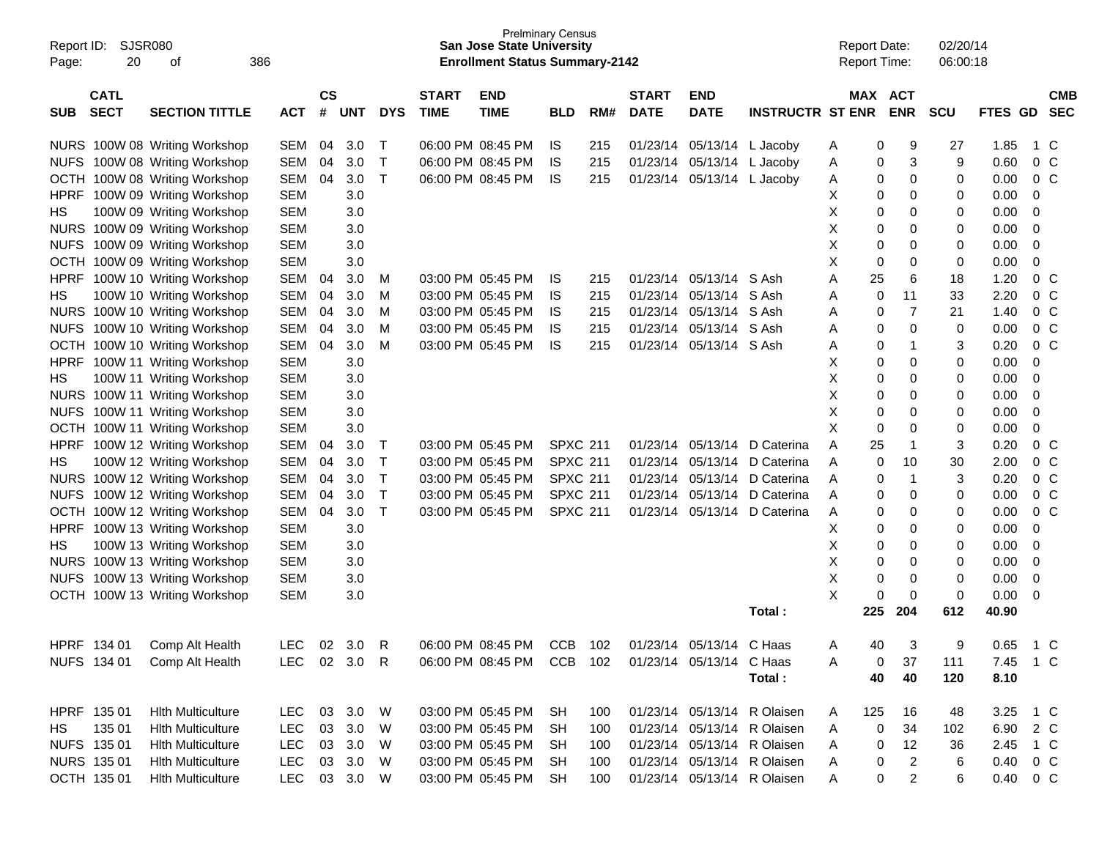| Report ID:<br>20<br>Page:                | SJSR080<br>386<br>οf          |              |                    |            |            |                             | <b>San Jose State University</b><br><b>Enrollment Status Summary-2142</b> | <b>Prelminary Census</b> |     |                             |                           |                             | <b>Report Date:</b><br>Report Time: |                              | 02/20/14<br>06:00:18 |          |                |                          |
|------------------------------------------|-------------------------------|--------------|--------------------|------------|------------|-----------------------------|---------------------------------------------------------------------------|--------------------------|-----|-----------------------------|---------------------------|-----------------------------|-------------------------------------|------------------------------|----------------------|----------|----------------|--------------------------|
| <b>CATL</b><br><b>SECT</b><br><b>SUB</b> | <b>SECTION TITTLE</b>         | <b>ACT</b>   | $\mathsf{cs}$<br># | <b>UNT</b> | <b>DYS</b> | <b>START</b><br><b>TIME</b> | <b>END</b><br><b>TIME</b>                                                 | <b>BLD</b>               | RM# | <b>START</b><br><b>DATE</b> | <b>END</b><br><b>DATE</b> | <b>INSTRUCTR ST ENR</b>     |                                     | <b>MAX ACT</b><br><b>ENR</b> | <b>SCU</b>           | FTES GD  |                | <b>CMB</b><br><b>SEC</b> |
|                                          | NURS 100W 08 Writing Workshop | <b>SEM</b>   | 04                 | 3.0        | Т          |                             | 06:00 PM 08:45 PM                                                         | IS.                      | 215 | 01/23/14                    | 05/13/14                  | L Jacoby                    | A                                   | 9<br>0                       | 27                   | 1.85     | 1 C            |                          |
| <b>NUFS</b>                              | 100W 08 Writing Workshop      | <b>SEM</b>   | 04                 | 3.0        | т          |                             | 06:00 PM 08:45 PM                                                         | IS                       | 215 | 01/23/14                    | 05/13/14                  | L Jacoby                    | Α                                   | 3<br>0                       | 9                    | 0.60     | 0 <sup>o</sup> |                          |
| OCTH                                     | 100W 08 Writing Workshop      | <b>SEM</b>   | 04                 | 3.0        | т          |                             | 06:00 PM 08:45 PM                                                         | IS.                      | 215 | 01/23/14                    | 05/13/14                  | L Jacoby                    | Α                                   | 0<br>0                       | 0                    | 0.00     | 0 <sup>o</sup> |                          |
| <b>HPRF</b>                              | 100W 09 Writing Workshop      | <b>SEM</b>   |                    | 3.0        |            |                             |                                                                           |                          |     |                             |                           |                             | х                                   | 0<br>0                       | 0                    | 0.00     | 0              |                          |
| НS                                       | 100W 09 Writing Workshop      | <b>SEM</b>   |                    | 3.0        |            |                             |                                                                           |                          |     |                             |                           |                             | х                                   | 0<br>0                       | 0                    | 0.00     | 0              |                          |
| <b>NURS</b>                              | 100W 09 Writing Workshop      | <b>SEM</b>   |                    | 3.0        |            |                             |                                                                           |                          |     |                             |                           |                             | х                                   | 0<br>0                       | 0                    | 0.00     | 0              |                          |
| <b>NUFS</b>                              | 100W 09 Writing Workshop      | <b>SEM</b>   |                    | 3.0        |            |                             |                                                                           |                          |     |                             |                           |                             | х                                   | 0<br>0                       | 0                    | 0.00     | 0              |                          |
| OCTH                                     | 100W 09 Writing Workshop      | <b>SEM</b>   |                    | 3.0        |            |                             |                                                                           |                          |     |                             |                           |                             | х                                   | 0<br>0                       | 0                    | 0.00     | 0              |                          |
| <b>HPRF</b>                              | 100W 10 Writing Workshop      | <b>SEM</b>   | 04                 | 3.0        | M          |                             | 03:00 PM 05:45 PM                                                         | IS.                      | 215 | 01/23/14                    | 05/13/14                  | S Ash                       | 25<br>Α                             | 6                            | 18                   | 1.20     | 0 <sup>o</sup> |                          |
| НS                                       | 100W 10 Writing Workshop      | <b>SEM</b>   | 04                 | 3.0        | M          |                             | 03:00 PM 05:45 PM                                                         | IS.                      | 215 | 01/23/14                    | 05/13/14                  | S Ash                       | Α                                   | 11<br>0                      | 33                   | 2.20     | 0 <sup>o</sup> |                          |
| <b>NURS</b>                              | 100W 10 Writing Workshop      | <b>SEM</b>   | 04                 | 3.0        | M          |                             | 03:00 PM 05:45 PM                                                         | IS.                      | 215 | 01/23/14                    | 05/13/14                  | S Ash                       | Α                                   | 7<br>0                       | 21                   | 1.40     | 0 <sup>o</sup> |                          |
| <b>NUFS</b>                              | 100W 10 Writing Workshop      | <b>SEM</b>   | 04                 | 3.0        | M          |                             | 03:00 PM 05:45 PM                                                         | IS.                      | 215 | 01/23/14                    | 05/13/14                  | S Ash                       | Α                                   | 0<br>0                       | 0                    | 0.00     | 0 <sup>o</sup> |                          |
| <b>OCTH</b>                              | 100W 10 Writing Workshop      | <b>SEM</b>   | 04                 | 3.0        | M          |                             | 03:00 PM 05:45 PM                                                         | IS                       | 215 | 01/23/14                    | 05/13/14                  | S Ash                       | Α                                   | 0<br>-1                      | 3                    | 0.20     | 0 <sup>o</sup> |                          |
| <b>HPRF</b>                              | 100W 11 Writing Workshop      | <b>SEM</b>   |                    | 3.0        |            |                             |                                                                           |                          |     |                             |                           |                             | х                                   | 0<br>0                       | 0                    | 0.00     | 0              |                          |
| НS                                       | 100W 11 Writing Workshop      | <b>SEM</b>   |                    | 3.0        |            |                             |                                                                           |                          |     |                             |                           |                             | х                                   | 0<br>0                       | 0                    | 0.00     | 0              |                          |
| <b>NURS</b>                              | 100W 11 Writing Workshop      | <b>SEM</b>   |                    | 3.0        |            |                             |                                                                           |                          |     |                             |                           |                             | х                                   | 0<br>0                       | 0                    | 0.00     | 0              |                          |
| <b>NUFS</b>                              | 100W 11 Writing Workshop      | <b>SEM</b>   |                    | 3.0        |            |                             |                                                                           |                          |     |                             |                           |                             | х                                   | 0<br>0                       | 0                    | 0.00     | 0              |                          |
| <b>OCTH</b>                              | 100W 11 Writing Workshop      | <b>SEM</b>   |                    | 3.0        |            |                             |                                                                           |                          |     |                             |                           |                             | х                                   | 0<br>0                       | 0                    | 0.00     | 0              |                          |
| <b>HPRF</b>                              | 100W 12 Writing Workshop      | <b>SEM</b>   | 04                 | 3.0        | Т          |                             | 03:00 PM 05:45 PM                                                         | <b>SPXC 211</b>          |     | 01/23/14                    | 05/13/14                  | D Caterina                  | A<br>25                             | -1                           | 3                    | 0.20     | 0 <sup>o</sup> |                          |
| HS                                       | 100W 12 Writing Workshop      | <b>SEM</b>   | 04                 | 3.0        | Т          |                             | 03:00 PM 05:45 PM                                                         | <b>SPXC 211</b>          |     | 01/23/14                    | 05/13/14                  | D Caterina                  | Α                                   | 10<br>0                      | 30                   | 2.00     | 0 <sup>o</sup> |                          |
| <b>NURS</b>                              | 100W 12 Writing Workshop      | <b>SEM</b>   | 04                 | 3.0        | т          |                             | 03:00 PM 05:45 PM                                                         | <b>SPXC 211</b>          |     | 01/23/14                    | 05/13/14                  | D Caterina                  | Α                                   | 0<br>-1                      | 3                    | 0.20     | 0 <sup>o</sup> |                          |
| <b>NUFS</b>                              | 100W 12 Writing Workshop      | <b>SEM</b>   | 04                 | 3.0        | т          |                             | 03:00 PM 05:45 PM                                                         | <b>SPXC 211</b>          |     | 01/23/14                    | 05/13/14                  | D Caterina                  | Α                                   | 0<br>0                       | 0                    | 0.00     | 0 <sup>o</sup> |                          |
| <b>OCTH</b>                              | 100W 12 Writing Workshop      | <b>SEM</b>   | 04                 | 3.0        | Τ          |                             | 03:00 PM 05:45 PM                                                         | <b>SPXC 211</b>          |     | 01/23/14                    | 05/13/14                  | D Caterina                  | Α                                   | 0<br>0                       | 0                    | 0.00     | 0 <sup>o</sup> |                          |
| <b>HPRF</b>                              | 100W 13 Writing Workshop      | <b>SEM</b>   |                    | 3.0        |            |                             |                                                                           |                          |     |                             |                           |                             | х                                   | 0<br>0                       | 0                    | 0.00     | 0              |                          |
| НS                                       | 100W 13 Writing Workshop      | <b>SEM</b>   |                    | 3.0        |            |                             |                                                                           |                          |     |                             |                           |                             | х                                   | 0<br>0                       | 0                    | 0.00     | 0              |                          |
| <b>NURS</b>                              | 100W 13 Writing Workshop      | <b>SEM</b>   |                    | 3.0        |            |                             |                                                                           |                          |     |                             |                           |                             | х                                   | 0<br>0                       | 0                    | 0.00     | 0              |                          |
| <b>NUFS</b>                              | 100W 13 Writing Workshop      | <b>SEM</b>   |                    | 3.0        |            |                             |                                                                           |                          |     |                             |                           |                             | Χ                                   | 0<br>0                       | 0                    | 0.00     | 0              |                          |
|                                          | OCTH 100W 13 Writing Workshop | <b>SEM</b>   |                    | 3.0        |            |                             |                                                                           |                          |     |                             |                           |                             | X                                   | 0<br>0                       | 0                    | 0.00     | 0              |                          |
|                                          |                               |              |                    |            |            |                             |                                                                           |                          |     |                             |                           | Total:                      | 225                                 | 204                          | 612                  | 40.90    |                |                          |
|                                          |                               |              |                    |            |            |                             |                                                                           |                          |     |                             |                           |                             |                                     |                              |                      |          |                |                          |
| HPRF 134 01                              | Comp Alt Health               | <b>LEC</b>   | 02                 | 3.0        | R          |                             | 06:00 PM 08:45 PM                                                         | CCB.                     | 102 | 01/23/14                    | 05/13/14                  | C. Haas                     | 40<br>A                             | 3                            | 9                    | 0.65     | 1 C            |                          |
|                                          | NUFS 134 01 Comp Alt Health   | LEC 02 3.0 R |                    |            |            |                             | 06:00 PM 08:45 PM CCB 102                                                 |                          |     |                             | 01/23/14 05/13/14 C Haas  |                             | A                                   | 37<br>0                      | 111                  | 7.45 1 C |                |                          |
|                                          |                               |              |                    |            |            |                             |                                                                           |                          |     |                             |                           | Total:                      | 40                                  | 40                           | 120                  | 8.10     |                |                          |
|                                          |                               |              |                    |            |            |                             |                                                                           |                          |     |                             |                           |                             |                                     |                              |                      |          |                |                          |
| HPRF 135 01                              | <b>Hith Multiculture</b>      | LEC 03 3.0 W |                    |            |            |                             | 03:00 PM 05:45 PM                                                         | SH                       | 100 |                             |                           | 01/23/14 05/13/14 R Olaisen | 125<br>A                            | 16                           | 48                   | 3.25     | 1 C            |                          |
| 135 01<br>HS.                            | <b>Hith Multiculture</b>      | LEC          |                    | 03 3.0     | W          |                             | 03:00 PM 05:45 PM                                                         | SH                       | 100 |                             |                           | 01/23/14 05/13/14 R Olaisen | A                                   | 0<br>34                      | 102                  | 6.90     | 2 C            |                          |
| NUFS 135 01                              | <b>Hith Multiculture</b>      | LEC          |                    | 03 3.0     | W          |                             | 03:00 PM 05:45 PM                                                         | SH                       | 100 |                             |                           | 01/23/14 05/13/14 R Olaisen | A                                   | 0<br>12                      | 36                   | 2.45     | 1 C            |                          |
| NURS 135 01                              | <b>Hith Multiculture</b>      | <b>LEC</b>   |                    | 03 3.0     | W          |                             | 03:00 PM 05:45 PM                                                         | <b>SH</b>                | 100 |                             |                           | 01/23/14 05/13/14 R Olaisen | A                                   | 0<br>$\overline{c}$          | 6                    | 0.40     | 0 C            |                          |
| OCTH 135 01                              | <b>Hith Multiculture</b>      | LEC 03 3.0 W |                    |            |            |                             | 03:00 PM 05:45 PM                                                         | SH                       | 100 |                             |                           | 01/23/14 05/13/14 R Olaisen | A                                   | 0<br>$\overline{2}$          | 6                    | 0.40     | 0 C            |                          |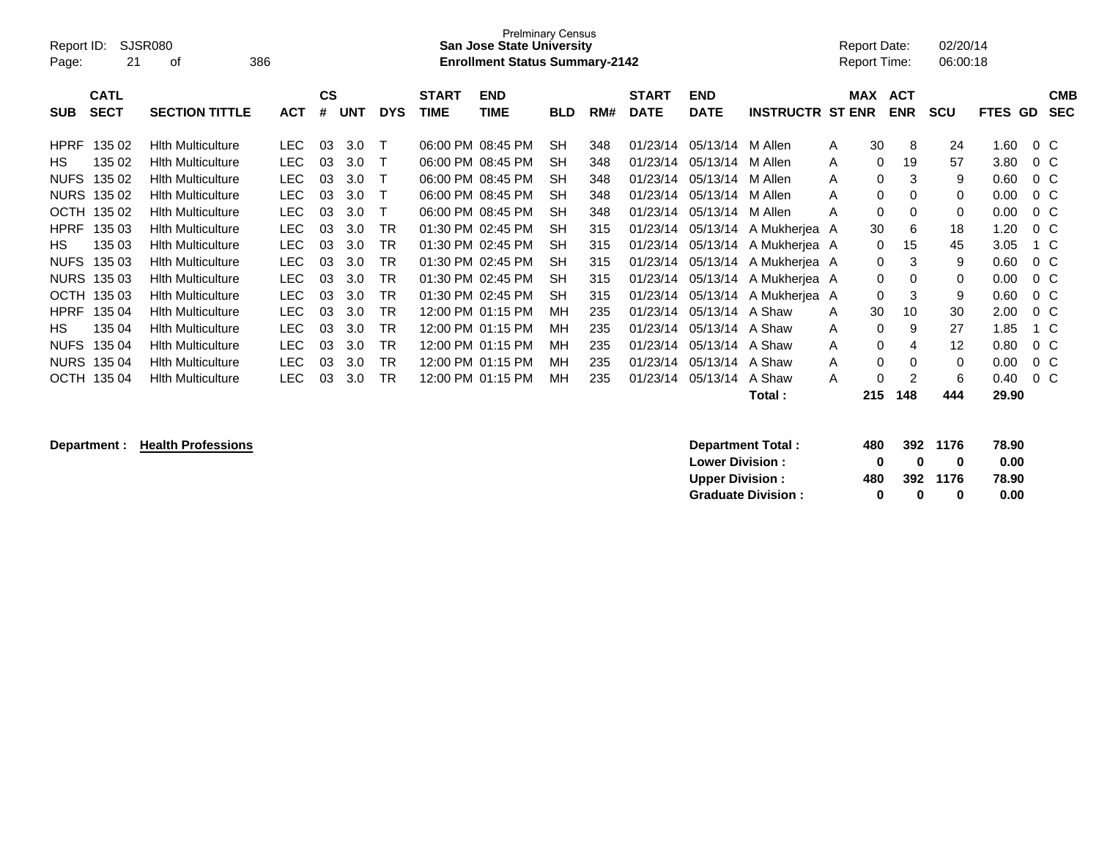| Report ID:<br>Page: | <b>SJSR080</b><br>21       | 386                      |            |                |            |            | <b>Prelminary Census</b><br><b>San Jose State University</b><br><b>Enrollment Status Summary-2142</b> |                           |            |     |                             |                           | Report Date:<br><b>Report Time:</b> |         | 02/20/14<br>06:00:18     |                        |                |        |                          |
|---------------------|----------------------------|--------------------------|------------|----------------|------------|------------|-------------------------------------------------------------------------------------------------------|---------------------------|------------|-----|-----------------------------|---------------------------|-------------------------------------|---------|--------------------------|------------------------|----------------|--------|--------------------------|
| <b>SUB</b>          | <b>CATL</b><br><b>SECT</b> | <b>SECTION TITTLE</b>    | <b>ACT</b> | <b>CS</b><br># | <b>UNT</b> | <b>DYS</b> | <b>START</b><br><b>TIME</b>                                                                           | <b>END</b><br><b>TIME</b> | <b>BLD</b> | RM# | <b>START</b><br><b>DATE</b> | <b>END</b><br><b>DATE</b> | <b>INSTRUCTR ST ENR</b>             | MAX     | <b>ACT</b><br><b>ENR</b> | <b>SCU</b>             | <b>FTES GD</b> |        | <b>CMB</b><br><b>SEC</b> |
| <b>HPRF</b>         | 135 02                     | <b>Hith Multiculture</b> | <b>LEC</b> | 03             | 3.0        |            |                                                                                                       | 06:00 PM 08:45 PM         | SН         | 348 |                             | 01/23/14 05/13/14         | M Allen                             | 30<br>A |                          | 24<br>8                | 1.60           | $0\,C$ |                          |
| HS.                 | 135 02                     | <b>Hith Multiculture</b> | <b>LEC</b> | 03             | 3.0        |            |                                                                                                       | 06:00 PM 08:45 PM         | <b>SH</b>  | 348 | 01/23/14                    | 05/13/14                  | M Allen                             | A       | 19<br>0                  | 57                     | 3.80           | $0\,C$ |                          |
| <b>NUFS</b>         | 135 02                     | <b>Hith Multiculture</b> | <b>LEC</b> | 03             | 3.0        |            |                                                                                                       | 06:00 PM 08:45 PM         | <b>SH</b>  | 348 | 01/23/14                    | 05/13/14                  | M Allen                             | A       | 0                        | 9<br>3                 | 0.60           | $0\,C$ |                          |
| <b>NURS</b>         | 135 02                     | Hith Multiculture        | <b>LEC</b> | 03             | 3.0        |            |                                                                                                       | 06:00 PM 08:45 PM         | <b>SH</b>  | 348 | 01/23/14                    | 05/13/14                  | M Allen                             | A       | 0                        | 0<br>$\Omega$          | 0.00           | $0\,C$ |                          |
| <b>OCTH</b>         | 135 02                     | Hith Multiculture        | <b>LEC</b> | 03             | 3.0        |            |                                                                                                       | 06:00 PM 08:45 PM         | SH         | 348 | 01/23/14                    | 05/13/14                  | M Allen                             | A       | 0                        | 0<br>0                 | 0.00           | $0\,C$ |                          |
| <b>HPRF</b>         | 135 03                     | <b>Hith Multiculture</b> | <b>LEC</b> | 03             | 3.0        | <b>TR</b>  | 01:30 PM                                                                                              | 02:45 PM                  | <b>SH</b>  | 315 | 01/23/14                    | 05/13/14                  | A Mukherjea A                       | 30      |                          | 18<br>6                | 1.20           | $0\,C$ |                          |
| HS.                 | 135 03                     | Hith Multiculture        | <b>LEC</b> | 03             | 3.0        | <b>TR</b>  |                                                                                                       | 01:30 PM 02:45 PM         | <b>SH</b>  | 315 | 01/23/14                    | 05/13/14                  | A Mukherjea A                       |         | $\Omega$<br>15           | 45                     | 3.05           | 1 C    |                          |
| <b>NUFS</b>         | 135 03                     | Hith Multiculture        | <b>LEC</b> | 03             | 3.0        | TR         |                                                                                                       | 01:30 PM 02:45 PM         | SH         | 315 | 01/23/14                    | 05/13/14                  | A Mukherjea A                       |         | 0                        | 9<br>3                 | 0.60           | $0\,C$ |                          |
| <b>NURS</b>         | 135 03                     | <b>Hith Multiculture</b> | <b>LEC</b> | 03             | 3.0        | <b>TR</b>  |                                                                                                       | 01:30 PM 02:45 PM         | <b>SH</b>  | 315 | 01/23/14                    | 05/13/14                  | A Mukherjea A                       |         | 0                        | 0<br>0                 | 0.00           | $0\,C$ |                          |
| <b>OCTH</b>         | 135 03                     | <b>Hith Multiculture</b> | <b>LEC</b> | 03             | 3.0        | <b>TR</b>  |                                                                                                       | 01:30 PM 02:45 PM         | <b>SH</b>  | 315 | 01/23/14                    | 05/13/14                  | A Mukherjea A                       |         | 0                        | 9<br>3                 | 0.60           | $0\,C$ |                          |
| <b>HPRF</b>         | 135 04                     | Hith Multiculture        | <b>LEC</b> | 03             | 3.0        | <b>TR</b>  |                                                                                                       | 12:00 PM 01:15 PM         | MН         | 235 | 01/23/14                    | 05/13/14 A Shaw           |                                     | 30<br>A | 10                       | 30                     | 2.00           | $0\,C$ |                          |
| HS.                 | 135 04                     | <b>Hith Multiculture</b> | <b>LEC</b> | 03             | 3.0        | <b>TR</b>  |                                                                                                       | 12:00 PM 01:15 PM         | MН         | 235 | 01/23/14                    | 05/13/14 A Shaw           |                                     | A       | 0                        | 27<br>9                | 1.85           | 1 C    |                          |
| <b>NUFS</b>         | 135 04                     | <b>Hith Multiculture</b> | <b>LEC</b> | 03             | 3.0        | <b>TR</b>  |                                                                                                       | 12:00 PM 01:15 PM         | MН         | 235 | 01/23/14                    | 05/13/14 A Shaw           |                                     | A       | 0                        | $12 \overline{ }$<br>4 | 0.80           | $0\,C$ |                          |
| <b>NURS</b>         | 135 04                     | <b>Hith Multiculture</b> | <b>LEC</b> | 03             | 3.0        | TR         |                                                                                                       | 12:00 PM 01:15 PM         | MН         | 235 | 01/23/14                    | 05/13/14 A Shaw           |                                     | A       | 0                        | $\Omega$<br>0          | 0.00           | $0\,C$ |                          |
| <b>OCTH</b>         | 135 04                     | <b>Hith Multiculture</b> | LEC        | 03             | 3.0        | <b>TR</b>  |                                                                                                       | 12:00 PM 01:15 PM         | MН         | 235 | 01/23/14                    | 05/13/14                  | A Shaw                              | A       | 0                        | 6<br>2                 | 0.40           | $0\,C$ |                          |
|                     |                            |                          |            |                |            |            |                                                                                                       |                           |            |     |                             |                           | Total :                             | 215     | 148                      | 444                    | 29.90          |        |                          |

| Department : | <b>Health Professions</b><br>Department Total: | 480 | 392 | 1176 | 78.90 |
|--------------|------------------------------------------------|-----|-----|------|-------|
|              | <b>Lower Division:</b>                         |     |     |      | 0.00  |
|              | <b>Upper Division:</b>                         | 480 | 392 | 1176 | 78.90 |
|              | <b>Graduate Division:</b>                      |     |     |      | 0.00  |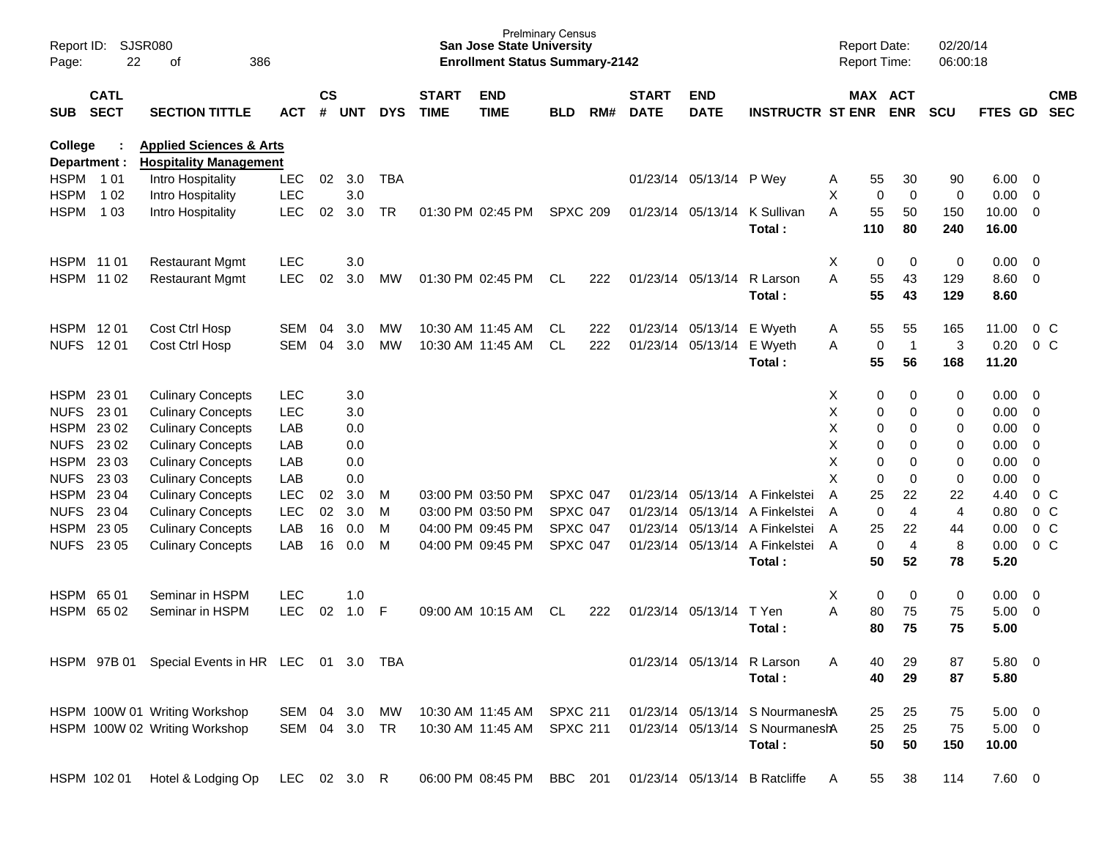| Page:                          | SJSR080<br>Report ID:<br>22<br>386<br>οf |                                                                     |               |                    |            |            |                             | <b>San Jose State University</b><br><b>Enrollment Status Summary-2142</b> | <b>Prelminary Census</b> |     |                             |                            |                                          | <b>Report Date:</b><br>Report Time: |             |                       | 02/20/14<br>06:00:18    |              |                         |                          |
|--------------------------------|------------------------------------------|---------------------------------------------------------------------|---------------|--------------------|------------|------------|-----------------------------|---------------------------------------------------------------------------|--------------------------|-----|-----------------------------|----------------------------|------------------------------------------|-------------------------------------|-------------|-----------------------|-------------------------|--------------|-------------------------|--------------------------|
| <b>SUB</b>                     | <b>CATL</b><br><b>SECT</b>               | <b>SECTION TITTLE</b>                                               | <b>ACT</b>    | $\mathsf{cs}$<br># | <b>UNT</b> | <b>DYS</b> | <b>START</b><br><b>TIME</b> | <b>END</b><br><b>TIME</b>                                                 | <b>BLD</b>               | RM# | <b>START</b><br><b>DATE</b> | <b>END</b><br><b>DATE</b>  | <b>INSTRUCTR ST ENR</b>                  |                                     |             | MAX ACT<br><b>ENR</b> | <b>SCU</b>              | FTES GD      |                         | <b>CMB</b><br><b>SEC</b> |
| <b>College</b><br>Department : |                                          | <b>Applied Sciences &amp; Arts</b><br><b>Hospitality Management</b> |               |                    |            |            |                             |                                                                           |                          |     |                             |                            |                                          |                                     |             |                       |                         |              |                         |                          |
| HSPM 101                       |                                          | Intro Hospitality                                                   | <b>LEC</b>    | 02                 | 3.0        | <b>TBA</b> |                             |                                                                           |                          |     |                             | 01/23/14 05/13/14 P Wey    |                                          | Α                                   | 55          | 30                    | 90                      | 6.00         | $\overline{\mathbf{0}}$ |                          |
| <b>HSPM</b>                    | 1 0 2                                    | Intro Hospitality                                                   | <b>LEC</b>    |                    | 3.0        |            |                             |                                                                           |                          |     |                             |                            |                                          | X                                   | $\mathbf 0$ | $\mathbf 0$           | 0                       | 0.00         | $\overline{0}$          |                          |
| <b>HSPM</b>                    | 1 0 3                                    | Intro Hospitality                                                   | <b>LEC</b>    | 02                 | 3.0        | <b>TR</b>  |                             | 01:30 PM 02:45 PM                                                         | <b>SPXC 209</b>          |     | 01/23/14                    | 05/13/14                   | K Sullivan                               | A                                   | 55          | 50                    | 150                     | 10.00        | $\overline{0}$          |                          |
|                                |                                          |                                                                     |               |                    |            |            |                             |                                                                           |                          |     |                             |                            | Total:                                   |                                     | 110         | 80                    | 240                     | 16.00        |                         |                          |
| HSPM 1101                      |                                          | <b>Restaurant Mgmt</b>                                              | <b>LEC</b>    |                    | 3.0        |            |                             |                                                                           |                          |     |                             |                            |                                          | X                                   | 0           | 0                     | 0                       | 0.00         | $\overline{0}$          |                          |
| HSPM 1102                      |                                          | <b>Restaurant Mgmt</b>                                              | <b>LEC</b>    | 02                 | 3.0        | <b>MW</b>  |                             | 01:30 PM 02:45 PM                                                         | CL.                      | 222 |                             | 01/23/14 05/13/14          | R Larson                                 | A                                   | 55          | 43                    | 129                     | 8.60         | $\overline{\mathbf{0}}$ |                          |
|                                |                                          |                                                                     |               |                    |            |            |                             |                                                                           |                          |     |                             |                            | Total:                                   |                                     | 55          | 43                    | 129                     | 8.60         |                         |                          |
| HSPM 1201                      |                                          | Cost Ctrl Hosp                                                      | <b>SEM</b>    | 04                 | 3.0        | MW         |                             | 10:30 AM 11:45 AM                                                         | CL.                      | 222 |                             | 01/23/14 05/13/14 E Wyeth  |                                          | Α                                   | 55          | 55                    | 165                     | 11.00        |                         | $0\,$ C                  |
| <b>NUFS</b>                    | 12 01                                    | Cost Ctrl Hosp                                                      | <b>SEM</b>    | 04                 | 3.0        | <b>MW</b>  |                             | 10:30 AM 11:45 AM                                                         | CL.                      | 222 |                             | 01/23/14 05/13/14 E Wyeth  |                                          | A                                   | 0           | $\overline{1}$        | 3                       | 0.20         |                         | $0\,C$                   |
|                                |                                          |                                                                     |               |                    |            |            |                             |                                                                           |                          |     |                             |                            | Total:                                   |                                     | 55          | 56                    | 168                     | 11.20        |                         |                          |
| HSPM 23 01                     |                                          | <b>Culinary Concepts</b>                                            | <b>LEC</b>    |                    | 3.0        |            |                             |                                                                           |                          |     |                             |                            |                                          | Х                                   | 0           | 0                     | 0                       | 0.00         | - 0                     |                          |
| <b>NUFS</b>                    | 23 01                                    | <b>Culinary Concepts</b>                                            | <b>LEC</b>    |                    | 3.0        |            |                             |                                                                           |                          |     |                             |                            |                                          | Χ                                   | 0           | $\mathbf 0$           | 0                       | 0.00         | $\overline{0}$          |                          |
| HSPM                           | 23 02                                    | <b>Culinary Concepts</b>                                            | LAB           |                    | 0.0        |            |                             |                                                                           |                          |     |                             |                            |                                          | X                                   | 0           | $\mathbf 0$           | 0                       | 0.00         | $\overline{0}$          |                          |
| <b>NUFS</b>                    | 23 02                                    | <b>Culinary Concepts</b>                                            | LAB           |                    | 0.0        |            |                             |                                                                           |                          |     |                             |                            |                                          | X                                   | 0           | $\mathbf 0$           | 0                       | 0.00         | $\overline{0}$          |                          |
| HSPM 23 03                     |                                          | <b>Culinary Concepts</b>                                            | LAB           |                    | 0.0        |            |                             |                                                                           |                          |     |                             |                            |                                          | Χ                                   | 0           | $\mathbf 0$           | 0                       | 0.00         | $\overline{0}$          |                          |
| <b>NUFS</b>                    | 23 03                                    | <b>Culinary Concepts</b>                                            | LAB           |                    | 0.0        |            |                             |                                                                           |                          |     |                             |                            |                                          | X                                   | $\mathbf 0$ | $\mathbf 0$           | 0                       | 0.00         | $\mathbf 0$             |                          |
| HSPM 23 04                     |                                          | <b>Culinary Concepts</b>                                            | <b>LEC</b>    | 02                 | 3.0        | м          |                             | 03:00 PM 03:50 PM                                                         | <b>SPXC 047</b>          |     | 01/23/14                    |                            | 05/13/14 A Finkelstei                    | A                                   | 25          | 22                    | 22                      | 4.40         |                         | 0 <sup>o</sup>           |
| <b>NUFS</b>                    | 23 04                                    | <b>Culinary Concepts</b>                                            | <b>LEC</b>    | 02                 | 3.0        | M          |                             | 03:00 PM 03:50 PM                                                         | <b>SPXC 047</b>          |     | 01/23/14                    |                            | 05/13/14 A Finkelstei                    | A                                   | $\mathbf 0$ | $\overline{4}$        | $\overline{\mathbf{4}}$ | 0.80         |                         | 0 <sup>o</sup>           |
| HSPM 23 05                     |                                          | <b>Culinary Concepts</b>                                            | LAB           | 16                 | 0.0        | M          |                             | 04:00 PM 09:45 PM                                                         | <b>SPXC 047</b>          |     | 01/23/14                    |                            | 05/13/14 A Finkelstei                    | A                                   | 25          | 22                    | 44                      | 0.00         |                         | 0 <sup>o</sup>           |
| <b>NUFS</b>                    | 23 05                                    | <b>Culinary Concepts</b>                                            | LAB           | 16                 | 0.0        | M          |                             | 04:00 PM 09:45 PM                                                         | <b>SPXC 047</b>          |     |                             |                            | 01/23/14 05/13/14 A Finkelstei<br>Total: | $\overline{A}$                      | 0<br>50     | 4<br>52               | 8<br>78                 | 0.00<br>5.20 |                         | $0\,C$                   |
| HSPM 65 01                     |                                          | Seminar in HSPM                                                     | <b>LEC</b>    |                    | 1.0        |            |                             |                                                                           |                          |     |                             |                            |                                          | X                                   | 0           | 0                     | 0                       | 0.00         | $\overline{\mathbf{0}}$ |                          |
| HSPM 6502                      |                                          | Seminar in HSPM                                                     | <b>LEC</b>    | 02                 | 1.0        | F          |                             | 09:00 AM 10:15 AM                                                         | <b>CL</b>                | 222 |                             | 01/23/14 05/13/14          | T Yen                                    | A                                   | 80          | 75                    | 75                      | 5.00         | $\overline{0}$          |                          |
|                                |                                          |                                                                     |               |                    |            |            |                             |                                                                           |                          |     |                             |                            | Total:                                   |                                     | 80          | 75                    | 75                      | 5.00         |                         |                          |
|                                |                                          |                                                                     |               |                    |            |            |                             |                                                                           |                          |     |                             |                            |                                          |                                     |             |                       |                         |              |                         |                          |
|                                |                                          | HSPM 97B 01 Special Events in HR LEC 01 3.0 TBA                     |               |                    |            |            |                             |                                                                           |                          |     |                             | 01/23/14 05/13/14 R Larson |                                          | А                                   | 40          | 29                    | 87                      | 5.80 0       |                         |                          |
|                                |                                          |                                                                     |               |                    |            |            |                             |                                                                           |                          |     |                             |                            | Total:                                   |                                     | 40          | 29                    | 87                      | 5.80         |                         |                          |
|                                |                                          | HSPM 100W 01 Writing Workshop                                       | SEM 04 3.0    |                    |            | MW         |                             | 10:30 AM 11:45 AM SPXC 211                                                |                          |     |                             |                            | 01/23/14 05/13/14 S NourmaneshA          |                                     | 25          | 25                    | 75                      | $5.00 \t 0$  |                         |                          |
|                                |                                          | HSPM 100W 02 Writing Workshop                                       | SEM 04 3.0 TR |                    |            |            |                             | 10:30 AM 11:45 AM                                                         | <b>SPXC 211</b>          |     |                             |                            | 01/23/14 05/13/14 S NourmaneshA          |                                     | 25          | 25                    | 75                      | $5.00 \t 0$  |                         |                          |
|                                |                                          |                                                                     |               |                    |            |            |                             |                                                                           |                          |     |                             |                            | Total:                                   |                                     | 50          | 50                    | 150                     | 10.00        |                         |                          |
|                                | HSPM 102 01                              | Hotel & Lodging Op                                                  | LEC 02 3.0 R  |                    |            |            |                             | 06:00 PM 08:45 PM BBC 201                                                 |                          |     |                             |                            | 01/23/14 05/13/14 B Ratcliffe            | A                                   | 55          | 38                    | 114                     | $7.60\ 0$    |                         |                          |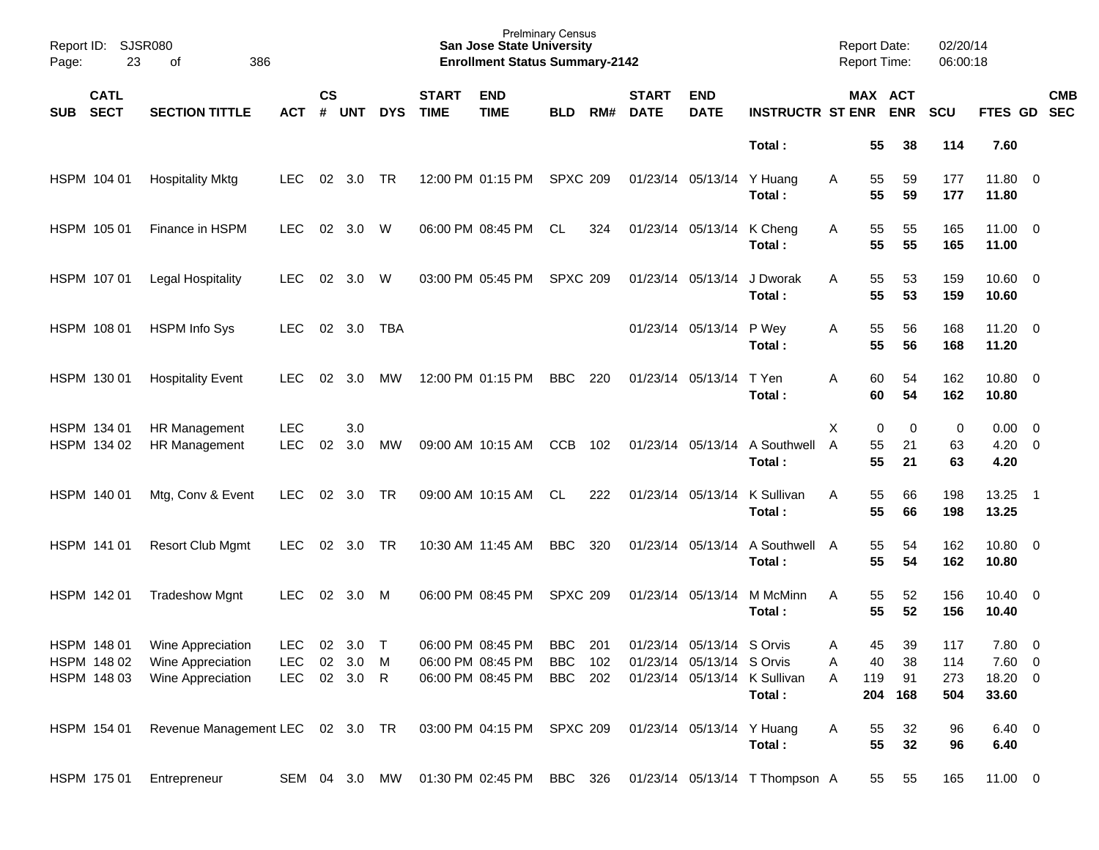| Report ID:<br>Page: | 23                         | <b>SJSR080</b><br>386<br>оf                                 |                          |                    |            |            |                             | <b>Prelminary Census</b><br><b>San Jose State University</b><br><b>Enrollment Status Summary-2142</b> |                 |     |                             |                           |                                        | <b>Report Date:</b><br><b>Report Time:</b> |               |                       | 02/20/14<br>06:00:18 |                             |                          |                          |
|---------------------|----------------------------|-------------------------------------------------------------|--------------------------|--------------------|------------|------------|-----------------------------|-------------------------------------------------------------------------------------------------------|-----------------|-----|-----------------------------|---------------------------|----------------------------------------|--------------------------------------------|---------------|-----------------------|----------------------|-----------------------------|--------------------------|--------------------------|
| <b>SUB</b>          | <b>CATL</b><br><b>SECT</b> | <b>SECTION TITTLE</b>                                       | <b>ACT</b>               | $\mathsf{cs}$<br># | <b>UNT</b> | <b>DYS</b> | <b>START</b><br><b>TIME</b> | <b>END</b><br><b>TIME</b>                                                                             | <b>BLD</b>      | RM# | <b>START</b><br><b>DATE</b> | <b>END</b><br><b>DATE</b> | <b>INSTRUCTR ST ENR</b>                |                                            |               | MAX ACT<br><b>ENR</b> | SCU                  | FTES GD                     |                          | <b>CMB</b><br><b>SEC</b> |
|                     |                            |                                                             |                          |                    |            |            |                             |                                                                                                       |                 |     |                             |                           | Total:                                 |                                            | 55            | 38                    | 114                  | 7.60                        |                          |                          |
|                     | HSPM 104 01                | <b>Hospitality Mktg</b>                                     | <b>LEC</b>               | 02                 | 3.0        | <b>TR</b>  |                             | 12:00 PM 01:15 PM                                                                                     | <b>SPXC 209</b> |     |                             | 01/23/14 05/13/14         | Y Huang<br>Total:                      | Α                                          | 55<br>55      | 59<br>59              | 177<br>177           | 11.80 0<br>11.80            |                          |                          |
|                     | HSPM 105 01                | Finance in HSPM                                             | <b>LEC</b>               | 02                 | 3.0        | W          |                             | 06:00 PM 08:45 PM                                                                                     | CL.             | 324 |                             | 01/23/14 05/13/14         | K Cheng<br>Total:                      | Α                                          | 55<br>55      | 55<br>55              | 165<br>165           | 11.00 0<br>11.00            |                          |                          |
|                     | HSPM 107 01                | <b>Legal Hospitality</b>                                    | <b>LEC</b>               | 02                 | 3.0        | W          |                             | 03:00 PM 05:45 PM                                                                                     | <b>SPXC 209</b> |     |                             | 01/23/14 05/13/14         | J Dworak<br>Total:                     | A                                          | 55<br>55      | 53<br>53              | 159<br>159           | $10.60 \t 0$<br>10.60       |                          |                          |
|                     | HSPM 108 01                | <b>HSPM Info Sys</b>                                        | <b>LEC</b>               | 02                 | 3.0        | <b>TBA</b> |                             |                                                                                                       |                 |     |                             | 01/23/14 05/13/14         | P Wey<br>Total:                        | Α                                          | 55<br>55      | 56<br>56              | 168<br>168           | $11.20 \t 0$<br>11.20       |                          |                          |
|                     | HSPM 130 01                | <b>Hospitality Event</b>                                    | <b>LEC</b>               | 02                 | 3.0        | <b>MW</b>  |                             | 12:00 PM 01:15 PM                                                                                     | <b>BBC</b>      | 220 | 01/23/14 05/13/14           |                           | T Yen<br>Total:                        | A                                          | 60<br>60      | 54<br>54              | 162<br>162           | 10.80 0<br>10.80            |                          |                          |
|                     | HSPM 134 01<br>HSPM 134 02 | HR Management<br><b>HR Management</b>                       | <b>LEC</b><br><b>LEC</b> | 02                 | 3.0<br>3.0 | <b>MW</b>  |                             | 09:00 AM 10:15 AM                                                                                     | <b>CCB</b>      | 102 |                             | 01/23/14 05/13/14         | A Southwell<br>Total:                  | X<br>A                                     | 0<br>55<br>55 | 0<br>21<br>21         | 0<br>63<br>63        | $0.00 \t 0$<br>4.20<br>4.20 | $\overline{\phantom{0}}$ |                          |
|                     | HSPM 140 01                | Mtg, Conv & Event                                           | <b>LEC</b>               | 02                 | 3.0        | TR         |                             | 09:00 AM 10:15 AM                                                                                     | CL.             | 222 |                             | 01/23/14 05/13/14         | K Sullivan<br>Total:                   | A                                          | 55<br>55      | 66<br>66              | 198<br>198           | 13.25<br>13.25              | $\overline{\phantom{1}}$ |                          |
|                     | HSPM 141 01                | <b>Resort Club Mgmt</b>                                     | <b>LEC</b>               | 02                 | 3.0        | TR         |                             | 10:30 AM 11:45 AM                                                                                     | <b>BBC</b>      | 320 |                             | 01/23/14 05/13/14         | A Southwell<br>Total:                  | A                                          | 55<br>55      | 54<br>54              | 162<br>162           | 10.80 0<br>10.80            |                          |                          |
|                     | HSPM 142 01                | <b>Tradeshow Mgnt</b>                                       | <b>LEC</b>               | 02                 | 3.0        | M          |                             | 06:00 PM 08:45 PM                                                                                     | <b>SPXC 209</b> |     |                             | 01/23/14 05/13/14         | M McMinn<br>Total :                    | A                                          | 55<br>55      | 52<br>52              | 156<br>156           | $10.40 \ 0$<br>10.40        |                          |                          |
|                     |                            | HSPM 148 01 Wine Appreciation                               | LEC 02 3.0 T             |                    |            |            |                             | 06:00 PM 08:45 PM                                                                                     | <b>BBC</b>      | 201 |                             | 01/23/14 05/13/14 S Orvis |                                        | A                                          | 45            | 39                    | 117                  | 7.80 0                      |                          |                          |
|                     | HSPM 148 02                | Wine Appreciation                                           | LEC                      |                    | 02 3.0 M   |            |                             | 06:00 PM 08:45 PM                                                                                     | BBC 102         |     |                             | 01/23/14 05/13/14 S Orvis |                                        | Α                                          | 40            | 38                    | 114                  | $7.60\quad 0$               |                          |                          |
|                     | HSPM 148 03                | Wine Appreciation                                           | <b>LEC</b>               |                    | 02 3.0 R   |            |                             | 06:00 PM 08:45 PM                                                                                     | BBC 202         |     |                             |                           | 01/23/14 05/13/14 K Sullivan<br>Total: | Α                                          | 119<br>204    | 91<br>168             | 273<br>504           | 18.20 0<br>33.60            |                          |                          |
|                     | HSPM 154 01                | Revenue Management LEC 02 3.0 TR 03:00 PM 04:15 PM SPXC 209 |                          |                    |            |            |                             |                                                                                                       |                 |     |                             | 01/23/14 05/13/14 Y Huang | Total:                                 | A                                          | 55<br>55      | 32<br>32              | 96<br>96             | $6.40\ 0$<br>6.40           |                          |                          |
|                     | HSPM 175 01                | Entrepreneur                                                |                          |                    |            |            |                             | SEM 04 3.0 MW 01:30 PM 02:45 PM BBC 326                                                               |                 |     |                             |                           | 01/23/14 05/13/14 T Thompson A         |                                            | 55            | 55                    | 165                  | 11.00 0                     |                          |                          |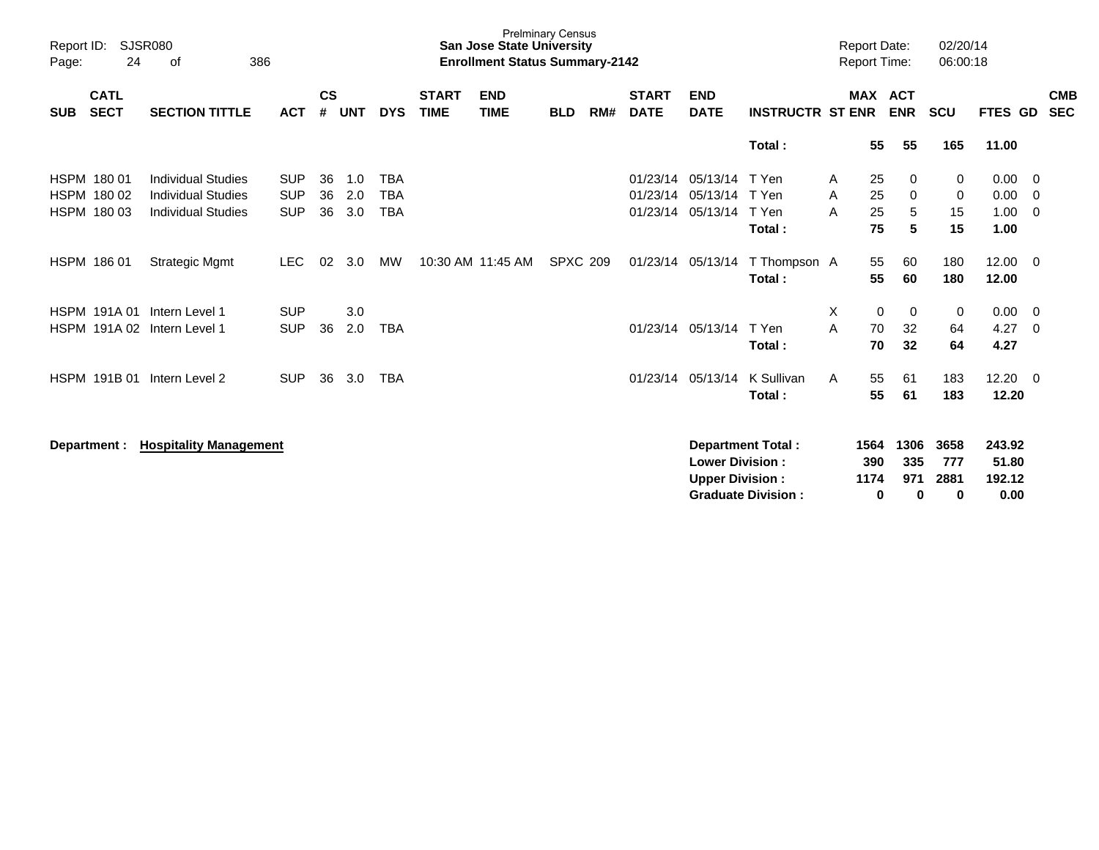| Report ID:<br>24<br>Page:                         | <b>SJSR080</b><br>386<br>οf                                                         |                                        |                    |                   |                                        |                             | <b>San Jose State University</b><br><b>Enrollment Status Summary-2142</b> | <b>Prelminary Census</b> |     |                                  |                                                  |                                                |             | <b>Report Date:</b><br><b>Report Time:</b> |                         | 02/20/14<br>06:00:18     |                                   |                          |
|---------------------------------------------------|-------------------------------------------------------------------------------------|----------------------------------------|--------------------|-------------------|----------------------------------------|-----------------------------|---------------------------------------------------------------------------|--------------------------|-----|----------------------------------|--------------------------------------------------|------------------------------------------------|-------------|--------------------------------------------|-------------------------|--------------------------|-----------------------------------|--------------------------|
| <b>CATL</b><br><b>SECT</b><br><b>SUB</b>          | <b>SECTION TITTLE</b>                                                               | <b>ACT</b>                             | $\mathsf{cs}$<br># | <b>UNT</b>        | <b>DYS</b>                             | <b>START</b><br><b>TIME</b> | <b>END</b><br><b>TIME</b>                                                 | <b>BLD</b>               | RM# | <b>START</b><br><b>DATE</b>      | <b>END</b><br><b>DATE</b>                        | <b>INSTRUCTR ST ENR</b>                        |             |                                            | MAX ACT<br><b>ENR</b>   | <b>SCU</b>               | FTES GD                           | <b>CMB</b><br><b>SEC</b> |
|                                                   |                                                                                     |                                        |                    |                   |                                        |                             |                                                                           |                          |     |                                  |                                                  | Total:                                         |             | 55                                         | 55                      | 165                      | 11.00                             |                          |
| HSPM 180 01<br>HSPM 180 02<br>HSPM 180 03         | <b>Individual Studies</b><br><b>Individual Studies</b><br><b>Individual Studies</b> | <b>SUP</b><br><b>SUP</b><br><b>SUP</b> | 36<br>36<br>36     | 1.0<br>2.0<br>3.0 | <b>TBA</b><br><b>TBA</b><br><b>TBA</b> |                             |                                                                           |                          |     | 01/23/14<br>01/23/14<br>01/23/14 | 05/13/14<br>05/13/14<br>05/13/14                 | T Yen<br>T Yen<br>T Yen<br>Total:              | A<br>A<br>A | 25<br>25<br>25<br>75                       | 0<br>0<br>5<br>5        | 0<br>0<br>15<br>15       | 0.00<br>0.00<br>1.00<br>1.00      | - 0<br>0<br>0            |
| HSPM 186 01                                       | <b>Strategic Mgmt</b>                                                               | <b>LEC</b>                             | 02                 | 3.0               | МW                                     |                             | 10:30 AM 11:45 AM                                                         | <b>SPXC 209</b>          |     | 01/23/14                         | 05/13/14                                         | T Thompson A<br>Total:                         |             | 55<br>55                                   | 60<br>60                | 180<br>180               | 12.00<br>12.00                    | $\overline{0}$           |
| <b>HSPM 191A01</b><br>HSPM 191A 02 Intern Level 1 | Intern Level 1                                                                      | <b>SUP</b><br><b>SUP</b>               | 36                 | 3.0<br>2.0        | <b>TBA</b>                             |                             |                                                                           |                          |     |                                  | 01/23/14 05/13/14                                | T Yen<br>Total:                                | X<br>A      | $\mathbf 0$<br>70<br>70                    | 0<br>32<br>32           | 0<br>64<br>64            | 0.00<br>4.27<br>4.27              | $\overline{0}$<br>0      |
| HSPM 191B 01                                      | Intern Level 2                                                                      | <b>SUP</b>                             | 36                 | 3.0               | <b>TBA</b>                             |                             |                                                                           |                          |     | 01/23/14                         | 05/13/14                                         | K Sullivan<br>Total:                           | A           | 55<br>55                                   | 61<br>61                | 183<br>183               | 12.20<br>12.20                    | - 0                      |
| Department :                                      | <b>Hospitality Management</b>                                                       |                                        |                    |                   |                                        |                             |                                                                           |                          |     |                                  | <b>Lower Division:</b><br><b>Upper Division:</b> | Department Total:<br><b>Graduate Division:</b> |             | 1564<br>390<br>1174<br>0                   | 1306<br>335<br>971<br>0 | 3658<br>777<br>2881<br>0 | 243.92<br>51.80<br>192.12<br>0.00 |                          |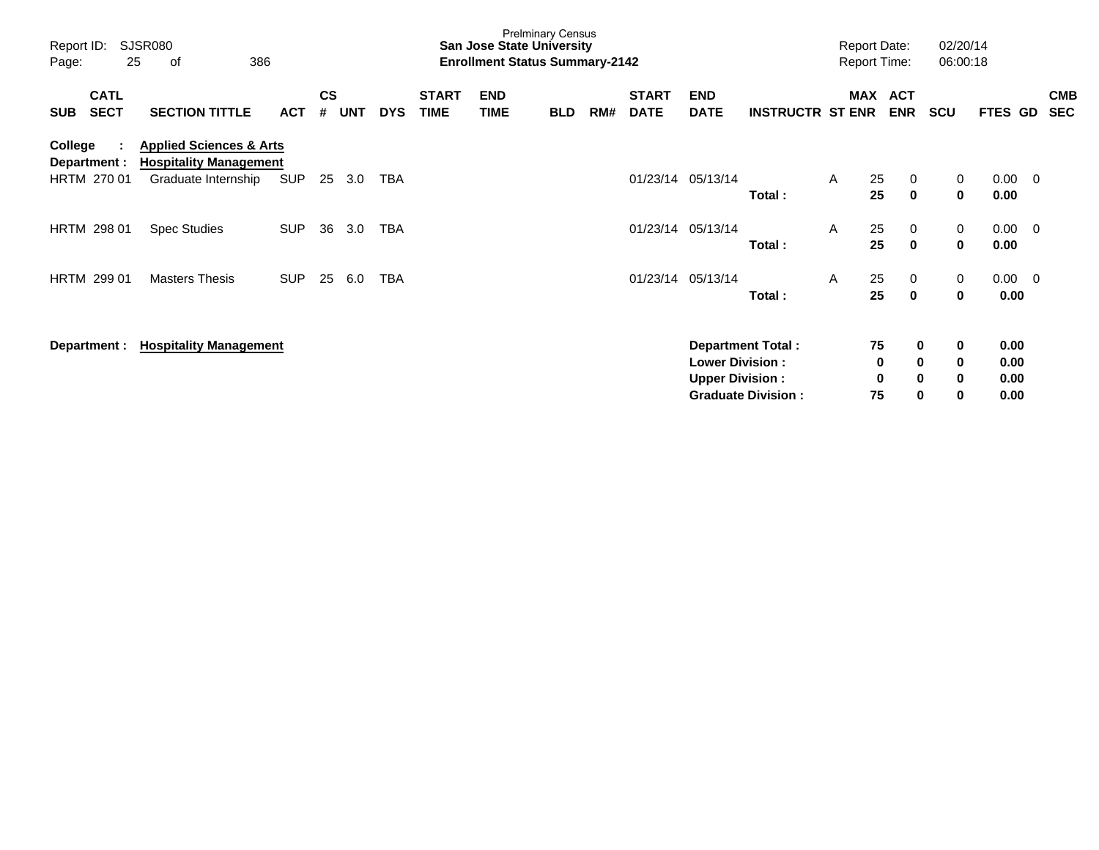| Report ID:<br>Page:     | 25                         | SJSR080<br>386<br>оf                                                |            |                |            |            |                             | <b>San Jose State University</b><br><b>Enrollment Status Summary-2142</b> | <b>Prelminary Census</b> |     |                             |                                                  |                           |              |                     | <b>Report Date:</b><br>Report Time: | 02/20/14<br>06:00:18 |                      |                         |                          |
|-------------------------|----------------------------|---------------------------------------------------------------------|------------|----------------|------------|------------|-----------------------------|---------------------------------------------------------------------------|--------------------------|-----|-----------------------------|--------------------------------------------------|---------------------------|--------------|---------------------|-------------------------------------|----------------------|----------------------|-------------------------|--------------------------|
| <b>SUB</b>              | <b>CATL</b><br><b>SECT</b> | <b>SECTION TITTLE</b>                                               | ACT        | <b>CS</b><br># | <b>UNT</b> | <b>DYS</b> | <b>START</b><br><b>TIME</b> | <b>END</b><br><b>TIME</b>                                                 | <b>BLD</b>               | RM# | <b>START</b><br><b>DATE</b> | <b>END</b><br><b>DATE</b>                        | <b>INSTRUCTR ST ENR</b>   |              |                     | MAX ACT<br><b>ENR</b>               | <b>SCU</b>           | <b>FTES</b>          | GD                      | <b>CMB</b><br><b>SEC</b> |
| College<br>Department : |                            | <b>Applied Sciences &amp; Arts</b><br><b>Hospitality Management</b> |            |                |            |            |                             |                                                                           |                          |     |                             |                                                  |                           |              |                     |                                     |                      |                      |                         |                          |
|                         | HRTM 270 01                | Graduate Internship                                                 | <b>SUP</b> | 25             | 3.0        | TBA        |                             |                                                                           |                          |     |                             | 01/23/14 05/13/14                                | Total:                    | $\mathsf{A}$ | 25<br>25            | 0<br>$\mathbf 0$                    | 0<br>$\mathbf 0$     | 0.00<br>0.00         | $\overline{0}$          |                          |
|                         | HRTM 298 01                | <b>Spec Studies</b>                                                 | <b>SUP</b> | 36             | 3.0        | TBA        |                             |                                                                           |                          |     |                             | 01/23/14 05/13/14                                | Total:                    | A            | 25<br>25            | 0<br>$\mathbf 0$                    | 0<br>$\mathbf{0}$    | 0.00<br>0.00         | $\overline{\mathbf{0}}$ |                          |
|                         | HRTM 299 01                | <b>Masters Thesis</b>                                               | <b>SUP</b> | 25             | 6.0        | TBA        |                             |                                                                           |                          |     |                             | 01/23/14 05/13/14                                | Total:                    | A            | 25<br>25            | 0<br>$\bf{0}$                       | 0<br>0               | 0.00                 | $0.00 \t 0$             |                          |
|                         | Department :               | <b>Hospitality Management</b>                                       |            |                |            |            |                             |                                                                           |                          |     |                             |                                                  | <b>Department Total:</b>  |              | 75                  | 0                                   | 0                    | 0.00                 |                         |                          |
|                         |                            |                                                                     |            |                |            |            |                             |                                                                           |                          |     |                             | <b>Lower Division:</b><br><b>Upper Division:</b> | <b>Graduate Division:</b> |              | $\bf{0}$<br>0<br>75 | $\mathbf 0$<br>$\mathbf 0$<br>0     | $\bf{0}$<br>0<br>0   | 0.00<br>0.00<br>0.00 |                         |                          |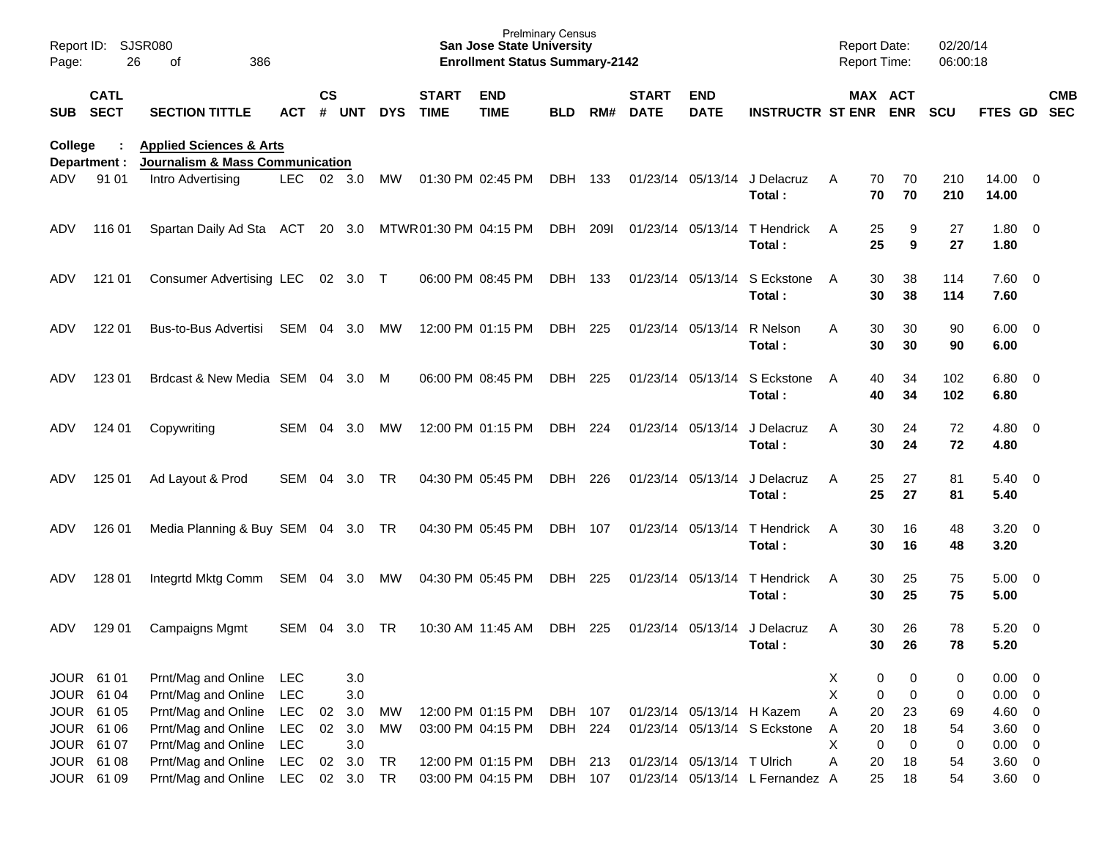| Report ID:<br>Page:     | 26                         | <b>SJSR080</b><br>386<br>of                                                      |            |               |          |            |                             | <b>Prelminary Census</b><br><b>San Jose State University</b><br><b>Enrollment Status Summary-2142</b> |            |       |                             |                            |                                 | <b>Report Date:</b> | Report Time:         | 02/20/14<br>06:00:18 |                        |                          |            |
|-------------------------|----------------------------|----------------------------------------------------------------------------------|------------|---------------|----------|------------|-----------------------------|-------------------------------------------------------------------------------------------------------|------------|-------|-----------------------------|----------------------------|---------------------------------|---------------------|----------------------|----------------------|------------------------|--------------------------|------------|
| <b>SUB</b>              | <b>CATL</b><br><b>SECT</b> | <b>SECTION TITTLE</b>                                                            | ACT        | $\mathsf{cs}$ | # UNT    | <b>DYS</b> | <b>START</b><br><b>TIME</b> | <b>END</b><br><b>TIME</b>                                                                             | <b>BLD</b> | RM#   | <b>START</b><br><b>DATE</b> | <b>END</b><br><b>DATE</b>  | <b>INSTRUCTR ST ENR ENR</b>     |                     | MAX ACT              | <b>SCU</b>           | FTES GD SEC            |                          | <b>CMB</b> |
| College<br>Department : |                            | <b>Applied Sciences &amp; Arts</b><br><b>Journalism &amp; Mass Communication</b> |            |               |          |            |                             |                                                                                                       |            |       |                             |                            |                                 |                     |                      |                      |                        |                          |            |
| ADV.                    | 91 01                      | Intro Advertising                                                                | LEC.       |               | 02 3.0   | MW         |                             | 01:30 PM 02:45 PM                                                                                     | DBH        | - 133 |                             | 01/23/14 05/13/14          | J Delacruz<br>Total:            | A                   | 70<br>70<br>70<br>70 | 210<br>210           | $14.00 \t 0$<br>14.00  |                          |            |
| ADV                     | 116 01                     | Spartan Daily Ad Sta ACT                                                         |            |               | 20 3.0   |            | MTWR01:30 PM 04:15 PM       |                                                                                                       | DBH        | 209I  |                             | 01/23/14 05/13/14          | T Hendrick<br>Total:            | A                   | 25<br>9<br>25<br>9   | 27<br>27             | $1.80 \ 0$<br>1.80     |                          |            |
| ADV                     | 121 01                     | <b>Consumer Advertising LEC</b>                                                  |            |               | 02 3.0 T |            |                             | 06:00 PM 08:45 PM                                                                                     | DBH 133    |       |                             | 01/23/14 05/13/14          | S Eckstone<br>Total:            | A                   | 38<br>30<br>38<br>30 | 114<br>114           | 7.60 0<br>7.60         |                          |            |
| ADV                     | 122 01                     | Bus-to-Bus Advertisi                                                             | SEM        | 04            | 3.0      | MW         |                             | 12:00 PM 01:15 PM                                                                                     | DBH        | 225   |                             | 01/23/14 05/13/14          | R Nelson<br>Total:              | A                   | 30<br>30<br>30<br>30 | 90<br>90             | $6.00 \quad 0$<br>6.00 |                          |            |
| ADV                     | 123 01                     | Brdcast & New Media SEM 04 3.0                                                   |            |               |          | M          |                             | 06:00 PM 08:45 PM                                                                                     | DBH        | 225   |                             | 01/23/14 05/13/14          | S Eckstone<br>Total:            | A                   | 34<br>40<br>40<br>34 | 102<br>102           | 6.80 0<br>6.80         |                          |            |
| ADV                     | 124 01                     | Copywriting                                                                      | SEM        | 04            | 3.0      | MW         |                             | 12:00 PM 01:15 PM                                                                                     | DBH        | 224   |                             | 01/23/14 05/13/14          | J Delacruz<br>Total:            | A                   | 30<br>24<br>30<br>24 | 72<br>72             | $4.80\ 0$<br>4.80      |                          |            |
| ADV                     | 125 01                     | Ad Layout & Prod                                                                 | SEM        | 04            | 3.0      | TR         |                             | 04:30 PM 05:45 PM                                                                                     | DBH        | 226   |                             | 01/23/14 05/13/14          | J Delacruz<br>Total:            | A                   | 27<br>25<br>25<br>27 | 81<br>81             | $5.40 \ 0$<br>5.40     |                          |            |
| ADV                     | 126 01                     | Media Planning & Buy SEM 04 3.0 TR                                               |            |               |          |            |                             | 04:30 PM 05:45 PM                                                                                     | DBH        | 107   |                             | 01/23/14 05/13/14          | T Hendrick<br>Total:            | A                   | 16<br>30<br>30<br>16 | 48<br>48             | $3.20 \ 0$<br>3.20     |                          |            |
| ADV                     | 128 01                     | Integrtd Mktg Comm                                                               | SEM 04     |               | 3.0      | MW         |                             | 04:30 PM 05:45 PM                                                                                     | DBH        | 225   |                             | 01/23/14 05/13/14          | T Hendrick<br>Total:            | A                   | 25<br>30<br>25<br>30 | 75<br>75             | $5.00 \t 0$<br>5.00    |                          |            |
| ADV                     | 129 01                     | Campaigns Mgmt                                                                   | SEM        | 04            | 3.0      | TR.        |                             | 10:30 AM 11:45 AM                                                                                     | DBH        | 225   |                             | 01/23/14 05/13/14          | J Delacruz<br>Total:            | A                   | 30<br>26<br>30<br>26 | 78<br>78             | 5.20<br>5.20           | $\overline{\phantom{0}}$ |            |
| JOUR 61 01              |                            | Prnt/Mag and Online                                                              | <b>LEC</b> |               | 3.0      |            |                             |                                                                                                       |            |       |                             |                            |                                 | X                   | 0<br>0               | 0                    | $0.00 \t 0$            |                          |            |
|                         | JOUR 61 04                 | Prnt/Mag and Online                                                              | LEC        |               | 3.0      |            |                             |                                                                                                       |            |       |                             |                            |                                 | X                   | 0<br>$\mathbf 0$     | 0                    | $0.00 \t 0$            |                          |            |
| JOUR 61 05              |                            | Prnt/Mag and Online                                                              | <b>LEC</b> | 02            | 3.0      | MW         |                             | 12:00 PM 01:15 PM                                                                                     | DBH 107    |       |                             | 01/23/14 05/13/14 H Kazem  |                                 | A                   | 20<br>23             | 69                   | 4.60 0                 |                          |            |
|                         | JOUR 61 06                 | Prnt/Mag and Online                                                              | <b>LEC</b> |               | 02 3.0   | MW         |                             | 03:00 PM 04:15 PM                                                                                     | DBH 224    |       |                             |                            | 01/23/14 05/13/14 S Eckstone    | Α                   | 18<br>20             | 54                   | $3.60 \ 0$             |                          |            |
| JOUR 61 07              |                            | Prnt/Mag and Online                                                              | <b>LEC</b> |               | 3.0      |            |                             |                                                                                                       |            |       |                             |                            |                                 | X                   | $\mathbf 0$<br>0     | $\pmb{0}$            | $0.00 \t 0$            |                          |            |
|                         | JOUR 61 08                 | Prnt/Mag and Online                                                              | <b>LEC</b> | 02            | 3.0      | <b>TR</b>  |                             | 12:00 PM 01:15 PM                                                                                     | DBH 213    |       |                             | 01/23/14 05/13/14 T Ulrich |                                 | A                   | 20<br>18             | 54                   | $3.60 \ 0$             |                          |            |
|                         | JOUR 61 09                 | Prnt/Mag and Online                                                              | LEC        |               | 02 3.0   | <b>TR</b>  |                             | 03:00 PM 04:15 PM                                                                                     | DBH 107    |       |                             |                            | 01/23/14 05/13/14 L Fernandez A |                     | 25<br>18             | 54                   | $3.60 \t 0$            |                          |            |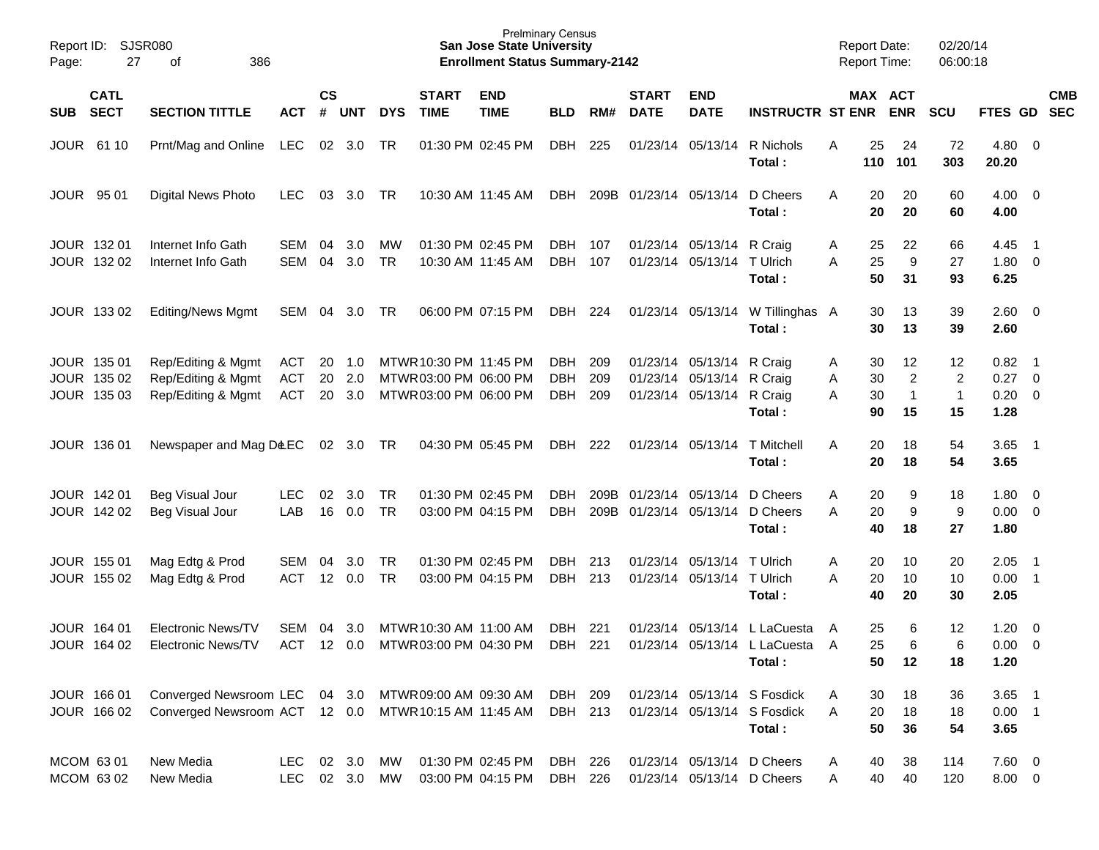| Page:      | Report ID: SJSR080<br>27                  | 386<br>of                                                                      |                                 |                       |                    |                        |                                                                            | <b>San Jose State University</b><br><b>Enrollment Status Summary-2142</b> | <b>Prelminary Census</b>        |                   |                             |                                                                                     |                                                                      | <b>Report Date:</b> |                      | <b>Report Time:</b>                       | 02/20/14<br>06:00:18                       |                                               |                                                     |            |
|------------|-------------------------------------------|--------------------------------------------------------------------------------|---------------------------------|-----------------------|--------------------|------------------------|----------------------------------------------------------------------------|---------------------------------------------------------------------------|---------------------------------|-------------------|-----------------------------|-------------------------------------------------------------------------------------|----------------------------------------------------------------------|---------------------|----------------------|-------------------------------------------|--------------------------------------------|-----------------------------------------------|-----------------------------------------------------|------------|
| <b>SUB</b> | <b>CATL</b><br><b>SECT</b>                | <b>SECTION TITTLE</b>                                                          | <b>ACT</b>                      | <b>CS</b><br>#        | <b>UNT</b>         | <b>DYS</b>             | <b>START</b><br><b>TIME</b>                                                | <b>END</b><br><b>TIME</b>                                                 | <b>BLD</b>                      | RM#               | <b>START</b><br><b>DATE</b> | <b>END</b><br><b>DATE</b>                                                           | <b>INSTRUCTR ST ENR</b>                                              |                     |                      | MAX ACT<br><b>ENR</b>                     | <b>SCU</b>                                 | FTES GD SEC                                   |                                                     | <b>CMB</b> |
|            | JOUR 61 10                                | Prnt/Mag and Online                                                            | LEC                             |                       | 02 3.0             | TR                     |                                                                            | 01:30 PM 02:45 PM                                                         | DBH                             | 225               |                             | 01/23/14 05/13/14                                                                   | R Nichols<br>Total:                                                  | Α                   | 25<br>110            | 24<br>101                                 | 72<br>303                                  | $4.80\ 0$<br>20.20                            |                                                     |            |
|            | <b>JOUR 9501</b>                          | Digital News Photo                                                             | <b>LEC</b>                      | 03                    | 3.0                | TR                     |                                                                            | 10:30 AM 11:45 AM                                                         | DBH                             |                   | 209B 01/23/14 05/13/14      |                                                                                     | D Cheers<br>Total:                                                   | Α                   | 20<br>20             | 20<br>20                                  | 60<br>60                                   | $4.00 \ 0$<br>4.00                            |                                                     |            |
|            | JOUR 132 01<br>JOUR 132 02                | Internet Info Gath<br>Internet Info Gath                                       | SEM<br>SEM                      | 04<br>04              | 3.0<br>3.0         | МW<br><b>TR</b>        |                                                                            | 01:30 PM 02:45 PM<br>10:30 AM 11:45 AM                                    | DBH<br><b>DBH</b>               | 107<br>107        |                             | 01/23/14 05/13/14 R Craig<br>01/23/14 05/13/14                                      | T Ulrich<br>Total:                                                   | A<br>A              | 25<br>25<br>50       | 22<br>9<br>31                             | 66<br>27<br>93                             | 4.45<br>1.80 0<br>6.25                        | $\overline{\phantom{0}}$                            |            |
|            | JOUR 133 02                               | <b>Editing/News Mgmt</b>                                                       | SEM 04                          |                       | 3.0                | TR                     |                                                                            | 06:00 PM 07:15 PM                                                         | DBH                             | 224               |                             |                                                                                     | 01/23/14 05/13/14 W Tillinghas A<br>Total:                           |                     | 30<br>30             | 13<br>13                                  | 39<br>39                                   | $2.60 \t 0$<br>2.60                           |                                                     |            |
|            | JOUR 135 01<br>JOUR 135 02<br>JOUR 135 03 | Rep/Editing & Mgmt<br>Rep/Editing & Mgmt<br>Rep/Editing & Mgmt                 | ACT<br><b>ACT</b><br><b>ACT</b> | 20<br>20<br>20        | 1.0<br>2.0<br>3.0  |                        | MTWR 10:30 PM 11:45 PM<br>MTWR 03:00 PM 06:00 PM<br>MTWR 03:00 PM 06:00 PM |                                                                           | DBH<br><b>DBH</b><br><b>DBH</b> | 209<br>209<br>209 |                             | 01/23/14 05/13/14 R Craig<br>01/23/14 05/13/14 R Craig<br>01/23/14 05/13/14 R Craig | Total:                                                               | Α<br>Α<br>A         | 30<br>30<br>30<br>90 | 12<br>$\overline{c}$<br>$\mathbf 1$<br>15 | 12<br>$\overline{c}$<br>$\mathbf{1}$<br>15 | $0.82$ 1<br>$0.27 \t 0$<br>$0.20 \ 0$<br>1.28 |                                                     |            |
|            | JOUR 136 01                               | Newspaper and Mag D&EC                                                         |                                 |                       | 02 3.0             | TR                     |                                                                            | 04:30 PM 05:45 PM                                                         | <b>DBH</b>                      | 222               |                             | 01/23/14 05/13/14                                                                   | T Mitchell<br>Total:                                                 | A                   | 20<br>20             | 18<br>18                                  | 54<br>54                                   | $3.65$ 1<br>3.65                              |                                                     |            |
|            | JOUR 142 01<br>JOUR 142 02                | Beg Visual Jour<br>Beg Visual Jour                                             | <b>LEC</b><br>LAB               | 02<br>16              | 3.0<br>0.0         | <b>TR</b><br><b>TR</b> |                                                                            | 01:30 PM 02:45 PM<br>03:00 PM 04:15 PM                                    | <b>DBH</b><br><b>DBH</b>        | 209B              |                             | 209B 01/23/14 05/13/14<br>01/23/14 05/13/14 D Cheers                                | D Cheers<br>Total:                                                   | Α<br>A              | 20<br>20<br>40       | 9<br>$\boldsymbol{9}$<br>18               | 18<br>9<br>27                              | 1.80 0<br>$0.00 \t 0$<br>1.80                 |                                                     |            |
|            | JOUR 155 01<br>JOUR 155 02                | Mag Edtg & Prod<br>Mag Edtg & Prod                                             | SEM<br><b>ACT</b>               | 04<br>12 <sup>°</sup> | 3.0<br>0.0         | <b>TR</b><br><b>TR</b> |                                                                            | 01:30 PM 02:45 PM<br>03:00 PM 04:15 PM                                    | <b>DBH</b><br><b>DBH</b>        | 213<br>213        |                             | 01/23/14 05/13/14<br>01/23/14 05/13/14 T Ulrich                                     | T Ulrich<br>Total:                                                   | Α<br>A              | 20<br>20<br>40       | 10<br>10<br>20                            | 20<br>10<br>30                             | 2.05<br>$0.00$ 1<br>2.05                      | $\overline{\phantom{0}}$                            |            |
|            | JOUR 164 01<br>JOUR 164 02                | <b>Electronic News/TV</b><br>Electronic News/TV                                | SEM<br><b>ACT</b>               | 04                    | 3.0<br>$12 \t 0.0$ |                        | MTWR 10:30 AM 11:00 AM<br>MTWR 03:00 PM 04:30 PM                           |                                                                           | <b>DBH</b><br><b>DBH</b>        | 221<br>221        |                             | 01/23/14 05/13/14                                                                   | L LaCuesta<br>01/23/14 05/13/14 L LaCuesta<br>Total:                 | A<br>A              | 25<br>25<br>50       | 6<br>6<br>12                              | 12<br>6<br>18                              | 1.20<br>0.00<br>1.20                          | $\overline{\phantom{0}}$<br>$\overline{\mathbf{0}}$ |            |
|            | JOUR 166 01<br>JOUR 166 02                | Converged Newsroom LEC<br>Converged Newsroom ACT 12 0.0 MTWR 10:15 AM 11:45 AM |                                 |                       |                    |                        | 04 3.0 MTWR 09:00 AM 09:30 AM                                              |                                                                           | DBH 209<br>DBH 213              |                   |                             |                                                                                     | 01/23/14 05/13/14 S Fosdick<br>01/23/14 05/13/14 S Fosdick<br>Total: | A<br>A              | 30<br>20<br>50       | 18<br>18<br>36                            | 36<br>18<br>54                             | $3.65$ 1<br>$0.00$ 1<br>3.65                  |                                                     |            |
|            | MCOM 63 01<br>MCOM 63 02                  | New Media<br>New Media                                                         | LEC<br>LEC 02 3.0 MW            |                       | 02 3.0             | MW                     |                                                                            | 01:30 PM 02:45 PM<br>03:00 PM 04:15 PM                                    | DBH 226<br>DBH 226              |                   |                             | 01/23/14 05/13/14 D Cheers<br>01/23/14 05/13/14 D Cheers                            |                                                                      | Α<br>Α              | 40<br>40             | 38<br>40                                  | 114<br>120                                 | 7.60 0<br>$8.00 \t 0$                         |                                                     |            |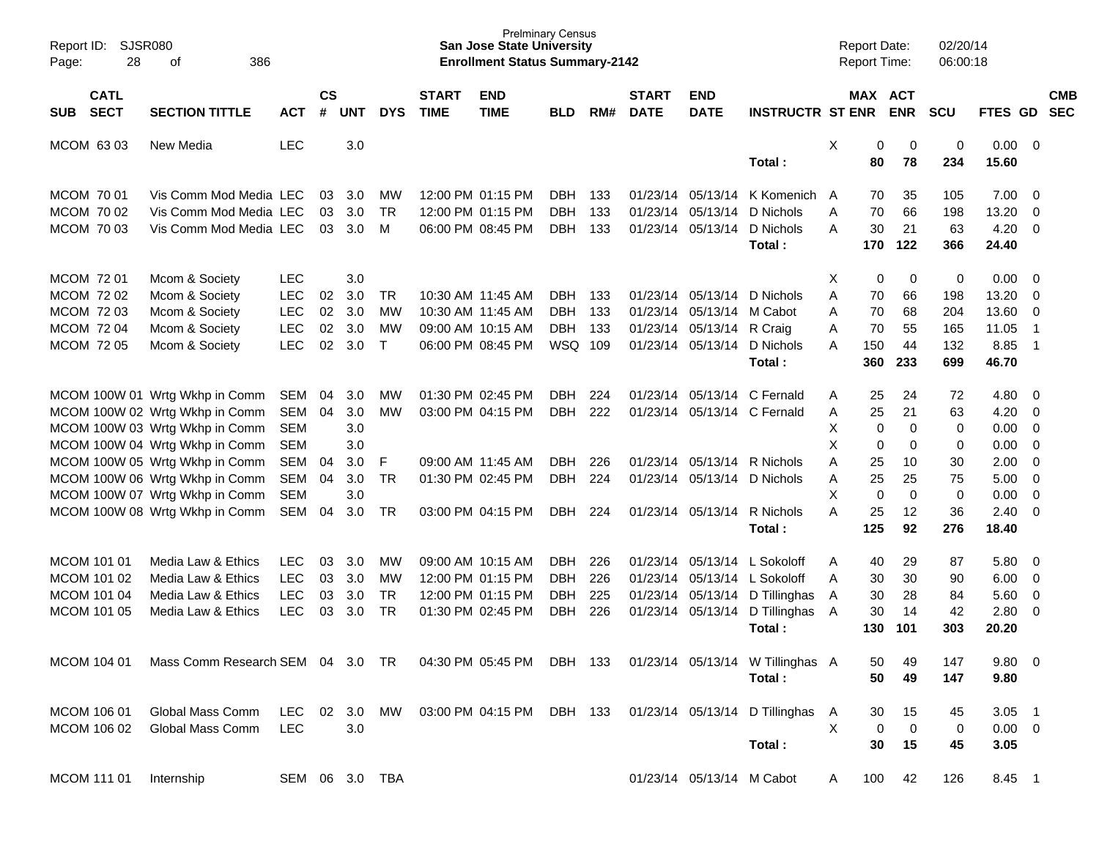| Report ID:<br>28<br>Page:                | SJSR080<br>386<br>οf                                                                        |                |                    |            |            |                             | <b>San Jose State University</b><br><b>Enrollment Status Summary-2142</b> | <b>Prelminary Census</b> |     |                             |                           |                                                            |   | <b>Report Date:</b><br>Report Time: |             | 02/20/14<br>06:00:18 |                      |                |                          |
|------------------------------------------|---------------------------------------------------------------------------------------------|----------------|--------------------|------------|------------|-----------------------------|---------------------------------------------------------------------------|--------------------------|-----|-----------------------------|---------------------------|------------------------------------------------------------|---|-------------------------------------|-------------|----------------------|----------------------|----------------|--------------------------|
| <b>CATL</b><br><b>SECT</b><br><b>SUB</b> | <b>SECTION TITTLE</b>                                                                       | <b>ACT</b>     | $\mathsf{cs}$<br># | <b>UNT</b> | <b>DYS</b> | <b>START</b><br><b>TIME</b> | <b>END</b><br><b>TIME</b>                                                 | <b>BLD</b>               | RM# | <b>START</b><br><b>DATE</b> | <b>END</b><br><b>DATE</b> | <b>INSTRUCTR ST ENR</b>                                    |   | MAX ACT                             | <b>ENR</b>  | <b>SCU</b>           | <b>FTES GD</b>       |                | <b>CMB</b><br><b>SEC</b> |
| MCOM 63 03                               | New Media                                                                                   | <b>LEC</b>     |                    | 3.0        |            |                             |                                                                           |                          |     |                             |                           | Total:                                                     | X | 0<br>80                             | 0<br>78     | $\mathbf 0$<br>234   | $0.00 \t 0$<br>15.60 |                |                          |
| MCOM 70 01                               | Vis Comm Mod Media LEC                                                                      |                | 03                 | 3.0        | МW         |                             | 12:00 PM 01:15 PM                                                         | DBH.                     | 133 |                             | 01/23/14 05/13/14         | K Komenich                                                 | A | 70                                  | 35          | 105                  | 7.00                 | $\overline{0}$ |                          |
| MCOM 70 02                               | Vis Comm Mod Media LEC                                                                      |                | 03                 | 3.0        | <b>TR</b>  |                             | 12:00 PM 01:15 PM                                                         | <b>DBH</b>               | 133 |                             | 01/23/14 05/13/14         | D Nichols                                                  | A | 70                                  | 66          | 198                  | 13.20                | $\mathbf 0$    |                          |
| MCOM 70 03                               | Vis Comm Mod Media LEC                                                                      |                | 03                 | 3.0        | M          |                             | 06:00 PM 08:45 PM                                                         | <b>DBH</b>               | 133 |                             | 01/23/14 05/13/14         | D Nichols                                                  | A | 30                                  | 21          | 63                   | 4.20                 | $\overline{0}$ |                          |
|                                          |                                                                                             |                |                    |            |            |                             |                                                                           |                          |     |                             |                           | Total:                                                     |   | 170                                 | 122         | 366                  | 24.40                |                |                          |
| MCOM 72 01                               | Mcom & Society                                                                              | <b>LEC</b>     |                    | 3.0        |            |                             |                                                                           |                          |     |                             |                           |                                                            | X | 0                                   | 0           | 0                    | 0.00                 | - 0            |                          |
| MCOM 72 02                               | Mcom & Society                                                                              | <b>LEC</b>     | 02                 | 3.0        | <b>TR</b>  |                             | 10:30 AM 11:45 AM                                                         | <b>DBH</b>               | 133 |                             | 01/23/14 05/13/14         | D Nichols                                                  | A | 70                                  | 66          | 198                  | 13.20                | $\mathbf 0$    |                          |
| <b>MCOM 7203</b>                         | Mcom & Society                                                                              | <b>LEC</b>     | 02                 | 3.0        | МW         |                             | 10:30 AM 11:45 AM                                                         | <b>DBH</b>               | 133 |                             | 01/23/14 05/13/14         | M Cabot                                                    | A | 70                                  | 68          | 204                  | 13.60                | $\overline{0}$ |                          |
| <b>MCOM 7204</b>                         | Mcom & Society                                                                              | LEC            | 02                 | 3.0        | MW         |                             | 09:00 AM 10:15 AM                                                         | <b>DBH</b>               | 133 |                             | 01/23/14 05/13/14         | R Craig                                                    | Α | 70                                  | 55          | 165                  | 11.05                | $\overline{1}$ |                          |
| <b>MCOM 7205</b>                         | Mcom & Society                                                                              | LEC            | 02                 | 3.0        | $\top$     |                             | 06:00 PM 08:45 PM                                                         | WSQ 109                  |     |                             | 01/23/14 05/13/14         | D Nichols                                                  | A | 150                                 | 44          | 132                  | 8.85                 | $\overline{1}$ |                          |
|                                          |                                                                                             |                |                    |            |            |                             |                                                                           |                          |     |                             |                           | Total:                                                     |   | 360                                 | 233         | 699                  | 46.70                |                |                          |
|                                          | MCOM 100W 01 Wrtg Wkhp in Comm                                                              | SEM            | 04                 | 3.0        | МW         |                             | 01:30 PM 02:45 PM                                                         | DBH.                     | 224 |                             |                           | 01/23/14 05/13/14 C Fernald                                | Α | 25                                  | 24          | 72                   | 4.80                 | $\overline{0}$ |                          |
|                                          | MCOM 100W 02 Wrtg Wkhp in Comm                                                              | SEM            | 04                 | 3.0        | MW         |                             | 03:00 PM 04:15 PM                                                         | <b>DBH</b>               | 222 |                             |                           | 01/23/14 05/13/14 C Fernald                                | Α | 25                                  | 21          | 63                   | 4.20                 | $\mathbf 0$    |                          |
|                                          | MCOM 100W 03 Wrtg Wkhp in Comm                                                              | <b>SEM</b>     |                    | 3.0        |            |                             |                                                                           |                          |     |                             |                           |                                                            | Χ | 0                                   | $\mathbf 0$ | 0                    | 0.00                 | $\mathbf 0$    |                          |
|                                          | MCOM 100W 04 Wrtg Wkhp in Comm                                                              | <b>SEM</b>     |                    | 3.0        |            |                             |                                                                           |                          |     |                             |                           |                                                            | X | $\mathbf 0$                         | $\mathbf 0$ | 0                    | 0.00                 | $\overline{0}$ |                          |
|                                          | MCOM 100W 05 Wrtg Wkhp in Comm                                                              | <b>SEM</b>     | 04                 | 3.0        | F          |                             | 09:00 AM 11:45 AM                                                         | <b>DBH</b>               | 226 |                             | 01/23/14 05/13/14         | R Nichols                                                  | Α | 25                                  | 10          | 30                   | 2.00                 | $\overline{0}$ |                          |
|                                          | MCOM 100W 06 Wrtg Wkhp in Comm                                                              | SEM            | 04                 | 3.0        | TR         |                             | 01:30 PM 02:45 PM                                                         | <b>DBH</b>               | 224 |                             | 01/23/14 05/13/14         | D Nichols                                                  | Α | 25                                  | 25          | 75                   | 5.00                 | $\overline{0}$ |                          |
|                                          | MCOM 100W 07 Wrtg Wkhp in Comm                                                              | <b>SEM</b>     |                    | 3.0        |            |                             |                                                                           |                          |     |                             |                           |                                                            | X | $\mathbf 0$                         | $\mathbf 0$ | $\mathbf 0$          | 0.00                 | $\mathbf 0$    |                          |
|                                          | MCOM 100W 08 Wrtg Wkhp in Comm                                                              | SEM            | 04                 | 3.0        | TR         |                             | 03:00 PM 04:15 PM                                                         | <b>DBH</b>               | 224 |                             | 01/23/14 05/13/14         | R Nichols                                                  | A | 25                                  | 12          | 36                   | 2.40                 | $\overline{0}$ |                          |
|                                          |                                                                                             |                |                    |            |            |                             |                                                                           |                          |     |                             |                           | Total:                                                     |   | 125                                 | 92          | 276                  | 18.40                |                |                          |
| MCOM 101 01                              | Media Law & Ethics                                                                          | <b>LEC</b>     | 03                 | 3.0        | МW         |                             | 09:00 AM 10:15 AM                                                         | DBH.                     | 226 |                             | 01/23/14 05/13/14         | L Sokoloff                                                 | Α | 40                                  | 29          | 87                   | 5.80                 | $\overline{0}$ |                          |
| MCOM 101 02                              | Media Law & Ethics                                                                          | <b>LEC</b>     | 03                 | 3.0        | MW         |                             | 12:00 PM 01:15 PM                                                         | <b>DBH</b>               | 226 |                             | 01/23/14 05/13/14         | L Sokoloff                                                 | A | 30                                  | 30          | 90                   | 6.00                 | $\overline{0}$ |                          |
| MCOM 101 04                              | Media Law & Ethics                                                                          | <b>LEC</b>     | 03                 | 3.0        | <b>TR</b>  |                             | 12:00 PM 01:15 PM                                                         | <b>DBH</b>               | 225 |                             | 01/23/14 05/13/14         | D Tillinghas                                               | A | 30                                  | 28          | 84                   | 5.60                 | $\mathbf 0$    |                          |
| MCOM 101 05                              | Media Law & Ethics                                                                          | <b>LEC</b>     | 03                 | 3.0        | TR         |                             | 01:30 PM 02:45 PM                                                         | <b>DBH</b>               | 226 |                             | 01/23/14 05/13/14         | D Tillinghas                                               | A | 30                                  | 14          | 42                   | 2.80                 | $\overline{0}$ |                          |
|                                          |                                                                                             |                |                    |            |            |                             |                                                                           |                          |     |                             |                           | Total:                                                     |   | 130                                 | 101         | 303                  | 20.20                |                |                          |
| MCOM 104 01                              | Mass Comm Research SEM 04 3.0 TR 04:30 PM 05:45 PM DBH 133 01/23/14 05/13/14 W Tillinghas A |                |                    |            |            |                             |                                                                           |                          |     |                             |                           |                                                            |   | 50                                  | 49          | 147                  | 9.80 0               |                |                          |
|                                          |                                                                                             |                |                    |            |            |                             |                                                                           |                          |     |                             |                           | Total:                                                     |   | 50                                  | 49          | 147                  | 9.80                 |                |                          |
| MCOM 106 01                              | Global Mass Comm                                                                            | <b>LEC</b>     | 02                 | 3.0        | MW         |                             |                                                                           |                          |     |                             |                           | 03:00 PM 04:15 PM DBH 133 01/23/14 05/13/14 D Tillinghas A |   | 30                                  | 15          | 45                   | $3.05$ 1             |                |                          |
| MCOM 106 02                              | Global Mass Comm                                                                            | <b>LEC</b>     |                    | 3.0        |            |                             |                                                                           |                          |     |                             |                           |                                                            | X | $\mathbf 0$                         | $\mathbf 0$ | 0                    | $0.00 \t 0$          |                |                          |
|                                          |                                                                                             |                |                    |            |            |                             |                                                                           |                          |     |                             |                           | Total:                                                     |   | 30                                  | 15          | 45                   | 3.05                 |                |                          |
|                                          |                                                                                             |                |                    |            |            |                             |                                                                           |                          |     |                             |                           |                                                            |   |                                     |             |                      |                      |                |                          |
| MCOM 111 01                              | Internship                                                                                  | SEM 06 3.0 TBA |                    |            |            |                             |                                                                           |                          |     |                             | 01/23/14 05/13/14 M Cabot |                                                            | A | 100                                 | 42          | 126                  | 8.45 1               |                |                          |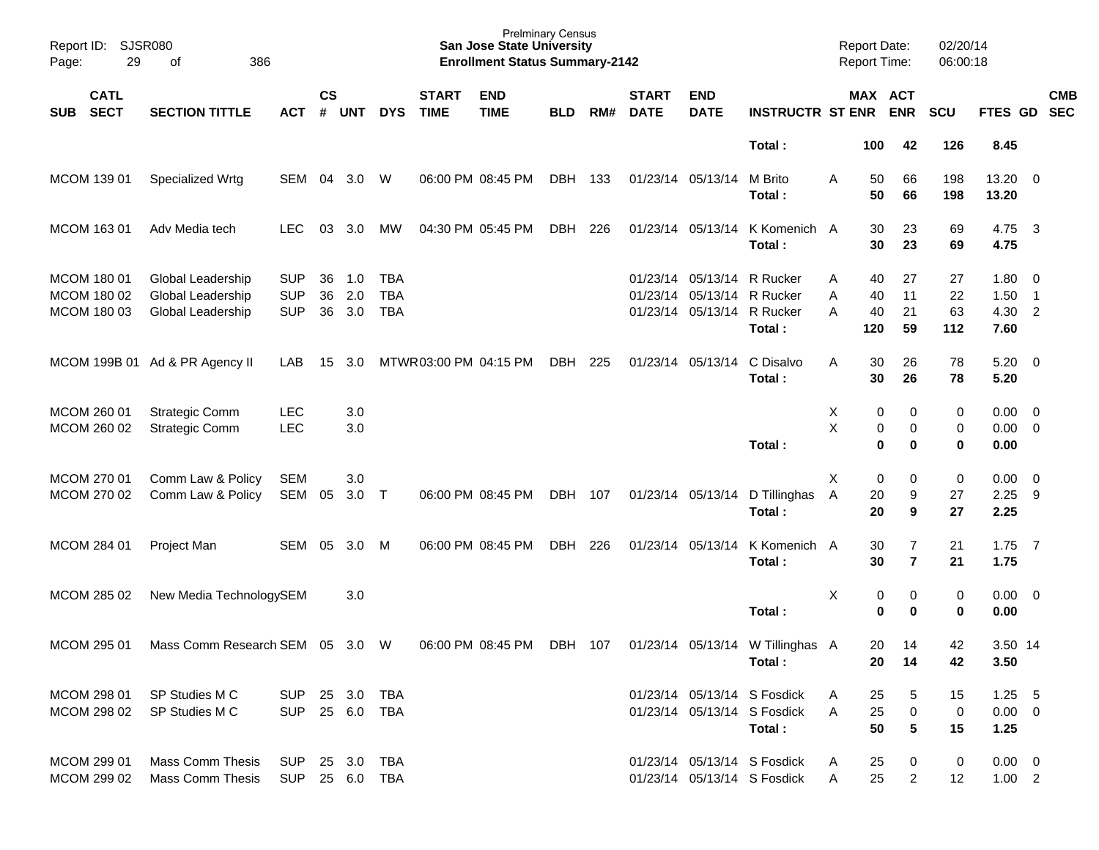| Report ID:<br>29<br>Page:                 | <b>SJSR080</b><br>386<br>οf                                                                |                                        |                |                   |                                        |                             | <b>San Jose State University</b><br><b>Enrollment Status Summary-2142</b> | <b>Prelminary Census</b> |     |                             |                                                             |                                                                      | Report Date:       | Report Time:                                 | 02/20/14<br>06:00:18    |                                    |                                            |
|-------------------------------------------|--------------------------------------------------------------------------------------------|----------------------------------------|----------------|-------------------|----------------------------------------|-----------------------------|---------------------------------------------------------------------------|--------------------------|-----|-----------------------------|-------------------------------------------------------------|----------------------------------------------------------------------|--------------------|----------------------------------------------|-------------------------|------------------------------------|--------------------------------------------|
| <b>CATL</b><br><b>SECT</b><br><b>SUB</b>  | <b>SECTION TITTLE</b>                                                                      | <b>ACT</b>                             | <b>CS</b><br># | <b>UNT</b>        | <b>DYS</b>                             | <b>START</b><br><b>TIME</b> | <b>END</b><br><b>TIME</b>                                                 | <b>BLD</b>               | RM# | <b>START</b><br><b>DATE</b> | <b>END</b><br><b>DATE</b>                                   | <b>INSTRUCTR ST ENR</b>                                              |                    | MAX ACT<br><b>ENR</b>                        | SCU                     | FTES GD                            | <b>CMB</b><br><b>SEC</b>                   |
|                                           |                                                                                            |                                        |                |                   |                                        |                             |                                                                           |                          |     |                             |                                                             | Total:                                                               | 100                | 42                                           | 126                     | 8.45                               |                                            |
| MCOM 139 01                               | Specialized Wrtg                                                                           | SEM                                    | 04             | 3.0               | W                                      |                             | 06:00 PM 08:45 PM                                                         | DBH                      | 133 | 01/23/14 05/13/14           |                                                             | M Brito<br>Total:                                                    | A                  | 50<br>66<br>50<br>66                         | 198<br>198              | 13.20 0<br>13.20                   |                                            |
| MCOM 163 01                               | Adv Media tech                                                                             | <b>LEC</b>                             | 03             | 3.0               | MW                                     |                             | 04:30 PM 05:45 PM                                                         | DBH                      | 226 | 01/23/14 05/13/14           |                                                             | K Komenich A<br>Total:                                               |                    | 30<br>23<br>30<br>23                         | 69<br>69                | 4.75<br>4.75                       | $\overline{\mathbf{3}}$                    |
| MCOM 180 01<br>MCOM 180 02<br>MCOM 180 03 | Global Leadership<br>Global Leadership<br>Global Leadership                                | <b>SUP</b><br><b>SUP</b><br><b>SUP</b> | 36<br>36<br>36 | 1.0<br>2.0<br>3.0 | <b>TBA</b><br><b>TBA</b><br><b>TBA</b> |                             |                                                                           |                          |     |                             | 01/23/14 05/13/14<br>01/23/14 05/13/14<br>01/23/14 05/13/14 | R Rucker<br>R Rucker<br>R Rucker<br>Total:                           | Α<br>Α<br>А<br>120 | 27<br>40<br>40<br>11<br>21<br>40<br>59       | 27<br>22<br>63<br>112   | $1.80 \ 0$<br>1.50<br>4.30<br>7.60 | $\overline{\phantom{1}}$<br>$\overline{2}$ |
|                                           | MCOM 199B 01 Ad & PR Agency II                                                             | LAB                                    | 15             | 3.0               |                                        | MTWR03:00 PM 04:15 PM       |                                                                           | DBH                      | 225 | 01/23/14 05/13/14           |                                                             | C Disalvo<br>Total:                                                  | A                  | 30<br>26<br>30<br>26                         | 78<br>78                | $5.20 \ 0$<br>5.20                 |                                            |
| MCOM 260 01<br>MCOM 260 02                | <b>Strategic Comm</b><br><b>Strategic Comm</b>                                             | <b>LEC</b><br><b>LEC</b>               |                | 3.0<br>3.0        |                                        |                             |                                                                           |                          |     |                             |                                                             | Total:                                                               | X<br>X             | 0<br>0<br>0<br>0<br>$\bf{0}$<br>0            | 0<br>0<br>0             | $0.00 \ 0$<br>$0.00 \t 0$<br>0.00  |                                            |
| MCOM 270 01<br>MCOM 270 02                | Comm Law & Policy<br>Comm Law & Policy                                                     | <b>SEM</b><br>SEM                      | 05             | 3.0<br>3.0        | $\top$                                 |                             | 06:00 PM 08:45 PM                                                         | DBH 107                  |     | 01/23/14 05/13/14           |                                                             | D Tillinghas<br>Total:                                               | X<br>A             | 0<br>0<br>20<br>9<br>20<br>9                 | $\pmb{0}$<br>27<br>27   | 0.00<br>2.25<br>2.25               | $\overline{\phantom{0}}$<br>- 9            |
| MCOM 284 01                               | Project Man                                                                                | SEM 05                                 |                | 3.0               | M                                      |                             | 06:00 PM 08:45 PM                                                         | DBH                      | 226 | 01/23/14 05/13/14           |                                                             | K Komenich A<br>Total:                                               |                    | 30<br>$\overline{7}$<br>30<br>$\overline{7}$ | 21<br>21                | $1.75$ 7<br>1.75                   |                                            |
| MCOM 285 02                               | New Media TechnologySEM                                                                    |                                        |                | 3.0               |                                        |                             |                                                                           |                          |     |                             |                                                             | Total:                                                               | X                  | 0<br>0<br>0<br>0                             | 0<br>0                  | $0.00 \ 0$<br>0.00                 |                                            |
| MCOM 295 01                               | Mass Comm Research SEM 05 3.0 W 06:00 PM 08:45 PM DBH 107 01/23/14 05/13/14 W Tillinghas A |                                        |                |                   |                                        |                             |                                                                           |                          |     |                             |                                                             | Total :                                                              |                    | 20<br>14<br>20<br>14                         | 42<br>42                | 3.50 14<br>3.50                    |                                            |
| MCOM 298 01<br>MCOM 298 02                | SP Studies M C<br>SP Studies M C                                                           | SUP 25 3.0 TBA<br><b>SUP</b>           |                |                   | 25 6.0 TBA                             |                             |                                                                           |                          |     |                             |                                                             | 01/23/14 05/13/14 S Fosdick<br>01/23/14 05/13/14 S Fosdick<br>Total: | A<br>A             | 25<br>5<br>25<br>0<br>5<br>50                | 15<br>$\mathbf 0$<br>15 | $1.25 - 5$<br>$0.00 \t 0$<br>1.25  |                                            |
| MCOM 299 01<br>MCOM 299 02                | <b>Mass Comm Thesis</b><br><b>Mass Comm Thesis</b>                                         | SUP<br>SUP 25 6.0 TBA                  |                | 25 3.0 TBA        |                                        |                             |                                                                           |                          |     |                             |                                                             | 01/23/14 05/13/14 S Fosdick<br>01/23/14 05/13/14 S Fosdick           | A<br>A             | 25<br>0<br>25<br>$\overline{2}$              | 0<br>12                 | $0.00 \quad 0$<br>$1.00$ 2         |                                            |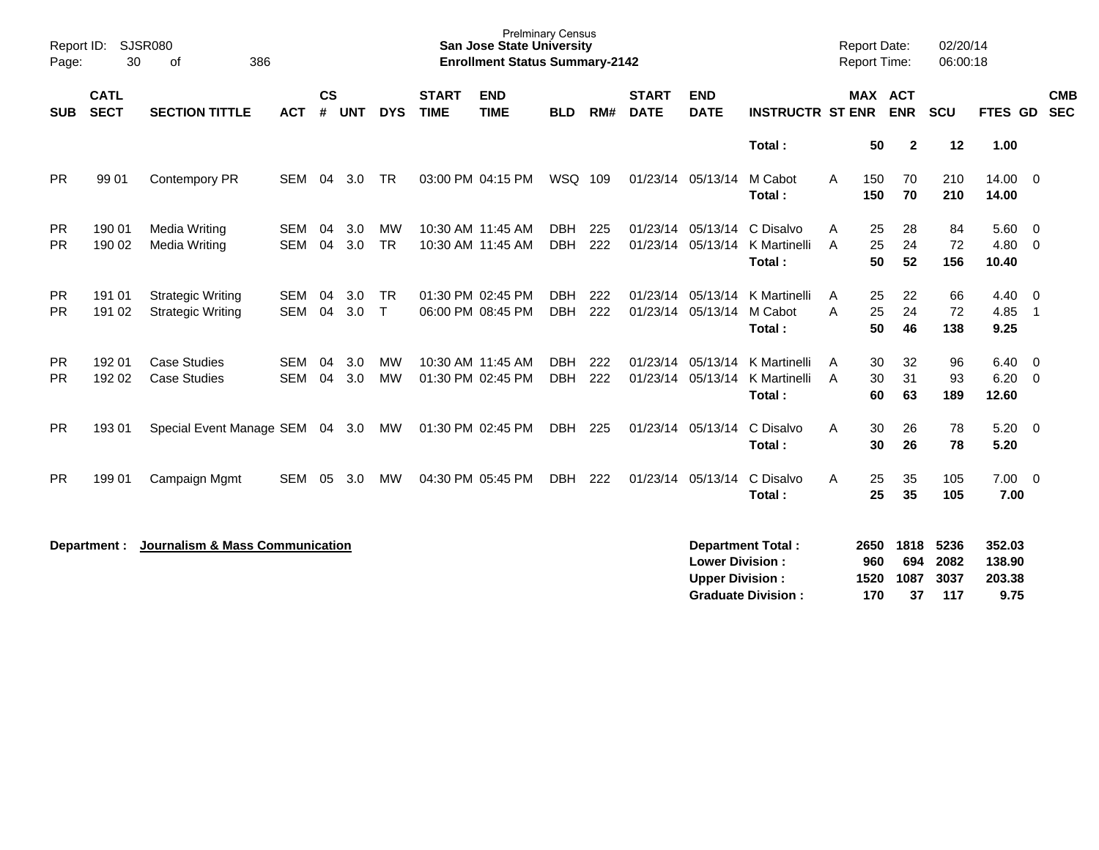| Report ID:<br>Page:    | 30                         | <b>SJSR080</b><br>386<br>0f                          |                          |                    |            |                     |                             | <b>Prelminary Census</b><br><b>San Jose State University</b><br><b>Enrollment Status Summary-2142</b> |                          |            |                             |                                                  |                                                       |        | <b>Report Date:</b><br><b>Report Time:</b> |                           | 02/20/14<br>06:00:18        |                                           |                          |                          |
|------------------------|----------------------------|------------------------------------------------------|--------------------------|--------------------|------------|---------------------|-----------------------------|-------------------------------------------------------------------------------------------------------|--------------------------|------------|-----------------------------|--------------------------------------------------|-------------------------------------------------------|--------|--------------------------------------------|---------------------------|-----------------------------|-------------------------------------------|--------------------------|--------------------------|
| <b>SUB</b>             | <b>CATL</b><br><b>SECT</b> | <b>SECTION TITTLE</b>                                | <b>ACT</b>               | $\mathsf{cs}$<br># | <b>UNT</b> | <b>DYS</b>          | <b>START</b><br><b>TIME</b> | <b>END</b><br><b>TIME</b>                                                                             | <b>BLD</b>               | RM#        | <b>START</b><br><b>DATE</b> | <b>END</b><br><b>DATE</b>                        | <b>INSTRUCTR ST ENR</b>                               |        | MAX ACT                                    | <b>ENR</b>                | <b>SCU</b>                  | FTES GD                                   |                          | <b>CMB</b><br><b>SEC</b> |
|                        |                            |                                                      |                          |                    |            |                     |                             |                                                                                                       |                          |            |                             |                                                  | Total:                                                |        | 50                                         | $\mathbf{2}$              | 12                          | 1.00                                      |                          |                          |
| <b>PR</b>              | 99 01                      | Contempory PR                                        | SEM                      | 04                 | 3.0        | <b>TR</b>           |                             | 03:00 PM 04:15 PM                                                                                     | WSQ 109                  |            | 01/23/14 05/13/14           |                                                  | M Cabot<br>Total:                                     | A      | 150<br>150                                 | 70<br>70                  | 210<br>210                  | 14.00 0<br>14.00                          |                          |                          |
| <b>PR</b><br><b>PR</b> | 190 01<br>190 02           | Media Writing<br>Media Writing                       | <b>SEM</b><br><b>SEM</b> | 04<br>04           | 3.0<br>3.0 | МW<br><b>TR</b>     |                             | 10:30 AM 11:45 AM<br>10:30 AM 11:45 AM                                                                | <b>DBH</b><br><b>DBH</b> | 225<br>222 |                             | 01/23/14 05/13/14<br>01/23/14 05/13/14           | C Disalvo<br>K Martinelli<br>Total:                   | A<br>A | 25<br>25<br>50                             | 28<br>24<br>52            | 84<br>72<br>156             | $5.60 \quad 0$<br>4.80<br>10.40           | $\overline{0}$           |                          |
| <b>PR</b><br><b>PR</b> | 191 01<br>191 02           | <b>Strategic Writing</b><br><b>Strategic Writing</b> | <b>SEM</b><br><b>SEM</b> | 04<br>04           | 3.0<br>3.0 | <b>TR</b><br>$\top$ |                             | 01:30 PM 02:45 PM<br>06:00 PM 08:45 PM                                                                | <b>DBH</b><br><b>DBH</b> | 222<br>222 | 01/23/14                    | 05/13/14<br>01/23/14 05/13/14                    | K Martinelli<br>M Cabot<br>Total:                     | A<br>A | 25<br>25<br>50                             | 22<br>24<br>46            | 66<br>72<br>138             | $4.40 \ 0$<br>4.85<br>9.25                | $\overline{\phantom{1}}$ |                          |
| <b>PR</b><br><b>PR</b> | 192 01<br>192 02           | <b>Case Studies</b><br><b>Case Studies</b>           | <b>SEM</b><br><b>SEM</b> | 04<br>04           | 3.0<br>3.0 | MW<br><b>MW</b>     |                             | 10:30 AM 11:45 AM<br>01:30 PM 02:45 PM                                                                | <b>DBH</b><br><b>DBH</b> | 222<br>222 | 01/23/14                    | 05/13/14<br>01/23/14 05/13/14                    | K Martinelli<br>K Martinelli<br>Total:                | A<br>A | 30<br>30<br>60                             | 32<br>31<br>63            | 96<br>93<br>189             | $6.40 \quad 0$<br>$6.20 \quad 0$<br>12.60 |                          |                          |
| <b>PR</b>              | 193 01                     | Special Event Manage SEM 04 3.0 MW                   |                          |                    |            |                     |                             | 01:30 PM 02:45 PM                                                                                     | DBH                      | 225        |                             | 01/23/14 05/13/14                                | C Disalvo<br>Total:                                   | A      | 30<br>30                                   | 26<br>26                  | 78<br>78                    | $5.20 \ 0$<br>5.20                        |                          |                          |
| <b>PR</b>              | 199 01                     | Campaign Mgmt                                        | <b>SEM</b>               | 05                 | 3.0        | MW                  |                             | 04:30 PM 05:45 PM                                                                                     | DBH                      | 222        |                             | 01/23/14 05/13/14                                | C Disalvo<br>Total:                                   | A      | 25<br>25                                   | 35<br>35                  | 105<br>105                  | $7.00 \t 0$<br>7.00                       |                          |                          |
|                        | Department :               | <b>Journalism &amp; Mass Communication</b>           |                          |                    |            |                     |                             |                                                                                                       |                          |            |                             | <b>Lower Division:</b><br><b>Upper Division:</b> | <b>Department Total:</b><br><b>Graduate Division:</b> |        | 2650<br>960<br>1520<br>170                 | 1818<br>694<br>1087<br>37 | 5236<br>2082<br>3037<br>117 | 352.03<br>138.90<br>203.38<br>9.75        |                          |                          |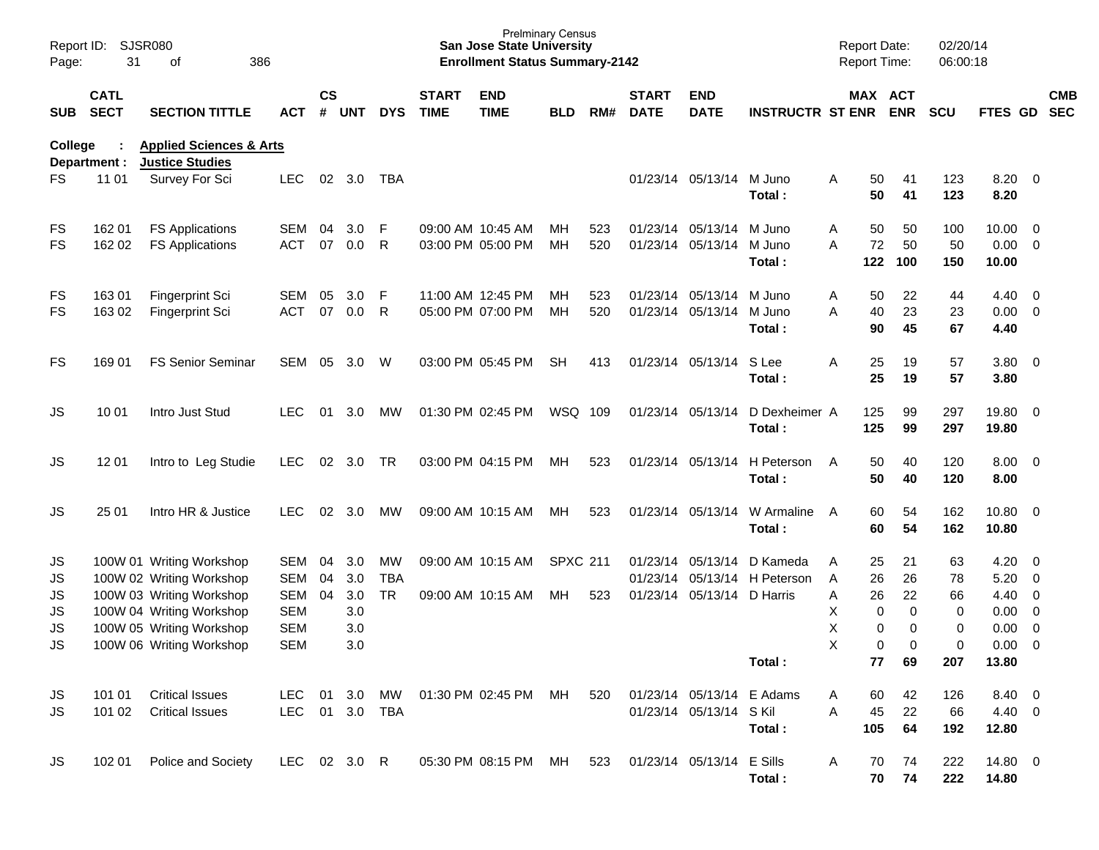| Page:                  | Report ID: SJSR080<br>31   | 386<br>of                                                    |                          |                    |            |            |                             | <b>San Jose State University</b><br><b>Enrollment Status Summary-2142</b> | <b>Prelminary Census</b> |     |                             |                            |                              | <b>Report Date:</b><br>Report Time: |                         | 02/20/14<br>06:00:18 |                     |                                  |            |
|------------------------|----------------------------|--------------------------------------------------------------|--------------------------|--------------------|------------|------------|-----------------------------|---------------------------------------------------------------------------|--------------------------|-----|-----------------------------|----------------------------|------------------------------|-------------------------------------|-------------------------|----------------------|---------------------|----------------------------------|------------|
| SUB                    | <b>CATL</b><br><b>SECT</b> | <b>SECTION TITTLE</b>                                        | <b>ACT</b>               | $\mathsf{cs}$<br># | <b>UNT</b> | <b>DYS</b> | <b>START</b><br><b>TIME</b> | <b>END</b><br><b>TIME</b>                                                 | <b>BLD</b>               | RM# | <b>START</b><br><b>DATE</b> | <b>END</b><br><b>DATE</b>  | <b>INSTRUCTR ST ENR</b>      |                                     | MAX ACT<br><b>ENR</b>   | <b>SCU</b>           | FTES GD SEC         |                                  | <b>CMB</b> |
| College                | Department :               | <b>Applied Sciences &amp; Arts</b><br><b>Justice Studies</b> |                          |                    |            |            |                             |                                                                           |                          |     |                             |                            |                              |                                     |                         |                      |                     |                                  |            |
| FS                     | 11 01                      | Survey For Sci                                               | <b>LEC</b>               |                    | 02 3.0     | <b>TBA</b> |                             |                                                                           |                          |     |                             | 01/23/14 05/13/14 M Juno   | Total:                       | 50<br>A<br>50                       | 41<br>41                | 123<br>123           | $8.20 \ 0$<br>8.20  |                                  |            |
| FS                     | 162 01                     | <b>FS Applications</b>                                       | SEM                      | 04                 | 3.0        | F          |                             | 09:00 AM 10:45 AM                                                         | MН                       | 523 |                             | 01/23/14 05/13/14          | M Juno                       | 50<br>Α                             | 50                      | 100                  | 10.00               | $\overline{\phantom{0}}$         |            |
| FS                     | 162 02                     | <b>FS Applications</b>                                       | <b>ACT</b>               | 07                 | 0.0        | R          |                             | 03:00 PM 05:00 PM                                                         | МH                       | 520 |                             | 01/23/14 05/13/14 M Juno   | Total:                       | 72<br>A<br>122                      | 50<br>100               | 50<br>150            | 0.00<br>10.00       | $\overline{0}$                   |            |
| FS                     | 16301                      | Fingerprint Sci                                              | <b>SEM</b>               | 05                 | 3.0        | F          |                             | 11:00 AM 12:45 PM                                                         | MН                       | 523 |                             | 01/23/14 05/13/14          | M Juno                       | 50<br>Α                             | 22                      | 44                   | 4.40                | $\overline{\phantom{0}}$         |            |
| <b>FS</b>              | 163 02                     | Fingerprint Sci                                              | <b>ACT</b>               | 07                 | 0.0        | R          |                             | 05:00 PM 07:00 PM                                                         | MН                       | 520 |                             | 01/23/14 05/13/14          | M Juno<br>Total:             | 40<br>A<br>90                       | 23<br>45                | 23<br>67             | 0.00<br>4.40        | $\overline{\mathbf{0}}$          |            |
| <b>FS</b>              | 169 01                     | <b>FS Senior Seminar</b>                                     | <b>SEM</b>               | 05                 | 3.0        | W          |                             | 03:00 PM 05:45 PM                                                         | <b>SH</b>                | 413 |                             | 01/23/14 05/13/14          | S Lee<br>Total:              | A<br>25<br>25                       | 19<br>19                | 57<br>57             | $3.80\ 0$<br>3.80   |                                  |            |
| JS                     | 10 01                      | Intro Just Stud                                              | <b>LEC</b>               | 01                 | 3.0        | МW         |                             | 01:30 PM 02:45 PM                                                         | WSQ 109                  |     | 01/23/14 05/13/14           |                            | D Dexheimer A<br>Total:      | 125<br>125                          | 99<br>99                | 297<br>297           | 19.80 0<br>19.80    |                                  |            |
| JS                     | 12 01                      | Intro to Leg Studie                                          | <b>LEC</b>               | 02                 | 3.0        | <b>TR</b>  |                             | 03:00 PM 04:15 PM                                                         | МH                       | 523 |                             | 01/23/14 05/13/14          | H Peterson<br>Total:         | 50<br>A<br>50                       | 40<br>40                | 120<br>120           | $8.00 \t 0$<br>8.00 |                                  |            |
| JS                     | 25 01                      | Intro HR & Justice                                           | <b>LEC</b>               | 02                 | 3.0        | МW         |                             | 09:00 AM 10:15 AM                                                         | MН                       | 523 |                             | 01/23/14 05/13/14          | W Armaline<br>Total:         | 60<br>A<br>60                       | 54<br>54                | 162<br>162           | 10.80 0<br>10.80    |                                  |            |
| JS                     |                            | 100W 01 Writing Workshop                                     | SEM                      | 04                 | 3.0        | MW         |                             | 09:00 AM 10:15 AM                                                         | <b>SPXC 211</b>          |     |                             | 01/23/14 05/13/14          | D Kameda                     | 25<br>A                             | 21                      | 63                   | 4.20                | $\overline{\phantom{0}}$         |            |
| <b>JS</b>              |                            | 100W 02 Writing Workshop                                     | SEM                      | 04                 | 3.0        | <b>TBA</b> |                             |                                                                           |                          |     |                             |                            | 01/23/14 05/13/14 H Peterson | 26<br>A                             | 26                      | 78                   | 5.20                | $\overline{\mathbf{0}}$          |            |
| <b>JS</b>              |                            | 100W 03 Writing Workshop                                     | SEM                      | 04                 | 3.0        | <b>TR</b>  |                             | 09:00 AM 10:15 AM                                                         | MН                       | 523 |                             | 01/23/14 05/13/14 D Harris |                              | 26<br>Α                             | 22                      | 66                   | 4.40                | $\overline{0}$                   |            |
| <b>JS</b><br><b>JS</b> |                            | 100W 04 Writing Workshop<br>100W 05 Writing Workshop         | <b>SEM</b><br><b>SEM</b> |                    | 3.0<br>3.0 |            |                             |                                                                           |                          |     |                             |                            |                              | X<br>0<br>X<br>0                    | $\mathbf 0$<br>0        | 0<br>0               | 0.00<br>0.00        | $\overline{0}$<br>$\overline{0}$ |            |
| <b>JS</b>              |                            | 100W 06 Writing Workshop                                     | <b>SEM</b>               |                    | 3.0        |            |                             |                                                                           |                          |     |                             |                            |                              | X                                   | $\mathbf 0$<br>$\Omega$ | 0                    | 0.00                | $\overline{0}$                   |            |
|                        |                            |                                                              |                          |                    |            |            |                             |                                                                           |                          |     |                             |                            | Total:                       | 77                                  | 69                      | 207                  | 13.80               |                                  |            |
| JS                     | 101 01                     | <b>Critical Issues</b>                                       | <b>LEC</b>               | 01                 | 3.0        | MW         |                             | 01:30 PM 02:45 PM                                                         | MH                       | 520 |                             | 01/23/14 05/13/14 E Adams  |                              | 60<br>A                             | 42                      | 126                  | 8.40 0              |                                  |            |
| <b>JS</b>              | 101 02                     | <b>Critical Issues</b>                                       | LEC                      |                    | 01 3.0 TBA |            |                             |                                                                           |                          |     |                             | 01/23/14 05/13/14 S Kil    | Total:                       | 45<br>A<br>105                      | 22<br>64                | 66<br>192            | 4.40 0<br>12.80     |                                  |            |
| JS.                    | 102 01                     | Police and Society                                           | LEC 02 3.0 R             |                    |            |            |                             | 05:30 PM 08:15 PM MH                                                      |                          | 523 |                             | 01/23/14 05/13/14 E Sills  | Total:                       | 70<br>A<br>70                       | 74<br>74                | 222<br>222           | 14.80 0<br>14.80    |                                  |            |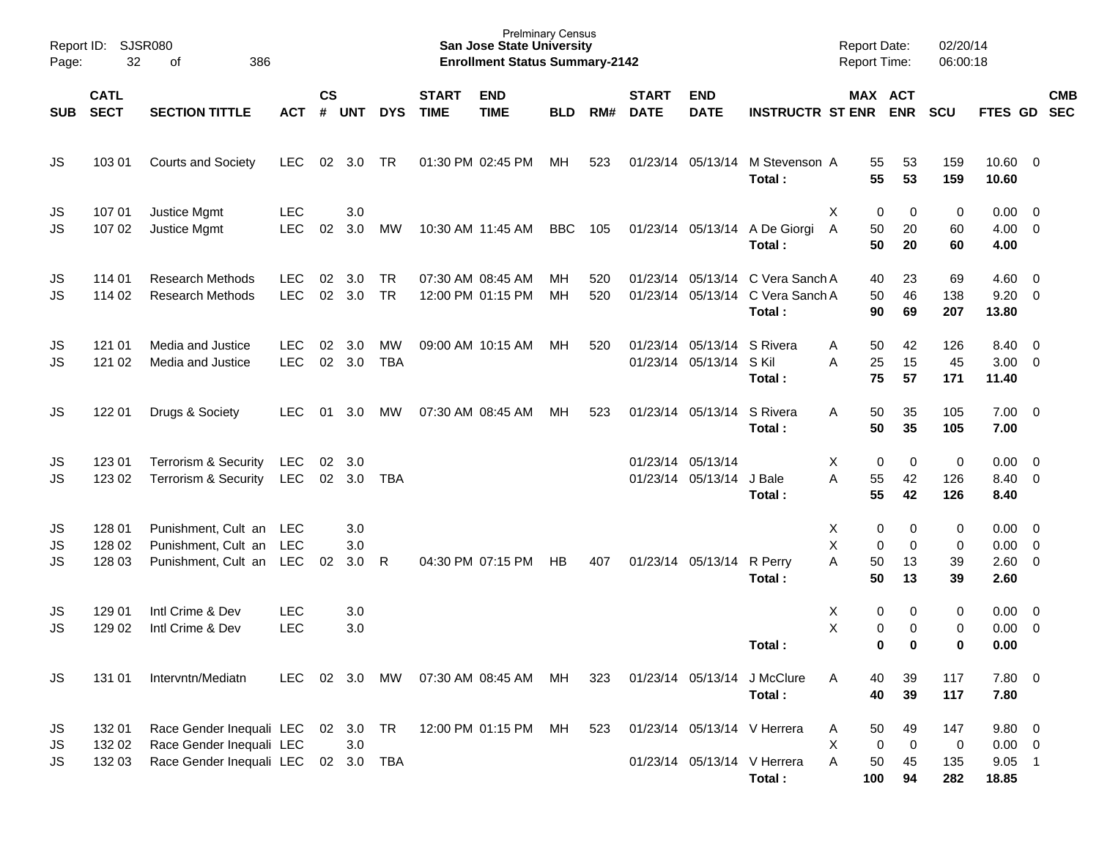| Report ID:<br>Page:   | 32                         | SJSR080<br>386<br>οf                                                             |                          |               |                         |                        |                             | <b>Prelminary Census</b><br><b>San Jose State University</b><br><b>Enrollment Status Summary-2142</b> |                 |            |                             |                                                       |                                                                                | <b>Report Date:</b><br><b>Report Time:</b> |                               | 02/20/14<br>06:00:18             |                                              |                          |            |
|-----------------------|----------------------------|----------------------------------------------------------------------------------|--------------------------|---------------|-------------------------|------------------------|-----------------------------|-------------------------------------------------------------------------------------------------------|-----------------|------------|-----------------------------|-------------------------------------------------------|--------------------------------------------------------------------------------|--------------------------------------------|-------------------------------|----------------------------------|----------------------------------------------|--------------------------|------------|
| <b>SUB</b>            | <b>CATL</b><br><b>SECT</b> | <b>SECTION TITTLE</b>                                                            | <b>ACT</b>               | $\mathsf{cs}$ | # UNT                   | <b>DYS</b>             | <b>START</b><br><b>TIME</b> | <b>END</b><br><b>TIME</b>                                                                             | <b>BLD</b>      | RM#        | <b>START</b><br><b>DATE</b> | <b>END</b><br><b>DATE</b>                             | <b>INSTRUCTR ST ENR ENR</b>                                                    | MAX ACT                                    |                               | <b>SCU</b>                       | FTES GD SEC                                  |                          | <b>CMB</b> |
| JS                    | 103 01                     | <b>Courts and Society</b>                                                        | <b>LEC</b>               | 02            | 3.0                     | TR                     |                             | 01:30 PM 02:45 PM                                                                                     | МH              | 523        |                             |                                                       | 01/23/14 05/13/14 M Stevenson A<br>Total:                                      | 55<br>55                                   | 53<br>53                      | 159<br>159                       | $10.60 \t 0$<br>10.60                        |                          |            |
| JS<br>JS              | 107 01<br>107 02           | Justice Mgmt<br>Justice Mgmt                                                     | <b>LEC</b><br><b>LEC</b> | 02            | 3.0<br>3.0              | МW                     |                             | 10:30 AM 11:45 AM                                                                                     | <b>BBC</b>      | 105        |                             |                                                       | 01/23/14 05/13/14 A De Giorgi<br>Total:                                        | X<br>0<br>50<br>$\overline{A}$<br>50       | 0<br>20<br>20                 | 0<br>60<br>60                    | $0.00 \quad 0$<br>$4.00 \ 0$<br>4.00         |                          |            |
| JS<br>JS              | 114 01<br>114 02           | <b>Research Methods</b><br><b>Research Methods</b>                               | LEC<br><b>LEC</b>        | 02<br>02      | 3.0<br>3.0              | <b>TR</b><br><b>TR</b> | 07:30 AM 08:45 AM           | 12:00 PM 01:15 PM                                                                                     | MН<br><b>MH</b> | 520<br>520 |                             |                                                       | 01/23/14 05/13/14 C Vera Sanch A<br>01/23/14 05/13/14 C Vera Sanch A<br>Total: | 40<br>50<br>90                             | 23<br>46<br>69                | 69<br>138<br>207                 | $4.60 \ 0$<br>$9.20 \ 0$<br>13.80            |                          |            |
| JS<br><b>JS</b>       | 121 01<br>121 02           | Media and Justice<br>Media and Justice                                           | LEC<br><b>LEC</b>        | 02<br>02      | 3.0<br>3.0              | МW<br><b>TBA</b>       |                             | 09:00 AM 10:15 AM                                                                                     | МH              | 520        |                             | 01/23/14 05/13/14 S Rivera<br>01/23/14 05/13/14 S Kil | Total:                                                                         | 50<br>Α<br>A<br>25<br>75                   | 42<br>15<br>57                | 126<br>45<br>171                 | 8.40 0<br>$3.00 \ 0$<br>11.40                |                          |            |
| JS                    | 122 01                     | Drugs & Society                                                                  | LEC                      | 01            | 3.0                     | МW                     |                             | 07:30 AM 08:45 AM                                                                                     | MH              | 523        |                             | 01/23/14 05/13/14 S Rivera                            | Total:                                                                         | 50<br>A<br>50                              | 35<br>35                      | 105<br>105                       | $7.00 \t 0$<br>7.00                          |                          |            |
| JS<br><b>JS</b>       | 123 01<br>123 02           | <b>Terrorism &amp; Security</b><br><b>Terrorism &amp; Security</b>               | LEC<br><b>LEC</b>        | 02<br>02      | 3.0<br>3.0              | <b>TBA</b>             |                             |                                                                                                       |                 |            |                             | 01/23/14 05/13/14<br>01/23/14 05/13/14                | J Bale<br>Total:                                                               | X<br>0<br>A<br>55<br>55                    | 0<br>42<br>42                 | $\mathbf 0$<br>126<br>126        | $0.00 \t 0$<br>8.40 0<br>8.40                |                          |            |
| JS<br>JS<br><b>JS</b> | 128 01<br>128 02<br>128 03 | Punishment, Cult an<br>Punishment, Cult an<br>Punishment, Cult an                | LEC<br><b>LEC</b><br>LEC | 02            | 3.0<br>3.0<br>3.0       | R                      | 04:30 PM 07:15 PM           |                                                                                                       | HB              | 407        |                             | 01/23/14 05/13/14 R Perry                             | Total:                                                                         | Χ<br>0<br>X<br>0<br>A<br>50<br>50          | 0<br>0<br>13<br>13            | 0<br>0<br>39<br>39               | $0.00 \t 0$<br>$0.00 \t 0$<br>2.60 0<br>2.60 |                          |            |
| JS<br><b>JS</b>       | 129 01<br>129 02           | Intl Crime & Dev<br>Intl Crime & Dev                                             | <b>LEC</b><br><b>LEC</b> |               | 3.0<br>3.0              |                        |                             |                                                                                                       |                 |            |                             |                                                       | Total:                                                                         | х<br>0<br>X<br>0<br>0                      | 0<br>0<br>0                   | 0<br>0<br>0                      | $0.00 \t 0$<br>0.00<br>0.00                  | $\overline{\phantom{0}}$ |            |
| JS                    | 131 01                     | Intervntn/Mediatn                                                                | <b>LEC</b>               |               | 02 3.0                  | MW                     | 07:30 AM 08:45 AM           |                                                                                                       | MH.             | 323        |                             |                                                       | 01/23/14 05/13/14 J McClure<br>Total:                                          | 40<br>A<br>40                              | 39<br>39                      | 117<br>117                       | 7.80 0<br>7.80                               |                          |            |
| JS<br>JS<br>JS        | 132 01<br>132 02<br>132 03 | Race Gender Inequali LEC<br>Race Gender Inequali LEC<br>Race Gender Inequali LEC |                          |               | 02 3.0<br>3.0<br>02 3.0 | TR<br><b>TBA</b>       |                             | 12:00 PM 01:15 PM                                                                                     | МH              | 523        |                             |                                                       | 01/23/14 05/13/14 V Herrera<br>01/23/14 05/13/14 V Herrera<br>Total:           | 50<br>A<br>X<br>0<br>50<br>Α<br>100        | 49<br>$\mathbf 0$<br>45<br>94 | 147<br>$\mathbf 0$<br>135<br>282 | $9.80$ 0<br>$0.00 \t 0$<br>$9.05$ 1<br>18.85 |                          |            |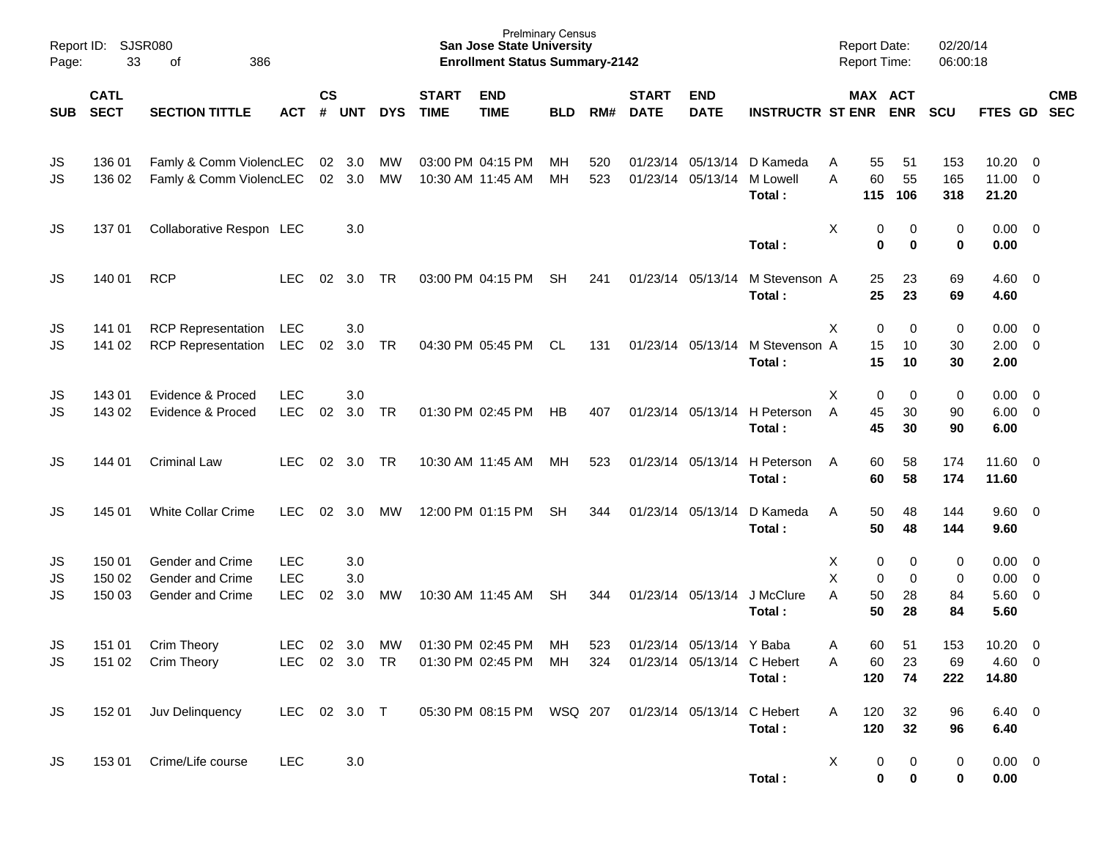| Page:           | Report ID: SJSR080<br>33   | 386<br>οf                                                |                                        |                    |                   |            |                             | <b>San Jose State University</b><br><b>Enrollment Status Summary-2142</b> | <b>Prelminary Census</b> |            |                             |                                                        |                                                  | <b>Report Date:</b><br>Report Time:         |                    | 02/20/14<br>06:00:18 |                              |                                                                               |            |
|-----------------|----------------------------|----------------------------------------------------------|----------------------------------------|--------------------|-------------------|------------|-----------------------------|---------------------------------------------------------------------------|--------------------------|------------|-----------------------------|--------------------------------------------------------|--------------------------------------------------|---------------------------------------------|--------------------|----------------------|------------------------------|-------------------------------------------------------------------------------|------------|
| <b>SUB</b>      | <b>CATL</b><br><b>SECT</b> | <b>SECTION TITTLE</b>                                    | <b>ACT</b>                             | $\mathsf{cs}$<br># | <b>UNT</b>        | <b>DYS</b> | <b>START</b><br><b>TIME</b> | <b>END</b><br><b>TIME</b>                                                 | <b>BLD</b>               | RM#        | <b>START</b><br><b>DATE</b> | <b>END</b><br><b>DATE</b>                              | <b>INSTRUCTR ST ENR</b>                          | MAX ACT                                     | <b>ENR</b>         | <b>SCU</b>           | FTES GD SEC                  |                                                                               | <b>CMB</b> |
| JS<br>JS        | 136 01<br>136 02           | Famly & Comm ViolencLEC<br>Famly & Comm ViolencLEC       |                                        | 02                 | 3.0<br>02 3.0     | MW<br>MW   |                             | 03:00 PM 04:15 PM<br>10:30 AM 11:45 AM                                    | MН<br>МH                 | 520<br>523 |                             | 01/23/14 05/13/14                                      | 01/23/14 05/13/14 D Kameda<br>M Lowell<br>Total: | 55<br>A<br>60<br>A<br>115                   | 51<br>55<br>106    | 153<br>165<br>318    | 10.20<br>11.00<br>21.20      | $\overline{\mathbf{0}}$<br>$\overline{\mathbf{0}}$                            |            |
| JS              | 13701                      | Collaborative Respon LEC                                 |                                        |                    | 3.0               |            |                             |                                                                           |                          |            |                             |                                                        | Total:                                           | Χ<br>0<br>$\mathbf 0$                       | 0<br>0             | 0<br>0               | 0.00<br>0.00                 | $\overline{\phantom{0}}$                                                      |            |
| JS              | 140 01                     | <b>RCP</b>                                               | <b>LEC</b>                             | 02                 | 3.0               | TR         |                             | 03:00 PM 04:15 PM                                                         | <b>SH</b>                | 241        |                             | 01/23/14 05/13/14                                      | M Stevenson A<br>Total:                          | 25<br>25                                    | 23<br>23           | 69<br>69             | 4.60<br>4.60                 | $\overline{\phantom{0}}$                                                      |            |
| JS<br>JS        | 141 01<br>141 02           | <b>RCP Representation</b><br><b>RCP Representation</b>   | <b>LEC</b><br>LEC                      | 02                 | 3.0<br>3.0        | <b>TR</b>  |                             | 04:30 PM 05:45 PM                                                         | CL                       | 131        |                             | 01/23/14 05/13/14                                      | M Stevenson A<br>Total:                          | Χ<br>0<br>15<br>15                          | 0<br>10<br>10      | 0<br>30<br>30        | 0.00<br>2.00<br>2.00         | $\overline{\mathbf{0}}$<br>$\overline{0}$                                     |            |
| JS<br>JS        | 143 01<br>143 02           | Evidence & Proced<br>Evidence & Proced                   | <b>LEC</b><br><b>LEC</b>               | 02                 | 3.0<br>3.0        | TR         |                             | 01:30 PM 02:45 PM                                                         | HB                       | 407        |                             |                                                        | 01/23/14 05/13/14 H Peterson<br>Total:           | Χ<br>0<br>A<br>45<br>45                     | 0<br>30<br>30      | 0<br>90<br>90        | 0.00<br>6.00<br>6.00         | $\overline{\mathbf{0}}$<br>$\overline{0}$                                     |            |
| JS              | 144 01                     | <b>Criminal Law</b>                                      | LEC                                    | 02                 | 3.0               | <b>TR</b>  |                             | 10:30 AM 11:45 AM                                                         | MН                       | 523        |                             | 01/23/14 05/13/14                                      | H Peterson<br>Total:                             | 60<br>A<br>60                               | 58<br>58           | 174<br>174           | 11.60 0<br>11.60             |                                                                               |            |
| JS              | 145 01                     | <b>White Collar Crime</b>                                | <b>LEC</b>                             | 02                 | 3.0               | МW         |                             | 12:00 PM 01:15 PM                                                         | <b>SH</b>                | 344        |                             | 01/23/14 05/13/14                                      | D Kameda<br>Total:                               | A<br>50<br>50                               | 48<br>48           | 144<br>144           | $9.60 \quad 0$<br>9.60       |                                                                               |            |
| JS<br>JS<br>JS  | 150 01<br>150 02<br>150 03 | Gender and Crime<br>Gender and Crime<br>Gender and Crime | <b>LEC</b><br><b>LEC</b><br><b>LEC</b> | 02                 | 3.0<br>3.0<br>3.0 | MW         |                             | 10:30 AM 11:45 AM                                                         | <b>SH</b>                | 344        |                             | 01/23/14 05/13/14                                      | J McClure<br>Total:                              | х<br>0<br>X<br>$\mathbf 0$<br>Α<br>50<br>50 | 0<br>0<br>28<br>28 | 0<br>0<br>84<br>84   | 0.00<br>0.00<br>5.60<br>5.60 | $\overline{\mathbf{0}}$<br>$\overline{\mathbf{0}}$<br>$\overline{\mathbf{0}}$ |            |
| JS<br><b>JS</b> | 151 01                     | Crim Theory<br>151 02 Crim Theory                        | <b>LEC</b>                             | 02                 | 3.0               | MW         |                             | 01:30 PM 02:45 PM<br>LEC 02 3.0 TR  01:30 PM 02:45 PM  MH                 | MН                       | 523<br>324 |                             | 01/23/14 05/13/14 Y Baba<br>01/23/14 05/13/14 C Hebert | Total:                                           | 60<br>A<br>60<br>Α<br>120                   | 51<br>23<br>74     | 153<br>69<br>222     | 10.20<br>4.60 0<br>14.80     | $\overline{\mathbf{0}}$                                                       |            |
| JS.             | 152 01                     | Juv Delinquency                                          | LEC 02 3.0 T                           |                    |                   |            |                             | 05:30 PM 08:15 PM WSQ 207                                                 |                          |            |                             |                                                        | 01/23/14 05/13/14 C Hebert<br>Total:             | 120<br>A<br>120                             | 32<br>32           | 96<br>96             | 6.40 0<br>6.40               |                                                                               |            |
| <b>JS</b>       |                            | 153 01 Crime/Life course                                 | <b>LEC</b>                             |                    | $3.0\,$           |            |                             |                                                                           |                          |            |                             |                                                        | Total:                                           | X<br>0<br>$\mathbf 0$                       | 0<br>$\pmb{0}$     | 0<br>0               | $0.00 \t 0$<br>0.00          |                                                                               |            |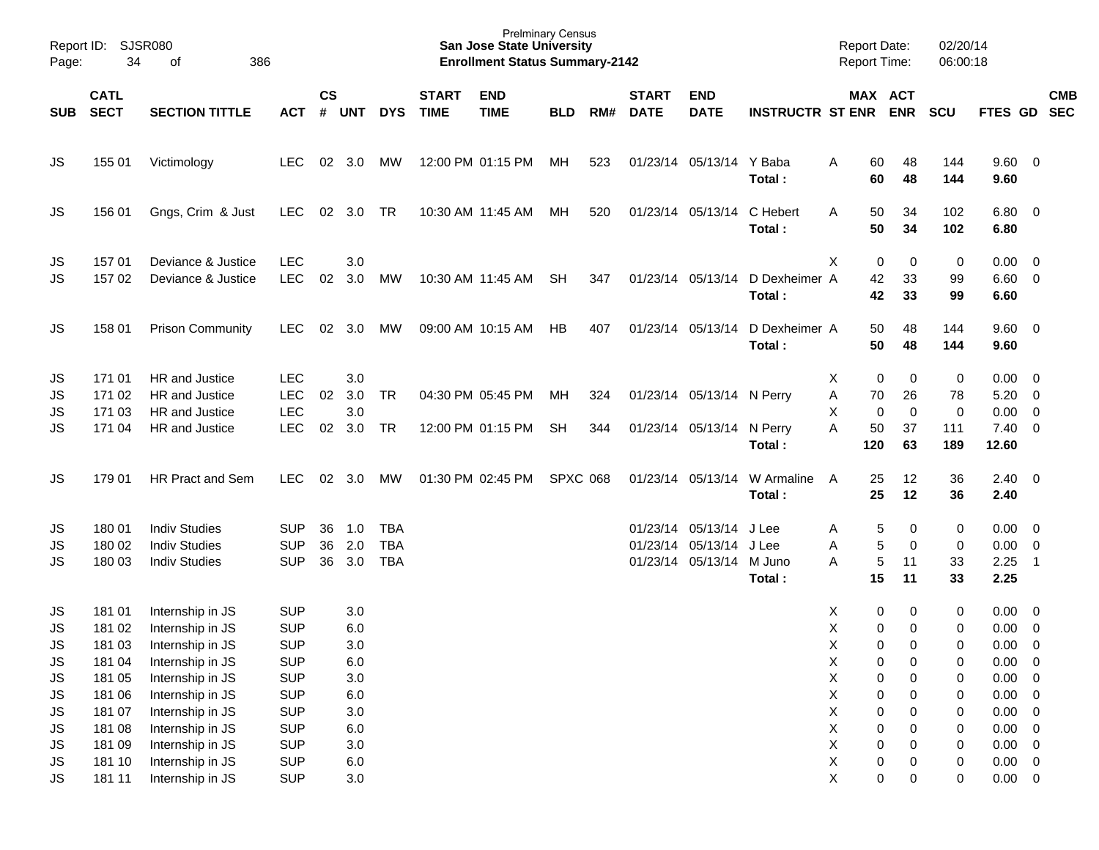| Report ID:<br>Page: | 34                         | <b>SJSR080</b><br>386<br>of              |                          |               |            |            |                             | <b>San Jose State University</b><br><b>Enrollment Status Summary-2142</b> | <b>Prelminary Census</b> |     |                             |                           |                         | <b>Report Date:</b><br>Report Time: |               |                       | 02/20/14<br>06:00:18 |                      |                                           |            |
|---------------------|----------------------------|------------------------------------------|--------------------------|---------------|------------|------------|-----------------------------|---------------------------------------------------------------------------|--------------------------|-----|-----------------------------|---------------------------|-------------------------|-------------------------------------|---------------|-----------------------|----------------------|----------------------|-------------------------------------------|------------|
| <b>SUB</b>          | <b>CATL</b><br><b>SECT</b> | <b>SECTION TITTLE</b>                    | <b>ACT</b>               | $\mathsf{cs}$ | # UNT      | <b>DYS</b> | <b>START</b><br><b>TIME</b> | <b>END</b><br><b>TIME</b>                                                 | <b>BLD</b>               | RM# | <b>START</b><br><b>DATE</b> | <b>END</b><br><b>DATE</b> | <b>INSTRUCTR ST ENR</b> |                                     |               | MAX ACT<br><b>ENR</b> | <b>SCU</b>           | FTES GD SEC          |                                           | <b>CMB</b> |
| JS                  | 155 01                     | Victimology                              | <b>LEC</b>               | 02            | 3.0        | МW         |                             | 12:00 PM 01:15 PM                                                         | МH                       | 523 |                             | 01/23/14 05/13/14 Y Baba  | Total:                  | A                                   | 60<br>60      | 48<br>48              | 144<br>144           | 9.60 0<br>9.60       |                                           |            |
| JS                  | 156 01                     | Gngs, Crim & Just                        | <b>LEC</b>               | 02            | 3.0        | <b>TR</b>  |                             | 10:30 AM 11:45 AM                                                         | MН                       | 520 |                             | 01/23/14 05/13/14         | C Hebert<br>Total:      | A                                   | 50<br>50      | 34<br>34              | 102<br>102           | 6.80 0<br>6.80       |                                           |            |
| JS<br>JS            | 157 01<br>157 02           | Deviance & Justice<br>Deviance & Justice | <b>LEC</b><br><b>LEC</b> | 02            | 3.0<br>3.0 | MW         |                             | 10:30 AM 11:45 AM                                                         | SH                       | 347 |                             | 01/23/14 05/13/14         | D Dexheimer A<br>Total: | X                                   | 0<br>42<br>42 | 0<br>33<br>33         | 0<br>99<br>99        | 0.00<br>6.60<br>6.60 | $\overline{0}$<br>$\overline{\mathbf{0}}$ |            |
| JS                  | 158 01                     | <b>Prison Community</b>                  | <b>LEC</b>               | 02            | 3.0        | MW         |                             | 09:00 AM 10:15 AM                                                         | НB                       | 407 |                             | 01/23/14 05/13/14         | D Dexheimer A<br>Total: |                                     | 50<br>50      | 48<br>48              | 144<br>144           | 9.60 0<br>9.60       |                                           |            |
| JS                  | 171 01                     | HR and Justice                           | <b>LEC</b>               |               | 3.0        |            |                             |                                                                           |                          |     |                             |                           |                         | Χ                                   | 0             | 0                     | 0                    | 0.00                 | $\overline{\mathbf{0}}$                   |            |
| JS                  | 171 02                     | HR and Justice                           | <b>LEC</b>               | 02            | 3.0        | <b>TR</b>  |                             | 04:30 PM 05:45 PM                                                         | МH                       | 324 |                             | 01/23/14 05/13/14 N Perry |                         | Α                                   | 70            | 26                    | 78                   | 5.20                 | $\overline{\mathbf{0}}$                   |            |
| JS                  | 171 03                     | HR and Justice                           | <b>LEC</b>               |               | 3.0        |            |                             |                                                                           |                          |     |                             |                           |                         | X                                   | $\mathbf 0$   | $\mathbf 0$           | $\mathbf 0$          | 0.00                 | $\overline{\mathbf{0}}$                   |            |
| JS                  | 171 04                     | HR and Justice                           | <b>LEC</b>               | 02            | 3.0        | <b>TR</b>  |                             | 12:00 PM 01:15 PM                                                         | <b>SH</b>                | 344 |                             | 01/23/14 05/13/14         | N Perry<br>Total:       | A                                   | 50<br>120     | 37<br>63              | 111<br>189           | 7.40<br>12.60        | $\overline{\mathbf{0}}$                   |            |
| JS                  | 179 01                     | HR Pract and Sem                         | <b>LEC</b>               | 02            | 3.0        | МW         |                             | 01:30 PM 02:45 PM                                                         | <b>SPXC 068</b>          |     |                             | 01/23/14 05/13/14         | W Armaline<br>Total:    | A                                   | 25<br>25      | 12<br>12              | 36<br>36             | $2.40 \ 0$<br>2.40   |                                           |            |
| JS                  | 180 01                     | <b>Indiv Studies</b>                     | SUP                      | 36            | 1.0        | <b>TBA</b> |                             |                                                                           |                          |     |                             | 01/23/14 05/13/14         | J Lee                   | Α                                   | 5             | 0                     | 0                    | 0.00                 | $\overline{\mathbf{0}}$                   |            |
| JS                  | 180 02                     | <b>Indiv Studies</b>                     | <b>SUP</b>               | 36            | 2.0        | <b>TBA</b> |                             |                                                                           |                          |     |                             | 01/23/14 05/13/14         | J Lee                   | A                                   | 5             | 0                     | $\pmb{0}$            | 0.00                 | $\overline{\mathbf{0}}$                   |            |
| JS                  | 180 03                     | <b>Indiv Studies</b>                     | <b>SUP</b>               | 36            | 3.0        | <b>TBA</b> |                             |                                                                           |                          |     |                             | 01/23/14 05/13/14 M Juno  | Total:                  | A                                   | 5<br>15       | 11<br>11              | 33<br>33             | 2.25<br>2.25         | $\overline{\phantom{0}}$ 1                |            |
| JS                  | 181 01                     | Internship in JS                         | <b>SUP</b>               |               | 3.0        |            |                             |                                                                           |                          |     |                             |                           |                         | Х                                   | 0             | 0                     | 0                    | 0.00                 | $\overline{\mathbf{0}}$                   |            |
| JS                  | 181 02                     | Internship in JS                         | <b>SUP</b>               |               | 6.0        |            |                             |                                                                           |                          |     |                             |                           |                         | X                                   | 0             | 0                     | 0                    | 0.00                 | $\overline{0}$                            |            |
| JS.                 | 181 03                     | Internship in JS                         | <b>SUP</b>               |               | 3.0        |            |                             |                                                                           |                          |     |                             |                           |                         | X                                   | 0             | $\Omega$              | $\mathbf 0$          | 0.00                 | $\overline{0}$                            |            |
| JS                  | 181 04                     | Internship in JS                         | <b>SUP</b>               |               | 6.0        |            |                             |                                                                           |                          |     |                             |                           |                         | X                                   | 0             | 0                     | $\pmb{0}$            | 0.00                 | $\overline{\mathbf{0}}$                   |            |
| JS                  | 181 05                     | Internship in JS                         | <b>SUP</b>               |               | 3.0        |            |                             |                                                                           |                          |     |                             |                           |                         | $\pmb{\mathsf{X}}$                  | $\mathbf 0$   | 0                     | $\boldsymbol{0}$     | 0.00                 | $\overline{\mathbf{0}}$                   |            |
| JS                  | 181 06                     | Internship in JS                         | <b>SUP</b>               |               | $6.0\,$    |            |                             |                                                                           |                          |     |                             |                           |                         | Χ                                   | 0             | 0                     | 0                    | 0.00                 | $\overline{\mathbf{0}}$                   |            |
| JS                  | 181 07                     | Internship in JS                         | <b>SUP</b>               |               | $3.0\,$    |            |                             |                                                                           |                          |     |                             |                           |                         | Χ                                   | 0             | 0                     | $\boldsymbol{0}$     | 0.00                 | $\overline{\mathbf{0}}$                   |            |
| JS                  | 181 08                     | Internship in JS                         | <b>SUP</b>               |               | $6.0\,$    |            |                             |                                                                           |                          |     |                             |                           |                         | Χ                                   | 0             | 0                     | $\pmb{0}$            | 0.00                 | $\overline{\mathbf{0}}$                   |            |
| JS                  | 181 09                     | Internship in JS                         | <b>SUP</b>               |               | $3.0\,$    |            |                             |                                                                           |                          |     |                             |                           |                         | Χ                                   | $\mathbf 0$   | 0                     | $\boldsymbol{0}$     | 0.00                 | $\overline{\phantom{0}}$                  |            |
| JS                  | 181 10                     | Internship in JS                         | <b>SUP</b>               |               | $6.0\,$    |            |                             |                                                                           |                          |     |                             |                           |                         | X                                   | $\pmb{0}$     | 0                     | $\pmb{0}$            | $0.00 \t 0$          |                                           |            |
| <b>JS</b>           | 181 11                     | Internship in JS                         | <b>SUP</b>               |               | $3.0\,$    |            |                             |                                                                           |                          |     |                             |                           |                         | $\mathsf X$                         | $\mathbf 0$   | 0                     | $\pmb{0}$            | $0.00 \t 0$          |                                           |            |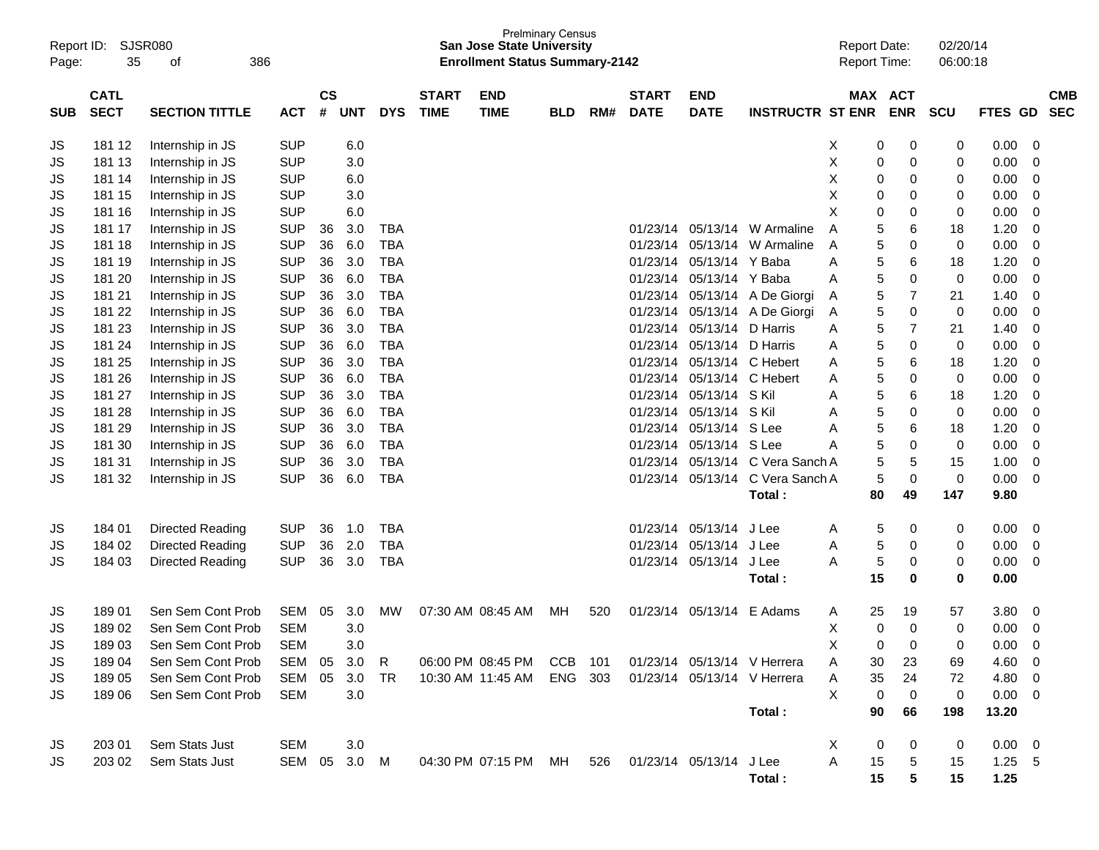| Report ID:<br>Page: | 35                         | SJSR080<br>οf<br>386    |            |                    |            |            |                             | <b>San Jose State University</b><br><b>Enrollment Status Summary-2142</b> | <b>Prelminary Census</b> |     |                             |                           |                             | <b>Report Date:</b><br>Report Time: |    |                       | 02/20/14<br>06:00:18 |                |                          |
|---------------------|----------------------------|-------------------------|------------|--------------------|------------|------------|-----------------------------|---------------------------------------------------------------------------|--------------------------|-----|-----------------------------|---------------------------|-----------------------------|-------------------------------------|----|-----------------------|----------------------|----------------|--------------------------|
| <b>SUB</b>          | <b>CATL</b><br><b>SECT</b> | <b>SECTION TITTLE</b>   | <b>ACT</b> | $\mathsf{cs}$<br># | <b>UNT</b> | <b>DYS</b> | <b>START</b><br><b>TIME</b> | <b>END</b><br><b>TIME</b>                                                 | <b>BLD</b>               | RM# | <b>START</b><br><b>DATE</b> | <b>END</b><br><b>DATE</b> | <b>INSTRUCTR ST ENR</b>     |                                     |    | MAX ACT<br><b>ENR</b> | <b>SCU</b>           | <b>FTES GD</b> | <b>CMB</b><br><b>SEC</b> |
| JS                  | 181 12                     | Internship in JS        | <b>SUP</b> |                    | 6.0        |            |                             |                                                                           |                          |     |                             |                           |                             | X                                   | 0  | 0                     | 0                    | 0.00           | - 0                      |
| JS                  | 181 13                     | Internship in JS        | <b>SUP</b> |                    | 3.0        |            |                             |                                                                           |                          |     |                             |                           |                             | Χ                                   | 0  | 0                     | 0                    | 0.00           | 0                        |
| JS                  | 181 14                     | Internship in JS        | <b>SUP</b> |                    | 6.0        |            |                             |                                                                           |                          |     |                             |                           |                             | Χ                                   | 0  | 0                     | 0                    | 0.00           | 0                        |
| JS                  | 181 15                     | Internship in JS        | <b>SUP</b> |                    | 3.0        |            |                             |                                                                           |                          |     |                             |                           |                             | Χ                                   | 0  | 0                     | 0                    | 0.00           | 0                        |
| JS                  | 181 16                     | Internship in JS        | <b>SUP</b> |                    | 6.0        |            |                             |                                                                           |                          |     |                             |                           |                             | X                                   | 0  | 0                     | 0                    | 0.00           | 0                        |
| JS                  | 181 17                     | Internship in JS        | <b>SUP</b> | 36                 | 3.0        | TBA        |                             |                                                                           |                          |     | 01/23/14                    |                           | 05/13/14 W Armaline         | A                                   | 5  | 6                     | 18                   | 1.20           | 0                        |
| JS                  | 181 18                     | Internship in JS        | <b>SUP</b> | 36                 | 6.0        | <b>TBA</b> |                             |                                                                           |                          |     | 01/23/14                    |                           | 05/13/14 W Armaline         | A                                   | 5  | 0                     | 0                    | 0.00           | 0                        |
| JS                  | 181 19                     | Internship in JS        | <b>SUP</b> | 36                 | 3.0        | <b>TBA</b> |                             |                                                                           |                          |     | 01/23/14                    | 05/13/14 Y Baba           |                             | A                                   | 5  | 6                     | 18                   | 1.20           | 0                        |
| JS                  | 181 20                     | Internship in JS        | <b>SUP</b> | 36                 | 6.0        | <b>TBA</b> |                             |                                                                           |                          |     | 01/23/14                    | 05/13/14 Y Baba           |                             | Α                                   | 5  | 0                     | $\mathbf 0$          | 0.00           | 0                        |
| JS                  | 181 21                     | Internship in JS        | <b>SUP</b> | 36                 | 3.0        | <b>TBA</b> |                             |                                                                           |                          |     | 01/23/14                    |                           | 05/13/14 A De Giorgi        | Α                                   | 5  | $\overline{7}$        | 21                   | 1.40           | 0                        |
| JS                  | 181 22                     | Internship in JS        | <b>SUP</b> | 36                 | 6.0        | <b>TBA</b> |                             |                                                                           |                          |     | 01/23/14                    |                           | 05/13/14 A De Giorgi        | A                                   | 5  | 0                     | 0                    | 0.00           | 0                        |
| JS                  | 181 23                     | Internship in JS        | <b>SUP</b> | 36                 | 3.0        | <b>TBA</b> |                             |                                                                           |                          |     | 01/23/14                    | 05/13/14                  | D Harris                    | A                                   | 5  | 7                     | 21                   | 1.40           | 0                        |
| JS                  | 181 24                     | Internship in JS        | <b>SUP</b> | 36                 | 6.0        | <b>TBA</b> |                             |                                                                           |                          |     | 01/23/14                    | 05/13/14                  | D Harris                    | A                                   | 5  | 0                     | 0                    | 0.00           | 0                        |
| JS                  | 181 25                     | Internship in JS        | <b>SUP</b> | 36                 | 3.0        | <b>TBA</b> |                             |                                                                           |                          |     | 01/23/14                    |                           | 05/13/14 C Hebert           | Α                                   | 5  | 6                     | 18                   | 1.20           | 0                        |
| JS                  | 181 26                     | Internship in JS        | <b>SUP</b> | 36                 | 6.0        | <b>TBA</b> |                             |                                                                           |                          |     | 01/23/14                    | 05/13/14                  | C Hebert                    | A                                   | 5  | 0                     | 0                    | 0.00           | 0                        |
| JS                  | 181 27                     | Internship in JS        | <b>SUP</b> | 36                 | 3.0        | <b>TBA</b> |                             |                                                                           |                          |     | 01/23/14                    | 05/13/14                  | S Kil                       | A                                   | 5  | 6                     | 18                   | 1.20           | 0                        |
| JS                  | 181 28                     | Internship in JS        | <b>SUP</b> | 36                 | 6.0        | <b>TBA</b> |                             |                                                                           |                          |     | 01/23/14                    | 05/13/14                  | S Kil                       | Α                                   | 5  | 0                     | 0                    | 0.00           | 0                        |
| JS                  | 181 29                     | Internship in JS        | <b>SUP</b> | 36                 | 3.0        | <b>TBA</b> |                             |                                                                           |                          |     | 01/23/14                    | 05/13/14                  | S Lee                       | A                                   | 5  | 6                     | 18                   | 1.20           | 0                        |
| JS                  | 181 30                     | Internship in JS        | <b>SUP</b> | 36                 | 6.0        | <b>TBA</b> |                             |                                                                           |                          |     | 01/23/14                    | 05/13/14 S Lee            |                             | А                                   | 5  | 0                     | 0                    | 0.00           | 0                        |
| JS                  | 181 31                     | Internship in JS        | <b>SUP</b> | 36                 | 3.0        | <b>TBA</b> |                             |                                                                           |                          |     | 01/23/14                    | 05/13/14                  | C Vera Sanch A              |                                     | 5  | 5                     | 15                   | 1.00           | 0                        |
| <b>JS</b>           | 181 32                     | Internship in JS        | <b>SUP</b> | 36                 | 6.0        | <b>TBA</b> |                             |                                                                           |                          |     | 01/23/14                    | 05/13/14                  | C Vera Sanch A              |                                     | 5  | $\mathbf 0$           | $\mathbf 0$          | 0.00           | - 0                      |
|                     |                            |                         |            |                    |            |            |                             |                                                                           |                          |     |                             |                           | Total:                      |                                     | 80 | 49                    | 147                  | 9.80           |                          |
| JS                  | 184 01                     | <b>Directed Reading</b> | <b>SUP</b> | 36                 | 1.0        | <b>TBA</b> |                             |                                                                           |                          |     | 01/23/14                    | 05/13/14                  | J Lee                       | A                                   | 5  | 0                     | 0                    | 0.00           | - 0                      |
| JS                  | 184 02                     | <b>Directed Reading</b> | <b>SUP</b> | 36                 | 2.0        | <b>TBA</b> |                             |                                                                           |                          |     | 01/23/14                    | 05/13/14                  | J Lee                       | A                                   | 5  | 0                     | 0                    | 0.00           | 0                        |
| JS                  | 184 03                     | <b>Directed Reading</b> | <b>SUP</b> | 36                 | 3.0        | <b>TBA</b> |                             |                                                                           |                          |     | 01/23/14                    | 05/13/14                  | J Lee                       | A                                   | 5  | 0                     | 0                    | 0.00           | - 0                      |
|                     |                            |                         |            |                    |            |            |                             |                                                                           |                          |     |                             |                           | Total:                      |                                     | 15 | 0                     | 0                    | 0.00           |                          |
| JS                  | 18901                      | Sen Sem Cont Prob       | SEM        | 05                 | 3.0        | МW         |                             | 07:30 AM 08:45 AM                                                         | MН                       | 520 | 01/23/14                    | 05/13/14                  | E Adams                     | A                                   | 25 | 19                    | 57                   | 3.80           | - 0                      |
| JS                  | 18902                      | Sen Sem Cont Prob       | <b>SEM</b> |                    | 3.0        |            |                             |                                                                           |                          |     |                             |                           |                             | X                                   | 0  | $\mathbf 0$           | 0                    | 0.00           | 0                        |
| <b>JS</b>           | 18903                      | Sen Sem Cont Prob       | <b>SEM</b> |                    | 3.0        |            |                             |                                                                           |                          |     |                             |                           |                             | X                                   | 0  | 0                     | 0                    | 0.00           | $\overline{\mathbf{0}}$  |
| JS                  | 18904                      | Sen Sem Cont Prob       | SEM        | 05                 | 3.0        | R          |                             | 06:00 PM 08:45 PM CCB 101                                                 |                          |     |                             |                           | 01/23/14 05/13/14 V Herrera | Α                                   | 30 | 23                    | 69                   | 4.60           | - 0                      |
| JS                  | 18905                      | Sen Sem Cont Prob       | SEM        | 05                 | 3.0        | TR         |                             | 10:30 AM 11:45 AM ENG 303                                                 |                          |     |                             |                           | 01/23/14 05/13/14 V Herrera | Α                                   | 35 | 24                    | 72                   | 4.80           | - 0                      |
| JS                  | 18906                      | Sen Sem Cont Prob       | SEM        |                    | 3.0        |            |                             |                                                                           |                          |     |                             |                           |                             | X                                   | 0  | $\overline{0}$        | 0                    | $0.00 \t 0$    |                          |
|                     |                            |                         |            |                    |            |            |                             |                                                                           |                          |     |                             |                           | Total:                      |                                     | 90 | 66                    | 198                  | 13.20          |                          |
| JS                  | 203 01                     | Sem Stats Just          | SEM        |                    | 3.0        |            |                             |                                                                           |                          |     |                             |                           |                             | X                                   | 0  | 0                     | 0                    | $0.00 \ 0$     |                          |
| JS                  | 203 02                     | Sem Stats Just          | SEM 05     |                    | 3.0 M      |            |                             | 04:30 PM 07:15 PM MH                                                      |                          | 526 |                             | 01/23/14 05/13/14 J Lee   |                             | A                                   | 15 | 5                     | 15                   | $1.25$ 5       |                          |
|                     |                            |                         |            |                    |            |            |                             |                                                                           |                          |     |                             |                           | Total:                      |                                     | 15 | 5                     | 15                   | 1.25           |                          |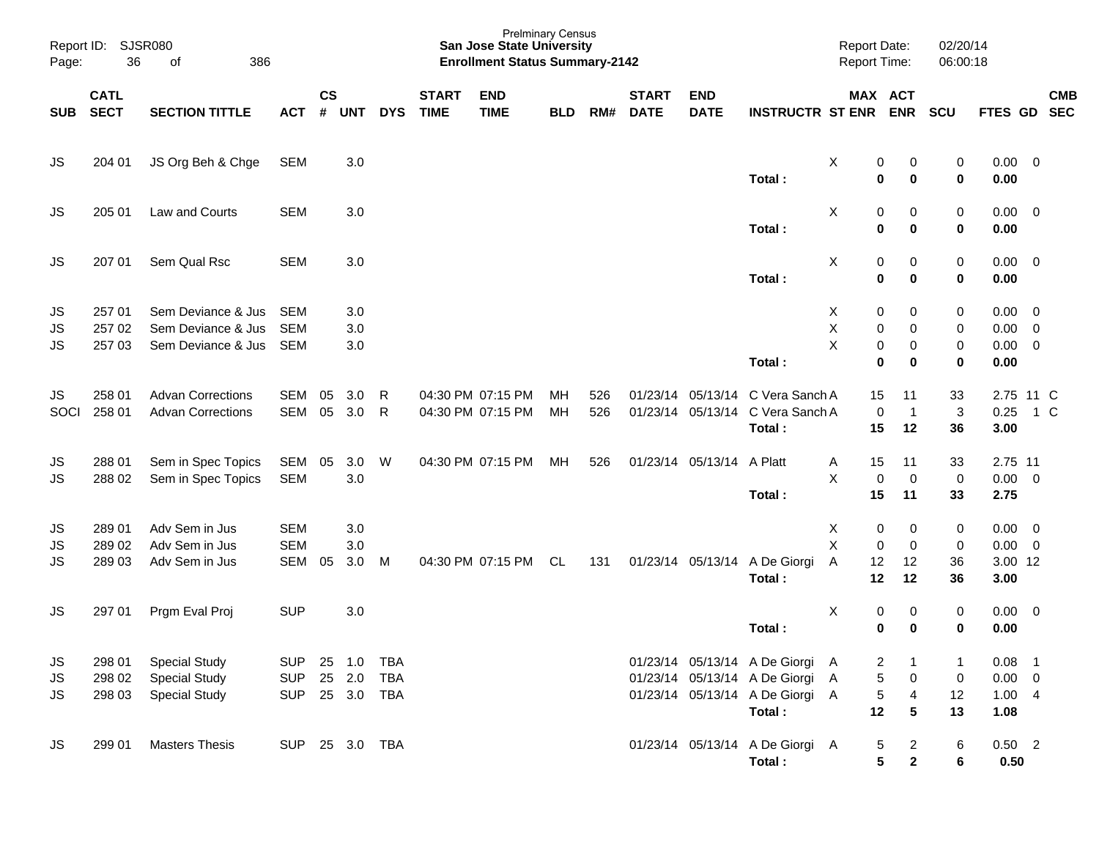| Page:                  | Report ID: SJSR080<br>36<br>of<br>386 |                                                                      |                                                | <b>Prelminary Census</b><br><b>San Jose State University</b><br><b>Enrollment Status Summary-2142</b> |                   |            |                             |                                        |            |            |                             |                           |                                                                                                                 | <b>Report Date:</b><br>Report Time:                        |                                       | 02/20/14<br>06:00:18                  |                                               |                                                                      |            |
|------------------------|---------------------------------------|----------------------------------------------------------------------|------------------------------------------------|-------------------------------------------------------------------------------------------------------|-------------------|------------|-----------------------------|----------------------------------------|------------|------------|-----------------------------|---------------------------|-----------------------------------------------------------------------------------------------------------------|------------------------------------------------------------|---------------------------------------|---------------------------------------|-----------------------------------------------|----------------------------------------------------------------------|------------|
| <b>SUB</b>             | <b>CATL</b><br><b>SECT</b>            | <b>SECTION TITTLE</b>                                                | <b>ACT</b>                                     | $\mathsf{cs}$<br>#                                                                                    | <b>UNT</b>        | <b>DYS</b> | <b>START</b><br><b>TIME</b> | <b>END</b><br><b>TIME</b>              | <b>BLD</b> | RM#        | <b>START</b><br><b>DATE</b> | <b>END</b><br><b>DATE</b> | <b>INSTRUCTR ST ENR</b>                                                                                         |                                                            | MAX ACT<br><b>ENR</b>                 | <b>SCU</b>                            | FTES GD SEC                                   |                                                                      | <b>CMB</b> |
| JS                     | 204 01                                | JS Org Beh & Chge                                                    | <b>SEM</b>                                     |                                                                                                       | 3.0               |            |                             |                                        |            |            |                             |                           | Total:                                                                                                          | X<br>0<br>$\mathbf 0$                                      | 0<br>$\bf{0}$                         | 0<br>$\bf{0}$                         | $0.00 \t 0$<br>0.00                           |                                                                      |            |
| JS.                    | 205 01                                | Law and Courts                                                       | <b>SEM</b>                                     |                                                                                                       | 3.0               |            |                             |                                        |            |            |                             |                           | Total:                                                                                                          | X<br>0<br>$\bf{0}$                                         | 0<br>$\bf{0}$                         | 0<br>$\pmb{0}$                        | $0.00 \t 0$<br>0.00                           |                                                                      |            |
| JS.                    | 207 01                                | Sem Qual Rsc                                                         | <b>SEM</b>                                     |                                                                                                       | 3.0               |            |                             |                                        |            |            |                             |                           | Total:                                                                                                          | X<br>0<br>$\bf{0}$                                         | 0<br>$\bf{0}$                         | 0<br>$\pmb{0}$                        | $0.00 \t 0$<br>0.00                           |                                                                      |            |
| JS<br>JS<br>JS         | 257 01<br>257 02<br>257 03            | Sem Deviance & Jus<br>Sem Deviance & Jus<br>Sem Deviance & Jus       | <b>SEM</b><br><b>SEM</b><br><b>SEM</b>         |                                                                                                       | 3.0<br>3.0<br>3.0 |            |                             |                                        |            |            |                             |                           | Total:                                                                                                          | X<br>0<br>Χ<br>$\pmb{0}$<br>X<br>$\pmb{0}$<br>$\bf{0}$     | 0<br>0<br>0<br>0                      | 0<br>0<br>0<br>$\bf{0}$               | 0.00<br>0.00<br>0.00<br>0.00                  | $\overline{\mathbf{0}}$<br>$\overline{0}$<br>$\overline{\mathbf{0}}$ |            |
| JS.<br>SOCI            | 258 01<br>258 01                      | <b>Advan Corrections</b><br><b>Advan Corrections</b>                 | <b>SEM</b><br><b>SEM</b>                       | 05<br>05                                                                                              | 3.0<br>3.0        | R<br>R     |                             | 04:30 PM 07:15 PM<br>04:30 PM 07:15 PM | MН<br>MH   | 526<br>526 |                             | 01/23/14 05/13/14         | C Vera Sanch A<br>01/23/14 05/13/14 C Vera Sanch A<br>Total:                                                    | 15<br>$\mathbf 0$<br>15                                    | 11<br>$\overline{1}$<br>12            | 33<br>$\ensuremath{\mathsf{3}}$<br>36 | 2.75 11 C<br>0.25<br>3.00                     | 1 C                                                                  |            |
| JS<br>JS               | 288 01<br>288 02                      | Sem in Spec Topics<br>Sem in Spec Topics                             | SEM<br><b>SEM</b>                              | 05                                                                                                    | 3.0<br>3.0        | W          |                             | 04:30 PM 07:15 PM                      | MН         | 526        |                             | 01/23/14 05/13/14         | A Platt<br>Total:                                                                                               | 15<br>A<br>X<br>$\mathbf 0$<br>15                          | 11<br>$\mathbf 0$<br>11               | 33<br>$\mathbf 0$<br>33               | 2.75 11<br>$0.00 \t 0$<br>2.75                |                                                                      |            |
| JS<br>JS<br>JS         | 289 01<br>289 02<br>289 03            | Adv Sem in Jus<br>Adv Sem in Jus<br>Adv Sem in Jus                   | <b>SEM</b><br><b>SEM</b><br><b>SEM</b>         | 05                                                                                                    | 3.0<br>3.0<br>3.0 | M          |                             | 04:30 PM 07:15 PM                      | <b>CL</b>  | 131        |                             | 01/23/14 05/13/14         | A De Giorgi<br>Total:                                                                                           | X<br>0<br>X<br>$\mathbf 0$<br>A<br>12<br>12                | 0<br>$\mathbf 0$<br>12<br>12          | 0<br>$\pmb{0}$<br>36<br>36            | $0.00 \t 0$<br>$0.00 \t 0$<br>3.00 12<br>3.00 |                                                                      |            |
| JS                     | 297 01                                | Prgm Eval Proj                                                       | <b>SUP</b>                                     |                                                                                                       | 3.0               |            |                             |                                        |            |            |                             |                           | Total:                                                                                                          | X<br>0<br>0                                                | 0<br>0                                | 0<br>0                                | $0.00 \t 0$<br>0.00                           |                                                                      |            |
| JS<br><b>JS</b><br>JS. | 298 01<br>298 02<br>298 03            | <b>Special Study</b><br><b>Special Study</b><br><b>Special Study</b> | SUP 25 1.0 TBA<br>SUP 25 2.0<br>SUP 25 3.0 TBA |                                                                                                       |                   | TBA        |                             |                                        |            |            |                             |                           | 01/23/14 05/13/14 A De Giorgi A<br>01/23/14 05/13/14 A De Giorgi A<br>01/23/14 05/13/14 A De Giorgi A<br>Total: | $\overline{\mathbf{c}}$<br>$\sqrt{5}$<br>$\,$ 5 $\,$<br>12 | $\overline{0}$<br>$\overline{4}$<br>5 | $\mathbf 1$<br>0<br>12<br>13          | $0.08$ 1<br>$0.00 \t 0$<br>1.004<br>1.08      |                                                                      |            |
| <b>JS</b>              | 299 01                                | <b>Masters Thesis</b>                                                | SUP 25 3.0 TBA                                 |                                                                                                       |                   |            |                             |                                        |            |            |                             |                           | 01/23/14 05/13/14 A De Giorgi A<br>Total:                                                                       | 5<br>5                                                     | $\overline{2}$<br>$\mathbf{2}$        | 6<br>6                                | $0.50$ 2<br>0.50                              |                                                                      |            |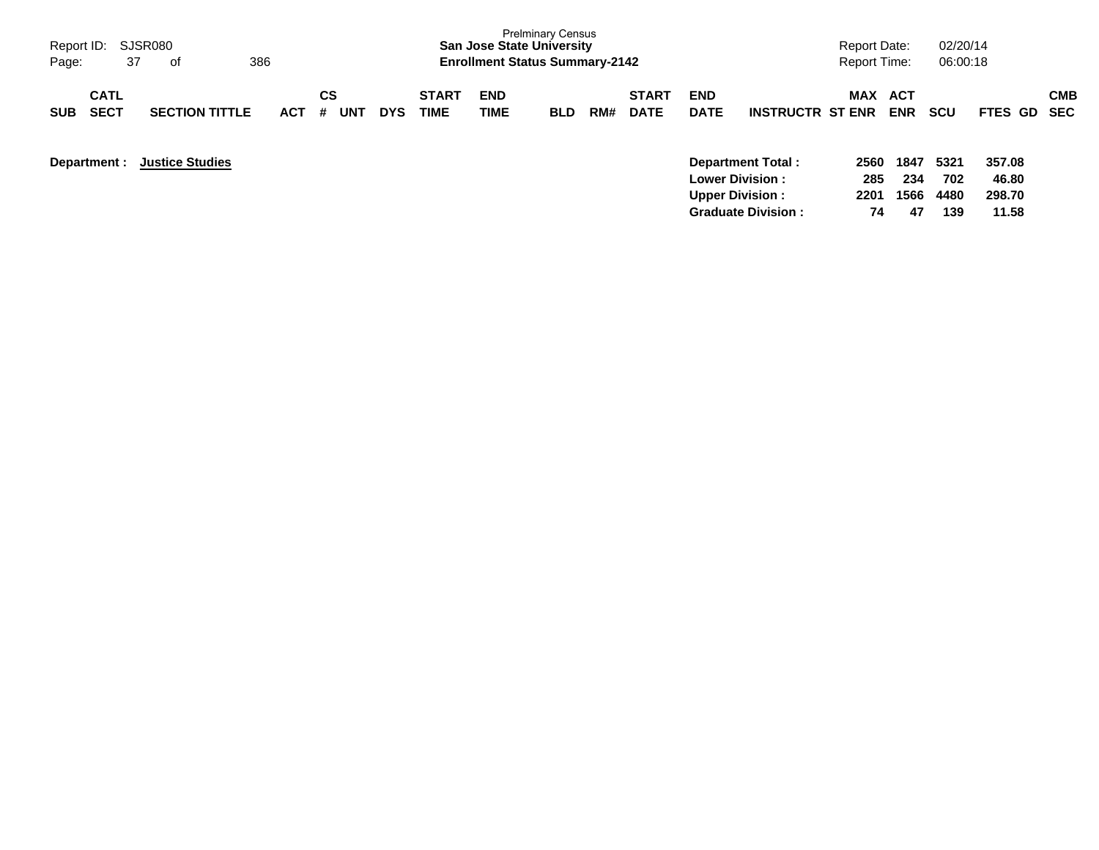| Report ID: SJSR080<br>37<br>Page:        | оf                     | 386        |                       |            |                      | <b>San Jose State University</b><br><b>Enrollment Status Summary-2142</b> | <b>Prelminary Census</b> |     |                             |                           |                                                     | <b>Report Date:</b><br><b>Report Time:</b> |                   | 02/20/14<br>06:00:18 |                 |            |
|------------------------------------------|------------------------|------------|-----------------------|------------|----------------------|---------------------------------------------------------------------------|--------------------------|-----|-----------------------------|---------------------------|-----------------------------------------------------|--------------------------------------------|-------------------|----------------------|-----------------|------------|
| <b>CATL</b><br><b>SECT</b><br><b>SUB</b> | <b>SECTION TITTLE</b>  | <b>ACT</b> | CS<br><b>UNT</b><br># | <b>DYS</b> | <b>START</b><br>TIME | <b>END</b><br>TIME                                                        | <b>BLD</b>               | RM# | <b>START</b><br><b>DATE</b> | <b>END</b><br><b>DATE</b> | <b>INSTRUCTR ST ENR</b>                             | <b>MAX</b>                                 | ACT<br><b>ENR</b> | scu                  | FTES GD SEC     | <b>CMB</b> |
| Department :                             | <b>Justice Studies</b> |            |                       |            |                      |                                                                           |                          |     |                             |                           | <b>Department Total:</b><br><b>Lower Division :</b> | 2560<br>285                                | 1847<br>234       | 5321<br>702          | 357.08<br>46.80 |            |
|                                          |                        |            |                       |            |                      |                                                                           |                          |     |                             | <b>Upper Division:</b>    | <b>Graduate Division:</b>                           | 2201<br>74                                 | 1566<br>47        | 4480<br>139          | 298.70<br>11.58 |            |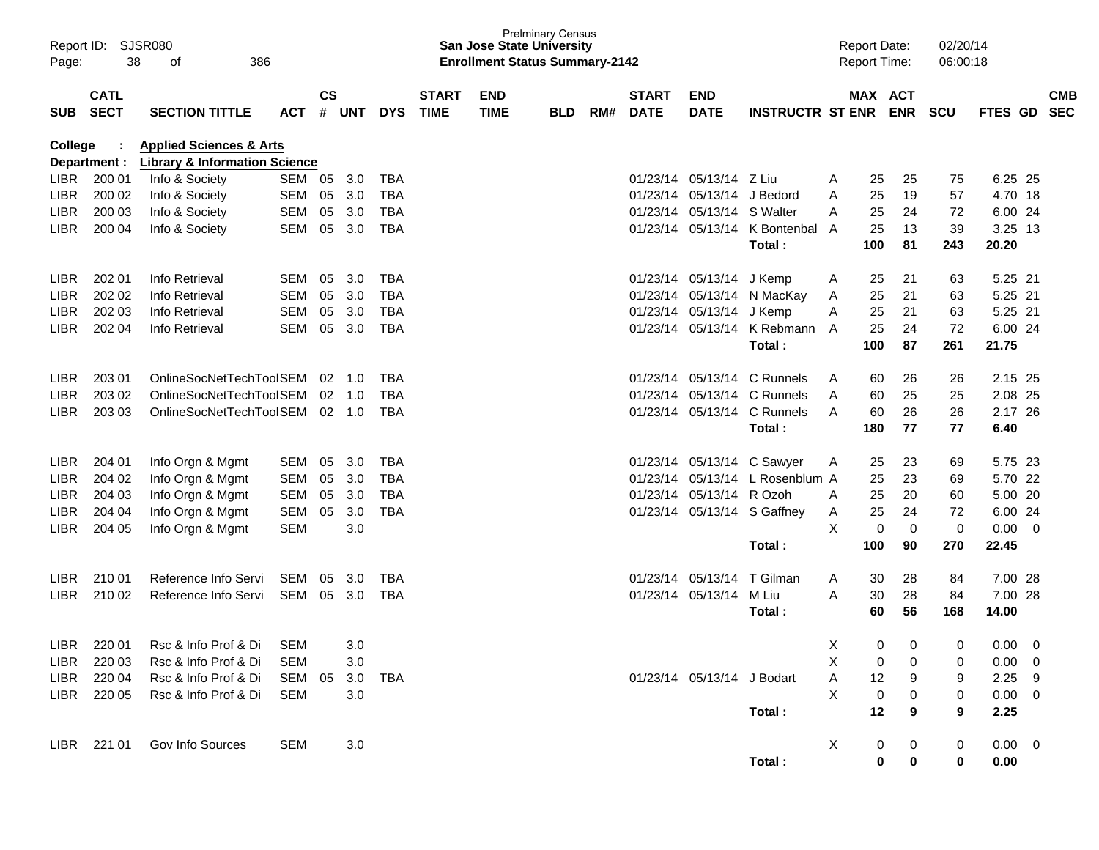| Report ID:<br>Page: | 38                         | SJSR080<br>386<br>οf                                                           |                |                    |                |            |                             | <b>San Jose State University</b><br><b>Enrollment Status Summary-2142</b> | <b>Prelminary Census</b> |     |                             |                            |                             |              | <b>Report Date:</b><br><b>Report Time:</b> |                                  | 02/20/14<br>06:00:18 |                  |              |                          |
|---------------------|----------------------------|--------------------------------------------------------------------------------|----------------|--------------------|----------------|------------|-----------------------------|---------------------------------------------------------------------------|--------------------------|-----|-----------------------------|----------------------------|-----------------------------|--------------|--------------------------------------------|----------------------------------|----------------------|------------------|--------------|--------------------------|
| <b>SUB</b>          | <b>CATL</b><br><b>SECT</b> | <b>SECTION TITTLE</b>                                                          | <b>ACT</b>     | $\mathsf{cs}$<br># | <b>UNT</b>     | <b>DYS</b> | <b>START</b><br><b>TIME</b> | <b>END</b><br><b>TIME</b>                                                 | <b>BLD</b>               | RM# | <b>START</b><br><b>DATE</b> | <b>END</b><br><b>DATE</b>  | <b>INSTRUCTR ST ENR</b>     |              | <b>MAX ACT</b>                             | <b>ENR</b>                       | <b>SCU</b>           | FTES GD          |              | <b>CMB</b><br><b>SEC</b> |
| <b>College</b>      | Department :               | <b>Applied Sciences &amp; Arts</b><br><b>Library &amp; Information Science</b> |                |                    |                |            |                             |                                                                           |                          |     |                             |                            |                             |              |                                            |                                  |                      |                  |              |                          |
| <b>LIBR</b>         | 200 01                     | Info & Society                                                                 | SEM 05         |                    | 3.0            | <b>TBA</b> |                             |                                                                           |                          |     | 01/23/14                    | 05/13/14                   | Z Liu                       | A            | 25                                         | 25                               | 75                   | 6.25 25          |              |                          |
| <b>LIBR</b>         | 200 02                     | Info & Society                                                                 | SEM            | 05                 | 3.0            | <b>TBA</b> |                             |                                                                           |                          |     | 01/23/14                    | 05/13/14                   | J Bedord                    | A            | 25                                         | 19                               | 57                   | 4.70 18          |              |                          |
| <b>LIBR</b>         | 200 03                     | Info & Society                                                                 | <b>SEM</b>     | 05                 | 3.0            | <b>TBA</b> |                             |                                                                           |                          |     | 01/23/14                    | 05/13/14 S Walter          |                             | A            | 25                                         | 24                               | 72                   | 6.00 24          |              |                          |
| LIBR.               | 200 04                     | Info & Society                                                                 | <b>SEM</b>     | 05                 | 3.0            | <b>TBA</b> |                             |                                                                           |                          |     | 01/23/14                    | 05/13/14                   | K Bontenbal A<br>Total:     |              | 25<br>100                                  | 13<br>81                         | 39<br>243            | 3.25 13<br>20.20 |              |                          |
| <b>LIBR</b>         | 202 01                     | Info Retrieval                                                                 | <b>SEM</b>     | 05                 | 3.0            | <b>TBA</b> |                             |                                                                           |                          |     | 01/23/14                    | 05/13/14                   | J Kemp                      | A            | 25                                         | 21                               | 63                   | 5.25 21          |              |                          |
| <b>LIBR</b>         | 202 02                     | Info Retrieval                                                                 | <b>SEM</b>     | 05                 | 3.0            | <b>TBA</b> |                             |                                                                           |                          |     | 01/23/14                    | 05/13/14                   | N MacKay                    | A            | 25                                         | 21                               | 63                   | 5.25 21          |              |                          |
| <b>LIBR</b>         | 202 03                     | Info Retrieval                                                                 | <b>SEM</b>     | 05                 | 3.0            | <b>TBA</b> |                             |                                                                           |                          |     | 01/23/14                    | 05/13/14                   | J Kemp                      | A            | 25                                         | 21                               | 63                   | 5.25 21          |              |                          |
| LIBR.               | 202 04                     | Info Retrieval                                                                 | <b>SEM</b>     | 05                 | 3.0            | <b>TBA</b> |                             |                                                                           |                          |     |                             | 01/23/14 05/13/14          | K Rebmann                   | A            | 25                                         | 24                               | 72                   | 6.00 24          |              |                          |
|                     |                            |                                                                                |                |                    |                |            |                             |                                                                           |                          |     |                             |                            | Total:                      |              | 100                                        | 87                               | 261                  | 21.75            |              |                          |
| <b>LIBR</b>         | 203 01                     | OnlineSocNetTechToolSEM                                                        |                | 02                 | 1.0            | <b>TBA</b> |                             |                                                                           |                          |     | 01/23/14                    | 05/13/14                   | C Runnels                   | A            | 60                                         | 26                               | 26                   | 2.15 25          |              |                          |
| <b>LIBR</b>         | 203 02                     | OnlineSocNetTechToolSEM                                                        |                | 02                 | 1.0            | <b>TBA</b> |                             |                                                                           |                          |     | 01/23/14                    | 05/13/14                   | C Runnels                   | A            | 60                                         | 25                               | 25                   | 2.08 25          |              |                          |
| <b>LIBR</b>         | 203 03                     | OnlineSocNetTechToolSEM                                                        |                |                    | $02 \quad 1.0$ | <b>TBA</b> |                             |                                                                           |                          |     |                             | 01/23/14 05/13/14          | C Runnels                   | A            | 60                                         | 26                               | 26                   | 2.17 26          |              |                          |
|                     |                            |                                                                                |                |                    |                |            |                             |                                                                           |                          |     |                             |                            | Total:                      |              | 180                                        | 77                               | 77                   | 6.40             |              |                          |
| <b>LIBR</b>         | 204 01                     | Info Orgn & Mgmt                                                               | SEM            | 05                 | 3.0            | <b>TBA</b> |                             |                                                                           |                          |     | 01/23/14                    |                            | 05/13/14 C Sawyer           | A            | 25                                         | 23                               | 69                   | 5.75 23          |              |                          |
| <b>LIBR</b>         | 204 02                     | Info Orgn & Mgmt                                                               | <b>SEM</b>     | 05                 | 3.0            | <b>TBA</b> |                             |                                                                           |                          |     | 01/23/14                    |                            | 05/13/14 L Rosenblum A      |              | 25                                         | 23                               | 69                   | 5.70 22          |              |                          |
| <b>LIBR</b>         | 204 03                     | Info Orgn & Mgmt                                                               | <b>SEM</b>     | 05                 | 3.0            | <b>TBA</b> |                             |                                                                           |                          |     | 01/23/14                    | 05/13/14 R Ozoh            |                             | A            | 25                                         | 20                               | 60                   | 5.00 20          |              |                          |
| <b>LIBR</b>         | 204 04                     | Info Orgn & Mgmt                                                               | SEM            | 05                 | 3.0            | <b>TBA</b> |                             |                                                                           |                          |     |                             |                            | 01/23/14 05/13/14 S Gaffney | Α            | 25                                         | 24                               | 72                   | 6.00 24          |              |                          |
| <b>LIBR</b>         | 204 05                     | Info Orgn & Mgmt                                                               | <b>SEM</b>     |                    | 3.0            |            |                             |                                                                           |                          |     |                             |                            |                             | X            | $\mathbf 0$                                | $\mathbf 0$                      | $\mathbf 0$          | 0.00             | $\mathbf{0}$ |                          |
|                     |                            |                                                                                |                |                    |                |            |                             |                                                                           |                          |     |                             |                            | Total:                      |              | 100                                        | 90                               | 270                  | 22.45            |              |                          |
| <b>LIBR</b>         | 210 01                     | Reference Info Servi                                                           | SEM            | 05                 | 3.0            | TBA        |                             |                                                                           |                          |     | 01/23/14                    | 05/13/14                   | T Gilman                    | A            | 30                                         | 28                               | 84                   | 7.00 28          |              |                          |
| LIBR.               | 210 02                     | Reference Info Servi                                                           | SEM 05         |                    | 3.0            | <b>TBA</b> |                             |                                                                           |                          |     |                             | 01/23/14 05/13/14          | M Liu                       | A            | 30                                         | 28                               | 84                   | 7.00 28          |              |                          |
|                     |                            |                                                                                |                |                    |                |            |                             |                                                                           |                          |     |                             |                            | Total:                      |              | 60                                         | 56                               | 168                  | 14.00            |              |                          |
|                     |                            | LIBR 220 01 Rsc & Info Prof & Di                                               | SEM            |                    | 3.0            |            |                             |                                                                           |                          |     |                             |                            |                             | X            |                                            | $\overline{0}$<br>$\overline{0}$ | $\overline{0}$       | $0.00 \t 0$      |              |                          |
|                     | LIBR 220 03                | Rsc & Info Prof & Di                                                           | <b>SEM</b>     |                    | 3.0            |            |                             |                                                                           |                          |     |                             |                            |                             | X            | 0                                          | 0                                | 0                    | $0.00 \quad 0$   |              |                          |
|                     | LIBR 220 04                | Rsc & Info Prof & Di                                                           | SEM 05 3.0 TBA |                    |                |            |                             |                                                                           |                          |     |                             | 01/23/14 05/13/14 J Bodart |                             | $\mathsf{A}$ | 12                                         | 9                                | 9                    | $2.25$ 9         |              |                          |
|                     | LIBR 220 05                | Rsc & Info Prof & Di                                                           | SEM            |                    | 3.0            |            |                             |                                                                           |                          |     |                             |                            |                             | $\times$     | $\boldsymbol{0}$                           | 0                                | 0                    | $0.00 \t 0$      |              |                          |
|                     |                            |                                                                                |                |                    |                |            |                             |                                                                           |                          |     |                             |                            | Total:                      |              | 12                                         | 9                                | 9                    | 2.25             |              |                          |
|                     |                            | LIBR 221 01 Gov Info Sources                                                   | <b>SEM</b>     |                    | 3.0            |            |                             |                                                                           |                          |     |                             |                            |                             | $\mathsf{X}$ | 0                                          | $\boldsymbol{0}$                 | 0                    | $0.00 \t 0$      |              |                          |
|                     |                            |                                                                                |                |                    |                |            |                             |                                                                           |                          |     |                             |                            | Total:                      |              | $\mathbf 0$                                | 0                                | 0                    | 0.00             |              |                          |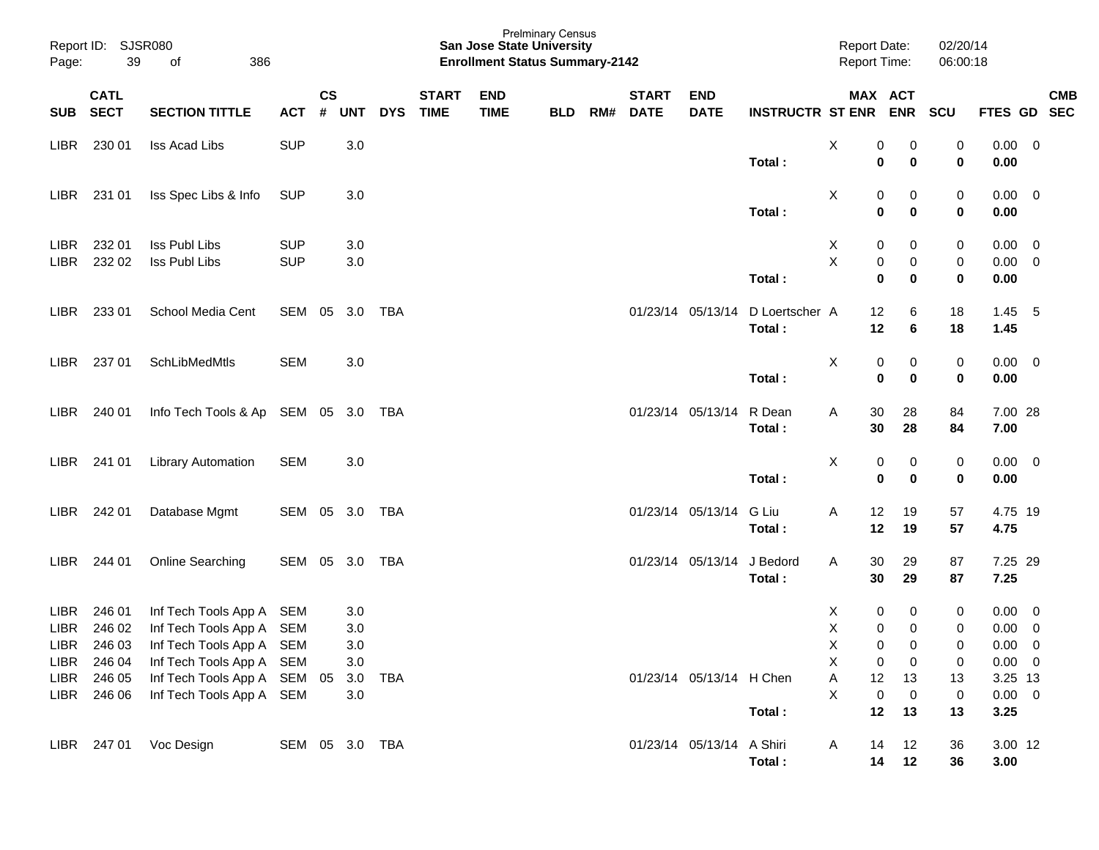| Page:       | Report ID: SJSR080<br>39 | 386<br>οf                           |                |           |            |            |              | San Jose State University<br><b>Enrollment Status Summary-2142</b> | <b>Prelminary Census</b> |     |              |                           |                             | <b>Report Date:</b><br><b>Report Time:</b> |                  | 02/20/14<br>06:00:18 |                |            |
|-------------|--------------------------|-------------------------------------|----------------|-----------|------------|------------|--------------|--------------------------------------------------------------------|--------------------------|-----|--------------|---------------------------|-----------------------------|--------------------------------------------|------------------|----------------------|----------------|------------|
|             | <b>CATL</b>              |                                     |                | <b>CS</b> |            |            | <b>START</b> | <b>END</b>                                                         |                          |     | <b>START</b> | <b>END</b>                |                             |                                            | MAX ACT          |                      |                | <b>CMB</b> |
| <b>SUB</b>  | <b>SECT</b>              | <b>SECTION TITTLE</b>               | <b>ACT</b>     | #         | <b>UNT</b> | <b>DYS</b> | <b>TIME</b>  | <b>TIME</b>                                                        | <b>BLD</b>               | RM# | <b>DATE</b>  | <b>DATE</b>               | <b>INSTRUCTR ST ENR ENR</b> |                                            |                  | <b>SCU</b>           | FTES GD SEC    |            |
| <b>LIBR</b> | 230 01                   | Iss Acad Libs                       | <b>SUP</b>     |           | 3.0        |            |              |                                                                    |                          |     |              |                           |                             | X                                          | 0<br>0           | 0                    | $0.00 \t 0$    |            |
|             |                          |                                     |                |           |            |            |              |                                                                    |                          |     |              |                           | Total:                      |                                            | 0<br>0           | 0                    | 0.00           |            |
| LIBR        | 231 01                   | Iss Spec Libs & Info                | <b>SUP</b>     |           | 3.0        |            |              |                                                                    |                          |     |              |                           |                             | X                                          | 0<br>0           | 0                    | $0.00 \t 0$    |            |
|             |                          |                                     |                |           |            |            |              |                                                                    |                          |     |              |                           | Total:                      | $\mathbf 0$                                | $\bf{0}$         | 0                    | 0.00           |            |
| <b>LIBR</b> | 232 01                   | Iss Publ Libs                       | <b>SUP</b>     |           | 3.0        |            |              |                                                                    |                          |     |              |                           |                             | X                                          | 0<br>0           | 0                    | $0.00 \t 0$    |            |
| <b>LIBR</b> | 232 02                   | Iss Publ Libs                       | <b>SUP</b>     |           | 3.0        |            |              |                                                                    |                          |     |              |                           |                             | X                                          | 0<br>0           | 0                    | $0.00 \t 0$    |            |
|             |                          |                                     |                |           |            |            |              |                                                                    |                          |     |              |                           | Total:                      | $\mathbf 0$                                | $\bf{0}$         | 0                    | 0.00           |            |
| LIBR        | 233 01                   | School Media Cent                   | SEM 05 3.0 TBA |           |            |            |              |                                                                    |                          |     |              | 01/23/14 05/13/14         | D Loertscher A              | 12                                         | 6                | 18                   | $1.45$ 5       |            |
|             |                          |                                     |                |           |            |            |              |                                                                    |                          |     |              |                           | Total:                      | 12                                         | 6                | 18                   | 1.45           |            |
| <b>LIBR</b> | 237 01                   | SchLibMedMtls                       | <b>SEM</b>     |           | 3.0        |            |              |                                                                    |                          |     |              |                           |                             | х                                          | 0<br>0           | 0                    | $0.00 \t 0$    |            |
|             |                          |                                     |                |           |            |            |              |                                                                    |                          |     |              |                           | Total:                      | $\mathbf 0$                                | 0                | 0                    | 0.00           |            |
| <b>LIBR</b> | 240 01                   | Info Tech Tools & Ap SEM 05 3.0 TBA |                |           |            |            |              |                                                                    |                          |     |              | 01/23/14 05/13/14         | R Dean                      | Α<br>30                                    | 28               | 84                   | 7.00 28        |            |
|             |                          |                                     |                |           |            |            |              |                                                                    |                          |     |              |                           | Total:                      | 30                                         | 28               | 84                   | 7.00           |            |
| LIBR        | 241 01                   | <b>Library Automation</b>           | <b>SEM</b>     |           | 3.0        |            |              |                                                                    |                          |     |              |                           |                             | X                                          | 0<br>0           | 0                    | $0.00 \t 0$    |            |
|             |                          |                                     |                |           |            |            |              |                                                                    |                          |     |              |                           | Total:                      |                                            | 0<br>0           | 0                    | 0.00           |            |
| LIBR        | 242 01                   | Database Mgmt                       | SEM 05 3.0 TBA |           |            |            |              |                                                                    |                          |     |              | 01/23/14 05/13/14         | G Liu                       | 12<br>Α                                    | 19               | 57                   | 4.75 19        |            |
|             |                          |                                     |                |           |            |            |              |                                                                    |                          |     |              |                           | Total:                      | 12                                         | 19               | 57                   | 4.75           |            |
| <b>LIBR</b> | 244 01                   | Online Searching                    | SEM 05 3.0 TBA |           |            |            |              |                                                                    |                          |     |              | 01/23/14 05/13/14         | J Bedord                    | 30<br>Α                                    | 29               | 87                   | 7.25 29        |            |
|             |                          |                                     |                |           |            |            |              |                                                                    |                          |     |              |                           | Total:                      | 30                                         | 29               | 87                   | 7.25           |            |
| LIBR        | 246 01                   | Inf Tech Tools App A                | SEM            |           | 3.0        |            |              |                                                                    |                          |     |              |                           |                             | X                                          | 0<br>0           | 0                    | $0.00 \t 0$    |            |
| <b>LIBR</b> | 246 02                   | Inf Tech Tools App A                | SEM            |           | 3.0        |            |              |                                                                    |                          |     |              |                           |                             | X                                          | 0<br>0           | 0                    | $0.00 \t 0$    |            |
| LIBR        | 246 03                   | Inf Tech Tools App A SEM            |                |           | 3.0        |            |              |                                                                    |                          |     |              |                           |                             | X                                          | 0<br>0           | 0                    | $0.00 \quad 0$ |            |
|             | LIBR 246 04              | Inf Tech Tools App A SEM            |                |           | 3.0        |            |              |                                                                    |                          |     |              |                           |                             | X<br>0                                     | 0                | 0                    | $0.00 \t 0$    |            |
| LIBR        | 246 05                   | Inf Tech Tools App A SEM 05         |                |           |            | 3.0 TBA    |              |                                                                    |                          |     |              | 01/23/14 05/13/14 H Chen  |                             | Α<br>12                                    | 13               | 13                   | 3.25 13        |            |
|             | LIBR 246 06              | Inf Tech Tools App A SEM            |                |           | 3.0        |            |              |                                                                    |                          |     |              |                           |                             | X                                          | $\mathbf 0$<br>0 | 0                    | $0.00 \t 0$    |            |
|             |                          |                                     |                |           |            |            |              |                                                                    |                          |     |              |                           | Total:                      | 12                                         | 13               | 13                   | 3.25           |            |
|             |                          |                                     |                |           |            |            |              |                                                                    |                          |     |              |                           |                             |                                            |                  |                      |                |            |
|             |                          | LIBR 247 01 Voc Design              | SEM 05 3.0 TBA |           |            |            |              |                                                                    |                          |     |              | 01/23/14 05/13/14 A Shiri |                             | A<br>14                                    | 12               | 36                   | 3.00 12        |            |
|             |                          |                                     |                |           |            |            |              |                                                                    |                          |     |              |                           | Total:                      |                                            | 14 12            | 36                   | 3.00           |            |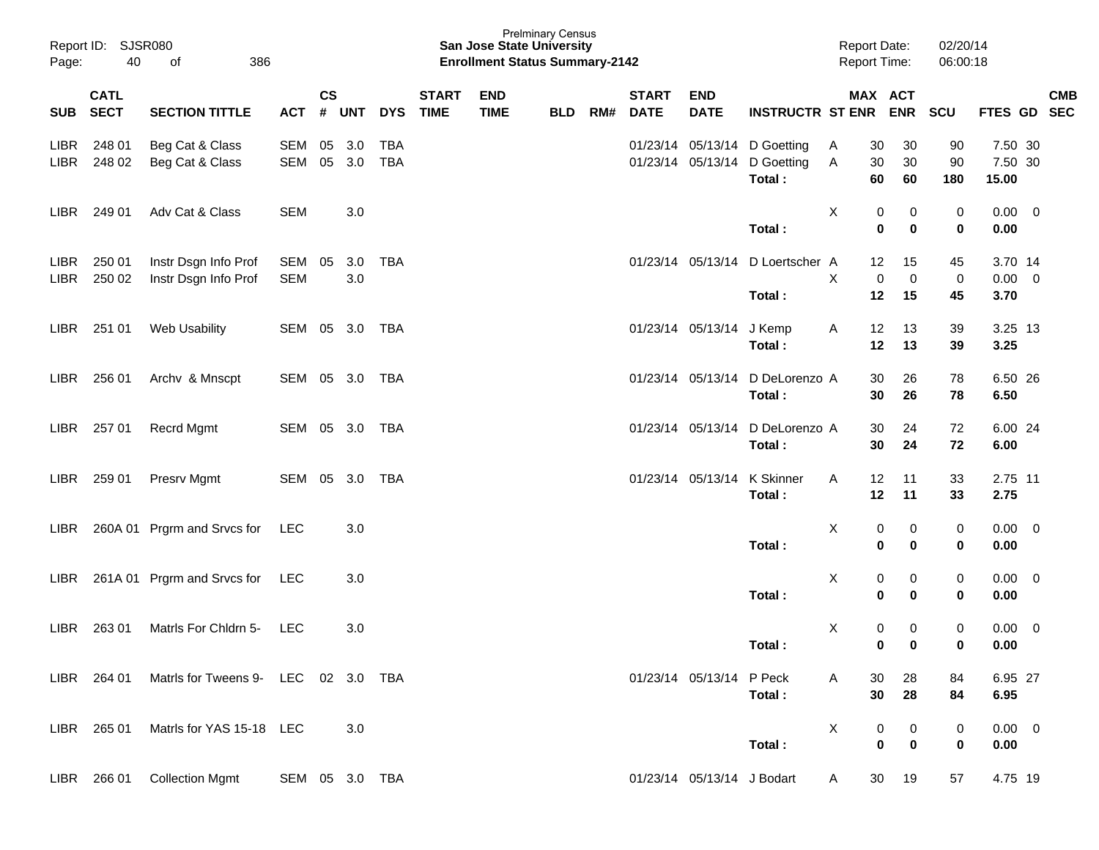| Page:               | Report ID: SJSR080<br>40<br>386<br>of |                                              |                   |               |               |                   |                             | <b>San Jose State University</b><br><b>Enrollment Status Summary-2142</b> | <b>Prelminary Census</b> |     |                             |                            |                                                      | <b>Report Date:</b><br><b>Report Time:</b> |                                                               | 02/20/14<br>06:00:18   |                                |            |
|---------------------|---------------------------------------|----------------------------------------------|-------------------|---------------|---------------|-------------------|-----------------------------|---------------------------------------------------------------------------|--------------------------|-----|-----------------------------|----------------------------|------------------------------------------------------|--------------------------------------------|---------------------------------------------------------------|------------------------|--------------------------------|------------|
| <b>SUB</b>          | <b>CATL</b><br><b>SECT</b>            | <b>SECTION TITTLE</b>                        | ACT               | $\mathsf{cs}$ | # UNT         | <b>DYS</b>        | <b>START</b><br><b>TIME</b> | <b>END</b><br><b>TIME</b>                                                 | <b>BLD</b>               | RM# | <b>START</b><br><b>DATE</b> | <b>END</b><br><b>DATE</b>  | <b>INSTRUCTR ST ENR</b>                              |                                            | MAX ACT<br><b>ENR</b>                                         | SCU                    | FTES GD SEC                    | <b>CMB</b> |
| LIBR<br>LIBR        | 248 01<br>248 02                      | Beg Cat & Class<br>Beg Cat & Class           | SEM<br>SEM        | 05            | 3.0<br>05 3.0 | <b>TBA</b><br>TBA |                             |                                                                           |                          |     |                             | 01/23/14 05/13/14          | 01/23/14 05/13/14 D Goetting<br>D Goetting<br>Total: | A<br>30<br>Α<br>60                         | 30<br>30<br>30<br>60                                          | 90<br>90<br>180        | 7.50 30<br>7.50 30<br>15.00    |            |
| LIBR.               | 249 01                                | Adv Cat & Class                              | <b>SEM</b>        |               | 3.0           |                   |                             |                                                                           |                          |     |                             |                            | Total:                                               | X                                          | 0<br>0<br>$\bf{0}$<br>$\mathbf 0$                             | $\pmb{0}$<br>$\pmb{0}$ | $0.00 \t 0$<br>0.00            |            |
| LIBR<br><b>LIBR</b> | 250 01<br>250 02                      | Instr Dsgn Info Prof<br>Instr Dsgn Info Prof | SEM<br><b>SEM</b> | 05            | 3.0<br>3.0    | TBA               |                             |                                                                           |                          |     |                             | 01/23/14 05/13/14          | D Loertscher A<br>Total:                             | X                                          | 12 <sup>2</sup><br>15<br>$\pmb{0}$<br>$\mathbf 0$<br>12<br>15 | 45<br>$\,0\,$<br>45    | 3.70 14<br>$0.00 \t 0$<br>3.70 |            |
| LIBR                | 251 01                                | Web Usability                                | SEM 05 3.0 TBA    |               |               |                   |                             |                                                                           |                          |     |                             | 01/23/14 05/13/14 J Kemp   | Total:                                               | A                                          | 12<br>13<br>12<br>13                                          | 39<br>39               | 3.25 13<br>3.25                |            |
| LIBR .              | 256 01                                | Archv & Mnscpt                               | SEM 05 3.0 TBA    |               |               |                   |                             |                                                                           |                          |     |                             | 01/23/14 05/13/14          | D DeLorenzo A<br>Total:                              | 30                                         | 30<br>26<br>26                                                | 78<br>78               | 6.50 26<br>6.50                |            |
| LIBR                | 257 01                                | Recrd Mgmt                                   | SEM 05 3.0 TBA    |               |               |                   |                             |                                                                           |                          |     |                             | 01/23/14 05/13/14          | D DeLorenzo A<br>Total:                              |                                            | 30<br>24<br>30<br>24                                          | 72<br>72               | 6.00 24<br>6.00                |            |
| LIBR                | 259 01                                | Presrv Mgmt                                  | SEM 05 3.0 TBA    |               |               |                   |                             |                                                                           |                          |     |                             | 01/23/14 05/13/14          | <b>K</b> Skinner<br>Total:                           | A                                          | 12<br>11<br>12<br>11                                          | 33<br>33               | 2.75 11<br>2.75                |            |
| LIBR.               |                                       | 260A 01 Prgrm and Srvcs for                  | <b>LEC</b>        |               | 3.0           |                   |                             |                                                                           |                          |     |                             |                            | Total:                                               | X                                          | 0<br>0<br>0<br>$\mathbf 0$                                    | 0<br>0                 | $0.00 \t 0$<br>0.00            |            |
| LIBR.               |                                       | 261A 01 Prgrm and Srvcs for                  | <b>LEC</b>        |               | 3.0           |                   |                             |                                                                           |                          |     |                             |                            | Total:                                               | X                                          | 0<br>0<br>$\mathbf 0$<br>0                                    | 0<br>0                 | $0.00 \t 0$<br>0.00            |            |
| LIBR                | 263 01                                | Matris For Chidrn 5-                         | <b>LEC</b>        |               | 3.0           |                   |                             |                                                                           |                          |     |                             |                            | Total:                                               | X                                          | 0<br>0<br>$\bf{0}$<br>0                                       | $\pmb{0}$<br>$\bf{0}$  | $0.00 \t 0$<br>0.00            |            |
| LIBR                | 264 01                                | Matrls for Tweens 9- LEC 02 3.0 TBA          |                   |               |               |                   |                             |                                                                           |                          |     |                             | 01/23/14 05/13/14 P Peck   | Total:                                               | A                                          | 30<br>28<br>30<br>28                                          | 84<br>84               | 6.95 27<br>6.95                |            |
| LIBR                | 265 01                                | Matrls for YAS 15-18 LEC                     |                   |               | 3.0           |                   |                             |                                                                           |                          |     |                             |                            | Total:                                               | X                                          | 0<br>0<br>$\bf{0}$<br>$\mathbf 0$                             | 0<br>0                 | $0.00 \t 0$<br>0.00            |            |
|                     | LIBR 266 01                           | <b>Collection Mgmt</b>                       | SEM 05 3.0 TBA    |               |               |                   |                             |                                                                           |                          |     |                             | 01/23/14 05/13/14 J Bodart |                                                      | A                                          | 30<br>19                                                      | 57                     | 4.75 19                        |            |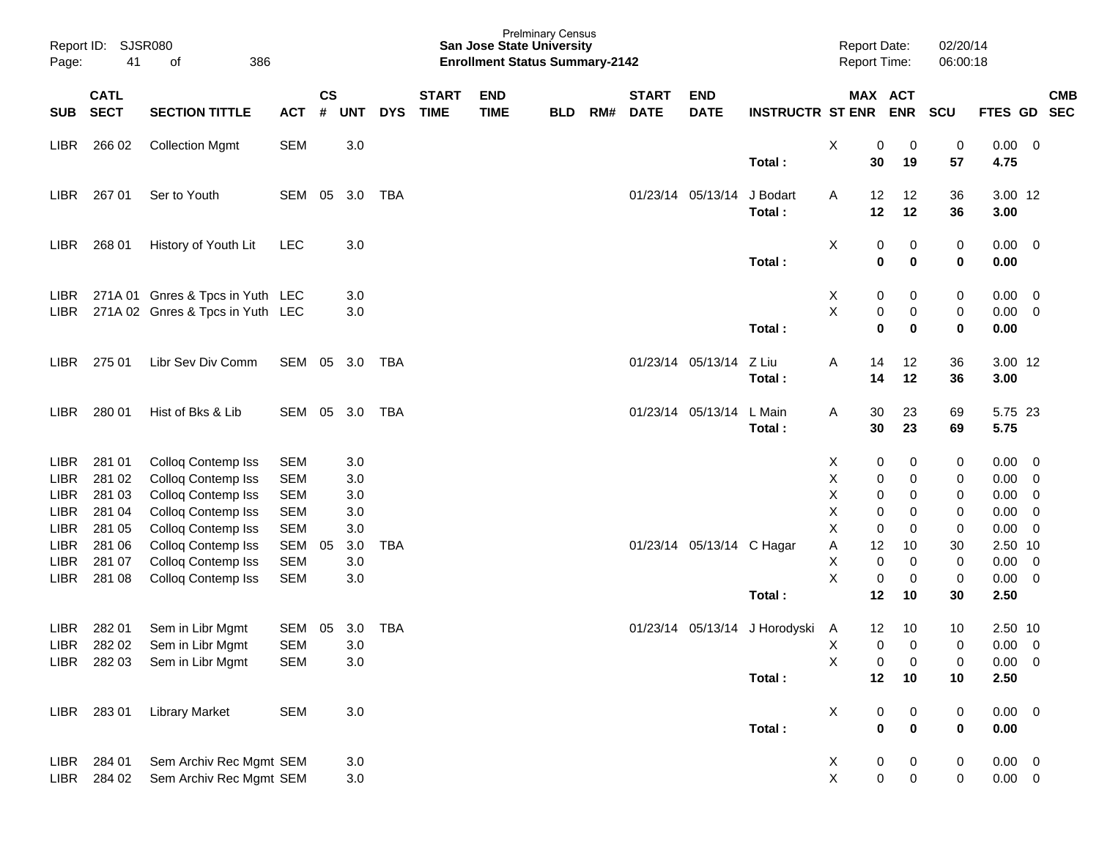| Page:                      | Report ID: SJSR080<br>41   | 386<br>οf                                |                          |                    |            |            |                             | <b>San Jose State University</b><br><b>Enrollment Status Summary-2142</b> | <b>Prelminary Census</b> |     |                             |                           |                         | <b>Report Date:</b><br><b>Report Time:</b> |                          | 02/20/14<br>06:00:18 |                 |                          |                          |
|----------------------------|----------------------------|------------------------------------------|--------------------------|--------------------|------------|------------|-----------------------------|---------------------------------------------------------------------------|--------------------------|-----|-----------------------------|---------------------------|-------------------------|--------------------------------------------|--------------------------|----------------------|-----------------|--------------------------|--------------------------|
| <b>SUB</b>                 | <b>CATL</b><br><b>SECT</b> | <b>SECTION TITTLE</b>                    | <b>ACT</b>               | $\mathsf{cs}$<br># | <b>UNT</b> | <b>DYS</b> | <b>START</b><br><b>TIME</b> | <b>END</b><br><b>TIME</b>                                                 | <b>BLD</b>               | RM# | <b>START</b><br><b>DATE</b> | <b>END</b><br><b>DATE</b> | <b>INSTRUCTR ST ENR</b> |                                            | MAX ACT<br><b>ENR</b>    | <b>SCU</b>           | <b>FTES GD</b>  |                          | <b>CMB</b><br><b>SEC</b> |
| LIBR                       | 266 02                     | <b>Collection Mgmt</b>                   | <b>SEM</b>               |                    | 3.0        |            |                             |                                                                           |                          |     |                             |                           |                         | X                                          | 0<br>0                   | $\pmb{0}$            | $0.00 \t 0$     |                          |                          |
|                            |                            |                                          |                          |                    |            |            |                             |                                                                           |                          |     |                             |                           | Total:                  | 30                                         | 19                       | 57                   | 4.75            |                          |                          |
| <b>LIBR</b>                | 267 01                     | Ser to Youth                             | <b>SEM</b>               | 05                 | 3.0        | TBA        |                             |                                                                           |                          |     | 01/23/14 05/13/14           |                           | J Bodart                | 12<br>A                                    | 12                       | 36                   | 3.00 12         |                          |                          |
|                            |                            |                                          |                          |                    |            |            |                             |                                                                           |                          |     |                             |                           | Total:                  | 12                                         | 12                       | 36                   | 3.00            |                          |                          |
| <b>LIBR</b>                | 268 01                     | History of Youth Lit                     | <b>LEC</b>               |                    | 3.0        |            |                             |                                                                           |                          |     |                             |                           |                         | X                                          | 0<br>0                   | $\pmb{0}$            | $0.00 \t 0$     |                          |                          |
|                            |                            |                                          |                          |                    |            |            |                             |                                                                           |                          |     |                             |                           | Total:                  |                                            | $\pmb{0}$<br>$\mathbf 0$ | $\bf{0}$             | 0.00            |                          |                          |
| <b>LIBR</b>                |                            | 271A 01 Gnres & Tpcs in Yuth LEC         |                          |                    | 3.0        |            |                             |                                                                           |                          |     |                             |                           |                         | X                                          | 0<br>0                   | 0                    | 0.00            | $\overline{\mathbf{0}}$  |                          |
| <b>LIBR</b>                |                            | 271A 02 Gnres & Tpcs in Yuth LEC         |                          |                    | 3.0        |            |                             |                                                                           |                          |     |                             |                           |                         | X                                          | $\pmb{0}$<br>0           | $\pmb{0}$            | 0.00            | $\overline{\mathbf{0}}$  |                          |
|                            |                            |                                          |                          |                    |            |            |                             |                                                                           |                          |     |                             |                           | Total:                  |                                            | $\bf{0}$<br>0            | $\bf{0}$             | 0.00            |                          |                          |
| LIBR.                      | 275 01                     | Libr Sev Div Comm                        | SEM                      | 05                 | 3.0        | TBA        |                             |                                                                           |                          |     | 01/23/14 05/13/14           |                           | Z Liu                   | Α<br>14                                    | 12                       | 36                   | 3.00 12         |                          |                          |
|                            |                            |                                          |                          |                    |            |            |                             |                                                                           |                          |     |                             |                           | Total:                  | 14                                         | 12                       | 36                   | 3.00            |                          |                          |
| LIBR.                      | 280 01                     | Hist of Bks & Lib                        | SEM                      | 05                 | 3.0        | TBA        |                             |                                                                           |                          |     | 01/23/14 05/13/14           |                           | L Main                  | A<br>30                                    | 23                       | 69                   | 5.75 23         |                          |                          |
|                            |                            |                                          |                          |                    |            |            |                             |                                                                           |                          |     |                             |                           | Total:                  | 30                                         | 23                       | 69                   | 5.75            |                          |                          |
| LIBR                       | 281 01                     | Colloq Contemp Iss                       | <b>SEM</b>               |                    | 3.0        |            |                             |                                                                           |                          |     |                             |                           |                         | X                                          | 0<br>0                   | 0                    | 0.00            | $\overline{\phantom{0}}$ |                          |
| <b>LIBR</b>                | 281 02                     | Colloq Contemp Iss                       | <b>SEM</b>               |                    | 3.0        |            |                             |                                                                           |                          |     |                             |                           |                         | х                                          | 0<br>0                   | 0                    | 0.00            | $\overline{\mathbf{0}}$  |                          |
| <b>LIBR</b>                | 281 03                     | Colloq Contemp Iss                       | <b>SEM</b>               |                    | 3.0        |            |                             |                                                                           |                          |     |                             |                           |                         | Χ                                          | 0<br>0                   | 0                    | 0.00            | $\overline{0}$           |                          |
| <b>LIBR</b>                | 281 04                     | Colloq Contemp Iss                       | <b>SEM</b>               |                    | 3.0        |            |                             |                                                                           |                          |     |                             |                           |                         | Χ                                          | 0<br>0                   | 0                    | 0.00            | $\overline{0}$           |                          |
| <b>LIBR</b><br><b>LIBR</b> | 281 05<br>281 06           | Colloq Contemp Iss<br>Colloq Contemp Iss | <b>SEM</b><br><b>SEM</b> | 05                 | 3.0<br>3.0 | <b>TBA</b> |                             |                                                                           |                          |     |                             | 01/23/14 05/13/14 C Hagar |                         | X<br>Α<br>12                               | 0<br>0<br>10             | 0<br>30              | 0.00<br>2.50 10 | $\overline{0}$           |                          |
| <b>LIBR</b>                | 281 07                     | Colloq Contemp Iss                       | <b>SEM</b>               |                    | 3.0        |            |                             |                                                                           |                          |     |                             |                           |                         | Х                                          | $\mathbf 0$<br>0         | 0                    | 0.00            | $\overline{\mathbf{0}}$  |                          |
| <b>LIBR</b>                | 281 08                     | Colloq Contemp Iss                       | <b>SEM</b>               |                    | 3.0        |            |                             |                                                                           |                          |     |                             |                           |                         | X                                          | 0<br>0                   | $\pmb{0}$            | 0.00            | $\overline{\mathbf{0}}$  |                          |
|                            |                            |                                          |                          |                    |            |            |                             |                                                                           |                          |     |                             |                           | Total:                  | 12                                         | 10                       | 30                   | 2.50            |                          |                          |
| LIBR                       | 282 01                     | Sem in Libr Mgmt                         | <b>SEM</b>               | 05                 | 3.0        | <b>TBA</b> |                             |                                                                           |                          |     |                             | 01/23/14 05/13/14         | J Horodyski             | 12<br>A                                    | 10                       | 10                   | 2.50 10         |                          |                          |
| <b>LIBR</b>                | 282 02                     | Sem in Libr Mgmt                         | <b>SEM</b>               |                    | 3.0        |            |                             |                                                                           |                          |     |                             |                           |                         | Χ                                          | 0<br>0                   | 0                    | $0.00 \quad 0$  |                          |                          |
|                            | LIBR 282 03                | Sem in Libr Mgmt                         | <b>SEM</b>               |                    | 3.0        |            |                             |                                                                           |                          |     |                             |                           |                         | X                                          | 0<br>0                   | 0                    | $0.00 \t 0$     |                          |                          |
|                            |                            |                                          |                          |                    |            |            |                             |                                                                           |                          |     |                             |                           | Total:                  | 12                                         | 10                       | 10                   | $2.50$          |                          |                          |
| LIBR                       | 28301                      | <b>Library Market</b>                    | <b>SEM</b>               |                    | $3.0\,$    |            |                             |                                                                           |                          |     |                             |                           |                         | X                                          | 0<br>0                   | 0                    | $0.00 \t 0$     |                          |                          |
|                            |                            |                                          |                          |                    |            |            |                             |                                                                           |                          |     |                             |                           | Total:                  |                                            | $\bf{0}$<br>$\bf{0}$     | $\pmb{0}$            | 0.00            |                          |                          |
| LIBR                       | 284 01                     | Sem Archiv Rec Mgmt SEM                  |                          |                    | 3.0        |            |                             |                                                                           |                          |     |                             |                           |                         | X                                          | 0<br>0                   | 0                    | $0.00 \t 0$     |                          |                          |
| LIBR                       | 284 02                     | Sem Archiv Rec Mgmt SEM                  |                          |                    | $3.0\,$    |            |                             |                                                                           |                          |     |                             |                           |                         | $\mathsf{X}$                               | $\pmb{0}$<br>$\pmb{0}$   | $\mathbf 0$          | $0.00\quad$ $0$ |                          |                          |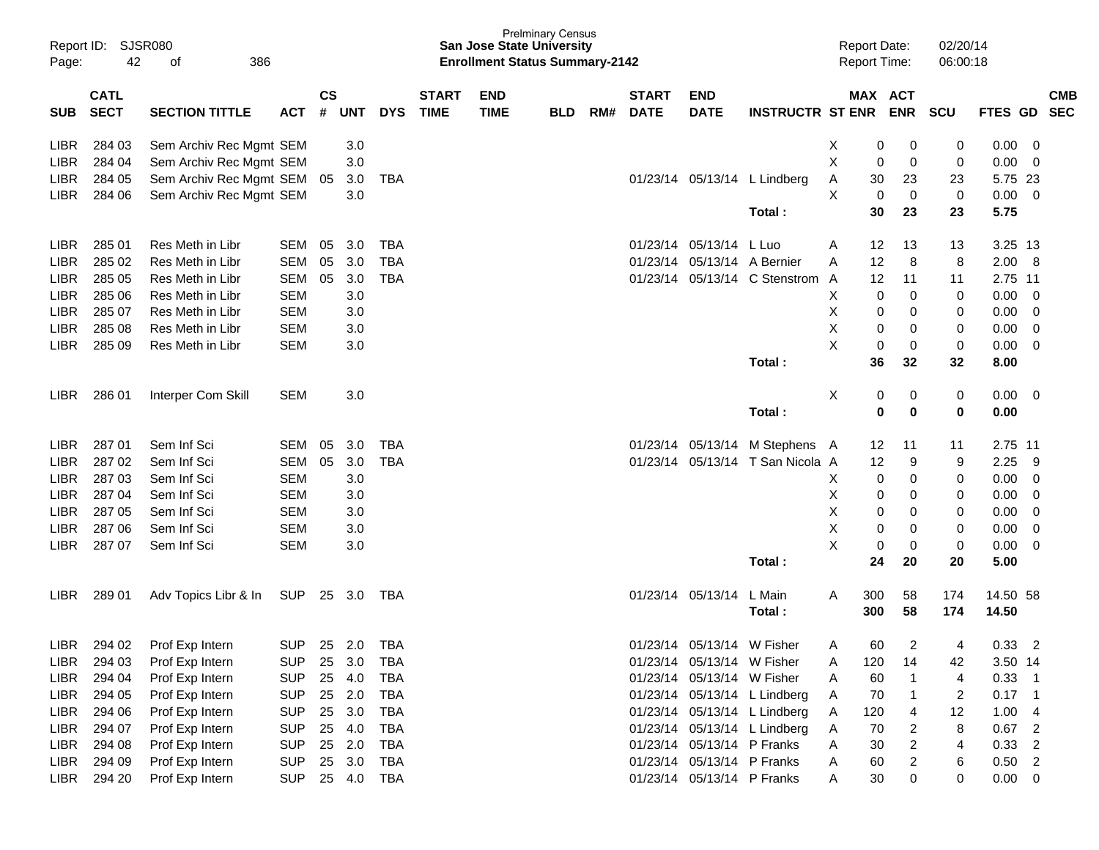| Page:       | Report ID: SJSR080<br>42<br>386<br>of |                         |            |                    |            |            |                             | <b>San Jose State University</b><br><b>Enrollment Status Summary-2142</b> | <b>Prelminary Census</b> |     |                             |                            |                                  |   |            | <b>Report Date:</b><br><b>Report Time:</b> | 02/20/14<br>06:00:18 |                   |                          |            |
|-------------|---------------------------------------|-------------------------|------------|--------------------|------------|------------|-----------------------------|---------------------------------------------------------------------------|--------------------------|-----|-----------------------------|----------------------------|----------------------------------|---|------------|--------------------------------------------|----------------------|-------------------|--------------------------|------------|
| <b>SUB</b>  | <b>CATL</b><br><b>SECT</b>            | <b>SECTION TITTLE</b>   | <b>ACT</b> | $\mathsf{cs}$<br># | <b>UNT</b> | <b>DYS</b> | <b>START</b><br><b>TIME</b> | <b>END</b><br><b>TIME</b>                                                 | <b>BLD</b>               | RM# | <b>START</b><br><b>DATE</b> | <b>END</b><br><b>DATE</b>  | <b>INSTRUCTR ST ENR</b>          |   |            | MAX ACT<br><b>ENR</b>                      | <b>SCU</b>           | FTES GD SEC       |                          | <b>CMB</b> |
| LIBR        | 284 03                                | Sem Archiv Rec Mgmt SEM |            |                    | 3.0        |            |                             |                                                                           |                          |     |                             |                            |                                  | X | 0          | 0                                          | 0                    | 0.00              | $\overline{\mathbf{0}}$  |            |
| <b>LIBR</b> | 284 04                                | Sem Archiv Rec Mgmt SEM |            |                    | 3.0        |            |                             |                                                                           |                          |     |                             |                            |                                  | X | 0          | 0                                          | 0                    | 0.00              | $\overline{\phantom{0}}$ |            |
| LIBR        | 284 05                                | Sem Archiv Rec Mgmt SEM |            | 05                 | 3.0        | TBA        |                             |                                                                           |                          |     |                             |                            | 01/23/14 05/13/14 L Lindberg     | A | 30         | 23                                         | 23                   | 5.75 23           |                          |            |
| LIBR        | 284 06                                | Sem Archiv Rec Mgmt SEM |            |                    | 3.0        |            |                             |                                                                           |                          |     |                             |                            |                                  | Х | 0          | 0                                          | $\pmb{0}$            | $0.00 \t 0$       |                          |            |
|             |                                       |                         |            |                    |            |            |                             |                                                                           |                          |     |                             |                            | Total:                           |   | 30         | 23                                         | 23                   | 5.75              |                          |            |
| <b>LIBR</b> | 285 01                                | Res Meth in Libr        | SEM        | 05                 | 3.0        | TBA        |                             |                                                                           |                          |     |                             | 01/23/14 05/13/14          | L Luo                            | A | 12         | 13                                         | 13                   | 3.25 13           |                          |            |
| LIBR        | 285 02                                | Res Meth in Libr        | <b>SEM</b> | 05                 | 3.0        | <b>TBA</b> |                             |                                                                           |                          |     | 01/23/14                    | 05/13/14 A Bernier         |                                  | A | 12         | 8                                          | 8                    | 2.00 8            |                          |            |
| <b>LIBR</b> | 285 05                                | Res Meth in Libr        | <b>SEM</b> | 05                 | 3.0        | <b>TBA</b> |                             |                                                                           |                          |     | 01/23/14                    |                            | 05/13/14 C Stenstrom             | A | 12         | 11                                         | 11                   | 2.75 11           |                          |            |
| LIBR        | 285 06                                | Res Meth in Libr        | <b>SEM</b> |                    | 3.0        |            |                             |                                                                           |                          |     |                             |                            |                                  | Х | 0          | 0                                          | 0                    | 0.00              | $\overline{\mathbf{0}}$  |            |
| <b>LIBR</b> | 285 07                                | Res Meth in Libr        | <b>SEM</b> |                    | 3.0        |            |                             |                                                                           |                          |     |                             |                            |                                  | Х | 0          | 0                                          | 0                    | 0.00              | $\overline{\mathbf{0}}$  |            |
| LIBR        | 285 08                                | Res Meth in Libr        | <b>SEM</b> |                    | 3.0        |            |                             |                                                                           |                          |     |                             |                            |                                  | X | 0          | 0                                          | 0                    | 0.00              | $\overline{\mathbf{0}}$  |            |
| LIBR        | 285 09                                | Res Meth in Libr        | <b>SEM</b> |                    | 3.0        |            |                             |                                                                           |                          |     |                             |                            |                                  | X | 0          | 0                                          | $\pmb{0}$            | 0.00              | $\overline{\mathbf{0}}$  |            |
|             |                                       |                         |            |                    |            |            |                             |                                                                           |                          |     |                             |                            | Total:                           |   | 36         | 32                                         | 32                   | 8.00              |                          |            |
| LIBR.       | 286 01                                | Interper Com Skill      | <b>SEM</b> |                    | 3.0        |            |                             |                                                                           |                          |     |                             |                            |                                  | Χ | 0          | 0                                          | 0                    | $0.00 \t 0$       |                          |            |
|             |                                       |                         |            |                    |            |            |                             |                                                                           |                          |     |                             |                            | Total:                           |   | 0          | $\bf{0}$                                   | 0                    | 0.00              |                          |            |
| <b>LIBR</b> | 287 01                                | Sem Inf Sci             | SEM        | 05                 | 3.0        | <b>TBA</b> |                             |                                                                           |                          |     |                             |                            | 01/23/14 05/13/14 M Stephens     | A | 12         | 11                                         | 11                   | 2.75 11           |                          |            |
| <b>LIBR</b> | 287 02                                | Sem Inf Sci             | <b>SEM</b> | 05                 | 3.0        | <b>TBA</b> |                             |                                                                           |                          |     |                             |                            | 01/23/14 05/13/14 T San Nicola A |   | 12         | 9                                          | 9                    | 2.25              | - 9                      |            |
| <b>LIBR</b> | 287 03                                | Sem Inf Sci             | <b>SEM</b> |                    | 3.0        |            |                             |                                                                           |                          |     |                             |                            |                                  | Х | 0          | 0                                          | 0                    | 0.00              | $\overline{\mathbf{0}}$  |            |
| <b>LIBR</b> | 287 04                                | Sem Inf Sci             | <b>SEM</b> |                    | 3.0        |            |                             |                                                                           |                          |     |                             |                            |                                  | Х | 0          | 0                                          | 0                    | 0.00              | - 0                      |            |
| LIBR        | 287 05                                | Sem Inf Sci             | <b>SEM</b> |                    | 3.0        |            |                             |                                                                           |                          |     |                             |                            |                                  | Х | 0          | 0                                          | 0                    | 0.00              | - 0                      |            |
| LIBR        | 287 06                                | Sem Inf Sci             | <b>SEM</b> |                    | 3.0        |            |                             |                                                                           |                          |     |                             |                            |                                  | X | 0          | 0                                          | 0                    | 0.00              | $\overline{\mathbf{0}}$  |            |
| LIBR        | 287 07                                | Sem Inf Sci             | <b>SEM</b> |                    | 3.0        |            |                             |                                                                           |                          |     |                             |                            |                                  | X | 0          | 0                                          | $\pmb{0}$            | 0.00              | $\overline{\mathbf{0}}$  |            |
|             |                                       |                         |            |                    |            |            |                             |                                                                           |                          |     |                             |                            | Total:                           |   | 24         | 20                                         | 20                   | 5.00              |                          |            |
| LIBR.       | 289 01                                | Adv Topics Libr & In    | SUP        | 25                 | 3.0        | TBA        |                             |                                                                           |                          |     | 01/23/14 05/13/14           |                            | L Main<br>Total:                 | A | 300<br>300 | 58<br>58                                   | 174<br>174           | 14.50 58<br>14.50 |                          |            |
| <b>LIBR</b> | 294 02                                | Prof Exp Intern         | <b>SUP</b> |                    | 25 2.0     | TBA        |                             |                                                                           |                          |     |                             | 01/23/14 05/13/14 W Fisher |                                  | A | 60         | 2                                          | 4                    | 0.33              | $\overline{2}$           |            |
| LIBR        | 294 03                                | Prof Exp Intern         | <b>SUP</b> | 25                 | 3.0        | <b>TBA</b> |                             |                                                                           |                          |     |                             | 01/23/14 05/13/14 W Fisher |                                  | Α | 120        | 14                                         | 42                   | 3.50 14           |                          |            |
| LIBR        | 294 04                                | Prof Exp Intern         | <b>SUP</b> |                    | 25 4.0     | <b>TBA</b> |                             |                                                                           |                          |     |                             | 01/23/14 05/13/14 W Fisher |                                  | A | 60         |                                            | 4                    | $0.33$ 1          |                          |            |
| LIBR        | 294 05                                | Prof Exp Intern         | <b>SUP</b> |                    | 25 2.0     | <b>TBA</b> |                             |                                                                           |                          |     |                             |                            | 01/23/14 05/13/14 L Lindberg     | A | 70         | $\mathbf 1$                                | $\overline{c}$       | $0.17$ 1          |                          |            |
| LIBR        | 294 06                                | Prof Exp Intern         | <b>SUP</b> |                    | 25 3.0     | <b>TBA</b> |                             |                                                                           |                          |     |                             |                            | 01/23/14 05/13/14 L Lindberg     | A | 120        | 4                                          | 12                   | 1.004             |                          |            |
| LIBR        | 294 07                                | Prof Exp Intern         | <b>SUP</b> |                    | 25 4.0     | <b>TBA</b> |                             |                                                                           |                          |     |                             |                            | 01/23/14 05/13/14 L Lindberg     | A | 70         | $\overline{c}$                             | 8                    | $0.67$ 2          |                          |            |
| LIBR        | 294 08                                | Prof Exp Intern         | <b>SUP</b> |                    | 25 2.0     | <b>TBA</b> |                             |                                                                           |                          |     |                             | 01/23/14 05/13/14 P Franks |                                  | Α | 30         | $\overline{\mathbf{c}}$                    | 4                    | $0.33$ 2          |                          |            |
| LIBR        | 294 09                                | Prof Exp Intern         | <b>SUP</b> |                    | 25 3.0     | <b>TBA</b> |                             |                                                                           |                          |     |                             | 01/23/14 05/13/14 P Franks |                                  | A | 60         | 2                                          | 6                    | $0.50$ 2          |                          |            |
| LIBR        | 294 20                                | Prof Exp Intern         | <b>SUP</b> |                    | 25 4.0     | TBA        |                             |                                                                           |                          |     |                             | 01/23/14 05/13/14 P Franks |                                  | A | 30         | 0                                          | 0                    | $0.00 \t 0$       |                          |            |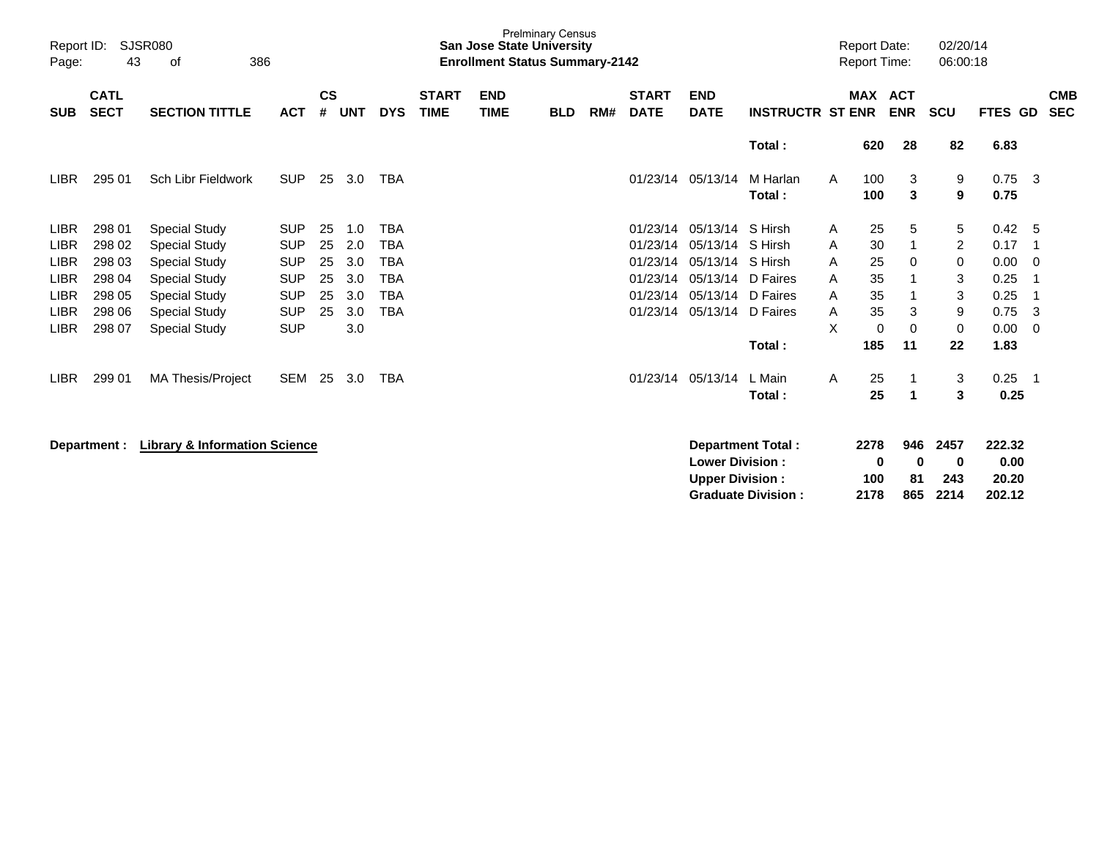| Report ID:<br>Page: | 43                         | SJSR080<br>386<br>оf                     |            |                |            |            |                             | <b>San Jose State University</b><br><b>Enrollment Status Summary-2142</b> | <b>Prelminary Census</b> |     |                             |                                                  |                                                       |   | <b>Report Date:</b><br><b>Report Time:</b> |                       | 02/20/14<br>06:00:18     |                                   |     |                          |
|---------------------|----------------------------|------------------------------------------|------------|----------------|------------|------------|-----------------------------|---------------------------------------------------------------------------|--------------------------|-----|-----------------------------|--------------------------------------------------|-------------------------------------------------------|---|--------------------------------------------|-----------------------|--------------------------|-----------------------------------|-----|--------------------------|
| <b>SUB</b>          | <b>CATL</b><br><b>SECT</b> | <b>SECTION TITTLE</b>                    | <b>ACT</b> | <b>CS</b><br># | <b>UNT</b> | <b>DYS</b> | <b>START</b><br><b>TIME</b> | <b>END</b><br><b>TIME</b>                                                 | <b>BLD</b>               | RM# | <b>START</b><br><b>DATE</b> | <b>END</b><br><b>DATE</b>                        | <b>INSTRUCTR ST ENR</b>                               |   | MAX ACT                                    | <b>ENR</b>            | <b>SCU</b>               | FTES GD                           |     | <b>CMB</b><br><b>SEC</b> |
|                     |                            |                                          |            |                |            |            |                             |                                                                           |                          |     |                             |                                                  | Total:                                                |   | 620                                        | 28                    | 82                       | 6.83                              |     |                          |
| <b>LIBR</b>         | 295 01                     | Sch Libr Fieldwork                       | <b>SUP</b> | 25             | 3.0        | <b>TBA</b> |                             |                                                                           |                          |     | 01/23/14                    | 05/13/14                                         | M Harlan<br>Total:                                    | A | 100<br>100                                 | 3<br>3                | 9<br>9                   | 0.75<br>0.75                      | - 3 |                          |
| <b>LIBR</b>         | 298 01                     | <b>Special Study</b>                     | <b>SUP</b> | 25             | 1.0        | <b>TBA</b> |                             |                                                                           |                          |     | 01/23/14                    | 05/13/14                                         | S Hirsh                                               | A | 25                                         | 5                     | 5                        | 0.42                              | -5  |                          |
| <b>LIBR</b>         | 298 02                     | <b>Special Study</b>                     | <b>SUP</b> | 25             | 2.0        | <b>TBA</b> |                             |                                                                           |                          |     | 01/23/14                    | 05/13/14                                         | S Hirsh                                               | A | 30                                         | $\mathbf 1$           | $\overline{2}$           | 0.17                              | -1  |                          |
| <b>LIBR</b>         | 298 03                     | <b>Special Study</b>                     | <b>SUP</b> | 25             | 3.0        | <b>TBA</b> |                             |                                                                           |                          |     | 01/23/14                    | 05/13/14                                         | S Hirsh                                               | A | 25                                         | 0                     | 0                        | 0.00                              | 0   |                          |
| <b>LIBR</b>         | 298 04                     | <b>Special Study</b>                     | <b>SUP</b> | 25             | 3.0        | <b>TBA</b> |                             |                                                                           |                          |     | 01/23/14                    | 05/13/14                                         | D Faires                                              | A | 35                                         |                       | 3                        | 0.25                              | -1  |                          |
| <b>LIBR</b>         | 298 05                     | <b>Special Study</b>                     | <b>SUP</b> | 25             | 3.0        | <b>TBA</b> |                             |                                                                           |                          |     | 01/23/14                    | 05/13/14                                         | D Faires                                              | A | 35                                         | -1                    | 3                        | 0.25                              | -1  |                          |
| <b>LIBR</b>         | 298 06                     | <b>Special Study</b>                     | <b>SUP</b> | 25             | 3.0        | <b>TBA</b> |                             |                                                                           |                          |     | 01/23/14                    | 05/13/14                                         | D Faires                                              | A | 35                                         | 3                     | 9                        | 0.75                              | 3   |                          |
| <b>LIBR</b>         | 298 07                     | <b>Special Study</b>                     | <b>SUP</b> |                | 3.0        |            |                             |                                                                           |                          |     |                             |                                                  |                                                       | X | 0                                          | 0                     | 0                        | 0.00                              | 0   |                          |
|                     |                            |                                          |            |                |            |            |                             |                                                                           |                          |     |                             |                                                  | Total:                                                |   | 185                                        | 11                    | 22                       | 1.83                              |     |                          |
| <b>LIBR</b>         | 299 01                     | <b>MA Thesis/Project</b>                 | SEM        | 25             | 3.0        | <b>TBA</b> |                             |                                                                           |                          |     |                             | 01/23/14 05/13/14                                | L Main                                                | A | 25                                         |                       | 3                        | 0.25                              | -1  |                          |
|                     |                            |                                          |            |                |            |            |                             |                                                                           |                          |     |                             |                                                  | Total:                                                |   | 25                                         | $\mathbf 1$           | 3                        | 0.25                              |     |                          |
|                     | Department :               | <b>Library &amp; Information Science</b> |            |                |            |            |                             |                                                                           |                          |     |                             | <b>Lower Division:</b><br><b>Upper Division:</b> | <b>Department Total:</b><br><b>Graduate Division:</b> |   | 2278<br>0<br>100<br>2178                   | 946<br>0<br>81<br>865 | 2457<br>0<br>243<br>2214 | 222.32<br>0.00<br>20.20<br>202.12 |     |                          |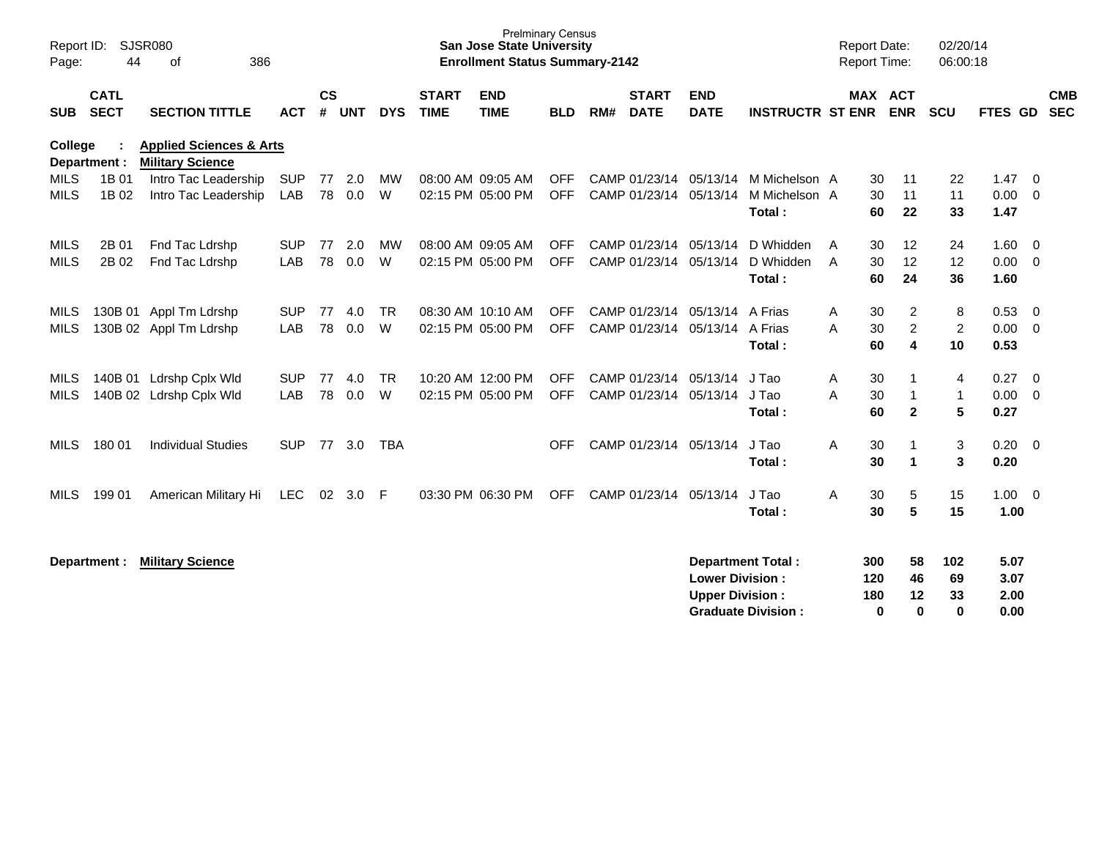| Report ID:<br>Page:        | 44                         | SJSR080<br>386<br>of                                          |                   |                    |            |                |                             | <b>Prelminary Census</b><br><b>San Jose State University</b><br><b>Enrollment Status Summary-2142</b> |                          |     |                                         |                                                  |                                                       |        | <b>Report Date:</b><br><b>Report Time:</b> |                                             | 02/20/14<br>06:00:18                |                              |                                                     |
|----------------------------|----------------------------|---------------------------------------------------------------|-------------------|--------------------|------------|----------------|-----------------------------|-------------------------------------------------------------------------------------------------------|--------------------------|-----|-----------------------------------------|--------------------------------------------------|-------------------------------------------------------|--------|--------------------------------------------|---------------------------------------------|-------------------------------------|------------------------------|-----------------------------------------------------|
| <b>SUB</b>                 | <b>CATL</b><br><b>SECT</b> | <b>SECTION TITTLE</b>                                         | <b>ACT</b>        | $\mathsf{cs}$<br># | <b>UNT</b> | <b>DYS</b>     | <b>START</b><br><b>TIME</b> | <b>END</b><br><b>TIME</b>                                                                             | <b>BLD</b>               | RM# | <b>START</b><br><b>DATE</b>             | <b>END</b><br><b>DATE</b>                        | <b>INSTRUCTR ST ENR</b>                               |        |                                            | MAX ACT<br><b>ENR</b>                       | <b>SCU</b>                          | FTES GD                      | <b>CMB</b><br><b>SEC</b>                            |
| College                    | Department :               | <b>Applied Sciences &amp; Arts</b><br><b>Military Science</b> |                   |                    |            |                |                             |                                                                                                       |                          |     |                                         |                                                  |                                                       |        |                                            |                                             |                                     |                              |                                                     |
| <b>MILS</b><br><b>MILS</b> | 1B 01<br>1B 02             | Intro Tac Leadership<br>Intro Tac Leadership                  | <b>SUP</b><br>LAB | 77<br>78           | 2.0<br>0.0 | MW<br>W        |                             | 08:00 AM 09:05 AM<br>02:15 PM 05:00 PM                                                                | <b>OFF</b><br><b>OFF</b> |     | CAMP 01/23/14<br>CAMP 01/23/14          | 05/13/14<br>05/13/14                             | M Michelson A<br>M Michelson A<br>Total:              |        | 30<br>30<br>60                             | 11<br>11<br>22                              | 22<br>11<br>33                      | 1.47<br>0.00<br>1.47         | $\overline{0}$<br>$\overline{0}$                    |
| MILS<br><b>MILS</b>        | 2B 01<br>2B 02             | Fnd Tac Ldrshp<br>Fnd Tac Ldrshp                              | <b>SUP</b><br>LAB | 77<br>78           | 2.0<br>0.0 | МW<br>W        |                             | 08:00 AM 09:05 AM<br>02:15 PM 05:00 PM                                                                | <b>OFF</b><br><b>OFF</b> |     | CAMP 01/23/14<br>CAMP 01/23/14 05/13/14 | 05/13/14                                         | D Whidden<br>D Whidden<br>Total:                      | A<br>A | 30<br>30<br>60                             | 12<br>12<br>24                              | 24<br>12<br>36                      | 1.60<br>0.00<br>1.60         | $\overline{\phantom{0}}$<br>$\overline{\mathbf{0}}$ |
| MILS<br><b>MILS</b>        |                            | 130B 01 Appl Tm Ldrshp<br>130B 02 Appl Tm Ldrshp              | <b>SUP</b><br>LAB | 77<br>78           | 4.0<br>0.0 | <b>TR</b><br>W |                             | 08:30 AM 10:10 AM<br>02:15 PM 05:00 PM                                                                | <b>OFF</b><br><b>OFF</b> |     | CAMP 01/23/14<br>CAMP 01/23/14          | 05/13/14<br>05/13/14                             | A Frias<br>A Frias<br>Total:                          | A<br>A | 30<br>30<br>60                             | $\overline{c}$<br>$\overline{c}$<br>4       | 8<br>$\overline{c}$<br>10           | 0.53<br>0.00<br>0.53         | $\overline{0}$<br>$\overline{0}$                    |
| MILS<br><b>MILS</b>        |                            | 140B 01 Ldrshp Cplx Wld<br>140B 02 Ldrshp Cplx Wld            | <b>SUP</b><br>LAB | 77<br>78           | 4.0<br>0.0 | <b>TR</b><br>W |                             | 10:20 AM 12:00 PM<br>02:15 PM 05:00 PM                                                                | <b>OFF</b><br><b>OFF</b> |     | CAMP 01/23/14<br>CAMP 01/23/14          | 05/13/14<br>05/13/14                             | J Tao<br>J Tao<br>Total:                              | Α<br>A | 30<br>30<br>60                             | $\mathbf 1$<br>$\mathbf{1}$<br>$\mathbf{2}$ | $\overline{4}$<br>$\mathbf{1}$<br>5 | 0.27<br>0.00<br>0.27         | $\overline{0}$<br>- 0                               |
| <b>MILS</b>                | 180 01                     | <b>Individual Studies</b>                                     | <b>SUP</b>        | 77                 | 3.0        | <b>TBA</b>     |                             |                                                                                                       | OFF.                     |     | CAMP 01/23/14 05/13/14                  |                                                  | J Tao<br>Total:                                       | A      | 30<br>30                                   | 1<br>$\blacktriangleleft$                   | 3<br>3                              | $0.20 \ 0$<br>0.20           |                                                     |
| <b>MILS</b>                | 199 01                     | American Military Hi                                          | <b>LEC</b>        | 02                 | 3.0        | -F             |                             | 03:30 PM 06:30 PM                                                                                     | <b>OFF</b>               |     | CAMP 01/23/14                           | 05/13/14                                         | J Tao<br>Total:                                       | A      | 30<br>30                                   | 5<br>5                                      | 15<br>15                            | $1.00 \t 0$<br>1.00          |                                                     |
|                            | Department :               | <b>Military Science</b>                                       |                   |                    |            |                |                             |                                                                                                       |                          |     |                                         | <b>Lower Division:</b><br><b>Upper Division:</b> | <b>Department Total:</b><br><b>Graduate Division:</b> |        | 300<br>120<br>180<br>0                     | 58<br>46<br>12<br>$\bf{0}$                  | 102<br>69<br>33<br>0                | 5.07<br>3.07<br>2.00<br>0.00 |                                                     |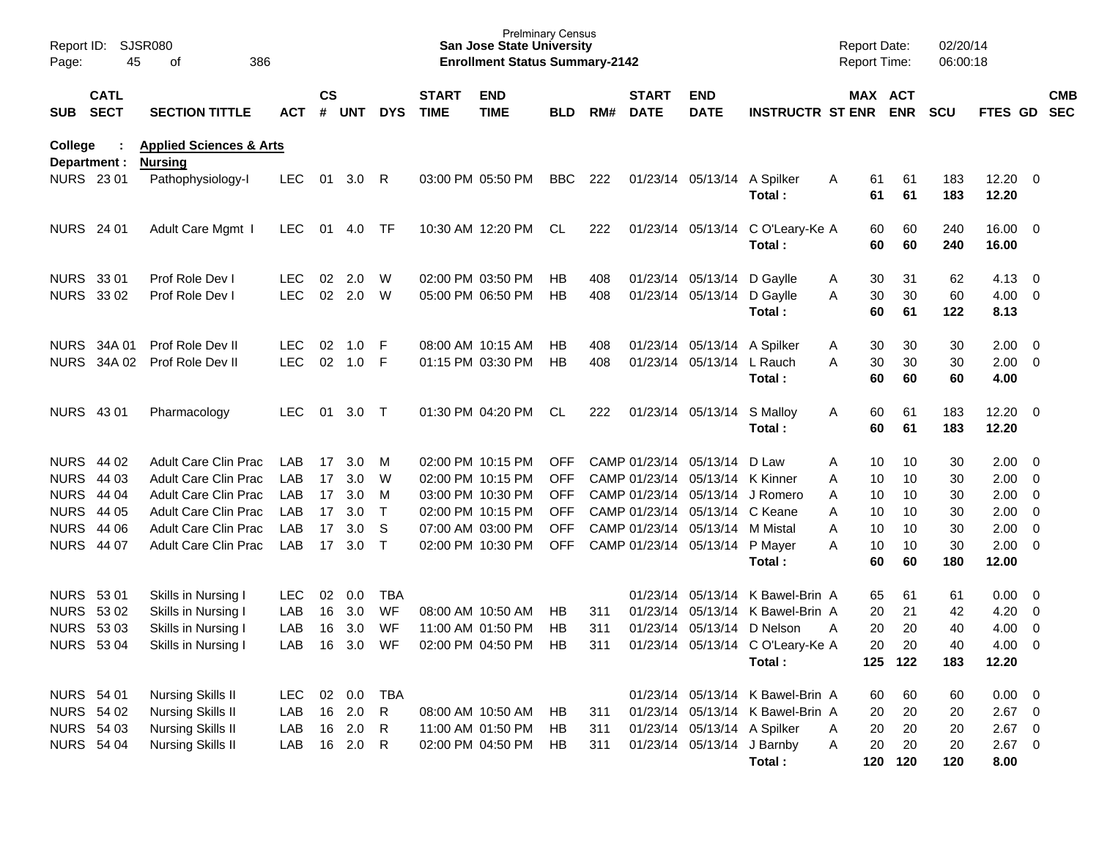| Page:             | <b>SJSR080</b><br>Report ID:<br>45<br>386<br>of<br><b>CATL</b> |                                                      |            |               |        |              |                             | <b>Prelminary Census</b><br><b>San Jose State University</b><br><b>Enrollment Status Summary-2142</b> |            |     |                             |                                 |                                            | <b>Report Date:</b><br>Report Time: |            | 02/20/14<br>06:00:18 |                       |                          |                          |
|-------------------|----------------------------------------------------------------|------------------------------------------------------|------------|---------------|--------|--------------|-----------------------------|-------------------------------------------------------------------------------------------------------|------------|-----|-----------------------------|---------------------------------|--------------------------------------------|-------------------------------------|------------|----------------------|-----------------------|--------------------------|--------------------------|
| SUB SECT          |                                                                | <b>SECTION TITTLE</b>                                | <b>ACT</b> | $\mathsf{cs}$ | # UNT  | <b>DYS</b>   | <b>START</b><br><b>TIME</b> | <b>END</b><br><b>TIME</b>                                                                             | <b>BLD</b> | RM# | <b>START</b><br><b>DATE</b> | <b>END</b><br><b>DATE</b>       | <b>INSTRUCTR ST ENR</b>                    | MAX ACT                             | <b>ENR</b> | <b>SCU</b>           | FTES GD               |                          | <b>CMB</b><br><b>SEC</b> |
| College           | Department :                                                   | <b>Applied Sciences &amp; Arts</b><br><b>Nursing</b> |            |               |        |              |                             |                                                                                                       |            |     |                             |                                 |                                            |                                     |            |                      |                       |                          |                          |
| NURS 23 01        |                                                                | Pathophysiology-I                                    | <b>LEC</b> | 01            | 3.0    | R            |                             | 03:00 PM 05:50 PM                                                                                     | <b>BBC</b> | 222 |                             | 01/23/14 05/13/14 A Spilker     | Total:                                     | 61<br>Α<br>61                       | 61<br>61   | 183<br>183           | $12.20 \t 0$<br>12.20 |                          |                          |
| <b>NURS</b> 24 01 |                                                                | Adult Care Mgmt I                                    | <b>LEC</b> | 01            | 4.0    | TF.          |                             | 10:30 AM 12:20 PM                                                                                     | CL.        | 222 |                             |                                 | 01/23/14 05/13/14 C O'Leary-Ke A<br>Total: | 60<br>60                            | 60<br>60   | 240<br>240           | 16.00 0<br>16.00      |                          |                          |
| NURS 33 01        |                                                                | Prof Role Dev I                                      | <b>LEC</b> | 02            | 2.0    | W            |                             | 02:00 PM 03:50 PM                                                                                     | HB         | 408 |                             | 01/23/14 05/13/14 D Gaylle      |                                            | 30<br>Α                             | 31         | 62                   | $4.13 \quad 0$        |                          |                          |
| <b>NURS 3302</b>  |                                                                | Prof Role Dev I                                      | <b>LEC</b> | 02            | 2.0    | W            |                             | 05:00 PM 06:50 PM                                                                                     | HB         | 408 |                             | 01/23/14 05/13/14 D Gaylle      | Total:                                     | 30<br>A<br>60                       | 30<br>61   | 60<br>122            | $4.00 \ 0$<br>8.13    |                          |                          |
|                   | NURS 34A 01                                                    | Prof Role Dev II                                     | <b>LEC</b> | 02            | 1.0    | F            |                             | 08:00 AM 10:15 AM                                                                                     | НB         | 408 |                             | 01/23/14 05/13/14 A Spilker     |                                            | 30<br>Α                             | 30         | 30                   | $2.00 \t 0$           |                          |                          |
|                   | NURS 34A 02                                                    | Prof Role Dev II                                     | <b>LEC</b> | 02            | 1.0    | F            |                             | 01:15 PM 03:30 PM                                                                                     | НB         | 408 |                             | 01/23/14 05/13/14 L Rauch       |                                            | 30<br>A                             | 30         | 30                   | $2.00 \t 0$           |                          |                          |
|                   |                                                                |                                                      |            |               |        |              |                             |                                                                                                       |            |     |                             |                                 | Total:                                     | 60                                  | 60         | 60                   | 4.00                  |                          |                          |
| <b>NURS 4301</b>  |                                                                | Pharmacology                                         | <b>LEC</b> | 01            | 3.0    | $\top$       |                             | 01:30 PM 04:20 PM                                                                                     | CL.        | 222 |                             | 01/23/14 05/13/14               | S Malloy<br>Total:                         | 60<br>Α<br>60                       | 61<br>61   | 183<br>183           | $12.20 \t 0$<br>12.20 |                          |                          |
| NURS 44 02        |                                                                | <b>Adult Care Clin Prac</b>                          | LAB        | 17            | 3.0    | M            |                             | 02:00 PM 10:15 PM                                                                                     | <b>OFF</b> |     |                             | CAMP 01/23/14 05/13/14          | D Law                                      | Α<br>10                             | 10         | 30                   | $2.00 \t 0$           |                          |                          |
| <b>NURS</b>       | 44 03                                                          | Adult Care Clin Prac                                 | LAB        | 17            | 3.0    | W            |                             | 02:00 PM 10:15 PM                                                                                     | <b>OFF</b> |     |                             | CAMP 01/23/14 05/13/14 K Kinner |                                            | 10<br>Α                             | 10         | 30                   | $2.00 \t 0$           |                          |                          |
| <b>NURS</b>       | 44 04                                                          | Adult Care Clin Prac                                 | LAB        | 17            | 3.0    | M            |                             | 03:00 PM 10:30 PM                                                                                     | <b>OFF</b> |     |                             | CAMP 01/23/14 05/13/14 J Romero |                                            | Α<br>10                             | 10         | 30                   | $2.00 \t 0$           |                          |                          |
| <b>NURS</b> 44 05 |                                                                | <b>Adult Care Clin Prac</b>                          | LAB        | 17            | 3.0    | $\mathsf{T}$ |                             | 02:00 PM 10:15 PM                                                                                     | <b>OFF</b> |     |                             | CAMP 01/23/14 05/13/14 C Keane  |                                            | Α<br>10                             | 10         | 30                   | $2.00 \t 0$           |                          |                          |
| <b>NURS 44 06</b> |                                                                | Adult Care Clin Prac                                 | LAB        | 17            | 3.0    | S            |                             | 07:00 AM 03:00 PM                                                                                     | <b>OFF</b> |     |                             | CAMP 01/23/14 05/13/14 M Mistal |                                            | 10<br>Α                             | 10         | 30                   | $2.00 \t 0$           |                          |                          |
| <b>NURS</b>       | 44 07                                                          | <b>Adult Care Clin Prac</b>                          | <b>LAB</b> | 17            | 3.0    | $\top$       |                             | 02:00 PM 10:30 PM                                                                                     | <b>OFF</b> |     |                             | CAMP 01/23/14 05/13/14 P Mayer  |                                            | 10<br>Α                             | 10         | 30                   | $2.00 \t 0$           |                          |                          |
|                   |                                                                |                                                      |            |               |        |              |                             |                                                                                                       |            |     |                             |                                 | Total:                                     | 60                                  | 60         | 180                  | 12.00                 |                          |                          |
| NURS 53 01        |                                                                | Skills in Nursing I                                  | <b>LEC</b> | 02            | 0.0    | TBA          |                             |                                                                                                       |            |     |                             |                                 | 01/23/14 05/13/14 K Bawel-Brin A           | 65                                  | 61         | 61                   | $0.00 \t 0$           |                          |                          |
| <b>NURS 5302</b>  |                                                                | Skills in Nursing I                                  | LAB        | 16            | 3.0    | WF           |                             | 08:00 AM 10:50 AM                                                                                     | <b>HB</b>  | 311 |                             |                                 | 01/23/14 05/13/14 K Bawel-Brin A           | 20                                  | 21         | 42                   | 4.20                  | $\overline{\phantom{0}}$ |                          |
| <b>NURS 5303</b>  |                                                                | Skills in Nursing I                                  | LAB        | 16            | 3.0    | WF           |                             | 11:00 AM 01:50 PM                                                                                     | HB         | 311 |                             | 01/23/14 05/13/14 D Nelson      |                                            | 20<br>A                             | 20         | 40                   | 4.00                  | $\overline{\phantom{0}}$ |                          |
| <b>NURS 5304</b>  |                                                                | Skills in Nursing I                                  | LAB        | 16            | 3.0    | WF           |                             | 02:00 PM 04:50 PM                                                                                     | HB         | 311 |                             |                                 | 01/23/14 05/13/14 C O'Leary-Ke A           | 20                                  | 20         | 40                   | 4.00                  | $\overline{0}$           |                          |
|                   |                                                                |                                                      |            |               |        |              |                             |                                                                                                       |            |     |                             |                                 | Total:                                     |                                     | 125 122    | 183                  | 12.20                 |                          |                          |
| <b>NURS 54 01</b> |                                                                | Nursing Skills II                                    | <b>LEC</b> | 02            | 0.0    | <b>TBA</b>   |                             |                                                                                                       |            |     |                             |                                 | 01/23/14 05/13/14 K Bawel-Brin A           | 60                                  | 60         | 60                   | $0.00 \t 0$           |                          |                          |
| <b>NURS 54 02</b> |                                                                | <b>Nursing Skills II</b>                             | LAB        |               | 16 2.0 | R            |                             | 08:00 AM 10:50 AM                                                                                     | HB         | 311 |                             |                                 | 01/23/14 05/13/14 K Bawel-Brin A           | 20                                  | 20         | 20                   | $2.67$ 0              |                          |                          |
| <b>NURS 54 03</b> |                                                                | <b>Nursing Skills II</b>                             | LAB        |               | 16 2.0 | R.           |                             | 11:00 AM 01:50 PM                                                                                     | HB         | 311 |                             | 01/23/14 05/13/14 A Spilker     |                                            | 20<br>Α                             | 20         | 20                   | $2.67$ 0              |                          |                          |
| <b>NURS 54 04</b> |                                                                | Nursing Skills II                                    | LAB        | 16            | 2.0    | R            |                             | 02:00 PM 04:50 PM                                                                                     | HB.        | 311 |                             | 01/23/14 05/13/14 J Barnby      |                                            | 20<br>A                             | 20         | 20                   | $2.67$ 0              |                          |                          |
|                   |                                                                |                                                      |            |               |        |              |                             |                                                                                                       |            |     |                             |                                 | Total:                                     |                                     | 120 120    | 120                  | 8.00                  |                          |                          |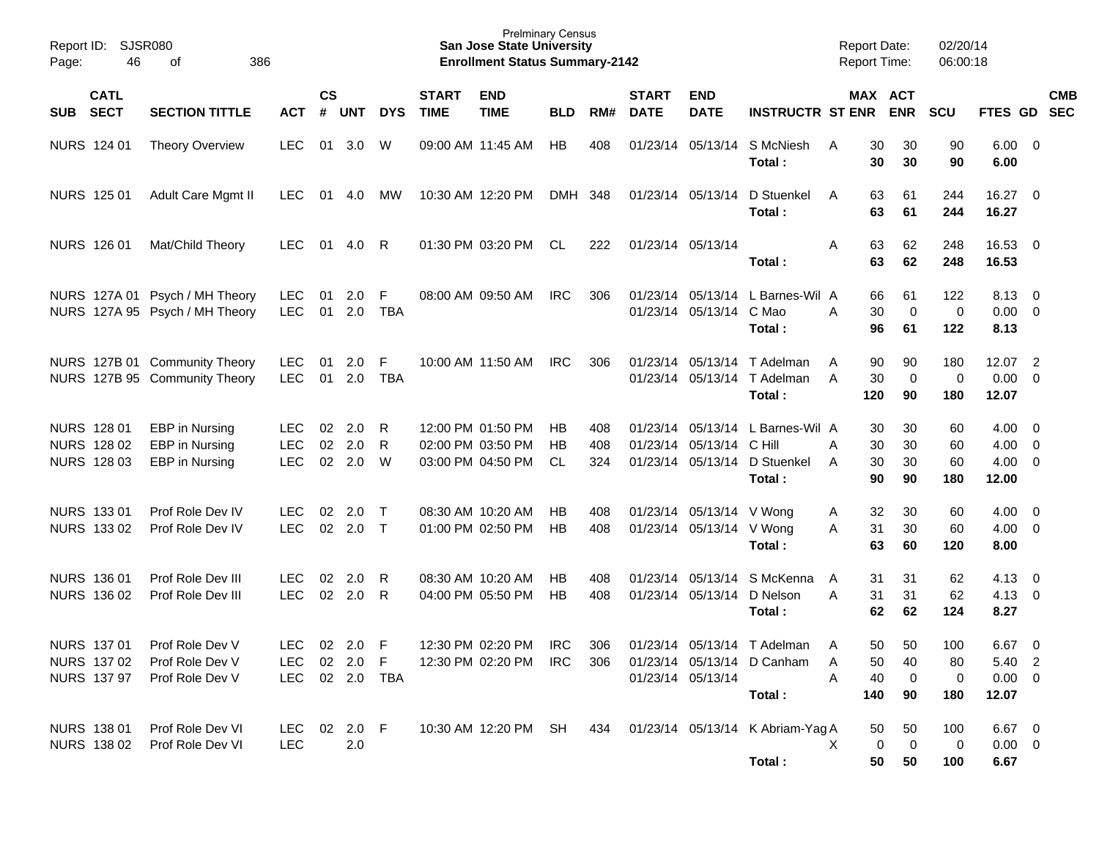| Report ID:<br>Page: | 46                                               | <b>SJSR080</b><br>386<br>οf                                      |                                 |                    |                   |                  |                             | <b>Prelminary Census</b><br><b>San Jose State University</b><br><b>Enrollment Status Summary-2142</b> |                 |                   |                             |                                                      |                                                                            | <b>Report Date:</b> | <b>Report Time:</b>                          | 02/20/14<br>06:00:18  |                                                 |                          |            |
|---------------------|--------------------------------------------------|------------------------------------------------------------------|---------------------------------|--------------------|-------------------|------------------|-----------------------------|-------------------------------------------------------------------------------------------------------|-----------------|-------------------|-----------------------------|------------------------------------------------------|----------------------------------------------------------------------------|---------------------|----------------------------------------------|-----------------------|-------------------------------------------------|--------------------------|------------|
| <b>SUB</b>          | <b>CATL</b><br><b>SECT</b>                       | <b>SECTION TITTLE</b>                                            | <b>ACT</b>                      | $\mathsf{cs}$<br># | <b>UNT</b>        | <b>DYS</b>       | <b>START</b><br><b>TIME</b> | <b>END</b><br><b>TIME</b>                                                                             | <b>BLD</b>      | RM#               | <b>START</b><br><b>DATE</b> | <b>END</b><br><b>DATE</b>                            | <b>INSTRUCTR ST ENR</b>                                                    |                     | MAX ACT<br><b>ENR</b>                        | <b>SCU</b>            | FTES GD SEC                                     |                          | <b>CMB</b> |
|                     | NURS 124 01                                      | <b>Theory Overview</b>                                           | <b>LEC</b>                      | 01                 | 3.0               | W                |                             | 09:00 AM 11:45 AM                                                                                     | HB              | 408               |                             |                                                      | 01/23/14 05/13/14 S McNiesh<br>Total:                                      | A                   | 30<br>30<br>30<br>30                         | 90<br>90              | $6.00 \quad 0$<br>6.00                          |                          |            |
|                     | NURS 125 01                                      | <b>Adult Care Mgmt II</b>                                        | LEC                             | 01                 | 4.0               | МW               |                             | 10:30 AM 12:20 PM                                                                                     | DMH             | 348               |                             | 01/23/14 05/13/14                                    | D Stuenkel<br>Total:                                                       | A                   | 63<br>61<br>63<br>61                         | 244<br>244            | 16.27 0<br>16.27                                |                          |            |
|                     | NURS 126 01                                      | Mat/Child Theory                                                 | <b>LEC</b>                      | 01                 | 4.0               | R                |                             | 01:30 PM 03:20 PM                                                                                     | CL.             | 222               |                             | 01/23/14 05/13/14                                    | Total:                                                                     | Α                   | 63<br>62<br>63<br>62                         | 248<br>248            | 16.53 0<br>16.53                                |                          |            |
|                     |                                                  | NURS 127A 01 Psych / MH Theory<br>NURS 127A 95 Psych / MH Theory | <b>LEC</b><br><b>LEC</b>        | 01<br>01           | 2.0<br>2.0        | F<br><b>TBA</b>  |                             | 08:00 AM 09:50 AM                                                                                     | <b>IRC</b>      | 306               |                             | 01/23/14 05/13/14 C Mao                              | 01/23/14 05/13/14 L Barnes-Wil A<br>Total:                                 | Α                   | 61<br>66<br>30<br>0<br>96<br>61              | 122<br>0<br>122       | 8.13 0<br>$0.00 \t 0$<br>8.13                   |                          |            |
|                     |                                                  | NURS 127B 01 Community Theory<br>NURS 127B 95 Community Theory   | <b>LEC</b><br><b>LEC</b>        | 01<br>01           | 2.0<br>2.0        | F<br><b>TBA</b>  |                             | 10:00 AM 11:50 AM                                                                                     | <b>IRC</b>      | 306               |                             |                                                      | 01/23/14 05/13/14 T Adelman<br>01/23/14 05/13/14 T Adelman<br>Total:       | A<br>A<br>120       | 90<br>90<br>30<br>0<br>90                    | 180<br>0<br>180       | 12.07<br>$0.00 \t 0$<br>12.07                   | $\overline{2}$           |            |
|                     | NURS 128 01<br>NURS 128 02<br>NURS 128 03        | EBP in Nursing<br>EBP in Nursing<br>EBP in Nursing               | LEC<br><b>LEC</b><br><b>LEC</b> | 02<br>02<br>02     | 2.0<br>2.0<br>2.0 | R<br>R<br>W      |                             | 12:00 PM 01:50 PM<br>02:00 PM 03:50 PM<br>03:00 PM 04:50 PM                                           | НB<br>НB<br>CL. | 408<br>408<br>324 |                             | 01/23/14 05/13/14 C Hill                             | 01/23/14 05/13/14 L Barnes-Wil A<br>01/23/14 05/13/14 D Stuenkel<br>Total: | Α<br>A              | 30<br>30<br>30<br>30<br>30<br>30<br>90<br>90 | 60<br>60<br>60<br>180 | $4.00 \ 0$<br>$4.00 \ 0$<br>$4.00 \ 0$<br>12.00 |                          |            |
|                     | <b>NURS 13301</b><br>NURS 133 02                 | Prof Role Dev IV<br>Prof Role Dev IV                             | LEC<br><b>LEC</b>               | 02<br>02           | 2.0<br>2.0        | $\top$<br>$\top$ |                             | 08:30 AM 10:20 AM<br>01:00 PM 02:50 PM                                                                | HB<br>HB        | 408<br>408        |                             | 01/23/14 05/13/14 V Wong<br>01/23/14 05/13/14 V Wong | Total:                                                                     | A<br>Α              | 32<br>30<br>31<br>30<br>63<br>60             | 60<br>60<br>120       | $4.00 \ 0$<br>$4.00 \ 0$<br>8.00                |                          |            |
|                     | <b>NURS 136 01</b><br>NURS 136 02                | Prof Role Dev III<br>Prof Role Dev III                           | LEC<br><b>LEC</b>               | 02<br>02           | 2.0<br>2.0        | R<br>R           |                             | 08:30 AM 10:20 AM<br>04:00 PM 05:50 PM                                                                | НB<br>НB        | 408<br>408        |                             | 01/23/14 05/13/14 D Nelson                           | 01/23/14 05/13/14 S McKenna<br>Total:                                      | A<br>Α              | 31<br>31<br>31<br>31<br>62<br>62             | 62<br>62<br>124       | 4.13<br>$4.13 \quad 0$<br>8.27                  | $\overline{\phantom{0}}$ |            |
|                     | NURS 137 01<br>NURS 137 02<br><b>NURS 137 97</b> | Prof Role Dev V<br>Prof Role Dev V<br>Prof Role Dev V            | <b>LEC</b><br>LEC 02 2.0 TBA    |                    | $02 \quad 2.0$    | F                |                             | 12:30 PM 02:20 PM<br>LEC 02 2.0 F 12:30 PM 02:20 PM IRC 306                                           | <b>IRC</b>      | 306               |                             | 01/23/14 05/13/14                                    | 01/23/14 05/13/14 T Adelman<br>01/23/14 05/13/14 D Canham<br>Total:        | A<br>Α<br>A<br>140  | 50<br>50<br>40<br>50<br>40<br>0<br>90        | 100<br>80<br>0<br>180 | 6.67<br>5.40 2<br>$0.00 \t 0$<br>12.07          | $\overline{\phantom{0}}$ |            |
|                     | NURS 138 01<br>NURS 138 02                       | Prof Role Dev VI<br>Prof Role Dev VI                             | LEC 02 2.0 F<br>LEC             |                    | 2.0               |                  |                             | 10:30 AM 12:20 PM SH                                                                                  |                 |                   |                             |                                                      | 434 01/23/14 05/13/14 K Abriam-Yag A<br>Total:                             | X                   | 50<br>50<br>0<br>$\overline{0}$<br>50<br>50  | 100<br>0<br>100       | 6.67 0<br>$0.00 \t 0$<br>6.67                   |                          |            |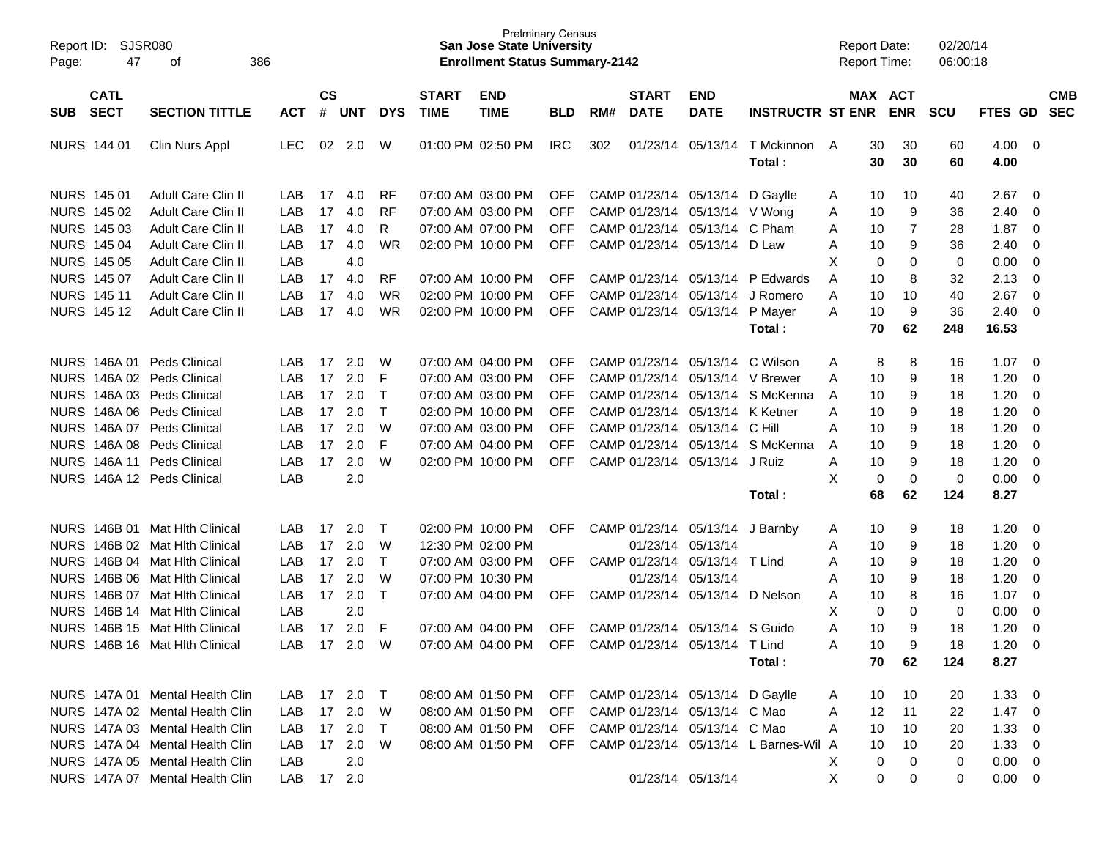| Report ID: |                    | <b>SJSR080</b>                  |            |           |        |            |                   | <b>Prelminary Census</b><br><b>San Jose State University</b> |            |     |              |                                 |                                       | <b>Report Date:</b> |                  | 02/20/14   |                |                          |            |
|------------|--------------------|---------------------------------|------------|-----------|--------|------------|-------------------|--------------------------------------------------------------|------------|-----|--------------|---------------------------------|---------------------------------------|---------------------|------------------|------------|----------------|--------------------------|------------|
| Page:      | 47                 | 386<br>оf                       |            |           |        |            |                   | <b>Enrollment Status Summary-2142</b>                        |            |     |              |                                 |                                       | <b>Report Time:</b> |                  | 06:00:18   |                |                          |            |
|            |                    |                                 |            |           |        |            |                   |                                                              |            |     |              |                                 |                                       |                     |                  |            |                |                          |            |
|            | <b>CATL</b>        |                                 |            | <b>CS</b> |        |            | <b>START</b>      | <b>END</b>                                                   |            |     | <b>START</b> | <b>END</b>                      |                                       |                     | MAX ACT          |            |                |                          | <b>CMB</b> |
| <b>SUB</b> | <b>SECT</b>        | <b>SECTION TITTLE</b>           | <b>ACT</b> | #         | UNT    | <b>DYS</b> | <b>TIME</b>       | <b>TIME</b>                                                  | <b>BLD</b> | RM# | <b>DATE</b>  | <b>DATE</b>                     | <b>INSTRUCTR ST ENR</b>               |                     | <b>ENR</b>       | <b>SCU</b> | FTES GD SEC    |                          |            |
|            | NURS 144 01        | Clin Nurs Appl                  | <b>LEC</b> | 02        | 2.0    | W          | 01:00 PM 02:50 PM |                                                              | <b>IRC</b> | 302 |              | 01/23/14 05/13/14               | T Mckinnon                            | A<br>30             | 30               | 60         | 4.00           | $\overline{\mathbf{0}}$  |            |
|            |                    |                                 |            |           |        |            |                   |                                                              |            |     |              |                                 | Total:                                | 30                  | 30               | 60         | 4.00           |                          |            |
|            | NURS 145 01        | <b>Adult Care Clin II</b>       | LAB        | 17        | 4.0    | <b>RF</b>  | 07:00 AM 03:00 PM |                                                              | <b>OFF</b> |     |              | CAMP 01/23/14 05/13/14          | D Gaylle                              | 10<br>A             | 10               | 40         | 2.67           | $\overline{0}$           |            |
|            | NURS 145 02        | Adult Care Clin II              | LAB        | 17        | 4.0    | <b>RF</b>  | 07:00 AM 03:00 PM |                                                              | <b>OFF</b> |     |              | CAMP 01/23/14 05/13/14          | V Wong                                | 10<br>A             | 9                | 36         | 2.40           | 0                        |            |
|            | NURS 145 03        | Adult Care Clin II              | LAB        | 17        | 4.0    | R          | 07:00 AM 07:00 PM |                                                              | <b>OFF</b> |     |              | CAMP 01/23/14 05/13/14          | C Pham                                | 10<br>A             | 7                | 28         | 1.87           | 0                        |            |
|            | <b>NURS 145 04</b> | Adult Care Clin II              | LAB        | 17        | 4.0    | WR         | 02:00 PM 10:00 PM |                                                              | <b>OFF</b> |     |              | CAMP 01/23/14 05/13/14 D Law    |                                       | 10<br>Α             | 9                | 36         | 2.40           | 0                        |            |
|            | <b>NURS 145 05</b> | Adult Care Clin II              | LAB        |           | 4.0    |            |                   |                                                              |            |     |              |                                 |                                       | X                   | 0<br>0           | 0          | 0.00           | 0                        |            |
|            | NURS 145 07        | Adult Care Clin II              | LAB        | 17        | 4.0    | <b>RF</b>  | 07:00 AM 10:00 PM |                                                              | <b>OFF</b> |     |              | CAMP 01/23/14 05/13/14          | P Edwards                             | 10<br>A             | 8                | 32         | 2.13           | 0                        |            |
|            | <b>NURS 14511</b>  | Adult Care Clin II              | LAB        | 17        | 4.0    | WR         | 02:00 PM 10:00 PM |                                                              | <b>OFF</b> |     |              | CAMP 01/23/14 05/13/14          | J Romero                              | 10<br>A             | 10               | 40         | 2.67           | $\mathbf 0$              |            |
|            | <b>NURS 14512</b>  | Adult Care Clin II              | LAB        | 17        | 4.0    | WR         | 02:00 PM 10:00 PM |                                                              | <b>OFF</b> |     |              | CAMP 01/23/14 05/13/14          | P Mayer                               | 10<br>A             | 9                | 36         | 2.40           | 0                        |            |
|            |                    |                                 |            |           |        |            |                   |                                                              |            |     |              |                                 | Total:                                | 70                  | 62               | 248        | 16.53          |                          |            |
|            |                    | NURS 146A 01 Peds Clinical      | LAB        | 17        | 2.0    | W          |                   | 07:00 AM 04:00 PM                                            | <b>OFF</b> |     |              | CAMP 01/23/14 05/13/14          | C Wilson                              | Α                   | 8<br>8           | 16         | 1.07           | - 0                      |            |
|            |                    | NURS 146A 02 Peds Clinical      | LAB        | 17        | 2.0    | F          | 07:00 AM 03:00 PM |                                                              | <b>OFF</b> |     |              | CAMP 01/23/14 05/13/14          | V Brewer                              | 10<br>A             | 9                | 18         | 1.20           | 0                        |            |
|            |                    | NURS 146A 03 Peds Clinical      | LAB        | 17        | 2.0    | $\top$     | 07:00 AM 03:00 PM |                                                              | <b>OFF</b> |     |              | CAMP 01/23/14 05/13/14          | S McKenna                             | 10<br>A             | 9                | 18         | 1.20           | 0                        |            |
|            |                    | NURS 146A 06 Peds Clinical      | LAB        | 17        | 2.0    | $\top$     | 02:00 PM 10:00 PM |                                                              | <b>OFF</b> |     |              | CAMP 01/23/14 05/13/14          | K Ketner                              | 10<br>Α             | 9                | 18         | 1.20           | 0                        |            |
|            |                    | NURS 146A 07 Peds Clinical      | LAB        | 17        | 2.0    | W          | 07:00 AM 03:00 PM |                                                              | <b>OFF</b> |     |              | CAMP 01/23/14 05/13/14          | C Hill                                | 10<br>Α             | 9                | 18         | 1.20           | 0                        |            |
|            |                    | NURS 146A 08 Peds Clinical      | LAB        | 17        | 2.0    | F          | 07:00 AM 04:00 PM |                                                              | <b>OFF</b> |     |              | CAMP 01/23/14 05/13/14          | S McKenna                             | 10<br>A             | 9                | 18         | 1.20           | 0                        |            |
|            |                    | NURS 146A 11 Peds Clinical      | LAB        | 17        | 2.0    | W          | 02:00 PM 10:00 PM |                                                              | <b>OFF</b> |     |              | CAMP 01/23/14 05/13/14          | J Ruiz                                | 10<br>Α             | 9                | 18         | 1.20           | $\mathbf 0$              |            |
|            |                    | NURS 146A 12 Peds Clinical      | LAB        |           | 2.0    |            |                   |                                                              |            |     |              |                                 |                                       | X                   | 0<br>$\mathbf 0$ | 0          | 0.00           | 0                        |            |
|            |                    |                                 |            |           |        |            |                   |                                                              |            |     |              |                                 | Total:                                | 68                  | 62               | 124        | 8.27           |                          |            |
|            |                    | NURS 146B 01 Mat Hith Clinical  | LAB        | 17        | 2.0    | $\top$     | 02:00 PM 10:00 PM |                                                              | <b>OFF</b> |     |              | CAMP 01/23/14 05/13/14          | J Barnby                              | 10<br>A             | 9                | 18         | 1.20           | 0                        |            |
|            |                    | NURS 146B 02 Mat Hith Clinical  | LAB        | 17        | 2.0    | W          | 12:30 PM 02:00 PM |                                                              |            |     |              | 01/23/14 05/13/14               |                                       | 10<br>Α             | 9                | 18         | 1.20           | 0                        |            |
|            |                    | NURS 146B 04 Mat Hith Clinical  | LAB        | 17        | 2.0    | $\top$     | 07:00 AM 03:00 PM |                                                              | OFF        |     |              | CAMP 01/23/14 05/13/14          | T Lind                                | 10<br>Α             | 9                | 18         | 1.20           | 0                        |            |
|            |                    | NURS 146B 06 Mat Hlth Clinical  | LAB        | 17        | 2.0    | W          | 07:00 PM 10:30 PM |                                                              |            |     |              | 01/23/14 05/13/14               |                                       | 10<br>Α             | 9                | 18         | 1.20           | 0                        |            |
|            |                    | NURS 146B 07 Mat Hith Clinical  | LAB        | 17        | 2.0    | $\top$     | 07:00 AM 04:00 PM |                                                              | OFF        |     |              | CAMP 01/23/14 05/13/14          | D Nelson                              | 10<br>A             | 8                | 16         | 1.07           | 0                        |            |
|            |                    | NURS 146B 14 Mat Hith Clinical  | LAB        |           | 2.0    |            |                   |                                                              |            |     |              |                                 |                                       | X                   | 0<br>0           | 0          | 0.00           | 0                        |            |
|            |                    | NURS 146B 15 Mat Hlth Clinical  | LAB        | 17        | 2.0    | F          | 07:00 AM 04:00 PM |                                                              | <b>OFF</b> |     |              | CAMP 01/23/14 05/13/14          | S Guido                               | 10<br>A             | 9                | 18         | 1.20           | 0                        |            |
|            |                    | NURS 146B 16 Mat Hlth Clinical  | LAB        | 17        | 2.0    | W          | 07:00 AM 04:00 PM |                                                              | <b>OFF</b> |     |              | CAMP 01/23/14 05/13/14 T Lind   |                                       | 10<br>A             | 9                | 18         | 1.20           | $\mathbf 0$              |            |
|            |                    |                                 |            |           |        |            |                   |                                                              |            |     |              |                                 | Total:                                | 70                  | 62               | 124        | 8.27           |                          |            |
|            |                    | NURS 147A 01 Mental Health Clin | LAB        |           | 17 2.0 | $\top$     |                   | 08:00 AM 01:50 PM                                            | OFF        |     |              | CAMP 01/23/14 05/13/14 D Gaylle |                                       | 10<br>A             | 10               | 20         | 1.33           | $\overline{\phantom{0}}$ |            |
|            |                    | NURS 147A 02 Mental Health Clin | LAB        |           | 17 2.0 | W          | 08:00 AM 01:50 PM |                                                              | <b>OFF</b> |     |              | CAMP 01/23/14 05/13/14 C Mao    |                                       | A<br>12             | 11               | 22         | $1.47 \quad 0$ |                          |            |
|            |                    | NURS 147A 03 Mental Health Clin | LAB        |           | 17 2.0 | $\top$     |                   | 08:00 AM 01:50 PM                                            | <b>OFF</b> |     |              | CAMP 01/23/14 05/13/14 C Mao    |                                       | 10<br>A             | 10               | 20         | 1.33           | $\overline{\mathbf{0}}$  |            |
|            |                    | NURS 147A 04 Mental Health Clin | LAB        |           | 17 2.0 | W          |                   | 08:00 AM 01:50 PM                                            | <b>OFF</b> |     |              |                                 | CAMP 01/23/14 05/13/14 L Barnes-Wil A | 10                  | 10               | 20         | 1.33           | $\overline{\mathbf{0}}$  |            |
|            |                    | NURS 147A 05 Mental Health Clin | LAB        |           | 2.0    |            |                   |                                                              |            |     |              |                                 |                                       | X                   | $\mathbf 0$<br>0 | 0          | $0.00 \t 0$    |                          |            |
|            |                    | NURS 147A 07 Mental Health Clin | LAB        |           | 17 2.0 |            |                   |                                                              |            |     |              | 01/23/14 05/13/14               |                                       | X                   | 0<br>0           | 0          | $0.00 \t 0$    |                          |            |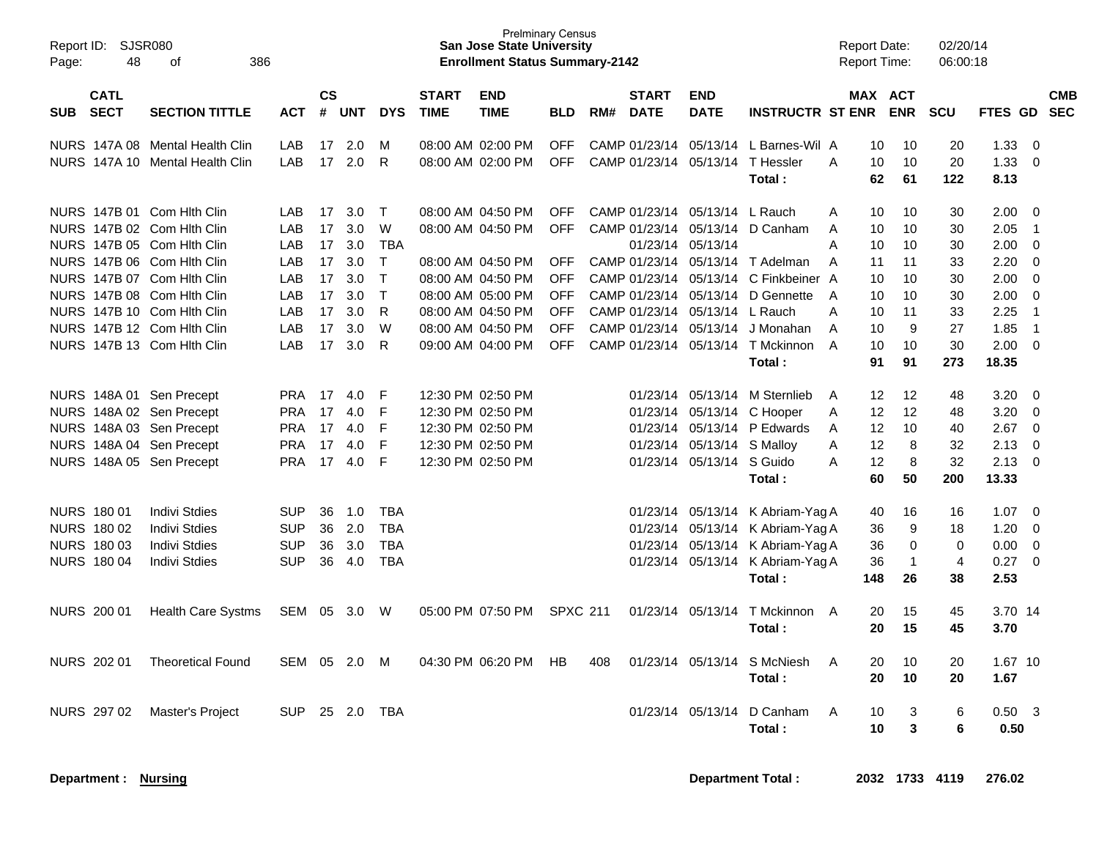| Page:      | Report ID: SJSR080<br>48   |                                                          |            |                |            |              | <b>San Jose State University</b><br><b>Enrollment Status Summary-2142</b> | <b>Prelminary Census</b>               |                          |     |                             |                                |                                                | <b>Report Date:</b><br><b>Report Time:</b> |                | 02/20/14<br>06:00:18 |                      |                  |                                  |            |
|------------|----------------------------|----------------------------------------------------------|------------|----------------|------------|--------------|---------------------------------------------------------------------------|----------------------------------------|--------------------------|-----|-----------------------------|--------------------------------|------------------------------------------------|--------------------------------------------|----------------|----------------------|----------------------|------------------|----------------------------------|------------|
| <b>SUB</b> | <b>CATL</b><br><b>SECT</b> | <b>SECTION TITTLE</b>                                    | <b>ACT</b> | <b>CS</b><br># | <b>UNT</b> | <b>DYS</b>   | <b>START</b><br><b>TIME</b>                                               | <b>END</b><br><b>TIME</b>              | <b>BLD</b>               | RM# | <b>START</b><br><b>DATE</b> | <b>END</b><br><b>DATE</b>      | <b>INSTRUCTR ST ENR</b>                        |                                            | <b>MAX ACT</b> | <b>ENR</b>           | <b>SCU</b>           | FTES GD SEC      |                                  | <b>CMB</b> |
|            |                            | NURS 147A 08 Mental Health Clin                          | LAB        | 17             | 2.0        | M            |                                                                           | 08:00 AM 02:00 PM                      | <b>OFF</b>               |     | CAMP 01/23/14               |                                | 05/13/14 L Barnes-Wil A                        |                                            | 10             | 10                   | 20                   | 1.33             | $\overline{0}$                   |            |
|            |                            | NURS 147A 10 Mental Health Clin                          | LAB        | 17             | 2.0        | R            |                                                                           | 08:00 AM 02:00 PM                      | <b>OFF</b>               |     |                             |                                | CAMP 01/23/14 05/13/14 T Hessler<br>Total:     | A                                          | 10<br>62       | 10<br>61             | 20<br>122            | 1.33<br>8.13     | $\overline{0}$                   |            |
|            |                            | NURS 147B 01 Com Hith Clin                               | LAB        | 17             | 3.0        | $\mathsf{T}$ |                                                                           | 08:00 AM 04:50 PM                      | <b>OFF</b>               |     |                             | CAMP 01/23/14 05/13/14 L Rauch |                                                | A                                          | 10             | 10                   | 30                   | 2.00             | $\overline{0}$                   |            |
|            |                            | NURS 147B 02 Com Hith Clin                               | LAB        | 17             | 3.0        | W            |                                                                           | 08:00 AM 04:50 PM                      | <b>OFF</b>               |     |                             |                                | CAMP 01/23/14 05/13/14 D Canham                | A                                          | 10             | 10                   | 30                   | 2.05             | $\overline{1}$                   |            |
|            |                            | NURS 147B 05 Com Hith Clin                               | LAB        | 17             | 3.0        | <b>TBA</b>   |                                                                           |                                        |                          |     |                             | 01/23/14 05/13/14              |                                                | A                                          | 10             | 10                   | 30                   | 2.00             | $\mathbf 0$                      |            |
|            |                            | NURS 147B 06 Com Hith Clin                               | LAB        | 17             | 3.0        | $\mathsf{T}$ |                                                                           | 08:00 AM 04:50 PM                      | <b>OFF</b>               |     |                             |                                | CAMP 01/23/14 05/13/14 T Adelman               | A                                          | 11             | 11                   | 33                   | 2.20             | $\Omega$                         |            |
|            |                            | NURS 147B 07 Com Hith Clin                               | LAB        | 17             | 3.0        | T            |                                                                           | 08:00 AM 04:50 PM                      | <b>OFF</b>               |     |                             |                                | CAMP 01/23/14 05/13/14 C Finkbeiner A          |                                            | 10             | 10                   | 30                   | 2.00             | $\mathbf 0$                      |            |
|            |                            | NURS 147B 08 Com Hith Clin                               | LAB        | 17             | 3.0        | $\mathsf{T}$ |                                                                           | 08:00 AM 05:00 PM                      | <b>OFF</b>               |     |                             |                                | CAMP 01/23/14 05/13/14 D Gennette              | A                                          | 10             | 10                   | 30                   | 2.00             | $\mathbf 0$                      |            |
|            |                            | NURS 147B 10 Com Hith Clin                               | LAB        | 17             | 3.0        | $\mathsf{R}$ |                                                                           | 08:00 AM 04:50 PM                      | <b>OFF</b>               |     |                             | CAMP 01/23/14 05/13/14 L Rauch |                                                | A                                          | 10             | 11                   | 33                   | 2.25             | $\overline{1}$                   |            |
|            |                            | NURS 147B 12 Com Hith Clin<br>NURS 147B 13 Com Hith Clin | LAB<br>LAB | 17<br>17       | 3.0<br>3.0 | W<br>R       |                                                                           | 08:00 AM 04:50 PM<br>09:00 AM 04:00 PM | <b>OFF</b><br><b>OFF</b> |     |                             | CAMP 01/23/14 05/13/14         | J Monahan<br>CAMP 01/23/14 05/13/14 T Mckinnon | A<br>$\overline{A}$                        | 10<br>10       | 9<br>10              | 27<br>30             | 1.85<br>2.00     | $\overline{1}$<br>$\overline{0}$ |            |
|            |                            |                                                          |            |                |            |              |                                                                           |                                        |                          |     |                             |                                | Total:                                         |                                            | 91             | 91                   | 273                  | 18.35            |                                  |            |
|            |                            | NURS 148A 01 Sen Precept                                 | <b>PRA</b> | 17             | 4.0        | F            |                                                                           | 12:30 PM 02:50 PM                      |                          |     |                             |                                | 01/23/14 05/13/14 M Sternlieb                  | A                                          | 12             | $12 \overline{ }$    | 48                   | 3.20             | - 0                              |            |
|            |                            | NURS 148A 02 Sen Precept                                 | <b>PRA</b> | 17             | 4.0        | $\mathsf F$  |                                                                           | 12:30 PM 02:50 PM                      |                          |     |                             |                                | 01/23/14 05/13/14 C Hooper                     | A                                          | 12             | 12                   | 48                   | 3.20             | $\overline{0}$                   |            |
|            |                            | NURS 148A 03 Sen Precept                                 | <b>PRA</b> | 17             | 4.0        | F            |                                                                           | 12:30 PM 02:50 PM                      |                          |     |                             |                                | 01/23/14 05/13/14 P Edwards                    | A                                          | 12             | 10                   | 40                   | 2.67             | $\overline{0}$                   |            |
|            |                            | NURS 148A 04 Sen Precept                                 | <b>PRA</b> | 17             | 4.0        | F            |                                                                           | 12:30 PM 02:50 PM                      |                          |     |                             | 01/23/14 05/13/14 S Malloy     |                                                | A                                          | 12             | 8                    | 32                   | 2.13             | $\overline{0}$                   |            |
|            |                            | NURS 148A 05 Sen Precept                                 | <b>PRA</b> | 17             | 4.0        | F            |                                                                           | 12:30 PM 02:50 PM                      |                          |     |                             | 01/23/14 05/13/14 S Guido      |                                                | A                                          | 12             | 8                    | 32                   | 2.13             | $\overline{0}$                   |            |
|            |                            |                                                          |            |                |            |              |                                                                           |                                        |                          |     |                             |                                | Total:                                         |                                            | 60             | 50                   | 200                  | 13.33            |                                  |            |
|            | <b>NURS 180 01</b>         | <b>Indivi Stdies</b>                                     | <b>SUP</b> | 36             | 1.0        | <b>TBA</b>   |                                                                           |                                        |                          |     |                             |                                | 01/23/14 05/13/14 K Abriam-Yag A               |                                            | 40             | 16                   | 16                   | 1.07             | $\overline{0}$                   |            |
|            | NURS 180 02                | <b>Indivi Stdies</b>                                     | <b>SUP</b> | 36             | 2.0        | <b>TBA</b>   |                                                                           |                                        |                          |     |                             |                                | 01/23/14 05/13/14 K Abriam-Yag A               |                                            | 36             | 9                    | 18                   | 1.20             | $\mathbf 0$                      |            |
|            | <b>NURS 18003</b>          | <b>Indivi Stdies</b>                                     | <b>SUP</b> | 36             | 3.0        | <b>TBA</b>   |                                                                           |                                        |                          |     |                             |                                | 01/23/14 05/13/14 K Abriam-Yag A               |                                            | 36             | $\mathbf 0$          | $\mathbf 0$          | 0.00             | $\overline{0}$                   |            |
|            | <b>NURS 180 04</b>         | <b>Indivi Stdies</b>                                     | <b>SUP</b> | 36             | 4.0        | <b>TBA</b>   |                                                                           |                                        |                          |     |                             |                                | 01/23/14 05/13/14 K Abriam-Yag A<br>Total:     |                                            | 36<br>148      | $\overline{1}$<br>26 | $\overline{4}$<br>38 | 0.27<br>2.53     | $\overline{0}$                   |            |
|            | NURS 200 01                | <b>Health Care Systms</b>                                | SEM        | 05             | 3.0 W      |              |                                                                           | 05:00 PM 07:50 PM                      | <b>SPXC 211</b>          |     |                             |                                | 01/23/14 05/13/14 T Mckinnon A                 |                                            | 20             | 15                   | 45                   | 3.70 14          |                                  |            |
|            |                            |                                                          |            |                |            |              |                                                                           |                                        |                          |     |                             |                                | Total:                                         |                                            | 20             | 15                   | 45                   | 3.70             |                                  |            |
|            | <b>NURS 202 01</b>         | <b>Theoretical Found</b>                                 | SEM 05 2.0 |                |            | M            |                                                                           | 04:30 PM 06:20 PM                      | <b>HB</b>                | 408 |                             | 01/23/14 05/13/14              | S McNiesh                                      | A                                          | 20             | 10                   | 20                   | 1.67 10          |                                  |            |
|            |                            |                                                          |            |                |            |              |                                                                           |                                        |                          |     |                             |                                | Total:                                         |                                            | 20             | 10                   | 20                   | 1.67             |                                  |            |
|            | NURS 297 02                | Master's Project                                         | <b>SUP</b> |                | 25 2.0     | <b>TBA</b>   |                                                                           |                                        |                          |     |                             | 01/23/14 05/13/14              | D Canham                                       | A                                          | 10<br>10       | 3<br>3               | 6<br>6               | $0.50$ 3<br>0.50 |                                  |            |
|            |                            |                                                          |            |                |            |              |                                                                           |                                        |                          |     |                             |                                | Total:                                         |                                            |                |                      |                      |                  |                                  |            |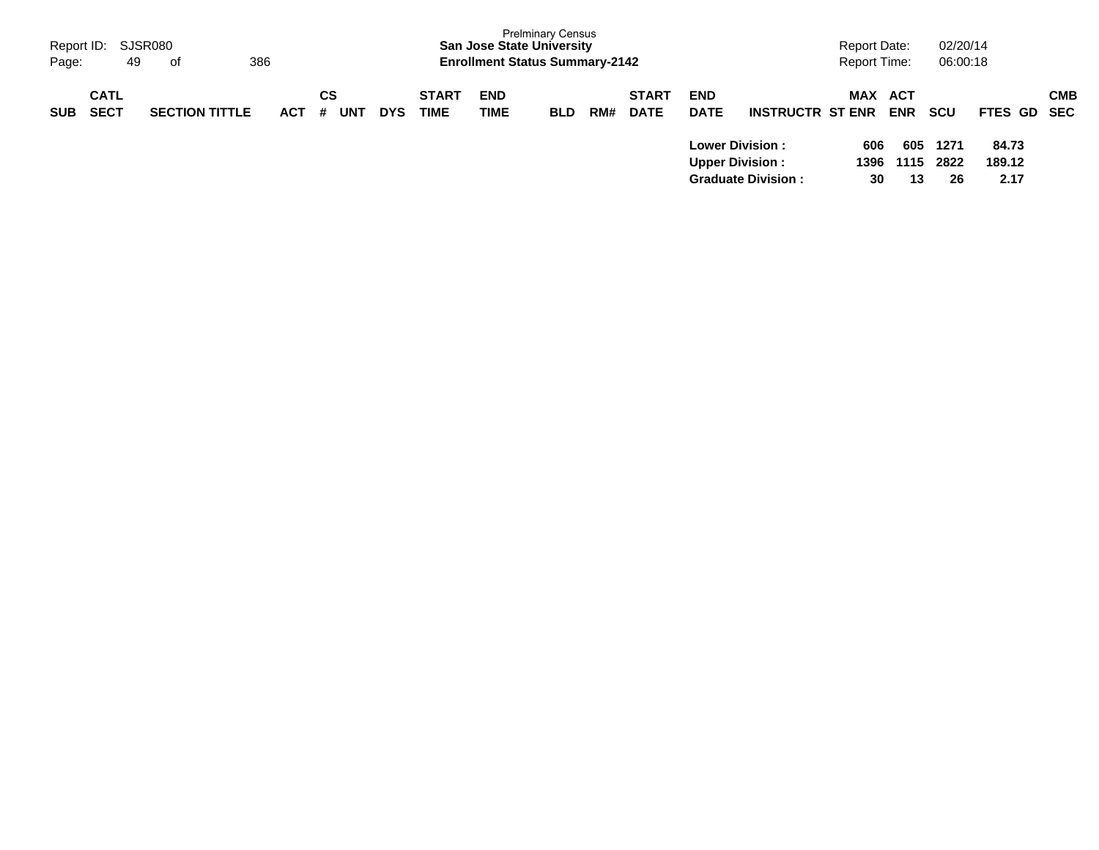| Report ID:<br>Page: | 49                         | SJSR080<br>386<br>of  |            |                |            |                             | <b>San Jose State University</b><br><b>Enrollment Status Summary-2142</b> | <b>Prelminary Census</b> |     |                             |                                                   |                           | Report Date:<br><b>Report Time:</b> |                   | 02/20/14<br>06:00:18    |                         |            |
|---------------------|----------------------------|-----------------------|------------|----------------|------------|-----------------------------|---------------------------------------------------------------------------|--------------------------|-----|-----------------------------|---------------------------------------------------|---------------------------|-------------------------------------|-------------------|-------------------------|-------------------------|------------|
| <b>SUB</b>          | <b>CATL</b><br><b>SECT</b> | <b>SECTION TITTLE</b> | <b>ACT</b> | СS<br>UNT<br># | <b>DYS</b> | <b>START</b><br><b>TIME</b> | <b>END</b><br>TIME                                                        | <b>BLD</b>               | RM# | <b>START</b><br><b>DATE</b> | <b>END</b><br><b>DATE</b>                         | <b>INSTRUCTR ST ENR</b>   | <b>MAX</b>                          | ACT<br><b>ENR</b> | <b>SCU</b>              | FTES GD SEC             | <b>CMB</b> |
|                     |                            |                       |            |                |            |                             |                                                                           |                          |     |                             | <b>Lower Division :</b><br><b>Upper Division:</b> | <b>Graduate Division:</b> | 606<br>1396<br>30                   | 605<br>13         | 1271<br>1115 2822<br>26 | 84.73<br>189.12<br>2.17 |            |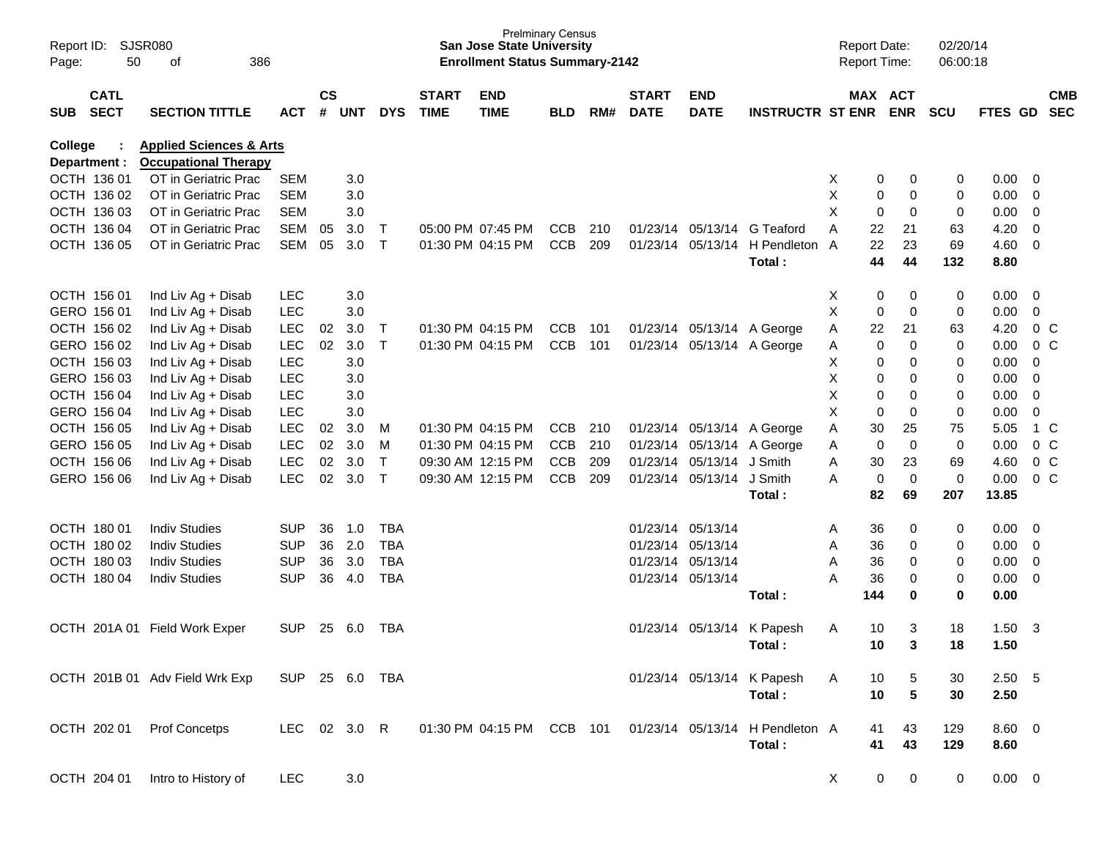| Report ID:<br>Page: | 50                         | SJSR080<br>386<br>оf               |                |                    |            |              |                             | <b>San Jose State University</b><br><b>Enrollment Status Summary-2142</b> | <b>Prelminary Census</b> |     |                             |                           |                                 |   | <b>Report Date:</b><br><b>Report Time:</b> |                       | 02/20/14<br>06:00:18 |                |                         |                          |
|---------------------|----------------------------|------------------------------------|----------------|--------------------|------------|--------------|-----------------------------|---------------------------------------------------------------------------|--------------------------|-----|-----------------------------|---------------------------|---------------------------------|---|--------------------------------------------|-----------------------|----------------------|----------------|-------------------------|--------------------------|
| <b>SUB</b>          | <b>CATL</b><br><b>SECT</b> | <b>SECTION TITTLE</b>              | <b>ACT</b>     | $\mathsf{cs}$<br># | <b>UNT</b> | <b>DYS</b>   | <b>START</b><br><b>TIME</b> | <b>END</b><br><b>TIME</b>                                                 | <b>BLD</b>               | RM# | <b>START</b><br><b>DATE</b> | <b>END</b><br><b>DATE</b> | <b>INSTRUCTR ST ENR</b>         |   |                                            | MAX ACT<br><b>ENR</b> | <b>SCU</b>           | <b>FTES GD</b> |                         | <b>CMB</b><br><b>SEC</b> |
| College             |                            | <b>Applied Sciences &amp; Arts</b> |                |                    |            |              |                             |                                                                           |                          |     |                             |                           |                                 |   |                                            |                       |                      |                |                         |                          |
|                     | Department :               | <b>Occupational Therapy</b>        |                |                    |            |              |                             |                                                                           |                          |     |                             |                           |                                 |   |                                            |                       |                      |                |                         |                          |
|                     | OCTH 136 01                | OT in Geriatric Prac               | <b>SEM</b>     |                    | 3.0        |              |                             |                                                                           |                          |     |                             |                           |                                 | Χ | 0                                          | 0                     | 0                    | 0.00           | $\overline{\mathbf{0}}$ |                          |
|                     | OCTH 136 02                | OT in Geriatric Prac               | <b>SEM</b>     |                    | 3.0        |              |                             |                                                                           |                          |     |                             |                           |                                 | X | 0                                          | 0                     | 0                    | 0.00           | 0                       |                          |
|                     | OCTH 136 03                | OT in Geriatric Prac               | <b>SEM</b>     |                    | 3.0        |              |                             |                                                                           |                          |     |                             |                           |                                 | X | $\mathbf 0$                                | 0                     | 0                    | 0.00           | $\overline{\mathbf{0}}$ |                          |
|                     | OCTH 136 04                | OT in Geriatric Prac               | <b>SEM</b>     | 05                 | 3.0        | Τ            |                             | 05:00 PM 07:45 PM                                                         | <b>CCB</b>               | 210 |                             | 01/23/14 05/13/14         | G Teaford                       | Α | 22                                         | 21                    | 63                   | 4.20           | 0                       |                          |
|                     | OCTH 136 05                | OT in Geriatric Prac               | <b>SEM</b>     | 05                 | 3.0        | $\mathsf{T}$ |                             | 01:30 PM 04:15 PM                                                         | <b>CCB</b>               | 209 | 01/23/14                    | 05/13/14                  | H Pendleton                     | A | 22                                         | 23                    | 69                   | 4.60           | $\overline{\mathbf{0}}$ |                          |
|                     |                            |                                    |                |                    |            |              |                             |                                                                           |                          |     |                             |                           | Total:                          |   | 44                                         | 44                    | 132                  | 8.80           |                         |                          |
|                     | OCTH 156 01                | Ind Liv Ag + Disab                 | LEC            |                    | 3.0        |              |                             |                                                                           |                          |     |                             |                           |                                 | Х | 0                                          | 0                     | 0                    | 0.00           | $\overline{\mathbf{0}}$ |                          |
|                     | GERO 156 01                | Ind Liv Ag + Disab                 | <b>LEC</b>     |                    | 3.0        |              |                             |                                                                           |                          |     |                             |                           |                                 | X | 0                                          | 0                     | 0                    | 0.00           | 0                       |                          |
|                     | OCTH 156 02                | Ind Liv Ag + Disab                 | LEC            | 02                 | 3.0        | Т            |                             | 01:30 PM 04:15 PM                                                         | <b>CCB</b>               | 101 |                             |                           | 01/23/14 05/13/14 A George      | Α | 22                                         | 21                    | 63                   | 4.20           |                         | 0 <sup>o</sup>           |
|                     | GERO 156 02                | Ind Liv Ag + Disab                 | <b>LEC</b>     | 02                 | 3.0        | Τ            |                             | 01:30 PM 04:15 PM                                                         | <b>CCB</b>               | 101 |                             |                           | 01/23/14 05/13/14 A George      | Α | 0                                          | $\mathbf 0$           | 0                    | 0.00           |                         | $0\,C$                   |
|                     | OCTH 156 03                | Ind Liv Ag + Disab                 | <b>LEC</b>     |                    | 3.0        |              |                             |                                                                           |                          |     |                             |                           |                                 | х | 0                                          | 0                     | 0                    | 0.00           | 0                       |                          |
|                     | GERO 156 03                | Ind Liv Ag + Disab                 | <b>LEC</b>     |                    | 3.0        |              |                             |                                                                           |                          |     |                             |                           |                                 | X | 0                                          | 0                     | 0                    | 0.00           | 0                       |                          |
|                     | OCTH 156 04                | Ind Liv Ag + Disab                 | LEC            |                    | 3.0        |              |                             |                                                                           |                          |     |                             |                           |                                 | Χ | 0                                          | 0                     | 0                    | 0.00           | 0                       |                          |
|                     | GERO 156 04                | Ind Liv Ag + Disab                 | <b>LEC</b>     |                    | 3.0        |              |                             |                                                                           |                          |     |                             |                           |                                 | X | $\mathbf 0$                                | 0                     | 0                    | 0.00           | $\mathbf 0$             |                          |
|                     | OCTH 156 05                | Ind Liv Ag + Disab                 | LEC            | 02                 | 3.0        | M            |                             | 01:30 PM 04:15 PM                                                         | <b>CCB</b>               | 210 |                             |                           | 01/23/14 05/13/14 A George      | Α | 30                                         | 25                    | 75                   | 5.05           |                         | $1\,C$                   |
|                     | GERO 156 05                | Ind Liv Ag + Disab                 | LEC            | 02                 | 3.0        | M            |                             | 01:30 PM 04:15 PM                                                         | <b>CCB</b>               | 210 |                             | 01/23/14 05/13/14         | A George                        | A | $\mathbf 0$                                | $\mathbf 0$           | 0                    | 0.00           |                         | 0 <sup>o</sup>           |
|                     | OCTH 156 06                | Ind Liv Ag + Disab                 | <b>LEC</b>     | 02                 | 3.0        | $\mathsf{T}$ |                             | 09:30 AM 12:15 PM                                                         | <b>CCB</b>               | 209 |                             | 01/23/14 05/13/14         | J Smith                         | A | 30                                         | 23                    | 69                   | 4.60           |                         | 0 <sup>o</sup>           |
|                     | GERO 156 06                | Ind Liv Ag + Disab                 | <b>LEC</b>     | 02                 | 3.0        | $\top$       |                             | 09:30 AM 12:15 PM                                                         | <b>CCB</b>               | 209 |                             | 01/23/14 05/13/14         | J Smith                         | A | 0                                          | $\mathbf 0$           | 0                    | 0.00           |                         | $0\,C$                   |
|                     |                            |                                    |                |                    |            |              |                             |                                                                           |                          |     |                             |                           | Total:                          |   | 82                                         | 69                    | 207                  | 13.85          |                         |                          |
|                     | OCTH 180 01                | <b>Indiv Studies</b>               | <b>SUP</b>     | 36                 | 1.0        | <b>TBA</b>   |                             |                                                                           |                          |     |                             | 01/23/14 05/13/14         |                                 | Α | 36                                         | 0                     | 0                    | 0.00           | $\overline{\mathbf{0}}$ |                          |
|                     | OCTH 180 02                | <b>Indiv Studies</b>               | <b>SUP</b>     | 36                 | 2.0        | <b>TBA</b>   |                             |                                                                           |                          |     |                             | 01/23/14 05/13/14         |                                 | Α | 36                                         | 0                     | 0                    | 0.00           | $\overline{\mathbf{0}}$ |                          |
|                     | OCTH 180 03                | <b>Indiv Studies</b>               | <b>SUP</b>     | 36                 | 3.0        | <b>TBA</b>   |                             |                                                                           |                          |     |                             | 01/23/14 05/13/14         |                                 | A | 36                                         | 0                     | 0                    | 0.00           | $\overline{\mathbf{0}}$ |                          |
|                     | OCTH 180 04                | <b>Indiv Studies</b>               | <b>SUP</b>     | 36                 | 4.0        | <b>TBA</b>   |                             |                                                                           |                          |     |                             | 01/23/14 05/13/14         |                                 | Α | 36                                         | 0                     | 0                    | 0.00           | $\overline{\mathbf{0}}$ |                          |
|                     |                            |                                    |                |                    |            |              |                             |                                                                           |                          |     |                             |                           | Total:                          |   | 144                                        | 0                     | 0                    | 0.00           |                         |                          |
|                     |                            | OCTH 201A 01 Field Work Exper      | <b>SUP</b>     | 25                 | 6.0        | TBA          |                             |                                                                           |                          |     |                             |                           | 01/23/14 05/13/14 K Papesh      | A | 10                                         | 3                     | 18                   | 1.50           | $\overline{\mathbf{3}}$ |                          |
|                     |                            |                                    |                |                    |            |              |                             |                                                                           |                          |     |                             |                           | Total:                          |   | 10                                         | 3                     | 18                   | 1.50           |                         |                          |
|                     |                            | OCTH 201B 01 Adv Field Wrk Exp     | SUP 25 6.0 TBA |                    |            |              |                             |                                                                           |                          |     |                             |                           | 01/23/14 05/13/14 K Papesh      | A | 10                                         | 5                     | 30                   | 2.50 5         |                         |                          |
|                     |                            |                                    |                |                    |            |              |                             |                                                                           |                          |     |                             |                           | Total:                          |   | 10                                         | $\sqrt{5}$            | 30                   | 2.50           |                         |                          |
|                     | OCTH 202 01                | Prof Concetps                      | LEC 02 3.0 R   |                    |            |              |                             | 01:30 PM 04:15 PM CCB 101                                                 |                          |     |                             |                           | 01/23/14 05/13/14 H Pendleton A |   | 41                                         | 43                    | 129                  | 8.60 0         |                         |                          |
|                     |                            |                                    |                |                    |            |              |                             |                                                                           |                          |     |                             |                           | Total:                          |   | 41                                         | 43                    | 129                  | 8.60           |                         |                          |
|                     | OCTH 204 01                | Intro to History of                | <b>LEC</b>     |                    | 3.0        |              |                             |                                                                           |                          |     |                             |                           |                                 | X | 0                                          | $\mathbf 0$           | 0                    | $0.00 \t 0$    |                         |                          |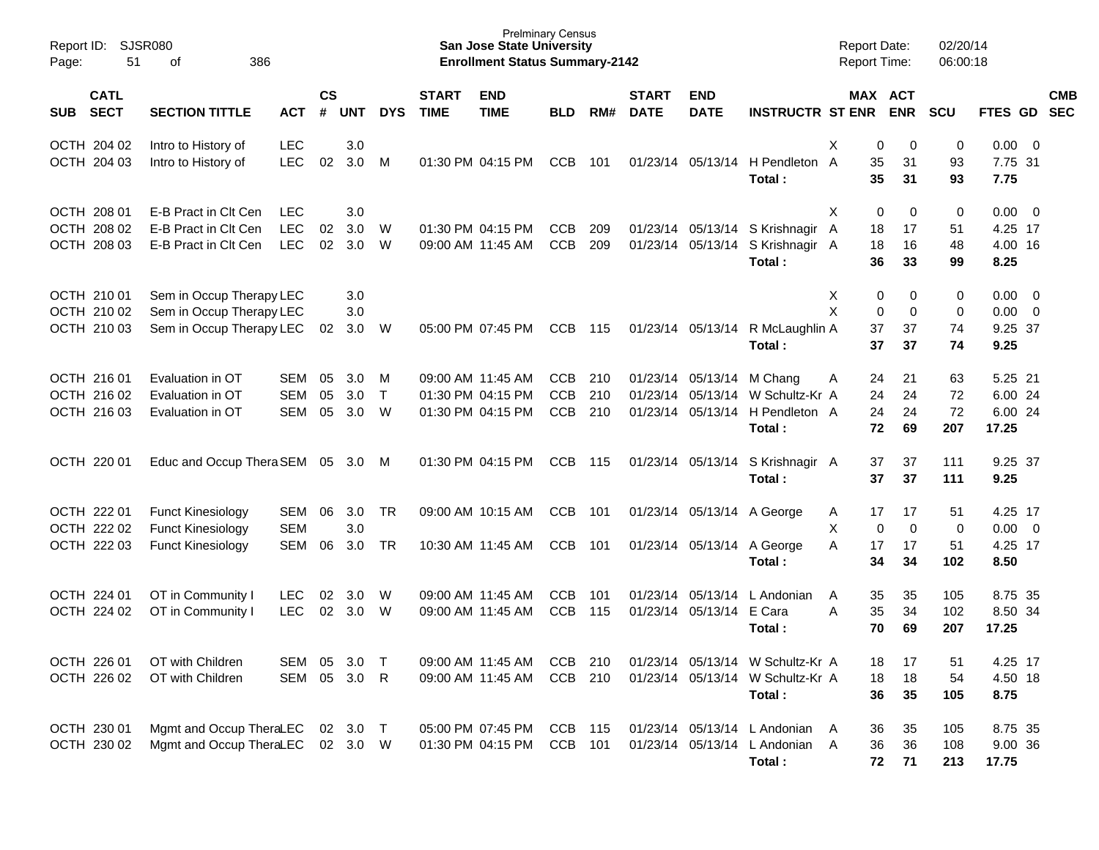| Report ID:<br>51<br>Page:                 | SJSR080<br>386<br>οf                                                             |                                        |                    |                         |                        |                             | <b>San Jose State University</b><br><b>Enrollment Status Summary-2142</b> | <b>Prelminary Census</b>               |                   |                             |                                                |                                                                                | <b>Report Date:</b><br>Report Time:          |                               | 02/20/14<br>06:00:18  |                                           |                                                    |            |
|-------------------------------------------|----------------------------------------------------------------------------------|----------------------------------------|--------------------|-------------------------|------------------------|-----------------------------|---------------------------------------------------------------------------|----------------------------------------|-------------------|-----------------------------|------------------------------------------------|--------------------------------------------------------------------------------|----------------------------------------------|-------------------------------|-----------------------|-------------------------------------------|----------------------------------------------------|------------|
| <b>CATL</b><br><b>SECT</b><br><b>SUB</b>  | <b>SECTION TITTLE</b>                                                            | <b>ACT</b>                             | $\mathsf{cs}$<br># | <b>UNT</b>              | <b>DYS</b>             | <b>START</b><br><b>TIME</b> | <b>END</b><br><b>TIME</b>                                                 | <b>BLD</b>                             | RM#               | <b>START</b><br><b>DATE</b> | <b>END</b><br><b>DATE</b>                      | <b>INSTRUCTR ST ENR</b>                                                        | MAX ACT                                      | <b>ENR</b>                    | <b>SCU</b>            | FTES GD SEC                               |                                                    | <b>CMB</b> |
| OCTH 204 02<br>OCTH 204 03                | Intro to History of<br>Intro to History of                                       | <b>LEC</b><br><b>LEC</b>               | 02                 | 3.0<br>3.0              | M                      |                             | 01:30 PM 04:15 PM                                                         | <b>CCB</b>                             | 101               |                             | 01/23/14 05/13/14                              | H Pendleton A<br>Total:                                                        | X<br>0<br>35<br>35                           | 0<br>31<br>31                 | 0<br>93<br>93         | 0.00<br>7.75 31<br>7.75                   | $\overline{0}$                                     |            |
| OCTH 208 01<br>OCTH 208 02<br>OCTH 208 03 | E-B Pract in Clt Cen<br>E-B Pract in Clt Cen<br>E-B Pract in Clt Cen             | <b>LEC</b><br><b>LEC</b><br><b>LEC</b> | 02<br>02           | 3.0<br>3.0<br>3.0       | W<br>W                 |                             | 01:30 PM 04:15 PM<br>09:00 AM 11:45 AM                                    | <b>CCB</b><br><b>CCB</b>               | 209<br>209        |                             |                                                | 01/23/14 05/13/14 S Krishnagir A<br>01/23/14 05/13/14 S Krishnagir A<br>Total: | X<br>0<br>18<br>18<br>36                     | 0<br>17<br>16<br>33           | 0<br>51<br>48<br>99   | $0.00 \t 0$<br>4.25 17<br>4.00 16<br>8.25 |                                                    |            |
| OCTH 210 01<br>OCTH 210 02<br>OCTH 210 03 | Sem in Occup Therapy LEC<br>Sem in Occup Therapy LEC<br>Sem in Occup Therapy LEC |                                        | 02                 | 3.0<br>3.0<br>3.0       | W                      |                             | 05:00 PM 07:45 PM                                                         | <b>CCB</b>                             | 115               |                             | 01/23/14 05/13/14                              | R McLaughlin A<br>Total:                                                       | X<br>0<br>X<br>$\mathbf 0$<br>37<br>37       | 0<br>0<br>37<br>37            | 0<br>0<br>74<br>74    | 0.00<br>0.00<br>9.25 37<br>9.25           | $\overline{\mathbf{0}}$<br>$\overline{\mathbf{0}}$ |            |
| OCTH 216 01<br>OCTH 216 02<br>OCTH 216 03 | Evaluation in OT<br>Evaluation in OT<br>Evaluation in OT                         | <b>SEM</b><br><b>SEM</b><br>SEM        | 05<br>05<br>05     | 3.0<br>3.0<br>3.0       | M<br>$\mathsf{T}$<br>W |                             | 09:00 AM 11:45 AM<br>01:30 PM 04:15 PM<br>01:30 PM 04:15 PM               | <b>CCB</b><br><b>CCB</b><br><b>CCB</b> | 210<br>210<br>210 |                             | 01/23/14 05/13/14 M Chang<br>01/23/14 05/13/14 | W Schultz-Kr A<br>01/23/14 05/13/14 H Pendleton A<br>Total:                    | 24<br>Α<br>24<br>24<br>72                    | 21<br>24<br>24<br>69          | 63<br>72<br>72<br>207 | 5.25 21<br>6.00 24<br>6.00 24<br>17.25    |                                                    |            |
| OCTH 220 01                               | Educ and Occup Thera SEM 05                                                      |                                        |                    | 3.0                     | M                      |                             | 01:30 PM 04:15 PM                                                         | <b>CCB</b>                             | 115               |                             |                                                | 01/23/14 05/13/14 S Krishnagir A<br>Total:                                     | 37<br>37                                     | 37<br>37                      | 111<br>111            | 9.25 37<br>9.25                           |                                                    |            |
| OCTH 222 01<br>OCTH 222 02<br>OCTH 222 03 | <b>Funct Kinesiology</b><br><b>Funct Kinesiology</b><br><b>Funct Kinesiology</b> | SEM<br><b>SEM</b><br>SEM               | 06<br>06           | 3.0<br>3.0<br>3.0       | <b>TR</b><br><b>TR</b> |                             | 09:00 AM 10:15 AM<br>10:30 AM 11:45 AM                                    | <b>CCB</b><br><b>CCB</b>               | 101<br>101        |                             |                                                | 01/23/14 05/13/14 A George<br>01/23/14 05/13/14 A George<br>Total:             | 17<br>A<br>X<br>$\mathbf 0$<br>Α<br>17<br>34 | 17<br>$\mathbf 0$<br>17<br>34 | 51<br>0<br>51<br>102  | 4.25 17<br>$0.00 \t 0$<br>4.25 17<br>8.50 |                                                    |            |
| OCTH 224 01<br>OCTH 224 02                | OT in Community I<br>OT in Community I                                           | <b>LEC</b><br><b>LEC</b>               | 02<br>02           | 3.0<br>3.0              | W<br>W                 |                             | 09:00 AM 11:45 AM<br>09:00 AM 11:45 AM                                    | <b>CCB</b><br><b>CCB</b>               | 101<br>115        |                             | 01/23/14 05/13/14 E Cara                       | 01/23/14 05/13/14 L Andonian<br>Total:                                         | 35<br>A<br>A<br>35<br>70                     | 35<br>34<br>69                | 105<br>102<br>207     | 8.75 35<br>8.50 34<br>17.25               |                                                    |            |
| OCTH 226 01<br>OCTH 226 02                | OT with Children<br>OT with Children                                             | SEM 05                                 |                    | $3.0$ T<br>SEM 05 3.0 R |                        |                             | 09:00 AM 11:45 AM<br>09:00 AM 11:45 AM                                    | CCB 210<br>CCB 210                     |                   |                             |                                                | 01/23/14 05/13/14 W Schultz-Kr A<br>01/23/14 05/13/14 W Schultz-Kr A<br>Total: | 18<br>18<br>36                               | 17<br>18<br>35                | 51<br>54<br>105       | 4.25 17<br>4.50 18<br>8.75                |                                                    |            |
| OCTH 230 01<br>OCTH 230 02                | Mgmt and Occup TheraLEC 02 3.0 T<br>Mgmt and Occup TheraLEC 02 3.0 W             |                                        |                    |                         |                        |                             | 05:00 PM 07:45 PM CCB 115<br>01:30 PM 04:15 PM CCB 101                    |                                        |                   |                             |                                                | 01/23/14 05/13/14 L Andonian A<br>01/23/14 05/13/14 L Andonian A<br>Total:     | 36<br>36<br>72                               | 35<br>36<br>71                | 105<br>108<br>213     | 8.75 35<br>9.00 36<br>17.75               |                                                    |            |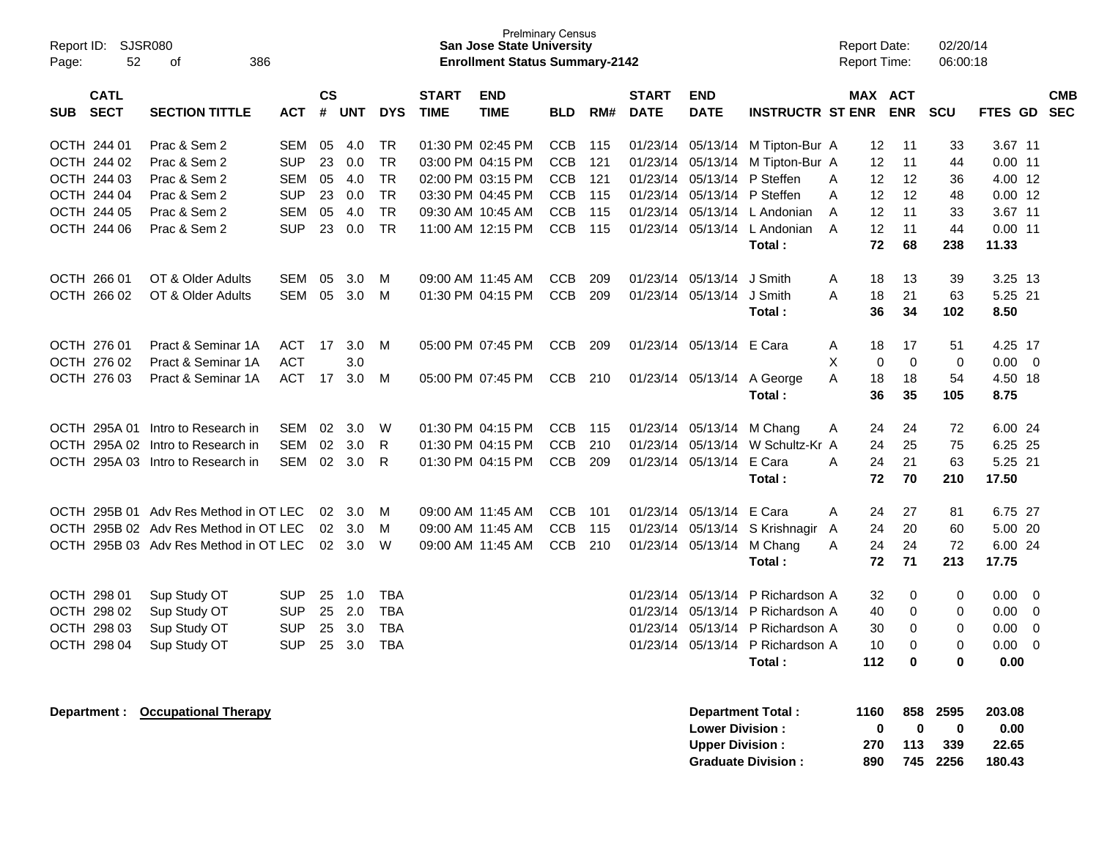| Report ID: SJSR080<br>52<br>Page:        | 386<br>οf                             |            |                |            |            |                             | <b>San Jose State University</b><br><b>Enrollment Status Summary-2142</b> | <b>Prelminary Census</b> |     |                             |                             |                                  |      | Report Date:<br><b>Report Time:</b> |             | 02/20/14<br>06:00:18 |           |                           |
|------------------------------------------|---------------------------------------|------------|----------------|------------|------------|-----------------------------|---------------------------------------------------------------------------|--------------------------|-----|-----------------------------|-----------------------------|----------------------------------|------|-------------------------------------|-------------|----------------------|-----------|---------------------------|
| <b>CATL</b><br><b>SECT</b><br><b>SUB</b> | <b>SECTION TITTLE</b>                 | <b>ACT</b> | <b>CS</b><br># | <b>UNT</b> | <b>DYS</b> | <b>START</b><br><b>TIME</b> | <b>END</b><br><b>TIME</b>                                                 | <b>BLD</b>               | RM# | <b>START</b><br><b>DATE</b> | <b>END</b><br><b>DATE</b>   | <b>INSTRUCTR ST ENR ENR</b>      |      | MAX ACT                             | SCU         |                      |           | <b>CMB</b><br>FTES GD SEC |
| OCTH 244 01                              | Prac & Sem 2                          | <b>SEM</b> | 05             | 4.0        | <b>TR</b>  |                             | 01:30 PM 02:45 PM                                                         | CCB                      | 115 |                             | 01/23/14 05/13/14           | M Tipton-Bur A                   |      | $12 \overline{ }$<br>11             |             | 33                   | 3.67 11   |                           |
| OCTH 244 02                              | Prac & Sem 2                          | <b>SUP</b> | 23             | 0.0        | <b>TR</b>  |                             | 03:00 PM 04:15 PM                                                         | <b>CCB</b>               | 121 | 01/23/14                    | 05/13/14                    | M Tipton-Bur A                   |      | 12<br>11                            |             | 44                   | $0.00$ 11 |                           |
| OCTH 244 03                              | Prac & Sem 2                          | <b>SEM</b> | 05             | 4.0        | <b>TR</b>  |                             | 02:00 PM 03:15 PM                                                         | <b>CCB</b>               | 121 | 01/23/14                    | 05/13/14                    | P Steffen                        | A    | 12<br>12                            |             | 36                   | 4.00 12   |                           |
| OCTH 244 04                              | Prac & Sem 2                          | <b>SUP</b> | 23             | 0.0        | <b>TR</b>  |                             | 03:30 PM 04:45 PM                                                         | <b>CCB</b>               | 115 |                             | 01/23/14 05/13/14 P Steffen |                                  | A    | 12<br>12                            |             | 48                   | $0.00$ 12 |                           |
| OCTH 244 05                              | Prac & Sem 2                          | <b>SEM</b> | 05             | 4.0        | <b>TR</b>  |                             | 09:30 AM 10:45 AM                                                         | <b>CCB</b>               | 115 | 01/23/14                    | 05/13/14                    | L Andonian                       | A    | 12<br>11                            |             | 33                   | 3.67 11   |                           |
| OCTH 244 06                              | Prac & Sem 2                          | <b>SUP</b> | 23             | 0.0        | TR         |                             | 11:00 AM 12:15 PM                                                         | CCB                      | 115 |                             |                             | 01/23/14 05/13/14 L Andonian     | A    | 12<br>11                            |             | 44                   | $0.00$ 11 |                           |
|                                          |                                       |            |                |            |            |                             |                                                                           |                          |     |                             |                             | Total:                           |      | 72<br>68                            |             | 238                  | 11.33     |                           |
| OCTH 266 01                              | OT & Older Adults                     | <b>SEM</b> | 05             | 3.0        | м          |                             | 09:00 AM 11:45 AM                                                         | <b>CCB</b>               | 209 | 01/23/14                    | 05/13/14                    | J Smith                          | A    | 13<br>18                            |             | 39                   | 3.25 13   |                           |
| OCTH 266 02                              | OT & Older Adults                     | SEM        |                | 05 3.0     | M          |                             | 01:30 PM 04:15 PM                                                         | CCB                      | 209 | 01/23/14                    | 05/13/14 J Smith            |                                  | Α    | 18<br>21                            |             | 63                   | 5.25 21   |                           |
|                                          |                                       |            |                |            |            |                             |                                                                           |                          |     |                             |                             | Total:                           |      | 34<br>36                            |             | 102                  | 8.50      |                           |
| OCTH 276 01                              | Pract & Seminar 1A                    | <b>ACT</b> | 17             | 3.0        | M          |                             | 05:00 PM 07:45 PM                                                         | <b>CCB</b>               | 209 | 01/23/14                    | 05/13/14 E Cara             |                                  | A    | 18<br>17                            |             | 51                   | 4.25 17   |                           |
| OCTH 276 02                              | Pract & Seminar 1A                    | <b>ACT</b> |                | 3.0        |            |                             |                                                                           |                          |     |                             |                             |                                  | X    | $\Omega$                            | $\Omega$    | 0                    | 0.00      | 0                         |
| OCTH 276 03                              | Pract & Seminar 1A                    | <b>ACT</b> | 17             | 3.0        | M          |                             | 05:00 PM 07:45 PM                                                         | CCB 210                  |     |                             | 01/23/14 05/13/14           | A George                         | A    | 18<br>18                            |             | 54                   | 4.50 18   |                           |
|                                          |                                       |            |                |            |            |                             |                                                                           |                          |     |                             |                             | Total:                           |      | 36<br>35                            |             | 105                  | 8.75      |                           |
|                                          | OCTH 295A 01 Intro to Research in     | <b>SEM</b> | 02             | 3.0        | W          |                             | 01:30 PM 04:15 PM                                                         | CCB                      | 115 |                             | 01/23/14 05/13/14           | M Chang                          | Α    | 24<br>24                            |             | 72                   | 6.00 24   |                           |
|                                          | OCTH 295A 02 Intro to Research in     | <b>SEM</b> | 02             | 3.0        | R          |                             | 01:30 PM 04:15 PM                                                         | CCB                      | 210 | 01/23/14                    | 05/13/14                    | W Schultz-Kr A                   |      | 24<br>25                            |             | 75                   | 6.25 25   |                           |
|                                          | OCTH 295A 03 Intro to Research in     | <b>SEM</b> |                | 02 3.0     | R          |                             | 01:30 PM 04:15 PM                                                         | CCB                      | 209 |                             | 01/23/14 05/13/14 E Cara    |                                  | Α    | 21<br>24                            |             | 63                   | 5.25 21   |                           |
|                                          |                                       |            |                |            |            |                             |                                                                           |                          |     |                             |                             | Total:                           |      | 72<br>70                            |             | 210                  | 17.50     |                           |
|                                          | OCTH 295B 01 Adv Res Method in OT LEC |            | 02             | 3.0        | M          |                             | 09:00 AM 11:45 AM                                                         | CCB                      | 101 | 01/23/14                    | 05/13/14 E Cara             |                                  | A    | 24<br>27                            |             | 81                   | 6.75 27   |                           |
|                                          | OCTH 295B 02 Adv Res Method in OT LEC |            | 02             | 3.0        | M          |                             | 09:00 AM 11:45 AM                                                         | <b>CCB</b>               | 115 | 01/23/14                    | 05/13/14                    | S Krishnagir                     | A    | 24<br>20                            |             | 60                   | 5.00 20   |                           |
|                                          | OCTH 295B 03 Adv Res Method in OT LEC |            |                | 02 3.0     | W          |                             | 09:00 AM 11:45 AM                                                         | <b>CCB</b>               | 210 |                             | 01/23/14 05/13/14           | M Chang                          | A    | 24<br>24                            |             | 72                   | 6.00 24   |                           |
|                                          |                                       |            |                |            |            |                             |                                                                           |                          |     |                             |                             | Total:                           |      | 71<br>72                            |             | 213                  | 17.75     |                           |
| OCTH 298 01                              | Sup Study OT                          | <b>SUP</b> | 25             | 1.0        | <b>TBA</b> |                             |                                                                           |                          |     | 01/23/14                    | 05/13/14                    | P Richardson A                   |      | 32                                  | 0           | 0                    | 0.00      | $\overline{0}$            |
| OCTH 298 02                              | Sup Study OT                          | <b>SUP</b> | 25             | 2.0        | <b>TBA</b> |                             |                                                                           |                          |     | 01/23/14                    |                             | 05/13/14 P Richardson A          |      | 40                                  | $\Omega$    | 0                    | 0.00      | $\Omega$                  |
| OCTH 298 03                              | Sup Study OT                          | <b>SUP</b> | 25             | 3.0        | <b>TBA</b> |                             |                                                                           |                          |     | 01/23/14                    |                             | 05/13/14 P Richardson A          |      | 30                                  | 0           | 0                    | 0.00      | 0                         |
| OCTH 298 04                              | Sup Study OT                          | <b>SUP</b> | 25             | 3.0        | <b>TBA</b> |                             |                                                                           |                          |     |                             |                             | 01/23/14 05/13/14 P Richardson A |      | 10                                  | $\mathbf 0$ | 0                    | 0.00      | $\mathbf 0$               |
|                                          |                                       |            |                |            |            |                             |                                                                           |                          |     |                             |                             | Total:                           | 112  |                                     | 0           | 0                    | 0.00      |                           |
| Department :                             | <b>Occupational Therapy</b>           |            |                |            |            |                             |                                                                           |                          |     |                             |                             | Department Total:                | 1160 |                                     | 858         | 2595                 | 203.08    |                           |

| <b>Department Total:</b>  | 1160         |              |          | 858 2595 203.08 |
|---------------------------|--------------|--------------|----------|-----------------|
| <b>Lower Division:</b>    | $\mathbf{u}$ | $\mathbf{u}$ | 0        | 0.00            |
| <b>Upper Division:</b>    | 270          | 113          | -339     | 22.65           |
| <b>Graduate Division:</b> | 890          |              | 745 2256 | 180.43          |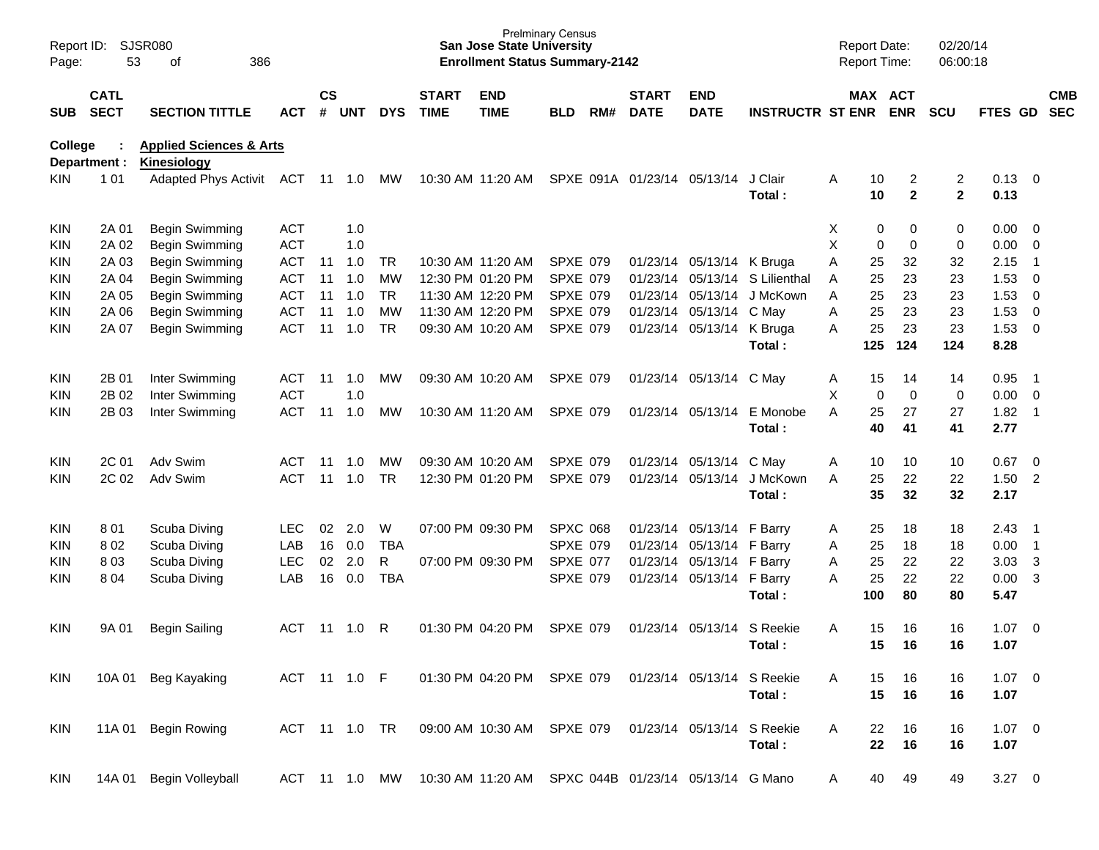| Report ID:<br>Page: | 53                         | <b>SJSR080</b><br>386<br>оf                       |              |                |            |               |                             | San Jose State University<br><b>Enrollment Status Summary-2142</b> | <b>Prelminary Census</b> |     |                             |                           |                                      |   | <b>Report Date:</b><br><b>Report Time:</b> |                     | 02/20/14<br>06:00:18 |                     |                            |                          |
|---------------------|----------------------------|---------------------------------------------------|--------------|----------------|------------|---------------|-----------------------------|--------------------------------------------------------------------|--------------------------|-----|-----------------------------|---------------------------|--------------------------------------|---|--------------------------------------------|---------------------|----------------------|---------------------|----------------------------|--------------------------|
| <b>SUB</b>          | <b>CATL</b><br><b>SECT</b> | <b>SECTION TITTLE</b>                             | <b>ACT</b>   | <b>CS</b><br># | <b>UNT</b> | <b>DYS</b>    | <b>START</b><br><b>TIME</b> | <b>END</b><br><b>TIME</b>                                          | <b>BLD</b>               | RM# | <b>START</b><br><b>DATE</b> | <b>END</b><br><b>DATE</b> | <b>INSTRUCTR ST ENR</b>              |   | MAX ACT                                    | <b>ENR</b>          | <b>SCU</b>           | FTES GD             |                            | <b>CMB</b><br><b>SEC</b> |
| <b>College</b>      | Department :               | <b>Applied Sciences &amp; Arts</b><br>Kinesiology |              |                |            |               |                             |                                                                    |                          |     |                             |                           |                                      |   |                                            |                     |                      |                     |                            |                          |
| KIN.                | 1 0 1                      | <b>Adapted Phys Activit</b>                       | <b>ACT</b>   | 11             | 1.0        | MW            |                             | 10:30 AM 11:20 AM                                                  |                          |     | SPXE 091A 01/23/14          | 05/13/14                  | J Clair<br>Total:                    | A | 10<br>10                                   | 2<br>$\overline{2}$ | 2<br>$\overline{2}$  | 0.13<br>0.13        | - 0                        |                          |
| <b>KIN</b>          | 2A 01                      | Begin Swimming                                    | <b>ACT</b>   |                | 1.0        |               |                             |                                                                    |                          |     |                             |                           |                                      | Х | 0                                          | 0                   | 0                    | 0.00                | 0                          |                          |
| KIN.                | 2A 02                      | Begin Swimming                                    | <b>ACT</b>   |                | 1.0        |               |                             |                                                                    |                          |     |                             |                           |                                      | X | 0                                          | 0                   | 0                    | 0.00                | 0                          |                          |
| KIN.                | 2A 03                      | Begin Swimming                                    | <b>ACT</b>   | 11             | 1.0        | <b>TR</b>     |                             | 10:30 AM 11:20 AM                                                  | <b>SPXE 079</b>          |     |                             | 01/23/14 05/13/14         | K Bruga                              | A | 25                                         | 32                  | 32                   | 2.15                | -1                         |                          |
| KIN.                | 2A 04                      | Begin Swimming                                    | <b>ACT</b>   | 11             | 1.0        | <b>MW</b>     |                             | 12:30 PM 01:20 PM                                                  | <b>SPXE 079</b>          |     | 01/23/14                    | 05/13/14                  | S Lilienthal                         | A | 25                                         | 23                  | 23                   | 1.53                | 0                          |                          |
| KIN.                | 2A 05                      | Begin Swimming                                    | <b>ACT</b>   | 11             | 1.0        | <b>TR</b>     |                             | 11:30 AM 12:20 PM                                                  | <b>SPXE 079</b>          |     | 01/23/14                    | 05/13/14                  | J McKown                             | A | 25                                         | 23                  | 23                   | 1.53                | $\mathbf 0$                |                          |
| KIN.                | 2A 06                      | Begin Swimming                                    | <b>ACT</b>   | 11             | 1.0        | <b>MW</b>     |                             | 11:30 AM 12:20 PM                                                  | <b>SPXE 079</b>          |     | 01/23/14                    | 05/13/14                  | C May                                | A | 25                                         | 23                  | 23                   | 1.53                | $\mathbf 0$                |                          |
| KIN.                | 2A 07                      | Begin Swimming                                    | <b>ACT</b>   | 11             | 1.0        | <b>TR</b>     |                             | 09:30 AM 10:20 AM                                                  | <b>SPXE 079</b>          |     |                             | 01/23/14 05/13/14         | K Bruga<br>Total:                    | A | 25<br>125                                  | 23<br>124           | 23<br>124            | 1.53<br>8.28        | $\overline{0}$             |                          |
| <b>KIN</b>          | 2B 01                      | Inter Swimming                                    | <b>ACT</b>   | 11             | 1.0        | MW            |                             | 09:30 AM 10:20 AM                                                  | <b>SPXE 079</b>          |     |                             | 01/23/14 05/13/14 C May   |                                      | A | 15                                         | 14                  | 14                   | 0.95                | -1                         |                          |
| KIN.                | 2B 02                      | Inter Swimming                                    | <b>ACT</b>   |                | 1.0        |               |                             |                                                                    |                          |     |                             |                           |                                      | X | 0                                          | 0                   | 0                    | 0.00                | $\overline{\mathbf{0}}$    |                          |
| KIN.                | 2B 03                      | Inter Swimming                                    | <b>ACT</b>   | 11             | 1.0        | MW            |                             | 10:30 AM 11:20 AM                                                  | <b>SPXE 079</b>          |     |                             | 01/23/14 05/13/14         | E Monobe<br>Total:                   | A | 25<br>40                                   | 27<br>41            | 27<br>41             | 1.82<br>2.77        | $\overline{\phantom{0}}$ 1 |                          |
| <b>KIN</b>          | 2C 01                      | Adv Swim                                          | <b>ACT</b>   | 11             | 1.0        | MW            |                             | 09:30 AM 10:20 AM                                                  | <b>SPXE 079</b>          |     | 01/23/14                    | 05/13/14                  | C May                                | Α | 10                                         | 10                  | 10                   | 0.67                | 0                          |                          |
| KIN.                | 2C 02                      | Adv Swim                                          | <b>ACT</b>   | 11             | 1.0        | <b>TR</b>     |                             | 12:30 PM 01:20 PM                                                  | <b>SPXE 079</b>          |     |                             | 01/23/14 05/13/14         | J McKown<br>Total:                   | A | 25<br>35                                   | 22<br>32            | 22<br>32             | 1.50<br>2.17        | $\overline{2}$             |                          |
| <b>KIN</b>          | 801                        | Scuba Diving                                      | <b>LEC</b>   | 02             | 2.0        | W             |                             | 07:00 PM 09:30 PM                                                  | <b>SPXC 068</b>          |     | 01/23/14                    | 05/13/14                  | F Barry                              | A | 25                                         | 18                  | 18                   | 2.43                | -1                         |                          |
| KIN.                | 802                        | Scuba Diving                                      | LAB          | 16             | 0.0        | <b>TBA</b>    |                             |                                                                    | <b>SPXE 079</b>          |     | 01/23/14                    | 05/13/14                  | F Barry                              | A | 25                                         | 18                  | 18                   | 0.00                | -1                         |                          |
| KIN.                | 803                        | Scuba Diving                                      | <b>LEC</b>   | 02             | 2.0        | R             |                             | 07:00 PM 09:30 PM                                                  | <b>SPXE 077</b>          |     | 01/23/14                    | 05/13/14                  | F Barry                              | A | 25                                         | 22                  | 22                   | 3.03                | 3                          |                          |
| KIN.                | 804                        | Scuba Diving                                      | LAB          | 16             | 0.0        | <b>TBA</b>    |                             |                                                                    | <b>SPXE 079</b>          |     |                             | 01/23/14 05/13/14         | F Barry<br>Total:                    | A | 25<br>100                                  | 22<br>80            | 22<br>80             | 0.00<br>5.47        | 3                          |                          |
| <b>KIN</b>          | 9A 01                      | <b>Begin Sailing</b>                              | <b>ACT</b>   |                | 11  1.0    | R             |                             | 01:30 PM 04:20 PM                                                  | <b>SPXE 079</b>          |     | 01/23/14                    | 05/13/14                  | S Reekie<br>Total:                   | A | 15<br>15                                   | 16<br>16            | 16<br>16             | 1.07<br>1.07        | $\overline{0}$             |                          |
| KIN.                |                            | 10A 01 Beg Kayaking                               | ACT 11 1.0 F |                |            |               |                             | 01:30 PM 04:20 PM SPXE 079                                         |                          |     |                             |                           | 01/23/14 05/13/14 S Reekie<br>Total: | A | 15<br>15                                   | 16<br>16            | 16<br>16             | $1.07 \t 0$<br>1.07 |                            |                          |
| <b>KIN</b>          |                            | 11A 01 Begin Rowing                               |              |                |            | ACT 11 1.0 TR |                             | 09:00 AM 10:30 AM SPXE 079                                         |                          |     |                             |                           | 01/23/14 05/13/14 S Reekie<br>Total: | A | 22<br>22                                   | 16<br>16            | 16<br>16             | $1.07 \t 0$<br>1.07 |                            |                          |
| <b>KIN</b>          |                            | 14A 01 Begin Volleyball                           |              |                |            |               |                             | ACT 11 1.0 MW 10:30 AM 11:20 AM SPXC 044B 01/23/14 05/13/14 G Mano |                          |     |                             |                           |                                      | A | 40                                         | 49                  | 49                   | $3.27 \t 0$         |                            |                          |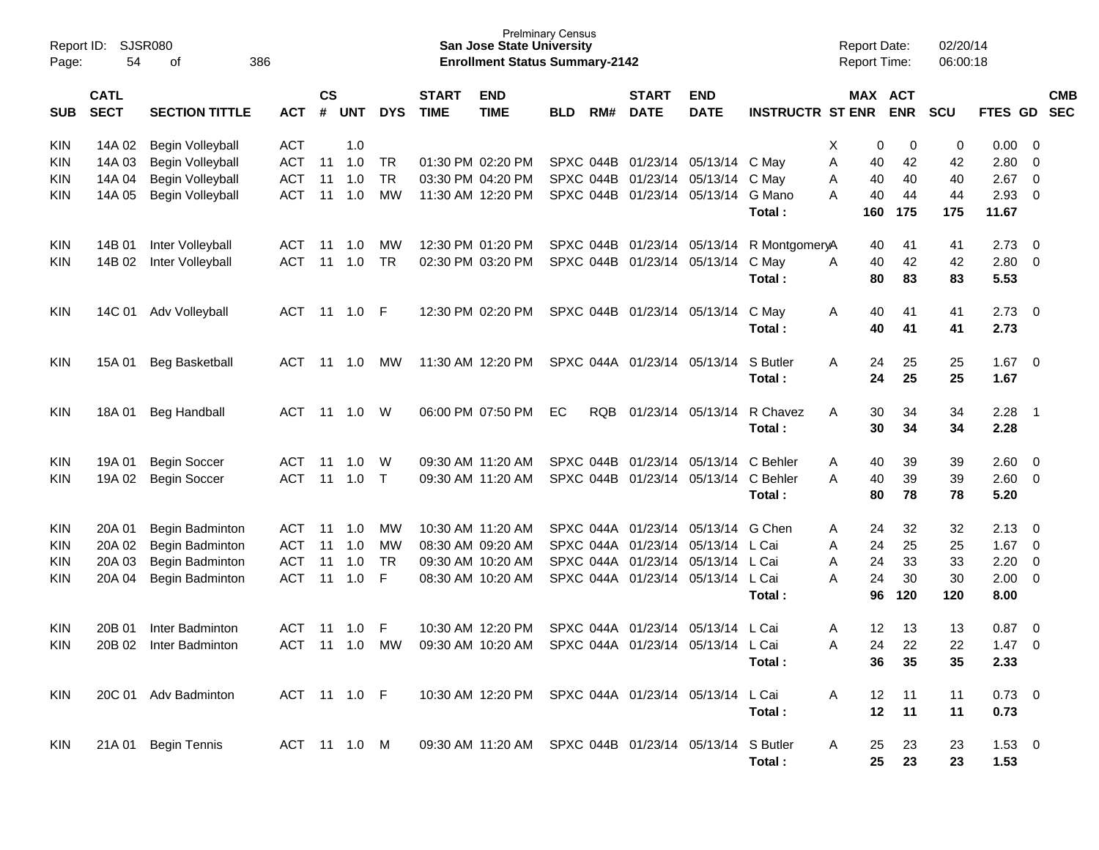| Page:      | SJSR080<br>Report ID:<br>54<br>οf<br>386<br><b>CATL</b> |                         |              |               |        |            |                             | <b>San Jose State University</b><br><b>Enrollment Status Summary-2142</b> | <b>Prelminary Census</b> |     |                             |                                   |                         | <b>Report Date:</b><br><b>Report Time:</b> |     |            | 02/20/14<br>06:00:18 |                |                         |                          |
|------------|---------------------------------------------------------|-------------------------|--------------|---------------|--------|------------|-----------------------------|---------------------------------------------------------------------------|--------------------------|-----|-----------------------------|-----------------------------------|-------------------------|--------------------------------------------|-----|------------|----------------------|----------------|-------------------------|--------------------------|
| <b>SUB</b> | <b>SECT</b>                                             | <b>SECTION TITTLE</b>   | <b>ACT</b>   | $\mathsf{cs}$ | # UNT  | <b>DYS</b> | <b>START</b><br><b>TIME</b> | <b>END</b><br><b>TIME</b>                                                 | <b>BLD</b>               | RM# | <b>START</b><br><b>DATE</b> | <b>END</b><br><b>DATE</b>         | <b>INSTRUCTR ST ENR</b> | MAX ACT                                    |     | <b>ENR</b> | <b>SCU</b>           | <b>FTES GD</b> |                         | <b>CMB</b><br><b>SEC</b> |
| <b>KIN</b> | 14A 02                                                  | Begin Volleyball        | <b>ACT</b>   |               | 1.0    |            |                             |                                                                           |                          |     |                             |                                   |                         | Х                                          | 0   | 0          | 0                    | 0.00           | 0                       |                          |
| <b>KIN</b> | 14A 03                                                  | <b>Begin Volleyball</b> | <b>ACT</b>   | 11            | 1.0    | TR         |                             | 01:30 PM 02:20 PM                                                         |                          |     | SPXC 044B 01/23/14          | 05/13/14                          | C May                   | A                                          | 40  | 42         | 42                   | 2.80           | 0                       |                          |
| KIN.       | 14A 04                                                  | Begin Volleyball        | <b>ACT</b>   | 11            | 1.0    | <b>TR</b>  |                             | 03:30 PM 04:20 PM                                                         |                          |     | SPXC 044B 01/23/14          | 05/13/14                          | C May                   | A                                          | 40  | 40         | 40                   | 2.67           | $\overline{0}$          |                          |
| KIN        | 14A 05                                                  | Begin Volleyball        | <b>ACT</b>   | 11            | 1.0    | MW         |                             | 11:30 AM 12:20 PM                                                         |                          |     | SPXC 044B 01/23/14          | 05/13/14                          | G Mano                  | A                                          | 40  | 44         | 44                   | 2.93           | $\overline{0}$          |                          |
|            |                                                         |                         |              |               |        |            |                             |                                                                           |                          |     |                             |                                   | Total:                  |                                            | 160 | 175        | 175                  | 11.67          |                         |                          |
| KIN        | 14B 01                                                  | Inter Volleyball        | ACT          | -11           | 1.0    | MW         |                             | 12:30 PM 01:20 PM                                                         |                          |     | SPXC 044B 01/23/14 05/13/14 |                                   | R MontgomeryA           |                                            | 40  | 41         | 41                   | 2.73           | $\overline{0}$          |                          |
| KIN        | 14B 02                                                  | Inter Volleyball        | <b>ACT</b>   | 11            | 1.0    | <b>TR</b>  |                             | 02:30 PM 03:20 PM                                                         |                          |     | SPXC 044B 01/23/14          | 05/13/14                          | C May                   | A                                          | 40  | 42         | 42                   | 2.80           | $\overline{0}$          |                          |
|            |                                                         |                         |              |               |        |            |                             |                                                                           |                          |     |                             |                                   | Total:                  |                                            | 80  | 83         | 83                   | 5.53           |                         |                          |
| KIN        | 14C 01                                                  | Adv Volleyball          | ACT          |               | 11 1.0 | F          |                             | 12:30 PM 02:20 PM                                                         |                          |     | SPXC 044B 01/23/14          | 05/13/14                          | C May                   | A                                          | 40  | 41         | 41                   | 2.73           | $\overline{\mathbf{0}}$ |                          |
|            |                                                         |                         |              |               |        |            |                             |                                                                           |                          |     |                             |                                   | Total:                  |                                            | 40  | 41         | 41                   | 2.73           |                         |                          |
| KIN        | 15A 01                                                  | <b>Beg Basketball</b>   | ACT          | -11           | 1.0    | МW         |                             | 11:30 AM 12:20 PM                                                         |                          |     | SPXC 044A 01/23/14          | 05/13/14                          | S Butler                | A                                          | 24  | 25         | 25                   | 1.67           | $\overline{\mathbf{0}}$ |                          |
|            |                                                         |                         |              |               |        |            |                             |                                                                           |                          |     |                             |                                   | Total:                  |                                            | 24  | 25         | 25                   | 1.67           |                         |                          |
| KIN        | 18A 01                                                  | <b>Beg Handball</b>     | ACT          | 11            | 1.0    | W          |                             | 06:00 PM 07:50 PM                                                         | EC                       |     | RQB 01/23/14                | 05/13/14                          | R Chavez                | A                                          | 30  | 34         | 34                   | 2.28           | $\overline{1}$          |                          |
|            |                                                         |                         |              |               |        |            |                             |                                                                           |                          |     |                             |                                   | Total:                  |                                            | 30  | 34         | 34                   | 2.28           |                         |                          |
| <b>KIN</b> | 19A 01                                                  | <b>Begin Soccer</b>     | ACT          | -11           | 1.0    | W          |                             | 09:30 AM 11:20 AM                                                         |                          |     | SPXC 044B 01/23/14          | 05/13/14                          | C Behler                | A                                          | 40  | 39         | 39                   | 2.60           | $\overline{0}$          |                          |
| KIN        | 19A 02                                                  | <b>Begin Soccer</b>     | <b>ACT</b>   | 11            | 1.0    | $\top$     |                             | 09:30 AM 11:20 AM                                                         |                          |     | SPXC 044B 01/23/14          | 05/13/14                          | C Behler                | A                                          | 40  | 39         | 39                   | 2.60           | $\overline{0}$          |                          |
|            |                                                         |                         |              |               |        |            |                             |                                                                           |                          |     |                             |                                   | Total:                  |                                            | 80  | 78         | 78                   | 5.20           |                         |                          |
| KIN        | 20A 01                                                  | Begin Badminton         | ACT          | -11           | 1.0    | МW         |                             | 10:30 AM 11:20 AM                                                         |                          |     | SPXC 044A 01/23/14          | 05/13/14                          | G Chen                  | A                                          | 24  | 32         | 32                   | 2.13           | 0                       |                          |
| <b>KIN</b> | 20A 02                                                  | Begin Badminton         | <b>ACT</b>   | 11            | 1.0    | MW         |                             | 08:30 AM 09:20 AM                                                         |                          |     | SPXC 044A 01/23/14          | 05/13/14                          | L Cai                   | A                                          | 24  | 25         | 25                   | 1.67           | $\overline{0}$          |                          |
| <b>KIN</b> | 20A 03                                                  | Begin Badminton         | <b>ACT</b>   | 11            | 1.0    | TR.        |                             | 09:30 AM 10:20 AM                                                         |                          |     | SPXC 044A 01/23/14          | 05/13/14                          | L Cai                   | A                                          | 24  | 33         | 33                   | 2.20           | $\overline{0}$          |                          |
| KIN        | 20A 04                                                  | Begin Badminton         | <b>ACT</b>   | 11            | 1.0    | F          |                             | 08:30 AM 10:20 AM                                                         |                          |     | SPXC 044A 01/23/14          | 05/13/14                          | L Cai                   | A                                          | 24  | 30         | 30                   | 2.00           | $\overline{0}$          |                          |
|            |                                                         |                         |              |               |        |            |                             |                                                                           |                          |     |                             |                                   | Total:                  |                                            | 96  | 120        | 120                  | 8.00           |                         |                          |
| KIN        | 20B 01                                                  | Inter Badminton         | <b>ACT</b>   | 11            | 1.0    | F          |                             | 10:30 AM 12:20 PM                                                         |                          |     | SPXC 044A 01/23/14          | 05/13/14                          | L Cai                   | A                                          | 12  | 13         | 13                   | 0.87           | $\overline{0}$          |                          |
| KIN        | 20B 02                                                  | Inter Badminton         | <b>ACT</b>   | 11            | 1.0    | МW         |                             | 09:30 AM 10:20 AM                                                         |                          |     |                             | SPXC 044A 01/23/14 05/13/14 L Cai |                         | A                                          | 24  | 22         | 22                   | 1.47           | $\mathbf 0$             |                          |
|            |                                                         |                         |              |               |        |            |                             |                                                                           |                          |     |                             |                                   | Total:                  |                                            | 36  | 35         | 35                   | 2.33           |                         |                          |
| <b>KIN</b> |                                                         | 20C 01 Adv Badminton    | ACT 11 1.0 F |               |        |            |                             | 10:30 AM 12:20 PM SPXC 044A 01/23/14 05/13/14                             |                          |     |                             |                                   | L Cai                   | A                                          | 12  | 11         | 11                   | $0.73 \quad 0$ |                         |                          |
|            |                                                         |                         |              |               |        |            |                             |                                                                           |                          |     |                             |                                   | Total:                  |                                            | 12  | 11         | 11                   | 0.73           |                         |                          |
| <b>KIN</b> |                                                         | 21A 01 Begin Tennis     | ACT 11 1.0 M |               |        |            |                             | 09:30 AM 11:20 AM SPXC 044B 01/23/14 05/13/14                             |                          |     |                             |                                   | S Butler                | A                                          | 25  | 23         | 23                   | $1.53 \t 0$    |                         |                          |
|            |                                                         |                         |              |               |        |            |                             |                                                                           |                          |     |                             |                                   | Total :                 |                                            | 25  | 23         | 23                   | 1.53           |                         |                          |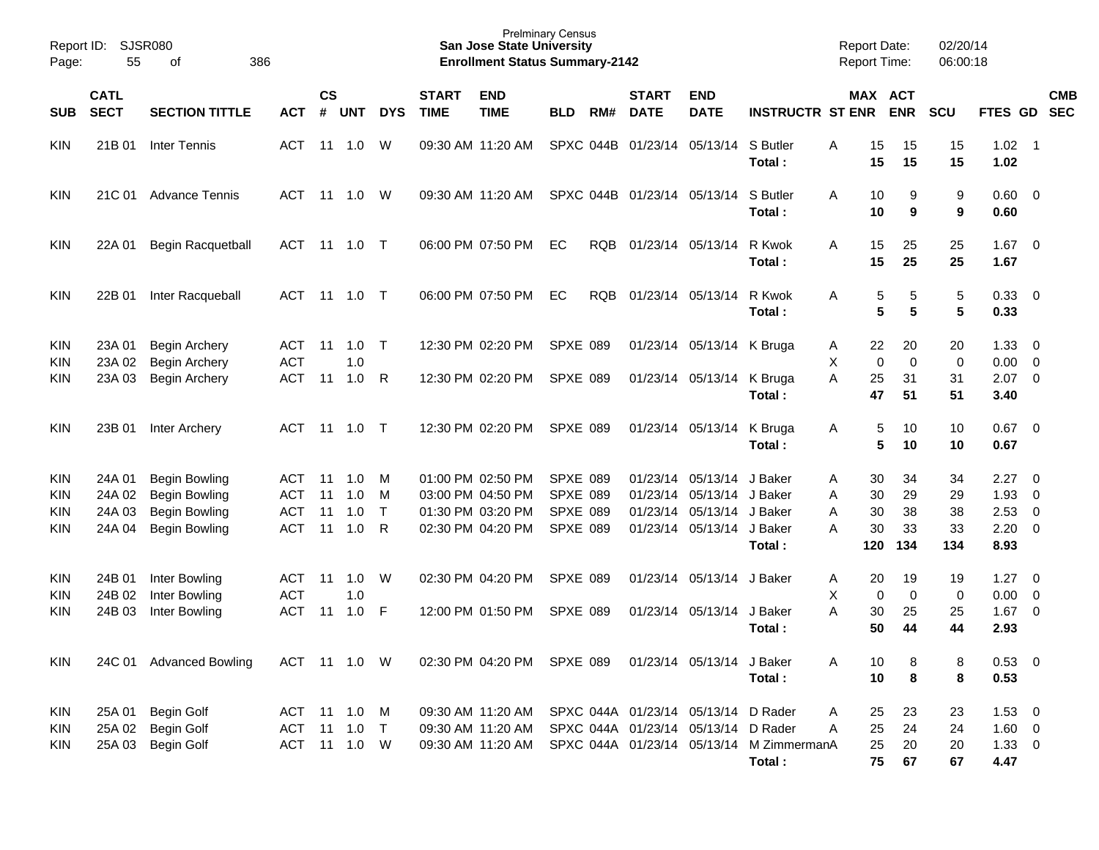| Report ID:<br>Page: | 55          | <b>SJSR080</b><br>386<br>of |              |           |                |            |              | <b>San Jose State University</b><br><b>Enrollment Status Summary-2142</b> | <b>Prelminary Census</b> |            |                                     |                           |                                          | <b>Report Date:</b><br><b>Report Time:</b> |                      | 02/20/14<br>06:00:18 |                |                          |            |
|---------------------|-------------|-----------------------------|--------------|-----------|----------------|------------|--------------|---------------------------------------------------------------------------|--------------------------|------------|-------------------------------------|---------------------------|------------------------------------------|--------------------------------------------|----------------------|----------------------|----------------|--------------------------|------------|
|                     |             |                             |              |           |                |            |              |                                                                           |                          |            |                                     |                           |                                          |                                            |                      |                      |                |                          |            |
|                     | <b>CATL</b> |                             |              | <b>CS</b> |                |            | <b>START</b> | <b>END</b>                                                                |                          |            | <b>START</b>                        | <b>END</b>                |                                          |                                            | MAX ACT              |                      |                |                          | <b>CMB</b> |
| <b>SUB</b>          | <b>SECT</b> | <b>SECTION TITTLE</b>       | <b>ACT</b>   | #         | <b>UNT</b>     | <b>DYS</b> | <b>TIME</b>  | <b>TIME</b>                                                               | <b>BLD</b>               | RM#        | <b>DATE</b>                         | <b>DATE</b>               | <b>INSTRUCTR ST ENR</b>                  |                                            | <b>ENR</b>           | SCU                  | FTES GD SEC    |                          |            |
| <b>KIN</b>          | 21B 01      | Inter Tennis                | ACT          |           | $11 \quad 1.0$ | W          |              | 09:30 AM 11:20 AM                                                         |                          |            | SPXC 044B 01/23/14 05/13/14         |                           | S Butler                                 | 15<br>A                                    | 15                   | 15                   | $1.02$ 1       |                          |            |
|                     |             |                             |              |           |                |            |              |                                                                           |                          |            |                                     |                           | Total:                                   | 15                                         | 15                   | 15                   | 1.02           |                          |            |
| <b>KIN</b>          | 21C 01      | Advance Tennis              | ACT          |           | 11  1.0        | W          |              | 09:30 AM 11:20 AM                                                         |                          |            | SPXC 044B 01/23/14 05/13/14         |                           | S Butler                                 | 10<br>A                                    | 9                    | 9                    | $0.60 \quad 0$ |                          |            |
|                     |             |                             |              |           |                |            |              |                                                                           |                          |            |                                     |                           | Total:                                   | 10                                         | 9                    | 9                    | 0.60           |                          |            |
| <b>KIN</b>          | 22A 01      | <b>Begin Racquetball</b>    | ACT          |           | 11  1.0        | $\top$     |              | 06:00 PM 07:50 PM                                                         | EC                       | RQB        |                                     | 01/23/14 05/13/14         | R Kwok                                   | 15<br>A                                    | 25                   | 25                   | $1.67$ 0       |                          |            |
|                     |             |                             |              |           |                |            |              |                                                                           |                          |            |                                     |                           | Total:                                   | 15                                         | 25                   | 25                   | 1.67           |                          |            |
| <b>KIN</b>          | 22B 01      | Inter Racqueball            | ACT          |           | 11  1.0        | $\top$     |              | 06:00 PM 07:50 PM                                                         | EC                       | <b>RQB</b> |                                     | 01/23/14 05/13/14         | R Kwok                                   | 5<br>A                                     | 5                    | 5                    | 0.33 0         |                          |            |
|                     |             |                             |              |           |                |            |              |                                                                           |                          |            |                                     |                           | Total:                                   |                                            | 5<br>$5\phantom{.0}$ | 5                    | 0.33           |                          |            |
| <b>KIN</b>          | 23A 01      | <b>Begin Archery</b>        | ACT          | 11        | 1.0            | $\top$     |              | 12:30 PM 02:20 PM                                                         | <b>SPXE 089</b>          |            |                                     | 01/23/14 05/13/14 K Bruga |                                          | 22<br>A                                    | 20                   | 20                   | $1.33 \ 0$     |                          |            |
| <b>KIN</b>          | 23A 02      | Begin Archery               | <b>ACT</b>   |           | 1.0            |            |              |                                                                           |                          |            |                                     |                           |                                          | X<br>$\mathbf 0$                           | $\mathbf 0$          | $\mathbf 0$          | $0.00 \t 0$    |                          |            |
| <b>KIN</b>          | 23A 03      | <b>Begin Archery</b>        | <b>ACT</b>   | 11        | 1.0            | R          |              | 12:30 PM 02:20 PM                                                         | SPXE 089                 |            |                                     | 01/23/14 05/13/14         | K Bruga                                  | A<br>25                                    | 31                   | 31                   | $2.07$ 0       |                          |            |
|                     |             |                             |              |           |                |            |              |                                                                           |                          |            |                                     |                           | Total:                                   | 47                                         | 51                   | 51                   | 3.40           |                          |            |
| <b>KIN</b>          | 23B 01      | Inter Archery               | ACT          |           | 11  1.0        | $\top$     |              | 12:30 PM 02:20 PM                                                         | <b>SPXE 089</b>          |            |                                     | 01/23/14 05/13/14         | K Bruga                                  | 5<br>Α                                     | 10                   | 10                   | $0.67$ 0       |                          |            |
|                     |             |                             |              |           |                |            |              |                                                                           |                          |            |                                     |                           | Total:                                   |                                            | 5<br>10              | 10                   | 0.67           |                          |            |
| <b>KIN</b>          | 24A 01      | <b>Begin Bowling</b>        | ACT          | 11        | 1.0            | M          |              | 01:00 PM 02:50 PM                                                         | <b>SPXE 089</b>          |            |                                     | 01/23/14 05/13/14         | J Baker                                  | 30<br>A                                    | 34                   | 34                   | 2.27           | $\overline{\phantom{0}}$ |            |
| <b>KIN</b>          | 24A 02      | <b>Begin Bowling</b>        | <b>ACT</b>   | 11        | 1.0            | M          |              | 03:00 PM 04:50 PM                                                         | <b>SPXE 089</b>          |            |                                     | 01/23/14 05/13/14 J Baker |                                          | 30<br>A                                    | 29                   | 29                   | 1.93           | $\overline{\phantom{0}}$ |            |
| <b>KIN</b>          | 24A 03      | <b>Begin Bowling</b>        | <b>ACT</b>   | 11        | 1.0            | $\top$     |              | 01:30 PM 03:20 PM                                                         | <b>SPXE 089</b>          |            |                                     | 01/23/14 05/13/14 J Baker |                                          | 30<br>A                                    | 38                   | 38                   | $2.53 \t 0$    |                          |            |
| <b>KIN</b>          | 24A 04      | <b>Begin Bowling</b>        | <b>ACT</b>   | 11        | 1.0            | R          |              | 02:30 PM 04:20 PM                                                         | <b>SPXE 089</b>          |            |                                     | 01/23/14 05/13/14 J Baker |                                          | 30<br>A                                    | 33                   | 33                   | $2.20 \t 0$    |                          |            |
|                     |             |                             |              |           |                |            |              |                                                                           |                          |            |                                     |                           | Total:                                   | 120                                        | 134                  | 134                  | 8.93           |                          |            |
| <b>KIN</b>          | 24B 01      | Inter Bowling               | ACT          | 11        | 1.0            | W          |              | 02:30 PM 04:20 PM                                                         | <b>SPXE 089</b>          |            |                                     | 01/23/14 05/13/14         | J Baker                                  | 20<br>Α                                    | 19                   | 19                   | 1.27           | $\overline{\phantom{0}}$ |            |
| <b>KIN</b>          | 24B 02      | Inter Bowling               | <b>ACT</b>   |           | 1.0            |            |              |                                                                           |                          |            |                                     |                           |                                          | X<br>0                                     | $\mathbf 0$          | 0                    | $0.00 \t 0$    |                          |            |
| KIN                 | 24B 03      | Inter Bowling               | <b>ACT</b>   | 11        | 1.0            | -F         |              | 12:00 PM 01:50 PM                                                         | <b>SPXE 089</b>          |            |                                     | 01/23/14 05/13/14         | J Baker                                  | A<br>30                                    | 25                   | 25                   | $1.67$ 0       |                          |            |
|                     |             |                             |              |           |                |            |              |                                                                           |                          |            |                                     |                           | Total:                                   | 50                                         | 44                   | 44                   | 2.93           |                          |            |
| <b>KIN</b>          |             | 24C 01 Advanced Bowling     | ACT 11 1.0 W |           |                |            |              | 02:30 PM 04:20 PM SPXE 089                                                |                          |            |                                     | 01/23/14 05/13/14 J Baker |                                          | 10<br>Α                                    | 8                    | 8                    | 0.53 0         |                          |            |
|                     |             |                             |              |           |                |            |              |                                                                           |                          |            |                                     |                           | Total:                                   | 10                                         | 8                    | 8                    | 0.53           |                          |            |
| KIN                 | 25A 01      | <b>Begin Golf</b>           | ACT 11 1.0 M |           |                |            |              | 09:30 AM 11:20 AM                                                         |                          |            | SPXC 044A 01/23/14 05/13/14 D Rader |                           |                                          | 25<br>A                                    | 23                   | 23                   | $1.53 \t 0$    |                          |            |
| KIN                 |             | 25A 02 Begin Golf           | ACT 11 1.0 T |           |                |            |              | 09:30 AM 11:20 AM                                                         |                          |            | SPXC 044A 01/23/14 05/13/14 D Rader |                           |                                          | 25<br>A                                    | 24                   | 24                   | $1.60 \t 0$    |                          |            |
| KIN                 | 25A 03      | <b>Begin Golf</b>           | ACT 11 1.0 W |           |                |            |              | 09:30 AM 11:20 AM                                                         |                          |            |                                     |                           | SPXC 044A 01/23/14 05/13/14 M ZimmermanA | 25                                         | 20                   | 20                   | $1.33 \t 0$    |                          |            |
|                     |             |                             |              |           |                |            |              |                                                                           |                          |            |                                     |                           | Total:                                   | 75                                         | 67                   | 67                   | 4.47           |                          |            |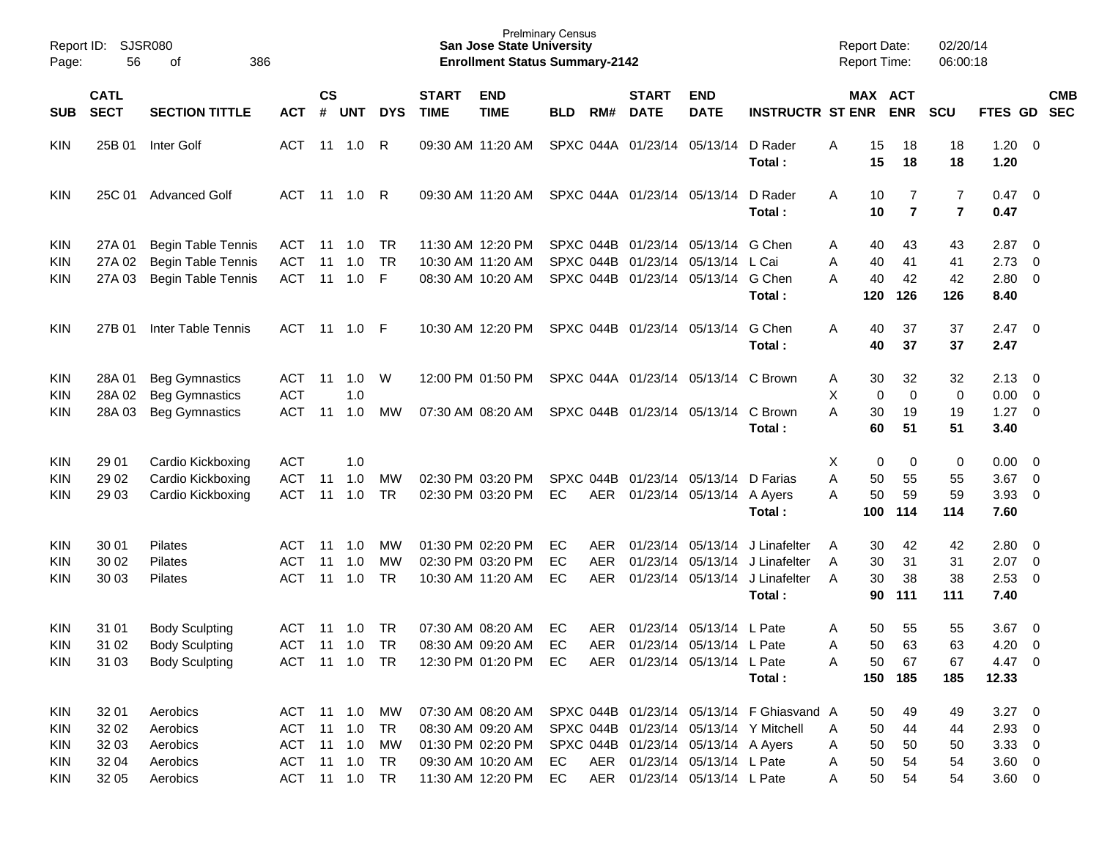|                                 | <b>SJSR080</b><br>Report ID:<br>56<br>386<br>οf |                                                                         |                                 |                |                   |                       |                             | <b>San Jose State University</b>                            | <b>Prelminary Census</b> |            |                             |                                                                                           |                                           | <b>Report Date:</b>                  |                       | 02/20/14              |                                |                                                                       |                          |
|---------------------------------|-------------------------------------------------|-------------------------------------------------------------------------|---------------------------------|----------------|-------------------|-----------------------|-----------------------------|-------------------------------------------------------------|--------------------------|------------|-----------------------------|-------------------------------------------------------------------------------------------|-------------------------------------------|--------------------------------------|-----------------------|-----------------------|--------------------------------|-----------------------------------------------------------------------|--------------------------|
| Page:                           |                                                 |                                                                         |                                 |                |                   |                       |                             | <b>Enrollment Status Summary-2142</b>                       |                          |            |                             |                                                                                           |                                           | Report Time:                         |                       | 06:00:18              |                                |                                                                       |                          |
| <b>SUB</b>                      | <b>CATL</b><br><b>SECT</b>                      | <b>SECTION TITTLE</b>                                                   | <b>ACT</b>                      | <b>CS</b><br># | <b>UNT</b>        | <b>DYS</b>            | <b>START</b><br><b>TIME</b> | <b>END</b><br><b>TIME</b>                                   | <b>BLD</b>               | RM#        | <b>START</b><br><b>DATE</b> | <b>END</b><br><b>DATE</b>                                                                 | <b>INSTRUCTR ST ENR</b>                   |                                      | MAX ACT<br><b>ENR</b> | <b>SCU</b>            | FTES GD                        |                                                                       | <b>CMB</b><br><b>SEC</b> |
| <b>KIN</b>                      | 25B 01                                          | <b>Inter Golf</b>                                                       | ACT                             |                | $11 \quad 1.0$    | R                     |                             | 09:30 AM 11:20 AM                                           |                          |            |                             | SPXC 044A 01/23/14 05/13/14                                                               | D Rader<br>Total:                         | Α<br>15<br>15                        | 18<br>18              | 18<br>18              | 1.20<br>1.20                   | $\overline{\phantom{0}}$                                              |                          |
| <b>KIN</b>                      | 25C 01                                          | <b>Advanced Golf</b>                                                    | ACT                             |                | 11 1.0            | -R                    |                             | 09:30 AM 11:20 AM                                           |                          |            | SPXC 044A 01/23/14 05/13/14 |                                                                                           | D Rader<br>Total:                         | Α<br>10<br>10                        | 7<br>$\overline{7}$   | 7<br>$\overline{7}$   | 0.47<br>0.47                   | $\overline{\phantom{0}}$                                              |                          |
| <b>KIN</b><br><b>KIN</b><br>KIN | 27A 01<br>27A 02<br>27A 03                      | <b>Begin Table Tennis</b><br>Begin Table Tennis<br>Begin Table Tennis   | ACT<br><b>ACT</b><br><b>ACT</b> | 11<br>11<br>11 | 1.0<br>1.0<br>1.0 | TR.<br><b>TR</b><br>F |                             | 11:30 AM 12:20 PM<br>10:30 AM 11:20 AM<br>08:30 AM 10:20 AM |                          |            |                             | SPXC 044B 01/23/14 05/13/14<br>SPXC 044B 01/23/14 05/13/14<br>SPXC 044B 01/23/14 05/13/14 | G Chen<br>L Cai<br>G Chen<br>Total:       | 40<br>Α<br>40<br>Α<br>A<br>40<br>120 | 43<br>41<br>42<br>126 | 43<br>41<br>42<br>126 | 2.87<br>2.73<br>2.80<br>8.40   | $\overline{\phantom{0}}$<br>$\overline{0}$<br>$\overline{\mathbf{0}}$ |                          |
| <b>KIN</b>                      | 27B 01                                          | Inter Table Tennis                                                      |                                 |                | ACT 11 1.0 F      |                       |                             | 10:30 AM 12:20 PM                                           |                          |            | SPXC 044B 01/23/14 05/13/14 |                                                                                           | G Chen<br>Total:                          | 40<br>A<br>40                        | 37<br>37              | 37<br>37              | 2.47<br>2.47                   | $\overline{\phantom{0}}$                                              |                          |
| <b>KIN</b><br><b>KIN</b><br>KIN | 28A 01<br>28A 02<br>28A 03                      | <b>Beg Gymnastics</b><br><b>Beg Gymnastics</b><br><b>Beg Gymnastics</b> | ACT<br><b>ACT</b><br><b>ACT</b> | 11<br>11       | 1.0<br>1.0<br>1.0 | W<br>МW               |                             | 12:00 PM 01:50 PM<br>07:30 AM 08:20 AM                      |                          |            |                             | SPXC 044A 01/23/14 05/13/14 C Brown<br>SPXC 044B 01/23/14 05/13/14                        | C Brown                                   | 30<br>Α<br>Χ<br>0<br>A<br>30         | 32<br>0<br>19         | 32<br>0<br>19         | $2.13 \quad 0$<br>0.00<br>1.27 | $\overline{\phantom{0}}$<br>$\overline{\phantom{0}}$                  |                          |
|                                 |                                                 |                                                                         |                                 |                |                   |                       |                             |                                                             |                          |            |                             |                                                                                           | Total:                                    | 60                                   | 51                    | 51                    | 3.40                           |                                                                       |                          |
| <b>KIN</b>                      | 29 01                                           | Cardio Kickboxing                                                       | <b>ACT</b>                      |                | 1.0               |                       |                             |                                                             |                          |            |                             |                                                                                           |                                           | х<br>0                               | 0                     | 0                     | $0.00 \t 0$                    |                                                                       |                          |
| <b>KIN</b>                      | 29 02                                           | Cardio Kickboxing                                                       | <b>ACT</b>                      | 11             | 1.0               | MW                    |                             | 02:30 PM 03:20 PM                                           | SPXC 044B                |            |                             | 01/23/14 05/13/14                                                                         | D Farias                                  | Α<br>50                              | 55                    | 55                    | 3.67                           | $\overline{\phantom{0}}$                                              |                          |
| KIN                             | 29 03                                           | Cardio Kickboxing                                                       | <b>ACT</b>                      | 11             | 1.0               | <b>TR</b>             |                             | 02:30 PM 03:20 PM                                           | EC                       | AER        |                             | 01/23/14 05/13/14 A Ayers                                                                 | Total:                                    | 50<br>Α<br>100                       | 59<br>114             | 59<br>114             | $3.93$ 0<br>7.60               |                                                                       |                          |
| <b>KIN</b>                      | 30 01                                           | Pilates                                                                 | ACT                             | 11             | 1.0               | МW                    |                             | 01:30 PM 02:20 PM                                           | EC                       | AER.       |                             | 01/23/14 05/13/14                                                                         | J Linafelter                              | 30<br>Α                              | 42                    | 42                    | 2.80                           | $\overline{\phantom{0}}$                                              |                          |
| <b>KIN</b>                      | 30 02                                           | Pilates                                                                 | ACT                             | 11             | 1.0               | MW                    |                             | 02:30 PM 03:20 PM                                           | EC                       | <b>AER</b> |                             | 01/23/14 05/13/14                                                                         | J Linafelter                              | 30<br>A                              | 31                    | 31                    | 2.07                           | $\overline{\phantom{0}}$                                              |                          |
| KIN                             | 30 03                                           | Pilates                                                                 | ACT                             | 11             | 1.0               | <b>TR</b>             |                             | 10:30 AM 11:20 AM                                           | EC                       | <b>AER</b> |                             | 01/23/14 05/13/14                                                                         | J Linafelter<br>Total:                    | 30<br>A<br>90                        | 38<br>111             | 38<br>111             | 2.53<br>7.40                   | $\overline{\phantom{0}}$                                              |                          |
| <b>KIN</b>                      | 31 01                                           | <b>Body Sculpting</b>                                                   | <b>ACT</b>                      | 11             | 1.0               | TR                    |                             | 07:30 AM 08:20 AM                                           | EC                       | AER.       |                             | 01/23/14 05/13/14                                                                         | L Pate                                    | 50<br>Α                              | 55                    | 55                    | 3.67                           | $\overline{\phantom{0}}$                                              |                          |
| <b>KIN</b>                      | 31 02                                           | <b>Body Sculpting</b>                                                   | ACT                             |                | $11 \quad 1.0$    | <b>TR</b>             |                             | 08:30 AM 09:20 AM                                           | EC                       | <b>AER</b> |                             | 01/23/14 05/13/14 L Pate                                                                  |                                           | 50<br>Α                              | 63                    | 63                    | 4.20                           | - 0                                                                   |                          |
| KIN                             | 31 03                                           | <b>Body Sculpting</b>                                                   | ACT 11 1.0 TR                   |                |                   |                       |                             | 12:30 PM 01:20 PM EC                                        |                          |            |                             | AER 01/23/14 05/13/14 L Pate                                                              |                                           | 50<br>Α                              | 67                    | 67                    | 4.47 0                         |                                                                       |                          |
|                                 |                                                 |                                                                         |                                 |                |                   |                       |                             |                                                             |                          |            |                             |                                                                                           | Total:                                    |                                      | 150 185               | 185                   | 12.33                          |                                                                       |                          |
| KIN                             | 32 01                                           | Aerobics                                                                | ACT 11 1.0 MW                   |                |                   |                       |                             | 07:30 AM 08:20 AM                                           |                          |            |                             |                                                                                           | SPXC 044B 01/23/14 05/13/14 F Ghiasvand A | 50                                   | 49                    | 49                    | $3.27 \t 0$                    |                                                                       |                          |
| KIN                             | 32 02                                           | Aerobics                                                                | ACT 11 1.0                      |                |                   | TR                    |                             | 08:30 AM 09:20 AM                                           |                          |            |                             |                                                                                           | SPXC 044B 01/23/14 05/13/14 Y Mitchell    | 50<br>A                              | 44                    | 44                    | $2.93$ 0                       |                                                                       |                          |
| KIN                             | 32 03                                           | Aerobics                                                                | ACT 11 1.0                      |                |                   | MW                    |                             | 01:30 PM 02:20 PM                                           |                          |            |                             | SPXC 044B 01/23/14 05/13/14 A Ayers                                                       |                                           | 50<br>A                              | 50                    | 50                    | $3.33 \ 0$                     |                                                                       |                          |
| KIN                             | 32 04                                           | Aerobics                                                                | ACT 11 1.0                      |                |                   | <b>TR</b>             |                             | 09:30 AM 10:20 AM                                           | EC                       |            |                             | AER 01/23/14 05/13/14 L Pate                                                              |                                           | 50<br>A                              | 54                    | 54                    | $3.60 \ 0$                     |                                                                       |                          |
| KIN                             | 32 05                                           | Aerobics                                                                |                                 |                | ACT 11 1.0 TR     |                       |                             | 11:30 AM 12:20 PM                                           | EC                       |            |                             | AER 01/23/14 05/13/14 L Pate                                                              |                                           | 50<br>A                              | 54                    | 54                    | $3.60 \ 0$                     |                                                                       |                          |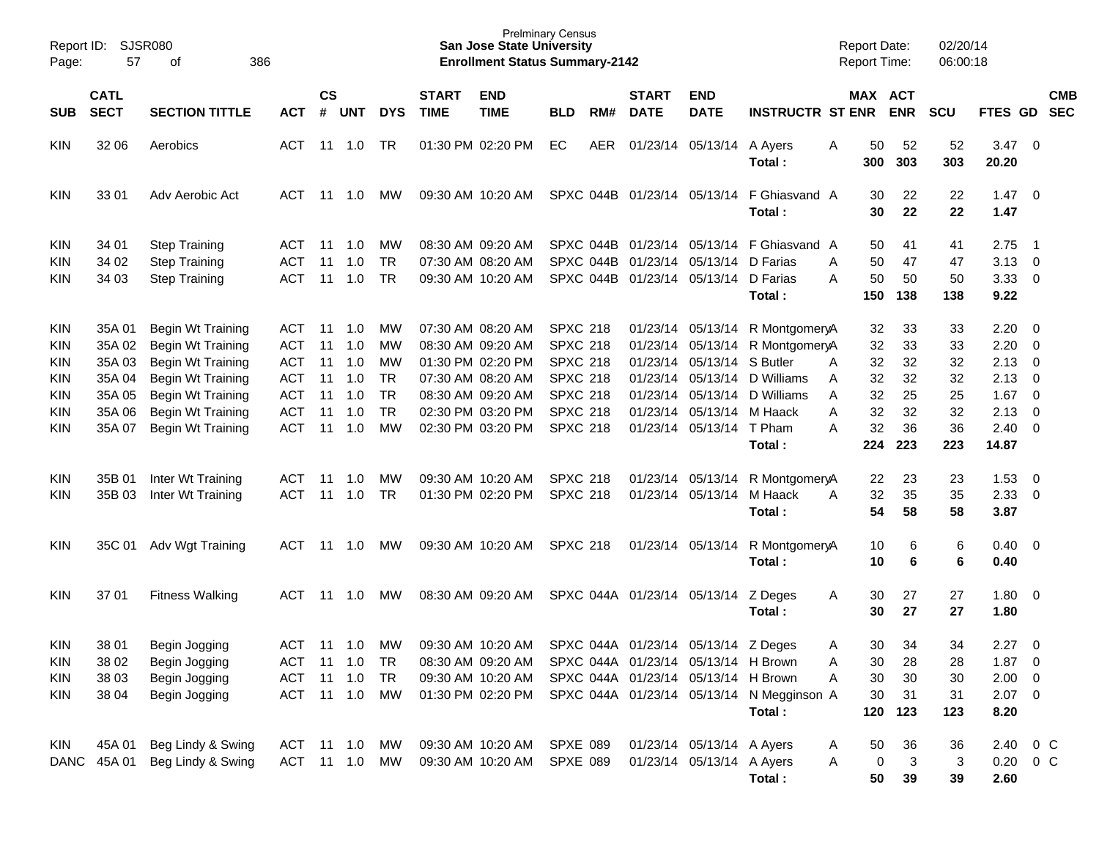| Report ID:<br>Page: | SJSR080<br>57<br>386<br>οf |                        |               |               |                |            |                   | <b>San Jose State University</b><br><b>Enrollment Status Summary-2142</b> | <b>Prelminary Census</b> |     |                                      |                            |                                                     | <b>Report Date:</b><br>Report Time: |           |            | 02/20/14<br>06:00:18 |                |                         |            |
|---------------------|----------------------------|------------------------|---------------|---------------|----------------|------------|-------------------|---------------------------------------------------------------------------|--------------------------|-----|--------------------------------------|----------------------------|-----------------------------------------------------|-------------------------------------|-----------|------------|----------------------|----------------|-------------------------|------------|
|                     | <b>CATL</b>                |                        |               | $\mathsf{cs}$ |                |            | <b>START</b>      | <b>END</b>                                                                |                          |     | <b>START</b>                         | <b>END</b>                 |                                                     |                                     |           | MAX ACT    |                      |                |                         | <b>CMB</b> |
| <b>SUB</b>          | <b>SECT</b>                | <b>SECTION TITTLE</b>  | <b>ACT</b>    | #             | <b>UNT</b>     | <b>DYS</b> | <b>TIME</b>       | <b>TIME</b>                                                               | <b>BLD</b>               | RM# | <b>DATE</b>                          | <b>DATE</b>                | <b>INSTRUCTR ST ENR</b>                             |                                     |           | <b>ENR</b> | <b>SCU</b>           | <b>FTES GD</b> |                         | <b>SEC</b> |
| <b>KIN</b>          | 32 06                      | Aerobics               | <b>ACT</b>    | 11            | 1.0            | TR         |                   | 01:30 PM 02:20 PM                                                         | EC                       | AER |                                      | 01/23/14 05/13/14 A Ayers  | Total :                                             | A                                   | 50<br>300 | 52<br>303  | 52<br>303            | 3.47<br>20.20  | $\overline{\mathbf{0}}$ |            |
| <b>KIN</b>          | 33 01                      | Adv Aerobic Act        | ACT           | 11            | 1.0            | МW         |                   | 09:30 AM 10:20 AM                                                         |                          |     |                                      |                            | SPXC 044B 01/23/14 05/13/14 F Ghiasvand A<br>Total: |                                     | 30<br>30  | 22<br>22   | 22<br>22             | 1.47<br>1.47   | $\overline{\mathbf{0}}$ |            |
| <b>KIN</b>          | 34 01                      | <b>Step Training</b>   | ACT           | 11            | 1.0            | . MW       | 08:30 AM 09:20 AM |                                                                           |                          |     |                                      |                            | SPXC 044B 01/23/14 05/13/14 F Ghiasvand A           |                                     | 50        | 41         | 41                   | 2.75           | - 1                     |            |
| <b>KIN</b>          | 34 02                      | <b>Step Training</b>   | <b>ACT</b>    | 11            | 1.0            | TR         |                   | 07:30 AM 08:20 AM                                                         |                          |     | SPXC 044B 01/23/14 05/13/14 D Farias |                            |                                                     | A                                   | 50        | 47         | 47                   | 3.13           | $\overline{0}$          |            |
| KIN                 | 34 03                      | <b>Step Training</b>   | <b>ACT</b>    | 11            | 1.0            | TR         |                   | 09:30 AM 10:20 AM                                                         |                          |     | SPXC 044B 01/23/14 05/13/14 D Farias |                            |                                                     | A                                   | 50        | 50         | 50                   | 3.33           | $\overline{0}$          |            |
|                     |                            |                        |               |               |                |            |                   |                                                                           |                          |     |                                      |                            | Total:                                              |                                     | 150       | 138        | 138                  | 9.22           |                         |            |
| <b>KIN</b>          | 35A 01                     | Begin Wt Training      | ACT           | 11            | 1.0            | . MW       | 07:30 AM 08:20 AM |                                                                           | <b>SPXC 218</b>          |     |                                      |                            | 01/23/14 05/13/14 R MontgomeryA                     |                                     | 32        | 33         | 33                   | 2.20           | $\overline{\mathbf{0}}$ |            |
| <b>KIN</b>          | 35A 02                     | Begin Wt Training      | <b>ACT</b>    | 11            | 1.0            | MW         |                   | 08:30 AM 09:20 AM                                                         | <b>SPXC 218</b>          |     |                                      |                            | 01/23/14 05/13/14 R MontgomeryA                     |                                     | 32        | 33         | 33                   | 2.20           | $\overline{0}$          |            |
| <b>KIN</b>          | 35A 03                     | Begin Wt Training      | <b>ACT</b>    | 11            | 1.0            | MW         | 01:30 PM 02:20 PM |                                                                           | <b>SPXC 218</b>          |     |                                      | 01/23/14 05/13/14 S Butler |                                                     | A                                   | 32        | 32         | 32                   | 2.13           | $\overline{0}$          |            |
| <b>KIN</b>          | 35A 04                     | Begin Wt Training      | <b>ACT</b>    | 11            | 1.0            | TR         |                   | 07:30 AM 08:20 AM                                                         | <b>SPXC 218</b>          |     |                                      |                            | 01/23/14 05/13/14 D Williams                        | A                                   | 32        | 32         | 32                   | 2.13           | $\mathbf 0$             |            |
| <b>KIN</b>          | 35A 05                     | Begin Wt Training      | <b>ACT</b>    | 11            | 1.0            | TR         |                   | 08:30 AM 09:20 AM                                                         | <b>SPXC 218</b>          |     |                                      |                            | 01/23/14 05/13/14 D Williams                        | A                                   | 32        | 25         | 25                   | 1.67           | $\overline{0}$          |            |
| <b>KIN</b>          | 35A 06                     | Begin Wt Training      | <b>ACT</b>    | 11            | 1.0            | <b>TR</b>  |                   | 02:30 PM 03:20 PM                                                         | <b>SPXC 218</b>          |     |                                      | 01/23/14 05/13/14 M Haack  |                                                     | A                                   | 32        | 32         | 32                   | 2.13           | $\overline{0}$          |            |
| <b>KIN</b>          | 35A 07                     | Begin Wt Training      | <b>ACT</b>    | 11            | 1.0            | MW         |                   | 02:30 PM 03:20 PM                                                         | <b>SPXC 218</b>          |     |                                      | 01/23/14 05/13/14 T Pham   |                                                     | A                                   | 32        | 36         | 36                   | 2.40           | $\overline{\mathbf{0}}$ |            |
|                     |                            |                        |               |               |                |            |                   |                                                                           |                          |     |                                      |                            | Total:                                              |                                     | 224       | 223        | 223                  | 14.87          |                         |            |
| <b>KIN</b>          | 35B 01                     | Inter Wt Training      | <b>ACT</b>    | 11            | 1.0            | МW         |                   | 09:30 AM 10:20 AM                                                         | <b>SPXC 218</b>          |     |                                      |                            | 01/23/14 05/13/14 R MontgomeryA                     |                                     | 22        | 23         | 23                   | 1.53           | 0                       |            |
| <b>KIN</b>          | 35B 03                     | Inter Wt Training      | <b>ACT</b>    | 11            | 1.0            | <b>TR</b>  |                   | 01:30 PM 02:20 PM                                                         | <b>SPXC 218</b>          |     |                                      | 01/23/14 05/13/14 M Haack  |                                                     | A                                   | 32        | 35         | 35                   | 2.33           | $\overline{0}$          |            |
|                     |                            |                        |               |               |                |            |                   |                                                                           |                          |     |                                      |                            | Total:                                              |                                     | 54        | 58         | 58                   | 3.87           |                         |            |
| <b>KIN</b>          | 35C 01                     | Adv Wgt Training       | ACT           | 11            | 1.0            | МW         |                   | 09:30 AM 10:20 AM                                                         | <b>SPXC 218</b>          |     |                                      |                            | 01/23/14 05/13/14 R MontgomeryA<br>Total:           |                                     | 10<br>10  | 6<br>6     | 6<br>6               | 0.40<br>0.40   | $\overline{\mathbf{0}}$ |            |
| <b>KIN</b>          | 37 01                      | <b>Fitness Walking</b> | ACT           | 11            | 1.0            | МW         |                   | 08:30 AM 09:20 AM                                                         |                          |     | SPXC 044A 01/23/14 05/13/14          |                            | Z Deges<br>Total:                                   | A                                   | 30<br>30  | 27<br>27   | 27<br>27             | 1.80<br>1.80   | $\overline{\mathbf{0}}$ |            |
|                     |                            |                        |               |               |                |            |                   |                                                                           |                          |     |                                      |                            |                                                     |                                     |           |            |                      |                |                         |            |
| <b>KIN</b>          | 38 01                      | Begin Jogging          | <b>ACT</b>    | 11            | 1.0            | MW         |                   | 09:30 AM 10:20 AM                                                         |                          |     | SPXC 044A 01/23/14 05/13/14 Z Deges  |                            |                                                     | A                                   | 30        | 34         | 34                   | 2.27           | $\overline{\mathbf{0}}$ |            |
| <b>KIN</b>          | 38 02                      | Begin Jogging          | ACT           |               | 11  1.0        | TR         |                   | 08:30 AM 09:20 AM                                                         |                          |     | SPXC 044A 01/23/14 05/13/14 H Brown  |                            |                                                     | Α                                   | 30        | 28         | 28                   | $1.87 \t 0$    |                         |            |
| <b>KIN</b>          | 38 03                      | Begin Jogging          | <b>ACT</b>    | 11            | 1.0            | <b>TR</b>  |                   | 09:30 AM 10:20 AM                                                         |                          |     | SPXC 044A 01/23/14 05/13/14 H Brown  |                            |                                                     | Α                                   | 30        | 30         | 30                   | $2.00 \t 0$    |                         |            |
| <b>KIN</b>          | 38 04                      | Begin Jogging          | <b>ACT</b>    |               | $11 \quad 1.0$ | MW         |                   | 01:30 PM 02:20 PM                                                         |                          |     |                                      |                            | SPXC 044A 01/23/14 05/13/14 N Megginson A           |                                     | 30        | 31         | 31                   | $2.07$ 0       |                         |            |
|                     |                            |                        |               |               |                |            |                   |                                                                           |                          |     |                                      |                            | Total:                                              |                                     | 120       | 123        | 123                  | 8.20           |                         |            |
| KIN                 | 45A 01                     | Beg Lindy & Swing      | ACT 11 1.0 MW |               |                |            |                   | 09:30 AM 10:20 AM                                                         | SPXE 089                 |     |                                      | 01/23/14 05/13/14 A Ayers  |                                                     | A                                   | 50        | 36         | 36                   | 2.40           | $0\,$ C                 |            |
| <b>DANC</b>         | 45A 01                     | Beg Lindy & Swing      | ACT           |               | 11  1.0        | MW         |                   | 09:30 AM 10:20 AM                                                         | SPXE 089                 |     |                                      | 01/23/14 05/13/14 A Ayers  |                                                     | Α                                   | 0         | 3          | 3                    | $0.20 \t 0 C$  |                         |            |
|                     |                            |                        |               |               |                |            |                   |                                                                           |                          |     |                                      |                            | Total:                                              |                                     | 50        | 39         | 39                   | 2.60           |                         |            |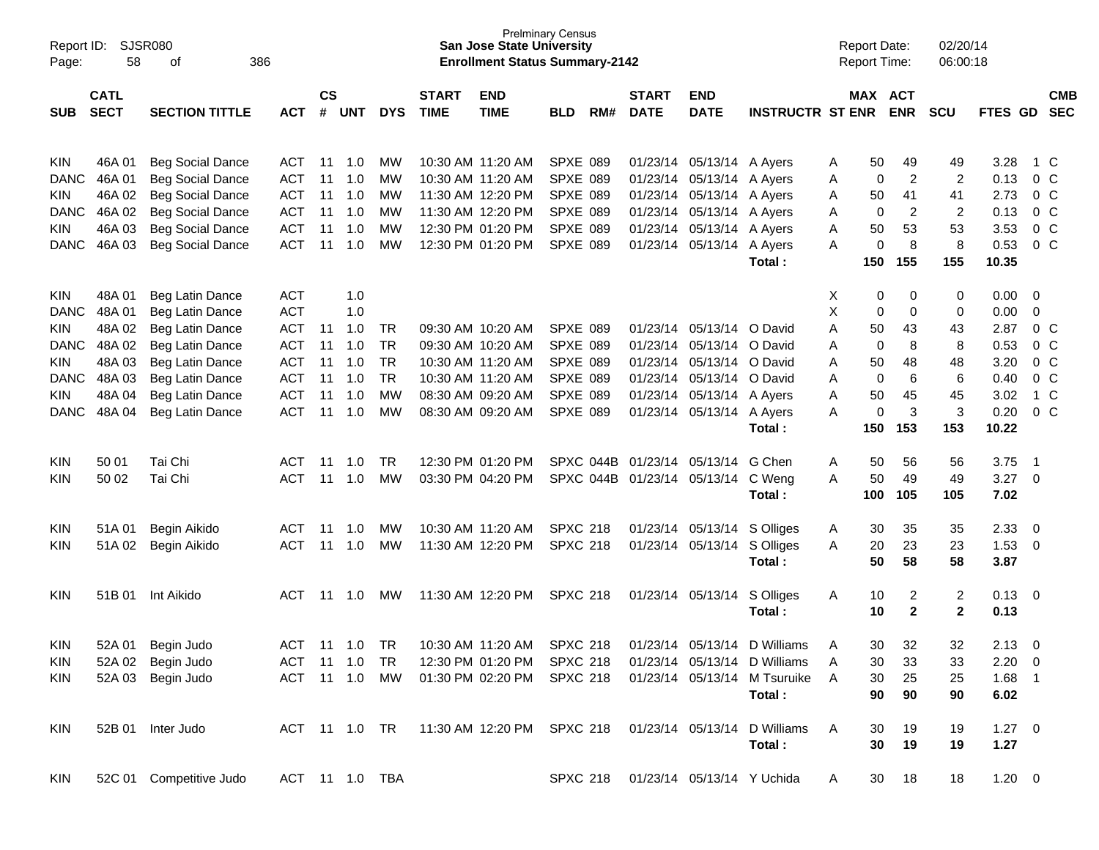| Page:       | SJSR080<br>Report ID:<br>58<br>386<br>of<br><b>CATL</b> |                         |                |                |            |            |                             | <b>San Jose State University</b><br><b>Enrollment Status Summary-2142</b> | <b>Prelminary Census</b> |     |                             |                             |                              |   | <b>Report Date:</b><br><b>Report Time:</b> |                         | 02/20/14<br>06:00:18 |             |                          |            |
|-------------|---------------------------------------------------------|-------------------------|----------------|----------------|------------|------------|-----------------------------|---------------------------------------------------------------------------|--------------------------|-----|-----------------------------|-----------------------------|------------------------------|---|--------------------------------------------|-------------------------|----------------------|-------------|--------------------------|------------|
| SUB.        | <b>SECT</b>                                             | <b>SECTION TITTLE</b>   | <b>ACT</b>     | <b>CS</b><br># | <b>UNT</b> | <b>DYS</b> | <b>START</b><br><b>TIME</b> | <b>END</b><br><b>TIME</b>                                                 | <b>BLD</b>               | RM# | <b>START</b><br><b>DATE</b> | <b>END</b><br><b>DATE</b>   | <b>INSTRUCTR ST ENR</b>      |   |                                            | MAX ACT<br><b>ENR</b>   | <b>SCU</b>           | FTES GD SEC |                          | <b>CMB</b> |
|             |                                                         |                         |                |                |            |            |                             |                                                                           |                          |     |                             |                             |                              |   |                                            |                         |                      |             |                          |            |
| <b>KIN</b>  | 46A 01                                                  | <b>Beg Social Dance</b> | ACT            | -11            | 1.0        | <b>MW</b>  |                             | 10:30 AM 11:20 AM                                                         | SPXE 089                 |     |                             | 01/23/14 05/13/14 A Ayers   |                              | A | 50                                         | 49                      | 49                   | 3.28        | 1 C                      |            |
| <b>DANC</b> | 46A 01                                                  | <b>Beg Social Dance</b> | <b>ACT</b>     | 11             | 1.0        | MW         |                             | 10:30 AM 11:20 AM                                                         | <b>SPXE 089</b>          |     |                             | 01/23/14 05/13/14 A Ayers   |                              | A | 0                                          | $\overline{\mathbf{c}}$ | $\overline{c}$       | 0.13        | 0 <sup>o</sup>           |            |
| <b>KIN</b>  | 46A 02                                                  | <b>Beg Social Dance</b> | <b>ACT</b>     | 11             | 1.0        | MW         |                             | 11:30 AM 12:20 PM                                                         | SPXE 089                 |     |                             | 01/23/14 05/13/14 A Ayers   |                              | A | 50                                         | 41                      | 41                   | 2.73        | 0 <sup>o</sup>           |            |
| <b>DANC</b> | 46A 02                                                  | <b>Beg Social Dance</b> | <b>ACT</b>     | 11             | 1.0        | MW         |                             | 11:30 AM 12:20 PM                                                         | <b>SPXE 089</b>          |     |                             | 01/23/14 05/13/14 A Ayers   |                              | A | 0                                          | $\overline{\mathbf{c}}$ | $\overline{c}$       | 0.13        | 0 <sup>o</sup>           |            |
| <b>KIN</b>  | 46A 03                                                  | <b>Beg Social Dance</b> | <b>ACT</b>     | 11             | 1.0        | MW         |                             | 12:30 PM 01:20 PM                                                         | <b>SPXE 089</b>          |     |                             | 01/23/14 05/13/14 A Ayers   |                              | Α | 50                                         | 53                      | 53                   | 3.53        | 0 <sup>o</sup>           |            |
| <b>DANC</b> | 46A 03                                                  | <b>Beg Social Dance</b> | <b>ACT</b>     | 11             | 1.0        | MW         |                             | 12:30 PM 01:20 PM                                                         | <b>SPXE 089</b>          |     |                             | 01/23/14 05/13/14 A Ayers   |                              | Α | 0                                          | 8                       | 8                    | 0.53        | 0 <sup>o</sup>           |            |
|             |                                                         |                         |                |                |            |            |                             |                                                                           |                          |     |                             |                             | Total :                      |   | 150                                        | 155                     | 155                  | 10.35       |                          |            |
|             |                                                         |                         |                |                |            |            |                             |                                                                           |                          |     |                             |                             |                              |   |                                            |                         |                      |             |                          |            |
| <b>KIN</b>  | 48A 01                                                  | Beg Latin Dance         | <b>ACT</b>     |                | 1.0        |            |                             |                                                                           |                          |     |                             |                             |                              | X | 0                                          | 0                       | 0                    | 0.00        | $\overline{\mathbf{0}}$  |            |
| <b>DANC</b> | 48A 01                                                  | Beg Latin Dance         | <b>ACT</b>     |                | 1.0        |            |                             |                                                                           |                          |     |                             |                             |                              | X | 0                                          | 0                       | 0                    | 0.00        | 0                        |            |
| <b>KIN</b>  | 48A 02                                                  | Beg Latin Dance         | <b>ACT</b>     | 11             | 1.0        | TR         |                             | 09:30 AM 10:20 AM                                                         | <b>SPXE 089</b>          |     |                             | 01/23/14 05/13/14 O David   |                              | Α | 50                                         | 43                      | 43                   | 2.87        | $0\,$ C                  |            |
| <b>DANC</b> | 48A 02                                                  | Beg Latin Dance         | <b>ACT</b>     | 11             | 1.0        | <b>TR</b>  |                             | 09:30 AM 10:20 AM                                                         | SPXE 089                 |     |                             | 01/23/14 05/13/14 O David   |                              | Α | 0                                          | 8                       | 8                    | 0.53        | 0 <sup>o</sup>           |            |
| <b>KIN</b>  | 48A 03                                                  | Beg Latin Dance         | <b>ACT</b>     | 11             | 1.0        | <b>TR</b>  |                             | 10:30 AM 11:20 AM                                                         | SPXE 089                 |     |                             | 01/23/14 05/13/14 O David   |                              | Α | 50                                         | 48                      | 48                   | 3.20        | 0 <sup>o</sup>           |            |
| <b>DANC</b> | 48A 03                                                  | Beg Latin Dance         | <b>ACT</b>     | 11             | 1.0        | <b>TR</b>  |                             | 10:30 AM 11:20 AM                                                         | <b>SPXE 089</b>          |     |                             | 01/23/14 05/13/14 O David   |                              | Α | 0                                          | 6                       | $\,6$                | 0.40        | 0 <sup>o</sup>           |            |
| <b>KIN</b>  | 48A 04                                                  | Beg Latin Dance         | <b>ACT</b>     | 11             | 1.0        | MW         |                             | 08:30 AM 09:20 AM                                                         | <b>SPXE 089</b>          |     |                             | 01/23/14 05/13/14 A Ayers   |                              | A | 50                                         | 45                      | 45                   | 3.02        | $1\,C$                   |            |
| <b>DANC</b> | 48A 04                                                  | Beg Latin Dance         | <b>ACT</b>     | 11             | 1.0        | MW         |                             | 08:30 AM 09:20 AM                                                         | SPXE 089                 |     |                             | 01/23/14 05/13/14 A Ayers   |                              | Α | 0                                          | 3                       | 3                    | 0.20        | 0 <sup>o</sup>           |            |
|             |                                                         |                         |                |                |            |            |                             |                                                                           |                          |     |                             |                             | Total:                       |   | 150                                        | 153                     | 153                  | 10.22       |                          |            |
|             |                                                         |                         |                |                |            |            |                             |                                                                           |                          |     |                             |                             |                              |   |                                            |                         |                      |             |                          |            |
| <b>KIN</b>  | 50 01                                                   | Tai Chi                 | ACT            | 11             | 1.0        | TR         |                             | 12:30 PM 01:20 PM                                                         |                          |     | SPXC 044B 01/23/14 05/13/14 |                             | G Chen                       | A | 50                                         | 56                      | 56                   | 3.75        | - 1                      |            |
| KIN         | 50 02                                                   | Tai Chi                 | <b>ACT</b>     | 11             | 1.0        | <b>MW</b>  |                             | 03:30 PM 04:20 PM                                                         |                          |     |                             | SPXC 044B 01/23/14 05/13/14 | C Weng                       | A | 50                                         | 49                      | 49                   | 3.27        | $\overline{\phantom{0}}$ |            |
|             |                                                         |                         |                |                |            |            |                             |                                                                           |                          |     |                             |                             | Total:                       |   | 100                                        | 105                     | 105                  | 7.02        |                          |            |
| <b>KIN</b>  | 51A 01                                                  | Begin Aikido            | ACT            | -11            | 1.0        | MW         |                             | 10:30 AM 11:20 AM                                                         | <b>SPXC 218</b>          |     |                             | 01/23/14 05/13/14           | S Olliges                    | A | 30                                         | 35                      | 35                   | 2.33        | $\overline{\mathbf{0}}$  |            |
| KIN         | 51A 02                                                  | Begin Aikido            | <b>ACT</b>     | 11             | 1.0        | MW         |                             | 11:30 AM 12:20 PM                                                         | <b>SPXC 218</b>          |     |                             | 01/23/14 05/13/14           | S Olliges                    | Α | 20                                         | 23                      | 23                   | 1.53        | $\overline{\mathbf{0}}$  |            |
|             |                                                         |                         |                |                |            |            |                             |                                                                           |                          |     |                             |                             | Total:                       |   | 50                                         | 58                      | 58                   | 3.87        |                          |            |
|             |                                                         |                         |                |                |            |            |                             |                                                                           |                          |     |                             |                             |                              |   |                                            |                         |                      |             |                          |            |
| <b>KIN</b>  | 51B 01                                                  | Int Aikido              | ACT            | 11             | 1.0        | MW         |                             | 11:30 AM 12:20 PM                                                         | <b>SPXC 218</b>          |     |                             | 01/23/14 05/13/14           | S Olliges                    | A | 10                                         | 2                       | $\overline{c}$       | 0.13        | $\overline{\mathbf{0}}$  |            |
|             |                                                         |                         |                |                |            |            |                             |                                                                           |                          |     |                             |                             | Total:                       |   | 10                                         | $\mathbf{2}$            | $\mathbf{2}$         | 0.13        |                          |            |
|             |                                                         |                         |                |                |            |            |                             |                                                                           |                          |     |                             |                             |                              |   |                                            |                         |                      |             |                          |            |
| <b>KIN</b>  | 52A 01                                                  | Begin Judo              | ACT            | -11            | 1.0        | TR         |                             | 10:30 AM 11:20 AM                                                         | <b>SPXC 218</b>          |     |                             | 01/23/14 05/13/14           | D Williams                   | A | 30                                         | 32                      | 32                   | 2.13        | 0                        |            |
| <b>KIN</b>  |                                                         | 52A 02 Begin Judo       | ACT            |                | 11  1.0    | TR         |                             | 12:30 PM 01:20 PM                                                         | <b>SPXC 218</b>          |     |                             |                             | 01/23/14 05/13/14 D Williams |   | 30                                         | 33                      | 33                   | $2.20 \t 0$ |                          |            |
| <b>KIN</b>  |                                                         | 52A 03 Begin Judo       | ACT            |                | 11 1.0     | MW         |                             | 01:30 PM 02:20 PM                                                         | <b>SPXC 218</b>          |     |                             |                             | 01/23/14 05/13/14 M Tsuruike | Α | 30                                         | 25                      | 25                   | $1.68$ 1    |                          |            |
|             |                                                         |                         |                |                |            |            |                             |                                                                           |                          |     |                             |                             | Total:                       |   | 90                                         | 90                      | 90                   | 6.02        |                          |            |
|             |                                                         |                         |                |                |            |            |                             |                                                                           |                          |     |                             |                             |                              |   |                                            |                         |                      |             |                          |            |
| KIN         |                                                         | 52B 01 Inter Judo       | ACT 11 1.0 TR  |                |            |            |                             | 11:30 AM 12:20 PM SPXC 218                                                |                          |     |                             | 01/23/14 05/13/14           | D Williams                   | Α | 30                                         | 19                      | 19                   | $1.27 \t 0$ |                          |            |
|             |                                                         |                         |                |                |            |            |                             |                                                                           |                          |     |                             |                             | Total:                       |   | 30                                         | 19                      | 19                   | 1.27        |                          |            |
|             |                                                         |                         |                |                |            |            |                             |                                                                           |                          |     |                             |                             |                              |   |                                            |                         |                      |             |                          |            |
| <b>KIN</b>  |                                                         | 52C 01 Competitive Judo | ACT 11 1.0 TBA |                |            |            |                             |                                                                           | <b>SPXC 218</b>          |     |                             | 01/23/14 05/13/14 Y Uchida  |                              | A | 30                                         | 18                      | 18                   | $1.20 \t 0$ |                          |            |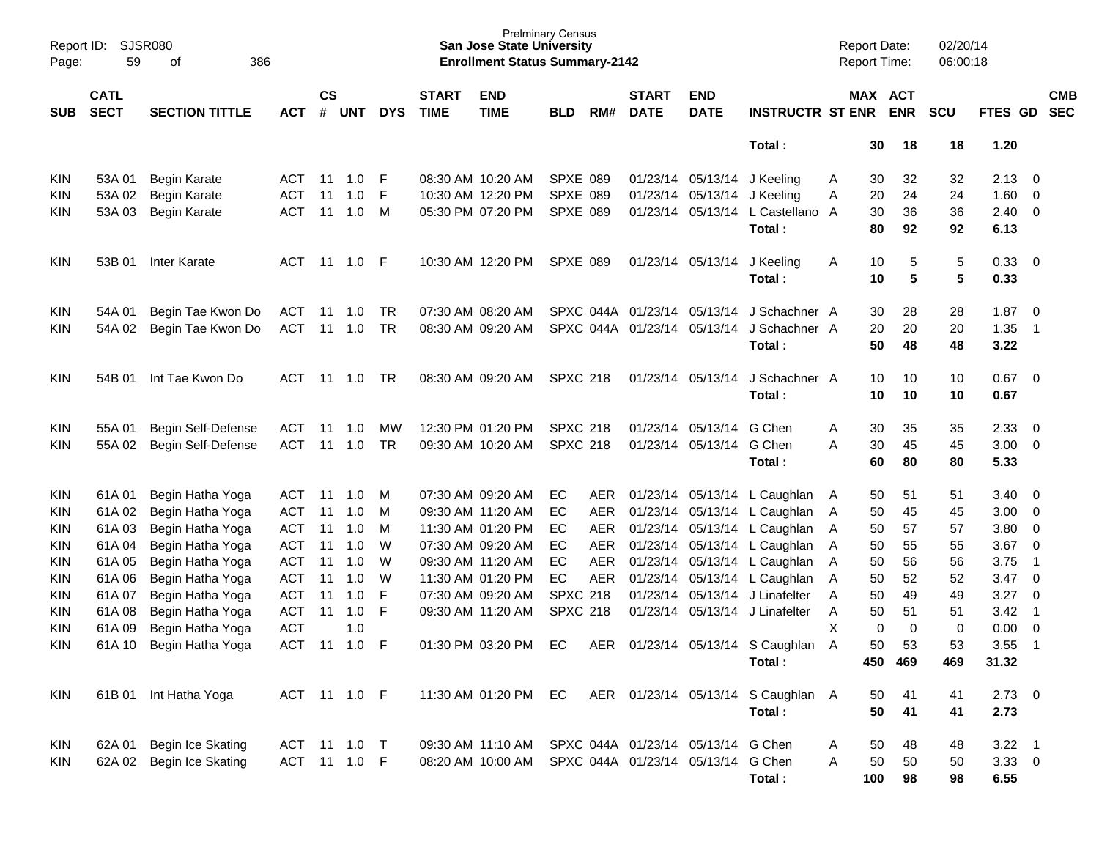| Page:      | SJSR080<br>Report ID:<br>59<br>386<br>of<br><b>CATL</b> |                       |              |                    |                |            |                             | <b>San Jose State University</b><br><b>Enrollment Status Summary-2142</b> | <b>Prelminary Census</b> |            |                             |                                    |                                    | <b>Report Date:</b><br><b>Report Time:</b> |          | 02/20/14<br>06:00:18 |            |                            |                          |
|------------|---------------------------------------------------------|-----------------------|--------------|--------------------|----------------|------------|-----------------------------|---------------------------------------------------------------------------|--------------------------|------------|-----------------------------|------------------------------------|------------------------------------|--------------------------------------------|----------|----------------------|------------|----------------------------|--------------------------|
| <b>SUB</b> | <b>SECT</b>                                             | <b>SECTION TITTLE</b> | <b>ACT</b>   | $\mathsf{cs}$<br># | <b>UNT</b>     | <b>DYS</b> | <b>START</b><br><b>TIME</b> | <b>END</b><br><b>TIME</b>                                                 | <b>BLD</b>               | RM#        | <b>START</b><br><b>DATE</b> | <b>END</b><br><b>DATE</b>          | <b>INSTRUCTR ST ENR ENR</b>        |                                            | MAX ACT  | SCU                  | FTES GD    |                            | <b>CMB</b><br><b>SEC</b> |
|            |                                                         |                       |              |                    |                |            |                             |                                                                           |                          |            |                             |                                    | Total:                             |                                            | 30<br>18 | 18                   | 1.20       |                            |                          |
| <b>KIN</b> | 53A 01                                                  | Begin Karate          | <b>ACT</b>   | 11                 | 1.0            | F          |                             | 08:30 AM 10:20 AM                                                         | SPXE 089                 |            |                             | 01/23/14 05/13/14 J Keeling        |                                    | A                                          | 32<br>30 | 32                   | 2.13       | 0                          |                          |
| KIN        | 53A 02                                                  | Begin Karate          | ACT          | 11                 | 1.0            | F          |                             | 10:30 AM 12:20 PM                                                         | SPXE 089                 |            |                             | 01/23/14 05/13/14 J Keeling        |                                    | Α                                          | 24<br>20 | 24                   | 1.60       | 0                          |                          |
| KIN        | 53A 03                                                  | Begin Karate          | ACT          | 11                 | 1.0            | M          |                             | 05:30 PM 07:20 PM                                                         | SPXE 089                 |            |                             |                                    | 01/23/14 05/13/14 L Castellano A   |                                            | 30<br>36 | 36                   | 2.40       | $\overline{0}$             |                          |
|            |                                                         |                       |              |                    |                |            |                             |                                                                           |                          |            |                             |                                    | Total:                             | 80                                         | 92       | 92                   | 6.13       |                            |                          |
| KIN        | 53B 01                                                  | <b>Inter Karate</b>   | <b>ACT</b>   |                    | 11  1.0        | -F         |                             | 10:30 AM 12:20 PM                                                         | SPXE 089                 |            |                             | 01/23/14 05/13/14                  | J Keeling                          | A                                          | 10<br>5  | 5                    | 0.33       | $\overline{0}$             |                          |
|            |                                                         |                       |              |                    |                |            |                             |                                                                           |                          |            |                             |                                    | Total:                             |                                            | 5<br>10  | 5                    | 0.33       |                            |                          |
| KIN        | 54A 01                                                  | Begin Tae Kwon Do     | ACT          | 11                 | 1.0            | <b>TR</b>  |                             | 07:30 AM 08:20 AM                                                         |                          |            |                             | SPXC 044A 01/23/14 05/13/14        | J Schachner A                      |                                            | 30<br>28 | 28                   | 1.87       | $\overline{0}$             |                          |
| KIN        | 54A 02                                                  | Begin Tae Kwon Do     | <b>ACT</b>   |                    | $11 \quad 1.0$ | TR         |                             | 08:30 AM 09:20 AM                                                         |                          |            |                             | SPXC 044A 01/23/14 05/13/14        | J Schachner A                      |                                            | 20<br>20 | 20                   | 1.35       | $\overline{1}$             |                          |
|            |                                                         |                       |              |                    |                |            |                             |                                                                           |                          |            |                             |                                    | Total:                             |                                            | 50<br>48 | 48                   | 3.22       |                            |                          |
| KIN        | 54B 01                                                  | Int Tae Kwon Do       | ACT          |                    | 11 1.0         | <b>TR</b>  |                             | 08:30 AM 09:20 AM                                                         | <b>SPXC 218</b>          |            |                             | 01/23/14 05/13/14                  | J Schachner A                      |                                            | 10<br>10 | 10                   | 0.67       | $\overline{\mathbf{0}}$    |                          |
|            |                                                         |                       |              |                    |                |            |                             |                                                                           |                          |            |                             |                                    | Total:                             |                                            | 10<br>10 | 10                   | 0.67       |                            |                          |
| <b>KIN</b> | 55A 01                                                  | Begin Self-Defense    | <b>ACT</b>   | 11                 | 1.0            | МW         |                             | 12:30 PM 01:20 PM                                                         | <b>SPXC 218</b>          |            |                             | 01/23/14 05/13/14 G Chen           |                                    | Α                                          | 30<br>35 | 35                   | 2.33       | 0                          |                          |
| KIN        | 55A 02                                                  | Begin Self-Defense    | <b>ACT</b>   |                    | $11 \quad 1.0$ | <b>TR</b>  |                             | 09:30 AM 10:20 AM                                                         | <b>SPXC 218</b>          |            |                             | 01/23/14 05/13/14 G Chen           |                                    | A                                          | 30<br>45 | 45                   | 3.00       | $\overline{\mathbf{0}}$    |                          |
|            |                                                         |                       |              |                    |                |            |                             |                                                                           |                          |            |                             |                                    | Total:                             | 60                                         | 80       | 80                   | 5.33       |                            |                          |
| <b>KIN</b> | 61A 01                                                  | Begin Hatha Yoga      | ACT          | 11                 | 1.0            | M          |                             | 07:30 AM 09:20 AM                                                         | EC                       | AER        |                             |                                    | 01/23/14 05/13/14 L Caughlan       | $\overline{A}$                             | 51<br>50 | 51                   | 3.40       | 0                          |                          |
| KIN        | 61A 02                                                  | Begin Hatha Yoga      | ACT          | 11                 | 1.0            | M          |                             | 09:30 AM 11:20 AM                                                         | EC                       | <b>AER</b> |                             |                                    | 01/23/14 05/13/14 L Caughlan       | 50<br>A                                    | 45       | 45                   | 3.00       | 0                          |                          |
| KIN        | 61A 03                                                  | Begin Hatha Yoga      | <b>ACT</b>   | 11                 | 1.0            | M          |                             | 11:30 AM 01:20 PM                                                         | EC                       | <b>AER</b> |                             |                                    | 01/23/14 05/13/14 L Caughlan       | 50<br>A                                    | 57       | 57                   | 3.80       | 0                          |                          |
| KIN        | 61A 04                                                  | Begin Hatha Yoga      | ACT          | 11                 | 1.0            | W          |                             | 07:30 AM 09:20 AM                                                         | EС                       | AER        |                             |                                    | 01/23/14 05/13/14 L Caughlan       | 50<br>A                                    | 55       | 55                   | 3.67       | 0                          |                          |
| KIN        | 61A 05                                                  | Begin Hatha Yoga      | ACT          | 11                 | 1.0            | W          |                             | 09:30 AM 11:20 AM                                                         | EC                       | AER        |                             |                                    | 01/23/14 05/13/14 L Caughlan       | 50<br>A                                    | 56       | 56                   | 3.75       | $\overline{1}$             |                          |
| KIN        | 61A 06                                                  | Begin Hatha Yoga      | <b>ACT</b>   | 11                 | 1.0            | W          |                             | 11:30 AM 01:20 PM                                                         | <b>EC</b>                | <b>AER</b> |                             |                                    | 01/23/14 05/13/14 L Caughlan       | 50<br>A                                    | 52       | 52                   | 3.47       | $\overline{0}$             |                          |
| KIN        | 61A 07                                                  | Begin Hatha Yoga      | <b>ACT</b>   | 11                 | 1.0            | F          |                             | 07:30 AM 09:20 AM                                                         | <b>SPXC 218</b>          |            |                             |                                    | 01/23/14 05/13/14 J Linafelter     | 50<br>A                                    | 49       | 49                   | 3.27       | 0                          |                          |
| KIN        | 61A 08                                                  | Begin Hatha Yoga      | <b>ACT</b>   | 11                 | 1.0            | F          |                             | 09:30 AM 11:20 AM                                                         | <b>SPXC 218</b>          |            |                             |                                    | 01/23/14 05/13/14 J Linafelter     | 50<br>A                                    | 51       | 51                   | 3.42       | $\overline{\phantom{0}}$ 1 |                          |
| KIN        | 61A 09                                                  | Begin Hatha Yoga      | <b>ACT</b>   |                    | 1.0            |            |                             |                                                                           |                          |            |                             |                                    |                                    | Χ                                          | 0<br>0   | 0                    | 0.00       | $\overline{0}$             |                          |
| <b>KIN</b> | 61A 10                                                  | Begin Hatha Yoga      | <b>ACT</b>   |                    | $11 \quad 1.0$ | F          |                             | 01:30 PM 03:20 PM                                                         | EC                       | <b>AER</b> |                             |                                    | 01/23/14 05/13/14 S Caughlan A     |                                            | 50<br>53 | 53                   | 3.55       | $\overline{1}$             |                          |
|            |                                                         |                       |              |                    |                |            |                             |                                                                           |                          |            |                             |                                    | Total:                             |                                            | 450 469  | 469                  | 31.32      |                            |                          |
| <b>KIN</b> |                                                         | 61B 01 Int Hatha Yoga | ACT 11 1.0 F |                    |                |            |                             | 11:30 AM 01:20 PM EC                                                      |                          |            |                             |                                    | AER 01/23/14 05/13/14 S Caughlan A |                                            | 41<br>50 | 41                   | $2.73$ 0   |                            |                          |
|            |                                                         |                       |              |                    |                |            |                             |                                                                           |                          |            |                             |                                    | Total:                             |                                            | 50<br>41 | 41                   | 2.73       |                            |                          |
| KIN        | 62A 01                                                  | Begin Ice Skating     | ACT 11 1.0 T |                    |                |            |                             | 09:30 AM 11:10 AM                                                         |                          |            |                             | SPXC 044A 01/23/14 05/13/14 G Chen |                                    | 50<br>A                                    | 48       | 48                   | $3.22$ 1   |                            |                          |
| KIN.       | 62A 02                                                  | Begin Ice Skating     | ACT          |                    | 11 1.0 F       |            |                             | 08:20 AM 10:00 AM                                                         |                          |            |                             | SPXC 044A 01/23/14 05/13/14 G Chen |                                    | А<br>50                                    | 50       | 50                   | $3.33 \ 0$ |                            |                          |
|            |                                                         |                       |              |                    |                |            |                             |                                                                           |                          |            |                             |                                    | Total:                             | 100                                        | 98       | 98                   | 6.55       |                            |                          |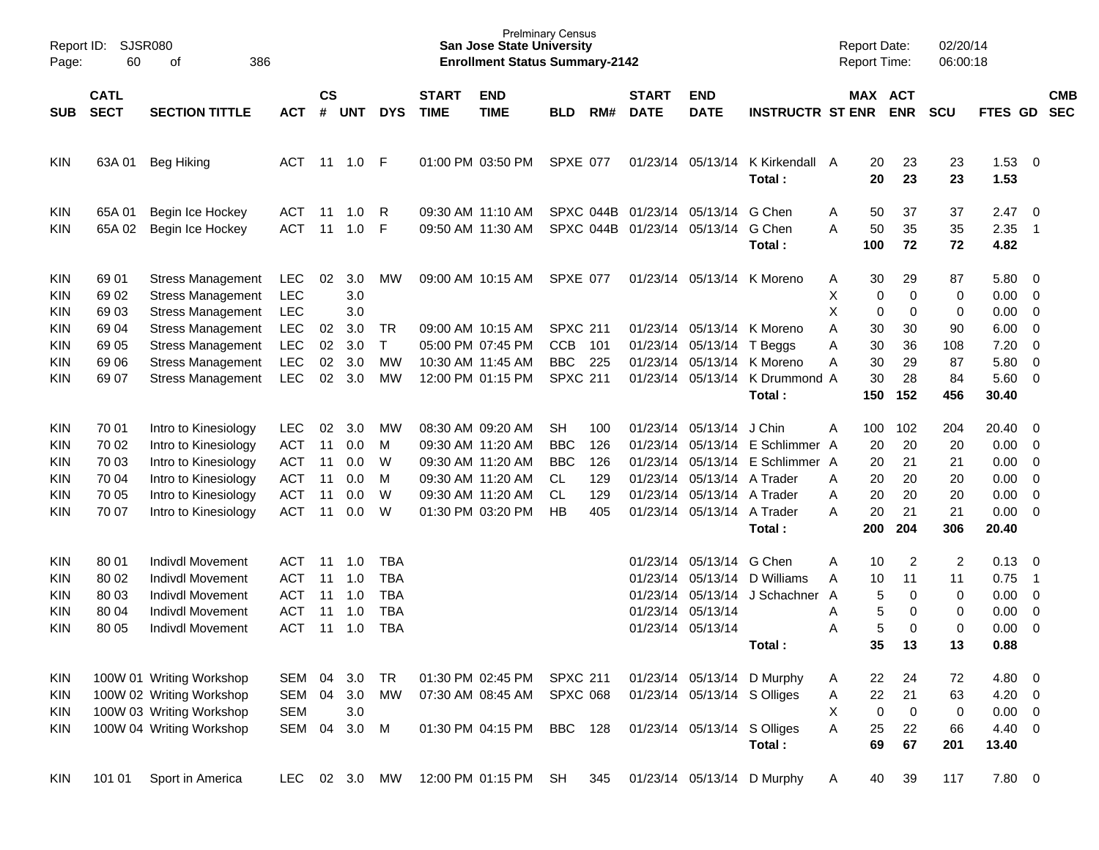| Report ID:<br>Page:                    | 60                                                 | SJSR080<br>386<br>οf                                                                                                                         |                                                                                  |                                  |                                        |                                                                    |                             | <b>San Jose State University</b><br><b>Enrollment Status Summary-2142</b>                                                  | <b>Prelminary Census</b>                                              |                                        |                                              |                                                                                                  |                                                                                             | <b>Report Date:</b><br>Report Time:                          |                                             | 02/20/14<br>06:00:18                      |                                                        |                                                                                                                                                          |                          |
|----------------------------------------|----------------------------------------------------|----------------------------------------------------------------------------------------------------------------------------------------------|----------------------------------------------------------------------------------|----------------------------------|----------------------------------------|--------------------------------------------------------------------|-----------------------------|----------------------------------------------------------------------------------------------------------------------------|-----------------------------------------------------------------------|----------------------------------------|----------------------------------------------|--------------------------------------------------------------------------------------------------|---------------------------------------------------------------------------------------------|--------------------------------------------------------------|---------------------------------------------|-------------------------------------------|--------------------------------------------------------|----------------------------------------------------------------------------------------------------------------------------------------------------------|--------------------------|
| <b>SUB</b>                             | <b>CATL</b><br><b>SECT</b>                         | <b>SECTION TITTLE</b>                                                                                                                        | ACT                                                                              | $\mathsf{cs}$<br>#               | <b>UNT</b>                             | <b>DYS</b>                                                         | <b>START</b><br><b>TIME</b> | <b>END</b><br><b>TIME</b>                                                                                                  | <b>BLD</b>                                                            | RM#                                    | <b>START</b><br><b>DATE</b>                  | <b>END</b><br><b>DATE</b>                                                                        | <b>INSTRUCTR ST ENR</b>                                                                     |                                                              | MAX ACT<br><b>ENR</b>                       | <b>SCU</b>                                | FTES GD                                                |                                                                                                                                                          | <b>CMB</b><br><b>SEC</b> |
| KIN                                    | 63A 01                                             | <b>Beg Hiking</b>                                                                                                                            | ACT                                                                              | 11                               | 1.0                                    | F                                                                  |                             | 01:00 PM 03:50 PM                                                                                                          | <b>SPXE 077</b>                                                       |                                        |                                              |                                                                                                  | 01/23/14 05/13/14 K Kirkendall A<br>Total:                                                  | 20<br>20                                                     | 23<br>23                                    | 23<br>23                                  | $1.53 \t 0$<br>1.53                                    |                                                                                                                                                          |                          |
| KIN<br>KIN                             | 65A 01<br>65A 02                                   | Begin Ice Hockey<br>Begin Ice Hockey                                                                                                         | <b>ACT</b><br><b>ACT</b>                                                         | 11<br>11                         | 1.0<br>1.0                             | R<br>F                                                             |                             | 09:30 AM 11:10 AM<br>09:50 AM 11:30 AM                                                                                     |                                                                       | SPXC 044B                              |                                              | SPXC 044B 01/23/14 05/13/14 G Chen<br>01/23/14 05/13/14 G Chen                                   | Total:                                                                                      | 50<br>Α<br>A<br>50<br>100                                    | 37<br>35<br>72                              | 37<br>35<br>72                            | 2.47<br>2.35<br>4.82                                   | $\overline{\mathbf{0}}$<br>$\overline{1}$                                                                                                                |                          |
| KIN<br>KIN<br><b>KIN</b>               | 69 01<br>69 02<br>69 03                            | <b>Stress Management</b><br><b>Stress Management</b><br><b>Stress Management</b>                                                             | LEC<br><b>LEC</b><br><b>LEC</b>                                                  | 02                               | 3.0<br>3.0<br>3.0                      | МW                                                                 |                             | 09:00 AM 10:15 AM                                                                                                          | SPXE 077                                                              |                                        |                                              |                                                                                                  | 01/23/14 05/13/14 K Moreno                                                                  | 30<br>Α<br>X<br>X                                            | 29<br>$\pmb{0}$<br>0<br>0<br>0              | 87<br>0<br>0                              | 5.80 0<br>0.00<br>0.00                                 | $\overline{\phantom{0}}$<br>$\overline{\mathbf{0}}$                                                                                                      |                          |
| <b>KIN</b><br>KIN<br>KIN<br>KIN        | 69 04<br>69 05<br>69 06<br>69 07                   | <b>Stress Management</b><br><b>Stress Management</b><br><b>Stress Management</b><br><b>Stress Management</b>                                 | <b>LEC</b><br>LEC<br><b>LEC</b><br><b>LEC</b>                                    | 02<br>02<br>02<br>02             | 3.0<br>3.0<br>3.0<br>3.0               | TR<br>$\mathsf{T}$<br>MW<br>МW                                     |                             | 09:00 AM 10:15 AM<br>05:00 PM 07:45 PM<br>10:30 AM 11:45 AM<br>12:00 PM 01:15 PM                                           | <b>SPXC 211</b><br><b>CCB</b><br><b>BBC</b><br><b>SPXC 211</b>        | 101<br>225                             | 01/23/14                                     | 01/23/14 05/13/14 T Beggs                                                                        | 01/23/14 05/13/14 K Moreno<br>05/13/14 K Moreno<br>01/23/14 05/13/14 K Drummond A<br>Total: | A<br>30<br>30<br>Α<br>30<br>Α<br>30<br>150                   | 30<br>36<br>29<br>28<br>152                 | 90<br>108<br>87<br>84<br>456              | 6.00<br>7.20<br>5.80<br>5.60 0<br>30.40                | $\overline{0}$<br>$\overline{0}$<br>$\overline{0}$                                                                                                       |                          |
| KIN<br>KIN<br>KIN<br>KIN<br>KIN<br>KIN | 70 01<br>70 02<br>70 03<br>70 04<br>70 05<br>70 07 | Intro to Kinesiology<br>Intro to Kinesiology<br>Intro to Kinesiology<br>Intro to Kinesiology<br>Intro to Kinesiology<br>Intro to Kinesiology | <b>LEC</b><br><b>ACT</b><br><b>ACT</b><br><b>ACT</b><br><b>ACT</b><br><b>ACT</b> | 02<br>11<br>11<br>11<br>11<br>11 | 3.0<br>0.0<br>0.0<br>0.0<br>0.0<br>0.0 | МW<br>M<br>W<br>M<br>W<br>W                                        |                             | 08:30 AM 09:20 AM<br>09:30 AM 11:20 AM<br>09:30 AM 11:20 AM<br>09:30 AM 11:20 AM<br>09:30 AM 11:20 AM<br>01:30 PM 03:20 PM | <b>SH</b><br><b>BBC</b><br><b>BBC</b><br><b>CL</b><br><b>CL</b><br>HB | 100<br>126<br>126<br>129<br>129<br>405 | 01/23/14<br>01/23/14<br>01/23/14<br>01/23/14 | 01/23/14 05/13/14 J Chin<br>05/13/14 A Trader<br>05/13/14 A Trader<br>01/23/14 05/13/14 A Trader | 05/13/14 E Schlimmer A<br>05/13/14 E Schlimmer A<br>Total:                                  | Α<br>100<br>20<br>20<br>20<br>Α<br>20<br>Α<br>20<br>A<br>200 | 102<br>20<br>21<br>20<br>20<br>21<br>204    | 204<br>20<br>21<br>20<br>20<br>21<br>306  | 20.40<br>0.00<br>0.00<br>0.00<br>0.00<br>0.00<br>20.40 | $\overline{\phantom{0}}$<br>$\overline{\mathbf{0}}$<br>$\overline{\phantom{0}}$<br>$\overline{\mathbf{0}}$<br>$\overline{0}$<br>$\overline{\phantom{0}}$ |                          |
| KIN<br>KIN<br>KIN<br>KIN<br>KIN        | 80 01<br>80 02<br>80 03<br>80 04<br>80 05          | <b>Indivdl Movement</b><br><b>Indivdl Movement</b><br><b>Indivdl Movement</b><br><b>Indivdl Movement</b><br>Indivdl Movement                 | <b>ACT</b><br><b>ACT</b><br><b>ACT</b><br><b>ACT</b><br><b>ACT</b>               | 11<br>11<br>11<br>11<br>11       | 1.0<br>1.0<br>1.0<br>1.0<br>1.0        | <b>TBA</b><br><b>TBA</b><br><b>TBA</b><br><b>TBA</b><br><b>TBA</b> |                             |                                                                                                                            |                                                                       |                                        | 01/23/14<br>01/23/14                         | 01/23/14 05/13/14 G Chen<br>01/23/14 05/13/14<br>01/23/14 05/13/14                               | 05/13/14 D Williams<br>05/13/14 J Schachner<br>Total:                                       | 10<br>Α<br>A<br>10<br>A<br>Α<br>A<br>35                      | 2<br>11<br>5<br>0<br>5<br>0<br>5<br>0<br>13 | $\overline{c}$<br>11<br>0<br>0<br>0<br>13 | 0.13<br>0.75<br>0.00<br>0.00<br>0.00<br>0.88           | $\overline{\mathbf{0}}$<br>$\overline{\phantom{1}}$<br>$\overline{\phantom{0}}$<br>$\overline{0}$<br>$\overline{0}$                                      |                          |
| <b>KIN</b><br>KIN<br>KIN<br>KIN        |                                                    | 100W 01 Writing Workshop<br>100W 02 Writing Workshop<br>100W 03 Writing Workshop<br>100W 04 Writing Workshop                                 | SEM<br>SEM<br><b>SEM</b><br>SEM                                                  | 04<br>04<br>04                   | 3.0<br>3.0<br>3.0<br>3.0               | <b>TR</b><br>MW<br>M                                               |                             | 01:30 PM 02:45 PM<br>07:30 AM 08:45 AM<br>01:30 PM 04:15 PM                                                                | <b>SPXC 211</b><br><b>SPXC 068</b><br><b>BBC</b>                      | 128                                    |                                              | 01/23/14 05/13/14 S Olliges<br>01/23/14 05/13/14 S Olliges                                       | 01/23/14 05/13/14 D Murphy<br>Total:                                                        | 22<br>A<br>22<br>A<br>Х<br>A<br>25<br>69                     | 24<br>21<br>$\pmb{0}$<br>0<br>22<br>67      | 72<br>63<br>0<br>66<br>201                | 4.80 0<br>$4.20 \ 0$<br>$0.00 \t 0$<br>4.40 0<br>13.40 |                                                                                                                                                          |                          |
| KIN                                    | 101 01                                             | Sport in America                                                                                                                             | <b>LEC</b>                                                                       |                                  | 02 3.0                                 | MW                                                                 |                             | 12:00 PM 01:15 PM                                                                                                          | SH                                                                    | 345                                    |                                              |                                                                                                  | 01/23/14 05/13/14 D Murphy                                                                  | 40<br>A                                                      | 39                                          | 117                                       | 7.80 0                                                 |                                                                                                                                                          |                          |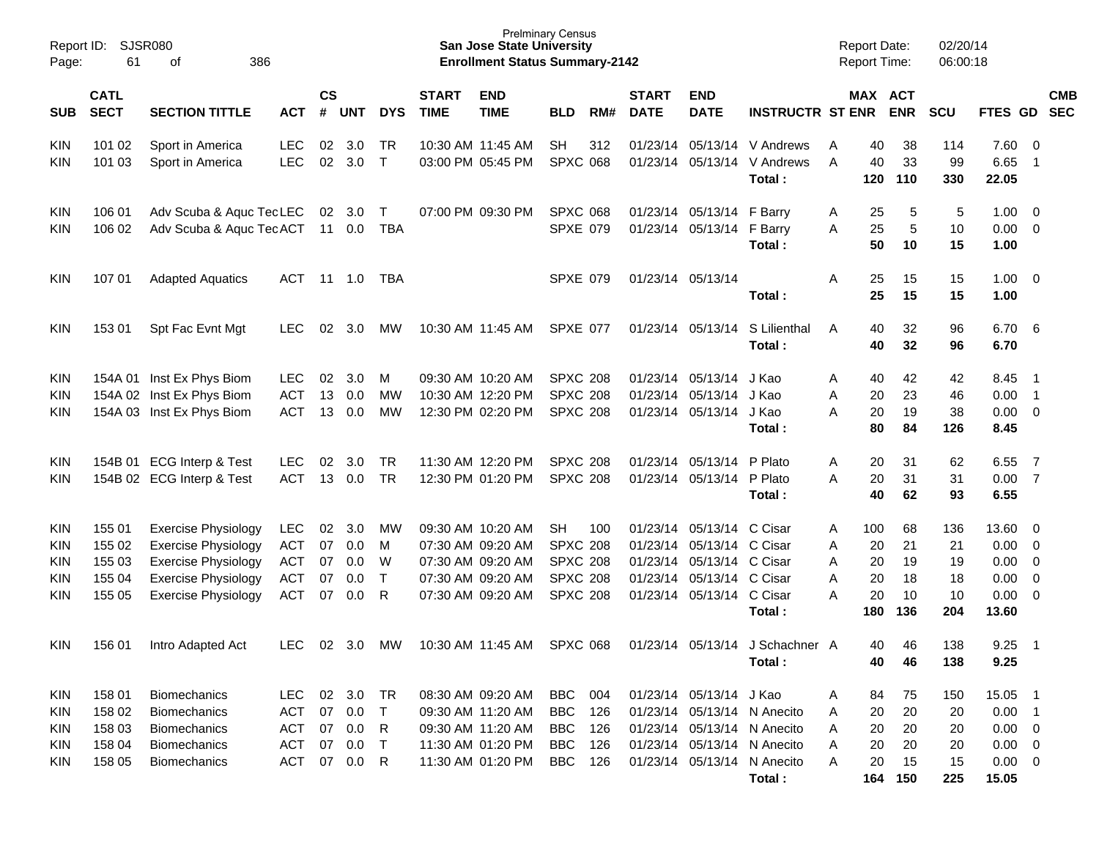| Report ID:<br>Page:                                         | 61                                                                          | <b>SJSR080</b><br>386<br>of                                                                                                                        |                                                             |                            |                                 |                                   |                             | <b>San Jose State University</b><br><b>Enrollment Status Summary-2142</b>                             | <b>Prelminary Census</b>                                                       |                                 |                             |                                                                                                                                       |                                                                                                                                    | <b>Report Date:</b><br>Report Time: |                                    |                                       | 02/20/14<br>06:00:18               |                                                                         |                                                        |            |
|-------------------------------------------------------------|-----------------------------------------------------------------------------|----------------------------------------------------------------------------------------------------------------------------------------------------|-------------------------------------------------------------|----------------------------|---------------------------------|-----------------------------------|-----------------------------|-------------------------------------------------------------------------------------------------------|--------------------------------------------------------------------------------|---------------------------------|-----------------------------|---------------------------------------------------------------------------------------------------------------------------------------|------------------------------------------------------------------------------------------------------------------------------------|-------------------------------------|------------------------------------|---------------------------------------|------------------------------------|-------------------------------------------------------------------------|--------------------------------------------------------|------------|
| <b>SUB</b>                                                  | <b>CATL</b><br><b>SECT</b><br><b>SECTION TITTLE</b><br><b>ACT</b><br>101 02 |                                                                                                                                                    |                                                             |                            | $\mathsf{cs}$<br><b>UNT</b>     | <b>DYS</b>                        | <b>START</b><br><b>TIME</b> | <b>END</b><br><b>TIME</b>                                                                             | <b>BLD</b>                                                                     | RM#                             | <b>START</b><br><b>DATE</b> | <b>END</b><br><b>DATE</b>                                                                                                             | <b>INSTRUCTR ST ENR</b>                                                                                                            | MAX ACT                             |                                    | <b>ENR</b>                            | <b>SCU</b>                         | FTES GD SEC                                                             |                                                        | <b>CMB</b> |
| <b>KIN</b><br><b>KIN</b>                                    | 101 03                                                                      | Sport in America<br>Sport in America                                                                                                               | LEC<br><b>LEC</b>                                           | 02<br>02                   | 3.0<br>3.0                      | TR<br>$\top$                      |                             | 10:30 AM 11:45 AM<br>03:00 PM 05:45 PM                                                                | <b>SH</b><br><b>SPXC 068</b>                                                   | 312                             |                             | 01/23/14 05/13/14                                                                                                                     | 01/23/14 05/13/14 V Andrews<br>V Andrews<br>Total:                                                                                 | Α<br>A                              | 40<br>40<br>120                    | 38<br>33<br>110                       | 114<br>99<br>330                   | 7.60 0<br>6.65<br>22.05                                                 | $\overline{1}$                                         |            |
| <b>KIN</b><br>KIN                                           | 106 01<br>106 02                                                            | Adv Scuba & Aquc TecLEC<br>Adv Scuba & Aquc TecACT                                                                                                 |                                                             |                            | 02 3.0<br>11 0.0                | $\top$<br><b>TBA</b>              |                             | 07:00 PM 09:30 PM                                                                                     | <b>SPXC 068</b><br><b>SPXE 079</b>                                             |                                 |                             | 01/23/14 05/13/14 F Barry<br>01/23/14 05/13/14 F Barry                                                                                | Total:                                                                                                                             | A<br>Α                              | 25<br>25<br>50                     | 5<br>5<br>10                          | 5<br>10<br>15                      | $1.00 \t 0$<br>$0.00 \t 0$<br>1.00                                      |                                                        |            |
| <b>KIN</b>                                                  | 107 01                                                                      | <b>Adapted Aquatics</b>                                                                                                                            | ACT                                                         |                            | 11  1.0                         | TBA                               |                             |                                                                                                       | <b>SPXE 079</b>                                                                |                                 |                             | 01/23/14 05/13/14                                                                                                                     | Total:                                                                                                                             | Α                                   | 25<br>25                           | 15<br>15                              | 15<br>15                           | $1.00 \t 0$<br>1.00                                                     |                                                        |            |
| <b>KIN</b>                                                  | 153 01                                                                      | Spt Fac Evnt Mgt                                                                                                                                   | <b>LEC</b>                                                  | 02                         | 3.0                             | <b>MW</b>                         |                             | 10:30 AM 11:45 AM                                                                                     | <b>SPXE 077</b>                                                                |                                 |                             | 01/23/14 05/13/14                                                                                                                     | S Lilienthal<br>Total:                                                                                                             | A                                   | 40<br>40                           | 32<br>32                              | 96<br>96                           | 6.70 6<br>6.70                                                          |                                                        |            |
| <b>KIN</b><br><b>KIN</b><br>KIN                             |                                                                             | 154A 01 Inst Ex Phys Biom<br>154A 02 Inst Ex Phys Biom<br>154A 03 Inst Ex Phys Biom                                                                | <b>LEC</b><br><b>ACT</b><br><b>ACT</b>                      | 02<br>13<br>13             | 3.0<br>0.0<br>0.0               | M<br>MW<br>MW                     |                             | 09:30 AM 10:20 AM<br>10:30 AM 12:20 PM<br>12:30 PM 02:20 PM                                           | <b>SPXC 208</b><br><b>SPXC 208</b><br><b>SPXC 208</b>                          |                                 |                             | 01/23/14 05/13/14<br>01/23/14 05/13/14<br>01/23/14 05/13/14 J Kao                                                                     | J Kao<br>J Kao<br>Total:                                                                                                           | Α<br>Α<br>Α                         | 40<br>20<br>20<br>80               | 42<br>23<br>19<br>84                  | 42<br>46<br>38<br>126              | 8.45<br>0.00<br>$0.00 \t 0$<br>8.45                                     | $\overline{\phantom{0}}$<br>$\overline{\phantom{0}}$ 1 |            |
| <b>KIN</b><br><b>KIN</b>                                    |                                                                             | 154B 01 ECG Interp & Test<br>154B 02 ECG Interp & Test                                                                                             | <b>LEC</b><br><b>ACT</b>                                    | 02<br>13                   | 3.0<br>0.0                      | <b>TR</b><br><b>TR</b>            |                             | 11:30 AM 12:20 PM<br>12:30 PM 01:20 PM                                                                | <b>SPXC 208</b><br><b>SPXC 208</b>                                             |                                 |                             | 01/23/14 05/13/14<br>01/23/14 05/13/14 P Plato                                                                                        | P Plato<br>Total:                                                                                                                  | Α<br>A                              | 20<br>20<br>40                     | 31<br>31<br>62                        | 62<br>31<br>93                     | 6.55<br>0.007<br>6.55                                                   | $\overline{7}$                                         |            |
| <b>KIN</b><br>KIN<br>KIN<br><b>KIN</b><br>KIN               | 155 01<br>155 02<br>155 03<br>155 04<br>155 05                              | <b>Exercise Physiology</b><br><b>Exercise Physiology</b><br><b>Exercise Physiology</b><br><b>Exercise Physiology</b><br><b>Exercise Physiology</b> | <b>LEC</b><br><b>ACT</b><br>ACT<br><b>ACT</b><br><b>ACT</b> | 02<br>07<br>07<br>07<br>07 | 3.0<br>0.0<br>0.0<br>0.0<br>0.0 | МW<br>M<br>W<br>$\mathsf{T}$<br>R |                             | 09:30 AM 10:20 AM<br>07:30 AM 09:20 AM<br>07:30 AM 09:20 AM<br>07:30 AM 09:20 AM<br>07:30 AM 09:20 AM | SH<br><b>SPXC 208</b><br><b>SPXC 208</b><br><b>SPXC 208</b><br><b>SPXC 208</b> | 100                             |                             | 01/23/14 05/13/14<br>01/23/14 05/13/14 C Cisar<br>01/23/14 05/13/14 C Cisar<br>01/23/14 05/13/14 C Cisar<br>01/23/14 05/13/14 C Cisar | C Cisar<br>Total:                                                                                                                  | A<br>Α<br>Α<br>Α<br>Α               | 100<br>20<br>20<br>20<br>20<br>180 | 68<br>21<br>19<br>18<br>10<br>136     | 136<br>21<br>19<br>18<br>10<br>204 | 13.60 0<br>$0.00 \t 0$<br>$0.00 \t 0$<br>0.00<br>$0.00 \t 0$<br>13.60   | $\overline{\phantom{0}}$                               |            |
| <b>KIN</b>                                                  | 156 01                                                                      | Intro Adapted Act                                                                                                                                  | <b>LEC</b>                                                  | 02                         | 3.0                             | МW                                |                             | 10:30 AM 11:45 AM                                                                                     | <b>SPXC 068</b>                                                                |                                 |                             |                                                                                                                                       | 01/23/14 05/13/14 J Schachner A<br>Total:                                                                                          |                                     | 40<br>40                           | 46<br>46                              | 138<br>138                         | 9.25<br>9.25                                                            | $\overline{\phantom{1}}$                               |            |
| KIN<br><b>KIN</b><br><b>KIN</b><br><b>KIN</b><br><b>KIN</b> | 158 01<br>158 02<br>158 03<br>158 04<br>158 05                              | <b>Biomechanics</b><br><b>Biomechanics</b><br><b>Biomechanics</b><br>Biomechanics<br><b>Biomechanics</b>                                           | <b>LEC</b><br>ACT<br><b>ACT</b><br><b>ACT</b><br>ACT        | 02<br>07<br>07<br>07<br>07 | 3.0<br>0.0<br>0.0<br>0.0<br>0.0 | TR<br>$\top$<br>R<br>$\top$<br>R  |                             | 08:30 AM 09:20 AM<br>09:30 AM 11:20 AM<br>09:30 AM 11:20 AM<br>11:30 AM 01:20 PM<br>11:30 AM 01:20 PM | <b>BBC</b><br><b>BBC</b><br>BBC<br>BBC<br>BBC                                  | 004<br>126<br>126<br>126<br>126 |                             | 01/23/14 05/13/14 J Kao                                                                                                               | 01/23/14 05/13/14 N Anecito<br>01/23/14 05/13/14 N Anecito<br>01/23/14 05/13/14 N Anecito<br>01/23/14 05/13/14 N Anecito<br>Total: | A<br>A<br>A<br>A<br>A               | 84<br>20<br>20<br>20<br>20         | 75<br>20<br>20<br>20<br>15<br>164 150 | 150<br>20<br>20<br>20<br>15<br>225 | 15.05<br>$0.00$ 1<br>$0.00 \t 0$<br>$0.00 \t 0$<br>$0.00 \t 0$<br>15.05 | $\overline{\phantom{0}}$                               |            |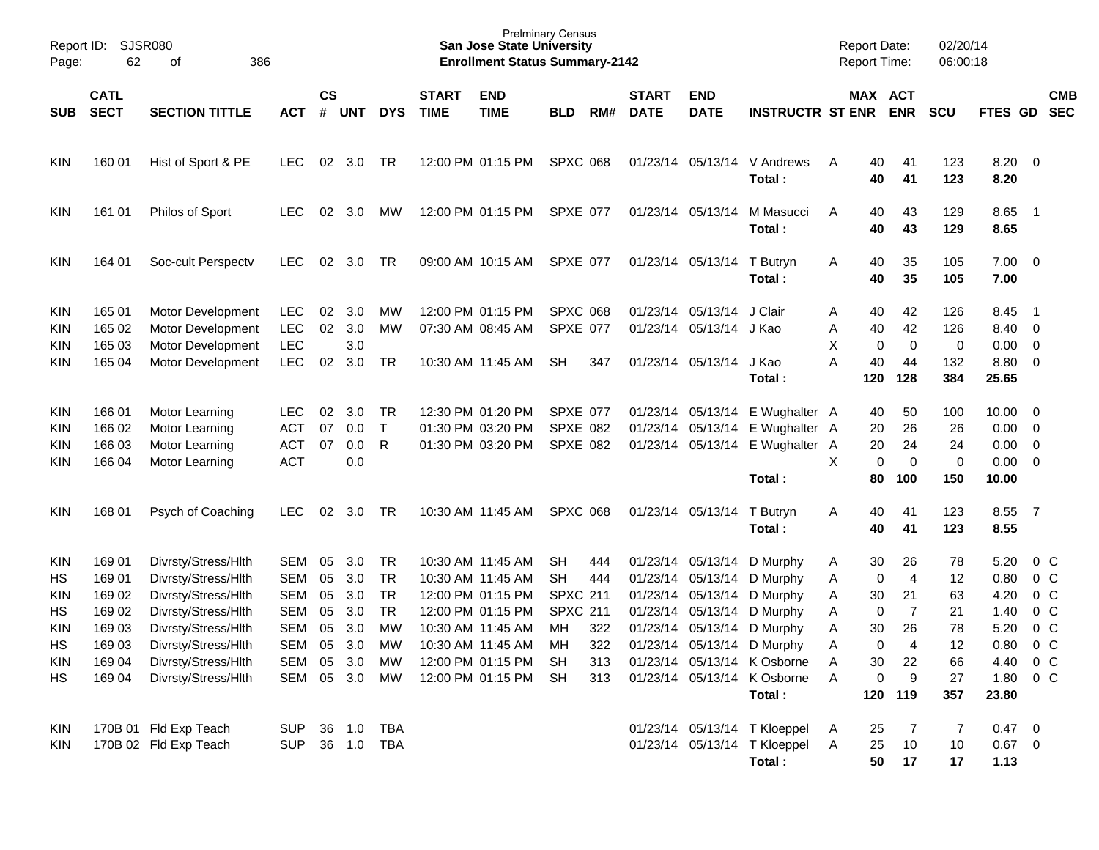| Page:                    | Report ID:<br><b>SJSR080</b><br>62<br>386<br>of<br><b>CATL</b> |                                                                                  |                                                      |                |                          |                              |                             | <b>San Jose State University</b><br><b>Enrollment Status Summary-2142</b> | <b>Prelminary Census</b>                        |     |                             |                                                                         |                                       |                  |                     | <b>Report Date:</b><br><b>Report Time:</b> | 02/20/14<br>06:00:18   |                              |                                                           |                          |
|--------------------------|----------------------------------------------------------------|----------------------------------------------------------------------------------|------------------------------------------------------|----------------|--------------------------|------------------------------|-----------------------------|---------------------------------------------------------------------------|-------------------------------------------------|-----|-----------------------------|-------------------------------------------------------------------------|---------------------------------------|------------------|---------------------|--------------------------------------------|------------------------|------------------------------|-----------------------------------------------------------|--------------------------|
| <b>SUB</b>               | <b>SECT</b><br><b>SECTION TITTLE</b><br><b>ACT</b>             |                                                                                  |                                                      | <b>CS</b><br># | <b>UNT</b>               | <b>DYS</b>                   | <b>START</b><br><b>TIME</b> | <b>END</b><br><b>TIME</b>                                                 | <b>BLD</b>                                      | RM# | <b>START</b><br><b>DATE</b> | <b>END</b><br><b>DATE</b>                                               | <b>INSTRUCTR ST ENR</b>               |                  |                     | MAX ACT<br><b>ENR</b>                      | <b>SCU</b>             | FTES GD                      |                                                           | <b>CMB</b><br><b>SEC</b> |
| KIN                      | 160 01                                                         | Hist of Sport & PE                                                               | <b>LEC</b>                                           | 02             | 3.0                      | TR                           |                             | 12:00 PM 01:15 PM                                                         | <b>SPXC 068</b>                                 |     |                             |                                                                         | 01/23/14 05/13/14 V Andrews<br>Total: | A                | 40<br>40            | 41<br>41                                   | 123<br>123             | 8.20<br>8.20                 | $\overline{\phantom{0}}$                                  |                          |
| KIN                      | 161 01                                                         | Philos of Sport                                                                  | <b>LEC</b>                                           | 02             | 3.0                      | <b>MW</b>                    |                             | 12:00 PM 01:15 PM                                                         | SPXE 077                                        |     |                             | 01/23/14 05/13/14                                                       | M Masucci<br>Total:                   | A                | 40<br>40            | 43<br>43                                   | 129<br>129             | 8.65<br>8.65                 | - 1                                                       |                          |
| <b>KIN</b>               | 164 01                                                         | Soc-cult Perspectv                                                               | <b>LEC</b>                                           | 02             | 3.0                      | TR                           |                             | 09:00 AM 10:15 AM                                                         | SPXE 077                                        |     |                             | 01/23/14 05/13/14                                                       | T Butryn<br>Total:                    | A                | 40<br>40            | 35<br>35                                   | 105<br>105             | 7.00<br>7.00                 | $\overline{\mathbf{0}}$                                   |                          |
| KIN<br>KIN<br>KIN<br>KIN | 165 01<br>165 02<br>165 03<br>165 04                           | Motor Development<br>Motor Development<br>Motor Development<br>Motor Development | <b>LEC</b><br><b>LEC</b><br><b>LEC</b><br><b>LEC</b> | 02<br>02<br>02 | 3.0<br>3.0<br>3.0<br>3.0 | <b>MW</b><br><b>MW</b><br>TR |                             | 12:00 PM 01:15 PM<br>07:30 AM 08:45 AM<br>10:30 AM 11:45 AM               | <b>SPXC 068</b><br><b>SPXE 077</b><br><b>SH</b> | 347 |                             | 01/23/14 05/13/14<br>01/23/14 05/13/14 J Kao<br>01/23/14 05/13/14 J Kao | J Clair                               | A<br>Α<br>X<br>A | 40<br>40<br>0<br>40 | 42<br>42<br>$\mathbf 0$<br>44              | 126<br>126<br>0<br>132 | 8.45<br>8.40<br>0.00<br>8.80 | - 1<br>$\overline{0}$<br>$\overline{0}$<br>$\overline{0}$ |                          |
|                          |                                                                |                                                                                  |                                                      |                |                          |                              |                             |                                                                           |                                                 |     |                             |                                                                         | Total:                                |                  | 120                 | 128                                        | 384                    | 25.65                        |                                                           |                          |
| <b>KIN</b>               | 166 01                                                         | Motor Learning                                                                   | <b>LEC</b>                                           | 02             | 3.0                      | TR                           |                             | 12:30 PM 01:20 PM                                                         | SPXE 077                                        |     |                             | 01/23/14 05/13/14                                                       | E Wughalter A                         |                  | 40                  | 50                                         | 100                    | 10.00                        | $\overline{\mathbf{0}}$                                   |                          |
| KIN                      | 166 02                                                         | Motor Learning                                                                   | ACT                                                  | 07             | 0.0                      | $\top$                       |                             | 01:30 PM 03:20 PM                                                         | <b>SPXE 082</b>                                 |     |                             | 01/23/14 05/13/14                                                       | E Wughalter A                         |                  | 20                  | 26                                         | 26                     | 0.00                         | $\overline{0}$                                            |                          |
| KIN                      | 166 03                                                         | Motor Learning                                                                   | <b>ACT</b>                                           | 07             | 0.0                      | R                            |                             | 01:30 PM 03:20 PM                                                         | <b>SPXE 082</b>                                 |     |                             | 01/23/14 05/13/14                                                       | E Wughalter A                         |                  | 20                  | 24                                         | 24                     | 0.00                         | $\overline{0}$                                            |                          |
| KIN                      | 166 04                                                         | Motor Learning                                                                   | <b>ACT</b>                                           |                | 0.0                      |                              |                             |                                                                           |                                                 |     |                             |                                                                         |                                       | X                | $\mathbf 0$         | $\mathbf 0$                                | $\mathbf 0$            | 0.00                         | $\overline{0}$                                            |                          |
|                          |                                                                |                                                                                  |                                                      |                |                          |                              |                             |                                                                           |                                                 |     |                             |                                                                         | Total:                                |                  | 80                  | 100                                        | 150                    | 10.00                        |                                                           |                          |
| KIN                      | 168 01                                                         | Psych of Coaching                                                                | <b>LEC</b>                                           | 02             | 3.0                      | TR                           |                             | 10:30 AM 11:45 AM                                                         | <b>SPXC 068</b>                                 |     |                             | 01/23/14 05/13/14                                                       | T Butryn<br>Total:                    | A                | 40<br>40            | 41<br>41                                   | 123<br>123             | 8.55<br>8.55                 | $\overline{7}$                                            |                          |
| KIN                      | 169 01                                                         | Divrsty/Stress/Hlth                                                              | SEM                                                  | 05             | 3.0                      | TR                           |                             | 10:30 AM 11:45 AM                                                         | <b>SH</b>                                       | 444 |                             | 01/23/14 05/13/14                                                       | D Murphy                              | A                | 30                  | 26                                         | 78                     | 5.20                         | $0\,$ C                                                   |                          |
| HS                       | 169 01                                                         | Divrsty/Stress/Hlth                                                              | SEM                                                  | 05             | 3.0                      | TR                           |                             | 10:30 AM 11:45 AM                                                         | <b>SH</b>                                       | 444 |                             | 01/23/14 05/13/14                                                       | D Murphy                              | A                | 0                   | $\overline{4}$                             | 12                     | 0.80                         | 0 <sup>o</sup>                                            |                          |
| <b>KIN</b>               | 169 02                                                         | Divrsty/Stress/Hlth                                                              | SEM                                                  | 05             | 3.0                      | <b>TR</b>                    |                             | 12:00 PM 01:15 PM                                                         | <b>SPXC 211</b>                                 |     |                             | 01/23/14 05/13/14                                                       | D Murphy                              | Α                | 30                  | 21                                         | 63                     | 4.20                         | 0 <sup>o</sup>                                            |                          |
| HS                       | 169 02                                                         | Divrsty/Stress/Hlth                                                              | SEM                                                  | 05             | 3.0                      | <b>TR</b>                    |                             | 12:00 PM 01:15 PM                                                         | <b>SPXC 211</b>                                 |     |                             | 01/23/14 05/13/14                                                       | D Murphy                              | A                | 0                   | 7                                          | 21                     | 1.40                         | 0 <sup>o</sup>                                            |                          |
| <b>KIN</b>               | 169 03                                                         | Divrsty/Stress/Hlth                                                              | <b>SEM</b>                                           | 05             | 3.0                      | MW                           |                             | 10:30 AM 11:45 AM                                                         | MH                                              | 322 | 01/23/14                    | 05/13/14                                                                | D Murphy                              | Α                | 30                  | 26                                         | 78                     | 5.20                         | $0\,C$                                                    |                          |
| <b>HS</b>                | 169 03                                                         | Divrsty/Stress/Hlth                                                              | SEM                                                  | 05             | 3.0                      | MW                           |                             | 10:30 AM 11:45 AM                                                         | <b>MH</b>                                       | 322 |                             |                                                                         | 01/23/14 05/13/14 D Murphy            | Α                | $\mathbf 0$         | 4                                          | 12                     | 0.80                         | 0 <sup>o</sup>                                            |                          |
| <b>KIN</b>               | 169 04                                                         | Divrsty/Stress/Hlth                                                              | SEM 05                                               |                | 3.0                      | МW                           |                             | 12:00 PM 01:15 PM                                                         | <b>SH</b>                                       | 313 |                             |                                                                         | 01/23/14 05/13/14 K Osborne           | Α                | 30                  | 22                                         | 66                     | 4.40                         | 0 <sup>o</sup>                                            |                          |
| HS                       | 169 04                                                         | Divrsty/Stress/Hlth                                                              | SEM 05 3.0                                           |                |                          | МW                           |                             | 12:00 PM 01:15 PM                                                         | SH.                                             | 313 |                             |                                                                         | 01/23/14 05/13/14 K Osborne           | A                | 0                   | 9                                          | 27                     | 1.80                         | 0 <sup>o</sup>                                            |                          |
|                          |                                                                |                                                                                  |                                                      |                |                          |                              |                             |                                                                           |                                                 |     |                             |                                                                         | Total:                                |                  |                     | 120 119                                    | 357                    | 23.80                        |                                                           |                          |
| KIN                      |                                                                | 170B 01 Fld Exp Teach                                                            | SUP                                                  |                | 36 1.0                   | TBA                          |                             |                                                                           |                                                 |     |                             |                                                                         | 01/23/14 05/13/14 T Kloeppel          | A                | 25                  | 7                                          | 7                      | $0.47 \quad 0$               |                                                           |                          |
| <b>KIN</b>               |                                                                | 170B 02 Fld Exp Teach                                                            | SUP 36 1.0 TBA                                       |                |                          |                              |                             |                                                                           |                                                 |     |                             |                                                                         | 01/23/14 05/13/14 T Kloeppel          | A                | 25                  | 10                                         | 10                     | $0.67$ 0                     |                                                           |                          |
|                          |                                                                |                                                                                  |                                                      |                |                          |                              |                             |                                                                           |                                                 |     |                             |                                                                         | Total:                                |                  | 50                  | 17                                         | 17                     | 1.13                         |                                                           |                          |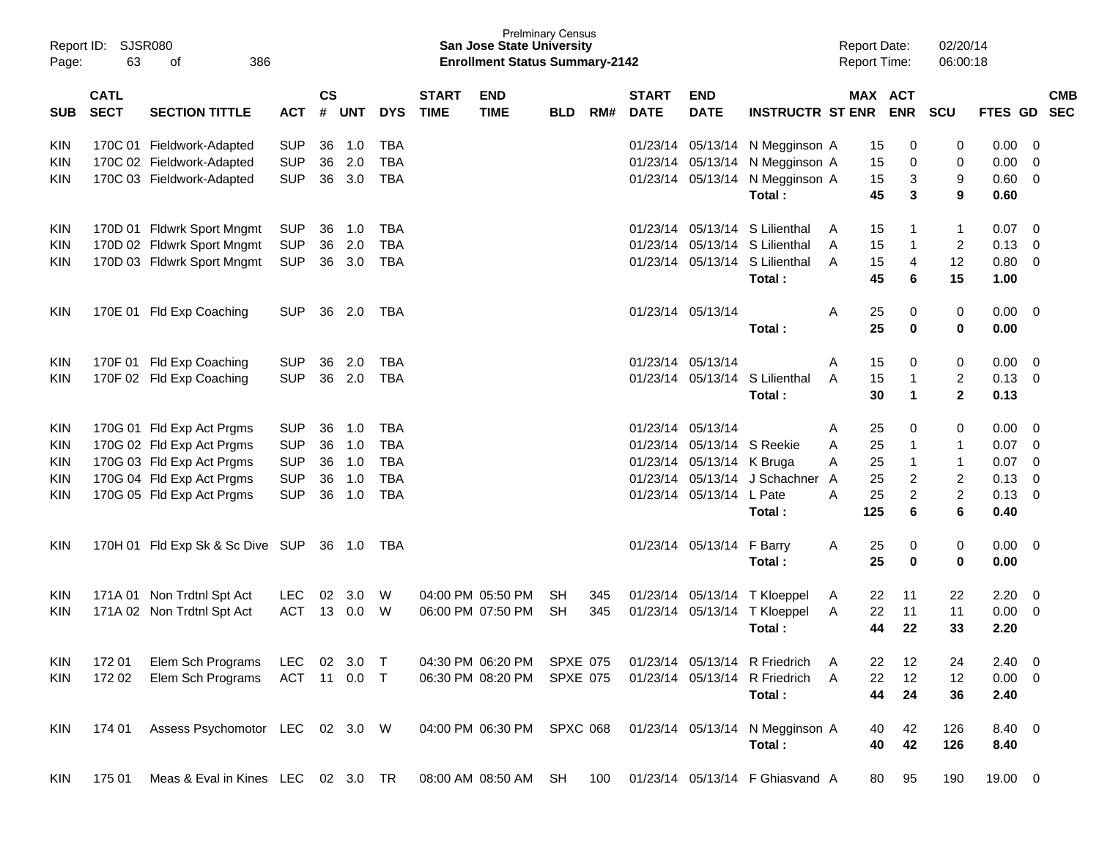| Report ID:<br>Page: | 63                                                     | <b>SJSR080</b><br>386<br>οf        |              |                    |        |            |                             | <b>San Jose State University</b><br><b>Enrollment Status Summary-2142</b> | <b>Prelminary Census</b> |     |                             |                            |                                 | <b>Report Date:</b><br><b>Report Time:</b> |                              | 02/20/14<br>06:00:18    |                |                         |                          |
|---------------------|--------------------------------------------------------|------------------------------------|--------------|--------------------|--------|------------|-----------------------------|---------------------------------------------------------------------------|--------------------------|-----|-----------------------------|----------------------------|---------------------------------|--------------------------------------------|------------------------------|-------------------------|----------------|-------------------------|--------------------------|
| <b>SUB</b>          | <b>CATL</b><br><b>SECT</b>                             | <b>SECTION TITTLE</b>              | <b>ACT</b>   | $\mathsf{cs}$<br># | UNT    | <b>DYS</b> | <b>START</b><br><b>TIME</b> | <b>END</b><br><b>TIME</b>                                                 | <b>BLD</b>               | RM# | <b>START</b><br><b>DATE</b> | <b>END</b><br><b>DATE</b>  | <b>INSTRUCTR ST ENR</b>         |                                            | <b>MAX ACT</b><br><b>ENR</b> | <b>SCU</b>              | FTES GD        |                         | <b>CMB</b><br><b>SEC</b> |
| KIN                 |                                                        | 170C 01 Fieldwork-Adapted          | <b>SUP</b>   | 36                 | 1.0    | <b>TBA</b> |                             |                                                                           |                          |     |                             |                            | 01/23/14 05/13/14 N Megginson A |                                            | 0<br>15                      | 0                       | 0.00           | - 0                     |                          |
| <b>KIN</b>          | 170C 02 Fieldwork-Adapted<br>170C 03 Fieldwork-Adapted |                                    | <b>SUP</b>   | 36                 | 2.0    | <b>TBA</b> |                             |                                                                           |                          |     |                             | 01/23/14 05/13/14          | N Megginson A                   |                                            | 15<br>0                      | 0                       | 0.00           | $\Omega$                |                          |
| <b>KIN</b>          |                                                        |                                    | <b>SUP</b>   | 36                 | 3.0    | <b>TBA</b> |                             |                                                                           |                          |     |                             | 01/23/14 05/13/14          | N Megginson A                   |                                            | 15<br>3                      | 9                       | 0.60           | - 0                     |                          |
|                     |                                                        |                                    |              |                    |        |            |                             |                                                                           |                          |     |                             |                            | Total:                          |                                            | 45<br>3                      | 9                       | 0.60           |                         |                          |
| KIN                 |                                                        | 170D 01 Fldwrk Sport Mngmt         | <b>SUP</b>   | 36                 | 1.0    | TBA        |                             |                                                                           |                          |     | 01/23/14                    | 05/13/14                   | S Lilienthal                    | A                                          | 15<br>-1                     | 1                       | 0.07           | - 0                     |                          |
| <b>KIN</b>          |                                                        | 170D 02 Fldwrk Sport Mngmt         | <b>SUP</b>   | 36                 | 2.0    | <b>TBA</b> |                             |                                                                           |                          |     | 01/23/14                    | 05/13/14                   | S Lilienthal                    | A                                          | 15<br>$\overline{1}$         | $\overline{c}$          | 0.13           | - 0                     |                          |
| <b>KIN</b>          |                                                        | 170D 03 Fldwrk Sport Mngmt         | <b>SUP</b>   | 36                 | 3.0    | TBA        |                             |                                                                           |                          |     |                             | 01/23/14 05/13/14          | S Lilienthal                    | A                                          | 15<br>4                      | 12                      | 0.80           | - 0                     |                          |
|                     |                                                        |                                    |              |                    |        |            |                             |                                                                           |                          |     |                             |                            | Total:                          |                                            | 45<br>6                      | 15                      | 1.00           |                         |                          |
| KIN                 |                                                        | 170E 01 Fld Exp Coaching           | <b>SUP</b>   | 36                 | 2.0    | TBA        |                             |                                                                           |                          |     |                             | 01/23/14 05/13/14          |                                 | Α                                          | 25<br>0                      | 0                       | $0.00 \quad 0$ |                         |                          |
|                     |                                                        |                                    |              |                    |        |            |                             |                                                                           |                          |     |                             |                            | Total:                          |                                            | 25<br>$\mathbf{0}$           | $\bf{0}$                | 0.00           |                         |                          |
| KIN                 | 170F 01                                                | Fld Exp Coaching                   | <b>SUP</b>   | 36                 | 2.0    | TBA        |                             |                                                                           |                          |     |                             | 01/23/14 05/13/14          |                                 | A                                          | 15<br>0                      | 0                       | 0.00           | - 0                     |                          |
| <b>KIN</b>          |                                                        | 170F 02 Fld Exp Coaching           | <b>SUP</b>   | 36                 | 2.0    | TBA        |                             |                                                                           |                          |     |                             | 01/23/14 05/13/14          | S Lilienthal                    | A                                          | 15<br>$\overline{1}$         | $\overline{\mathbf{c}}$ | 0.13           | - 0                     |                          |
|                     |                                                        |                                    |              |                    |        |            |                             |                                                                           |                          |     |                             |                            | Total:                          |                                            | $\overline{1}$<br>30         | $\mathbf{2}$            | 0.13           |                         |                          |
| KIN                 |                                                        | 170G 01 Fld Exp Act Prgms          | <b>SUP</b>   | 36                 | 1.0    | TBA        |                             |                                                                           |                          |     |                             | 01/23/14 05/13/14          |                                 | A                                          | 25<br>0                      | 0                       | 0.00           | - 0                     |                          |
| <b>KIN</b>          |                                                        | 170G 02 Fld Exp Act Prgms          | <b>SUP</b>   | 36                 | 1.0    | <b>TBA</b> |                             |                                                                           |                          |     |                             | 01/23/14 05/13/14 S Reekie |                                 | A                                          | 25<br>-1                     | 1                       | 0.07           | - 0                     |                          |
| <b>KIN</b>          |                                                        | 170G 03 Fld Exp Act Prgms          | <b>SUP</b>   | 36                 | 1.0    | <b>TBA</b> |                             |                                                                           |                          |     |                             | 01/23/14 05/13/14 K Bruga  |                                 | A                                          | 25<br>$\overline{1}$         | 1                       | 0.07           | - 0                     |                          |
| <b>KIN</b>          |                                                        | 170G 04 Fld Exp Act Prgms          | <b>SUP</b>   | 36                 | 1.0    | <b>TBA</b> |                             |                                                                           |                          |     | 01/23/14                    | 05/13/14                   | J Schachner                     | A                                          | 25<br>2                      | $\overline{c}$          | 0.13           | 0                       |                          |
| <b>KIN</b>          |                                                        | 170G 05 Fld Exp Act Prgms          | <b>SUP</b>   | 36                 | 1.0    | <b>TBA</b> |                             |                                                                           |                          |     |                             | 01/23/14 05/13/14 L Pate   |                                 | A                                          | $\overline{2}$<br>25         | $\overline{c}$          | 0.13           | $\Omega$                |                          |
|                     |                                                        |                                    |              |                    |        |            |                             |                                                                           |                          |     |                             |                            | Total:                          | 125                                        | 6                            | 6                       | 0.40           |                         |                          |
| <b>KIN</b>          |                                                        | 170H 01 Fld Exp Sk & Sc Dive SUP   |              |                    |        |            |                             |                                                                           |                          |     |                             | 01/23/14 05/13/14          | F Barry                         | A                                          | 25<br>0                      | 0                       | $0.00 \quad 0$ |                         |                          |
|                     |                                                        |                                    |              |                    |        |            |                             |                                                                           |                          |     |                             |                            | Total:                          |                                            | 25<br>$\bf{0}$               | 0                       | 0.00           |                         |                          |
|                     |                                                        |                                    |              |                    |        |            |                             |                                                                           |                          |     |                             |                            |                                 |                                            |                              |                         |                |                         |                          |
| <b>KIN</b>          |                                                        | 171A 01 Non Trdtnl Spt Act         | <b>LEC</b>   | 02                 | 3.0    | W          |                             | 04:00 PM 05:50 PM                                                         | <b>SH</b>                | 345 |                             |                            | 01/23/14 05/13/14 T Kloeppel    | A                                          | 11<br>22                     | 22                      | 2.20           | $\overline{\mathbf{0}}$ |                          |
| <b>KIN</b>          |                                                        | 171A 02 Non Trdtnl Spt Act         | <b>ACT</b>   |                    | 13 0.0 | W          |                             | 06:00 PM 07:50 PM                                                         | <b>SH</b>                | 345 |                             | 01/23/14 05/13/14          | T Kloeppel                      | A                                          | 22<br>11                     | 11                      | 0.00           | - 0                     |                          |
|                     |                                                        |                                    |              |                    |        |            |                             |                                                                           |                          |     |                             |                            | Total:                          |                                            | 44<br>22                     | 33                      | 2.20           |                         |                          |
| KIN                 | 172 01                                                 | Elem Sch Programs                  | LEC          | 02                 | 3.0    | $\top$     |                             | 04:30 PM 06:20 PM                                                         | SPXE 075                 |     |                             | 01/23/14 05/13/14          | R Friedrich                     |                                            | 22<br>12                     | 24                      | 2.40           | - 0                     |                          |
| <b>KIN</b>          | 172 02                                                 | Elem Sch Programs                  | ACT 11 0.0 T |                    |        |            |                             | 06:30 PM 08:20 PM                                                         | <b>SPXE 075</b>          |     |                             | 01/23/14 05/13/14          | R Friedrich                     | A                                          | 22<br>12                     | 12                      | $0.00 \t 0$    |                         |                          |
|                     |                                                        |                                    |              |                    |        |            |                             |                                                                           |                          |     |                             |                            | Total:                          |                                            | 44<br>24                     | 36                      | 2.40           |                         |                          |
| KIN                 | 174 01                                                 | Assess Psychomotor LEC 02 3.0 W    |              |                    |        |            |                             | 04:00 PM 06:30 PM SPXC 068                                                |                          |     |                             |                            | 01/23/14 05/13/14 N Megginson A |                                            | 42<br>40                     | 126                     | 8.40 0         |                         |                          |
|                     |                                                        |                                    |              |                    |        |            |                             |                                                                           |                          |     |                             |                            | Total:                          |                                            | 40<br>42                     | 126                     | 8.40           |                         |                          |
| KIN                 | 175 01                                                 | Meas & Eval in Kines LEC 02 3.0 TR |              |                    |        |            |                             | 08:00 AM 08:50 AM SH                                                      |                          | 100 |                             |                            | 01/23/14 05/13/14 F Ghiasvand A |                                            | 95<br>80                     | 190                     | 19.00 0        |                         |                          |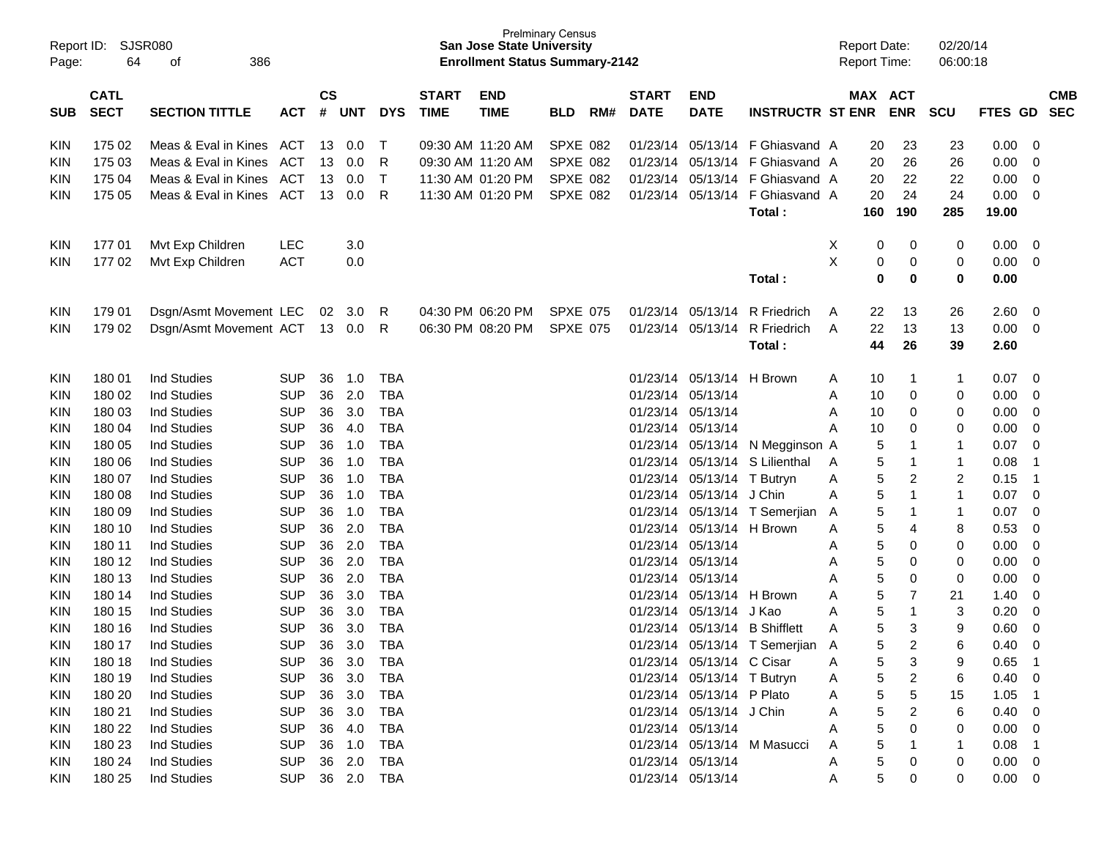|            | Report ID: SJSR080 |                               |            |               |            |              |              | <b>San Jose State University</b>      | <b>Prelminary Census</b> |     |              |                            |                                 |   | <b>Report Date:</b> |                | 02/20/14       |                |                         |            |
|------------|--------------------|-------------------------------|------------|---------------|------------|--------------|--------------|---------------------------------------|--------------------------|-----|--------------|----------------------------|---------------------------------|---|---------------------|----------------|----------------|----------------|-------------------------|------------|
| Page:      | 64                 | 386<br>οf                     |            |               |            |              |              | <b>Enrollment Status Summary-2142</b> |                          |     |              |                            |                                 |   | Report Time:        |                | 06:00:18       |                |                         |            |
|            |                    |                               |            |               |            |              |              |                                       |                          |     |              |                            |                                 |   |                     |                |                |                |                         |            |
|            | <b>CATL</b>        |                               |            | $\mathsf{cs}$ |            |              | <b>START</b> | <b>END</b>                            |                          |     | <b>START</b> | <b>END</b>                 |                                 |   | MAX ACT             |                |                |                |                         | <b>CMB</b> |
| <b>SUB</b> | <b>SECT</b>        | <b>SECTION TITTLE</b>         | <b>ACT</b> | #             | <b>UNT</b> | <b>DYS</b>   | <b>TIME</b>  | <b>TIME</b>                           | <b>BLD</b>               | RM# | <b>DATE</b>  | <b>DATE</b>                | <b>INSTRUCTR ST ENR</b>         |   |                     | <b>ENR</b>     | <b>SCU</b>     | FTES GD        |                         | <b>SEC</b> |
|            |                    |                               |            |               |            |              |              |                                       |                          |     |              |                            |                                 |   |                     |                |                |                |                         |            |
| KIN        | 175 02             | Meas & Eval in Kines ACT      |            | 13            | 0.0        | $\top$       |              | 09:30 AM 11:20 AM                     | SPXE 082                 |     |              |                            | 01/23/14 05/13/14 F Ghiasvand A |   | 20                  | 23             | 23             | 0.00           | - 0                     |            |
| KIN        | 175 03             | Meas & Eval in Kines          | ACT        | 13            | 0.0        | R            |              | 09:30 AM 11:20 AM                     | SPXE 082                 |     |              | 01/23/14 05/13/14          | F Ghiasvand A                   |   | 20                  | 26             | 26             | 0.00           | 0                       |            |
| KIN        | 175 04             | Meas & Eval in Kines          | ACT        | 13            | 0.0        | $\top$       |              | 11:30 AM 01:20 PM                     | SPXE 082                 |     |              | 01/23/14 05/13/14          | F Ghiasvand A                   |   | 20                  | 22             | 22             | 0.00           | - 0                     |            |
| KIN        | 175 05             | Meas & Eval in Kines ACT      |            | 13            | 0.0        | -R           |              | 11:30 AM 01:20 PM                     | SPXE 082                 |     |              | 01/23/14 05/13/14          | F Ghiasvand A                   |   | 20                  | 24             | 24             | 0.00           | $\overline{\mathbf{0}}$ |            |
|            |                    |                               |            |               |            |              |              |                                       |                          |     |              |                            | Total:                          |   | 160                 | 190            | 285            | 19.00          |                         |            |
|            |                    |                               |            |               |            |              |              |                                       |                          |     |              |                            |                                 |   |                     |                |                |                |                         |            |
| <b>KIN</b> | 17701              | Mvt Exp Children              | <b>LEC</b> |               | 3.0        |              |              |                                       |                          |     |              |                            |                                 | X | 0                   | 0              | 0              | 0.00           | $\overline{\mathbf{0}}$ |            |
| KIN        | 17702              | Mvt Exp Children              | <b>ACT</b> |               | 0.0        |              |              |                                       |                          |     |              |                            |                                 | X | 0                   | 0              | 0              | 0.00           | - 0                     |            |
|            |                    |                               |            |               |            |              |              |                                       |                          |     |              |                            | Total:                          |   | 0                   | 0              | 0              | 0.00           |                         |            |
|            |                    |                               |            |               |            |              |              |                                       |                          |     |              |                            |                                 |   |                     |                |                |                |                         |            |
| KIN        | 179 01             | Dsgn/Asmt Movement LEC        |            |               | 02 3.0     | -R           |              | 04:30 PM 06:20 PM                     | <b>SPXE 075</b>          |     |              | 01/23/14 05/13/14          | <b>R</b> Friedrich              | A | 22                  | 13             | 26             | 2.60           | - 0                     |            |
| <b>KIN</b> | 179 02             | Dsgn/Asmt Movement ACT 13 0.0 |            |               |            | R            |              | 06:30 PM 08:20 PM                     | <b>SPXE 075</b>          |     |              | 01/23/14 05/13/14          | R Friedrich                     | A | 22                  | 13             | 13             | 0.00           | $\overline{\mathbf{0}}$ |            |
|            |                    |                               |            |               |            |              |              |                                       |                          |     |              |                            | Total:                          |   | 44                  | 26             | 39             | 2.60           |                         |            |
| KIN        | 18001              | <b>Ind Studies</b>            | <b>SUP</b> | 36            | 1.0        | TBA          |              |                                       |                          |     |              | 01/23/14 05/13/14 H Brown  |                                 | A | 10                  | $\overline{1}$ | 1              | 0.07           | $\overline{\mathbf{0}}$ |            |
| KIN        | 180 02             | <b>Ind Studies</b>            | <b>SUP</b> | 36            | 2.0        | <b>TBA</b>   |              |                                       |                          |     |              | 01/23/14 05/13/14          |                                 | A | 10                  | 0              | 0              | 0.00           | 0                       |            |
| KIN        | 180 03             | <b>Ind Studies</b>            | <b>SUP</b> | 36            | 3.0        | <b>TBA</b>   |              |                                       |                          |     |              | 01/23/14 05/13/14          |                                 | A | 10                  | 0              | 0              | 0.00           | 0                       |            |
| KIN        | 180 04             | <b>Ind Studies</b>            | <b>SUP</b> | 36            | 4.0        | <b>TBA</b>   |              |                                       |                          |     |              | 01/23/14 05/13/14          |                                 | A | 10                  | 0              | 0              | 0.00           | 0                       |            |
| KIN        | 180 05             | <b>Ind Studies</b>            | <b>SUP</b> | 36            | 1.0        | <b>TBA</b>   |              |                                       |                          |     |              |                            | 01/23/14 05/13/14 N Megginson A |   | 5                   | $\mathbf 1$    | 1              | 0.07           | 0                       |            |
| KIN        | 180 06             | <b>Ind Studies</b>            | <b>SUP</b> | 36            | 1.0        | <b>TBA</b>   |              |                                       |                          |     |              |                            | 01/23/14 05/13/14 S Lilienthal  | A | 5                   | $\mathbf 1$    | 1              | 0.08           | $\overline{1}$          |            |
| KIN        | 180 07             | <b>Ind Studies</b>            | <b>SUP</b> | 36            | 1.0        | <b>TBA</b>   |              |                                       |                          |     |              | 01/23/14 05/13/14 T Butryn |                                 | A | 5                   | $\overline{c}$ | $\overline{c}$ | 0.15           | $\overline{1}$          |            |
| KIN        | 180 08             | <b>Ind Studies</b>            | <b>SUP</b> | 36            | 1.0        | <b>TBA</b>   |              |                                       |                          |     |              | 01/23/14 05/13/14          | J Chin                          | A | 5                   | $\overline{1}$ | 1              | 0.07           | 0                       |            |
| KIN        | 180 09             | <b>Ind Studies</b>            | <b>SUP</b> | 36            | 1.0        | <b>TBA</b>   |              |                                       |                          |     |              |                            | 01/23/14 05/13/14 T Semerjian   | A | 5                   | $\mathbf 1$    | 1              | 0.07           | 0                       |            |
| KIN        | 180 10             | <b>Ind Studies</b>            | <b>SUP</b> | 36            | 2.0        | <b>TBA</b>   |              |                                       |                          |     |              | 01/23/14 05/13/14 H Brown  |                                 | A | 5                   | 4              | 8              | 0.53           | 0                       |            |
| KIN        | 180 11             | <b>Ind Studies</b>            | <b>SUP</b> | 36            | 2.0        | <b>TBA</b>   |              |                                       |                          |     |              | 01/23/14 05/13/14          |                                 | A | 5                   | 0              | 0              | 0.00           | 0                       |            |
| KIN        | 180 12             | <b>Ind Studies</b>            | <b>SUP</b> | 36            | 2.0        | <b>TBA</b>   |              |                                       |                          |     |              | 01/23/14 05/13/14          |                                 | A | 5                   | 0              | 0              | 0.00           | 0                       |            |
| KIN        | 180 13             | <b>Ind Studies</b>            | <b>SUP</b> | 36            | 2.0        | <b>TBA</b>   |              |                                       |                          |     |              | 01/23/14 05/13/14          |                                 | A | 5                   | 0              | 0              | 0.00           | 0                       |            |
| KIN        | 180 14             | <b>Ind Studies</b>            | <b>SUP</b> | 36            | 3.0        | <b>TBA</b>   |              |                                       |                          |     |              | 01/23/14 05/13/14          | H Brown                         | A | 5                   | 7              | 21             | 1.40           | 0                       |            |
| KIN        | 180 15             | <b>Ind Studies</b>            | <b>SUP</b> | 36            | 3.0        | <b>TBA</b>   |              |                                       |                          |     |              | 01/23/14 05/13/14          | J Kao                           | A | 5                   | $\mathbf{1}$   | 3              | 0.20           | 0                       |            |
| KIN        | 180 16             | <b>Ind Studies</b>            | <b>SUP</b> | 36            | 3.0        | <b>TBA</b>   |              |                                       |                          |     | 01/23/14     | 05/13/14                   | <b>B</b> Shifflett              | A | 5                   | 3              | 9              | 0.60           | $\mathbf 0$             |            |
| <b>KIN</b> | 180 17             | <b>Ind Studies</b>            | <b>SUP</b> | 36            | 3.0        | <b>TBA</b>   |              |                                       |                          |     |              |                            | 01/23/14 05/13/14 T Semerjian A |   | 5                   | $\overline{2}$ | 6              | 0.40           | $\mathbf 0$             |            |
| KIN        | 180 18             | Ind Studies                   | <b>SUP</b> | 36            | 3.0        | TBA          |              |                                       |                          |     |              | 01/23/14 05/13/14 C Cisar  |                                 | A | 5                   | 3              | 9              | $0.65$ 1       |                         |            |
| KIN        | 180 19             | Ind Studies                   | <b>SUP</b> | 36            | 3.0        | <b>TBA</b>   |              |                                       |                          |     |              | 01/23/14 05/13/14 T Butryn |                                 | A | 5                   | $\overline{c}$ | 6              | $0.40 \ 0$     |                         |            |
| KIN        | 180 20             | Ind Studies                   | <b>SUP</b> |               | 36 3.0     | <b>TBA</b>   |              |                                       |                          |     |              | 01/23/14 05/13/14 P Plato  |                                 | A | 5                   | 5              | 15             | $1.05$ 1       |                         |            |
| KIN        | 180 21             | Ind Studies                   | <b>SUP</b> | 36            | 3.0        | <b>TBA</b>   |              |                                       |                          |     |              | 01/23/14 05/13/14 J Chin   |                                 | A | 5                   | 2              | 6              | $0.40 \quad 0$ |                         |            |
| KIN        | 180 22             | Ind Studies                   | <b>SUP</b> |               | 36 4.0     | <b>TBA</b>   |              |                                       |                          |     |              | 01/23/14 05/13/14          |                                 | A | 5                   | 0              | 0              | $0.00 \quad 0$ |                         |            |
| KIN        | 180 23             | Ind Studies                   | <b>SUP</b> |               | 36 1.0     | <b>TBA</b>   |              |                                       |                          |     |              |                            | 01/23/14 05/13/14 M Masucci     | A | 5                   |                | 1              | $0.08$ 1       |                         |            |
| KIN        | 180 24             | Ind Studies                   | <b>SUP</b> |               | 36 2.0     | <b>TBA</b>   |              |                                       |                          |     |              | 01/23/14 05/13/14          |                                 | A | 5                   | 0              | 0              | $0.00 \t 0$    |                         |            |
| <b>KIN</b> | 180 25             | Ind Studies                   | <b>SUP</b> |               |            | 36  2.0  TBA |              |                                       |                          |     |              | 01/23/14 05/13/14          |                                 | A | 5                   | 0              | 0              | $0.00 \quad 0$ |                         |            |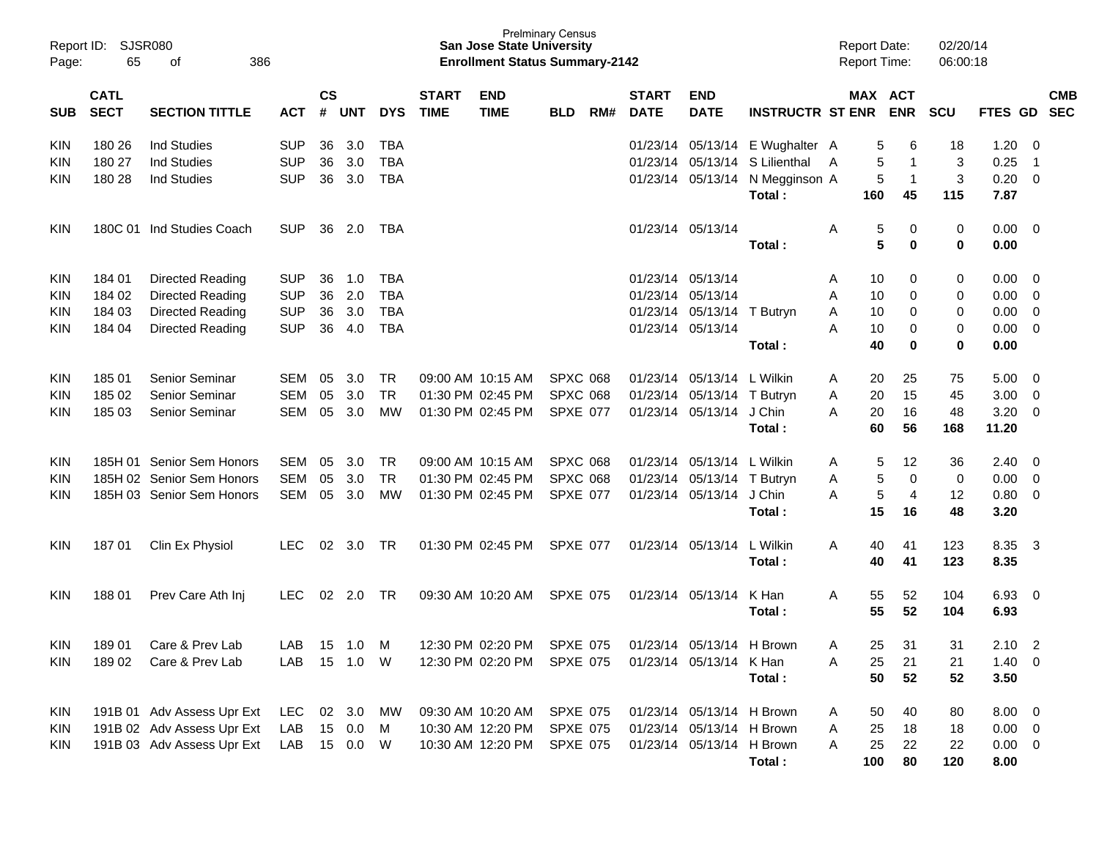| Report ID:<br>Page: | <b>SJSR080</b><br>65       | 386                        |            |                    |            |            | <b>Prelminary Census</b><br><b>San Jose State University</b><br><b>Enrollment Status Summary-2142</b> |                            |                 |     |                             |                           |                         | <b>Report Date:</b><br><b>Report Time:</b> |         | 02/20/14<br>06:00:18 |            |             |                          |                          |
|---------------------|----------------------------|----------------------------|------------|--------------------|------------|------------|-------------------------------------------------------------------------------------------------------|----------------------------|-----------------|-----|-----------------------------|---------------------------|-------------------------|--------------------------------------------|---------|----------------------|------------|-------------|--------------------------|--------------------------|
| <b>SUB</b>          | <b>CATL</b><br><b>SECT</b> | <b>SECTION TITTLE</b>      | <b>ACT</b> | $\mathsf{cs}$<br># | <b>UNT</b> | <b>DYS</b> | <b>START</b><br><b>TIME</b>                                                                           | <b>END</b><br><b>TIME</b>  | <b>BLD</b>      | RM# | <b>START</b><br><b>DATE</b> | <b>END</b><br><b>DATE</b> | <b>INSTRUCTR ST ENR</b> |                                            | MAX ACT | <b>ENR</b>           | <b>SCU</b> | FTES GD     |                          | <b>CMB</b><br><b>SEC</b> |
| <b>KIN</b>          | 180 26                     | <b>Ind Studies</b>         | <b>SUP</b> | 36                 | 3.0        | <b>TBA</b> |                                                                                                       |                            |                 |     | 01/23/14                    | 05/13/14                  | E Wughalter A           |                                            | 5       | 6                    | 18         | 1.20        | - 0                      |                          |
| <b>KIN</b>          | 180 27                     | <b>Ind Studies</b>         | <b>SUP</b> | 36                 | 3.0        | <b>TBA</b> |                                                                                                       |                            |                 |     | 01/23/14                    | 05/13/14                  | S Lilienthal            | A                                          | 5       | $\mathbf 1$          | 3          | 0.25        | $\overline{\mathbf{1}}$  |                          |
| <b>KIN</b>          | 180 28                     | <b>Ind Studies</b>         | <b>SUP</b> |                    | 36 3.0     | <b>TBA</b> |                                                                                                       |                            |                 |     | 01/23/14                    | 05/13/14                  | N Megginson A           |                                            | 5       | $\overline{1}$       | 3          | 0.20        | 0                        |                          |
|                     |                            |                            |            |                    |            |            |                                                                                                       |                            |                 |     |                             |                           | Total:                  |                                            | 160     | 45                   | 115        | 7.87        |                          |                          |
| <b>KIN</b>          |                            | 180C 01 Ind Studies Coach  | <b>SUP</b> | 36                 | 2.0        | TBA        |                                                                                                       |                            |                 |     |                             | 01/23/14 05/13/14         |                         | A                                          | 5       | 0                    | 0          | 0.00        | $\overline{\phantom{0}}$ |                          |
|                     |                            |                            |            |                    |            |            |                                                                                                       |                            |                 |     |                             |                           | Total:                  |                                            | 5       | $\bf{0}$             | 0          | 0.00        |                          |                          |
| <b>KIN</b>          | 184 01                     | Directed Reading           | <b>SUP</b> | 36                 | 1.0        | <b>TBA</b> |                                                                                                       |                            |                 |     | 01/23/14                    | 05/13/14                  |                         | A                                          | 10      | 0                    | 0          | 0.00        | - 0                      |                          |
| <b>KIN</b>          | 184 02                     | Directed Reading           | <b>SUP</b> | 36                 | 2.0        | <b>TBA</b> |                                                                                                       |                            |                 |     | 01/23/14                    | 05/13/14                  |                         | A                                          | 10      | 0                    | 0          | 0.00        | 0                        |                          |
| <b>KIN</b>          | 184 03                     | Directed Reading           | <b>SUP</b> | 36                 | 3.0        | <b>TBA</b> |                                                                                                       |                            |                 |     | 01/23/14                    | 05/13/14                  | T Butryn                | A                                          | 10      | 0                    | 0          | 0.00        | 0                        |                          |
| <b>KIN</b>          | 184 04                     | Directed Reading           | <b>SUP</b> | 36                 | 4.0        | <b>TBA</b> |                                                                                                       |                            |                 |     | 01/23/14                    | 05/13/14                  |                         | A                                          | 10      | 0                    | 0          | 0.00        | - 0                      |                          |
|                     |                            |                            |            |                    |            |            |                                                                                                       |                            |                 |     |                             |                           | Total:                  |                                            | 40      | 0                    | 0          | 0.00        |                          |                          |
| <b>KIN</b>          | 185 01                     | Senior Seminar             | <b>SEM</b> | 05                 | 3.0        | <b>TR</b>  |                                                                                                       | 09:00 AM 10:15 AM          | <b>SPXC 068</b> |     | 01/23/14                    | 05/13/14 L Wilkin         |                         | A                                          | 20      | 25                   | 75         | 5.00        | - 0                      |                          |
| <b>KIN</b>          | 185 02                     | Senior Seminar             | <b>SEM</b> | 05                 | 3.0        | <b>TR</b>  |                                                                                                       | 01:30 PM 02:45 PM          | <b>SPXC 068</b> |     | 01/23/14                    | 05/13/14 T Butryn         |                         | A                                          | 20      | 15                   | 45         | 3.00        | - 0                      |                          |
| <b>KIN</b>          | 185 03                     | <b>Senior Seminar</b>      | <b>SEM</b> | 05                 | 3.0        | <b>MW</b>  |                                                                                                       | 01:30 PM 02:45 PM          | <b>SPXE 077</b> |     | 01/23/14                    | 05/13/14 J Chin           |                         | A                                          | 20      | 16                   | 48         | 3.20        | - 0                      |                          |
|                     |                            |                            |            |                    |            |            |                                                                                                       |                            |                 |     |                             |                           | Total:                  |                                            | 60      | 56                   | 168        | 11.20       |                          |                          |
| <b>KIN</b>          |                            | 185H 01 Senior Sem Honors  | SEM        | 05                 | 3.0        | <b>TR</b>  |                                                                                                       | 09:00 AM 10:15 AM          | <b>SPXC 068</b> |     | 01/23/14                    | 05/13/14 L Wilkin         |                         | A                                          | 5       | 12                   | 36         | 2.40        | - 0                      |                          |
| <b>KIN</b>          |                            | 185H 02 Senior Sem Honors  | <b>SEM</b> | 05                 | 3.0        | <b>TR</b>  |                                                                                                       | 01:30 PM 02:45 PM          | <b>SPXC 068</b> |     | 01/23/14                    | 05/13/14 T Butryn         |                         | A                                          | 5       | 0                    | 0          | 0.00        | 0                        |                          |
| <b>KIN</b>          |                            | 185H 03 Senior Sem Honors  | SEM        |                    | 05 3.0     | <b>MW</b>  |                                                                                                       | 01:30 PM 02:45 PM          | <b>SPXE 077</b> |     | 01/23/14                    | 05/13/14 J Chin           |                         | A                                          | 5       | 4                    | 12         | 0.80        | 0                        |                          |
|                     |                            |                            |            |                    |            |            |                                                                                                       |                            |                 |     |                             |                           | Total:                  |                                            | 15      | 16                   | 48         | 3.20        |                          |                          |
| <b>KIN</b>          | 18701                      | Clin Ex Physiol            | <b>LEC</b> | 02                 | 3.0        | TR         |                                                                                                       | 01:30 PM 02:45 PM          | <b>SPXE 077</b> |     | 01/23/14                    | 05/13/14                  | L Wilkin                | A                                          | 40      | 41                   | 123        | 8.35        | $_{3}$                   |                          |
|                     |                            |                            |            |                    |            |            |                                                                                                       |                            |                 |     |                             |                           | Total:                  |                                            | 40      | 41                   | 123        | 8.35        |                          |                          |
| <b>KIN</b>          | 18801                      | Prev Care Ath Inj          | <b>LEC</b> | 02                 | 2.0        | TR         |                                                                                                       | 09:30 AM 10:20 AM          | <b>SPXE 075</b> |     | 01/23/14                    | 05/13/14                  | K Han                   | A                                          | 55      | 52                   | 104        | 6.93        | - 0                      |                          |
|                     |                            |                            |            |                    |            |            |                                                                                                       |                            |                 |     |                             |                           | Total:                  |                                            | 55      | 52                   | 104        | 6.93        |                          |                          |
| <b>KIN</b>          | 18901                      | Care & Prev Lab            | LAB        |                    | 15 1.0     | M          |                                                                                                       | 12:30 PM 02:20 PM          | SPXE 075        |     | 01/23/14                    | 05/13/14 H Brown          |                         | A                                          | 25      | 31                   | 31         | 2.10        | $\overline{2}$           |                          |
| <b>KIN</b>          | 18902                      | Care & Prev Lab            | LAB        |                    |            | W          |                                                                                                       | 12:30 PM 02:20 PM SPXE 075 |                 |     |                             | 01/23/14 05/13/14 K Han   |                         | A                                          | 25      | 21                   | 21         | $1.40 \ 0$  |                          |                          |
|                     |                            |                            |            |                    |            |            |                                                                                                       |                            |                 |     |                             |                           | Total:                  |                                            | 50      | 52                   | 52         | 3.50        |                          |                          |
| KIN                 |                            | 191B 01 Adv Assess Upr Ext | LEC        |                    | 02 3.0     | МW         |                                                                                                       | 09:30 AM 10:20 AM          | SPXE 075        |     |                             | 01/23/14 05/13/14 H Brown |                         | A                                          | 50      | 40                   | 80         | 8.00 0      |                          |                          |
| <b>KIN</b>          |                            | 191B 02 Adv Assess Upr Ext | LAB        |                    | 15 0.0     | M          |                                                                                                       | 10:30 AM 12:20 PM          | <b>SPXE 075</b> |     |                             | 01/23/14 05/13/14 H Brown |                         | A                                          | 25      | 18                   | 18         | $0.00 \t 0$ |                          |                          |
| <b>KIN</b>          |                            | 191B 03 Adv Assess Upr Ext | LAB        |                    | 15 0.0     | W          |                                                                                                       | 10:30 AM 12:20 PM          | <b>SPXE 075</b> |     |                             | 01/23/14 05/13/14 H Brown |                         | A                                          | 25      | 22                   | 22         | $0.00 \t 0$ |                          |                          |
|                     |                            |                            |            |                    |            |            |                                                                                                       |                            |                 |     |                             |                           | Total:                  |                                            | 100     | 80                   | 120        | 8.00        |                          |                          |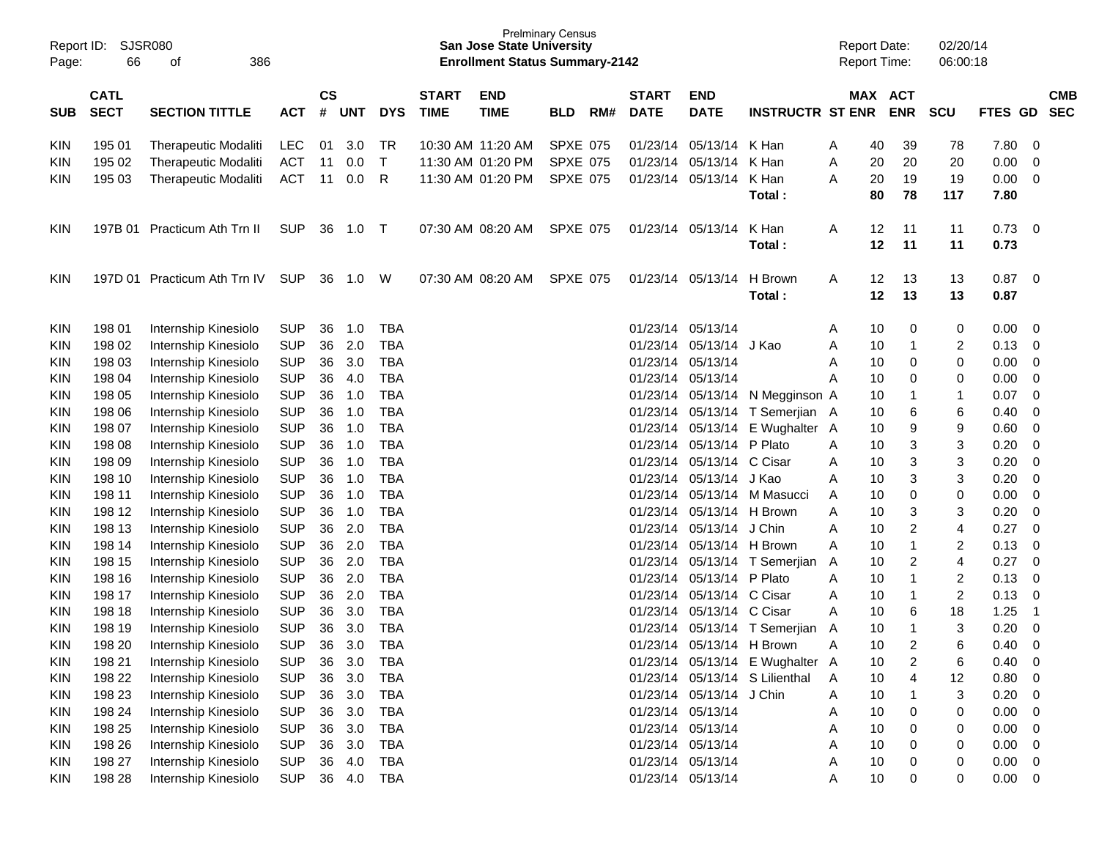| Report ID:<br>Page:      | 66               | SJSR080<br>386<br>οf                         |            |               |              |              |              | San Jose State University<br><b>Enrollment Status Summary-2142</b> | <b>Prelminary Census</b> |     |              |                           |                                 | <b>Report Date:</b><br>Report Time: |                      | 02/20/14<br>06:00:18    |         |                |
|--------------------------|------------------|----------------------------------------------|------------|---------------|--------------|--------------|--------------|--------------------------------------------------------------------|--------------------------|-----|--------------|---------------------------|---------------------------------|-------------------------------------|----------------------|-------------------------|---------|----------------|
|                          | <b>CATL</b>      |                                              |            | $\mathsf{cs}$ |              |              | <b>START</b> | <b>END</b>                                                         |                          |     | <b>START</b> | <b>END</b>                |                                 |                                     | MAX ACT              |                         |         | <b>CMB</b>     |
| <b>SUB</b>               | <b>SECT</b>      | <b>SECTION TITTLE</b>                        | <b>ACT</b> | #             | <b>UNT</b>   | <b>DYS</b>   | <b>TIME</b>  | <b>TIME</b>                                                        | <b>BLD</b>               | RM# | <b>DATE</b>  | <b>DATE</b>               | <b>INSTRUCTR ST ENR</b>         |                                     | <b>ENR</b>           | <b>SCU</b>              | FTES GD | <b>SEC</b>     |
| <b>KIN</b>               | 195 01           | Therapeutic Modaliti                         | <b>LEC</b> | 01            | 3.0          | TR           |              | 10:30 AM 11:20 AM                                                  | <b>SPXE 075</b>          |     | 01/23/14     | 05/13/14                  | K Han                           | 40<br>A                             | 39                   | 78                      | 7.80    | 0              |
| KIN                      | 195 02           | Therapeutic Modaliti                         | <b>ACT</b> | 11            | 0.0          | $\mathsf{T}$ |              | 11:30 AM 01:20 PM                                                  | <b>SPXE 075</b>          |     | 01/23/14     | 05/13/14                  | K Han                           | 20<br>Α                             | 20                   | 20                      | 0.00    | 0              |
| <b>KIN</b>               | 195 03           | <b>Therapeutic Modaliti</b>                  | <b>ACT</b> | 11            | 0.0          | R            |              | 11:30 AM 01:20 PM                                                  | <b>SPXE 075</b>          |     | 01/23/14     | 05/13/14                  | K Han                           | 20<br>Α                             | 19                   | 19                      | 0.00    | 0              |
|                          |                  |                                              |            |               |              |              |              |                                                                    |                          |     |              |                           | Total:                          | 80                                  | 78                   | 117                     | 7.80    |                |
| KIN                      | 197B 01          | Practicum Ath Trn II                         | <b>SUP</b> | 36            | 1.0          | $\top$       |              | 07:30 AM 08:20 AM                                                  | <b>SPXE 075</b>          |     | 01/23/14     | 05/13/14                  | K Han                           | Α                                   | 12<br>11             | 11                      | 0.73    | 0              |
|                          |                  |                                              |            |               |              |              |              |                                                                    |                          |     |              |                           | Total:                          | 12                                  | 11                   | 11                      | 0.73    |                |
| <b>KIN</b>               |                  | 197D 01 Practicum Ath Trn IV                 | <b>SUP</b> | 36            | 1.0          | W            |              | 07:30 AM 08:20 AM                                                  | <b>SPXE 075</b>          |     | 01/23/14     | 05/13/14                  | H Brown                         | Α                                   | 13<br>12             | 13                      | 0.87    | 0              |
|                          |                  |                                              |            |               |              |              |              |                                                                    |                          |     |              |                           | Total:                          |                                     | 12<br>13             | 13                      | 0.87    |                |
|                          |                  |                                              | <b>SUP</b> | 36            | 1.0          | <b>TBA</b>   |              |                                                                    |                          |     | 01/23/14     | 05/13/14                  |                                 |                                     |                      |                         | 0.00    |                |
| <b>KIN</b><br><b>KIN</b> | 198 01<br>198 02 | Internship Kinesiolo                         | <b>SUP</b> | 36            | 2.0          | <b>TBA</b>   |              |                                                                    |                          |     | 01/23/14     | 05/13/14                  | J Kao                           | 10<br>Α<br>10                       | 0<br>$\mathbf 1$     | 0                       | 0.13    | 0<br>0         |
| <b>KIN</b>               | 198 03           | Internship Kinesiolo<br>Internship Kinesiolo | <b>SUP</b> | 36            | 3.0          | <b>TBA</b>   |              |                                                                    |                          |     | 01/23/14     | 05/13/14                  |                                 | Α<br>10<br>A                        | 0                    | 2<br>0                  | 0.00    | 0              |
| <b>KIN</b>               | 198 04           | Internship Kinesiolo                         | <b>SUP</b> | 36            | 4.0          | <b>TBA</b>   |              |                                                                    |                          |     | 01/23/14     | 05/13/14                  |                                 | 10<br>Α                             | 0                    | 0                       | 0.00    | 0              |
| <b>KIN</b>               | 198 05           | Internship Kinesiolo                         | <b>SUP</b> | 36            | 1.0          | <b>TBA</b>   |              |                                                                    |                          |     | 01/23/14     | 05/13/14                  | N Megginson A                   | 10                                  | -1                   | 1                       | 0.07    | 0              |
| <b>KIN</b>               | 198 06           | Internship Kinesiolo                         | <b>SUP</b> | 36            | 1.0          | <b>TBA</b>   |              |                                                                    |                          |     | 01/23/14     | 05/13/14                  | T Semerjian A                   | 10                                  | 6                    | 6                       | 0.40    | 0              |
| <b>KIN</b>               | 198 07           | Internship Kinesiolo                         | <b>SUP</b> | 36            | 1.0          | <b>TBA</b>   |              |                                                                    |                          |     | 01/23/14     | 05/13/14                  | E Wughalter A                   | 10                                  | 9                    | 9                       | 0.60    | 0              |
| <b>KIN</b>               | 198 08           | Internship Kinesiolo                         | <b>SUP</b> | 36            | 1.0          | <b>TBA</b>   |              |                                                                    |                          |     | 01/23/14     | 05/13/14                  | P Plato                         | 10<br>A                             | 3                    | 3                       | 0.20    | 0              |
| <b>KIN</b>               | 198 09           | Internship Kinesiolo                         | <b>SUP</b> | 36            | 1.0          | <b>TBA</b>   |              |                                                                    |                          |     | 01/23/14     | 05/13/14 C Cisar          |                                 | 10<br>Α                             | 3                    | 3                       | 0.20    | 0              |
| <b>KIN</b>               | 198 10           | Internship Kinesiolo                         | <b>SUP</b> | 36            | 1.0          | <b>TBA</b>   |              |                                                                    |                          |     | 01/23/14     | 05/13/14 J Kao            |                                 | 10<br>A                             | 3                    | 3                       | 0.20    | 0              |
| <b>KIN</b>               | 198 11           | Internship Kinesiolo                         | <b>SUP</b> | 36            | 1.0          | <b>TBA</b>   |              |                                                                    |                          |     | 01/23/14     | 05/13/14                  | M Masucci                       | 10<br>A                             | $\mathbf 0$          | 0                       | 0.00    | 0              |
| <b>KIN</b>               | 198 12           | Internship Kinesiolo                         | <b>SUP</b> | 36            | 1.0          | <b>TBA</b>   |              |                                                                    |                          |     | 01/23/14     | 05/13/14                  | H Brown                         | Α<br>10                             | 3                    | 3                       | 0.20    | 0              |
| <b>KIN</b>               | 198 13           | Internship Kinesiolo                         | <b>SUP</b> | 36            | 2.0          | <b>TBA</b>   |              |                                                                    |                          |     | 01/23/14     | 05/13/14                  | J Chin                          | 10<br>Α                             | $\overline{c}$       | 4                       | 0.27    | 0              |
| <b>KIN</b>               | 198 14           | Internship Kinesiolo                         | <b>SUP</b> | 36            | 2.0          | <b>TBA</b>   |              |                                                                    |                          |     | 01/23/14     | 05/13/14                  | H Brown                         | 10<br>Α                             | $\mathbf{1}$         | $\overline{\mathbf{c}}$ | 0.13    | 0              |
| <b>KIN</b>               | 198 15           | Internship Kinesiolo                         | <b>SUP</b> | 36            | 2.0          | <b>TBA</b>   |              |                                                                    |                          |     | 01/23/14     |                           | 05/13/14 T Semerjian            | A                                   | 10<br>$\overline{2}$ | 4                       | 0.27    | 0              |
| <b>KIN</b>               | 198 16           | Internship Kinesiolo                         | <b>SUP</b> | 36            | 2.0          | <b>TBA</b>   |              |                                                                    |                          |     | 01/23/14     | 05/13/14                  | P Plato                         | Α<br>10                             | 1                    | 2                       | 0.13    | 0              |
| <b>KIN</b>               | 198 17           | Internship Kinesiolo                         | <b>SUP</b> | 36            | 2.0          | <b>TBA</b>   |              |                                                                    |                          |     | 01/23/14     | 05/13/14 C Cisar          |                                 | Α<br>10                             | -1                   | $\overline{\mathbf{c}}$ | 0.13    | 0              |
| KIN                      | 198 18           | Internship Kinesiolo                         | <b>SUP</b> | 36            | 3.0          | <b>TBA</b>   |              |                                                                    |                          |     | 01/23/14     | 05/13/14 C Cisar          |                                 | Α                                   | 10<br>6              | 18                      | 1.25    | $\overline{1}$ |
| <b>KIN</b>               | 198 19           | Internship Kinesiolo                         | <b>SUP</b> | 36            | 3.0          | <b>TBA</b>   |              |                                                                    |                          |     | 01/23/14     |                           | 05/13/14 T Semerjian            | Α                                   | 10<br>-1             | 3                       | 0.20    | 0              |
| <b>KIN</b>               | 198 20           | Internship Kinesiolo                         | <b>SUP</b> | 36            | 3.0          | <b>TBA</b>   |              |                                                                    |                          |     |              | 01/23/14 05/13/14 H Brown |                                 |                                     | 10                   | 6                       | 0.40    | $\Omega$       |
| <b>KIN</b>               | 198 21           | Internship Kinesiolo                         | <b>SUP</b> | 36            | 3.0          | <b>TBA</b>   |              |                                                                    |                          |     |              |                           | 01/23/14 05/13/14 E Wughalter A |                                     | $\overline{c}$<br>10 | 6                       | 0.40    | 0              |
| <b>KIN</b>               | 198 22           | Internship Kinesiolo                         | <b>SUP</b> | 36            | 3.0          | <b>TBA</b>   |              |                                                                    |                          |     | 01/23/14     |                           | 05/13/14 S Lilienthal           | Α                                   | 10<br>4              | 12                      | 0.80    | 0              |
| <b>KIN</b>               | 198 23           | Internship Kinesiolo                         | <b>SUP</b> | 36            | 3.0          | <b>TBA</b>   |              |                                                                    |                          |     | 01/23/14     | 05/13/14 J Chin           |                                 | Α                                   | 10<br>$\mathbf 1$    | 3                       | 0.20    | 0              |
| <b>KIN</b>               | 198 24           | Internship Kinesiolo                         | <b>SUP</b> | 36            | 3.0          | <b>TBA</b>   |              |                                                                    |                          |     | 01/23/14     | 05/13/14                  |                                 | Α                                   | 10<br>0              | 0                       | 0.00    | 0              |
| <b>KIN</b>               | 198 25           | Internship Kinesiolo                         | <b>SUP</b> | 36            | 3.0          | <b>TBA</b>   |              |                                                                    |                          |     |              | 01/23/14 05/13/14         |                                 | Α                                   | 10<br>0              | 0                       | 0.00    | 0              |
| <b>KIN</b>               | 198 26           | Internship Kinesiolo                         | <b>SUP</b> | 36            | 3.0          | <b>TBA</b>   |              |                                                                    |                          |     |              | 01/23/14 05/13/14         |                                 | Α                                   | 10<br>0              | 0                       | 0.00    | 0              |
| <b>KIN</b>               | 198 27           | Internship Kinesiolo                         | <b>SUP</b> | 36            | 4.0          | <b>TBA</b>   |              |                                                                    |                          |     |              | 01/23/14 05/13/14         |                                 | Α                                   | 10<br>0              | 0                       | 0.00    | 0              |
| <b>KIN</b>               | 198 28           | Internship Kinesiolo                         | <b>SUP</b> |               | 36  4.0  TBA |              |              |                                                                    |                          |     |              | 01/23/14 05/13/14         |                                 | 10<br>A                             | 0                    | 0                       | 0.00    | $\mathbf 0$    |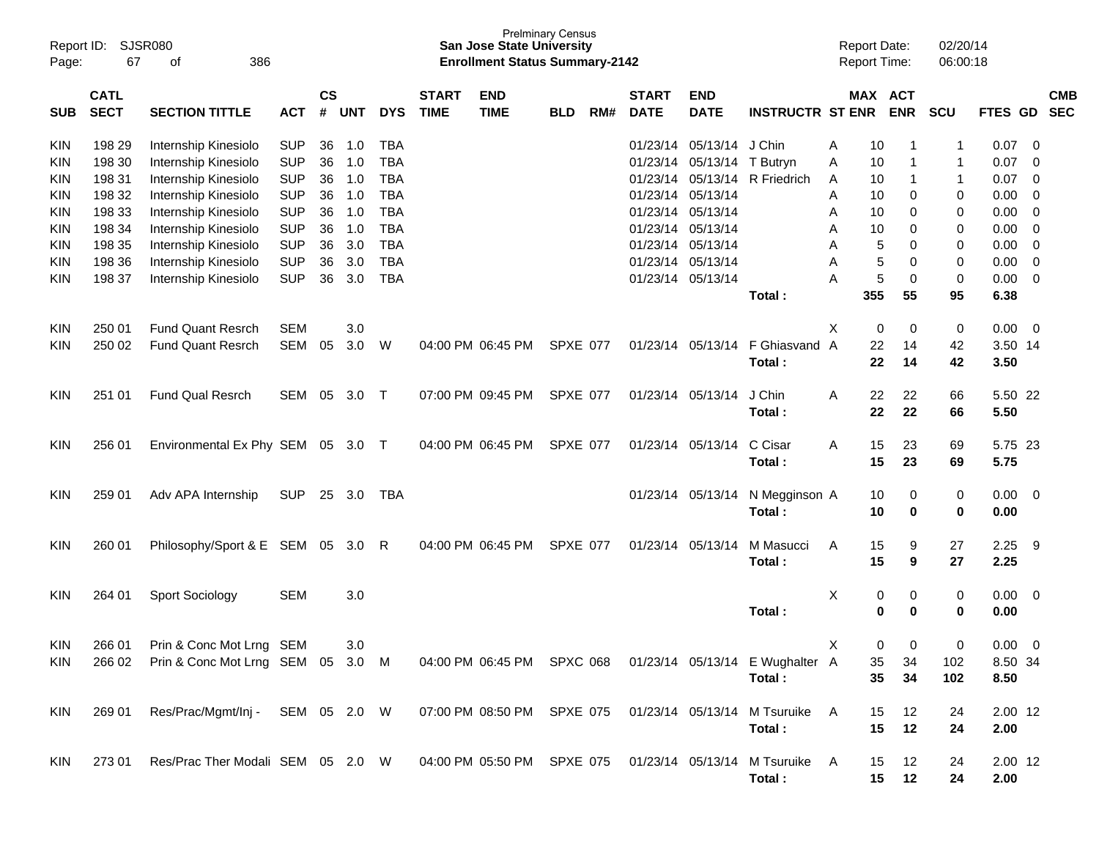| Report ID:<br>Page: | 67                         | SJSR080<br>386<br>οf                                                                               |            |                    |            |            |                             | <b>San Jose State University</b><br><b>Enrollment Status Summary-2142</b> | <b>Prelminary Census</b> |     |                             |                           |                                                                         | <b>Report Date:</b><br><b>Report Time:</b> |          |                       | 02/20/14<br>06:00:18 |             |                |                          |
|---------------------|----------------------------|----------------------------------------------------------------------------------------------------|------------|--------------------|------------|------------|-----------------------------|---------------------------------------------------------------------------|--------------------------|-----|-----------------------------|---------------------------|-------------------------------------------------------------------------|--------------------------------------------|----------|-----------------------|----------------------|-------------|----------------|--------------------------|
| <b>SUB</b>          | <b>CATL</b><br><b>SECT</b> | <b>SECTION TITTLE</b>                                                                              | <b>ACT</b> | $\mathsf{cs}$<br># | <b>UNT</b> | <b>DYS</b> | <b>START</b><br><b>TIME</b> | <b>END</b><br><b>TIME</b>                                                 | <b>BLD</b>               | RM# | <b>START</b><br><b>DATE</b> | <b>END</b><br><b>DATE</b> | <b>INSTRUCTR ST ENR</b>                                                 |                                            |          | MAX ACT<br><b>ENR</b> | <b>SCU</b>           | FTES GD     |                | <b>CMB</b><br><b>SEC</b> |
| <b>KIN</b>          | 198 29                     | Internship Kinesiolo                                                                               | <b>SUP</b> | 36                 | 1.0        | <b>TBA</b> |                             |                                                                           |                          |     | 01/23/14                    | 05/13/14                  | J Chin                                                                  | Α                                          | 10       | -1                    | 1                    | 0.07        | $\mathbf 0$    |                          |
| <b>KIN</b>          | 198 30                     | Internship Kinesiolo                                                                               | <b>SUP</b> | 36                 | 1.0        | <b>TBA</b> |                             |                                                                           |                          |     | 01/23/14                    | 05/13/14                  | T Butryn                                                                | Α                                          | 10       | -1                    | 1                    | 0.07        | 0              |                          |
| <b>KIN</b>          | 198 31                     | Internship Kinesiolo                                                                               | <b>SUP</b> | 36                 | 1.0        | <b>TBA</b> |                             |                                                                           |                          |     | 01/23/14                    | 05/13/14                  | R Friedrich                                                             | A                                          | 10       | -1                    | 1                    | 0.07        | 0              |                          |
| <b>KIN</b>          | 198 32                     | Internship Kinesiolo                                                                               | <b>SUP</b> | 36                 | 1.0        | <b>TBA</b> |                             |                                                                           |                          |     | 01/23/14                    | 05/13/14                  |                                                                         | A                                          | 10       | 0                     | 0                    | 0.00        | 0              |                          |
| <b>KIN</b>          | 198 33                     | Internship Kinesiolo                                                                               | <b>SUP</b> | 36                 | 1.0        | <b>TBA</b> |                             |                                                                           |                          |     | 01/23/14                    | 05/13/14                  |                                                                         | Α                                          | 10       | 0                     | 0                    | 0.00        | $\mathbf 0$    |                          |
| <b>KIN</b>          | 198 34                     | Internship Kinesiolo                                                                               | <b>SUP</b> | 36                 | 1.0        | <b>TBA</b> |                             |                                                                           |                          |     | 01/23/14                    | 05/13/14                  |                                                                         | Α                                          | 10       | 0                     | 0                    | 0.00        | $\mathbf 0$    |                          |
| <b>KIN</b>          | 198 35                     | Internship Kinesiolo                                                                               | <b>SUP</b> | 36                 | 3.0        | <b>TBA</b> |                             |                                                                           |                          |     | 01/23/14                    | 05/13/14                  |                                                                         | Α                                          | 5        | 0                     | 0                    | 0.00        | $\mathbf 0$    |                          |
| KIN                 | 198 36                     | Internship Kinesiolo                                                                               | <b>SUP</b> | 36                 | 3.0        | <b>TBA</b> |                             |                                                                           |                          |     | 01/23/14                    | 05/13/14                  |                                                                         | Α                                          | 5        | 0                     | 0                    | 0.00        | $\mathbf 0$    |                          |
| <b>KIN</b>          | 198 37                     | Internship Kinesiolo                                                                               | <b>SUP</b> | 36                 | 3.0        | <b>TBA</b> |                             |                                                                           |                          |     | 01/23/14                    | 05/13/14                  |                                                                         | A                                          | 5        | 0                     | 0                    | 0.00        | $\mathbf 0$    |                          |
|                     |                            |                                                                                                    |            |                    |            |            |                             |                                                                           |                          |     |                             |                           | Total:                                                                  |                                            | 355      | 55                    | 95                   | 6.38        |                |                          |
| <b>KIN</b>          | 250 01                     | <b>Fund Quant Resrch</b>                                                                           | <b>SEM</b> |                    | 3.0        |            |                             |                                                                           |                          |     |                             |                           |                                                                         | X                                          | 0        | 0                     | 0                    | 0.00        | $\mathbf 0$    |                          |
| <b>KIN</b>          | 250 02                     | <b>Fund Quant Resrch</b>                                                                           | <b>SEM</b> | 05                 | 3.0        | W          |                             | 04:00 PM 06:45 PM                                                         | <b>SPXE 077</b>          |     | 01/23/14                    | 05/13/14                  | F Ghiasvand A                                                           |                                            | 22       | 14                    | 42                   | 3.50 14     |                |                          |
|                     |                            |                                                                                                    |            |                    |            |            |                             |                                                                           |                          |     |                             |                           | Total:                                                                  |                                            | 22       | 14                    | 42                   | 3.50        |                |                          |
| <b>KIN</b>          | 251 01                     | <b>Fund Qual Resrch</b>                                                                            | <b>SEM</b> | 05                 | 3.0        | $\top$     |                             | 07:00 PM 09:45 PM                                                         | <b>SPXE 077</b>          |     | 01/23/14                    | 05/13/14                  | J Chin                                                                  | A                                          | 22       | 22                    | 66                   | 5.50 22     |                |                          |
|                     |                            |                                                                                                    |            |                    |            |            |                             |                                                                           |                          |     |                             |                           | Total:                                                                  |                                            | 22       | 22                    | 66                   | 5.50        |                |                          |
| <b>KIN</b>          | 256 01                     | Environmental Ex Phy SEM                                                                           |            |                    | 05 3.0     | $\top$     |                             | 04:00 PM 06:45 PM                                                         | <b>SPXE 077</b>          |     | 01/23/14                    | 05/13/14                  | C Cisar                                                                 | A                                          | 15       | 23                    | 69                   | 5.75 23     |                |                          |
|                     |                            |                                                                                                    |            |                    |            |            |                             |                                                                           |                          |     |                             |                           | Total:                                                                  |                                            | 15       | 23                    | 69                   | 5.75        |                |                          |
| <b>KIN</b>          | 259 01                     | Adv APA Internship                                                                                 | <b>SUP</b> |                    | 25 3.0     | <b>TBA</b> |                             |                                                                           |                          |     |                             | 01/23/14 05/13/14         | N Megginson A                                                           |                                            | 10       | 0                     | 0                    | 0.00        | $\overline{0}$ |                          |
|                     |                            |                                                                                                    |            |                    |            |            |                             |                                                                           |                          |     |                             |                           | Total:                                                                  |                                            | 10       | 0                     | 0                    | 0.00        |                |                          |
|                     |                            |                                                                                                    |            |                    |            |            |                             |                                                                           |                          |     |                             |                           |                                                                         |                                            |          |                       |                      |             |                |                          |
| <b>KIN</b>          | 260 01                     | Philosophy/Sport & E SEM 05                                                                        |            |                    | 3.0        | R          |                             | 04:00 PM 06:45 PM                                                         | <b>SPXE 077</b>          |     | 01/23/14                    | 05/13/14                  | M Masucci                                                               | A                                          | 15       | 9                     | 27                   | 2.25        | -9             |                          |
|                     |                            |                                                                                                    |            |                    |            |            |                             |                                                                           |                          |     |                             |                           | Total:                                                                  |                                            | 15       | 9                     | 27                   | 2.25        |                |                          |
| <b>KIN</b>          | 264 01                     | Sport Sociology                                                                                    | <b>SEM</b> |                    | 3.0        |            |                             |                                                                           |                          |     |                             |                           |                                                                         | Χ                                          | 0        | 0                     | 0                    | 0.00        | 0              |                          |
|                     |                            |                                                                                                    |            |                    |            |            |                             |                                                                           |                          |     |                             |                           | Total:                                                                  |                                            | 0        | 0                     | 0                    | 0.00        |                |                          |
| KIN                 |                            | 266 01 Prin & Conc Mot Lrng SEM                                                                    |            |                    | 3.0        |            |                             |                                                                           |                          |     |                             |                           |                                                                         | x                                          | $\Omega$ | 0                     | 0                    | $0.00 \t 0$ |                |                          |
| KIN.                |                            | 266 02 Prin & Conc Mot Lrng SEM 05 3.0 M                                                           |            |                    |            |            |                             |                                                                           |                          |     |                             |                           | 04:00 PM 06:45 PM SPXC 068 01/23/14 05/13/14 E Wughalter A              |                                            | 35       | 34                    | 102                  | 8.50 34     |                |                          |
|                     |                            |                                                                                                    |            |                    |            |            |                             |                                                                           |                          |     |                             |                           | Total:                                                                  |                                            | 35       | 34                    | 102                  | 8.50        |                |                          |
|                     |                            |                                                                                                    |            |                    |            |            |                             |                                                                           |                          |     |                             |                           |                                                                         |                                            |          |                       |                      |             |                |                          |
| KIN                 | 269 01                     | Res/Prac/Mgmt/Inj - SEM 05 2.0 W                                                                   |            |                    |            |            |                             |                                                                           |                          |     |                             |                           | 07:00 PM 08:50 PM SPXE 075  01/23/14  05/13/14  M Tsuruike  A<br>Total: |                                            | 15<br>15 | 12<br>12              | 24<br>24             | $2.00$ 12   |                |                          |
|                     |                            |                                                                                                    |            |                    |            |            |                             |                                                                           |                          |     |                             |                           |                                                                         |                                            |          |                       |                      | 2.00        |                |                          |
| KIN                 |                            | 273 01 Res/Prac Ther Modali SEM 05 2.0 W 04:00 PM 05:50 PM SPXE 075 01/23/14 05/13/14 M Tsuruike A |            |                    |            |            |                             |                                                                           |                          |     |                             |                           |                                                                         |                                            | 15       | 12                    | 24                   | 2.00 12     |                |                          |
|                     |                            |                                                                                                    |            |                    |            |            |                             |                                                                           |                          |     |                             |                           | Total:                                                                  |                                            | 15       | 12                    | 24                   | 2.00        |                |                          |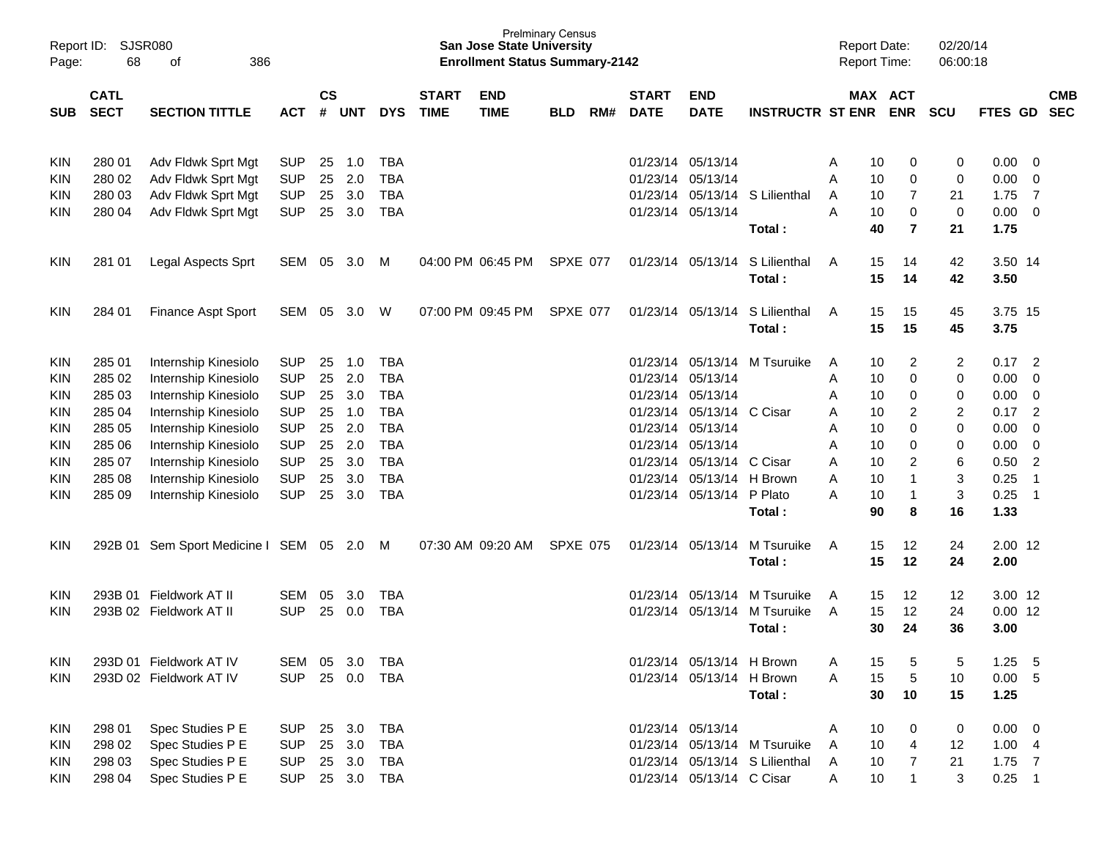| Page:      | Report ID: SJSR080<br>68<br>386<br>of<br><b>CATL</b> |                                         |                |                    |            |            |                             | <b>San Jose State University</b><br><b>Enrollment Status Summary-2142</b> | <b>Prelminary Census</b> |     |                             |                           |                                | <b>Report Date:</b><br><b>Report Time:</b> |                       | 02/20/14<br>06:00:18      |                |                          |                          |
|------------|------------------------------------------------------|-----------------------------------------|----------------|--------------------|------------|------------|-----------------------------|---------------------------------------------------------------------------|--------------------------|-----|-----------------------------|---------------------------|--------------------------------|--------------------------------------------|-----------------------|---------------------------|----------------|--------------------------|--------------------------|
| <b>SUB</b> | <b>SECT</b><br><b>SECTION TITTLE</b><br><b>ACT</b>   |                                         |                | $\mathsf{cs}$<br># | <b>UNT</b> | <b>DYS</b> | <b>START</b><br><b>TIME</b> | <b>END</b><br><b>TIME</b>                                                 | <b>BLD</b>               | RM# | <b>START</b><br><b>DATE</b> | <b>END</b><br><b>DATE</b> | <b>INSTRUCTR ST ENR</b>        |                                            | MAX ACT<br><b>ENR</b> | <b>SCU</b>                | <b>FTES GD</b> |                          | <b>CMB</b><br><b>SEC</b> |
| KIN        | 280 01                                               | Adv Fldwk Sprt Mgt                      | <b>SUP</b>     | 25                 | 1.0        | <b>TBA</b> |                             |                                                                           |                          |     |                             | 01/23/14 05/13/14         |                                | 10<br>A                                    | 0                     | 0                         | 0.00           | - 0                      |                          |
| <b>KIN</b> | 280 02                                               | Adv Fldwk Sprt Mgt                      | <b>SUP</b>     | 25                 | 2.0        | <b>TBA</b> |                             |                                                                           |                          |     |                             | 01/23/14 05/13/14         |                                | A<br>10                                    | 0                     | $\mathbf 0$               | 0.00           | $\overline{0}$           |                          |
| <b>KIN</b> | 280 03                                               | Adv Fldwk Sprt Mgt                      | <b>SUP</b>     | 25                 | 3.0        | <b>TBA</b> |                             |                                                                           |                          |     |                             | 01/23/14 05/13/14         | S Lilienthal                   | A                                          | $\overline{7}$<br>10  | 21                        | 1.75           | $\overline{7}$           |                          |
| <b>KIN</b> | 280 04                                               | Adv Fldwk Sprt Mgt                      | <b>SUP</b>     | 25                 | 3.0        | <b>TBA</b> |                             |                                                                           |                          |     |                             | 01/23/14 05/13/14         |                                | A<br>10                                    | 0                     | $\pmb{0}$                 | 0.00           | $\overline{\mathbf{0}}$  |                          |
|            |                                                      |                                         |                |                    |            |            |                             |                                                                           |                          |     |                             |                           | Total:                         | 40                                         | $\overline{7}$        | 21                        | 1.75           |                          |                          |
| <b>KIN</b> | 281 01                                               | Legal Aspects Sprt                      | SEM 05         |                    | 3.0        | M          |                             | 04:00 PM 06:45 PM                                                         | SPXE 077                 |     |                             | 01/23/14 05/13/14         | S Lilienthal                   | A                                          | 15<br>14              | 42                        | 3.50 14        |                          |                          |
|            |                                                      |                                         |                |                    |            |            |                             |                                                                           |                          |     |                             |                           | Total:                         |                                            | 15<br>14              | 42                        | 3.50           |                          |                          |
| <b>KIN</b> | 284 01                                               | <b>Finance Aspt Sport</b>               | SEM            | 05                 | 3.0        | W          |                             | 07:00 PM 09:45 PM                                                         | SPXE 077                 |     |                             | 01/23/14 05/13/14         | S Lilienthal                   | A                                          | 15<br>15              | 45                        | 3.75 15        |                          |                          |
|            |                                                      |                                         |                |                    |            |            |                             |                                                                           |                          |     |                             |                           | Total:                         |                                            | 15<br>15              | 45                        | 3.75           |                          |                          |
| KIN        | 285 01                                               | Internship Kinesiolo                    | <b>SUP</b>     | 25                 | 1.0        | <b>TBA</b> |                             |                                                                           |                          |     |                             | 01/23/14 05/13/14         | M Tsuruike                     | A                                          | $\overline{2}$<br>10  | 2                         | 0.17           | $\overline{\phantom{0}}$ |                          |
| <b>KIN</b> | 285 02                                               | Internship Kinesiolo                    | <b>SUP</b>     | 25                 | 2.0        | <b>TBA</b> |                             |                                                                           |                          |     |                             | 01/23/14 05/13/14         |                                | Α                                          | $\mathbf 0$<br>10     | 0                         | 0.00           | $\overline{0}$           |                          |
| <b>KIN</b> | 285 03                                               | Internship Kinesiolo                    | <b>SUP</b>     | 25                 | 3.0        | <b>TBA</b> |                             |                                                                           |                          |     |                             | 01/23/14 05/13/14         |                                | A<br>10                                    | 0                     | 0                         | 0.00           | $\overline{0}$           |                          |
| <b>KIN</b> | 285 04                                               | Internship Kinesiolo                    | <b>SUP</b>     | 25                 | 1.0        | <b>TBA</b> |                             |                                                                           |                          |     |                             | 01/23/14 05/13/14 C Cisar |                                | A<br>10                                    | $\overline{2}$        | $\overline{c}$            | 0.17           | $\overline{2}$           |                          |
| <b>KIN</b> | 285 05                                               | Internship Kinesiolo                    | <b>SUP</b>     | 25                 | 2.0        | <b>TBA</b> |                             |                                                                           |                          |     |                             | 01/23/14 05/13/14         |                                | A<br>10                                    | $\mathbf 0$           | 0                         | 0.00           | $\overline{0}$           |                          |
| <b>KIN</b> | 285 06                                               | Internship Kinesiolo                    | <b>SUP</b>     | 25                 | 2.0        | <b>TBA</b> |                             |                                                                           |                          |     |                             | 01/23/14 05/13/14         |                                | A<br>10                                    | 0                     | 0                         | 0.00           | $\overline{0}$           |                          |
| <b>KIN</b> | 285 07                                               | Internship Kinesiolo                    | <b>SUP</b>     | 25                 | 3.0        | <b>TBA</b> |                             |                                                                           |                          |     |                             | 01/23/14 05/13/14         | C Cisar                        | 10<br>A                                    | $\overline{2}$        | 6                         | 0.50           | $\overline{2}$           |                          |
| <b>KIN</b> | 285 08                                               | Internship Kinesiolo                    | <b>SUP</b>     | 25                 | 3.0        | <b>TBA</b> |                             |                                                                           |                          |     | 01/23/14                    | 05/13/14                  | H Brown                        | A<br>10                                    | $\mathbf{1}$          | 3                         | 0.25           | $\overline{1}$           |                          |
| KIN        | 285 09                                               | Internship Kinesiolo                    | <b>SUP</b>     | 25                 | 3.0        | <b>TBA</b> |                             |                                                                           |                          |     |                             | 01/23/14 05/13/14         | P Plato                        | A<br>10                                    | $\overline{1}$        | $\ensuremath{\mathsf{3}}$ | 0.25           | $\overline{1}$           |                          |
|            |                                                      |                                         |                |                    |            |            |                             |                                                                           |                          |     |                             |                           | Total:                         | 90                                         | 8                     | 16                        | 1.33           |                          |                          |
| <b>KIN</b> |                                                      | 292B 01 Sem Sport Medicine I SEM 05 2.0 |                |                    |            | M          |                             | 07:30 AM 09:20 AM                                                         | <b>SPXE 075</b>          |     |                             | 01/23/14 05/13/14         | M Tsuruike                     | A                                          | 15<br>12              | 24                        | 2.00 12        |                          |                          |
|            |                                                      |                                         |                |                    |            |            |                             |                                                                           |                          |     |                             |                           | Total:                         |                                            | 15<br>12              | 24                        | 2.00           |                          |                          |
| <b>KIN</b> |                                                      | 293B 01 Fieldwork AT II                 | <b>SEM</b>     | 05                 | 3.0        | <b>TBA</b> |                             |                                                                           |                          |     | 01/23/14                    | 05/13/14                  | M Tsuruike                     | A                                          | 12<br>15              | 12                        | 3.00 12        |                          |                          |
| <b>KIN</b> |                                                      | 293B 02 Fieldwork AT II                 | <b>SUP</b>     | 25                 | 0.0        | <b>TBA</b> |                             |                                                                           |                          |     |                             | 01/23/14 05/13/14         | M Tsuruike                     | A<br>15                                    | 12                    | 24                        | $0.00$ 12      |                          |                          |
|            |                                                      |                                         |                |                    |            |            |                             |                                                                           |                          |     |                             |                           | Total:                         |                                            | 30<br>24              | 36                        | 3.00           |                          |                          |
| <b>KIN</b> |                                                      | 293D 01 Fieldwork AT IV                 | SEM 05 3.0     |                    |            | TBA        |                             |                                                                           |                          |     |                             | 01/23/14 05/13/14 H Brown |                                | 15<br>Α                                    | 5                     | 5                         | 1.25           | $-5$                     |                          |
| <b>KIN</b> |                                                      | 293D 02 Fieldwork AT IV                 | <b>SUP</b>     |                    | 25 0.0     | TBA        |                             |                                                                           |                          |     |                             | 01/23/14 05/13/14 H Brown |                                | Α                                          | 15<br>5               | 10                        | 0.00 5         |                          |                          |
|            |                                                      |                                         |                |                    |            |            |                             |                                                                           |                          |     |                             |                           | Total:                         |                                            | 30<br>10              | 15                        | 1.25           |                          |                          |
| KIN        | 298 01                                               | Spec Studies P E                        | <b>SUP</b>     |                    | 25 3.0     | <b>TBA</b> |                             |                                                                           |                          |     |                             | 01/23/14 05/13/14         |                                | A                                          | 10<br>0               | 0                         | $0.00 \t 0$    |                          |                          |
| <b>KIN</b> | 298 02                                               | Spec Studies P E                        | <b>SUP</b>     |                    | 25 3.0     | TBA        |                             |                                                                           |                          |     |                             |                           | 01/23/14 05/13/14 M Tsuruike   | A                                          | 10<br>4               | 12                        | 1.004          |                          |                          |
| <b>KIN</b> | 298 03                                               | Spec Studies P E                        | <b>SUP</b>     |                    | 25 3.0     | <b>TBA</b> |                             |                                                                           |                          |     |                             |                           | 01/23/14 05/13/14 S Lilienthal | A                                          | $\overline{7}$<br>10  | 21                        | $1.75$ 7       |                          |                          |
| <b>KIN</b> | 298 04                                               | Spec Studies P E                        | SUP 25 3.0 TBA |                    |            |            |                             |                                                                           |                          |     |                             | 01/23/14 05/13/14 C Cisar |                                | A                                          | 10<br>$\mathbf{1}$    | 3                         | $0.25$ 1       |                          |                          |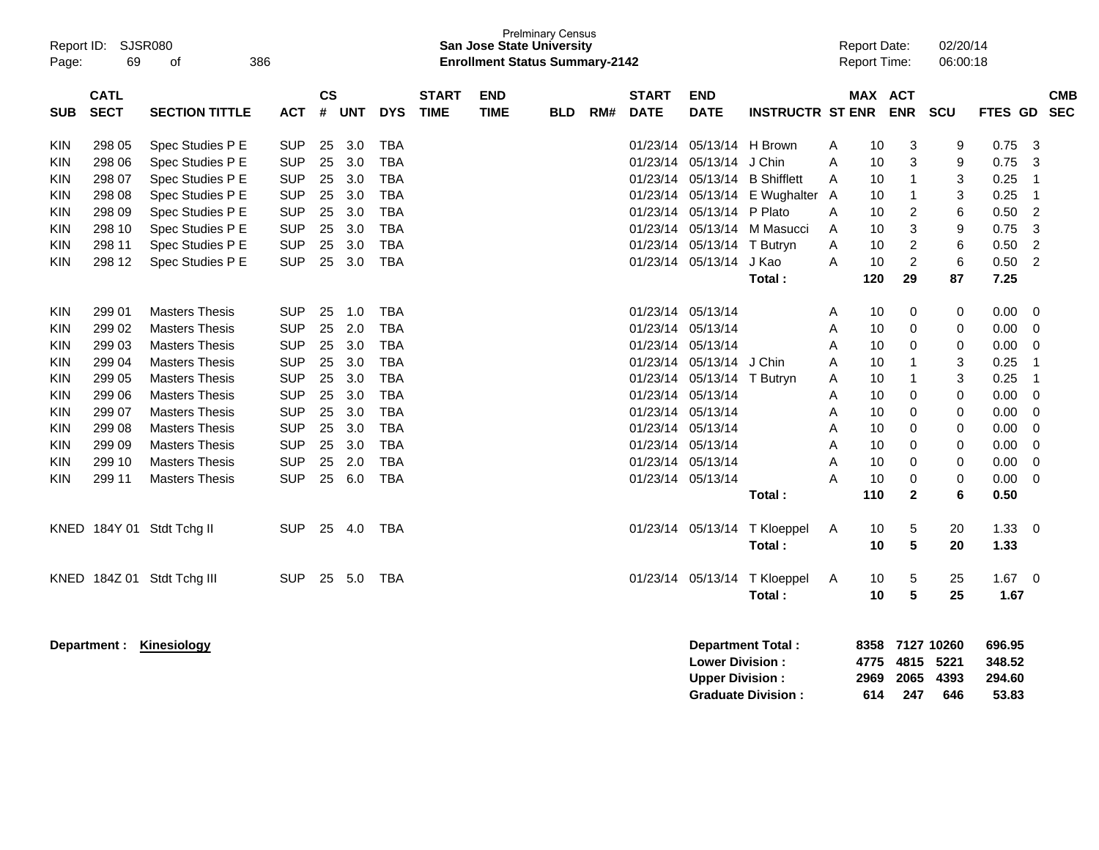| Report ID:<br>Page:                                                                                   | 69                                                                                                         | <b>SJSR080</b><br>386<br>οf                                                                                                                                                                                                                                                     |                                                                                                                                                        |                                                                |                                                                           |                                                                                                                                                        |                             | <b>San Jose State University</b><br><b>Enrollment Status Summary-2142</b> | <b>Prelminary Census</b> |     |                                                                                                                                                                                           |                                                                                                                                     |                                                                                                  |                                                     | <b>Report Date:</b><br><b>Report Time:</b>                            |                                                                                            | 02/20/14<br>06:00:18                                               |                                                                                              |                                                                                    |
|-------------------------------------------------------------------------------------------------------|------------------------------------------------------------------------------------------------------------|---------------------------------------------------------------------------------------------------------------------------------------------------------------------------------------------------------------------------------------------------------------------------------|--------------------------------------------------------------------------------------------------------------------------------------------------------|----------------------------------------------------------------|---------------------------------------------------------------------------|--------------------------------------------------------------------------------------------------------------------------------------------------------|-----------------------------|---------------------------------------------------------------------------|--------------------------|-----|-------------------------------------------------------------------------------------------------------------------------------------------------------------------------------------------|-------------------------------------------------------------------------------------------------------------------------------------|--------------------------------------------------------------------------------------------------|-----------------------------------------------------|-----------------------------------------------------------------------|--------------------------------------------------------------------------------------------|--------------------------------------------------------------------|----------------------------------------------------------------------------------------------|------------------------------------------------------------------------------------|
| <b>SUB</b>                                                                                            | <b>CATL</b><br><b>SECT</b>                                                                                 | <b>SECTION TITTLE</b>                                                                                                                                                                                                                                                           | ACT                                                                                                                                                    | <b>CS</b><br>#                                                 | <b>UNT</b>                                                                | <b>DYS</b>                                                                                                                                             | <b>START</b><br><b>TIME</b> | <b>END</b><br><b>TIME</b>                                                 | <b>BLD</b>               | RM# | <b>START</b><br><b>DATE</b>                                                                                                                                                               | <b>END</b><br><b>DATE</b>                                                                                                           | <b>INSTRUCTR ST ENR</b>                                                                          |                                                     | <b>MAX ACT</b>                                                        | <b>ENR</b>                                                                                 | SCU                                                                | FTES GD                                                                                      | <b>CMB</b><br><b>SEC</b>                                                           |
| KIN<br>KIN<br><b>KIN</b><br>KIN<br>KIN<br><b>KIN</b><br><b>KIN</b>                                    | 298 05<br>298 06<br>298 07<br>298 08<br>298 09<br>298 10<br>298 11                                         | Spec Studies P E<br>Spec Studies P E<br>Spec Studies P E<br>Spec Studies P E<br>Spec Studies P E<br>Spec Studies P E<br>Spec Studies P E                                                                                                                                        | <b>SUP</b><br><b>SUP</b><br><b>SUP</b><br><b>SUP</b><br><b>SUP</b><br><b>SUP</b><br><b>SUP</b>                                                         | 25<br>25<br>25<br>25<br>25<br>25<br>25                         | 3.0<br>3.0<br>3.0<br>3.0<br>3.0<br>3.0<br>3.0                             | <b>TBA</b><br><b>TBA</b><br><b>TBA</b><br><b>TBA</b><br><b>TBA</b><br><b>TBA</b><br><b>TBA</b>                                                         |                             |                                                                           |                          |     |                                                                                                                                                                                           | 01/23/14 05/13/14<br>01/23/14 05/13/14<br>01/23/14 05/13/14<br>01/23/14 05/13/14<br>01/23/14 05/13/14<br>01/23/14 05/13/14 T Butryn | H Brown<br>J Chin<br><b>B</b> Shifflett<br>E Wughalter<br>P Plato<br>01/23/14 05/13/14 M Masucci | Α<br>A<br>Α<br>A<br>Α<br>Α<br>Α                     | 10<br>10<br>10<br>10<br>10<br>10<br>10                                | 3<br>3<br>$\overline{1}$<br>$\mathbf{1}$<br>$\overline{c}$<br>3<br>$\overline{\mathbf{c}}$ | 9<br>9<br>3<br>3<br>6<br>9<br>6                                    | 0.75<br>0.75<br>0.25<br>0.25<br>0.50<br>0.75<br>0.50                                         | 3<br>3<br>$\mathbf{1}$<br>$\mathbf 1$<br>$\overline{c}$<br>3<br>$\overline{2}$     |
| <b>KIN</b>                                                                                            | 298 12                                                                                                     | Spec Studies P E                                                                                                                                                                                                                                                                | <b>SUP</b>                                                                                                                                             | 25                                                             | 3.0                                                                       | <b>TBA</b>                                                                                                                                             |                             |                                                                           |                          |     |                                                                                                                                                                                           | 01/23/14 05/13/14                                                                                                                   | J Kao<br>Total:                                                                                  | A                                                   | 10<br>120                                                             | $\overline{c}$<br>29                                                                       | 6<br>87                                                            | 0.50<br>7.25                                                                                 | $\overline{2}$                                                                     |
| <b>KIN</b><br><b>KIN</b><br>KIN<br>KIN<br>KIN<br>KIN<br>KIN<br>KIN<br><b>KIN</b><br>KIN<br><b>KIN</b> | 299 01<br>299 02<br>299 03<br>299 04<br>299 05<br>299 06<br>299 07<br>299 08<br>299 09<br>299 10<br>299 11 | <b>Masters Thesis</b><br><b>Masters Thesis</b><br><b>Masters Thesis</b><br><b>Masters Thesis</b><br><b>Masters Thesis</b><br><b>Masters Thesis</b><br><b>Masters Thesis</b><br><b>Masters Thesis</b><br><b>Masters Thesis</b><br><b>Masters Thesis</b><br><b>Masters Thesis</b> | <b>SUP</b><br><b>SUP</b><br><b>SUP</b><br><b>SUP</b><br><b>SUP</b><br><b>SUP</b><br><b>SUP</b><br><b>SUP</b><br><b>SUP</b><br><b>SUP</b><br><b>SUP</b> | 25<br>25<br>25<br>25<br>25<br>25<br>25<br>25<br>25<br>25<br>25 | 1.0<br>2.0<br>3.0<br>3.0<br>3.0<br>3.0<br>3.0<br>3.0<br>3.0<br>2.0<br>6.0 | <b>TBA</b><br><b>TBA</b><br><b>TBA</b><br><b>TBA</b><br><b>TBA</b><br><b>TBA</b><br><b>TBA</b><br><b>TBA</b><br><b>TBA</b><br><b>TBA</b><br><b>TBA</b> |                             |                                                                           |                          |     | 01/23/14 05/13/14<br>01/23/14 05/13/14<br>01/23/14 05/13/14<br>01/23/14 05/13/14<br>01/23/14 05/13/14<br>01/23/14 05/13/14<br>01/23/14 05/13/14<br>01/23/14 05/13/14<br>01/23/14 05/13/14 | 01/23/14 05/13/14<br>01/23/14 05/13/14 T Butryn                                                                                     | J Chin<br>Total:                                                                                 | Α<br>Α<br>Α<br>A<br>A<br>A<br>Α<br>Α<br>Α<br>Α<br>A | 10<br>10<br>10<br>10<br>10<br>10<br>10<br>10<br>10<br>10<br>10<br>110 | 0<br>0<br>0<br>-1<br>1<br>0<br>0<br>0<br>0<br>0<br>0<br>$\overline{2}$                     | 0<br>0<br>0<br>3<br>3<br>0<br>0<br>0<br>0<br>0<br>$\mathbf 0$<br>6 | 0.00<br>0.00<br>0.00<br>0.25<br>0.25<br>0.00<br>0.00<br>0.00<br>0.00<br>0.00<br>0.00<br>0.50 | 0<br>0<br>0<br>-1<br>$\mathbf 1$<br>0<br>$\mathbf 0$<br>$\mathbf 0$<br>0<br>0<br>0 |
|                                                                                                       |                                                                                                            | KNED 184Y 01 Stdt Tchg II                                                                                                                                                                                                                                                       | <b>SUP</b>                                                                                                                                             | 25                                                             | 4.0                                                                       | <b>TBA</b>                                                                                                                                             |                             |                                                                           |                          |     |                                                                                                                                                                                           | 01/23/14 05/13/14                                                                                                                   | T Kloeppel<br>Total:                                                                             | Α                                                   | 10<br>10                                                              | 5<br>5                                                                                     | 20<br>20                                                           | 1.33<br>1.33                                                                                 | 0                                                                                  |
| KNED                                                                                                  |                                                                                                            | 184Z 01 Stdt Tchg III                                                                                                                                                                                                                                                           | <b>SUP</b>                                                                                                                                             | 25                                                             | 5.0                                                                       | TBA                                                                                                                                                    |                             |                                                                           |                          |     |                                                                                                                                                                                           | 01/23/14 05/13/14                                                                                                                   | T Kloeppel<br>Total:                                                                             | A                                                   | 10<br>10                                                              | 5<br>5                                                                                     | 25<br>25                                                           | $1.67 \quad 0$<br>1.67                                                                       |                                                                                    |
|                                                                                                       | Department :                                                                                               | Kinesiology                                                                                                                                                                                                                                                                     |                                                                                                                                                        |                                                                |                                                                           |                                                                                                                                                        |                             |                                                                           |                          |     |                                                                                                                                                                                           | <b>Lower Division:</b><br><b>Upper Division:</b>                                                                                    | <b>Department Total:</b>                                                                         |                                                     | 8358<br>4775<br>2969                                                  | 4815<br>2065                                                                               | 7127 10260<br>5221<br>4393                                         | 696.95<br>348.52<br>294.60                                                                   |                                                                                    |

**Upper Division : 2969 2065 4393 294.60**

**Graduate Division : 614 247 646 53.83**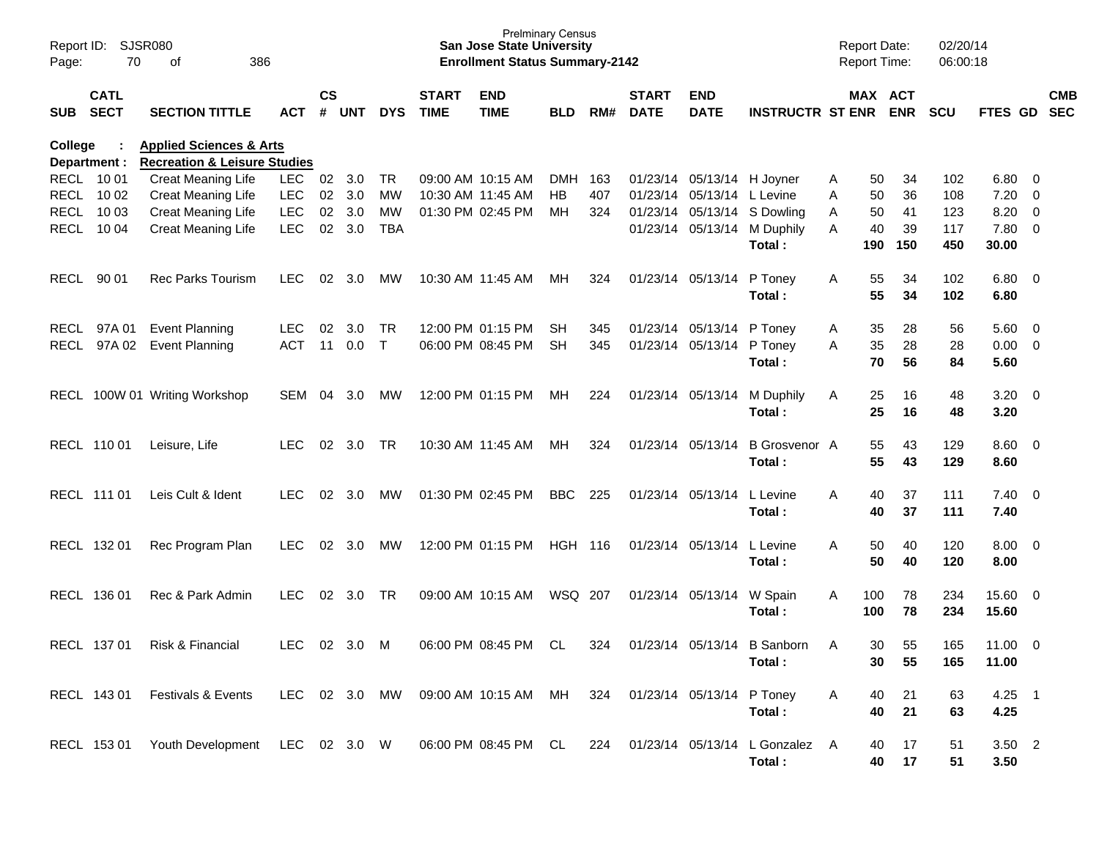| Report ID:<br>Page: | 70                         | <b>SJSR080</b><br>386<br>of                                           |            |               |                |              |                             | <b>Prelminary Census</b><br><b>San Jose State University</b><br><b>Enrollment Status Summary-2142</b> |            |     |                             |                            |                                       |   | <b>Report Date:</b><br><b>Report Time:</b> |            | 02/20/14<br>06:00:18 |                       |                          |            |
|---------------------|----------------------------|-----------------------------------------------------------------------|------------|---------------|----------------|--------------|-----------------------------|-------------------------------------------------------------------------------------------------------|------------|-----|-----------------------------|----------------------------|---------------------------------------|---|--------------------------------------------|------------|----------------------|-----------------------|--------------------------|------------|
| <b>SUB</b>          | <b>CATL</b><br><b>SECT</b> | <b>SECTION TITTLE</b>                                                 | <b>ACT</b> | $\mathsf{cs}$ | # UNT          | <b>DYS</b>   | <b>START</b><br><b>TIME</b> | <b>END</b><br><b>TIME</b>                                                                             | <b>BLD</b> | RM# | <b>START</b><br><b>DATE</b> | <b>END</b><br><b>DATE</b>  | <b>INSTRUCTR ST ENR</b>               |   | MAX ACT                                    | <b>ENR</b> | <b>SCU</b>           | FTES GD SEC           |                          | <b>CMB</b> |
| College             | Department :               | <b>Applied Sciences &amp; Arts</b>                                    |            |               |                |              |                             |                                                                                                       |            |     |                             |                            |                                       |   |                                            |            |                      |                       |                          |            |
|                     | RECL 10 01                 | <b>Recreation &amp; Leisure Studies</b><br>Creat Meaning Life<br>LEC. |            | 02            | 3.0            | <b>TR</b>    |                             | 09:00 AM 10:15 AM                                                                                     | DMH        | 163 |                             | 01/23/14 05/13/14 H Joyner |                                       | Α | 50                                         | 34         | 102                  | 6.80                  | $\overline{\phantom{0}}$ |            |
|                     | RECL 10 02                 | Creat Meaning Life                                                    | <b>LEC</b> | 02            | 3.0            | МW           |                             | 10:30 AM 11:45 AM                                                                                     | HB         | 407 |                             | 01/23/14 05/13/14 L Levine |                                       | Α | 50                                         | 36         | 108                  | 7.20                  | $\overline{\mathbf{0}}$  |            |
|                     | RECL 10 03                 | <b>Creat Meaning Life</b>                                             | <b>LEC</b> | 02            | 3.0            | МW           |                             | 01:30 PM 02:45 PM                                                                                     | MН         | 324 |                             |                            | 01/23/14 05/13/14 S Dowling           | Α | 50                                         | 41         | 123                  | 8.20                  | $\overline{0}$           |            |
|                     | RECL 10 04                 | Creat Meaning Life                                                    | <b>LEC</b> | 02            | 3.0            | TBA          |                             |                                                                                                       |            |     |                             |                            | 01/23/14 05/13/14 M Duphily<br>Total: | A | 40<br>190                                  | 39<br>150  | 117<br>450           | 7.80 0<br>30.00       |                          |            |
| RECL 90 01          |                            | <b>Rec Parks Tourism</b>                                              | LEC.       | 02            | 3.0            | MW           |                             | 10:30 AM 11:45 AM                                                                                     | MН         | 324 |                             | 01/23/14 05/13/14 P Toney  | Total:                                | A | 55<br>55                                   | 34<br>34   | 102<br>102           | $6.80\quad 0$<br>6.80 |                          |            |
|                     | RECL 97A01                 | <b>Event Planning</b>                                                 | <b>LEC</b> | 02            | 3.0            | TR.          |                             | 12:00 PM 01:15 PM                                                                                     | SH         | 345 |                             | 01/23/14 05/13/14 P Toney  |                                       | A | 35                                         | 28         | 56                   | 5.60                  | $\overline{\phantom{0}}$ |            |
|                     | RECL 97A 02                | <b>Event Planning</b>                                                 | <b>ACT</b> |               | 11 0.0         | $\mathsf{T}$ |                             | 06:00 PM 08:45 PM                                                                                     | SH         | 345 |                             | 01/23/14 05/13/14 P Toney  |                                       | A | 35                                         | 28         | 28                   | $0.00 \t 0$           |                          |            |
|                     |                            |                                                                       |            |               |                |              |                             |                                                                                                       |            |     |                             |                            | Total:                                |   | 70                                         | 56         | 84                   | 5.60                  |                          |            |
|                     |                            | RECL 100W 01 Writing Workshop                                         | SEM        | 04            | 3.0            | MW           |                             | 12:00 PM 01:15 PM                                                                                     | MН         | 224 |                             |                            | 01/23/14 05/13/14 M Duphily           | A | 25                                         | 16         | 48                   | $3.20 \ 0$            |                          |            |
|                     |                            |                                                                       |            |               |                |              |                             |                                                                                                       |            |     |                             |                            | Total:                                |   | 25                                         | 16         | 48                   | 3.20                  |                          |            |
|                     | RECL 110 01                | Leisure, Life                                                         | <b>LEC</b> | 02            | 3.0            | <b>TR</b>    |                             | 10:30 AM 11:45 AM                                                                                     | MН         | 324 |                             | 01/23/14 05/13/14          | <b>B</b> Grosvenor A                  |   | 55                                         | 43         | 129                  | $8.60 \quad 0$        |                          |            |
|                     |                            |                                                                       |            |               |                |              |                             |                                                                                                       |            |     |                             |                            | Total:                                |   | 55                                         | 43         | 129                  | 8.60                  |                          |            |
|                     | RECL 111 01                | Leis Cult & Ident                                                     | LEC        | 02            | 3.0            | MW           |                             | 01:30 PM 02:45 PM                                                                                     | BBC        | 225 |                             | 01/23/14 05/13/14          | L Levine                              | A | 40                                         | 37         | 111                  | $7.40 \quad 0$        |                          |            |
|                     |                            |                                                                       |            |               |                |              |                             |                                                                                                       |            |     |                             |                            | Total:                                |   | 40                                         | 37         | 111                  | 7.40                  |                          |            |
|                     | RECL 132 01                | Rec Program Plan                                                      | LEC        | 02            | 3.0            | MW           |                             | 12:00 PM 01:15 PM                                                                                     | HGH 116    |     |                             | 01/23/14 05/13/14 L Levine |                                       | A | 50                                         | 40         | 120                  | 8.00                  | $\overline{\phantom{0}}$ |            |
|                     |                            |                                                                       |            |               |                |              |                             |                                                                                                       |            |     |                             |                            | Total:                                |   | 50                                         | 40         | 120                  | 8.00                  |                          |            |
|                     | RECL 136 01                | Rec & Park Admin                                                      | <b>LEC</b> | 02            | 3.0            | TR.          |                             | 09:00 AM 10:15 AM                                                                                     | WSQ 207    |     |                             | 01/23/14 05/13/14 W Spain  | Total:                                | A | 100<br>100                                 | 78<br>78   | 234<br>234           | 15.60 0<br>15.60      |                          |            |
|                     |                            |                                                                       |            |               |                |              |                             |                                                                                                       |            |     |                             |                            |                                       |   |                                            |            |                      |                       |                          |            |
|                     | RECL 137 01                | Risk & Financial                                                      | <b>LEC</b> |               | $02 \quad 3.0$ | M            |                             | 06:00 PM 08:45 PM                                                                                     | CL         | 324 |                             |                            | 01/23/14 05/13/14 B Sanborn           | A | 30                                         | 55         | 165                  | $11.00 \t 0$          |                          |            |
|                     |                            |                                                                       |            |               |                |              |                             |                                                                                                       |            |     |                             |                            | Total:                                |   | 30                                         | 55         | 165                  | 11.00                 |                          |            |
|                     | RECL 143 01                | Festivals & Events                                                    | LEC        |               | 02 3.0         | MW           |                             | 09:00 AM 10:15 AM MH                                                                                  |            | 324 |                             | 01/23/14 05/13/14 P Toney  |                                       | A | 40                                         | 21         | 63                   | $4.25$ 1              |                          |            |
|                     |                            |                                                                       |            |               |                |              |                             |                                                                                                       |            |     |                             |                            | Total:                                |   | 40                                         | 21         | 63                   | 4.25                  |                          |            |
|                     |                            |                                                                       |            |               |                |              |                             |                                                                                                       |            |     |                             |                            |                                       |   |                                            |            |                      |                       |                          |            |
|                     | RECL 153 01                | Youth Development LEC 02 3.0 W                                        |            |               |                |              |                             | 06:00 PM 08:45 PM CL                                                                                  |            | 224 |                             |                            | 01/23/14 05/13/14 L Gonzalez A        |   | 40                                         | 17         | 51                   | $3.50$ 2              |                          |            |
|                     |                            |                                                                       |            |               |                |              |                             |                                                                                                       |            |     |                             |                            | Total:                                |   | 40                                         | 17         | 51                   | 3.50                  |                          |            |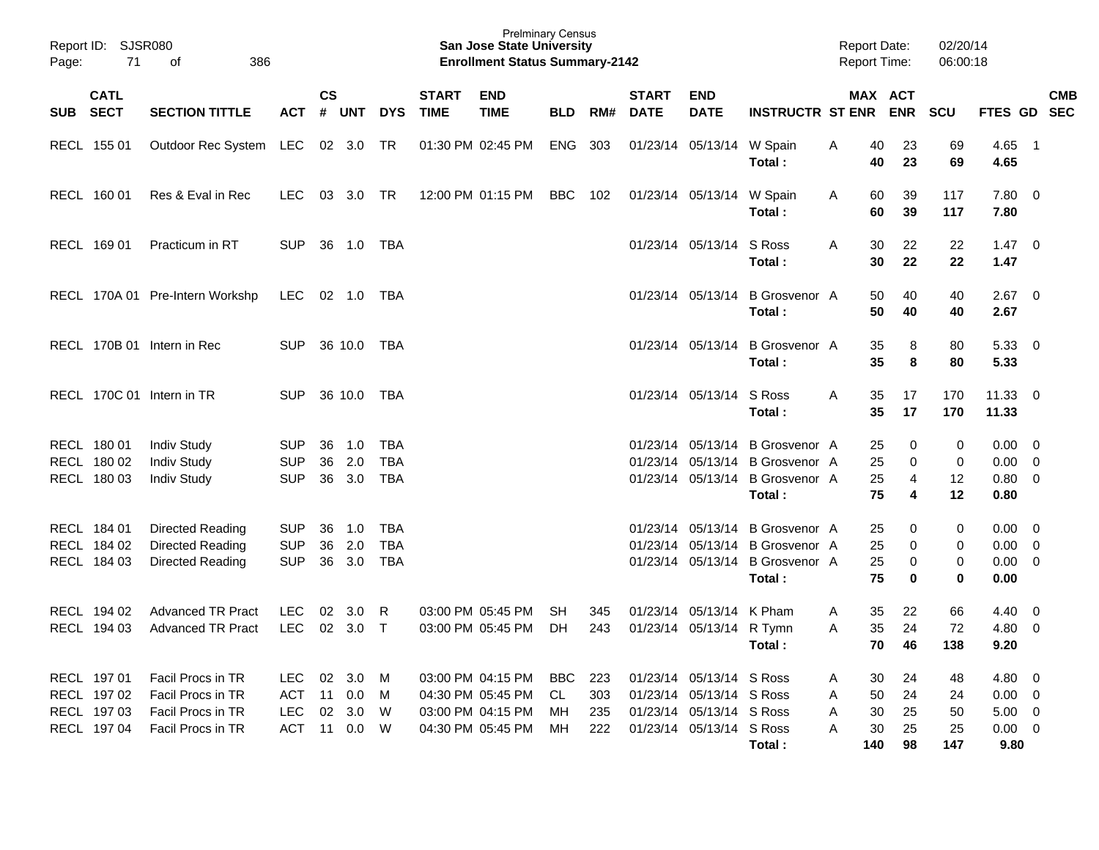| Report ID:<br>Page: | <b>SJSR080</b><br>71       | 386<br>оf                       |            |                    |            |             |                             | <b>Prelminary Census</b><br><b>San Jose State University</b><br><b>Enrollment Status Summary-2142</b> |            |     |                             |                           |                                | <b>Report Date:</b><br><b>Report Time:</b> |                       | 02/20/14<br>06:00:18 |                        |                          |
|---------------------|----------------------------|---------------------------------|------------|--------------------|------------|-------------|-----------------------------|-------------------------------------------------------------------------------------------------------|------------|-----|-----------------------------|---------------------------|--------------------------------|--------------------------------------------|-----------------------|----------------------|------------------------|--------------------------|
| <b>SUB</b>          | <b>CATL</b><br><b>SECT</b> | <b>SECTION TITTLE</b>           | <b>ACT</b> | $\mathsf{cs}$<br># | <b>UNT</b> | <b>DYS</b>  | <b>START</b><br><b>TIME</b> | <b>END</b><br><b>TIME</b>                                                                             | <b>BLD</b> | RM# | <b>START</b><br><b>DATE</b> | <b>END</b><br><b>DATE</b> | <b>INSTRUCTR ST ENR</b>        |                                            | MAX ACT<br><b>ENR</b> | <b>SCU</b>           | FTES GD                | <b>CMB</b><br><b>SEC</b> |
|                     | RECL 155 01                | Outdoor Rec System              | LEC        | 02                 | 3.0        | TR          |                             | 01:30 PM 02:45 PM                                                                                     | <b>ENG</b> | 303 |                             | 01/23/14 05/13/14         | W Spain<br>Total:              | 40<br>Α<br>40                              | 23<br>23              | 69<br>69             | $4.65$ 1<br>4.65       |                          |
|                     | RECL 160 01                | Res & Eval in Rec               | <b>LEC</b> | 03                 | 3.0        | <b>TR</b>   |                             | 12:00 PM 01:15 PM                                                                                     | <b>BBC</b> | 102 |                             | 01/23/14 05/13/14         | W Spain<br>Total:              | 60<br>A<br>60                              | 39<br>39              | 117<br>117           | 7.80<br>7.80           | $\overline{0}$           |
|                     | RECL 169 01                | Practicum in RT                 | <b>SUP</b> | 36                 | 1.0        | TBA         |                             |                                                                                                       |            |     |                             | 01/23/14 05/13/14         | S Ross<br>Total:               | Α<br>30<br>30                              | 22<br>22              | 22<br>22             | $1.47 \quad 0$<br>1.47 |                          |
|                     |                            | RECL 170A 01 Pre-Intern Workshp | <b>LEC</b> | 02 1.0             |            | TBA         |                             |                                                                                                       |            |     |                             | 01/23/14 05/13/14         | <b>B</b> Grosvenor A<br>Total: | 50<br>50                                   | 40<br>40              | 40<br>40             | $2.67$ 0<br>2.67       |                          |
|                     |                            | RECL 170B 01 Intern in Rec      | <b>SUP</b> | 36 10.0            |            | TBA         |                             |                                                                                                       |            |     |                             | 01/23/14 05/13/14         | <b>B</b> Grosvenor A<br>Total: | 35<br>35                                   | 8<br>8                | 80<br>80             | 5.33<br>5.33           | $\overline{\mathbf{0}}$  |
|                     |                            | RECL 170C 01 Intern in TR       | <b>SUP</b> | 36 10.0            |            | TBA         |                             |                                                                                                       |            |     |                             | 01/23/14 05/13/14         | S Ross<br>Total:               | A<br>35<br>35                              | 17<br>17              | 170<br>170           | 11.33<br>11.33         | $\overline{0}$           |
|                     | RECL 180 01                | Indiv Study                     | <b>SUP</b> | 36                 | 1.0        | <b>TBA</b>  |                             |                                                                                                       |            |     |                             | 01/23/14 05/13/14         | <b>B</b> Grosvenor A           | 25                                         | 0                     | 0                    | 0.00                   | - 0                      |
|                     | RECL 180 02                | <b>Indiv Study</b>              | <b>SUP</b> | 36                 | 2.0        | <b>TBA</b>  |                             |                                                                                                       |            |     |                             | 01/23/14 05/13/14         | <b>B</b> Grosvenor A           | 25                                         | 0                     | $\mathbf 0$          | 0.00                   | $\overline{0}$           |
|                     | RECL 180 03                | <b>Indiv Study</b>              | <b>SUP</b> | 36                 | 3.0        | <b>TBA</b>  |                             |                                                                                                       |            |     |                             | 01/23/14 05/13/14         | <b>B</b> Grosvenor A           | 25                                         | 4                     | 12                   | 0.80                   | $\overline{0}$           |
|                     |                            |                                 |            |                    |            |             |                             |                                                                                                       |            |     |                             |                           | Total:                         | 75                                         | 4                     | 12                   | 0.80                   |                          |
|                     | RECL 184 01                | Directed Reading                | <b>SUP</b> | 36                 | 1.0        | <b>TBA</b>  |                             |                                                                                                       |            |     |                             | 01/23/14 05/13/14         | <b>B</b> Grosvenor A           | 25                                         | 0                     | 0                    | 0.00                   | $\overline{0}$           |
|                     | RECL 184 02                | Directed Reading                | <b>SUP</b> | 36                 | 2.0        | <b>TBA</b>  |                             |                                                                                                       |            |     |                             | 01/23/14 05/13/14         | <b>B</b> Grosvenor A           | 25                                         | 0                     | 0                    | 0.00                   | 0                        |
|                     | RECL 184 03                | Directed Reading                | <b>SUP</b> | 36                 | 3.0        | <b>TBA</b>  |                             |                                                                                                       |            |     |                             | 01/23/14 05/13/14         | <b>B</b> Grosvenor A           | 25                                         | 0                     | 0                    | 0.00                   | $\overline{0}$           |
|                     |                            |                                 |            |                    |            |             |                             |                                                                                                       |            |     |                             |                           | Total:                         | 75                                         | 0                     | $\mathbf 0$          | 0.00                   |                          |
|                     | RECL 194 02                | <b>Advanced TR Pract</b>        | <b>LEC</b> | 02                 | 3.0        | R           |                             | 03:00 PM 05:45 PM                                                                                     | <b>SH</b>  | 345 |                             | 01/23/14 05/13/14         | K Pham                         | 35<br>Α                                    | 22                    | 66                   | 4.40                   | 0                        |
|                     | RECL 194 03                | <b>Advanced TR Pract</b>        | <b>LEC</b> | 02                 | 3.0        | $\mathsf T$ |                             | 03:00 PM 05:45 PM                                                                                     | DН         | 243 |                             | 01/23/14 05/13/14 R Tymn  |                                | 35<br>A                                    | 24                    | 72                   | 4.80                   | 0                        |
|                     |                            |                                 |            |                    |            |             |                             |                                                                                                       |            |     |                             |                           | Total:                         |                                            | 70<br>46              | 138                  | 9.20                   |                          |
|                     | RECL 197 01                | Facil Procs in TR               | LEC        | 02 3.0             |            | M           |                             | 03:00 PM 04:15 PM                                                                                     | BBC        | 223 |                             | 01/23/14 05/13/14 S Ross  |                                | 30<br>A                                    | 24                    | 48                   | $4.80\ 0$              |                          |
|                     | RECL 197 02                | Facil Procs in TR               | <b>ACT</b> | 11                 | 0.0        | M           |                             | 04:30 PM 05:45 PM                                                                                     | CL         | 303 |                             | 01/23/14 05/13/14 S Ross  |                                | 50<br>A                                    | 24                    | 24                   | $0.00 \t 0$            |                          |
|                     | RECL 197 03                | Facil Procs in TR               | LEC        | 02 3.0             |            | W           |                             | 03:00 PM 04:15 PM                                                                                     | MH.        | 235 |                             | 01/23/14 05/13/14 S Ross  |                                | 30<br>A                                    | 25                    | 50                   | $5.00 \t 0$            |                          |
|                     | RECL 197 04                | Facil Procs in TR               | ACT        | 11 0.0             |            | W           |                             | 04:30 PM 05:45 PM                                                                                     | МH         | 222 |                             | 01/23/14 05/13/14 S Ross  |                                | 30<br>A                                    | 25                    | 25                   | $0.00 \t 0$            |                          |
|                     |                            |                                 |            |                    |            |             |                             |                                                                                                       |            |     |                             |                           | Total:                         | 140                                        | 98                    | 147                  | 9.80                   |                          |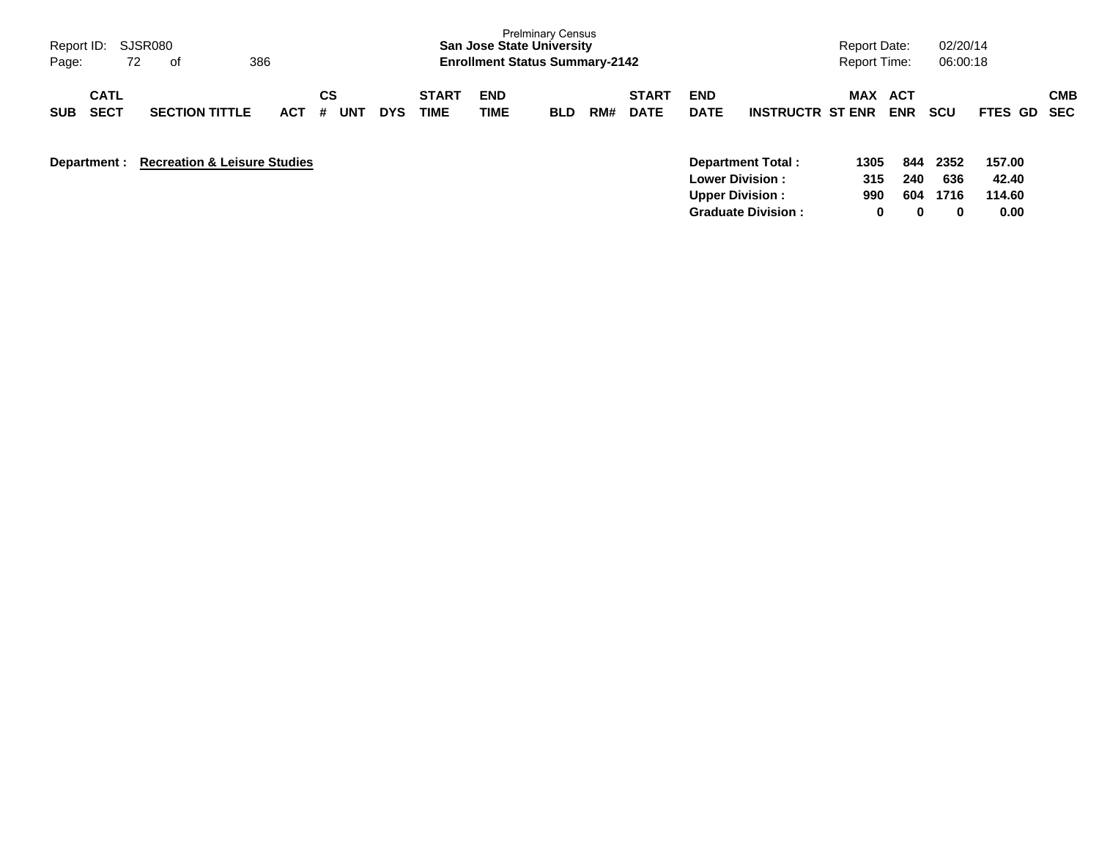| Report ID: SJSR080<br>72<br>Page:        | 386                                       | <b>Prelminary Census</b><br><b>San Jose State University</b><br><b>Enrollment Status Summary-2142</b> |                |            |                      |                    |            |     |                             | <b>Report Date:</b><br><b>Report Time:</b> |                                                                       | 02/20/14<br>06:00:18 |                   |                     |                           |     |
|------------------------------------------|-------------------------------------------|-------------------------------------------------------------------------------------------------------|----------------|------------|----------------------|--------------------|------------|-----|-----------------------------|--------------------------------------------|-----------------------------------------------------------------------|----------------------|-------------------|---------------------|---------------------------|-----|
| <b>CATL</b><br><b>SECT</b><br><b>SUB</b> | <b>SECTION TITTLE</b>                     | <b>ACT</b>                                                                                            | СS<br>UNT<br># | <b>DYS</b> | <b>START</b><br>TIME | <b>END</b><br>TIME | <b>BLD</b> | RM# | <b>START</b><br><b>DATE</b> | <b>END</b><br><b>DATE</b>                  | <b>INSTRUCTR ST ENR</b>                                               | <b>MAX</b>           | ACT<br><b>ENR</b> | SCU                 | <b>FTES GD SEC</b>        | CMB |
|                                          | Department : Recreation & Leisure Studies |                                                                                                       |                |            |                      |                    |            |     |                             |                                            | Department Total:<br><b>Lower Division:</b><br><b>Upper Division:</b> | 1305<br>315<br>990   | 844<br>240<br>604 | 2352<br>636<br>1716 | 157.00<br>42.40<br>114.60 |     |

**Graduate Division : 0 0 0 0.00**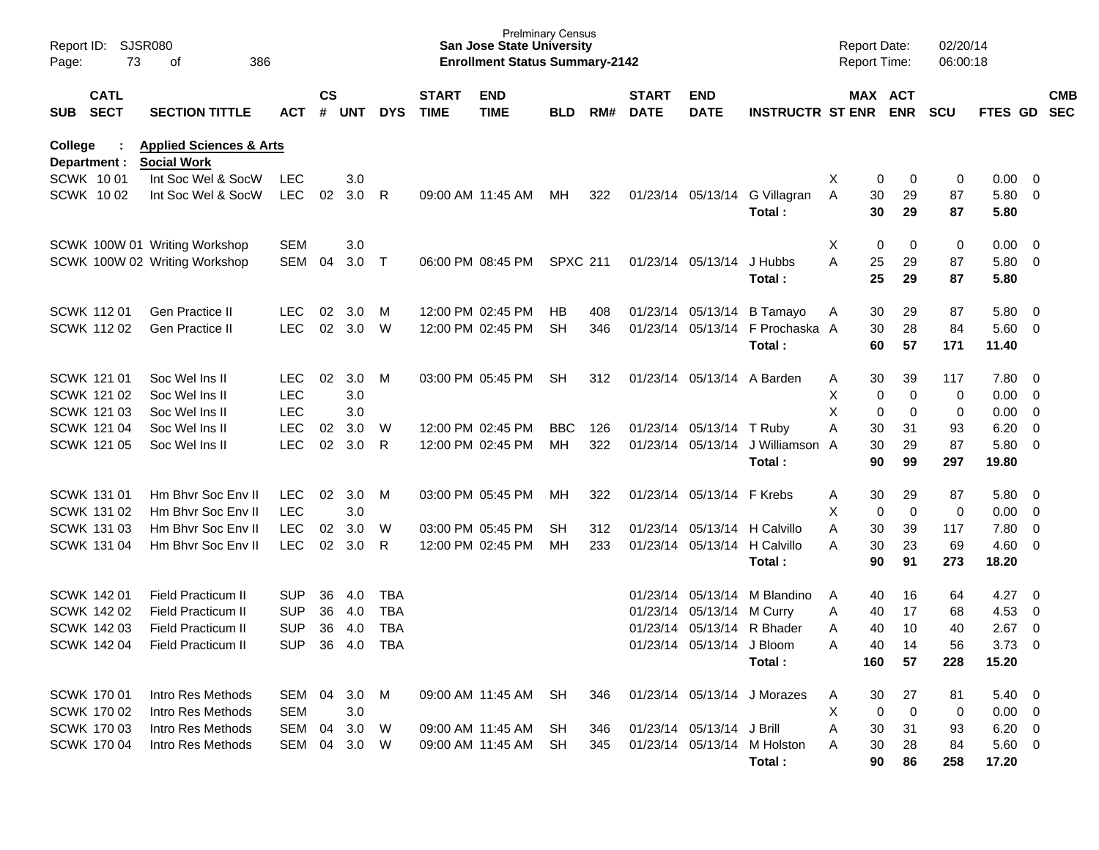| Report ID:<br>Page: | 73                         | SJSR080<br>386<br>оf                                     |            | <b>Prelminary Census</b><br><b>San Jose State University</b><br><b>Enrollment Status Summary-2142</b> |            |            |                             |                           |                 |     |                             |                           | <b>Report Date:</b><br>Report Time: |               | 02/20/14<br>06:00:18  |            |                |                          |                          |
|---------------------|----------------------------|----------------------------------------------------------|------------|-------------------------------------------------------------------------------------------------------|------------|------------|-----------------------------|---------------------------|-----------------|-----|-----------------------------|---------------------------|-------------------------------------|---------------|-----------------------|------------|----------------|--------------------------|--------------------------|
| <b>SUB</b>          | <b>CATL</b><br><b>SECT</b> | <b>SECTION TITTLE</b>                                    | ACT        | $\mathsf{cs}$<br>#                                                                                    | <b>UNT</b> | <b>DYS</b> | <b>START</b><br><b>TIME</b> | <b>END</b><br><b>TIME</b> | <b>BLD</b>      | RM# | <b>START</b><br><b>DATE</b> | <b>END</b><br><b>DATE</b> | <b>INSTRUCTR ST ENR</b>             |               | MAX ACT<br><b>ENR</b> | <b>SCU</b> | <b>FTES GD</b> |                          | <b>CMB</b><br><b>SEC</b> |
| College             | Department :               | <b>Applied Sciences &amp; Arts</b><br><b>Social Work</b> |            |                                                                                                       |            |            |                             |                           |                 |     |                             |                           |                                     |               |                       |            |                |                          |                          |
|                     | SCWK 1001                  | Int Soc Wel & SocW                                       | LEC        |                                                                                                       | 3.0        |            |                             |                           |                 |     |                             |                           |                                     | Χ             | 0<br>0                | 0          | $0.00 \t 0$    |                          |                          |
|                     | <b>SCWK 1002</b>           | Int Soc Wel & SocW                                       | <b>LEC</b> | 02                                                                                                    | 3.0        | R          |                             | 09:00 AM 11:45 AM         | MН              | 322 |                             | 01/23/14 05/13/14         | G Villagran                         | 30<br>Α       | 29                    | 87         | 5.80 0         |                          |                          |
|                     |                            |                                                          |            |                                                                                                       |            |            |                             |                           |                 |     |                             |                           | Total:                              | 30            | 29                    | 87         | 5.80           |                          |                          |
|                     |                            | SCWK 100W 01 Writing Workshop                            | <b>SEM</b> |                                                                                                       | 3.0        |            |                             |                           |                 |     |                             |                           |                                     | Χ             | 0<br>0                | 0          | 0.00           | $\overline{\phantom{0}}$ |                          |
|                     |                            | SCWK 100W 02 Writing Workshop                            | SEM        | 04                                                                                                    | 3.0        | Τ          |                             | 06:00 PM 08:45 PM         | <b>SPXC 211</b> |     |                             | 01/23/14 05/13/14         | J Hubbs<br>Total :                  | A<br>25<br>25 | 29<br>29              | 87<br>87   | 5.80 0<br>5.80 |                          |                          |
|                     |                            |                                                          |            |                                                                                                       |            |            |                             |                           |                 |     |                             |                           |                                     |               |                       |            |                |                          |                          |
|                     | <b>SCWK 11201</b>          | Gen Practice II                                          | <b>LEC</b> | 02                                                                                                    | 3.0        | M          |                             | 12:00 PM 02:45 PM         | НB              | 408 |                             | 01/23/14 05/13/14         | <b>B</b> Tamayo                     | 30<br>A       | 29                    | 87         | 5.80 0         |                          |                          |
|                     | <b>SCWK 11202</b>          | <b>Gen Practice II</b>                                   | <b>LEC</b> | 02                                                                                                    | 3.0        | W          |                             | 12:00 PM 02:45 PM         | <b>SH</b>       | 346 |                             | 01/23/14 05/13/14         | F Prochaska A                       | 30            | 28                    | 84         | $5.60$ 0       |                          |                          |
|                     |                            |                                                          |            |                                                                                                       |            |            |                             |                           |                 |     |                             |                           | Total :                             | 60            | 57                    | 171        | 11.40          |                          |                          |
|                     | <b>SCWK 121 01</b>         | Soc Wel Ins II                                           | <b>LEC</b> | 02                                                                                                    | 3.0        | M          |                             | 03:00 PM 05:45 PM         | <b>SH</b>       | 312 |                             | 01/23/14 05/13/14         | A Barden                            | 30<br>Α       | 39                    | 117        | 7.80 0         |                          |                          |
|                     | SCWK 121 02                | Soc Wellns II                                            | <b>LEC</b> |                                                                                                       | 3.0        |            |                             |                           |                 |     |                             |                           |                                     | Χ             | 0<br>0                | 0          | 0.00           | $\overline{\phantom{0}}$ |                          |
|                     | SCWK 121 03                | Soc Wellns II                                            | <b>LEC</b> |                                                                                                       | 3.0        |            |                             |                           |                 |     |                             |                           |                                     | X             | 0<br>0                | 0          | 0.00           | $\overline{\phantom{0}}$ |                          |
|                     | SCWK 121 04                | Soc Wel Ins II                                           | <b>LEC</b> | 02                                                                                                    | 3.0        | W          |                             | 12:00 PM 02:45 PM         | <b>BBC</b>      | 126 |                             | 01/23/14 05/13/14         | T Ruby                              | Α<br>30       | 31                    | 93         | 6.20           | $\overline{\mathbf{0}}$  |                          |
|                     | <b>SCWK 121 05</b>         | Soc Wel Ins II                                           | <b>LEC</b> | 02                                                                                                    | 3.0        | R          |                             | 12:00 PM 02:45 PM         | MН              | 322 |                             | 01/23/14 05/13/14         | J Williamson                        | 30<br>A       | 29                    | 87         | 5.80           | $\overline{\phantom{0}}$ |                          |
|                     |                            |                                                          |            |                                                                                                       |            |            |                             |                           |                 |     |                             |                           | Total:                              | 90            | 99                    | 297        | 19.80          |                          |                          |
|                     | <b>SCWK 131 01</b>         | Hm Bhyr Soc Eny II                                       | <b>LEC</b> | 02                                                                                                    | 3.0        | M          |                             | 03:00 PM 05:45 PM         | MН              | 322 |                             | 01/23/14 05/13/14 F Krebs |                                     | 30<br>Α       | 29                    | 87         | 5.80 0         |                          |                          |
|                     | SCWK 131 02                | Hm Bhyr Soc Eny II                                       | <b>LEC</b> |                                                                                                       | 3.0        |            |                             |                           |                 |     |                             |                           |                                     | X             | 0<br>0                | 0          | 0.00           | $\overline{\phantom{0}}$ |                          |
|                     | <b>SCWK 131 03</b>         | Hm Bhyr Soc Eny II                                       | <b>LEC</b> | 02                                                                                                    | 3.0        | W          |                             | 03:00 PM 05:45 PM         | SН              | 312 |                             |                           | 01/23/14 05/13/14 H Calvillo        | 30<br>Α       | 39                    | 117        | 7.80           | $\overline{\mathbf{0}}$  |                          |
|                     | <b>SCWK 131 04</b>         | Hm Bhyr Soc Env II                                       | <b>LEC</b> | 02                                                                                                    | 3.0        | R          |                             | 12:00 PM 02:45 PM         | MН              | 233 |                             | 01/23/14 05/13/14         | H Calvillo                          | 30<br>Α       | 23                    | 69         | $4.60 \ 0$     |                          |                          |
|                     |                            |                                                          |            |                                                                                                       |            |            |                             |                           |                 |     |                             |                           | Total:                              | 90            | 91                    | 273        | 18.20          |                          |                          |
|                     | <b>SCWK 142 01</b>         | <b>Field Practicum II</b>                                | <b>SUP</b> | 36                                                                                                    | 4.0        | <b>TBA</b> |                             |                           |                 |     |                             |                           | 01/23/14 05/13/14 M Blandino        | A<br>40       | 16                    | 64         | 4.27           | $\overline{\phantom{0}}$ |                          |
|                     | SCWK 142 02                | <b>Field Practicum II</b>                                | <b>SUP</b> | 36                                                                                                    | 4.0        | <b>TBA</b> |                             |                           |                 |     |                             | 01/23/14 05/13/14         | M Curry                             | 40<br>Α       | 17                    | 68         | 4.53           | $\overline{\mathbf{0}}$  |                          |
|                     | <b>SCWK 142 03</b>         | <b>Field Practicum II</b>                                | <b>SUP</b> | 36                                                                                                    | - 4.0      | <b>TBA</b> |                             |                           |                 |     |                             |                           | 01/23/14 05/13/14 R Bhader          | 40<br>A       | 10                    | 40         | 2.67           | $\overline{0}$           |                          |
|                     | SCWK 142 04                | Field Practicum II                                       | <b>SUP</b> |                                                                                                       | 36 4.0     | <b>TBA</b> |                             |                           |                 |     |                             | 01/23/14 05/13/14 J Bloom |                                     | 40<br>A       | 14                    | 56         | $3.73 \ 0$     |                          |                          |
|                     |                            |                                                          |            |                                                                                                       |            |            |                             |                           |                 |     |                             |                           | Total:                              | 160           | 57                    | 228        | 15.20          |                          |                          |
|                     | SCWK 170 01                | Intro Res Methods                                        | SEM 04     |                                                                                                       | 3.0        | M          |                             | 09:00 AM 11:45 AM SH      |                 | 346 |                             |                           | 01/23/14 05/13/14 J Morazes         | 30<br>A       | 27                    | 81         | $5.40 \quad 0$ |                          |                          |
|                     | SCWK 170 02                | Intro Res Methods                                        | <b>SEM</b> |                                                                                                       | 3.0        |            |                             |                           |                 |     |                             |                           |                                     | Χ             | 0<br>0                | 0          | $0.00 \t 0$    |                          |                          |
|                     | <b>SCWK 17003</b>          | Intro Res Methods                                        | SEM        | 04                                                                                                    | 3.0        | W          |                             | 09:00 AM 11:45 AM         | SH              | 346 |                             | 01/23/14 05/13/14 J Brill |                                     | Α<br>30       | 31                    | 93         | $6.20 \quad 0$ |                          |                          |
|                     | SCWK 170 04                | Intro Res Methods                                        | SEM        | 04                                                                                                    | 3.0        | W          |                             | 09:00 AM 11:45 AM         | SH              | 345 |                             |                           | 01/23/14 05/13/14 M Holston         | 30<br>Α       | 28                    | 84         | 5.60 0         |                          |                          |
|                     |                            |                                                          |            |                                                                                                       |            |            |                             |                           |                 |     |                             |                           | Total:                              | 90            | 86                    | 258        | 17.20          |                          |                          |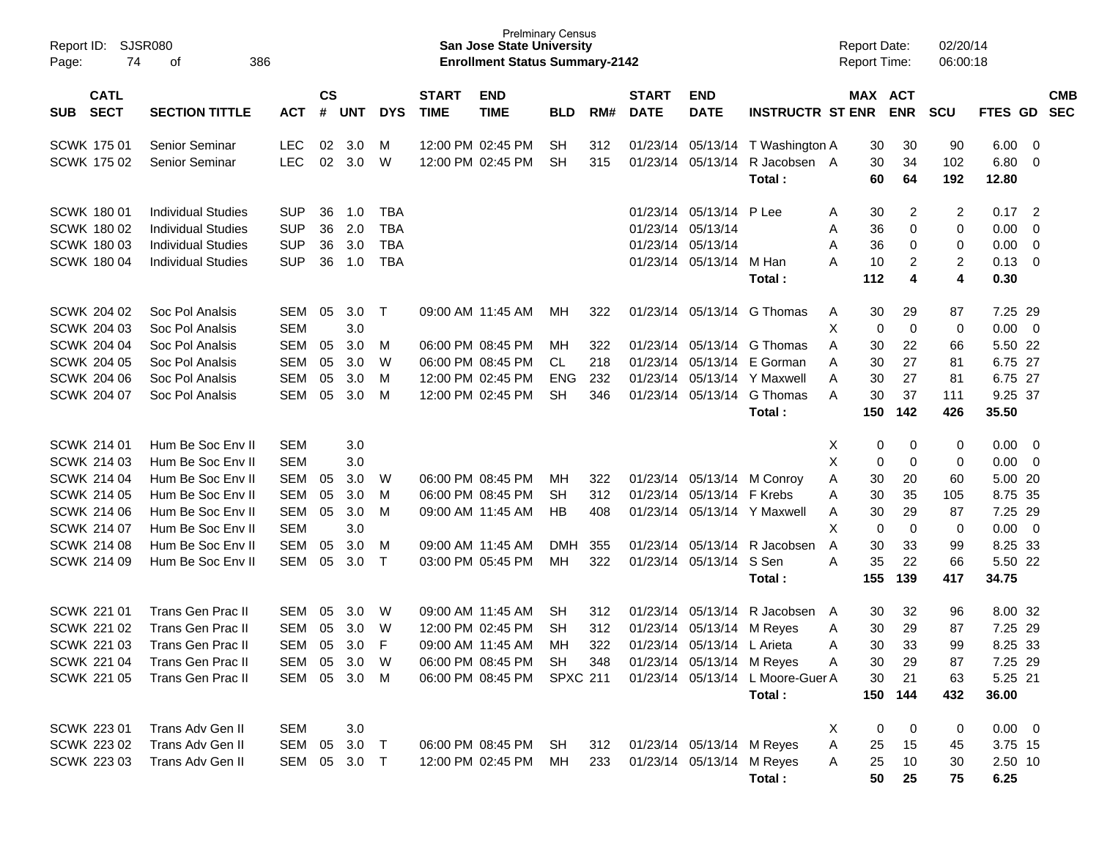| Report ID:<br>Page: | SJSR080<br>74              | 386<br>оf                 |            |                |            |            |                             | <b>Prelminary Census</b><br><b>San Jose State University</b><br><b>Enrollment Status Summary-2142</b> |                 |     |                             |                            |                                  |                | <b>Report Date:</b><br>Report Time: |                | 02/20/14<br>06:00:18 |                  |                          |                          |
|---------------------|----------------------------|---------------------------|------------|----------------|------------|------------|-----------------------------|-------------------------------------------------------------------------------------------------------|-----------------|-----|-----------------------------|----------------------------|----------------------------------|----------------|-------------------------------------|----------------|----------------------|------------------|--------------------------|--------------------------|
| SUB                 | <b>CATL</b><br><b>SECT</b> | <b>SECTION TITTLE</b>     | <b>ACT</b> | <b>CS</b><br># | <b>UNT</b> | <b>DYS</b> | <b>START</b><br><b>TIME</b> | <b>END</b><br><b>TIME</b>                                                                             | <b>BLD</b>      | RM# | <b>START</b><br><b>DATE</b> | <b>END</b><br><b>DATE</b>  | <b>INSTRUCTR ST ENR</b>          |                | MAX ACT                             | <b>ENR</b>     | <b>SCU</b>           | <b>FTES GD</b>   |                          | <b>CMB</b><br><b>SEC</b> |
| <b>SCWK 17501</b>   |                            | Senior Seminar            | <b>LEC</b> | 02             | 3.0        | M          |                             | 12:00 PM 02:45 PM                                                                                     | <b>SH</b>       | 312 |                             | 01/23/14 05/13/14          | T Washington A                   |                | 30                                  | 30             | 90                   | 6.00             | $\overline{\mathbf{0}}$  |                          |
| <b>SCWK 175 02</b>  |                            | Senior Seminar            | <b>LEC</b> | 02             | 3.0        | W          |                             | 12:00 PM 02:45 PM                                                                                     | <b>SH</b>       | 315 |                             | 01/23/14 05/13/14          | R Jacobsen A<br>Total:           |                | 30<br>60                            | 34<br>64       | 102<br>192           | 6.80<br>12.80    | $\overline{\mathbf{0}}$  |                          |
| <b>SCWK 180 01</b>  |                            | <b>Individual Studies</b> | <b>SUP</b> | 36             | 1.0        | <b>TBA</b> |                             |                                                                                                       |                 |     |                             | 01/23/14 05/13/14 P Lee    |                                  | A              | 30                                  | $\overline{c}$ | 2                    | 0.17             | $\overline{2}$           |                          |
| <b>SCWK 180 02</b>  |                            | <b>Individual Studies</b> | <b>SUP</b> | 36             | 2.0        | <b>TBA</b> |                             |                                                                                                       |                 |     | 01/23/14 05/13/14           |                            |                                  | Α              | 36                                  | 0              | 0                    | 0.00             | $\overline{0}$           |                          |
| <b>SCWK 18003</b>   |                            | <b>Individual Studies</b> | <b>SUP</b> | 36             | 3.0        | <b>TBA</b> |                             |                                                                                                       |                 |     | 01/23/14 05/13/14           |                            |                                  | A              | 36                                  | 0              | 0                    | 0.00             | $\overline{0}$           |                          |
| <b>SCWK 180 04</b>  |                            | <b>Individual Studies</b> | <b>SUP</b> | 36             | 1.0        | <b>TBA</b> |                             |                                                                                                       |                 |     |                             | 01/23/14 05/13/14          | M Han                            | A              | 10                                  | 2              | $\overline{2}$       | 0.13             | $\overline{\mathbf{0}}$  |                          |
|                     |                            |                           |            |                |            |            |                             |                                                                                                       |                 |     |                             |                            | Total:                           |                | 112                                 | 4              | 4                    | 0.30             |                          |                          |
| <b>SCWK 204 02</b>  |                            | Soc Pol Analsis           | SEM        | 05             | 3.0        | $\top$     |                             | 09:00 AM 11:45 AM                                                                                     | MН              | 322 |                             |                            | 01/23/14 05/13/14 G Thomas       | A              | 30                                  | 29             | 87                   | 7.25 29          |                          |                          |
| <b>SCWK 204 03</b>  |                            | Soc Pol Analsis           | <b>SEM</b> |                | 3.0        |            |                             |                                                                                                       |                 |     |                             |                            |                                  | $\pmb{\times}$ | 0                                   | $\mathbf 0$    | 0                    | 0.00             | $\overline{\mathbf{0}}$  |                          |
| <b>SCWK 204 04</b>  |                            | Soc Pol Analsis           | <b>SEM</b> | 05             | 3.0        | M          |                             | 06:00 PM 08:45 PM                                                                                     | MН              | 322 |                             | 01/23/14 05/13/14          | G Thomas                         | A              | 30                                  | 22             | 66                   | 5.50 22          |                          |                          |
| <b>SCWK 204 05</b>  |                            | Soc Pol Analsis           | <b>SEM</b> | 05             | 3.0        | W          |                             | 06:00 PM 08:45 PM                                                                                     | CL.             | 218 | 01/23/14                    | 05/13/14                   | E Gorman                         | A              | 30                                  | 27             | 81                   | 6.75 27          |                          |                          |
| <b>SCWK 204 06</b>  |                            | Soc Pol Analsis           | <b>SEM</b> | 05             | 3.0        | M          |                             | 12:00 PM 02:45 PM                                                                                     | <b>ENG</b>      | 232 | 01/23/14                    |                            | 05/13/14 Y Maxwell               | A              | 30                                  | 27             | 81                   | 6.75 27          |                          |                          |
| <b>SCWK 204 07</b>  |                            | Soc Pol Analsis           | <b>SEM</b> | 05             | 3.0        | M          |                             | 12:00 PM 02:45 PM                                                                                     | <b>SH</b>       | 346 |                             | 01/23/14 05/13/14          | G Thomas                         | A              | 30<br>150                           | 37<br>142      | 111                  | 9.25 37<br>35.50 |                          |                          |
|                     |                            |                           |            |                |            |            |                             |                                                                                                       |                 |     |                             |                            | Total:                           |                |                                     |                | 426                  |                  |                          |                          |
| <b>SCWK 214 01</b>  |                            | Hum Be Soc Env II         | <b>SEM</b> |                | 3.0        |            |                             |                                                                                                       |                 |     |                             |                            |                                  | X              | 0                                   | 0              | 0                    | 0.00             | $\overline{\phantom{0}}$ |                          |
| SCWK 214 03         |                            | Hum Be Soc Env II         | <b>SEM</b> |                | 3.0        |            |                             |                                                                                                       |                 |     |                             |                            |                                  | X              | 0                                   | 0              | 0                    | 0.00             | $\overline{\mathbf{0}}$  |                          |
| <b>SCWK 214 04</b>  |                            | Hum Be Soc Env II         | <b>SEM</b> | 05             | 3.0        | W          |                             | 06:00 PM 08:45 PM                                                                                     | MН              | 322 |                             | 01/23/14 05/13/14 M Conroy |                                  | Α              | 30                                  | 20             | 60                   | 5.00 20          |                          |                          |
| <b>SCWK 214 05</b>  |                            | Hum Be Soc Env II         | <b>SEM</b> | 05             | 3.0        | м          |                             | 06:00 PM 08:45 PM                                                                                     | SН              | 312 |                             | 01/23/14 05/13/14 F Krebs  |                                  | A              | 30                                  | 35             | 105                  | 8.75 35          |                          |                          |
| <b>SCWK 214 06</b>  |                            | Hum Be Soc Env II         | <b>SEM</b> | 05             | 3.0        | M          |                             | 09:00 AM 11:45 AM                                                                                     | НB              | 408 | 01/23/14                    |                            | 05/13/14 Y Maxwell               | Α              | 30                                  | 29             | 87                   | 7.25 29          |                          |                          |
| <b>SCWK 214 07</b>  |                            | Hum Be Soc Env II         | <b>SEM</b> |                | 3.0        |            |                             |                                                                                                       |                 |     |                             |                            |                                  | X              | 0                                   | 0              | 0                    | 0.00             | $\overline{0}$           |                          |
| <b>SCWK 214 08</b>  |                            | Hum Be Soc Env II         | <b>SEM</b> | 05             | 3.0        | M          |                             | 09:00 AM 11:45 AM                                                                                     | <b>DMH</b>      | 355 |                             | 01/23/14 05/13/14          | R Jacobsen                       | A              | 30                                  | 33             | 99                   | 8.25 33          |                          |                          |
| <b>SCWK 214 09</b>  |                            | Hum Be Soc Env II         | <b>SEM</b> | 05             | 3.0        | Т          |                             | 03:00 PM 05:45 PM                                                                                     | МH              | 322 |                             | 01/23/14 05/13/14          | S Sen                            | A              | 35                                  | 22             | 66                   | 5.50 22          |                          |                          |
|                     |                            |                           |            |                |            |            |                             |                                                                                                       |                 |     |                             |                            | Total:                           |                | 155                                 | 139            | 417                  | 34.75            |                          |                          |
| SCWK 221 01         |                            | Trans Gen Prac II         | <b>SEM</b> | 05             | 3.0        | W          |                             | 09:00 AM 11:45 AM                                                                                     | <b>SH</b>       | 312 | 01/23/14                    | 05/13/14                   | R Jacobsen                       | A              | 30                                  | 32             | 96                   | 8.00 32          |                          |                          |
| SCWK 221 02         |                            | Trans Gen Prac II         | <b>SEM</b> | 05             | 3.0        | W          |                             | 12:00 PM 02:45 PM                                                                                     | SH              | 312 | 01/23/14                    | 05/13/14                   | M Reyes                          | A              | 30                                  | 29             | 87                   | 7.25 29          |                          |                          |
| <b>SCWK 221 03</b>  |                            | <b>Trans Gen Prac II</b>  | SEM        | 05             | 3.0        | F          |                             | 09:00 AM 11:45 AM                                                                                     | MН              | 322 |                             | 01/23/14 05/13/14 L Arieta |                                  | A              | 30                                  | 33             | 99                   | 8.25 33          |                          |                          |
| SCWK 221 04         |                            | Trans Gen Prac II         | SEM        | 05             | 3.0        | W          |                             | 06:00 PM 08:45 PM                                                                                     | SH              | 348 |                             | 01/23/14 05/13/14 M Reyes  |                                  | A              | 30                                  | 29             | 87                   | 7.25 29          |                          |                          |
| SCWK 221 05         |                            | Trans Gen Prac II         | SEM        |                | 05 3.0 M   |            |                             | 06:00 PM 08:45 PM                                                                                     | <b>SPXC 211</b> |     |                             |                            | 01/23/14 05/13/14 L Moore-Guer A |                | 30                                  | 21             | 63                   | 5.25 21          |                          |                          |
|                     |                            |                           |            |                |            |            |                             |                                                                                                       |                 |     |                             |                            | Total:                           |                | 150                                 | 144            | 432                  | 36.00            |                          |                          |
| SCWK 223 01         |                            | Trans Adv Gen II          | <b>SEM</b> |                | 3.0        |            |                             |                                                                                                       |                 |     |                             |                            |                                  | X              | 0                                   | 0              | 0                    | $0.00 \t 0$      |                          |                          |
| SCWK 223 02         |                            | Trans Adv Gen II          | SEM        | 05             | 3.0        | $\top$     |                             | 06:00 PM 08:45 PM SH                                                                                  |                 | 312 |                             | 01/23/14 05/13/14 M Reyes  |                                  | Α              | 25                                  | 15             | 45                   | 3.75 15          |                          |                          |
| SCWK 223 03         |                            | Trans Adv Gen II          | SEM        |                | 05 3.0 T   |            |                             | 12:00 PM 02:45 PM                                                                                     | MH              | 233 |                             | 01/23/14 05/13/14 M Reyes  |                                  | Α              | 25                                  | 10             | 30                   | 2.50 10          |                          |                          |
|                     |                            |                           |            |                |            |            |                             |                                                                                                       |                 |     |                             |                            | Total:                           |                | 50                                  | 25             | 75                   | 6.25             |                          |                          |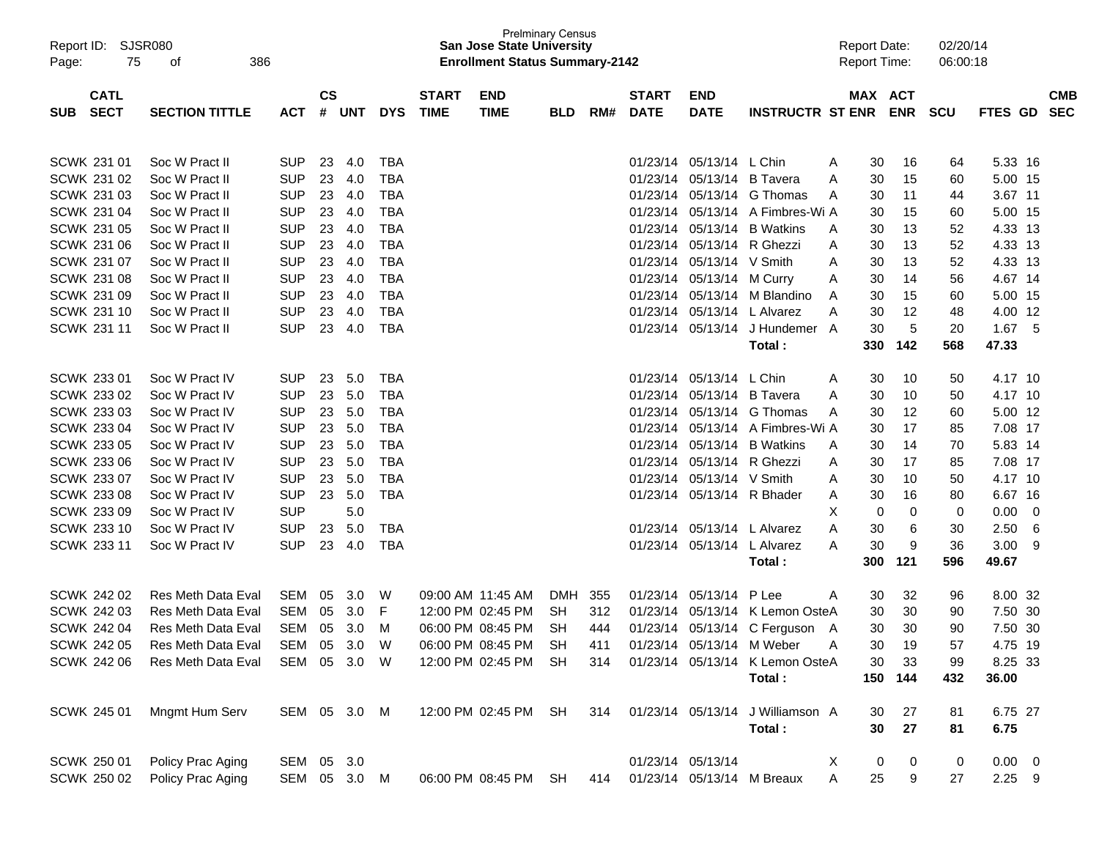| Report ID:<br>Page: | 75                 | SJSR080<br>386<br>οf      |              |           |              |            |              | <b>San Jose State University</b><br><b>Enrollment Status Summary-2142</b> | <b>Prelminary Census</b> |     |              |                           |                                      |   | <b>Report Date:</b> | <b>Report Time:</b> | 02/20/14<br>06:00:18 |                |            |  |
|---------------------|--------------------|---------------------------|--------------|-----------|--------------|------------|--------------|---------------------------------------------------------------------------|--------------------------|-----|--------------|---------------------------|--------------------------------------|---|---------------------|---------------------|----------------------|----------------|------------|--|
|                     | <b>CATL</b>        |                           |              | <b>CS</b> |              |            | <b>START</b> | <b>END</b>                                                                |                          |     | <b>START</b> | <b>END</b>                |                                      |   |                     | MAX ACT             |                      |                | <b>CMB</b> |  |
| <b>SUB</b>          | <b>SECT</b>        | <b>SECTION TITTLE</b>     | <b>ACT</b>   |           | # UNT        | <b>DYS</b> | <b>TIME</b>  | <b>TIME</b>                                                               | <b>BLD</b>               | RM# | <b>DATE</b>  | <b>DATE</b>               | <b>INSTRUCTR ST ENR</b>              |   |                     | <b>ENR</b>          | <b>SCU</b>           | <b>FTES GD</b> | <b>SEC</b> |  |
|                     | SCWK 231 01        | Soc W Pract II            | <b>SUP</b>   | 23        | 4.0          | TBA        |              |                                                                           |                          |     |              | 01/23/14 05/13/14 L Chin  |                                      | Α | 30                  | 16                  | 64                   | 5.33 16        |            |  |
|                     | SCWK 231 02        | Soc W Pract II            | <b>SUP</b>   | 23        | 4.0          | <b>TBA</b> |              |                                                                           |                          |     | 01/23/14     | 05/13/14                  | <b>B</b> Tavera                      | A | 30                  | 15                  | 60                   | 5.00 15        |            |  |
|                     | SCWK 231 03        | Soc W Pract II            | <b>SUP</b>   | 23        | 4.0          | <b>TBA</b> |              |                                                                           |                          |     | 01/23/14     | 05/13/14                  | G Thomas                             | A | 30                  | 11                  | 44                   | 3.67 11        |            |  |
|                     | SCWK 231 04        | Soc W Pract II            | <b>SUP</b>   | 23        | 4.0          | <b>TBA</b> |              |                                                                           |                          |     | 01/23/14     |                           | 05/13/14 A Fimbres-Wi A              |   | 30                  | 15                  | 60                   | 5.00 15        |            |  |
|                     | SCWK 231 05        | Soc W Pract II            | <b>SUP</b>   | 23        | 4.0          | <b>TBA</b> |              |                                                                           |                          |     | 01/23/14     | 05/13/14                  | <b>B</b> Watkins                     | Α | 30                  | 13                  | 52                   | 4.33 13        |            |  |
|                     | <b>SCWK 231 06</b> | Soc W Pract II            | <b>SUP</b>   | 23        | 4.0          | <b>TBA</b> |              |                                                                           |                          |     | 01/23/14     | 05/13/14                  | R Ghezzi                             | Α | 30                  | 13                  | 52                   | 4.33 13        |            |  |
|                     | SCWK 231 07        | Soc W Pract II            | <b>SUP</b>   | 23        | 4.0          | <b>TBA</b> |              |                                                                           |                          |     | 01/23/14     | 05/13/14 V Smith          |                                      | Α | 30                  | 13                  | 52                   | 4.33 13        |            |  |
|                     | <b>SCWK 231 08</b> | Soc W Pract II            | <b>SUP</b>   | 23        | 4.0          | <b>TBA</b> |              |                                                                           |                          |     | 01/23/14     | 05/13/14                  | M Curry                              | Α | 30                  | 14                  | 56                   | 4.67 14        |            |  |
|                     | SCWK 231 09        | Soc W Pract II            | <b>SUP</b>   | 23        | 4.0          | <b>TBA</b> |              |                                                                           |                          |     | 01/23/14     | 05/13/14                  | M Blandino                           | A | 30                  | 15                  | 60                   | 5.00 15        |            |  |
|                     | <b>SCWK 231 10</b> | Soc W Pract II            | <b>SUP</b>   | 23        | 4.0          | <b>TBA</b> |              |                                                                           |                          |     | 01/23/14     | 05/13/14                  | L Alvarez                            | A | 30                  | 12                  | 48                   | 4.00 12        |            |  |
|                     | <b>SCWK 231 11</b> | Soc W Pract II            | <b>SUP</b>   | 23        | 4.0          | <b>TBA</b> |              |                                                                           |                          |     | 01/23/14     | 05/13/14                  | J Hundemer A                         |   | 30                  | 5                   | 20                   | $1.67$ 5       |            |  |
|                     |                    |                           |              |           |              |            |              |                                                                           |                          |     |              |                           | Total:                               |   | 330                 | 142                 | 568                  | 47.33          |            |  |
|                     | SCWK 233 01        | Soc W Pract IV            | <b>SUP</b>   | 23        | 5.0          | TBA        |              |                                                                           |                          |     | 01/23/14     | 05/13/14 L Chin           |                                      | Α | 30                  | 10                  | 50                   | 4.17 10        |            |  |
|                     | SCWK 233 02        | Soc W Pract IV            | <b>SUP</b>   | 23        | 5.0          | <b>TBA</b> |              |                                                                           |                          |     | 01/23/14     | 05/13/14                  | <b>B</b> Tavera                      | Α | 30                  | 10                  | 50                   | 4.17 10        |            |  |
|                     | SCWK 233 03        | Soc W Pract IV            | <b>SUP</b>   | 23        | 5.0          | <b>TBA</b> |              |                                                                           |                          |     | 01/23/14     | 05/13/14                  | G Thomas                             | A | 30                  | 12                  | 60                   | 5.00 12        |            |  |
|                     | SCWK 233 04        | Soc W Pract IV            | <b>SUP</b>   | 23        | 5.0          | <b>TBA</b> |              |                                                                           |                          |     | 01/23/14     |                           | 05/13/14 A Fimbres-Wi A              |   | 30                  | 17                  | 85                   | 7.08 17        |            |  |
|                     | SCWK 233 05        | Soc W Pract IV            | <b>SUP</b>   | 23        | 5.0          | <b>TBA</b> |              |                                                                           |                          |     | 01/23/14     | 05/13/14                  | <b>B</b> Watkins                     | Α | 30                  | 14                  | 70                   | 5.83 14        |            |  |
|                     | <b>SCWK 233 06</b> | Soc W Pract IV            | <b>SUP</b>   | 23        | 5.0          | <b>TBA</b> |              |                                                                           |                          |     | 01/23/14     |                           | 05/13/14 R Ghezzi                    | Α | 30                  | 17                  | 85                   | 7.08 17        |            |  |
|                     | SCWK 233 07        | Soc W Pract IV            | <b>SUP</b>   | 23        | 5.0          | <b>TBA</b> |              |                                                                           |                          |     | 01/23/14     | 05/13/14 V Smith          |                                      | Α | 30                  | 10                  | 50                   | 4.17 10        |            |  |
|                     | <b>SCWK 233 08</b> | Soc W Pract IV            | <b>SUP</b>   | 23        | 5.0          | <b>TBA</b> |              |                                                                           |                          |     | 01/23/14     |                           | 05/13/14 R Bhader                    | Α | 30                  | 16                  | 80                   | 6.67 16        |            |  |
|                     | SCWK 233 09        | Soc W Pract IV            | <b>SUP</b>   |           | 5.0          |            |              |                                                                           |                          |     |              |                           |                                      | Χ | 0                   | 0                   | 0                    | 0.00           | - 0        |  |
|                     | <b>SCWK 233 10</b> | Soc W Pract IV            | <b>SUP</b>   | 23        | 5.0          | TBA        |              |                                                                           |                          |     | 01/23/14     | 05/13/14                  | L Alvarez                            | Α | 30                  | 6                   | 30                   | 2.50           | - 6        |  |
|                     | <b>SCWK 233 11</b> | Soc W Pract IV            | <b>SUP</b>   | 23        | 4.0          | <b>TBA</b> |              |                                                                           |                          |     |              | 01/23/14 05/13/14         | L Alvarez                            | A | 30                  | 9                   | 36                   | 3.00           | - 9        |  |
|                     |                    |                           |              |           |              |            |              |                                                                           |                          |     |              |                           | Total:                               |   | 300                 | 121                 | 596                  | 49.67          |            |  |
|                     | SCWK 242 02        | <b>Res Meth Data Eval</b> | <b>SEM</b>   | 05        | 3.0          | W          |              | 09:00 AM 11:45 AM                                                         | DMH                      | 355 | 01/23/14     | 05/13/14                  | P Lee                                | A | 30                  | 32                  | 96                   | 8.00 32        |            |  |
|                     | <b>SCWK 242 03</b> | <b>Res Meth Data Eval</b> | <b>SEM</b>   | 05        | 3.0          | F          |              | 12:00 PM 02:45 PM                                                         | SН                       | 312 | 01/23/14     | 05/13/14                  | K Lemon OsteA                        |   | 30                  | 30                  | 90                   | 7.50 30        |            |  |
|                     | <b>SCWK 242 04</b> | Res Meth Data Eval        | <b>SEM</b>   | 05        | 3.0          | м          |              | 06:00 PM 08:45 PM                                                         | <b>SH</b>                | 444 | 01/23/14     | 05/13/14                  | C Ferguson A                         |   | 30                  | 30                  | 90                   | 7.50 30        |            |  |
|                     | SCWK 242 05        | Res Meth Data Eval        | <b>SEM</b>   |           | 05 3.0       | W          |              | 06:00 PM 08:45 PM                                                         | <b>SH</b>                | 411 |              | 01/23/14 05/13/14 M Weber |                                      | A | 30                  | 19                  | 57                   | 4.75 19        |            |  |
|                     | SCWK 242 06        | Res Meth Data Eval        | SEM 05 3.0   |           |              | W          |              | 12:00 PM 02:45 PM SH                                                      |                          | 314 |              |                           | 01/23/14 05/13/14 K Lemon OsteA      |   | 30                  | 33                  | 99                   | 8.25 33        |            |  |
|                     |                    |                           |              |           |              |            |              |                                                                           |                          |     |              |                           | Total:                               |   |                     | 150 144             | 432                  | 36.00          |            |  |
|                     | SCWK 245 01        | Mngmt Hum Serv            | SEM 05 3.0 M |           |              |            |              | 12:00 PM 02:45 PM SH                                                      |                          |     |              |                           | 314 01/23/14 05/13/14 J Williamson A |   | 30                  | 27                  | 81                   | 6.75 27        |            |  |
|                     |                    |                           |              |           |              |            |              |                                                                           |                          |     |              |                           | Total:                               |   | 30                  | 27                  | 81                   | 6.75           |            |  |
|                     | SCWK 250 01        | Policy Prac Aging         | SEM 05 3.0   |           |              |            |              |                                                                           |                          |     |              | 01/23/14 05/13/14         |                                      | X | 0                   | 0                   | 0                    | $0.00 \t 0$    |            |  |
|                     | SCWK 250 02        | Policy Prac Aging         |              |           | SEM 05 3.0 M |            |              | 06:00 PM 08:45 PM SH                                                      |                          | 414 |              |                           | 01/23/14 05/13/14 M Breaux           | Α | 25                  | 9                   | 27                   | $2.25$ 9       |            |  |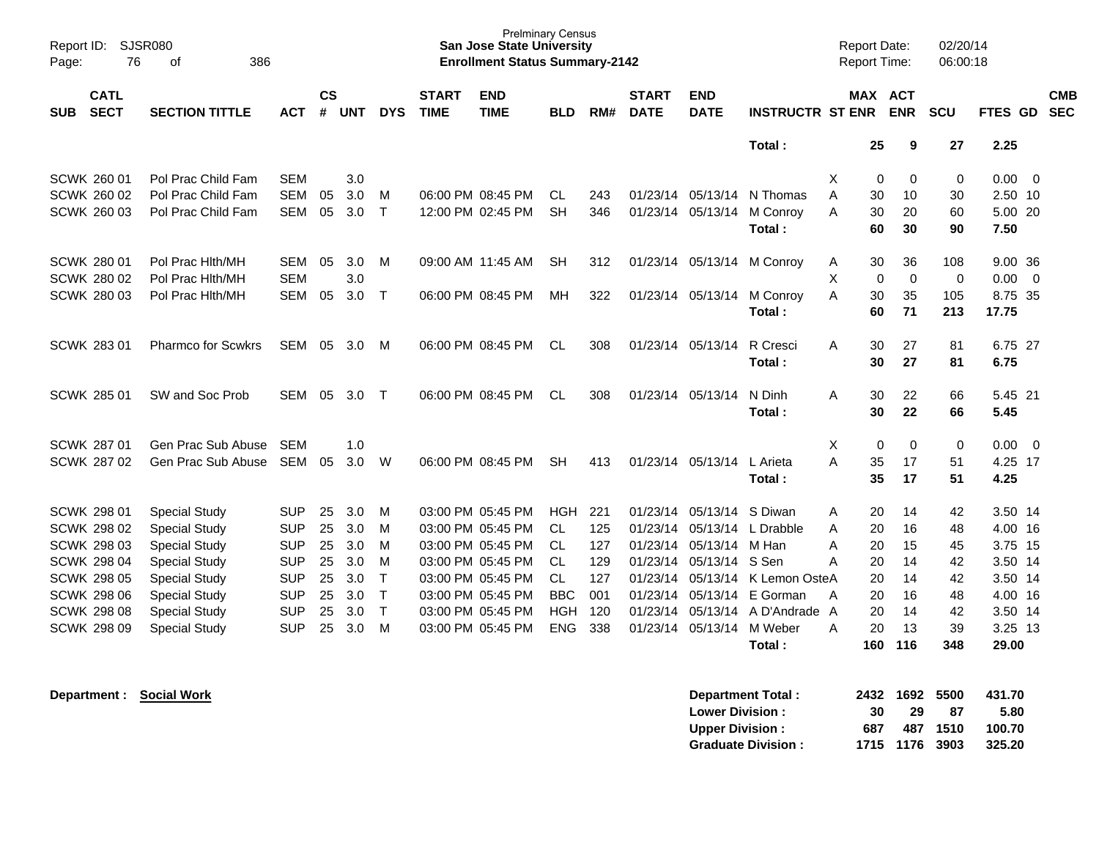| Report ID:<br>Page: | <b>SJSR080</b><br>76       | 386<br>οf                 |            |                |            |              |                             | <b>Prelminary Census</b><br><b>San Jose State University</b><br><b>Enrollment Status Summary-2142</b> |            |     |                             |                           |                         | <b>Report Date:</b><br><b>Report Time:</b> |                              | 02/20/14<br>06:00:18     |          |                          |
|---------------------|----------------------------|---------------------------|------------|----------------|------------|--------------|-----------------------------|-------------------------------------------------------------------------------------------------------|------------|-----|-----------------------------|---------------------------|-------------------------|--------------------------------------------|------------------------------|--------------------------|----------|--------------------------|
| <b>SUB</b>          | <b>CATL</b><br><b>SECT</b> | <b>SECTION TITTLE</b>     | АСТ        | <b>CS</b><br># | <b>UNT</b> | <b>DYS</b>   | <b>START</b><br><b>TIME</b> | <b>END</b><br><b>TIME</b>                                                                             | <b>BLD</b> | RM# | <b>START</b><br><b>DATE</b> | <b>END</b><br><b>DATE</b> | <b>INSTRUCTR ST ENR</b> |                                            | <b>MAX ACT</b><br><b>ENR</b> | <b>SCU</b>               | FTES GD  | <b>CMB</b><br><b>SEC</b> |
|                     |                            |                           |            |                |            |              |                             |                                                                                                       |            |     |                             |                           | Total:                  |                                            | 25                           | 27<br>9                  | 2.25     |                          |
|                     | SCWK 260 01                | Pol Prac Child Fam        | <b>SEM</b> |                | 3.0        |              |                             |                                                                                                       |            |     |                             |                           |                         | Χ                                          | 0                            | 0<br>0                   | 0.00     | - 0                      |
|                     | SCWK 260 02                | Pol Prac Child Fam        | <b>SEM</b> | 05             | 3.0        | м            | 06:00 PM 08:45 PM           |                                                                                                       | <b>CL</b>  | 243 | 01/23/14                    | 05/13/14                  | N Thomas                | A                                          | 30<br>10                     | 30                       | 2.50 10  |                          |
|                     | <b>SCWK 260 03</b>         | Pol Prac Child Fam        | <b>SEM</b> | 05             | 3.0        | $\mathsf{T}$ | 12:00 PM 02:45 PM           |                                                                                                       | <b>SH</b>  | 346 | 01/23/14                    | 05/13/14                  | M Conroy                | A                                          | 30<br>20                     | 60                       | 5.00 20  |                          |
|                     |                            |                           |            |                |            |              |                             |                                                                                                       |            |     |                             |                           | Total:                  |                                            | 60<br>30                     | 90                       | 7.50     |                          |
|                     | SCWK 280 01                | Pol Prac Hith/MH          | <b>SEM</b> | 05             | 3.0        | м            |                             | 09:00 AM 11:45 AM                                                                                     | <b>SH</b>  | 312 | 01/23/14 05/13/14           |                           | M Conrov                | Α                                          | 30<br>36                     | 108                      | 9.00, 36 |                          |
|                     | <b>SCWK 280 02</b>         | Pol Prac Hith/MH          | <b>SEM</b> |                | 3.0        |              |                             |                                                                                                       |            |     |                             |                           |                         | Χ                                          | $\mathbf 0$                  | $\pmb{0}$<br>$\mathbf 0$ | 0.00     | $\overline{0}$           |
|                     | <b>SCWK 280 03</b>         | Pol Prac Hith/MH          | <b>SEM</b> | 05             | 3.0        | $\mathsf{T}$ | 06:00 PM 08:45 PM           |                                                                                                       | MН         | 322 | 01/23/14                    | 05/13/14                  | M Conroy                | A                                          | 30<br>35                     | 105                      | 8.75 35  |                          |
|                     |                            |                           |            |                |            |              |                             |                                                                                                       |            |     |                             |                           | Total:                  |                                            | 60<br>71                     | 213                      | 17.75    |                          |
|                     | <b>SCWK 283 01</b>         | <b>Pharmco for Scwkrs</b> | <b>SEM</b> | 05             | 3.0        | M            |                             | 06:00 PM 08:45 PM                                                                                     | CL.        | 308 | 01/23/14 05/13/14           |                           | R Cresci                | A                                          | 30<br>27                     | 81                       | 6.75 27  |                          |
|                     |                            |                           |            |                |            |              |                             |                                                                                                       |            |     |                             |                           | Total:                  |                                            | 30<br>27                     | 81                       | 6.75     |                          |
|                     | <b>SCWK 285 01</b>         | SW and Soc Prob           | SEM        | 05             | 3.0        | $\top$       |                             | 06:00 PM 08:45 PM                                                                                     | <b>CL</b>  | 308 | 01/23/14 05/13/14           |                           | N Dinh                  | A                                          | 30<br>22                     | 66                       | 5.45 21  |                          |
|                     |                            |                           |            |                |            |              |                             |                                                                                                       |            |     |                             |                           | Total:                  |                                            | 30<br>22                     | 66                       | 5.45     |                          |
|                     | SCWK 287 01                | Gen Prac Sub Abuse        | <b>SEM</b> |                | 1.0        |              |                             |                                                                                                       |            |     |                             |                           |                         | X                                          | $\mathbf 0$                  | $\mathbf 0$<br>0         | 0.00     | - 0                      |
|                     | <b>SCWK 287 02</b>         | Gen Prac Sub Abuse        | <b>SEM</b> | 05             | 3.0        | W            | 06:00 PM 08:45 PM           |                                                                                                       | <b>SH</b>  | 413 | 01/23/14 05/13/14           |                           | L Arieta                | A                                          | 35<br>17                     | 51                       | 4.25 17  |                          |
|                     |                            |                           |            |                |            |              |                             |                                                                                                       |            |     |                             |                           | Total:                  |                                            | 35<br>17                     | 51                       | 4.25     |                          |
|                     | <b>SCWK 298 01</b>         | <b>Special Study</b>      | <b>SUP</b> | 25             | 3.0        | м            | 03:00 PM 05:45 PM           |                                                                                                       | <b>HGH</b> | 221 | 01/23/14                    | 05/13/14                  | S Diwan                 | A                                          | 20<br>14                     | 42                       | 3.50 14  |                          |
|                     | <b>SCWK 298 02</b>         | <b>Special Study</b>      | <b>SUP</b> | 25             | 3.0        | м            | 03:00 PM 05:45 PM           |                                                                                                       | CL.        | 125 | 01/23/14                    | 05/13/14                  | L Drabble               | A                                          | 20<br>16                     | 48                       | 4.00 16  |                          |
|                     | <b>SCWK 298 03</b>         | <b>Special Study</b>      | <b>SUP</b> | 25             | 3.0        | M            | 03:00 PM 05:45 PM           |                                                                                                       | CL.        | 127 | 01/23/14                    | 05/13/14                  | M Han                   | A                                          | 20<br>15                     | 45                       | 3.75 15  |                          |
|                     | <b>SCWK 298 04</b>         | <b>Special Study</b>      | <b>SUP</b> | 25             | 3.0        | м            | 03:00 PM 05:45 PM           |                                                                                                       | <b>CL</b>  | 129 | 01/23/14                    | 05/13/14                  | S Sen                   | Α                                          | 20<br>14                     | 42                       | 3.50 14  |                          |
|                     | <b>SCWK 298 05</b>         | <b>Special Study</b>      | <b>SUP</b> | 25             | 3.0        | $\mathsf T$  | 03:00 PM 05:45 PM           |                                                                                                       | <b>CL</b>  | 127 | 01/23/14                    | 05/13/14                  | K Lemon OsteA           |                                            | 20<br>14                     | 42                       | 3.50 14  |                          |
|                     | <b>SCWK 298 06</b>         | <b>Special Study</b>      | <b>SUP</b> | 25             | 3.0        | $\top$       | 03:00 PM 05:45 PM           |                                                                                                       | <b>BBC</b> | 001 | 01/23/14                    |                           | 05/13/14 E Gorman       | A                                          | 20<br>16                     | 48                       | 4.00 16  |                          |
|                     | <b>SCWK 298 08</b>         | <b>Special Study</b>      | <b>SUP</b> | 25             | 3.0        | $\top$       | 03:00 PM 05:45 PM           |                                                                                                       | <b>HGH</b> | 120 | 01/23/14                    | 05/13/14                  | A D'Andrade A           |                                            | 20<br>14                     | 42                       | 3.50 14  |                          |
|                     | <b>SCWK 298 09</b>         | <b>Special Study</b>      | <b>SUP</b> | 25             | 3.0        | M            | 03:00 PM 05:45 PM           |                                                                                                       | <b>ENG</b> | 338 | 01/23/14                    | 05/13/14                  | M Weber                 | Α                                          | 20<br>13                     | 39                       | 3.25 13  |                          |
|                     |                            |                           |            |                |            |              |                             |                                                                                                       |            |     |                             |                           | Total:                  | 160                                        | 116                          | 348                      | 29.00    |                          |

| <b>Department Total:</b>  |     | 2432 1692 5500 |          | 431.70 |
|---------------------------|-----|----------------|----------|--------|
| <b>Lower Division:</b>    | 30  | 29             | 87       | 5.80   |
| <b>Upper Division:</b>    | 687 |                | 487 1510 | 100.70 |
| <b>Graduate Division:</b> |     | 1715 1176 3903 |          | 325.20 |

**Department : Social Work**